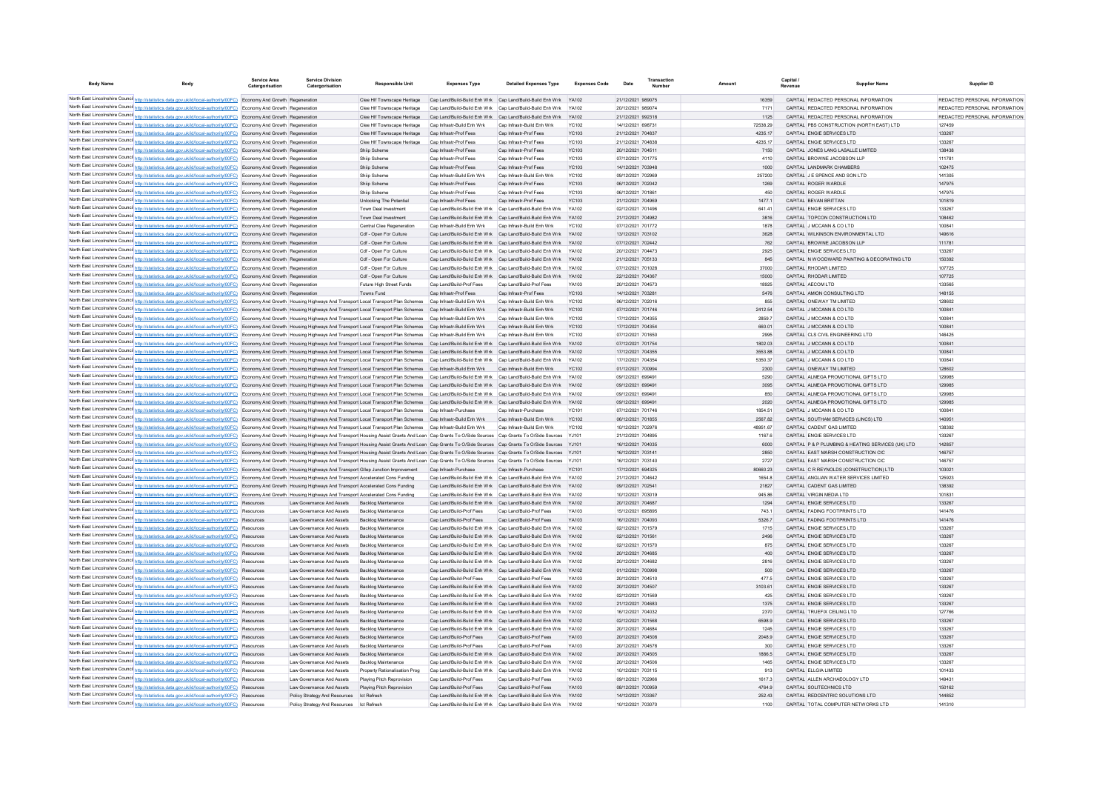| <b>Body Name</b> |                                                                                                                                                                                                                                                                                                                                                                                                                                                                 | <b>Service Area</b><br>Catergorisation | <b>Service Division</b><br>Catergorisation             | <b>Responsible Unit</b>                                  | <b>Expenses Type</b>                                            | <b>Detailed Expenses Type</b>                                   | <b>Expenses Code</b> | Date                                   | Transaction |                | Capital<br>Revenue | <b>Supplier Name</b>                                                         | Supplier ID                   |
|------------------|-----------------------------------------------------------------------------------------------------------------------------------------------------------------------------------------------------------------------------------------------------------------------------------------------------------------------------------------------------------------------------------------------------------------------------------------------------------------|----------------------------------------|--------------------------------------------------------|----------------------------------------------------------|-----------------------------------------------------------------|-----------------------------------------------------------------|----------------------|----------------------------------------|-------------|----------------|--------------------|------------------------------------------------------------------------------|-------------------------------|
|                  | North East Lincolnshire Counci http://statistics.data.gov.uk/id/local-authority/00FC) Economy And Growth Regeneration                                                                                                                                                                                                                                                                                                                                           |                                        |                                                        | Clee Hif Townscape Heritage                              | Cap Land/Build-Build Enh Wrk Cap Land/Build-Build Enh Wrk YA102 |                                                                 |                      | 21/12/2021 989075                      |             | 16359          |                    | CAPITAL REDACTED PERSONAL INFORMATION                                        | REDACTED PERSONAL INFORMATION |
|                  | North East Lincolnshire Counci http://statistics.data.gov.uk/id/local-authority/00FC) Economy And Growth Regeneration                                                                                                                                                                                                                                                                                                                                           |                                        |                                                        | Clee Hif Townscape Heritage                              | Cap Land/Build-Build Enh Wrk Cap Land/Build-Build Enh Wrk YA102 |                                                                 |                      | 20/12/2021 989074                      |             | 7171           |                    | CAPITAL REDACTED PERSONAL INFORMATION                                        | REDACTED PERSONAL INFORMATION |
|                  | North East Lincolnshire Counci http://statistics.data.gov.uk/id/local-authority/00FC) Economy And Growth Regeneration                                                                                                                                                                                                                                                                                                                                           |                                        |                                                        | Clee HIf Townscape Heritage                              |                                                                 | Cap Land/Build-Build Enh Wrk Cap Land/Build-Build Enh Wrk YA102 |                      | 21/12/2021 992318                      |             | 1125           |                    | CAPITAL REDACTED PERSONAL INFORMATION                                        | REDACTED PERSONAL INFORMATION |
|                  | North East Lincolnshire Counci http://statistics.data.gov.uk/id/local-authority/00FC) Economy And Growth Regeneration                                                                                                                                                                                                                                                                                                                                           |                                        |                                                        | Clee HIf Townscape Heritage                              | Cap Infrastr-Build Enh Wrk                                      | Cap Infrastr-Build Enh Wrk                                      | YC102                | 14/12/2021 698731                      |             | 72538.29       |                    | CAPITAL PBS CONSTRUCTION (NORTH EAST) LTD                                    | 127459                        |
|                  | North East Lincolnshire Counci http://statistics.data.gov.uk/id/local-authority/00FC) Economy And Growth Regeneration                                                                                                                                                                                                                                                                                                                                           |                                        |                                                        | Clee Hif Townscape Heritage                              | Cap Infrastr-Prof Fees                                          | Cap Infrastr-Prof Fees                                          | YC103                | 21/12/2021 704837                      |             | 4235.17        |                    | CAPITAL ENGIE SERVICES LTD                                                   | 133267                        |
|                  | North East Lincolnshire Counci http://statistics.data.gov.uk/id/local-authority/00FC) Economy And Growth Regeneration                                                                                                                                                                                                                                                                                                                                           |                                        |                                                        | Clee Hif Townscape Heritage                              | Cap Infrastr-Prof Fees                                          | Cap Infrastr-Prof Fees                                          | YC103                | 21/12/2021 704838                      |             | 4235.17        |                    | CAPITAL ENGIE SERVICES LTD                                                   | 133267                        |
|                  | North East Lincolnshire Counci http://statistics.data.gov.uk/id/local-authority/00FC) Economy And Growth Regeneration                                                                                                                                                                                                                                                                                                                                           |                                        |                                                        | Shiip Schem                                              | Cap Infrastr-Prof Fees                                          | Cap Infrastr-Prof Fees                                          | YC103                | 20/12/2021 704511                      |             | 7150           |                    | CAPITAL JONES LANG LASALLE LIMITED                                           | 138438                        |
|                  | North East Lincolnshire Counci http://statistics.data.gov.uk/id/local-authority/00FC) Economy And Growth Regeneration                                                                                                                                                                                                                                                                                                                                           |                                        |                                                        | Shiip Schem                                              | Cap Infrastr-Prof Fees                                          | Cap Infrastr-Prof Fees                                          | YC103                | 07/12/2021 701775                      |             | 4110           |                    | CAPITAL BROWNE JACOBSON LLP                                                  | 111781                        |
|                  | North East Lincolnshire Counci http://statistics.data.gov.uk/id/local-authority/00FC) Economy And Growth Regeneration                                                                                                                                                                                                                                                                                                                                           |                                        |                                                        | Shiip Schem                                              | Cap Infrastr-Prof Fees                                          | Cap Infrastr-Prof Fees                                          | <b>YC103</b>         | 14/12/2021 703948                      |             | 1000           |                    | CAPITAL LANDMARK CHAMBERS                                                    | 102475                        |
|                  | North East Lincolnshire Counci http://statistics.data.gov.uk/id/local-authority/00FC) Economy And Growth Regeneration                                                                                                                                                                                                                                                                                                                                           |                                        |                                                        | Shiip Scheme                                             | Cap Infrastr-Build Enh Wrk                                      | Cap Infrastr-Build Enh Wrk                                      | YC102                | 09/12/2021 702969                      |             | 257200         |                    | CAPITAL J E SPENCE AND SON LTD                                               | 141305                        |
|                  | North East Lincolnshire Council http://statistics.data.gov.uk/id/local-authority/00FC) Economy And Growth Regeneration                                                                                                                                                                                                                                                                                                                                          |                                        |                                                        | Shiip Scheme                                             | Cap Infrastr-Prof Fees                                          | Cap Infrastr-Prof Fees                                          | YC103                | 06/12/2021 702042                      |             | 1269           |                    | CAPITAL ROGER WARDLE                                                         | 147975                        |
|                  | North East Lincolnshire Counci http://statistics.data.gov.uk/id/local-authority/00FC) Economy And Growth Regeneration                                                                                                                                                                                                                                                                                                                                           |                                        |                                                        | Shiip Scheme                                             | Can Infrastr-Prof Fees                                          | Can Infrastr-Prof Fees                                          | YC103                | 06/12/2021 701861                      |             | 450            |                    | CAPITAL ROGER WARDLE                                                         | 147975                        |
|                  | North East Lincolnshire Council http://statistics.data.gov.uk/id/local-authority/00FC) Economy And Growth Regeneration                                                                                                                                                                                                                                                                                                                                          |                                        |                                                        | <b>Unlocking The Potential</b>                           | Cap Infrastr-Prof Fees                                          | Cap Infrastr-Prof Fees                                          | <b>YC103</b>         | 21/12/2021 704969                      |             | 1477.1         |                    | CAPITAL BEVAN BRITTAN                                                        | 101819<br>133267              |
|                  | North East Lincolnshire Counci http://statistics.data.gov.uk/id/local-authority/00FC) Economy And Growth Regeneration                                                                                                                                                                                                                                                                                                                                           |                                        |                                                        | Town Deal Investment<br>Town Deal Investment             | Cap Land/Build-Build Enh Wrk Cap Land/Build-Build Enh Wrk       | Cap Land/Build-Build Enh Wrk Cap Land/Build-Build Enh Wrk YA102 | YA102                | 02/12/2021 701496<br>21/12/2021 704982 |             | 641.41<br>3816 |                    | CAPITAL ENGIE SERVICES LTD<br>CAPITAL TOPCON CONSTRUCTION LTD                | 108462                        |
|                  | North East Lincolnshire Counci http://statistics.data.gov.uk/id/local-authority/00FC) Economy And Growth Regeneration<br>North East Lincolnshire Counci http://statistics.data.gov.uk/id/local-authority/00FC) Economy And Growth Regeneration                                                                                                                                                                                                                  |                                        |                                                        | Central Clee Regeneration                                | Cap Infrastr-Build Enh Wrk                                      | Cap Infrastr-Build Enh Wrk                                      | <b>YC102</b>         | 07/12/2021 701772                      |             | 1878           |                    | CAPITAL J MCCANN & CO LTD                                                    | 100841                        |
|                  | North East Lincolnshire Counci http://statistics.data.gov.uk/id/local-authority/00FC) Economy And Growth Regeneration                                                                                                                                                                                                                                                                                                                                           |                                        |                                                        | Cdf - Open For Culture                                   | Cap Land/Build-Build Enh Wrk Cap Land/Build-Build Enh Wrk       |                                                                 | <b>YA102</b>         | 13/12/2021 703102                      |             | 3628           |                    | CAPITAL WILKINSON ENVIRONMENTAL LTD                                          | 149616                        |
|                  | North East Lincolnshire Counci http://statistics.data.gov.uk/id/local-authority/00FC) Economy And Growth Regeneration                                                                                                                                                                                                                                                                                                                                           |                                        |                                                        | Cdf - Open For Culture                                   | Cap Land/Build-Build Enh Wrk Cap Land/Build-Build Enh Wrk       |                                                                 | YA102                | 07/12/2021 702442                      |             | 762            |                    | CAPITAL BROWNE JACOBSON LLP                                                  | 111781                        |
|                  | North East Lincolnshire Counci http://statistics.data.gov.uk/id/local-authority/00FC) Economy And Growth Regeneration                                                                                                                                                                                                                                                                                                                                           |                                        |                                                        | Cdf - Open For Culture                                   | Cap Land/Build-Build Enh Wrk Cap Land/Build-Build Enh Wrk       |                                                                 | YA102                | 20/12/2021 704473                      |             | 2925           |                    | CAPITAL ENGIE SERVICES LTD                                                   | 133267                        |
|                  | North East Lincolnshire Council http://statistics.data.gov.uk/id/local-authority/00FC) Economy And Growth Regeneration                                                                                                                                                                                                                                                                                                                                          |                                        |                                                        | Cdf - Open For Culture                                   | Cap Land/Build-Build Enh Wrk Cap Land/Build-Build Enh Wrk       |                                                                 | <b>YA102</b>         | 21/12/2021 705133                      |             | 845            |                    | CAPITAL IN WOODWARD PAINTING & DECORATING LTD                                | 150392                        |
|                  | North East Lincolnshire Counci http://statistics.data.gov.uk/id/local-authority/00FC) Economy And Growth Regeneration                                                                                                                                                                                                                                                                                                                                           |                                        |                                                        | Cdf - Open For Culture                                   |                                                                 | Cap Land/Build-Build Enh Wrk Cap Land/Build-Build Enh Wrk YA102 |                      | 07/12/2021 701028                      |             | 37000          |                    | CAPITAL RHODAR LIMITED                                                       | 107725                        |
|                  | North East Lincolnshire Counci http://statistics.data.gov.uk/id/local-authority/00FC) Economy And Growth Regeneration                                                                                                                                                                                                                                                                                                                                           |                                        |                                                        | Cdf - Open For Culture                                   |                                                                 | Cap Land/Build-Build Enh Wrk Cap Land/Build-Build Enh Wrk YA102 |                      | 22/12/2021 704367                      |             | 15000          |                    | CAPITAL RHODAR LIMITED                                                       | 107725                        |
|                  | North East Lincolnshire Counci http://statistics.data.gov.uk/id/local-authority/00FC) Economy And Growth Regeneration                                                                                                                                                                                                                                                                                                                                           |                                        |                                                        | Future High Street Funds                                 | Cap Land/Build-Prof Fees                                        | Cap Land/Build-Prof Fees                                        | YA103                | 20/12/2021 704573                      |             | 18925          |                    | CAPITAL AECOM LTD                                                            | 133565                        |
|                  | North East Lincolnshire Counci http://statistics.data.gov.uk/id/local-authority/00FC) Economy And Growth Regeneration                                                                                                                                                                                                                                                                                                                                           |                                        |                                                        | Towns Fund                                               | Cap Infrastr-Prof Fees                                          | Cap Infrastr-Prof Fees                                          | <b>YC103</b>         | 14/12/2021 703281                      |             | 5476           |                    | CAPITAL AMION CONSULTING LTD                                                 | 148155                        |
|                  | North East Lincolnshire Council http://statistics.data.gov.uk/id/local-authority/00FC) Economy And Growth Housing Highways And Transport Local Transport Plan Schemes Cap Infrastr-Build Enh Wrk                                                                                                                                                                                                                                                                |                                        |                                                        |                                                          |                                                                 | Cap Infrastr-Build Enh Wrk                                      | <b>YC102</b>         | 06/12/2021 702016                      |             | 855            |                    | CAPITAL ONEWAY TM LIMITED                                                    | 128602                        |
|                  | North East Lincolnshire Council http://statistics.data.gov.uk/id/local-authority/00FC) Economy And Growth Housing Highways And Transport Local Transport Plan Schemes Cap Infrastr-Build Enh Wrk                                                                                                                                                                                                                                                                |                                        |                                                        |                                                          |                                                                 | Cap Infrastr-Build Enh Wrk                                      | <b>YC102</b>         | 07/12/2021 701746                      |             | 2412.54        |                    | CAPITAL J MCCANN & CO LTD                                                    | 100841                        |
|                  | North East Lincolnshire Counci http://statistics.data.gov.uk/id/local-authority/00FC) Economy And Growth Housing Highways And Transport Local Transport Plan Schemes                                                                                                                                                                                                                                                                                            |                                        |                                                        |                                                          | Cap Infrastr-Build Enh Wrk                                      | Cap Infrastr-Build Enh Wrk                                      | <b>YC102</b>         | 17/12/2021 704355                      |             | 2859.7         |                    | CAPITAL J MCCANN & CO LTD                                                    | 100841                        |
|                  | North East Lincolnshire Counci http://statistics.data.gov.uk/id/local-authority/00FC) Economy And Growth Housing Highways And Transport Local Transport Plan Schemes Cap Infrastr-Build Enh Wrk                                                                                                                                                                                                                                                                 |                                        |                                                        |                                                          |                                                                 | Cap Infrastr-Build Enh Wrk                                      | <b>YC102</b>         | 17/12/2021 704354                      |             | 660.01         |                    | CAPITAL J MCCANN & CO LTD                                                    | 100841                        |
|                  | North East Lincolnshire Counci http://statistics.data.gov.uk/id/local-authority/00FC) Economy And Growth Housing Highways And Transport Local Transport Plan Schemes                                                                                                                                                                                                                                                                                            |                                        |                                                        |                                                          | Cap Infrastr-Build Enh Wrk                                      | Cap Infrastr-Build Enh Wrk                                      | <b>YC102</b>         | 07/12/2021 701650                      |             | 2995           |                    | CAPITAL CLS CIVIL ENGINEERING LTD                                            | 146425                        |
|                  | North East Lincolnshire Counci   http://statistics.data.gov.uk/id/local-authority/00FC) Economy And Growth Housing Highways And Transport Local Transport Plan Schemes Cap Land/Build-Build Enh Wrk Cap Land/Build-Build Enh W                                                                                                                                                                                                                                  |                                        |                                                        |                                                          |                                                                 |                                                                 |                      | 07/12/2021 701754                      |             | 1802.03        |                    | CAPITAL J MCCANN & CO LTD                                                    | 100841                        |
|                  | North East Lincolnshire Counci   http://statistics.data.gov.uk/id/local-authority/00FC) Economy And Growth Housing Highways And Transport Local Transport Plan Schemes Cap Land/Build-Build Enh Wrk Cap Land/Build-Build Enh W                                                                                                                                                                                                                                  |                                        |                                                        |                                                          |                                                                 |                                                                 |                      | 17/12/2021 704355                      |             | 3553.88        |                    | CAPITAL J MCCANN & CO LTD                                                    | 100841                        |
|                  | North East Lincolnshire Counci   http://statistics.data.gov.uk/id/local-authority/00FC) Economy And Growth Housing Highways And Transport Local Transport Plan Schemes Cap Land/Build-Build Enh Wrk Cap Land/Build-Build Enh W                                                                                                                                                                                                                                  |                                        |                                                        |                                                          |                                                                 |                                                                 |                      | 17/12/2021 704354                      |             | 5350.37        |                    | CAPITAL J MCCANN & CO LTD                                                    | 100841                        |
|                  | North East Lincolnshire Council http://statistics.data.gov.uk/id/local-authority/00FC) Economy And Growth Housing Highways And Transport Local Transport Plan Schemes Cap Infrastr-Build Enh Wrk Cap Infrastr-Build Enh Wrk Ca                                                                                                                                                                                                                                  |                                        |                                                        |                                                          |                                                                 |                                                                 | <b>YC102</b>         | 01/12/2021 700994                      |             | 2300           |                    | CAPITAL ONEWAY TM LIMITED                                                    | 128602                        |
|                  | North East Lincolnshire Council http://statistics.data.gov.uk/id/local-authority/00FC) Economy And Growth Housing Highways And Transport Local Transport Plan Schemes Cap Land/Build-Build Enh Wrk Cap Land/Build-Build Enh Wi                                                                                                                                                                                                                                  |                                        |                                                        |                                                          |                                                                 |                                                                 |                      | 09/12/2021 699491                      |             | 5290           |                    | CAPITAL ALMEGA PROMOTIONAL GIFTS LTD                                         | 129985<br>129985              |
|                  | North East Lincolnshire Counci   http://statistics.data.gov.uk/id/local-authority/00FC). Economy And Growth Housing Highways And Transport Local Transport Plan Schemes Cap Land/Build-Build Enh Wrk Cap Land/Build-Build Enh<br>North East Lincolnshire Council http://statistics.data.gov.uk/id/local-authority/00FC) Economy And Growth Housing Highways And Transport Local Transport Plan Schemes Cap Land/Build-Build Enh Wrk Cap Land/Build-Build Enh Wr |                                        |                                                        |                                                          |                                                                 |                                                                 |                      | 09/12/2021 699491<br>09/12/2021 699491 |             | 3095<br>850    |                    | CAPITAL ALMEGA PROMOTIONAL GIFTS LTD<br>CAPITAL ALMEGA PROMOTIONAL GIFTS LTD | 129985                        |
|                  | North East Lincolnshire Counci   http://statistics.data.gov.uk/id/local-authority/00FC). Economy And Growth Housing Highways And Transport Local Transport Plan Schemes Cap Land/Build-Build Enh Wrk Cap Land/Build-Build Enh                                                                                                                                                                                                                                   |                                        |                                                        |                                                          |                                                                 |                                                                 |                      | 09/12/2021 699491                      |             | 2020           |                    | CAPITAL ALMEGA PROMOTIONAL GIFTS LTD                                         | 129985                        |
|                  | North East Lincolnshire Council http://statistics.data.gov.uk/id/local-authority/00FC) Economy And Growth Housing Highways And Transport Local Transport Plan Schemes Cap Infrastr-Purchase                                                                                                                                                                                                                                                                     |                                        |                                                        |                                                          |                                                                 | Cap Infrastr-Purchase                                           | YC101                | 07/12/2021 701746                      |             | 1854.51        |                    | CAPITAL J MCCANN & CO LTD                                                    | 100841                        |
|                  | North East Lincolnshire Counci http://statistics.data.gov.uk/id/local-authority/00FC) Economy And Growth Housing Highways And Transport Local Transport Plan Schemes Cap Infrastr-Build Enh Wrk                                                                                                                                                                                                                                                                 |                                        |                                                        |                                                          |                                                                 | Cap Infrastr-Build Enh Wrk                                      | YC102                | 06/12/2021 701855                      |             | 2567.82        |                    | CAPITAL SOUTHAM SERVICES (LINCS) LTD                                         | 140951                        |
|                  | North East Lincolnshire Counci http://statistics.data.gov.uk/id/local-authority/00FC) Economy And Growth Housing Highways And Transport Local Transport Plan Schemes Cap Infrastr-Build Enh Wrk                                                                                                                                                                                                                                                                 |                                        |                                                        |                                                          |                                                                 | Cap Infrastr-Build Enh Wrk                                      | YC102                | 10/12/2021 702976                      |             | 48951.67       |                    | CAPITAL CADENT GAS LIMITED                                                   | 138392                        |
|                  | North East Lincolnshire Council http://statistics.data.gov.uk/id/local-authority/00FC) Economy And Growth Housing Highways And Transport Housing Assist Grants And Loan Cap Grants To O/Side Sources   Cap Grants To O/Side So                                                                                                                                                                                                                                  |                                        |                                                        |                                                          |                                                                 |                                                                 |                      | 21/12/2021 704895                      |             | 1167.6         |                    | CAPITAL ENGIE SERVICES LTD                                                   | 133267                        |
|                  | North East Lincolnshire Council http://statistics.data.gov.uk/id/local-authority/00FC) Economy And Growth Housing Highways And Transport Housing Assist Grants And Loan Cap Grants To O/Side Sources   Cap Grants To O/Side So                                                                                                                                                                                                                                  |                                        |                                                        |                                                          |                                                                 |                                                                 |                      | 16/12/2021 704035                      |             | 6000           |                    | CAPITAL P & P PLUMBING & HEATING SERVICES (UK) LTD                           | 142857                        |
|                  | North East Lincolnshire Council http://statistics.data.gov.uk/id/local-authority/00FC) Economy And Growth Housing Highways And Transport Housing Assist Grants And Loan Cap Grants To O/Side Sources   Cap Grants To O/Side So                                                                                                                                                                                                                                  |                                        |                                                        |                                                          |                                                                 |                                                                 |                      | 16/12/2021 703141                      |             | 2850           |                    | CAPITAL EAST MARSH CONSTRUCTION CIC                                          | 146757                        |
|                  | North East Lincolnshire Council http://statistics.data.gov.uk/id/local-authority/00FC) Economy And Growth Housing Highways And Transport Housing Assist Grants And Loan Cap Grants To O/Side Sources   Cap Grants To O/Side So                                                                                                                                                                                                                                  |                                        |                                                        |                                                          |                                                                 |                                                                 |                      | 16/12/2021 703140                      |             | 2727           |                    | CAPITAL EAST MARSH CONSTRUCTION CIC                                          | 146757                        |
|                  | North East Lincolnshire Counci http://statistics.data.gov.uk/id/local-authority/00FC) Economy And Growth Housing Highways And Transport Gliep Junction Improvement                                                                                                                                                                                                                                                                                              |                                        |                                                        |                                                          | Cap Infrastr-Purchase                                           | Cap Infrastr-Purchase                                           | YC101                | 17/12/2021 694325                      |             | 80660.23       |                    | CAPITAL C R REYNOLDS (CONSTRUCTION) LTD                                      | 103021                        |
|                  | North East Lincolnshire Council http://statistics.data.gov.uk/id/local-authority/00FC) Economy And Growth Housing Highways And Transport Accelerated Cons Funding                                                                                                                                                                                                                                                                                               |                                        |                                                        |                                                          | Cap Land/Build-Build Enh Wrk Cap Land/Build-Build Enh Wrk       |                                                                 | YA102                | 21/12/2021 704642                      |             | 1654.8         |                    | CAPITAL ANGLIAN WATER SERVICES LIMITED                                       | 125923                        |
|                  | North East Lincolnshire Counci http://statistics.data.gov.uk/id/local-authority/00FC) Economy And Growth Housing Highways And Transport Accelerated Cons Funding                                                                                                                                                                                                                                                                                                |                                        |                                                        |                                                          | Cap Land/Build-Build Enh Wrk Cap Land/Build-Build Enh Wrk YA102 |                                                                 |                      | 09/12/2021 702541                      |             | 21827          |                    | CAPITAL CADENT GAS LIMITED                                                   | 138392                        |
|                  | North East Lincolnshire Counci http://statistics.data.gov.uk/id/local-authority/00FC) Economy And Growth Housing Highways And Transport Accelerated Cons Funding                                                                                                                                                                                                                                                                                                |                                        |                                                        |                                                          | Cap Land/Build-Build Enh Wrk Cap Land/Build-Build Enh Wrk       |                                                                 |                      | 10/12/2021 703019                      |             | 945.86         |                    | CAPITAL VIRGIN MEDIA LTD                                                     | 101831                        |
|                  | North East Lincolnshire Counci http://statistics.data.gov.uk/id/local-authority/00FC) Resources                                                                                                                                                                                                                                                                                                                                                                 |                                        | Law Governance And Assets                              | Backlog Maintenance                                      |                                                                 | Cap Land/Build-Build Enh Wrk Cap Land/Build-Build Enh Wrk YA102 |                      | 20/12/2021 704687                      |             | 1294           |                    | CAPITAL ENGIE SERVICES LTD                                                   | 133267                        |
|                  | North East Lincolnshire Council http://statistics.data.gov.uk/id/local-authority/00FC) Resources                                                                                                                                                                                                                                                                                                                                                                |                                        | Law Governance And Assets                              | <b>Backlog Maintenance</b>                               | Cap Land/Build-Prof Fees                                        | Cap Land/Build-Prof Fees                                        | YA103                | 15/12/2021 695895                      |             | 743.1          |                    | CAPITAL FADING FOOTPRINTS LTD                                                | 141476                        |
|                  | North East Lincolnshire Counci http://statistics.data.gov.uk/id/local-authority/00FC) Resources                                                                                                                                                                                                                                                                                                                                                                 |                                        | Law Governance And Assets                              | <b>Backlog Maintenance</b>                               | Cap Land/Build-Prof Fees                                        | Cap Land/Build-Prof Fees                                        | YA103                | 16/12/2021 704093                      |             | 5326.7         |                    | CAPITAL FADING FOOTPRINTS LTD                                                | 141476                        |
|                  | North East Lincolnshire Counci http://statistics.data.gov.uk/id/local-authority/00FC) Resources                                                                                                                                                                                                                                                                                                                                                                 |                                        | Law Governance And Assets                              | <b>Backlog Maintenance</b>                               | Cap Land/Build-Build Enh Wrk Cap Land/Build-Build Enh Wrk       |                                                                 | YA102                | 02/12/2021 701579<br>02/12/2021 701561 |             | 1715<br>2496   |                    | CAPITAL ENGIE SERVICES LTD                                                   | 133267<br>133267              |
|                  | North East Lincolnshire Counci http://statistics.data.gov.uk/id/local-authority/00FC) Resources<br>North East Lincolnshire Counci http://statistics.data.gov.uk/id/local-authority/00FC) Resources                                                                                                                                                                                                                                                              |                                        | Law Governance And Assets<br>Law Governance And Assets | <b>Backlog Maintenance</b><br><b>Backlog Maintenance</b> | Cap Land/Build-Build Enh Wrk Cap Land/Build-Build Enh Wrk       | Cap Land/Build-Build Enh Wrk Cap Land/Build-Build Enh Wrk YA102 |                      | 02/12/2021 701570                      |             | 875            |                    | CAPITAL ENGIE SERVICES LTD<br>CAPITAL ENGIE SERVICES LTD                     | 133267                        |
|                  | North East Lincolnshire Counci http://statistics.data.gov.uk/id/local-authority/00FC) Resources                                                                                                                                                                                                                                                                                                                                                                 |                                        | Law Governance And Assets                              | Backlog Maintenance                                      |                                                                 | Cap Land/Build-Build Enh Wrk Cap Land/Build-Build Enh Wrk YA102 |                      | 20/12/2021 704685                      |             | 400            |                    | CAPITAL ENGIE SERVICES LTD                                                   | 133267                        |
|                  | North East Lincolnshire Counci http://statistics.data.gov.uk/id/local-authority/00FC) Resources                                                                                                                                                                                                                                                                                                                                                                 |                                        | Law Governance And Assets                              | Backlog Maintenance                                      |                                                                 | Cap Land/Build-Build Enh Wrk Cap Land/Build-Build Enh Wrk YA102 |                      | 20/12/2021 704682                      |             | 2816           |                    | CAPITAL ENGIE SERVICES LTD                                                   | 133267                        |
|                  | North East Lincolnshire Counci http://statistics.data.gov.uk/id/local-authority/00FC) Resources                                                                                                                                                                                                                                                                                                                                                                 |                                        | Law Governance And Assets                              | <b>Backlog Maintenance</b>                               |                                                                 | Cap Land/Build-Build Enh Wrk Cap Land/Build-Build Enh Wrk YA102 |                      | 01/12/2021 700998                      |             | 500            |                    | CAPITAL ENGIE SERVICES LTD                                                   | 133267                        |
|                  | North East Lincolnshire Counci http://statistics.data.gov.uk/id/local-authority/00FC) Resources                                                                                                                                                                                                                                                                                                                                                                 |                                        | Law Governance And Assets                              | Backlog Maintenance                                      | Cap Land/Build-Prof Fees                                        | Cap Land/Build-Prof Fees                                        |                      | 20/12/2021 704510                      |             | 477.5          |                    | CAPITAL ENGIE SERVICES LTD                                                   | 133267                        |
|                  | North East Lincolnshire Counci http://statistics.data.gov.uk/id/local-authority/00FC) Resources                                                                                                                                                                                                                                                                                                                                                                 |                                        | Law Governance And Assets                              | <b>Backlog Maintenance</b>                               |                                                                 | Cap Land/Build-Build Enh Wrk Cap Land/Build-Build Enh Wrk YA102 |                      | 20/12/2021 704507                      |             | 3103.61        |                    | CAPITAL ENGIE SERVICES LTD                                                   | 133267                        |
|                  | North East Lincolnshire Counci http://statistics.data.gov.uk/id/local-authority/00FC) Resources                                                                                                                                                                                                                                                                                                                                                                 |                                        | Law Governance And Assets                              | Backlog Maintenance                                      |                                                                 | Cap Land/Build-Build Enh Wrk Cap Land/Build-Build Enh Wrk YA102 |                      | 02/12/2021 701569                      |             | 425            |                    | CAPITAL ENGIE SERVICES LTD                                                   | 133267                        |
|                  | North East Lincolnshire Counci http://statistics.data.gov.uk/id/local-authority/00FC) Resources                                                                                                                                                                                                                                                                                                                                                                 |                                        | Law Governance And Assets                              | Backlog Maintenance                                      |                                                                 | Cap Land/Build-Build Enh Wrk Cap Land/Build-Build Enh Wrk YA102 |                      | 21/12/2021 704683                      |             | 1375           |                    | CAPITAL ENGIE SERVICES LTD                                                   | 133267                        |
|                  | North East Lincolnshire Counci http://statistics.data.gov.uk/id/local-authority/00FC) Resources                                                                                                                                                                                                                                                                                                                                                                 |                                        | Law Governance And Assets                              | Backlog Maintenance                                      |                                                                 | Cap Land/Build-Build Enh Wrk Cap Land/Build-Build Enh Wrk YA102 |                      | 16/12/2021 704032                      |             | 2370           |                    | CAPITAL TRUEFIX CEILING LTD                                                  | 127766                        |
|                  | North East Lincolnshire Councinty International Association Council Association Control Resources                                                                                                                                                                                                                                                                                                                                                               |                                        | Law Governance And Assets                              | Backlog Maintenance                                      |                                                                 | Cap Land/Build-Build Enh Wrk Cap Land/Build-Build Enh Wrk YA102 |                      | 02/12/2021 701568                      |             | 6598.9         |                    | CAPITAL ENGIE SERVICES LTD                                                   | 133267                        |
|                  | North East Lincolnshire Councinty International Association Control Association Control Resources                                                                                                                                                                                                                                                                                                                                                               |                                        | Law Governance And Assets                              | Backlog Maintenance                                      |                                                                 | Cap Land/Build-Build Enh Wrk Cap Land/Build-Build Enh Wrk YA102 |                      | 20/12/2021 704684                      |             | 1245           |                    | CAPITAL ENGIE SERVICES LTD                                                   | 133267                        |
|                  | North East Lincolnshire Counci http://statistics.data.gov.uk/id/local-authority/00FC) Resources                                                                                                                                                                                                                                                                                                                                                                 |                                        | Law Governance And Assets                              | Backlog Maintenance                                      | Cap Land/Build-Prof Fees                                        | Cap Land/Build-Prof Fees                                        | YA103                | 20/12/2021 704508                      |             | 2048.9         |                    | CAPITAL ENGIE SERVICES LTD                                                   | 133267                        |
|                  | North East Lincolnshire Councint http://statistics.data.gov.uk/id/local-authority/00FC) Resources                                                                                                                                                                                                                                                                                                                                                               |                                        | Law Governance And Assets                              | Backlog Maintenance                                      | Cap Land/Build-Prof Fees                                        | Cap Land/Build-Prof Fees                                        | YA103                | 20/12/2021 704578                      |             | 300            |                    | CAPITAL ENGIE SERVICES LTD                                                   | 133267                        |
|                  | North East Lincolnshire Counci http://statistics.data.gov.uk/id/local-authority/00FC) Resources                                                                                                                                                                                                                                                                                                                                                                 |                                        | Law Governance And Assets                              | Backlog Maintenance                                      |                                                                 | Cap Land/Build-Build Enh Wrk Cap Land/Build-Build Enh Wrk YA102 |                      | 20/12/2021 704505                      |             | 1886.5         |                    | CAPITAL ENGIE SERVICES LTD                                                   | 133267                        |
|                  | North East Lincolnshire Counci http://statistics.data.gov.uk/id/local-authority/00FC) Resources                                                                                                                                                                                                                                                                                                                                                                 |                                        | Law Governance And Assets                              | Backlog Maintenance                                      | Cap Land/Build-Build Enh Wrk Cap Land/Build-Build Enh Wrk       |                                                                 | YA102                | 20/12/2021 704506                      |             | 1465           |                    | CAPITAL ENGIE SERVICES LTD                                                   | 133267                        |
|                  | North East Lincolnshire Counci http://statistics.data.gov.uk/id/local-authority/00FC) Resources                                                                                                                                                                                                                                                                                                                                                                 |                                        | Law Governance And Assets                              | Property Rationalisation Prog                            | Cap Land/Build-Build Enh Wrk Cap Land/Build-Build Enh Wrk       |                                                                 |                      | 10/12/2021 703115                      |             | 913            |                    | CAPITAL ELLGIA LIMITED                                                       | 101433                        |
|                  | North East Lincolnshire Counci http://statistics.data.gov.uk/id/local-authority/00FC) Resources                                                                                                                                                                                                                                                                                                                                                                 |                                        | Law Governance And Asset                               | <b>Playing Pitch Reprovision</b>                         | Cap Land/Build-Prof Fees                                        | Cap Land/Build-Prof Fees                                        |                      | 09/12/2021 702966                      |             | 1617.3         |                    | CAPITAL ALLEN ARCHAEOLOGY LTD                                                | 149431                        |
|                  | North East Lincolnshire Counci http://statistics.data.gov.uk/id/local-authority/00FC) Resources                                                                                                                                                                                                                                                                                                                                                                 |                                        | Law Governance And Assets                              | Playing Pitch Reprovision                                | Cap Land/Build-Prof Fees                                        | Cap Land/Build-Prof Fees                                        | YA103                | 08/12/2021 700959                      |             | 4764.9         |                    | CAPITAL SOLITECHNICS LTD                                                     | 150162                        |
|                  | North East Lincolnshire Counci http://statistics.data.gov.uk/id/local-authority/00FC) Resources                                                                                                                                                                                                                                                                                                                                                                 |                                        | Policy Strategy And Resources                          | Ict Refresh                                              | Cap Land/Build-Build Enh Wrk Cap Land/Build-Build Enh Wrk       |                                                                 | <b>YA102</b>         | 14/12/2021 703367                      |             | 252.43         |                    | CAPITAL REDCENTRIC SOLUTIONS LTD                                             | 144852<br>141310              |
|                  | North East Lincolnshire Counci http://statistics.data.gov.uk/id/local-authority/00FC) Resources                                                                                                                                                                                                                                                                                                                                                                 |                                        | Policy Strategy And Resources                          | Ict Refresh                                              | Cap Land/Build-Build Enh Wrk Cap Land/Build-Build Enh Wrk       |                                                                 |                      | 10/12/2021 703070                      |             | 1100           |                    | CAPITAL TOTAL COMPUTER NETWORKS LTD                                          |                               |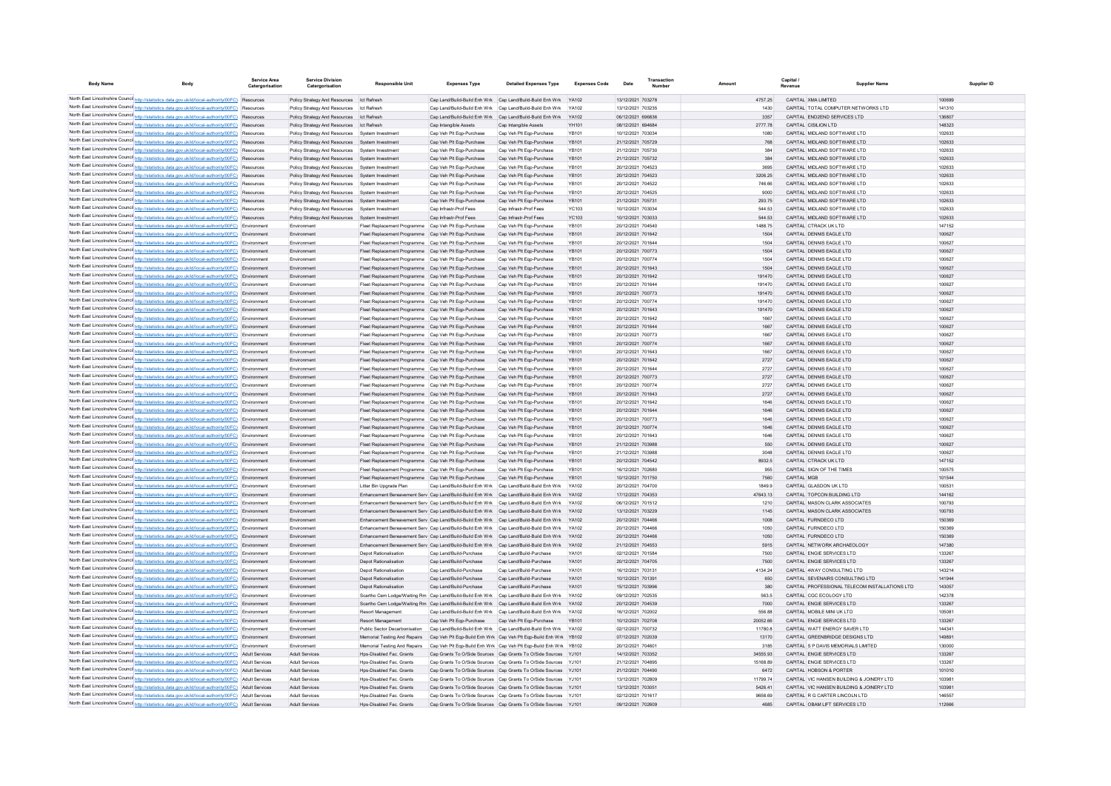| North East Lincolnshire Counci http://statistics.data.gov.uk/id/local-authority/00FC) Resources<br>Policy Strategy And Resources Ict Refresh<br>Cap Land/Build-Build Enh Wrk Cap Land/Build-Build Enh Wrk YA102<br>13/12/2021 703278<br>4757.25<br>CAPITAL XMA LIMITED<br>North East Lincolnshire Counci http://statistics.data.gov.uk/id/local-authority/00FC) Resources<br>Policy Strategy And Resources<br>Cap Land/Build-Build Enh Wrk Cap Land/Build-Build Enh Wrk<br>13/12/2021 703235<br>CAPITAL TOTAL COMPUTER NETWORKS LTD<br>Ict Refresh<br>YA102<br>1430<br>North East Lincolnshire Counci http://statistics.data.gov.uk/id/local-authority/00FC) Resources<br>Cap Land/Build-Build Enh Wrk Cap Land/Build-Build Enh Wrk<br>06/12/2021 696836<br>3357<br>CAPITAL END2END SERVICES LTD<br>Policy Strategy And Resources<br>Ict Refresh<br><b>YA102</b> | 100699           |
|------------------------------------------------------------------------------------------------------------------------------------------------------------------------------------------------------------------------------------------------------------------------------------------------------------------------------------------------------------------------------------------------------------------------------------------------------------------------------------------------------------------------------------------------------------------------------------------------------------------------------------------------------------------------------------------------------------------------------------------------------------------------------------------------------------------------------------------------------------------|------------------|
|                                                                                                                                                                                                                                                                                                                                                                                                                                                                                                                                                                                                                                                                                                                                                                                                                                                                  |                  |
|                                                                                                                                                                                                                                                                                                                                                                                                                                                                                                                                                                                                                                                                                                                                                                                                                                                                  | 141310           |
|                                                                                                                                                                                                                                                                                                                                                                                                                                                                                                                                                                                                                                                                                                                                                                                                                                                                  | 136807           |
| North East Lincolnshire Counci http://statistics.data.gov.uk/id/local-authority/00FC) Resources<br>08/12/2021 694684<br>Policy Strategy And Resources<br>Ict Refresh<br>Cap Intangible Assets<br>Cap Intangible Assets<br>YH101<br>2777.78<br>CAPITAL CISILION LTD                                                                                                                                                                                                                                                                                                                                                                                                                                                                                                                                                                                               | 148323           |
| North East Lincolnshire Counci http://statistics.data.gov.uk/id/local-authority/00FC) Resources<br>Cap Veh Plt Eqp-Purchase<br>YB101<br>10/12/2021 703034<br>CAPITAL MIDLAND SOFTWARE LTD<br>Policy Strategy And Resources<br>System Investmen<br>Cap Veh Plt Eqp-Purchase<br>1080                                                                                                                                                                                                                                                                                                                                                                                                                                                                                                                                                                               | 102633           |
| North East Lincolnshire Counci http://statistics.data.gov.uk/id/local-authority/00FC) Resources<br>Cap Veh Plt Eqp-Purchase<br>YB101<br>21/12/2021 705729<br>CAPITAL MIDLAND SOFTWARE LTD<br>Policy Strategy And Resources<br>System Investmen<br>Cap Veh Plt Eqp-Purchase<br>768                                                                                                                                                                                                                                                                                                                                                                                                                                                                                                                                                                                | 102633           |
| North East Lincolnshire Counci http://statistics.data.gov.uk/id/local-authority/00FC) Resources<br>Cap Veh Plt Eqp-Purchase<br>Cap Veh Plt Eqp-Purchase<br>YB101<br>21/12/2021 705730<br>CAPITAL MIDLAND SOFTWARE LTD<br>Policy Strategy And Resources<br>System Investmen<br>384                                                                                                                                                                                                                                                                                                                                                                                                                                                                                                                                                                                | 102633           |
| North East Lincolnshire Counci http://statistics.data.gov.uk/id/local-authority/00FC) Resources<br>Cap Veh Plt Eqp-Purchase<br>CAPITAL MIDLAND SOFTWARE LTD<br>Policy Strategy And Resources<br>System Investmen<br>Cap Veh Plt Eqp-Purchase<br>YB101<br>21/12/2021 705732<br>384                                                                                                                                                                                                                                                                                                                                                                                                                                                                                                                                                                                | 102633           |
| North East Lincolnshire Counci http://statistics.data.gov.uk/id/local-authority/00FC) Resources<br>Cap Veh Plt Eqp-Purchase<br>Cap Veh Plt Eqp-Purchase<br>YB101<br>20/12/2021 704523<br>3695<br>CAPITAL MIDLAND SOFTWARE LTD<br>Policy Strategy And Resources<br>System Investmen                                                                                                                                                                                                                                                                                                                                                                                                                                                                                                                                                                               | 102633           |
| North East Lincolnshire Counci http://statistics.data.gov.uk/id/local-authority/00FC) Resources<br>Cap Veh Plt Eqp-Purchase<br>Cap Veh Plt Eqp-Purchase<br>20/12/2021 704523<br>CAPITAL MIDLAND SOFTWARE LTD<br>Policy Strategy And Resources<br>System Investmen<br>YB101<br>3206.25                                                                                                                                                                                                                                                                                                                                                                                                                                                                                                                                                                            | 102633           |
| North East Lincolnshire Council http://statistics.data.gov.uk/id/local-authority/00FC) Resources<br>Policy Strategy And Resources<br>Cap Veh Plt Eqp-Purchase<br>Cap Veh Plt Eqp-Purchase<br><b>YR101</b><br>20/12/2021 704522<br>746.66<br>CAPITAL MIDLAND SOFTWARE LTD<br>System Investment                                                                                                                                                                                                                                                                                                                                                                                                                                                                                                                                                                    | 102633<br>102633 |
| North East Lincolnshire Counci http://statistics.data.gov.uk/id/local-authority/00FC) Resources<br>Policy Strategy And Resources<br>Cap Veh Plt Eqp-Purchase<br>Cap Veh Plt Egp-Purchase<br>YR101<br>20/12/2021 704525<br>9000<br>CAPITAL MIDLAND SOFTWARE LTD<br>System Investmen<br>North East Lincolnshire Counci http://statistics.data.gov.uk/id/local-authority/00FC) Resources<br>YB101<br>21/12/2021 705731<br>293 75<br>CAPITAL MIDLAND SOFTWARE LTD                                                                                                                                                                                                                                                                                                                                                                                                    | 102633           |
| Policy Strategy And Resources<br>Cap Veh Plt Eqp-Purchase<br>Cap Veh Plt Eqp-Purchase<br>System Investmen<br>North East Lincolnshire Counci http://statistics.data.gov.uk/id/local-authority/00FC) Resources<br>Cap Infrastr-Prof Fees<br>Can Infrastr-Prof Fees<br>YC103<br>10/12/2021 703034<br>544 53<br>CAPITAL MIDLAND SOFTWARE LTD<br>System Investmen                                                                                                                                                                                                                                                                                                                                                                                                                                                                                                     | 102633           |
| Policy Strategy And Resources<br>North East Lincolnshire Counci http://statistics.data.gov.uk/id/local-authority/00FC) Resources<br>Policy Strategy And Resources<br>Cap Infrastr-Prof Fees<br>Cap Infrastr-Prof Fees<br>YC103<br>10/12/2021 703033<br>544 53<br>CAPITAL MIDLAND SOFTWARE LTD<br>System Investment                                                                                                                                                                                                                                                                                                                                                                                                                                                                                                                                               | 102633           |
| North East Lincolnshire Councint http://statistics.data.gov.uk/id/local-authority/00FC) Environment<br>Environment<br>Fleet Replacement Programme Cap Veh Plt Eqp-Purchase<br>Cap Veh Plt Eqp-Purchase<br><b>YR101</b><br>20/12/2021 704540<br>1488 75<br>CAPITAL CTRACK UK LTD                                                                                                                                                                                                                                                                                                                                                                                                                                                                                                                                                                                  | 147152           |
| North East Lincolnshire Counci http://statistics.data.gov.uk/id/local-authority/00FC) Environment<br>Environmen<br>Fleet Replacement Programme Cap Veh Plt Eqp-Purchase<br>Cap Veh Plt Eqp-Purchase<br><b>YR101</b><br>20/12/2021 701642<br>1504<br>CAPITAL DENNIS FAGLE LTD                                                                                                                                                                                                                                                                                                                                                                                                                                                                                                                                                                                     | 100627           |
| North East Lincolnshire Counci http://statistics.data.gov.uk/id/local-authority/00FC) Environment<br>Environmen<br>Fleet Replacement Programme Cap Veh Plt Eqp-Purchase<br>Cap Veh Plt Eqp-Purchase<br><b>YR101</b><br>20/12/2021 701644<br>1504<br>CAPITAL DENNIS FAGLE LTD                                                                                                                                                                                                                                                                                                                                                                                                                                                                                                                                                                                     | 100627           |
| North East Lincolnshire Counci http://statistics.data.gov.uk/id/local-authority/00FC) Environment<br>Environment<br>Fleet Replacement Programme Cap Veh Plt Eqp-Purchase<br>Cap Veh Plt Eqp-Purchase<br>YR101<br>20/12/2021 700773<br>1504<br>CAPITAL DENNIS FAGLE LTD                                                                                                                                                                                                                                                                                                                                                                                                                                                                                                                                                                                           | 100627           |
| North East Lincolnshire Counci http://statistics.data.gov.uk/id/local-authority/00FC) Environment<br>Environmen<br>Fleet Replacement Programme Cap Veh Plt Eqp-Purchase<br>Cap Veh Plt Eqp-Purchase<br><b>YR101</b><br>20/12/2021 700774<br>1504<br>CAPITAL DENNIS FAGLE LTD                                                                                                                                                                                                                                                                                                                                                                                                                                                                                                                                                                                     | 100627           |
| North East Lincolnshire Counci http://statistics.data.gov.uk/id/local-authority/00FC) Environment<br>1504<br>Environment<br>Fleet Replacement Programme Cap Veh Plt Eqp-Purchase<br>Cap Veh Plt Eqp-Purchase<br>YR101<br>20/12/2021 701643<br>CAPITAL DENNIS FAGLE LTD                                                                                                                                                                                                                                                                                                                                                                                                                                                                                                                                                                                           | 100627           |
| North East Lincolnshire Counci http://statistics.data.gov.uk/id/local-authority/00FC) Environment<br>Environmen<br>Fleet Replacement Programme Cap Veh Plt Eqp-Purchase<br>Cap Veh Plt Eqp-Purchase<br>YR101<br>20/12/2021 701642<br>191470<br>CAPITAL DENNIS EAGLE LTD                                                                                                                                                                                                                                                                                                                                                                                                                                                                                                                                                                                          | 100627           |
| North East Lincolnshire Counci http://statistics.data.gov.uk/id/local-authority/00FC) Environment<br>Environmen<br>Fleet Replacement Programme Cap Veh Plt Eqp-Purchase<br>Cap Veh Plt Egp-Purchase<br><b>YR101</b><br>20/12/2021 701644<br>191470<br>CAPITAL DENNIS FAGLE LTD                                                                                                                                                                                                                                                                                                                                                                                                                                                                                                                                                                                   | 100627           |
| North East Lincolnshire Counci http://statistics.data.gov.uk/id/local-authority/00FC) Environment<br>Environment<br>Fleet Replacement Programme Cap Veh Plt Eqp-Purchase<br>Cap Veh Plt Eqp-Purchase<br>YR101<br>20/12/2021 700773<br>191470<br>CAPITAL DENNIS EAGLE LTD                                                                                                                                                                                                                                                                                                                                                                                                                                                                                                                                                                                         | 100627           |
| North East Lincolnshire Counci http://statistics.data.gov.uk/id/local-authority/00FC) Environment<br>Environmen<br>Fleet Replacement Programme Cap Veh Plt Eqp-Purchase<br>Cap Veh Plt Egp-Purchase<br><b>YR101</b><br>20/12/2021 700774<br>191470<br>CAPITAL DENNIS FAGLE LTD                                                                                                                                                                                                                                                                                                                                                                                                                                                                                                                                                                                   | 100627           |
| North East Lincolnshire Counci http://statistics.data.gov.uk/id/local-authority/00FC) Environment<br>Environment<br>Fleet Replacement Programme Cap Veh Plt Eqp-Purchase<br>Cap Veh Plt Eqp-Purchase<br>YR101<br>20/12/2021 701643<br>191470<br>CAPITAL DENNIS EAGLE LTD                                                                                                                                                                                                                                                                                                                                                                                                                                                                                                                                                                                         | 100627           |
| North East Lincolnshire Counci http://statistics.data.gov.uk/id/local-authority/00FC) Environment<br>Environmen<br>Fleet Replacement Programme Cap Veh Plt Eqp-Purchase<br>Cap Veh Plt Eqp-Purchase<br><b>YR101</b><br>20/12/2021 701642<br>1667<br>CAPITAL DENNIS EAGLE LTD                                                                                                                                                                                                                                                                                                                                                                                                                                                                                                                                                                                     | 100627           |
| North East Lincolnshire Counci http://statistics.data.gov.uk/id/local-authority/00FC) Environment<br>Environment<br>Fleet Replacement Programme Cap Veh Plt Eqp-Purchase<br>Cap Veh Plt Eqp-Purchase<br>YR101<br>20/12/2021 701644<br>1667<br>CAPITAL DENNIS EAGLE LTD<br>North East Lincolnshire Counci http://statistics.data.gov.uk/id/local-authority/00FC) Environment<br>Environmen<br>Cap Veh Plt Egp-Purchase<br><b>YR101</b><br>20/12/2021 700773<br>1667<br>CAPITAL DENNIS EAGLE LTD                                                                                                                                                                                                                                                                                                                                                                   | 100627<br>100627 |
| Fleet Replacement Programme Cap Veh Plt Eqp-Purchase<br>North East Lincolnshire Counci http://statistics.data.gov.uk/id/local-authority/00FC) Environment<br>Environment<br>Fleet Replacement Programme Cap Veh Plt Eqp-Purchase<br>Cap Veh Plt Eqp-Purchase<br>YB101<br>20/12/2021 700774<br>1667<br>CAPITAL DENNIS EAGLE LTD                                                                                                                                                                                                                                                                                                                                                                                                                                                                                                                                   | 100627           |
| North East Lincolnshire Counci http://statistics.data.gov.uk/id/local-authority/00FC) Environment<br>Environmen<br>Fleet Replacement Programme Cap Veh Plt Eqp-Purchase<br>Cap Veh Plt Egp-Purchase<br><b>YR101</b><br>20/12/2021 701643<br>1667<br>CAPITAL DENNIS EAGLE LTD                                                                                                                                                                                                                                                                                                                                                                                                                                                                                                                                                                                     | 100627           |
| North East Lincolnshire Counci http://statistics.data.gov.uk/id/local-authority/00FC) Environment<br>Environmen<br>Fleet Replacement Programme Cap Veh Plt Eqp-Purchase<br>Cap Veh Plt Egp-Purchase<br>YB101<br>20/12/2021 701642<br>2727<br>CAPITAL DENNIS EAGLE LTD                                                                                                                                                                                                                                                                                                                                                                                                                                                                                                                                                                                            | 100627           |
| North East Lincolnshire Counci http://statistics.data.gov.uk/id/local-authority/00FC) Environment<br>Environmen<br>Fleet Replacement Programme Cap Veh Plt Eqp-Purchase<br>Cap Veh Plt Egp-Purchase<br><b>YR101</b><br>20/12/2021 701644<br>2727<br>CAPITAL DENNIS EAGLE LTD                                                                                                                                                                                                                                                                                                                                                                                                                                                                                                                                                                                     | 100627           |
| North East Lincolnshire Counci http://statistics.data.gov.uk/id/local-authority/00FC) Environment<br>Environmen<br>Fleet Replacement Programme Cap Veh Plt Eqp-Purchase<br>Cap Veh Plt Egp-Purchase<br>YB101<br>20/12/2021 700773<br>2727<br>CAPITAL DENNIS EAGLE LTD                                                                                                                                                                                                                                                                                                                                                                                                                                                                                                                                                                                            | 100627           |
| North East Lincolnshire Counci http://statistics.data.gov.uk/id/local-authority/00FC) Environment<br>Environmen<br>Fleet Replacement Programme Cap Veh Plt Eqp-Purchase<br>Cap Veh Plt Egp-Purchase<br><b>YR101</b><br>20/12/2021 700774<br>2727<br>CAPITAL DENNIS EAGLE LTD                                                                                                                                                                                                                                                                                                                                                                                                                                                                                                                                                                                     | 100627           |
| North East Lincolnshire Counci http://statistics.data.gov.uk/id/local-authority/00FC) Environment<br>Environmen<br>Fleet Replacement Programme Cap Veh Plt Eqp-Purchase<br>Cap Veh Plt Egp-Purchase<br>YB101<br>20/12/2021 701643<br>2727<br>CAPITAL DENNIS EAGLE LTD                                                                                                                                                                                                                                                                                                                                                                                                                                                                                                                                                                                            | 100627           |
| North East Lincolnshire Counci http://statistics.data.gov.uk/id/local-authority/00FC) Environment<br>Environmen<br>Fleet Replacement Programme Cap Veh Plt Eqp-Purchase<br>Cap Veh Plt Egp-Purchase<br><b>YR101</b><br>20/12/2021 701642<br>1646<br>CAPITAL DENNIS FAGLE LTD                                                                                                                                                                                                                                                                                                                                                                                                                                                                                                                                                                                     | 100627           |
| North East Lincolnshire Counci http://statistics.data.gov.uk/id/local-authority/00FC) Environment<br>Environmen<br>Fleet Replacement Programme<br>Cap Veh Plt Eqp-Purchase<br>Cap Veh Plt Egp-Purchase<br><b>YR101</b><br>20/12/2021 701644<br>1646<br>CAPITAL DENNIS EAGLE LTD                                                                                                                                                                                                                                                                                                                                                                                                                                                                                                                                                                                  | 100627           |
| North East Lincolnshire Counci http://statistics.data.gov.uk/id/local-authority/00FC) Environment<br>YB101<br>Cap Veh Plt Egp-Purchase<br>20/12/2021 700773<br>1646<br>CAPITAL DENNIS EAGLE LTD<br>Environmen<br>Fleet Replacement Programme Cap Veh Plt Ego-Purchase                                                                                                                                                                                                                                                                                                                                                                                                                                                                                                                                                                                            | 100627           |
| North East Lincolnshire Council http://statistics.data.gov.uk/id/local-authority/00FC) Environment<br><b>YB101</b><br>1646<br>CAPITAL DENNIS EAGLE LTD<br>Fleet Replacement Programme Cap Veh Plt Egp-Purchase<br>Cap Veh Plt Egp-Purchase<br>20/12/2021 700774<br>Environment                                                                                                                                                                                                                                                                                                                                                                                                                                                                                                                                                                                   | 100627           |
| North East Lincolnshire Counci http://statistics.data.gov.uk/id/local-authority/00FC) Environment<br>YR101<br>20/12/2021 701643<br>CAPITAL DENNIS EAGLE LTD<br>Environmen<br>Fleet Replacement Programme Cap Veh Plt Ego-Purchase<br>Cap Veh Plt Egp-Purchase<br>1646<br>YB101<br>550<br>CAPITAL DENNIS EAGLE LTD                                                                                                                                                                                                                                                                                                                                                                                                                                                                                                                                                | 100627<br>100627 |
| North East Lincolnshire Council http://statistics.data.gov.uk/id/local-authority/00FC) Environment<br>Fleet Replacement Programme Cap Veh Plt Egp-Purchase<br>Cap Veh Plt Egp-Purchase<br>21/12/2021 703988<br>Environment<br>North East Lincolnshire Counci http://statistics.data.gov.uk/id/local-authority/00FC) Environment<br>YR101<br>21/12/2021 703988<br>CAPITAL DENNIS EAGLE LTD<br>Environmen<br>Fleet Replacement Programme Cap Veh Plt Ego-Purchase<br>Cap Veh Plt Egp-Purchase<br>3048                                                                                                                                                                                                                                                                                                                                                              | 100627           |
| North East Lincolnshire Counci http://statistics.data.gov.uk/id/local-authority/00FC) Environment<br>YB101<br>8932.5<br>CAPITAL CTRACK UK LTD<br>Cap Veh Plt Egp-Purchase<br>20/12/2021 704542<br>Environmen<br>Fleet Replacement Programme Cap Veh Plt Ego-Purchase                                                                                                                                                                                                                                                                                                                                                                                                                                                                                                                                                                                             | 147152           |
| North East Lincolnshire Counci http://statistics.data.gov.uk/id/local-authority/00FC) Environment<br>YR101<br>16/12/2021 702680<br>955<br>CAPITAL SIGN OF THE TIMES<br>Environmen<br>Fleet Replacement Programme Cap Veh Plt Ego-Purchase<br>Cap Veh Plt Egp-Purchase                                                                                                                                                                                                                                                                                                                                                                                                                                                                                                                                                                                            | 100575           |
| North East Lincolnshire Counci http://statistics.data.gov.uk/id/local-authority/00FC) Environment<br>Fleet Replacement Programme Cap Veh Plt Egp-Purchase<br>YB101<br>10/12/2021 701750<br>7560<br>CAPITAL MGB<br>Environment<br>Cap Veh Plt Egp-Purchase                                                                                                                                                                                                                                                                                                                                                                                                                                                                                                                                                                                                        | 101544           |
| North East Lincolnshire Counci http://statistics.data.gov.uk/id/local-authority/00FC) Environment<br>20/12/2021 704700<br>Cap Land/Build-Build Enh Wrk Cap Land/Build-Build Enh Wrk<br>YA102<br>1849.9<br>CAPITAL GLASDON UK LTD<br>Environmen<br>Litter Bin Upgrade Plan                                                                                                                                                                                                                                                                                                                                                                                                                                                                                                                                                                                        | 100531           |
| North East Lincolnshire Counci http://statistics.data.gov.uk/id/local-authority/00FC) Environment<br>Enhancement Bereavement Serv Cap Land/Build-Build Enh Wrk Cap Land/Build-Build Enh Wrk<br>YA102<br>17/12/2021 704353<br>47643.13<br>CAPITAL TOPCON BUILDING LTD<br>Environment                                                                                                                                                                                                                                                                                                                                                                                                                                                                                                                                                                              | 144162           |
| North East Lincolnshire Counci http://statistics.data.gov.uk/id/local-authority/00FC) Environment<br>06/12/2021 701512<br>CAPITAL MASON CLARK ASSOCIATES<br>Enhancement Bereavement Serv Cap Land/Build-Build Enh Wrk Cap Land/Build-Build Enh Wrk<br>YA102<br>1210<br>Environmen                                                                                                                                                                                                                                                                                                                                                                                                                                                                                                                                                                                | 100793           |
| North East Lincolnshire Counci http://statistics.data.gov.uk/id/local-authority/00FC) Environment<br>13/12/2021 703229<br>CAPITAL MASON CLARK ASSOCIATES<br>Environment<br>Enhancement Bereavement Serv Cap Land/Build-Build Enh Wrk Cap Land/Build-Build Enh Wrk<br>YA102<br>1145                                                                                                                                                                                                                                                                                                                                                                                                                                                                                                                                                                               | 100793           |
| North East Lincolnshire Counci http://statistics.data.gov.uk/id/local-authority/00FC) Environment<br>Enhancement Bereavement Serv Cap Land/Build-Build Enh Wrk Cap Land/Build-Build Enh Wrk<br>YA102<br>20/12/2021 704466<br>1008<br>CAPITAL FURNDECO LTD<br>Environmen                                                                                                                                                                                                                                                                                                                                                                                                                                                                                                                                                                                          | 150369           |
| North East Lincolnshire Counci http://statistics.data.gov.uk/id/local-authority/00FC) Environment<br>20/12/2021 704466<br>Enhancement Bereavement Serv Cap Land/Build-Build Enh Wrk Cap Land/Build-Build Enh Wrk<br>YA102<br>1050<br>CAPITAL FURNDECO LTD<br>Environmen                                                                                                                                                                                                                                                                                                                                                                                                                                                                                                                                                                                          | 150369           |
| North East Lincolnshire Counci http://statistics.data.gov.uk/id/local-authority/00FC) Environment<br>20/12/2021 704466<br>Enhancement Bereavement Serv Cap Land/Build-Build Enh Wrk Cap Land/Build-Build Enh Wrk<br><b>YA102</b><br>1050<br>CAPITAL FURNDECO LTD<br>Environment                                                                                                                                                                                                                                                                                                                                                                                                                                                                                                                                                                                  | 150369           |
| North East Lincolnshire Counci http://statistics.data.gov.uk/id/local-authority/00FC) Environment<br>Environmen<br>Enhancement Bereavement Serv Cap Land/Build-Build Enh Wrk Cap Land/Build-Build Enh Wrk<br><b>YA102</b><br>21/12/2021 704553<br>5915<br>CAPITAL NETWORK ARCHAEOLOGY<br>Depot Rationalisation<br>Cap Land/Build-Purchase<br>Cap Land/Build-Purchase<br><b>YA101</b><br>02/12/2021 701584<br>7500<br>CAPITAL ENGIE SERVICES LTD                                                                                                                                                                                                                                                                                                                                                                                                                  | 147380<br>133267 |
| North East Lincolnshire Counci http://statistics.data.gov.uk/id/local-authority/00FC) Environment<br>Environmen<br>North East Lincolnshire Counci http://statistics.data.gov.uk/id/local-authority/00FC) Environment<br>YA101<br>Depot Rationalisation<br>Cap Land/Build-Purchase<br>Cap Land/Build-Purchase<br>20/12/2021 704705<br>7500<br>CAPITAL ENGIE SERVICES LTD<br>Environment                                                                                                                                                                                                                                                                                                                                                                                                                                                                           | 133267           |
| North East Lincolnshire Counci http://statistics.data.gov.uk/id/local-authority/00FC) Environment<br>YA101<br>16/12/2021 703131<br>Depot Rationalisation<br>Cap Land/Build-Purchase<br>Cap Land/Build-Purchase<br>4134.24<br>CAPITAL 4WAY CONSULTING LTD<br>Environmen                                                                                                                                                                                                                                                                                                                                                                                                                                                                                                                                                                                           | 143214           |
| North East Lincolnshire Counci http://statistics.data.gov.uk/id/local-authority/00FC) Environment<br>YA101<br>10/12/2021 701391<br>Environment<br>Depot Rationalisation<br>Cap Land/Build-Purchase<br>Cap Land/Build-Purchase<br>650<br>CAPITAL SEVENAIRS CONSULTING LTD                                                                                                                                                                                                                                                                                                                                                                                                                                                                                                                                                                                         | 141944           |
| North East Lincolnshire Counci http://statistics.data.gov.uk/id/local-authority/00FC) Environment<br>CAPITAL PROFESSIONAL TELECOM INSTALLATIONS LTD<br>Environmen<br>Cap Land/Build-Purchase<br>Cap Land/Build-Purchase<br>YA101<br>15/12/2021 703996<br>380<br><b>Depot Rationalisation</b>                                                                                                                                                                                                                                                                                                                                                                                                                                                                                                                                                                     | 143057           |
| North East Lincolnshire Counci http://statistics.data.gov.uk/id/local-authority/00FC) Environment<br>Scartho Cem Lodge/Waiting Rm   Cap Land/Build-Build Enh Wrk   Cap Land/Build-Build Enh Wrk<br><b>YA102</b><br>09/12/2021 702535<br>563.5<br>CAPITAL CGC ECOLOGY LTD<br>Environmen                                                                                                                                                                                                                                                                                                                                                                                                                                                                                                                                                                           | 142378           |
| North East Lincolnshire Counci http://statistics.data.gov.uk/id/local-authority/00FC) Environment<br>Environment<br>Scartho Cem Lodge/Waiting Rm Cap Land/Build-Build Enh Wrk Cap Land/Build-Build Enh Wrk YA102<br>20/12/2021 704539<br>7000<br>CAPITAL ENGIE SERVICES LTD                                                                                                                                                                                                                                                                                                                                                                                                                                                                                                                                                                                      | 133267           |
| North East Lincolnshire Counci http://statistics.data.gov.uk/id/local-authority/00FC) Environment<br>Cap Land/Build-Build Enh Wrk Cap Land/Build-Build Enh Wrk YA102<br>16/12/2021 702002<br>556.88<br>CAPITAL MOBILE MINI UK LTD<br>Environmen<br>Resort Managemen                                                                                                                                                                                                                                                                                                                                                                                                                                                                                                                                                                                              | 10508            |
| North East Lincolnshire Counci http://statistics.data.gov.uk/id/local-authority/00FC) Environment<br>10/12/2021 702708<br>Environment<br>Cap Veh Plt Egp-Purchase<br>20052.66<br>CAPITAL ENGIE SERVICES LTD<br>Resort Management<br>Cap Veh Plt Egp-Purchase<br><b>YB101</b>                                                                                                                                                                                                                                                                                                                                                                                                                                                                                                                                                                                     | 133267           |
| North East Lincolnshire Counci http://statistics.data.gov.uk/id/local-authority/00FC) Environment<br>Environmen<br>Cap Land/Build-Build Enh Wrk Cap Land/Build-Build Enh Wrk YA102<br>02/12/2021 700732<br>11780.8<br>CAPITAL WATT ENERGY SAVER LTD<br>Public Sector Decarbonisation                                                                                                                                                                                                                                                                                                                                                                                                                                                                                                                                                                             | 14434            |
| North East Lincolnshire Counci http://statistics.data.gov.uk/id/local-authority/00FC) Environment<br>Environment<br>Cap Veh Plt Egp-Build Enh Wrk Cap Veh Plt Egp-Build Enh Wrk YB102<br>07/12/2021 702039<br>13170<br>CAPITAL GREENBRIDGE DESIGNS LTD<br>Memorial Testing And Repairs                                                                                                                                                                                                                                                                                                                                                                                                                                                                                                                                                                           | 14989            |
| North East Lincolnshire Counci http://statistics.data.gov.uk/id/local-authority/00FC) Environment<br>Cap Veh Plt Egp-Build Enh Wrk Cap Veh Plt Egp-Build Enh Wrk YB102<br>20/12/2021 70460<br>3185<br>CAPITAL S P DAVIS MEMORIALS LIMITED<br>Environmen<br>Memorial Testing And Repairs                                                                                                                                                                                                                                                                                                                                                                                                                                                                                                                                                                          | 130000           |
| North East Lincolnshire Counci http://statistics.data.gov.uk/id/local-authority/00FC) Adult Services<br><b>Adult Services</b><br>Cap Grants To O/Side Sources Cap Grants To O/Side Sources YJ101<br>14/12/2021 703352<br>34555.93<br>CAPITAL ENGIE SERVICES LTD<br>Hps-Disabled Fac. Grants                                                                                                                                                                                                                                                                                                                                                                                                                                                                                                                                                                      | 133267           |
| North East Lincolnshire Counci http://statistics.data.gov.uk/id/local-authority/00FC) Adult Services<br>Adult Services<br>21/12/2021 704895<br>15168.89<br>CAPITAL ENGIE SERVICES LTD<br>Hps-Disabled Fac. Grants<br>Cap Grants To O/Side Sources Cap Grants To O/Side Sources YJ101<br>Adult Services<br>21/12/2021 704490<br>6472                                                                                                                                                                                                                                                                                                                                                                                                                                                                                                                              | 133267<br>101010 |
| North East Lincolnshire Counci http://statistics.data.gov.uk/id/local-authority/00FC) Adult Services<br>Hps-Disabled Fac. Grants<br>Cap Grants To O/Side Sources Cap Grants To O/Side Sources YJ101<br>CAPITAL HOBSON & PORTER<br>North East Lincolnshire Counci http://statistics.data.gov.uk/id/local-authority/00FC) Adult Services<br><b>Adult Services</b><br>Cap Grants To O/Side Sources Cap Grants To O/Side Sources YJ101<br>13/12/2021 70280<br>11799.74<br>CAPITAL VIC HANSEN BUILDING & JOINERY LTD<br>Hos-Disabled Fac. Grants                                                                                                                                                                                                                                                                                                                      | 10398            |
| North East Lincolnshire Counci http://statistics.data.gov.uk/id/local-authority/00FC) Adult Services<br><b>Adult Services</b><br>Cap Grants To O/Side Sources Cap Grants To O/Side Sources YJ101<br>13/12/2021 70305<br>5426.41<br>CAPITAL VIC HANSEN BUILDING & JOINERY LTD<br>Hps-Disabled Fac. Grants                                                                                                                                                                                                                                                                                                                                                                                                                                                                                                                                                         | 10398            |
|                                                                                                                                                                                                                                                                                                                                                                                                                                                                                                                                                                                                                                                                                                                                                                                                                                                                  | 146557           |
| North East Lincolnshire Counci http://statistics.data.gov.uk/id/local-authority/00FC) Adult Services<br><b>Adult Services</b><br>Hos-Disabled Fac. Grants<br>Cap Grants To O/Side Sources Cap Grants To O/Side Sources YJ101<br>02/12/2021 701617<br>9658.69<br>CAPITAL R G CARTER LINCOLN LTD                                                                                                                                                                                                                                                                                                                                                                                                                                                                                                                                                                   |                  |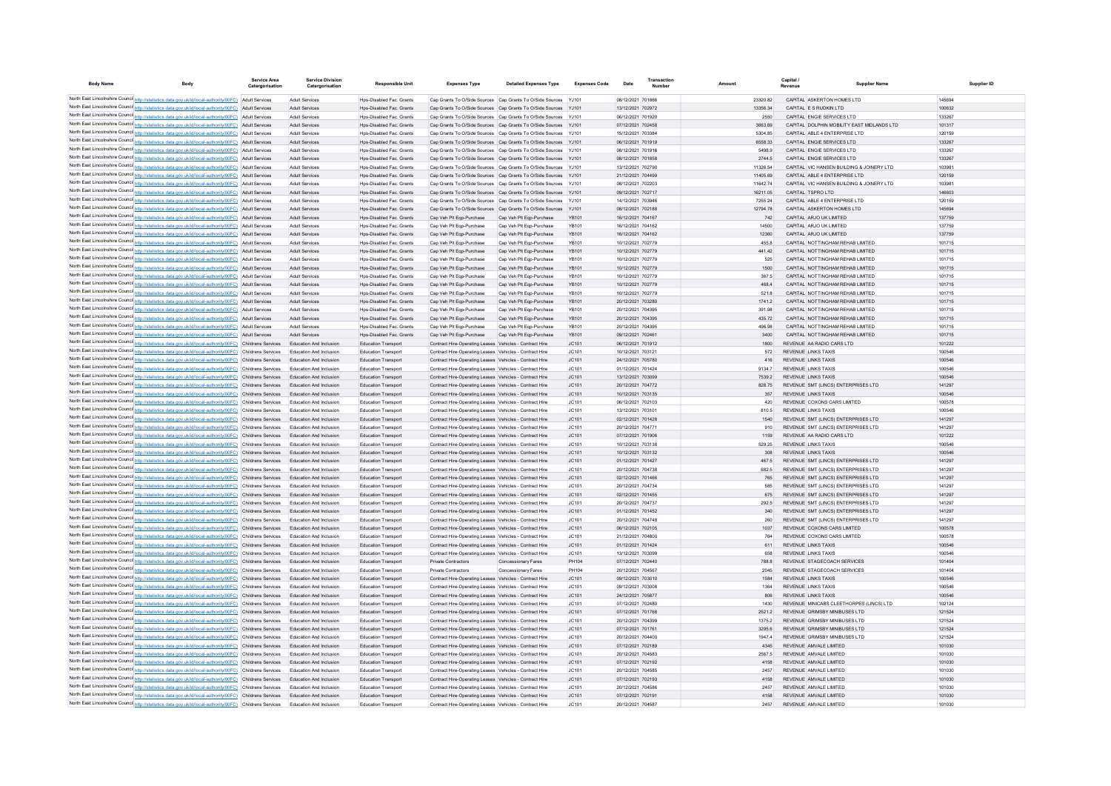| <b>Body Name</b> |                                                                                                                                                                                                                      | <b>Service Area</b><br>Catergorisation | <b>Service Division</b><br>Catergorisation         | <b>Responsible Unit</b>                                     | <b>Expenses Type</b>                                                                                               | <b>Detailed Expenses Type</b>                                                                                                      | <b>Expenses Code</b> | Date                                   | Transaction |                      | Capital | <b>Supplier Name</b>                                                       |                  | Supplier ID |
|------------------|----------------------------------------------------------------------------------------------------------------------------------------------------------------------------------------------------------------------|----------------------------------------|----------------------------------------------------|-------------------------------------------------------------|--------------------------------------------------------------------------------------------------------------------|------------------------------------------------------------------------------------------------------------------------------------|----------------------|----------------------------------------|-------------|----------------------|---------|----------------------------------------------------------------------------|------------------|-------------|
|                  | North East Lincolnshire Counci http://statistics.data.gov.uk/id/local-authority/00FC) Adult Services                                                                                                                 |                                        | Adult Services                                     | Hps-Disabled Fac. Grants                                    |                                                                                                                    | Cap Grants To O/Side Sources Cap Grants To O/Side Sources YJ101                                                                    |                      | 08/12/2021 701866                      |             | 23320.82             |         | CAPITAL ASKERTON HOMES LTD.                                                | 145694           |             |
|                  | North East Lincolnshire Counci http://statistics.data.gov.uk/id/local-authority/00FC) Adult Services                                                                                                                 |                                        | Adult Services                                     | Hps-Disabled Fac. Grants                                    |                                                                                                                    | Cap Grants To O/Side Sources Cap Grants To O/Side Sources YJ101                                                                    |                      | 13/12/2021 702972                      |             | 13356.34             |         | CAPITAL ES RUDKIN LTD.                                                     | 100632           |             |
|                  | North East Lincolnshire Counci <sup>1</sup> http://statistics.data.gov.uk/id/local-authority/00FC) Adult Services                                                                                                    |                                        | Adult Services                                     | <b>Hps-Disabled Fac. Grants</b>                             |                                                                                                                    | Cap Grants To O/Side Sources Cap Grants To O/Side Sources YJ101                                                                    |                      | 06/12/2021 701920                      |             | 2550                 |         | CAPITAL ENGIE SERVICES LTD                                                 | 133267           |             |
|                  | North East Lincolnshire Counci <sup>1</sup> http://statistics.data.gov.uk/id/local-authority/00FC) Adult Services                                                                                                    |                                        | Adult Services                                     | Hps-Disabled Fac. Grants                                    |                                                                                                                    | Cap Grants To O/Side Sources Cap Grants To O/Side Sources YJ101                                                                    |                      | 07/12/2021 702458                      |             | 3663.69              |         | CAPITAL DOLPHIN MOBILITY EAST MIDLANDS LTD                                 | 101317           |             |
|                  | North East Lincolnshire Counci http://statistics.data.gov.uk/id/local-authority/00FC) Adult Services                                                                                                                 |                                        | Adult Services                                     | <b>Hps-Disabled Fac. Grants</b>                             |                                                                                                                    | Cap Grants To O/Side Sources Cap Grants To O/Side Sources YJ101                                                                    |                      | 15/12/2021 703384                      |             | 5304.85              |         | CAPITAL ABLE 4 ENTERPRISE LTD                                              | 120159           |             |
|                  | North East Lincolnshire Counci http://statistics.data.gov.uk/id/local-authority/00FC) Adult Services                                                                                                                 |                                        | Adult Services                                     | Hps-Disabled Fac. Grants                                    |                                                                                                                    | Cap Grants To O/Side Sources Cap Grants To O/Side Sources YJ101                                                                    |                      | 06/12/2021 701919                      |             | 6558.33              |         | CAPITAL ENGIE SERVICES LTD                                                 | 133267           |             |
|                  | North East Lincolnshire Counci http://statistics.data.gov.uk/id/local-authority/00FC) Adult Services                                                                                                                 |                                        | Adult Services                                     | <b>Hps-Disabled Fac. Grants</b>                             |                                                                                                                    | Cap Grants To O/Side Sources Cap Grants To O/Side Sources YJ101                                                                    |                      | 08/12/2021 701916                      |             | 5498.9               |         | CAPITAL ENGIE SERVICES LTD                                                 | 133267           |             |
|                  | North East Lincolnshire Counci http://statistics.data.gov.uk/id/local-authority/00FC) Adult Services<br>North East Lincolnshire Counci http://statistics.data.gov.uk/id/local-authority/00FC) Adult Services         |                                        | Adult Services<br>Adult Services                   | Hps-Disabled Fac. Grants<br><b>Hps-Disabled Fac. Grants</b> |                                                                                                                    | Cap Grants To O/Side Sources Cap Grants To O/Side Sources YJ101<br>Cap Grants To O/Side Sources Cap Grants To O/Side Sources YJ101 |                      | 08/12/2021 701858<br>13/12/2021 702790 |             | 2744.5               |         | CAPITAL ENGIE SERVICES LTD<br>CAPITAL VIC HANSEN BUILDING & JOINERY LTD    | 133267<br>103981 |             |
|                  | North East Lincolnshire Counci http://statistics.data.gov.uk/id/local-authority/00FC) Adult Services                                                                                                                 |                                        | Adult Services                                     | Hps-Disabled Fac. Grants                                    |                                                                                                                    | Cap Grants To O/Side Sources Cap Grants To O/Side Sources YJ101                                                                    |                      | 21/12/2021 704499                      |             | 11326.54<br>11405.69 |         | CAPITAL ABLE 4 ENTERPRISE LTD                                              | 120159           |             |
|                  | North East Lincolnshire Counci http://statistics.data.gov.uk/id/local-authority/00FC) Adult Services                                                                                                                 |                                        | <b>Adult Services</b>                              | Hns-Disabled Fac Grants                                     |                                                                                                                    | Can Grants To O/Side Sources Can Grants To O/Side Sources Y-1101                                                                   |                      | 08/12/2021 702203                      |             | 1164274              |         | CAPITAL VIC HANSEN BUILDING & JOINERY LTD                                  | 103981           |             |
|                  | North East Lincolnshire Counci http://statistics.data.gov.uk/id/local-authority/00FC) Adult Services                                                                                                                 |                                        | <b>Adult Services</b>                              | Hns-Disabled Eac, Grants                                    |                                                                                                                    | Can Grants To O/Side Sources Can Grants To O/Side Sources Y.1101                                                                   |                      | 09/12/2021 702717                      |             | 16211 05             |         | CAPITAL TSPRO LTD                                                          | 146603           |             |
|                  | North East Lincolnshire Counci http://statistics.data.gov.uk/id/local-authority/00FC) Adult Services                                                                                                                 |                                        | Adult Services                                     | Hos-Disabled Fac. Grants                                    |                                                                                                                    | Cap Grants To O/Side Sources Cap Grants To O/Side Sources YJ101                                                                    |                      | 14/12/2021 703946                      |             | 7255.24              |         | CAPITAL ABLE 4 ENTERPRISE LTD                                              | 120159           |             |
|                  | North East Lincolnshire Counci http://statistics.data.gov.uk/id/local-authority/00FC) Adult Services                                                                                                                 |                                        | Adult Services                                     | Hps-Disabled Fac. Grants                                    |                                                                                                                    | Cap Grants To O/Side Sources Cap Grants To O/Side Sources YJ101                                                                    |                      | 08/12/2021 702188                      |             | 12794.78             |         | CAPITAL ASKERTON HOMES LTD                                                 | 145694           |             |
|                  | North East Lincolnshire Counci http://statistics.data.gov.uk/id/local-authority/00FC) Adult Services                                                                                                                 |                                        | <b>Adult Services</b>                              | Hps-Disabled Fac. Grants                                    | Cap Veh Plt Egp-Purchase                                                                                           | Cap Veh Plt Egp-Purchase                                                                                                           | YB101                | 16/12/2021 704167                      |             | 742                  |         | CAPITAL ARJO UK LIMITED                                                    | 137759           |             |
|                  | North East Lincolnshire Counci http://statistics.data.gov.uk/id/local-authority/00FC) Adult Services                                                                                                                 |                                        | <b>Adult Services</b>                              | Hos-Disabled Fac. Grants                                    | Cap Veh Plt Egp-Purchase                                                                                           | Cap Veh Plt Egp-Purchase                                                                                                           | YB101                | 16/12/2021 704162                      |             | 14500                |         | CAPITAL ARJO UK LIMITED                                                    | 137759           |             |
|                  | North East Lincolnshire Counci http://statistics.data.gov.uk/id/local-authority/00FC) Adult Services                                                                                                                 |                                        | <b>Adult Services</b>                              | Hps-Disabled Fac. Grants                                    | Cap Veh Plt Eqp-Purchase                                                                                           | Cap Veh Plt Egp-Purchase                                                                                                           | YB101                | 16/12/2021 704162                      |             | 12360                |         | CAPITAL ARJO UK LIMITED                                                    | 137759<br>101715 |             |
|                  | North East Lincolnshire Counci http://statistics.data.gov.uk/id/local-authority/00FC) Adult Services<br>North East Lincolnshire Counci http://statistics.data.gov.uk/id/local-authority/00FC) Adult Services         |                                        | <b>Adult Services</b><br><b>Adult Services</b>     | Hos-Disabled Fac. Grants<br>Hps-Disabled Fac. Grants        | Cap Veh Plt Egp-Purchase<br>Cap Veh Plt Eqp-Purchase                                                               | Cap Veh Plt Egp-Purchase<br>Cap Veh Plt Egp-Purchase                                                                               | YB101<br>YB101       | 10/12/2021 702779<br>10/12/2021 702779 |             | 455.8<br>441.42      |         | CAPITAL NOTTINGHAM REHAB LIMITED<br>CAPITAL NOTTINGHAM REHAB LIMITED       | 101715           |             |
|                  | North East Lincolnshire Counci http://statistics.data.gov.uk/id/local-authority/00FC) Adult Services                                                                                                                 |                                        | Adult Services                                     | Hos-Disabled Fac. Grants                                    | Cap Veh Plt Egp-Purchase                                                                                           | Cap Veh Plt Egp-Purchase                                                                                                           | YB101                | 10/12/2021 702779                      |             | 525                  |         | CAPITAL NOTTINGHAM REHAB LIMITED                                           | 101715           |             |
|                  | North East Lincolnshire Counci http://statistics.data.gov.uk/id/local-authority/00FC) Adult Services                                                                                                                 |                                        | <b>Adult Services</b>                              | Hps-Disabled Fac. Grants                                    | Cap Veh Plt Eqp-Purchase                                                                                           | Cap Veh Plt Egp-Purchase                                                                                                           | YB101                | 10/12/2021 702779                      |             | 1500                 |         | CAPITAL NOTTINGHAM REHAB LIMITED                                           | 101715           |             |
|                  | North East Lincolnshire Counci http://statistics.data.gov.uk/id/local-authority/00FC) Adult Services                                                                                                                 |                                        | Adult Services                                     | Hos-Disabled Fac. Grants                                    | Cap Veh Plt Egp-Purchase                                                                                           | Cap Veh Plt Egp-Purchase                                                                                                           | YB101                | 10/12/2021 702779                      |             | 367.5                |         | CAPITAL NOTTINGHAM REHAB LIMITED                                           | 101715           |             |
|                  | North East Lincolnshire Counci http://statistics.data.gov.uk/id/local-authority/00FC) Adult Services                                                                                                                 |                                        | <b>Adult Services</b>                              | Hps-Disabled Fac. Grants                                    | Cap Veh Plt Eqp-Purchase                                                                                           | Cap Veh Plt Egp-Purchase                                                                                                           | YB101                | 10/12/2021 702779                      |             | 468.4                |         | CAPITAL NOTTINGHAM REHAB LIMITED                                           | 101715           |             |
|                  | North East Lincolnshire Counci http://statistics.data.gov.uk/id/local-authority/00FC) Adult Services                                                                                                                 |                                        | Adult Services                                     | Hos-Disabled Fac. Grants                                    | Cap Veh Plt Egp-Purchase                                                                                           | Cap Veh Plt Egp-Purchase                                                                                                           | YB101                | 10/12/2021 702779                      |             | 521.8                |         | CAPITAL NOTTINGHAM REHAB LIMITED                                           | 101715           |             |
|                  | North East Lincolnshire Counci http://statistics.data.gov.uk/id/local-authority/00FC) Adult Services                                                                                                                 |                                        | <b>Adult Services</b>                              | Hps-Disabled Fac. Grants                                    | Cap Veh Plt Eqp-Purchase                                                                                           | Cap Veh Plt Egp-Purchase                                                                                                           | YB101                | 20/12/2021 703280                      |             | 1741.2               |         | CAPITAL NOTTINGHAM REHAB LIMITED                                           | 101715           |             |
|                  | North East Lincolnshire Counci http://statistics.data.gov.uk/id/local-authority/00FC) Adult Services                                                                                                                 |                                        | Adult Services                                     | Hos-Disabled Fac. Grants                                    | Cap Veh Plt Egp-Purchase                                                                                           | Cap Veh Plt Egp-Purchase                                                                                                           | YB101                | 20/12/2021 704395                      |             | 391.98               |         | CAPITAL NOTTINGHAM REHAB LIMITED                                           | 101715           |             |
|                  | North East Lincolnshire Counci http://statistics.data.gov.uk/id/local-authority/00FC) Adult Services                                                                                                                 |                                        | Adult Services                                     | Hps-Disabled Fac. Grants                                    | Cap Veh Plt Egp-Purchase                                                                                           | Cap Veh Plt Egp-Purchase                                                                                                           | YB101                | 20/12/2021 704395                      |             | 435.72               |         | CAPITAL NOTTINGHAM REHAB LIMITED                                           | 101715           |             |
|                  | North East Lincolnshire Counci http://statistics.data.gov.uk/id/local-authority/00FC) Adult Services                                                                                                                 |                                        | Adult Services                                     | Hos-Disabled Fac. Grants                                    | Cap Veh Plt Egp-Purchase                                                                                           | Cap Veh Plt Egp-Purchase                                                                                                           | YB101                | 20/12/2021 704395                      |             | 496.98               |         | CAPITAL NOTTINGHAM REHAB LIMITED                                           | 101715           |             |
|                  | North East Lincolnshire Counci http://statistics.data.gov.uk/id/local-authority/00FC) Adult Services<br>North East Lincolnshire Counci http://statistics.data.gov.uk/id/local-authority/00FC) Childrens Services     |                                        | Adult Services<br>Education And Inclusion          | Hps-Disabled Fac. Grants<br><b>Education Transport</b>      | Cap Veh Plt Egp-Purchase<br>Contract Hire-Operating Leases Vehicles - Contract Hire                                | Cap Veh Plt Egp-Purchase                                                                                                           | YB101<br>JC101       | 09/12/2021 702461<br>06/12/2021 701912 |             | 3400<br>1800         |         | CAPITAL NOTTINGHAM REHAB LIMITED<br>REVENUE AA RADIO CARS LTD              | 101715<br>101222 |             |
|                  | North East Lincolnshire Counci http://statistics.data.gov.uk/id/local-authority/00FC) Childrens Services                                                                                                             |                                        | Education And Inclusion                            | <b>Education Transport</b>                                  | Contract Hire-Operating Leases Vehicles - Contract Hire                                                            |                                                                                                                                    | JC101                | 10/12/2021 703121                      |             | 572                  |         | <b>REVENUE LINKS TAXIS</b>                                                 | 100546           |             |
|                  | North East Lincolnshire Counci http://statistics.data.gov.uk/id/local-authority/00FC) Childrens Services                                                                                                             |                                        | Education And Inclusion                            | <b>Education Transport</b>                                  | Contract Hire-Operating Leases Vehicles - Contract Hire                                                            |                                                                                                                                    | JC101                | 24/12/2021 705780                      |             | 416                  |         | <b>REVENUE LINKS TAXIS</b>                                                 | 100546           |             |
|                  | North East Lincolnshire Counci http://statistics.data.gov.uk/id/local-authority/00FC) Childrens Services                                                                                                             |                                        | Education And Inclusion                            | <b>Education Transport</b>                                  | Contract Hire-Operating Leases Vehicles - Contract Hire                                                            |                                                                                                                                    | JC101                | 01/12/2021 701424                      |             | 9134.7               |         | <b>REVENUE LINKS TAXIS</b>                                                 | 100546           |             |
|                  | North East Lincolnshire Counci http://statistics.data.gov.uk/id/local-authority/00FC) Childrens Services                                                                                                             |                                        | Education And Inclusion                            | <b>Education Transport</b>                                  | Contract Hire-Operating Leases Vehicles - Contract Hire                                                            |                                                                                                                                    | JC101                | 13/12/2021 703099                      |             | 7539.2               |         | <b>REVENUE LINKS TAXIS</b>                                                 | 100546           |             |
|                  | North East Lincolnshire Counci http://statistics.data.gov.uk/id/local-authority/00FC) Childrens Services                                                                                                             |                                        | Education And Inclusion                            | <b>Education Transport</b>                                  | Contract Hire-Operating Leases Vehicles - Contract Hire                                                            |                                                                                                                                    | JC101                | 20/12/2021 704772                      |             | 828.75               |         | REVENUE SMT (LINCS) ENTERPRISES LTD                                        | 141297           |             |
|                  | North East Lincolnshire Counci http://statistics.data.gov.uk/id/local-authority/00FC) Childrens Services                                                                                                             |                                        | Education And Inclusion                            | <b>Education Transport</b>                                  | Contract Hire-Operating Leases Vehicles - Contract Hire                                                            |                                                                                                                                    | JC101                | 10/12/2021 703135                      |             | 357                  |         | <b>REVENUE LINKS TAXIS</b>                                                 | 100546           |             |
|                  | North East Lincolnshire Counci http://statistics.data.gov.uk/id/local-authority/00FC) Childrens Services                                                                                                             |                                        | Education And Inclusion                            | <b>Education Transport</b>                                  | Contract Hire-Operating Leases Vehicles - Contract Hire                                                            |                                                                                                                                    | JC101                | 06/12/2021 702103                      |             | 420                  |         | REVENUE COXONS CARS LIMITED                                                | 100578           |             |
|                  | North East Lincolnshire Counci http://statistics.data.gov.uk/id/local-authority/00FC) Childrens Services                                                                                                             |                                        | Education And Inclusion                            | Education Transport                                         | Contract Hire-Operating Leases Vehicles - Contract Hire                                                            |                                                                                                                                    | JC101                | 13/12/2021 703101                      |             | 810.5                |         | <b>REVENUE LINKS TAXIS</b>                                                 | 100546           |             |
|                  | North East Lincolnshire Counci http://statistics.data.gov.uk/id/local-authority/00FC) Childrens Services                                                                                                             |                                        | Education And Inclusion<br>Education And Inclusion | Education Transport<br>Education Transport                  | Contract Hire-Operating Leases Vehicles - Contract Hire                                                            |                                                                                                                                    | JC101<br>JC101       | 02/12/2021 701428<br>20/12/2021 70477  |             | 1540<br>910          |         | REVENUE SMT (LINCS) ENTERPRISES LTD<br>REVENUE SMT (LINCS) ENTERPRISES LTD | 141297<br>141297 |             |
|                  | North East Lincolnshire Counci http://statistics.data.gov.uk/id/local-authority/00FC) Childrens Services<br>North East Lincolnshire Counci http://statistics.data.gov.uk/id/local-authority/00FC) Childrens Services |                                        | Education And Inclusion                            | <b>Education Transport</b>                                  | Contract Hire-Operating Leases Vehicles - Contract Hire<br>Contract Hire-Operating Leases Vehicles - Contract Hire |                                                                                                                                    | JC101                | 07/12/2021 701906                      |             | 1159                 |         | REVENUE AA RADIO CARS LTD                                                  | 101222           |             |
|                  | North East Lincolnshire Counci http://statistics.data.gov.uk/id/local-authority/00FC) Childrens Services                                                                                                             |                                        | Education And Inclusion                            | Education Transpor                                          | Contract Hire-Operating Leases Vehicles - Contract Hire                                                            |                                                                                                                                    | JC101                | 10/12/2021 703138                      |             | 529.25               |         | <b>REVENUE LINKS TAXIS</b>                                                 | 100546           |             |
|                  | North East Lincolnshire Counci http://statistics.data.gov.uk/id/local-authority/00FC) Childrens Services                                                                                                             |                                        | Education And Inclusion                            | Education Transport                                         | Contract Hire-Operating Leases Vehicles - Contract Hire                                                            |                                                                                                                                    | JC101                | 10/12/2021 703132                      |             | 308                  |         | <b>REVENUE LINKS TAXIS</b>                                                 | 100546           |             |
|                  | North East Lincolnshire Counci http://statistics.data.gov.uk/id/local-authority/00FC) Childrens Services                                                                                                             |                                        | Education And Inclusion                            | Education Transport                                         | Contract Hire-Operating Leases Vehicles - Contract Hire                                                            |                                                                                                                                    | JC101                | 01/12/2021 701427                      |             | 467.5                |         | REVENUE SMT (LINCS) ENTERPRISES LTD                                        | 141297           |             |
|                  | North East Lincolnshire Counci http://statistics.data.gov.uk/id/local-authority/00FC) Childrens Services                                                                                                             |                                        | Education And Inclusion                            | <b>Education Transport</b>                                  | Contract Hire-Operating Leases Vehicles - Contract Hire                                                            |                                                                                                                                    | JC101                | 20/12/2021 704738                      |             | 682.5                |         | REVENUE SMT (LINCS) ENTERPRISES LTD                                        | 141297           |             |
|                  | North East Lincolnshire Counci http://statistics.data.gov.uk/id/local-authority/00FC) Childrens Services                                                                                                             |                                        | Education And Inclusion                            | Education Transport                                         | Contract Hire-Operating Leases Vehicles - Contract Hire                                                            |                                                                                                                                    | JC101                | 02/12/2021 701466                      |             | 765                  |         | REVENUE SMT (LINCS) ENTERPRISES LTD                                        | 141297           |             |
|                  | North East Lincolnshire Counci http://statistics.data.gov.uk/id/local-authority/00FC) Childrens Services                                                                                                             |                                        | Education And Inclusion                            | <b>Education Transport</b>                                  | Contract Hire-Operating Leases Vehicles - Contract Hire                                                            |                                                                                                                                    | JC101                | 20/12/2021 704734                      |             | 585                  |         | REVENUE SMT (LINCS) ENTERPRISES LTD                                        | 141297           |             |
|                  | North East Lincolnshire Counci http://statistics.data.gov.uk/id/local-authority/00FC) Childrens Services                                                                                                             |                                        | Education And Inclusion                            | Education Transport                                         | Contract Hire-Operating Leases Vehicles - Contract Hire                                                            |                                                                                                                                    | JC101                | 02/12/2021 701455                      |             | 675                  |         | REVENUE SMT (LINCS) ENTERPRISES LTD                                        | 141297           |             |
|                  | North East Lincolnshire Counci http://statistics.data.gov.uk/id/local-authority/00FC) Childrens Services                                                                                                             |                                        | Education And Inclusion                            | <b>Education Transport</b>                                  | Contract Hire-Operating Leases Vehicles - Contract Hire                                                            |                                                                                                                                    | JC101                | 20/12/2021 70473                       |             | 292.5                |         | REVENUE SMT (LINCS) ENTERPRISES LTD                                        | 141297           |             |
|                  | North East Lincolnshire Counci http://statistics.data.gov.uk/id/local-authority/00FC) Childrens Services                                                                                                             |                                        | Education And Inclusion                            | Education Transport<br><b>Education Transport</b>           | Contract Hire-Operating Leases Vehicles - Contract Hire                                                            |                                                                                                                                    | JC101<br>JC101       | 01/12/2021 701452<br>20/12/2021 704748 |             | 340<br>260           |         | REVENUE SMT (LINCS) ENTERPRISES LTD<br>REVENUE SMT (LINCS) ENTERPRISES LTD | 141297<br>141297 |             |
|                  | North East Lincolnshire Counci http://statistics.data.gov.uk/id/local-authority/00FC) Childrens Services<br>North East Lincolnshire Counci http://statistics.data.gov.uk/id/local-authority/00FC) Childrens Services |                                        | Education And Inclusion<br>Education And Inclusion | Education Transport                                         | Contract Hire-Operating Leases Vehicles - Contract Hire<br>Contract Hire-Operating Leases Vehicles - Contract Hire |                                                                                                                                    | JC101                | 06/12/2021 702105                      |             | 1037                 |         | REVENUE COXONS CARS LIMITED                                                | 100578           |             |
|                  | North East Lincolnshire Counci http://statistics.data.gov.uk/id/local-authority/00FC) Childrens Services                                                                                                             |                                        | Education And Inclusion                            | <b>Education Transport</b>                                  | Contract Hire-Operating Leases Vehicles - Contract Hire                                                            |                                                                                                                                    | JC101                | 21/12/2021 704800                      |             | 764                  |         | REVENUE COXONS CARS LIMITED                                                | 100578           |             |
|                  | North East Lincolnshire Counci http://statistics.data.gov.uk/id/local-authority/00FC) Childrens Services                                                                                                             |                                        | Education And Inclusion                            | Education Transport                                         | Contract Hire-Operating Leases Vehicles - Contract Hire                                                            |                                                                                                                                    | JC101                | 01/12/2021 701424                      |             | 611                  |         | <b>REVENUE LINKS TAXIS</b>                                                 | 100546           |             |
|                  | North East Lincolnshire Counci http://statistics.data.gov.uk/id/local-authority/00FC) Childrens Services                                                                                                             |                                        | Education And Inclusion                            | <b>Education Transport</b>                                  | Contract Hire-Operating Leases Vehicles - Contract Hire                                                            |                                                                                                                                    | JC101                | 13/12/2021 703099                      |             | 658                  |         | <b>REVENUE LINKS TAXIS</b>                                                 | 100546           |             |
|                  | North East Lincolnshire Counci http://statistics.data.gov.uk/id/local-authority/00FC) Childrens Services                                                                                                             |                                        | Education And Inclusion                            | Education Transport                                         | <b>Private Contractors</b>                                                                                         | Concessionary Fares                                                                                                                | PH104                | 07/12/2021 702440                      |             | 788.8                |         | REVENUE STAGECOACH SERVICES                                                | 101404           |             |
|                  | North East Lincolnshire Counci http://statistics.data.gov.uk/id/local-authority/00FC) Childrens Services                                                                                                             |                                        | Education And Inclusion                            | <b>Education Transport</b>                                  | Private Contractors                                                                                                | <b>Concessionary Fares</b>                                                                                                         | PH104                | 20/12/2021 704567                      |             | 2045                 |         | REVENUE STAGECOACH SERVICES                                                | 101404           |             |
|                  | North East Lincolnshire Counci http://statistics.data.gov.uk/id/local-authority/00FC) Childrens Services                                                                                                             |                                        | Education And Inclusion                            | Education Transport                                         | Contract Hire-Operating Leases Vehicles - Contract Hire                                                            |                                                                                                                                    | JC101                | 09/12/2021 703010                      |             | 1584                 |         | <b>REVENUE LINKS TAXIS</b>                                                 | 100546           |             |
|                  | North East Lincolnshire Counci http://statistics.data.gov.uk/id/local-authority/00FC) Childrens Services                                                                                                             |                                        | Education And Inclusion                            | <b>Education Transport</b>                                  | Contract Hire-Operating Leases Vehicles - Contract Hire                                                            |                                                                                                                                    | JC101                | 09/12/2021 703008                      |             | 1364                 |         | <b>REVENUE LINKS TAXIS</b>                                                 | 100546           |             |
|                  | North East Lincolnshire Counci http://statistics.data.gov.uk/id/local-authority/00FC) Childrens Services                                                                                                             |                                        | Education And Inclusion                            | <b>Education Transport</b>                                  | Contract Hire-Operating Leases Vehicles - Contract Hire                                                            |                                                                                                                                    | JC101                | 24/12/2021 705877                      |             | 806                  |         | <b>REVENUE LINKS TAXIS</b>                                                 | 100546           |             |
|                  | North East Lincolnshire Counci http://statistics.data.gov.uk/id/local-authority/00FC) Childrens Services                                                                                                             |                                        | Education And Inclusion                            | Education Transpor                                          | Contract Hire-Operating Leases Vehicles - Contract Hire                                                            |                                                                                                                                    | JC101                | 07/12/2021 702480                      |             | 1430                 |         | REVENUE MINICABS CLEETHORPES (LINCS) LTD                                   | 102124           |             |
|                  | North East Lincolnshire Counci http://statistics.data.gov.uk/id/local-authority/00FC) Childrens Services<br>North East Lincolnshire Counci http://statistics.data.gov.uk/id/local-authority/00FC) Childrens Services |                                        | Education And Inclusion<br>Education And Inclusion | <b>Education Transport</b><br>Education Transport           | Contract Hire-Operating Leases Vehicles - Contract Hire<br>Contract Hire-Operating Leases Vehicles - Contract Hire |                                                                                                                                    | JC101<br>JC101       | 07/12/2021 701768<br>20/12/2021 704399 |             | 2521.2<br>1375.2     |         | REVENUE GRIMSBY MINIBUSES LTD<br>REVENUE GRIMSBY MINIBUSES LTD             | 121524<br>121524 |             |
|                  | North East Lincolnshire Counci http://statistics.data.gov.uk/id/local-authority/00FC) Childrens Services                                                                                                             |                                        | Education And Inclusion                            | <b>Education Transport</b>                                  | Contract Hire-Operating Leases Vehicles - Contract Hire                                                            |                                                                                                                                    | JC101                | 07/12/2021 701761                      |             | 3295.6               |         | REVENUE GRIMSBY MINIBUSES LTD                                              | 121524           |             |
|                  | North East Lincolnshire Counci http://statistics.data.gov.uk/id/local-authority/00FC) Childrens Services                                                                                                             |                                        | Education And Inclusion                            | Education Transpor                                          | Contract Hire-Operating Leases Vehicles - Contract Hire                                                            |                                                                                                                                    | JC101                | 20/12/2021 704400                      |             | 1947.4               |         | REVENUE GRIMSBY MINIBUSES LTD                                              | 121524           |             |
|                  | North East Lincolnshire Counci http://statistics.data.gov.uk/id/local-authority/00FC) Childrens Services                                                                                                             |                                        | Education And Inclusion                            | <b>Education Transport</b>                                  | Contract Hire-Operating Leases Vehicles - Contract Hire                                                            |                                                                                                                                    | JC101                | 07/12/2021 702189                      |             | 4345                 |         | REVENUE AMVALE LIMITED                                                     | 101030           |             |
|                  | North East Lincolnshire Counci http://statistics.data.gov.uk/id/local-authority/00FC) Childrens Services                                                                                                             |                                        | Education And Inclusion                            | Education Transport                                         | Contract Hire-Operating Leases Vehicles - Contract Hire                                                            |                                                                                                                                    | JC101                | 20/12/2021 704583                      |             | 2567.5               |         | REVENUE AMVALE LIMITED                                                     | 101030           |             |
|                  | North East Lincolnshire Counci http://statistics.data.gov.uk/id/local-authority/00FC) Childrens Services                                                                                                             |                                        | Education And Inclusion                            | <b>Education Transport</b>                                  | Contract Hire-Operating Leases Vehicles - Contract Hire                                                            |                                                                                                                                    | JC101                | 07/12/2021 702192                      |             | 4158                 |         | REVENUE AMVALE LIMITED                                                     | 101030           |             |
|                  | North East Lincolnshire Counci http://statistics.data.gov.uk/id/local-authority/00FC) Childrens Services                                                                                                             |                                        | Education And Inclusion                            | <b>Education Transpor</b>                                   | Contract Hire-Operating Leases Vehicles - Contract Hire                                                            |                                                                                                                                    | JC101                | 20/12/2021 704585                      |             | 2457                 |         | REVENUE AMVALE LIMITED                                                     | 101030           |             |
|                  | North East Lincolnshire Counci http://statistics.data.gov.uk/id/local-authority/00FC) Childrens Services                                                                                                             |                                        | Education And Inclusion                            | <b>Education Transport</b>                                  | Contract Hire-Operating Leases Vehicles - Contract Hire                                                            |                                                                                                                                    | JC101                | 07/12/2021 702193                      |             | 4158                 |         | REVENUE AMVALE LIMITED                                                     | 101030           |             |
|                  | North East Lincolnshire Counci http://statistics.data.gov.uk/id/local-authority/00FC) Childrens Services                                                                                                             |                                        | Education And Inclusion                            | <b>Education Transpor</b>                                   | Contract Hire-Operating Leases Vehicles - Contract Hire                                                            |                                                                                                                                    | JC101                | 20/12/2021 704586                      |             | 2457                 |         | REVENUE AMVALE LIMITED                                                     | 101030           |             |
|                  | North East Lincolnshire Counci http://statistics.data.gov.uk/id/local-authority/00FC) Childrens Services                                                                                                             |                                        | Education And Inclusion                            | <b>Education Transport</b>                                  | Contract Hire-Operating Leases Vehicles - Contract Hire                                                            |                                                                                                                                    | JC101                | 07/12/2021 702191                      |             | 4158                 |         | REVENUE AMVALE LIMITED                                                     | 101030           |             |
|                  | North East Lincolnshire Counci http://statistics.data.gov.uk/id/local-authority/00FC) Childrens Services                                                                                                             |                                        | <b>Education And Inclusion</b>                     | <b>Education Transport</b>                                  | Contract Hire-Operating Leases Vehicles - Contract Hire                                                            |                                                                                                                                    | JC101                | 20/12/2021 704587                      |             | 2457                 |         | REVENUE AMVALE LIMITED                                                     | 101030           |             |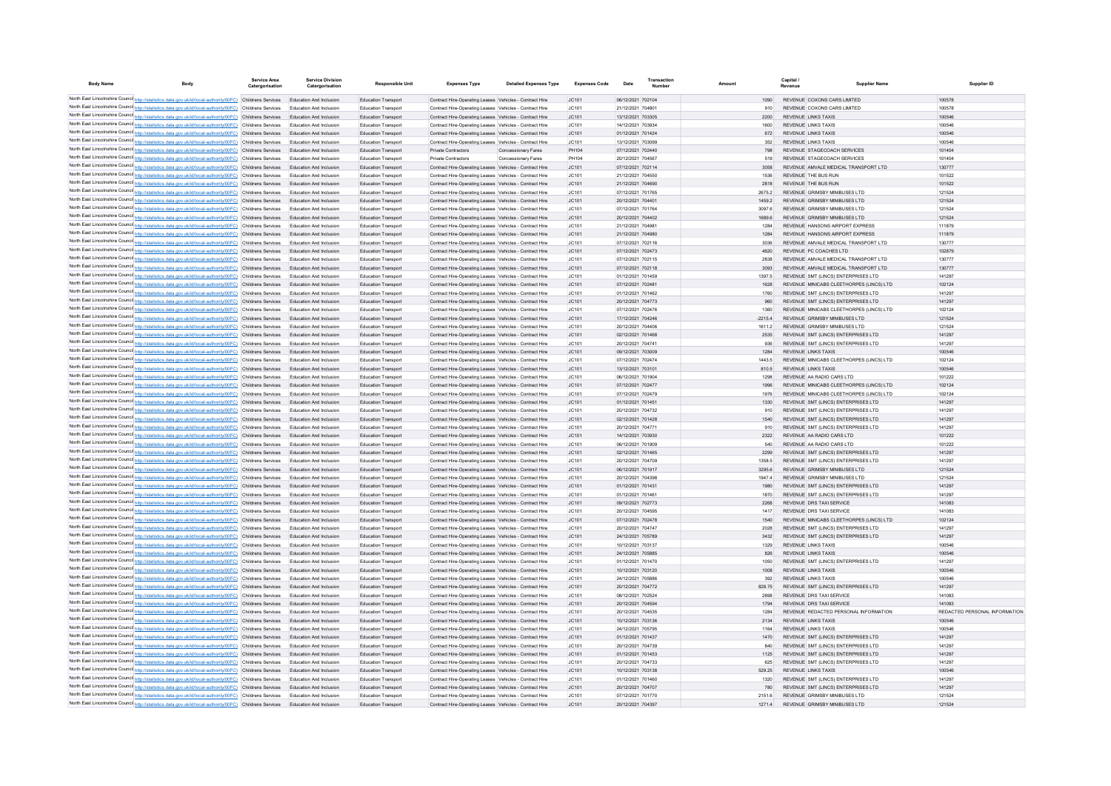| <b>Body Name</b>               | <b>Body</b>                                                                                                                                                                                                          | <b>Service Area</b><br>Catergorisation | <b>Service Division</b><br>Catergorisation                       | <b>Responsible Unit</b>                                  | <b>Expenses Type</b>                                                                                               | <b>Detailed Expenses Type</b> | <b>Expenses Code</b>                   | Date                                   | Transaction |                  | Capital<br>Revenue | <b>Supplier Nam</b>                                              | Supplier ID                   |
|--------------------------------|----------------------------------------------------------------------------------------------------------------------------------------------------------------------------------------------------------------------|----------------------------------------|------------------------------------------------------------------|----------------------------------------------------------|--------------------------------------------------------------------------------------------------------------------|-------------------------------|----------------------------------------|----------------------------------------|-------------|------------------|--------------------|------------------------------------------------------------------|-------------------------------|
|                                |                                                                                                                                                                                                                      |                                        |                                                                  |                                                          |                                                                                                                    |                               |                                        |                                        |             |                  |                    |                                                                  |                               |
|                                | North East Lincolnshire Counci http://statistics.data.gov.uk/id/local-authority/00FC) Childrens Services                                                                                                             |                                        | Education And Inclusion                                          | Education Transport                                      | Contract Hire-Operating Leases Vehicles - Contract Hire                                                            |                               | IC.101                                 | 06/12/2021 702104                      |             | 1090             |                    | REVENUE COXONS CARS LIMITED                                      | 100578                        |
|                                | North East Lincolnshire Counci http://statistics.data.gov.uk/id/local-authority/00FC) Childrens Services<br>North East Lincolnshire Counci http://statistics.data.gov.uk/id/local-authority/00FC) Childrens Services |                                        | <b>Education And Inclusion</b><br><b>Education And Inclusion</b> | <b>Education Transport</b><br>Education Transport        | Contract Hire-Operating Leases Vehicles - Contract Hire                                                            |                               | IC <sub>101</sub><br>JC101             | 21/12/2021 704801<br>13/12/2021 703305 |             | 910<br>2200      |                    | REVENUE COXONS CARS LIMITED<br>REVENUE LINKS TAXIS               | 100578<br>100546              |
|                                | North East Lincolnshire Counci http://statistics.data.gov.uk/id/local-authority/00FC) Childrens Services                                                                                                             |                                        | <b>Education And Inclusion</b>                                   | Education Transpor                                       | Contract Hire-Operating Leases Vehicles - Contract Hire<br>Contract Hire-Operating Leases Vehicles - Contract Hire |                               | JC101                                  | 14/12/2021 703934                      |             | 1600             |                    | <b>REVENUE LINKS TAXIS</b>                                       | 100546                        |
|                                | North East Lincolnshire Counci http://statistics.data.gov.uk/id/local-authority/00FC) Childrens Services                                                                                                             |                                        | Education And Inclusion                                          | <b>Education Transpor</b>                                | Contract Hire-Operating Leases Vehicles - Contract Hire                                                            |                               | JC101                                  | 01/12/2021 701424                      |             | 672              |                    | <b>REVENUE LINKS TAXIS</b>                                       | 100546                        |
|                                | North East Lincolnshire Counci http://statistics.data.gov.uk/id/local-authority/00FC) Childrens Services                                                                                                             |                                        | <b>Education And Inclusion</b>                                   | <b>Education Transpor</b>                                | Contract Hire-Operating Leases Vehicles - Contract Hire                                                            |                               | JC101                                  | 13/12/2021 703099                      |             | 352              |                    | <b>REVENUE LINKS TAXIS</b>                                       | 100546                        |
|                                | North East Lincolnshire Counci http://statistics.data.gov.uk/id/local-authority/00FC) Childrens Services                                                                                                             |                                        | <b>Education And Inclusion</b>                                   | <b>Education Transpor</b>                                | <b>Private Contractors</b>                                                                                         | Concessionary Fares           | PH104                                  | 07/12/2021 702440                      |             | 798              |                    | REVENUE STAGECOACH SERVICES                                      | 101404                        |
|                                | North East Lincolnshire Counci http://statistics.data.gov.uk/id/local-authority/00FC) Childrens Services                                                                                                             |                                        | <b>Education And Inclusion</b>                                   | <b>Education Transpor</b>                                | Private Contractors                                                                                                | Concessionary Fares           | PH104                                  | 20/12/2021 704567                      |             | 519              |                    | REVENUE STAGECOACH SERVICES                                      | 101404                        |
|                                | North East Lincolnshire Counci http://statistics.data.gov.uk/id/local-authority/00FC) Childrens Services                                                                                                             |                                        | <b>Education And Inclusion</b>                                   | <b>Education Transpor</b>                                | Contract Hire-Operating Leases Vehicles - Contract Hire                                                            |                               | JC101                                  | 07/12/2021 702114                      |             | 3058             |                    | REVENUE AMVALE MEDICAL TRANSPORT LTD                             | 130777                        |
|                                | North East Lincolnshire Counci http://statistics.data.gov.uk/id/local-authority/00FC) Childrens Services                                                                                                             |                                        | <b>Education And Inclusion</b>                                   | <b>Education Transpor</b>                                | Contract Hire-Operating Leases Vehicles - Contract Hire                                                            |                               | JC101                                  | 21/12/2021 704550                      |             | 1536             |                    | REVENUE THE BUS RUN                                              | 101522                        |
|                                | North East Lincolnshire Counci http://statistics.data.gov.uk/id/local-authority/00FC) Childrens Services                                                                                                             |                                        | <b>Education And Inclusion</b>                                   | <b>Education Transport</b>                               | Contract Hire-Operating Leases Vehicles - Contract Hire                                                            |                               | IC.101                                 | 21/12/2021 704690                      |             | 2818             |                    | REVENUE THE BUS RUN                                              | 101522                        |
|                                | North East Lincolnshire Counci http://statistics.data.gov.uk/id/local-authority/00FC) Childrens Services                                                                                                             |                                        | <b>Education And Inclusion</b>                                   | <b>Education Transport</b>                               | Contract Hire-Operating Leases Vehicles - Contract Hire                                                            |                               | IC <sub>101</sub>                      | 07/12/2021 701765                      |             | 26752            |                    | REVENUE GRIMSBY MINIBUSES LTD                                    | 121524                        |
|                                | North East Lincolnshire Counci http://statistics.data.gov.uk/id/local-authority/00FC) Childrens Services                                                                                                             |                                        | <b>Education And Inclusion</b>                                   | <b>Education Transport</b>                               | Contract Hire-Operating Leases Vehicles - Contract Hire                                                            |                               | IC <sub>101</sub>                      | 20/12/2021 704401                      |             | 1459.2           |                    | REVENUE GRIMSBY MINIBUSES LTD                                    | 121524                        |
|                                | North East Lincolnshire Counci http://statistics.data.gov.uk/id/local-authority/00FC) Childrens Services                                                                                                             |                                        | <b>Education And Inclusion</b>                                   | <b>Education Transport</b>                               | Contract Hire-Operating Leases Vehicles - Contract Hire                                                            |                               | IC <sub>101</sub>                      | 07/12/2021 701764                      |             | 3097.6           |                    | REVENUE GRIMSBY MINIBUSES LTD                                    | 121524                        |
|                                | North East Lincolnshire Counci http://statistics.data.gov.uk/id/local-authority/00FC) Childrens Services<br>North East Lincolnshire Counci http://statistics.data.gov.uk/id/local-authority/00FC) Childrens Services |                                        | <b>Education And Inclusion</b><br><b>Education And Inclusion</b> | <b>Education Transport</b><br><b>Education Transport</b> | Contract Hire-Operating Leases Vehicles - Contract Hire<br>Contract Hire-Operating Leases Vehicles - Contract Hire |                               | IC <sub>101</sub><br>IC <sub>101</sub> | 20/12/2021 704402<br>21/12/2021 70498  |             | 1689.6<br>1284   |                    | REVENUE GRIMSBY MINIBUSES LTD<br>REVENUE HANSONS AIRPORT EXPRESS | 121524<br>111879              |
|                                | North East Lincolnshire Counci http://statistics.data.gov.uk/id/local-authority/00FC) Childrens Services                                                                                                             |                                        | <b>Education And Inclusion</b>                                   | <b>Education Transport</b>                               | Contract Hire-Operating Leases Vehicles - Contract Hire                                                            |                               | IC <sub>101</sub>                      | 21/12/2021 704980                      |             | 1284             |                    | REVENUE HANSONS AIRPORT EXPRESS                                  | 111879                        |
|                                | North East Lincolnshire Counci http://statistics.data.gov.uk/id/local-authority/00FC) Childrens Services                                                                                                             |                                        | <b>Education And Inclusion</b>                                   | <b>Education Transport</b>                               | Contract Hire-Operating Leases Vehicles - Contract Hire                                                            |                               | IC <sub>101</sub>                      | 07/12/2021 702116                      |             | 3036             |                    | REVENUE AMVALE MEDICAL TRANSPORT LTD                             | 130777                        |
|                                | North East Lincolnshire Counci http://statistics.data.gov.uk/id/local-authority/00FC) Childrens Services                                                                                                             |                                        | <b>Education And Inclusion</b>                                   | <b>Education Transport</b>                               | Contract Hire-Operating Leases Vehicles - Contract Hire                                                            |                               | IC <sub>101</sub>                      | 07/12/2021 702473                      |             | 4620             |                    | REVENUE PC COACHES LTD                                           | 102879                        |
|                                | North East Lincolnshire Counci http://statistics.data.gov.uk/id/local-authority/00FC) Childrens Services                                                                                                             |                                        | <b>Education And Inclusion</b>                                   | <b>Education Transport</b>                               | Contract Hire-Operating Leases Vehicles - Contract Hire                                                            |                               | IC <sub>101</sub>                      | 07/12/2021 702115                      |             | 2838             |                    | REVENUE AMVALE MEDICAL TRANSPORT LTD                             | 130777                        |
|                                | North East Lincolnshire Counci http://statistics.data.gov.uk/id/local-authority/00FC) Childrens Services                                                                                                             |                                        | <b>Education And Inclusion</b>                                   | <b>Education Transport</b>                               | Contract Hire-Operating Leases Vehicles - Contract Hire                                                            |                               | IC <sub>101</sub>                      | 07/12/2021 702118                      |             | 3093             |                    | REVENUE AMVALE MEDICAL TRANSPORT LTD                             | 130777                        |
|                                | North East Lincolnshire Counci http://statistics.data.gov.uk/id/local-authority/00FC) Childrens Services                                                                                                             |                                        | <b>Education And Inclusion</b>                                   | <b>Education Transport</b>                               | Contract Hire-Operating Leases Vehicles - Contract Hire                                                            |                               | IC <sub>101</sub>                      | 01/12/2021 701459                      |             | 1397.5           |                    | REVENUE SMT (LINCS) ENTERPRISES LTD                              | 141297                        |
|                                | North East Lincolnshire Counci http://statistics.data.gov.uk/id/local-authority/00FC) Childrens Services                                                                                                             |                                        | <b>Education And Inclusion</b>                                   | <b>Education Transport</b>                               | Contract Hire-Operating Leases Vehicles - Contract Hire                                                            |                               | IC <sub>101</sub>                      | 07/12/2021 70248                       |             | 1628             |                    | REVENUE MINICARS CLEETHORPES (LINCS) LTD                         | 102124                        |
|                                | North East Lincolnshire Counci http://statistics.data.gov.uk/id/local-authority/00FC) Childrens Services                                                                                                             |                                        | <b>Education And Inclusion</b>                                   | <b>Education Transport</b>                               | Contract Hire-Operating Leases Vehicles - Contract Hire                                                            |                               | IC <sub>101</sub>                      | 01/12/2021 701462                      |             | 1760             |                    | REVENUE SMT (LINCS) ENTERPRISES LTD                              | 141297                        |
|                                | North East Lincolnshire Counci http://statistics.data.gov.uk/id/local-authority/00FC) Childrens Services                                                                                                             |                                        | <b>Education And Inclusion</b>                                   | <b>Education Transport</b>                               | Contract Hire-Operating Leases Vehicles - Contract Hire                                                            |                               | IC.101                                 | 20/12/2021 704773                      |             | 960              |                    | REVENUE SMT (UNCS) ENTERPRISES LTD                               | 141297                        |
|                                | North East Lincolnshire Counci http://statistics.data.gov.uk/id/local-authority/00FC) Childrens Services                                                                                                             |                                        | <b>Education And Inclusion</b>                                   | <b>Education Transport</b>                               | Contract Hire-Operating Leases Vehicles - Contract Hire                                                            |                               | IC <sub>101</sub>                      | 07/12/2021 702476                      |             | 1360             |                    | REVENUE MINICARS CLEETHORPES (LINCS) LTD                         | 102124                        |
|                                | North East Lincolnshire Counci http://statistics.data.gov.uk/id/local-authority/00FC) Childrens Services                                                                                                             |                                        | <b>Education And Inclusion</b>                                   | <b>Education Transport</b>                               | Contract Hire-Operating Leases Vehicles - Contract Hire                                                            |                               | IC.101                                 | 17/12/2021 704246                      |             | $-22154$         |                    | REVENUE GRIMSRY MINIBUSES LTD                                    | 121524                        |
|                                | North East Lincolnshire Counci http://statistics.data.gov.uk/id/local-authority/00FC) Childrens Services                                                                                                             |                                        | <b>Education And Inclusion</b>                                   | <b>Education Transport</b>                               | Contract Hire-Operating Leases Vehicles - Contract Hire                                                            |                               | JCA01                                  | 20/12/2021 704406                      |             | 16112            |                    | REVENUE GRIMSBY MINIBUSES LTD                                    | 121524                        |
|                                | North East Lincolnshire Counci http://statistics.data.gov.uk/id/local-authority/00FC) Childrens Services                                                                                                             |                                        | <b>Education And Inclusion</b>                                   | <b>Education Transport</b>                               | Contract Hire-Operating Leases Vehicles - Contract Hire                                                            |                               | IC.101                                 | 02/12/2021 701468                      |             | 2535             |                    | REVENUE SMT (UNCS) ENTERPRISES LTD                               | 141297                        |
|                                | North East Lincolnshire Counci http://statistics.data.gov.uk/id/local-authority/00FC) Childrens Services                                                                                                             |                                        | <b>Education And Inclusion</b>                                   | <b>Education Transport</b>                               | Contract Hire-Operating Leases Vehicles - Contract Hire                                                            |                               | JCA01                                  | 20/12/2021 70474                       |             | 936              |                    | REVENUE SMT (LINCS) ENTERPRISES LTD                              | 141297                        |
|                                | North East Lincolnshire Counci http://statistics.data.gov.uk/id/local-authority/00FC) Childrens Services                                                                                                             |                                        | <b>Education And Inclusion</b>                                   | <b>Education Transport</b>                               | Contract Hire-Operating Leases Vehicles - Contract Hire                                                            |                               | IC.101                                 | 09/12/2021 703009                      |             | 1284             |                    | REVENUE LINKS TAXIS<br>REVENUE MINICARS CLEETHORPES (LINCS) LTD  | 100546<br>102124              |
|                                | North East Lincolnshire Counci http://statistics.data.gov.uk/id/local-authority/00FC) Childrens Services<br>North East Lincolnshire Counci http://statistics.data.gov.uk/id/local-authority/00FC) Childrens Services |                                        | <b>Education And Inclusion</b><br><b>Education And Inclusion</b> | <b>Education Transport</b><br><b>Education Transport</b> | Contract Hire-Operating Leases Vehicles - Contract Hire<br>Contract Hire-Operating Leases Vehicles - Contract Hire |                               | JCA01<br>IC.101                        | 07/12/2021 702474<br>13/12/2021 703101 |             | 1443.5<br>810.5  |                    | REVENUE LINKS TAXIS                                              | 100546                        |
| North East Lincolnshire Counci | http://statistics.data.onv.uk/id/local-authority/00EC) Childrens Services                                                                                                                                            |                                        | <b>Education And Inclusion</b>                                   | <b>Education Transport</b>                               | Contract Hire-Operating Leases Vehicles - Contract Hire                                                            |                               | JCA01                                  | 06/12/2021 701904                      |             | 1298             |                    | REVENUE AA RADIO CARS LTD                                        | 101222                        |
|                                | North East Lincolnshire Counci http://statistics.data.gov.uk/id/local-authority/00FC) Childrens Services                                                                                                             |                                        | <b>Education And Inclusion</b>                                   | <b>Education Transport</b>                               | Contract Hire-Operating Leases Vehicles - Contract Hire                                                            |                               | IC.101                                 | 07/12/2021 702477                      |             | 1996             |                    | REVENUE MINICARS CLEETHORPES (LINCS) LTD                         | 102124                        |
| North East Lincolnshire Counci | http://statistics.data.onv.uk/id/local-authority/00EC) Childrens Services                                                                                                                                            |                                        | <b>Education And Inclusion</b>                                   | <b>Education Transport</b>                               | Contract Hire-Operating Leases Vehicles - Contract Hire                                                            |                               | JCA01                                  | 07/12/2021 702479                      |             | 1976             |                    | REVENUE, MINICARS CLEETHORPES (LINCS) LTD                        | 102124                        |
|                                | North East Lincolnshire Counci http://statistics.data.gov.uk/id/local-authority/00FC) Childrens Services                                                                                                             |                                        | <b>Education And Inclusion</b>                                   | <b>Education Transport</b>                               | Contract Hire-Operating Leases Vehicles - Contract Hire                                                            |                               | IC.101                                 | 01/12/2021 701451                      |             | 1330             |                    | REVENUE SMT (UNCS) ENTERPRISES LTD                               | 141297                        |
|                                | North East Lincolnshire Counci http://statistics.data.gov.uk/id/local-authority/00FC) Childrens Services                                                                                                             |                                        | <b>Education And Inclusion</b>                                   | <b>Education Transport</b>                               | Contract Hire-Operating Leases Vehicles - Contract Hire                                                            |                               | JCA01                                  | 20/12/2021 704732                      |             | 910              |                    | REVENUE SMT (UNCS) ENTERPRISES LTD                               | 141297                        |
|                                | North East Lincolnshire Counci http://statistics.data.gov.uk/id/local-authority/00FC) Childrens Services                                                                                                             |                                        | Education And Inclusion                                          | <b>Education Transport</b>                               | Contract Hire-Operating Leases Vehicles - Contract Hire                                                            |                               | JC101                                  | 02/12/2021 701428                      |             | 1540             |                    | REVENUE SMT (LINCS) ENTERPRISES LTD                              | 141297                        |
|                                | North East Lincolnshire Counci http://statistics.data.gov.uk/id/local-authority/00FC) Childrens Services                                                                                                             |                                        | <b>Education And Inclusion</b>                                   | <b>Education Transpor</b>                                | Contract Hire-Operating Leases Vehicles - Contract Hire                                                            |                               | IC <sub>101</sub>                      | 20/12/2021 70477                       |             | 910              |                    | REVENUE SMT (LINCS) ENTERPRISES LTD                              | 141297                        |
|                                | North East Lincolnshire Counci http://statistics.data.gov.uk/id/local-authority/00FC) Childrens Services                                                                                                             |                                        | Education And Inclusion                                          | <b>Education Transpor</b>                                | Contract Hire-Operating Leases Vehicles - Contract Hire                                                            |                               | JC101                                  | 14/12/2021 703930                      |             | 2322             |                    | REVENUE AA RADIO CARS LTD                                        | 101222                        |
|                                | North East Lincolnshire Counci http://statistics.data.gov.uk/id/local-authority/00FC) Childrens Services                                                                                                             |                                        | <b>Education And Inclusion</b>                                   | <b>Education Transpor</b>                                | Contract Hire-Operating Leases Vehicles - Contract Hire                                                            |                               | IC101                                  | 06/12/2021 701909                      |             | 540              |                    | REVENUE AA RADIO CARS LTD                                        | 101222                        |
|                                | North East Lincolnshire Counci http://statistics.data.gov.uk/id/local-authority/00FC) Childrens Services                                                                                                             |                                        | Education And Inclusion                                          | <b>Education Transpor</b>                                | Contract Hire-Operating Leases Vehicles - Contract Hire                                                            |                               | JC101                                  | 02/12/2021 701465                      |             | 2299             |                    | REVENUE SMT (LINCS) ENTERPRISES LTD                              | 141297                        |
|                                | North East Lincolnshire Counci http://statistics.data.gov.uk/id/local-authority/00FC) Childrens Services                                                                                                             |                                        | <b>Education And Inclusion</b>                                   | <b>Education Transpor</b>                                | Contract Hire-Operating Leases Vehicles - Contract Hire                                                            |                               | IC <sub>101</sub>                      | 20/12/2021 704709                      |             | 1358.5           |                    | REVENUE SMT (LINCS) ENTERPRISES LTD                              | 141297                        |
|                                | North East Lincolnshire Counci http://statistics.data.gov.uk/id/local-authority/00FC) Childrens Services<br>North East Lincolnshire Counci http://statistics.data.gov.uk/id/local-authority/00FC) Childrens Services |                                        | Education And Inclusion<br><b>Education And Inclusion</b>        | <b>Education Transport</b><br><b>Education Transport</b> | Contract Hire-Operating Leases Vehicles - Contract Hire<br>Contract Hire-Operating Leases Vehicles - Contract Hire |                               | JC101<br>IC <sub>101</sub>             | 06/12/2021 701917<br>20/12/2021 704398 |             | 3295.6<br>1947 4 |                    | REVENUE GRIMSBY MINIBUSES LTD<br>REVENUE GRIMSBY MINIBUSES LTD   | 121524<br>121524              |
|                                | North East Lincolnshire Counci http://statistics.data.gov.uk/id/local-authority/00FC) Childrens Services                                                                                                             |                                        | Education And Inclusion                                          | <b>Education Transport</b>                               | Contract Hire-Operating Leases Vehicles - Contract Hire                                                            |                               | JC101                                  | 01/12/2021 701431                      |             | 1980             |                    | REVENUE SMT (LINCS) ENTERPRISES LTD                              | 141297                        |
|                                | North East Lincolnshire Counci http://statistics.data.gov.uk/id/local-authority/00FC) Childrens Services                                                                                                             |                                        | <b>Education And Inclusion</b>                                   | <b>Education Transport</b>                               | Contract Hire-Operating Leases Vehicles - Contract Hire                                                            |                               | IC <sub>101</sub>                      | 01/12/2021 70146                       |             | 1870             |                    | REVENUE SMT (LINCS) ENTERPRISES LTD                              | 141297                        |
|                                | North East Lincolnshire Counci http://statistics.data.gov.uk/id/local-authority/00FC) Childrens Services                                                                                                             |                                        | Education And Inclusion                                          | <b>Education Transport</b>                               | Contract Hire-Operating Leases Vehicles - Contract Hire                                                            |                               | JC101                                  | 09/12/2021 702773                      |             | 2268             |                    | REVENUE DRS TAXI SERVICE                                         | 141083                        |
|                                | North East Lincolnshire Counci http://statistics.data.gov.uk/id/local-authority/00FC) Childrens Services                                                                                                             |                                        | <b>Education And Inclusion</b>                                   | <b>Education Transport</b>                               | Contract Hire-Operating Leases Vehicles - Contract Hire                                                            |                               | IC <sub>101</sub>                      | 20/12/2021 704595                      |             | 1417             |                    | REVENUE DRS TAXI SERVICE                                         | 141083                        |
|                                | North East Lincolnshire Counci http://statistics.data.gov.uk/id/local-authority/00FC) Childrens Services                                                                                                             |                                        | Education And Inclusion                                          | <b>Education Transport</b>                               | Contract Hire-Operating Leases Vehicles - Contract Hire                                                            |                               | JC101                                  | 07/12/2021 702478                      |             | 1540             |                    | REVENUE MINICABS CLEETHORPES (LINCS) LTD                         | 102124                        |
|                                | North East Lincolnshire Counci http://statistics.data.gov.uk/id/local-authority/00FC) Childrens Services                                                                                                             |                                        | <b>Education And Inclusion</b>                                   | <b>Education Transport</b>                               | Contract Hire-Operating Leases Vehicles - Contract Hire                                                            |                               | IC <sub>101</sub>                      | 20/12/2021 704747                      |             | 2028             |                    | REVENUE SMT (LINCS) ENTERPRISES LTD                              | 141297                        |
|                                | North East Lincolnshire Counci http://statistics.data.gov.uk/id/local-authority/00FC) Childrens Services                                                                                                             |                                        | Education And Inclusion                                          | <b>Education Transport</b>                               | Contract Hire-Operating Leases Vehicles - Contract Hire                                                            |                               | JC101                                  | 24/12/2021 705789                      |             | 3432             |                    | REVENUE SMT (LINCS) ENTERPRISES LTD                              | 141297                        |
|                                | North East Lincolnshire Counci http://statistics.data.gov.uk/id/local-authority/00FC) Childrens Services                                                                                                             |                                        | <b>Education And Inclusion</b>                                   | <b>Education Transport</b>                               | Contract Hire-Operating Leases Vehicles - Contract Hire                                                            |                               | IC <sub>101</sub>                      | 10/12/2021 703137                      |             | 1329             |                    | <b>REVENUE LINKS TAXIS</b>                                       | 100546                        |
|                                | North East Lincolnshire Counci http://statistics.data.gov.uk/id/local-authority/00FC) Childrens Services                                                                                                             |                                        | Education And Inclusion                                          | <b>Education Transport</b>                               | Contract Hire-Operating Leases Vehicles - Contract Hire                                                            |                               | JC101                                  | 24/12/2021 705885                      |             | 826              |                    | <b>REVENUE LINKS TAXIS</b>                                       | 100546                        |
|                                | North East Lincolnshire Counci http://statistics.data.gov.uk/id/local-authority/00FC) Childrens Services                                                                                                             |                                        | <b>Education And Inclusion</b>                                   | <b>Education Transpor</b>                                | Contract Hire-Operating Leases Vehicles - Contract Hire                                                            |                               | IC <sub>101</sub>                      | 01/12/2021 701470                      |             | 1050             |                    | REVENUE SMT (LINCS) ENTERPRISES LTD                              | 141297                        |
|                                | North East Lincolnshire Counci http://statistics.data.gov.uk/id/local-authority/00FC) Childrens Services                                                                                                             |                                        | Education And Inclusion                                          | <b>Education Transport</b>                               | Contract Hire-Operating Leases Vehicles - Contract Hire                                                            |                               | JC101                                  | 10/12/2021 703120                      |             | 1008             |                    | <b>REVENUE LINKS TAXIS</b>                                       | 100546                        |
|                                | North East Lincolnshire Counci http://statistics.data.gov.uk/id/local-authority/00FC) Childrens Services                                                                                                             |                                        | Education And Inclusion                                          | <b>Education Transpor</b>                                | Contract Hire-Operating Leases Vehicles - Contract Hire                                                            |                               | IC <sub>101</sub>                      | 24/12/2021 70588                       |             | 392              |                    | <b>REVENUE LINKS TAXIS</b>                                       | 100546                        |
|                                | North East Lincolnshire Counci http://statistics.data.gov.uk/id/local-authority/00FC) Childrens Services<br>North East Lincolnshire Counci http://statistics.data.gov.uk/id/local-authority/00FC) Childrens Services |                                        | Education And Inclusion                                          | <b>Education Transport</b>                               | Contract Hire-Operating Leases Vehicles - Contract Hire                                                            |                               | JC101<br>IC <sub>101</sub>             | 20/12/2021 704772<br>08/12/2021 702524 |             | 828.75<br>2898   |                    | REVENUE SMT (LINCS) ENTERPRISES LTD<br>REVENUE DRS TAXI SERVICE  | 141297<br>141083              |
|                                | North East Lincolnshire Counci http://statistics.data.gov.uk/id/local-authority/00FC) Childrens Services                                                                                                             |                                        | Education And Inclusion<br>Education And Inclusion               | <b>Education Transpor</b><br><b>Education Transport</b>  | Contract Hire-Operating Leases Vehicles - Contract Hire<br>Contract Hire-Operating Leases Vehicles - Contract Hire |                               | JC101                                  | 20/12/2021 704594                      |             | 1794             |                    | REVENUE DRS TAXI SERVICE                                         | 141083                        |
|                                | North East Lincolnshire Counci http://statistics.data.gov.uk/id/local-authority/00FC) Childrens Services                                                                                                             |                                        | Education And Inclusion                                          | <b>Education Transpor</b>                                | Contract Hire-Operating Leases Vehicles - Contract Hire                                                            |                               | IC <sub>101</sub>                      | 20/12/2021 704535                      |             | 1284             |                    | REVENUE REDACTED PERSONAL INFORMATION                            | REDACTED PERSONAL INFORMATION |
|                                | North East Lincolnshire Counci http://statistics.data.gov.uk/id/local-authority/00FC) Childrens Services                                                                                                             |                                        | Education And Inclusion                                          | <b>Education Transport</b>                               | Contract Hire-Operating Leases Vehicles - Contract Hire                                                            |                               | JC101                                  | 10/12/2021 703136                      |             | 2134             |                    | <b>REVENUE LINKS TAXIS</b>                                       | 100546                        |
|                                | North East Lincolnshire Counci http://statistics.data.gov.uk/id/local-authority/00FC) Childrens Services                                                                                                             |                                        | Education And Inclusion                                          | <b>Education Transpor</b>                                | Contract Hire-Operating Leases Vehicles - Contract Hire                                                            |                               | IC <sub>101</sub>                      | 24/12/2021 705795                      |             | 1164             |                    | <b>REVENUE LINKS TAXIS</b>                                       | 100546                        |
|                                | North East Lincolnshire Counci http://statistics.data.gov.uk/id/local-authority/00FC) Childrens Services                                                                                                             |                                        | Education And Inclusion                                          | <b>Education Transport</b>                               | Contract Hire-Operating Leases Vehicles - Contract Hire                                                            |                               | JC101                                  | 01/12/2021 701437                      |             | 1470             |                    | REVENUE SMT (LINCS) ENTERPRISES LTD                              | 141297                        |
|                                | North East Lincolnshire Counci http://statistics.data.gov.uk/id/local-authority/00FC) Childrens Services                                                                                                             |                                        | Education And Inclusion                                          | <b>Education Transpor</b>                                | Contract Hire-Operating Leases Vehicles - Contract Hire                                                            |                               | IC <sub>101</sub>                      | 20/12/2021 704739                      |             | 840              |                    | REVENUE SMT (LINCS) ENTERPRISES LTD                              | 141297                        |
|                                | North East Lincolnshire Counci http://statistics.data.gov.uk/id/local-authority/00FC) Childrens Services                                                                                                             |                                        | Education And Inclusion                                          | <b>Education Transport</b>                               | Contract Hire-Operating Leases Vehicles - Contract Hire                                                            |                               | JC101                                  | 01/12/2021 701453                      |             | 1125             |                    | REVENUE SMT (LINCS) ENTERPRISES LTD                              | 141297                        |
|                                | North East Lincolnshire Counci http://statistics.data.gov.uk/id/local-authority/00FC) Childrens Services                                                                                                             |                                        | Education And Inclusion                                          | <b>Education Transpor</b>                                | Contract Hire-Operating Leases Vehicles - Contract Hire                                                            |                               | JC101                                  | 20/12/2021 704733                      |             | 625              |                    | REVENUE SMT (LINCS) ENTERPRISES LTD                              | 141297                        |
|                                | North East Lincolnshire Counci http://statistics.data.gov.uk/id/local-authority/00FC) Childrens Services                                                                                                             |                                        | Education And Inclusion                                          | <b>Education Transport</b>                               | Contract Hire-Operating Leases Vehicles - Contract Hire                                                            |                               | JC101                                  | 10/12/2021 703138                      |             | 529.25           |                    | <b>REVENUE LINKS TAXIS</b>                                       | 100546                        |
|                                | North East Lincolnshire Counci http://statistics.data.gov.uk/id/local-authority/00FC) Childrens Services                                                                                                             |                                        | Education And Inclusion                                          | Education Transpo                                        | Contract Hire-Operating Leases Vehicles - Contract Hire                                                            |                               | JC101                                  | 01/12/2021 701460                      |             | 1320             |                    | REVENUE SMT (LINCS) ENTERPRISES LTD                              | 141297                        |
|                                | North East Lincolnshire Counci http://statistics.data.gov.uk/id/local-authority/00FC) Childrens Services                                                                                                             |                                        | Education And Inclusion                                          | <b>Education Transport</b>                               | Contract Hire-Operating Leases Vehicles - Contract Hire                                                            |                               | JC101                                  | 20/12/2021 704707                      |             | 780              |                    | REVENUE SMT (LINCS) ENTERPRISES LTD                              | 141297                        |
|                                | North East Lincolnshire Counci http://statistics.data.gov.uk/id/local-authority/00FC) Childrens Services                                                                                                             |                                        | Education And Inclusion                                          | Education Transpor                                       | Contract Hire-Operating Leases Vehicles - Contract Hire                                                            |                               | IC <sub>101</sub>                      | 07/12/2021 701770                      |             | 2151.6           |                    | REVENUE GRIMSBY MINIBUSES LTD                                    | 121524                        |
|                                | North East Lincolnshire Counci http://statistics.data.gov.uk/id/local-authority/00FC) Childrens Services                                                                                                             |                                        |                                                                  | <b>Education Transport</b>                               | Contract Hire-Operating Leases Vehicles - Contract Hire                                                            |                               | IC.101                                 | 20/12/2021 704397                      |             | 1271.4           |                    | REVENUE GRIMSBY MINIBUSES LTD                                    | 121524                        |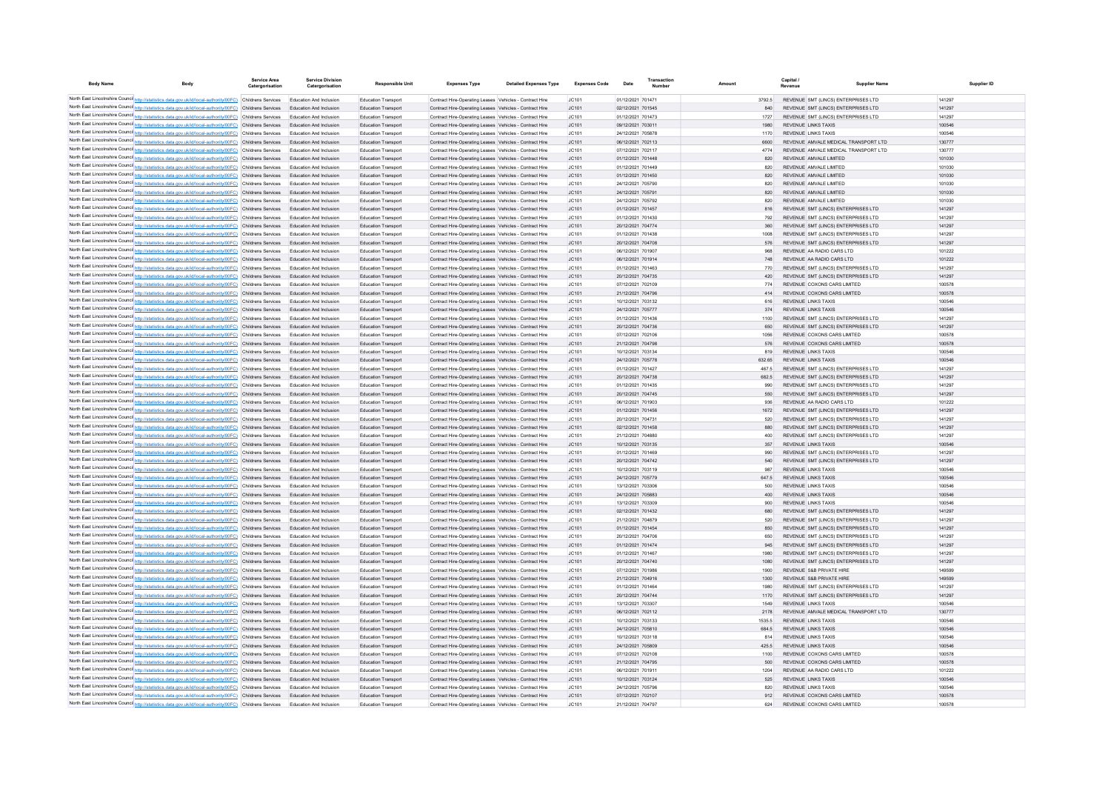| <b>Body Name</b> |                                                                                                                                                                                                                      | Service Area<br>Catergorisation | <b>Service Division</b><br>Catergorisation                       | <b>Responsible Unit</b>                                  | <b>Expenses Type</b>                                                                                               | <b>Detailed Expenses Type</b> | <b>Expenses Code</b> | Date                                   | Transaction<br>Number |                 | Capital /<br>Revenue                                                       | <b>Supplier Name</b> | Supplier ID      |
|------------------|----------------------------------------------------------------------------------------------------------------------------------------------------------------------------------------------------------------------|---------------------------------|------------------------------------------------------------------|----------------------------------------------------------|--------------------------------------------------------------------------------------------------------------------|-------------------------------|----------------------|----------------------------------------|-----------------------|-----------------|----------------------------------------------------------------------------|----------------------|------------------|
|                  | North East Lincolnshire Counci http://statistics.data.gov.uk/id/local-authority/00FC) Childrens Services                                                                                                             |                                 | Education And Inclusion                                          | <b>Education Transport</b>                               | Contract Hire-Operating Leases Vehicles - Contract Hire                                                            |                               | JC101                | 01/12/2021 701471                      |                       | 3792.5          | REVENUE SMT (LINCS) ENTERPRISES LTD                                        |                      | 141297           |
|                  | North East Lincolnshire Counci http://statistics.data.gov.uk/id/local-authority/00FC) Childrens Services                                                                                                             |                                 | Education And Inclusion                                          | <b>Education Transport</b>                               | Contract Hire-Operating Leases Vehicles - Contract Hire                                                            |                               | JC101                | 02/12/2021 701545                      |                       | 840             | REVENUE SMT (LINCS) ENTERPRISES LTD                                        |                      | 141297           |
|                  | North East Lincolnshire Counci http://statistics.data.gov.uk/id/local-authority/00FC) Childrens Services                                                                                                             |                                 | Education And Inclusion                                          | Education Transpor                                       | Contract Hire-Operating Leases Vehicles - Contract Hire                                                            |                               | JC101                | 01/12/2021 701473                      |                       | 1727            | REVENUE SMT (LINCS) ENTERPRISES LTD                                        |                      | 141297           |
|                  | North East Lincolnshire Counci http://statistics.data.gov.uk/id/local-authority/00FC) Childrens Services                                                                                                             |                                 | Education And Inclusion                                          | Education Transpor                                       | Contract Hire-Operating Leases Vehicles - Contract Hire                                                            |                               | JC101                | 09/12/2021 703011                      |                       | 1980            | REVENUE LINKS TAXIS                                                        |                      | 100546           |
|                  | North East Lincolnshire Counci http://statistics.data.gov.uk/id/local-authority/00FC) Childrens Services                                                                                                             |                                 | Education And Inclusion                                          | Education Transpor                                       | Contract Hire-Operating Leases Vehicles - Contract Hire                                                            |                               | JC101                | 24/12/2021 705878                      |                       | 1170            | REVENUE LINKS TAXIS                                                        |                      | 100546           |
|                  | North East Lincolnshire Counci http://statistics.data.gov.uk/id/local-authority/00FC) Childrens Services                                                                                                             |                                 | Education And Inclusion                                          | Education Transpor                                       | Contract Hire-Operating Leases Vehicles - Contract Hire                                                            |                               | JC101                | 06/12/2021 702113                      |                       | 6600            | REVENUE AMVALE MEDICAL TRANSPORT LTD                                       |                      | 130777           |
|                  | North East Lincolnshire Counci http://statistics.data.gov.uk/id/local-authority/00FC) Childrens Services<br>North East Lincolnshire Counci http://statistics.data.gov.uk/id/local-authority/00FC) Childrens Services |                                 | Education And Inclusion<br>Education And Inclusion               | Education Transpor<br>Education Transpor                 | Contract Hire-Operating Leases Vehicles - Contract Hire<br>Contract Hire-Operating Leases Vehicles - Contract Hire |                               | JC101<br>JC101       | 07/12/2021 702117<br>01/12/2021 701448 |                       | 4774<br>820     | REVENUE AMVALE MEDICAL TRANSPORT LTD<br>REVENUE AMVALE LIMITED             |                      | 130777<br>101030 |
|                  | North East Lincolnshire Counci http://statistics.data.gov.uk/id/local-authority/00FC) Childrens Services                                                                                                             |                                 | Education And Inclusion                                          | Education Transpor                                       | Contract Hire-Operating Leases Vehicles - Contract Hire                                                            |                               | JC101                | 01/12/2021 701449                      |                       | 820             | REVENUE AMVALE LIMITED                                                     |                      | 101030           |
|                  | North East Lincolnshire Counci http://statistics.data.gov.uk/id/local-authority/00FC) Childrens Services                                                                                                             |                                 | Education And Inclusion                                          | Education Transpor                                       | Contract Hire-Operating Leases Vehicles - Contract Hire                                                            |                               | JC101                | 01/12/2021 701450                      |                       | 820             | REVENUE AMVALE LIMITED                                                     |                      | 101030           |
|                  | North East Lincolnshire Counci http://statistics.data.gov.uk/id/local-authority/00FC) Childrens Services                                                                                                             |                                 | <b>Education And Inclusion</b>                                   | Education Transpor                                       | Contract Hire-Operating Leases Vehicles - Contract Hire                                                            |                               | JC101                | 24/12/2021 705790                      |                       | 820             | REVENUE AMVALE LIMITED                                                     |                      | 101030           |
|                  | North East Lincolnshire Counci http://statistics.data.gov.uk/id/local-authority/00FC) Childrens Services                                                                                                             |                                 | <b>Education And Inclusion</b>                                   | Education Transport                                      | Contract Hire-Operating Leases Vehicles - Contract Hire                                                            |                               | JC101                | 24/12/2021 705791                      |                       | 820             | REVENUE AMVALE LIMITED                                                     |                      | 101030           |
|                  | North East Lincolnshire Counci http://statistics.data.gov.uk/id/local-authority/00FC) Childrens Services                                                                                                             |                                 | <b>Education And Inclusion</b>                                   | Education Transpor                                       | Contract Hire-Operating Leases Vehicles - Contract Hire                                                            |                               | JC101                | 24/12/2021 705792                      |                       | 820             | REVENUE AMVALE LIMITED                                                     |                      | 101030           |
|                  | North East Lincolnshire Counci http://statistics.data.gov.uk/id/local-authority/00FC) Childrens Services<br>North East Lincolnshire Counci http://statistics.data.gov.uk/id/local-authority/00FC) Childrens Services |                                 | <b>Education And Inclusion</b><br><b>Education And Inclusion</b> | Education Transport<br>Education Transpor                | Contract Hire-Operating Leases Vehicles - Contract Hire<br>Contract Hire-Operating Leases Vehicles - Contract Hire |                               | JC101<br>JC101       | 01/12/2021 701457<br>01/12/2021 701430 |                       | 816<br>792      | REVENUE SMT (LINCS) ENTERPRISES LTD<br>REVENUE SMT (LINCS) ENTERPRISES LTD |                      | 141297<br>141297 |
|                  | North East Lincolnshire Counci http://statistics.data.gov.uk/id/local-authority/00FC) Childrens Services                                                                                                             |                                 | <b>Education And Inclusion</b>                                   | Education Transport                                      | Contract Hire-Operating Leases Vehicles - Contract Hire                                                            |                               | JC101                | 20/12/2021 704774                      |                       | 360             | REVENUE SMT (LINCS) ENTERPRISES LTD                                        |                      | 141297           |
|                  | North East Lincolnshire Counci http://statistics.data.gov.uk/id/local-authority/00FC) Childrens Services                                                                                                             |                                 | <b>Education And Inclusion</b>                                   | <b>Education Transport</b>                               | Contract Hire-Operating Leases Vehicles - Contract Hire                                                            |                               | IC.101               | 01/12/2021 701438                      |                       | 1008            | REVENUE SMT (LINCS) ENTERPRISES LTD                                        |                      | 141297           |
|                  | North East Lincolnshire Counci http://statistics.data.gov.uk/id/local-authority/00FC) Childrens Services                                                                                                             |                                 | <b>Education And Inclusion</b>                                   | Education Transport                                      | Contract Hire-Operating Leases Vehicles - Contract Hire                                                            |                               | JC101                | 20/12/2021 704708                      |                       | 576             | REVENUE SMT (LINCS) ENTERPRISES LTD                                        |                      | 141297           |
|                  | North East Lincolnshire Counci http://statistics.data.gov.uk/id/local-authority/00FC) Childrens Services                                                                                                             |                                 | <b>Education And Inclusion</b>                                   | <b>Education Transport</b>                               | Contract Hire-Operating Leases Vehicles - Contract Hire                                                            |                               | IC.101               | 06/12/2021 701907                      |                       | 968             | REVENUE AA RADIO CARS LTD                                                  |                      | 101222           |
|                  | North East Lincolnshire Counci http://statistics.data.gov.uk/id/local-authority/00FC) Childrens Services                                                                                                             |                                 | <b>Education And Inclusion</b>                                   | Education Transport                                      | Contract Hire-Operating Leases Vehicles - Contract Hire                                                            |                               | JC101                | 06/12/2021 701914                      |                       | 748             | REVENUE AA RADIO CARS LTD                                                  |                      | 101222           |
|                  | North East Lincolnshire Counci http://statistics.data.gov.uk/id/local-authority/00FC) Childrens Services                                                                                                             |                                 | <b>Education And Inclusion</b>                                   | <b>Education Transport</b>                               | Contract Hire-Operation Leases Vehicles - Contract Hire                                                            |                               | IC.101               | 01/12/2021 701463                      |                       | 770             | REVENUE SMT (HNCS) ENTERPRISES LTD                                         |                      | 141297           |
|                  | North East Lincolnshire Counci http://statistics.data.gov.uk/id/local-authority/00FC) Childrens Services                                                                                                             |                                 | <b>Education And Inclusion</b>                                   | Education Transport                                      | Contract Hire-Operating Leases Vehicles - Contract Hire                                                            |                               | JC101                | 20/12/2021 704735                      |                       | 420             | REVENUE SMT (LINCS) ENTERPRISES LTD                                        |                      | 141297           |
|                  | North East Lincolnshire Counci http://statistics.data.gov.uk/id/local-authority/00FC) Childrens Services<br>North East Lincolnshire Counci http://statistics.data.gov.uk/id/local-authority/00FC) Childrens Services |                                 | <b>Education And Inclusion</b><br><b>Education And Inclusion</b> | <b>Education Transport</b><br><b>Education Transpor</b>  | Contract Hire-Operation Leases Vehicles - Contract Hire<br>Contract Hire-Operating Leases Vehicles - Contract Hire |                               | IC.101<br>JC101      | 07/12/2021 702109<br>21/12/2021 704796 |                       | 774<br>414      | REVENUE COXONS CARS LIMITED<br>REVENUE COXONS CARS LIMITED                 |                      | 100578<br>100578 |
|                  | North East Lincolnshire Counci http://statistics.data.gov.uk/id/local-authority/00FC) Childrens Services                                                                                                             |                                 | <b>Education And Inclusion</b>                                   | <b>Education Transport</b>                               | Contract Hire-Operation Leases Vehicles - Contract Hire                                                            |                               | IC.101               | 10/12/2021 703132                      |                       | 616             | REVENUE LINKS TAXIS                                                        |                      | 100546           |
|                  | North East Lincolnshire Counci http://statistics.data.gov.uk/id/local-authority/00FC) Childrens Services                                                                                                             |                                 | <b>Education And Inclusion</b>                                   | <b>Education Transport</b>                               | Contract Hire-Operating Leases Vehicles - Contract Hire                                                            |                               | IC.101               | 24/12/2021 705777                      |                       | 374             | REVENUE LINKS TAXIS                                                        |                      | 100546           |
|                  | North East Lincolnshire Counci http://statistics.data.gov.uk/id/local-authority/00FC) Childrens Services                                                                                                             |                                 | <b>Education And Inclusion</b>                                   | <b>Education Transport</b>                               | Contract Hire-Operating Leases Vehicles - Contract Hire                                                            |                               | IC.101               | 01/12/2021 701436                      |                       | 1100            | REVENUE SMT (LINCS) ENTERPRISES LTD                                        |                      | 141297           |
|                  | North East Lincolnshire Counci http://statistics.data.gov.uk/id/local-authority/00FC) Childrens Services                                                                                                             |                                 | <b>Education And Inclusion</b>                                   | <b>Education Transport</b>                               | Contract Hire-Operating Leases Vehicles - Contract Hire                                                            |                               | IC.101               | 20/12/2021 704736                      |                       | 650             | REVENUE SMT (LINCS) ENTERPRISES LTD                                        |                      | 141297           |
|                  | North East Lincolnshire Counci http://statistics.data.gov.uk/id/local-authority/00FC) Childrens Services                                                                                                             |                                 | <b>Education And Inclusion</b>                                   | <b>Education Transport</b>                               | Contract Hire-Operating Leases Vehicles - Contract Hire                                                            |                               | IC.101               | 07/12/2021 702106                      |                       | 1056            | REVENUE COXONS CARS LIMITED                                                |                      | 100578           |
|                  | North East Lincolnshire Counci http://statistics.data.gov.uk/id/local-authority/00FC) Childrens Services                                                                                                             |                                 | <b>Education And Inclusion</b>                                   | <b>Education Transport</b>                               | Contract Hire-Operation Leases Vehicles - Contract Hire                                                            |                               | IC.101               | 21/12/2021 704798                      |                       | 576             | REVENUE COXONS CARS LIMITED                                                |                      | 100578           |
|                  | North East Lincolnshire Counci http://statistics.data.gov.uk/id/local-authority/00FC) Childrens Services                                                                                                             |                                 | <b>Education And Inclusion</b>                                   | <b>Education Transport</b>                               | Contract Hire-Operation Leases Vehicles - Contract Hire                                                            |                               | IC.101               | 10/12/2021 70313/                      |                       | 819             | REVENUE LINKS TAXIS                                                        |                      | 100546           |
|                  | North East Lincolnshire Counci http://statistics.data.gov.uk/id/local-authority/00FC) Childrens Services<br>North East Lincolnshire Counci http://statistics.data.gov.uk/id/local-authority/00FC) Childrens Services |                                 | <b>Education And Inclusion</b><br><b>Education And Inclusion</b> | <b>Education Transport</b><br><b>Education Transport</b> | Contract Hire-Operation Leases Vehicles - Contract Hire<br>Contract Hire-Operation Leases Vehicles - Contract Hire |                               | IC.101<br>IC.101     | 24/12/2021 705778<br>01/12/2021 701427 |                       | 632.65<br>467.5 | REVENUE LINKS TAXIS<br>REVENUE SMT (LINCS) ENTERPRISES LTD                 |                      | 100546<br>141297 |
|                  | North East Lincolnshire Counci http://statistics.data.gov.uk/id/local-authority/00FC) Childrens Services                                                                                                             |                                 | <b>Education And Inclusion</b>                                   | <b>Education Transport</b>                               | Contract Hire-Operation Leases Vehicles - Contract Hire                                                            |                               | IC.101               | 20/12/2021 704738                      |                       | 682.5           | REVENUE SMT (LINCS) ENTERPRISES LTD                                        |                      | 141297           |
|                  | North East Lincolnshire Counci http://statistics.data.gov.uk/id/local-authority/00FC) Childrens Services                                                                                                             |                                 | <b>Education And Inclusion</b>                                   | <b>Education Transport</b>                               | Contract Hire-Operation Leases Vehicles - Contract Hire                                                            |                               | IC.101               | 01/12/2021 701435                      |                       | 990             | REVENUE SMT (LINCS) ENTERPRISES LTD                                        |                      | 141297           |
|                  | North East Lincolnshire Counci http://statistics.data.gov.uk/id/local-authority/00FC) Childrens Services                                                                                                             |                                 | <b>Education And Inclusion</b>                                   | <b>Education Transport</b>                               | Contract Hire-Operating Leases Vehicles - Contract Hire                                                            |                               | IC.101               | 20/12/2021 704745                      |                       | 550             | REVENUE SMT (LINCS) ENTERPRISES LTD                                        |                      | 141297           |
|                  | North East Lincolnshire Counci http://statistics.data.gov.uk/id/local-authority/00FC) Childrens Services                                                                                                             |                                 | <b>Education And Inclusion</b>                                   | <b>Education Transport</b>                               | Contract Hire-Operation Leases Vehicles - Contract Hire                                                            |                               | IC.101               | 06/12/2021 701903                      |                       | 936             | REVENUE AA RADIO CARS LTD                                                  |                      | 101222           |
|                  | North East Lincolnshire Counci http://statistics.data.gov.uk/id/local-authority/00FC) Childrens Services                                                                                                             |                                 | <b>Education And Inclusion</b>                                   | <b>Education Transport</b>                               | Contract Hire-Operating Leases Vehicles - Contract Hire                                                            |                               | IC.101               | 01/12/2021 701456                      |                       | 1672            | REVENUE SMT (LINCS) ENTERPRISES LTD                                        |                      | 141297           |
|                  | North East Lincolnshire Counci http://statistics.data.gov.uk/id/local-authority/00FC) Childrens Services                                                                                                             |                                 | <b>Education And Inclusion</b><br><b>Education And Inclusion</b> | <b>Education Transport</b>                               | Contract Hire-Operating Leases Vehicles - Contract Hire                                                            |                               | IC.101               | 20/12/2021 70473<br>02/12/2021 701458  |                       | 520<br>880      | REVENUE SMT (LINCS) ENTERPRISES LTD                                        |                      | 141297<br>141297 |
|                  | North East Lincolnshire Counci http://statistics.data.gov.uk/id/local-authority/00FC) Childrens Services<br>North East Lincolnshire Counci http://statistics.data.gov.uk/id/local-authority/00FC) Childrens Services |                                 | <b>Education And Inclusion</b>                                   | <b>Education Transport</b><br><b>Education Transport</b> | Contract Hire-Operating Leases Vehicles - Contract Hire<br>Contract Hire-Operating Leases Vehicles - Contract Hire |                               | JC101<br>1C101       | 21/12/2021 704880                      |                       | 400             | REVENUE SMT (LINCS) ENTERPRISES LTD<br>REVENUE SMT (LINCS) ENTERPRISES LTD |                      | 141297           |
|                  | North East Lincolnshire Counci http://statistics.data.gov.uk/id/local-authority/00FC) Childrens Services                                                                                                             |                                 | <b>Education And Inclusion</b>                                   | <b>Education Transport</b>                               | Contract Hire-Operating Leases Vehicles - Contract Hire                                                            |                               | IC <sub>101</sub>    | 10/12/2021 703135                      |                       | 357             | <b>REVENUE LINKS TAXIS</b>                                                 |                      | 100546           |
|                  | North East Lincolnshire Counci http://statistics.data.gov.uk/id/local-authority/00FC) Childrens Services                                                                                                             |                                 | <b>Education And Inclusion</b>                                   | <b>Education Transport</b>                               | Contract Hire-Operating Leases Vehicles - Contract Hire                                                            |                               | 1C101                | 01/12/2021 701469                      |                       | 990             | REVENUE SMT (LINCS) ENTERPRISES LTD                                        |                      | 141297           |
|                  | North East Lincolnshire Counci http://statistics.data.gov.uk/id/local-authority/00FC) Childrens Services                                                                                                             |                                 | <b>Education And Inclusion</b>                                   | <b>Education Transport</b>                               | Contract Hire-Operating Leases Vehicles - Contract Hire                                                            |                               | IC <sub>101</sub>    | 20/12/2021 704742                      |                       | 540             | REVENUE SMT (LINCS) ENTERPRISES LTD                                        |                      | 141297           |
|                  | North East Lincolnshire Counci http://statistics.data.gov.uk/id/local-authority/00FC) Childrens Services                                                                                                             |                                 | <b>Education And Inclusion</b>                                   | <b>Education Transport</b>                               | Contract Hire-Operating Leases Vehicles - Contract Hire                                                            |                               | 1C101                | 10/12/2021 703119                      |                       | 987             | <b>REVENUE LINKS TAXIS</b>                                                 |                      | 100546           |
|                  | North East Lincolnshire Counci http://statistics.data.gov.uk/id/local-authority/00FC) Childrens Services                                                                                                             |                                 | Education And Inclusion                                          | Education Transport                                      | Contract Hire-Operating Leases Vehicles - Contract Hire                                                            |                               | JC101                | 24/12/2021 705779                      |                       | 647.5           | <b>REVENUE LINKS TAXIS</b>                                                 |                      | 100546           |
|                  | North East Lincolnshire Counci http://statistics.data.gov.uk/id/local-authority/00FC) Childrens Services                                                                                                             |                                 | Education And Inclusion                                          | Education Transpor                                       | Contract Hire-Operating Leases Vehicles - Contract Hire                                                            |                               | JC101                | 13/12/2021 703306                      |                       | 500             | <b>REVENUE LINKS TAXIS</b>                                                 |                      | 100546           |
|                  | North East Lincolnshire Counci http://statistics.data.gov.uk/id/local-authority/00FC) Childrens Services<br>North East Lincolnshire Counci http://statistics.data.gov.uk/id/local-authority/00FC) Childrens Services |                                 | Education And Inclusion<br>Education And Inclusion               | Education Transport<br>Education Transpor                | Contract Hire-Operating Leases Vehicles - Contract Hire<br>Contract Hire-Operating Leases Vehicles - Contract Hire |                               | JC101<br>JC101       | 24/12/2021 705883<br>13/12/2021 703309 |                       | 400<br>900      | REVENUE LINKS TAXIS<br><b>REVENUE LINKS TAXIS</b>                          |                      | 100546<br>100546 |
|                  | North East Lincolnshire Counci http://statistics.data.gov.uk/id/local-authority/00FC) Childrens Services                                                                                                             |                                 | Education And Inclusion                                          | Education Transport                                      | Contract Hire-Operating Leases Vehicles - Contract Hire                                                            |                               | JC101                | 02/12/2021 701432                      |                       | 680             | REVENUE SMT (LINCS) ENTERPRISES LTD                                        |                      | 141297           |
|                  | North East Lincolnshire Counci http://statistics.data.gov.uk/id/local-authority/00FC) Childrens Services                                                                                                             |                                 | Education And Inclusion                                          | Education Transpor                                       | Contract Hire-Operating Leases Vehicles - Contract Hire                                                            |                               | JC101                | 21/12/2021 704879                      |                       | 520             | REVENUE SMT (LINCS) ENTERPRISES LTD                                        |                      | 141297           |
|                  | North East Lincolnshire Counci http://statistics.data.gov.uk/id/local-authority/00FC) Childrens Services                                                                                                             |                                 | Education And Inclusion                                          | <b>Education Transport</b>                               | Contract Hire-Operating Leases Vehicles - Contract Hire                                                            |                               | JC101                | 01/12/2021 701454                      |                       | 850             | REVENUE SMT (LINCS) ENTERPRISES LTD                                        |                      | 141297           |
|                  | North East Lincolnshire Counci http://statistics.data.gov.uk/id/local-authority/00FC) Childrens Services                                                                                                             |                                 | Education And Inclusion                                          | Education Transpor                                       | Contract Hire-Operating Leases Vehicles - Contract Hire                                                            |                               | JC101                | 20/12/2021 704706                      |                       | 650             | REVENUE SMT (LINCS) ENTERPRISES LTD                                        |                      | 141297           |
|                  | North East Lincolnshire Counci http://statistics.data.gov.uk/id/local-authority/00FC) Childrens Services                                                                                                             |                                 | Education And Inclusion                                          | Education Transport                                      | Contract Hire-Operating Leases Vehicles - Contract Hire                                                            |                               | JC101                | 01/12/2021 701474                      |                       | 945             | REVENUE SMT (LINCS) ENTERPRISES LTD                                        |                      | 141297           |
|                  | North East Lincolnshire Counci http://statistics.data.gov.uk/id/local-authority/00FC) Childrens Services                                                                                                             |                                 | Education And Inclusion                                          | Education Transpor                                       | Contract Hire-Operating Leases Vehicles - Contract Hire                                                            |                               | JC101                | 01/12/2021 701467                      |                       | 1980            | REVENUE SMT (LINCS) ENTERPRISES LTD                                        |                      | 141297           |
|                  | North East Lincolnshire Counci http://statistics.data.gov.uk/id/local-authority/00FC) Childrens Services<br>North East Lincolnshire Counci http://statistics.data.gov.uk/id/local-authority/00FC) Childrens Services |                                 | Education And Inclusion<br>Education And Inclusion               | Education Transport<br>Education Transpor                | Contract Hire-Operating Leases Vehicles - Contract Hire<br>Contract Hire-Operating Leases Vehicles - Contract Hire |                               | JC101<br>JC101       | 20/12/2021 704740<br>07/12/2021 70198  |                       | 1080<br>1900    | REVENUE SMT (LINCS) ENTERPRISES LTD<br>REVENUE S&B PRIVATE HIRE            |                      | 141297<br>149599 |
|                  | North East Lincolnshire Counci http://statistics.data.gov.uk/id/local-authority/00FC) Childrens Services                                                                                                             |                                 | Education And Inclusion                                          | Education Transport                                      | Contract Hire-Operating Leases Vehicles - Contract Hire                                                            |                               | JC101                | 21/12/2021 704916                      |                       | 1300            | REVENUE S&B PRIVATE HIRE                                                   |                      | 149599           |
|                  | North East Lincolnshire Counci http://statistics.data.gov.uk/id/local-authority/00FC) Childrens Services                                                                                                             |                                 | Education And Inclusion                                          | <b>Education Transport</b>                               | Contract Hire-Operating Leases Vehicles - Contract Hire                                                            |                               | JC101                | 01/12/2021 70146                       |                       | 1980            | REVENUE SMT (LINCS) ENTERPRISES LTD                                        |                      | 141297           |
|                  | North East Lincolnshire Counci http://statistics.data.gov.uk/id/local-authority/00FC) Childrens Services                                                                                                             |                                 | Education And Inclusion                                          | Education Transport                                      | Contract Hire-Operating Leases Vehicles - Contract Hire                                                            |                               | JC101                | 20/12/2021 704744                      |                       | 1170            | REVENUE SMT (LINCS) ENTERPRISES LTD                                        |                      | 141297           |
|                  | North East Lincolnshire Counci http://statistics.data.gov.uk/id/local-authority/00FC) Childrens Services                                                                                                             |                                 | <b>Education And Inclusion</b>                                   | <b>Education Transport</b>                               | Contract Hire-Operating Leases Vehicles - Contract Hire                                                            |                               | JC101                | 13/12/2021 70330                       |                       | 1549            | <b>REVENUE LINKS TAXIS</b>                                                 |                      | 100546           |
|                  | North East Lincolnshire Counci http://statistics.data.gov.uk/id/local-authority/00FC) Childrens Services                                                                                                             |                                 | Education And Inclusion                                          | Education Transport                                      | Contract Hire-Operating Leases Vehicles - Contract Hire                                                            |                               | JC101                | 06/12/2021 702112                      |                       | 2178            | REVENUE AMVALE MEDICAL TRANSPORT LTD                                       |                      | 130777           |
|                  | North East Lincolnshire Counci http://statistics.data.gov.uk/id/local-authority/00FC) Childrens Services                                                                                                             |                                 | <b>Education And Inclusion</b>                                   | <b>Education Transport</b>                               | Contract Hire-Operating Leases Vehicles - Contract Hire                                                            |                               | JC101                | 10/12/2021 703133                      |                       | 1535.5          | <b>REVENUE LINKS TAXIS</b>                                                 |                      | 100546           |
|                  | North East Lincolnshire Counci http://statistics.data.gov.uk/id/local-authority/00FC) Childrens Services                                                                                                             |                                 | Education And Inclusion                                          | Education Transport                                      | Contract Hire-Operating Leases Vehicles - Contract Hire                                                            |                               | JC101                | 24/12/2021 705810                      |                       | 684.5           | <b>REVENUE LINKS TAXIS</b>                                                 |                      | 100546           |
|                  | North East Lincolnshire Counci http://statistics.data.gov.uk/id/local-authority/00FC) Childrens Services<br>North East Lincolnshire Counci http://statistics.data.gov.uk/id/local-authority/00FC) Childrens Services |                                 | Education And Inclusion<br>Education And Inclusion               | Education Transpor<br>Education Transport                | Contract Hire-Operating Leases Vehicles - Contract Hire<br>Contract Hire-Operating Leases Vehicles - Contract Hire |                               | JC101<br>JC101       | 10/12/2021 703118<br>24/12/2021 705809 |                       | 814<br>425.5    | <b>REVENUE LINKS TAXIS</b><br>REVENUE LINKS TAXIS                          |                      | 100546<br>100546 |
|                  | North East Lincolnshire Counci http://statistics.data.gov.uk/id/local-authority/00FC) Childrens Services                                                                                                             |                                 | Education And Inclusion                                          | Education Transpor                                       | Contract Hire-Operating Leases Vehicles - Contract Hire                                                            |                               | JC101                | 07/12/2021 70210                       |                       | 1100            | REVENUE COXONS CARS LIMITED                                                |                      | 100578           |
|                  | North East Lincolnshire Counci http://statistics.data.gov.uk/id/local-authority/00FC) Childrens Services                                                                                                             |                                 | Education And Inclusion                                          | <b>Education Transport</b>                               | Contract Hire-Operating Leases Vehicles - Contract Hire                                                            |                               | JC101                | 21/12/2021 704795                      |                       | 500             | REVENUE COXONS CARS LIMITED                                                |                      | 100578           |
|                  | North East Lincolnshire Counci http://statistics.data.gov.uk/id/local-authority/00FC) Childrens Services                                                                                                             |                                 | Education And Inclusion                                          | Education Transpor                                       | Contract Hire-Operating Leases Vehicles - Contract Hire                                                            |                               | JC101                | 06/12/2021 701911                      |                       | 1204            | REVENUE AA RADIO CARS LTD                                                  |                      | 101222           |
|                  | North East Lincolnshire Counci http://statistics.data.gov.uk/id/local-authority/00FC) Childrens Services                                                                                                             |                                 | Education And Inclusion                                          | Education Transpor                                       | Contract Hire-Operating Leases Vehicles - Contract Hire                                                            |                               | JC101                | 10/12/2021 703124                      |                       | 525             | REVENUE LINKS TAXIS                                                        |                      | 100546           |
|                  | North East Lincolnshire Counci http://statistics.data.gov.uk/id/local-authority/00FC) Childrens Services                                                                                                             |                                 | <b>Education And Inclusion</b>                                   | Education Transpor                                       | Contract Hire-Operating Leases Vehicles - Contract Hire                                                            |                               | JC101                | 24/12/2021 705796                      |                       | 820             | <b>REVENUE LINKS TAXIS</b>                                                 |                      | 100546           |
|                  | North East Lincolnshire Counci http://statistics.data.gov.uk/id/local-authority/00FC) Childrens Services                                                                                                             |                                 | Education And Inclusion                                          | <b>Education Transport</b>                               | Contract Hire-Operating Leases Vehicles - Contract Hire                                                            |                               | JC101                | 07/12/2021 702107                      |                       | 912             | REVENUE COXONS CARS LIMITED                                                |                      | 100578           |
|                  | North East Lincolnshire Counci http://statistics.data.gov.uk/id/local-authority/00FC) Childrens Services                                                                                                             |                                 | <b>Education And Inclusion</b>                                   | <b>Education Transport</b>                               | Contract Hire-Operating Leases Vehicles - Contract Hire                                                            |                               | IC.101               | 21/12/2021 704797                      |                       | 624             | REVENUE COXONS CARS LIMITED                                                |                      | 100578           |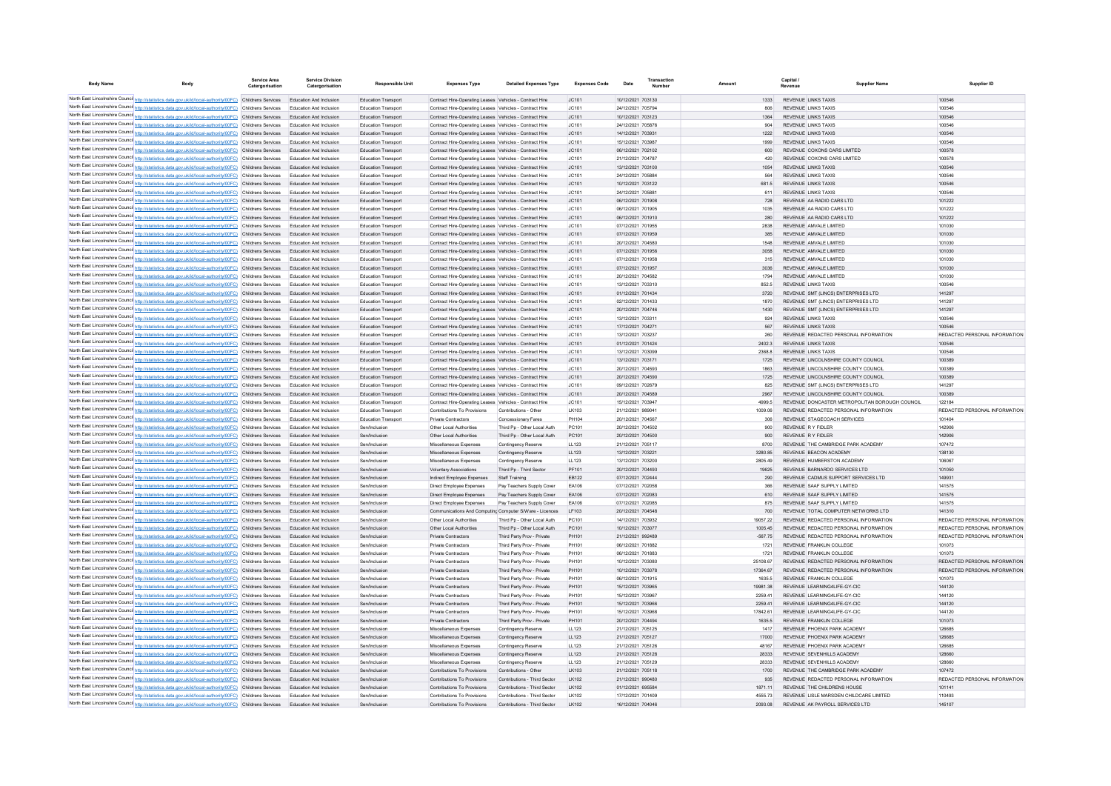| <b>Body Name</b> |                                                                                                                                                                                                                                   | <b>Service Area</b><br>Catergorisation | <b>Service Division</b><br>Catergorisation                | <b>Responsible Unit</b>                                 | <b>Expenses Type</b>                                                                                               | <b>Detailed Expenses Type</b>                            | <b>Expenses Code</b> | Date                                   | Transaction |                    | Capital<br>Revenue | <b>Supplier Nam</b>                                                        | Supplier ID                   |
|------------------|-----------------------------------------------------------------------------------------------------------------------------------------------------------------------------------------------------------------------------------|----------------------------------------|-----------------------------------------------------------|---------------------------------------------------------|--------------------------------------------------------------------------------------------------------------------|----------------------------------------------------------|----------------------|----------------------------------------|-------------|--------------------|--------------------|----------------------------------------------------------------------------|-------------------------------|
|                  |                                                                                                                                                                                                                                   |                                        |                                                           |                                                         |                                                                                                                    |                                                          |                      |                                        |             |                    |                    |                                                                            |                               |
|                  | North East Lincolnshire Counci http://statistics.data.gov.uk/id/local-authority/00FC) Childrens Services                                                                                                                          |                                        | Education And Inclusion<br><b>Education And Inclusion</b> | Education Transport                                     | Contract Hire-Operating Leases Vehicles - Contract Hire                                                            |                                                          | IC.101               | 10/12/2021 703130<br>24/12/2021 705794 |             | 1333               |                    | <b>REVENUE LINKS TAXIS</b>                                                 | 100546                        |
|                  | North East Lincolnshire Counci http://statistics.data.gov.uk/id/local-authority/00FC) Childrens Services                                                                                                                          |                                        |                                                           | <b>Education Transport</b>                              | Contract Hire-Operating Leases Vehicles - Contract Hire                                                            |                                                          | JC101                |                                        |             | 806                |                    | <b>REVENUE LINKS TAXIS</b>                                                 | 100546                        |
|                  | North East Lincolnshire Counci http://statistics.data.gov.uk/id/local-authority/00FC) Childrens Services<br>North East Lincolnshire Counci <sup>1</sup> http://statistics.data.gov.uk/id/local-authority/00FC) Childrens Services |                                        | Education And Inclusion<br><b>Education And Inclusion</b> | <b>Education Transport</b><br>Education Transpor        | Contract Hire-Operating Leases Vehicles - Contract Hire<br>Contract Hire-Operating Leases Vehicles - Contract Hire |                                                          | JC101<br>JC101       | 10/12/2021 703123<br>24/12/2021 705876 |             | 1364<br>904        |                    | REVENUE LINKS TAXIS<br>REVENUE LINKS TAXIS                                 | 100546<br>100546              |
|                  | North East Lincolnshire Counci http://statistics.data.gov.uk/id/local-authority/00FC) Childrens Services                                                                                                                          |                                        | Education And Inclusion                                   | Education Transpor                                      | Contract Hire-Operating Leases Vehicles - Contract Hire                                                            |                                                          | JC101                | 14/12/2021 703931                      |             | 1222               |                    | REVENUE LINKS TAXIS                                                        | 100546                        |
|                  | North East Lincolnshire Counci http://statistics.data.gov.uk/id/local-authority/00FC) Childrens Services                                                                                                                          |                                        | <b>Education And Inclusion</b>                            | Education Transpor                                      | Contract Hire-Operating Leases Vehicles - Contract Hire                                                            |                                                          | JC101                | 15/12/2021 703987                      |             | 1999               |                    | REVENUE LINKS TAXIS                                                        | 100546                        |
|                  | North East Lincolnshire Counci http://statistics.data.gov.uk/id/local-authority/00FC) Childrens Services                                                                                                                          |                                        | <b>Education And Inclusion</b>                            | Education Transpor                                      | Contract Hire-Operating Leases Vehicles - Contract Hire                                                            |                                                          | JC101                | 06/12/2021 702102                      |             | 600                |                    | REVENUE COXONS CARS LIMITED                                                | 100578                        |
|                  | North East Lincolnshire Counci http://statistics.data.gov.uk/id/local-authority/00FC) Childrens Services                                                                                                                          |                                        | Education And Inclusion                                   | Education Transpor                                      | Contract Hire-Operating Leases Vehicles - Contract Hire                                                            |                                                          | JC101                | 21/12/2021 704787                      |             | 420                |                    | REVENUE COXONS CARS LIMITED                                                | 100578                        |
|                  | North East Lincolnshire Counci http://statistics.data.gov.uk/id/local-authority/00FC) Childrens Services                                                                                                                          |                                        | Education And Inclusion                                   | Education Transpor                                      | Contract Hire-Operating Leases Vehicles - Contract Hire                                                            |                                                          | JC101                | 13/12/2021 703100                      |             | 1054               |                    | REVENUE LINKS TAXIS                                                        | 100546                        |
|                  | North East Lincolnshire Counci http://statistics.data.gov.uk/id/local-authority/00FC) Childrens Services                                                                                                                          |                                        | Education And Inclusion                                   | Education Transpor                                      | Contract Hire-Operating Leases Vehicles - Contract Hire                                                            |                                                          | JC101                | 24/12/2021 705884                      |             | 564                |                    | REVENUE LINKS TAXIS                                                        | 100546                        |
|                  | North East Lincolnshire Counci http://statistics.data.gov.uk/id/local-authority/00FC) Childrens Services                                                                                                                          |                                        | Education And Inclusion                                   | <b>Education Transport</b>                              | Contract Hire-Operating Leases Vehicles - Contract Hire                                                            |                                                          | IC.101               | 10/12/2021 703122                      |             | 681.5              |                    | REVENUE LINKS TAXIS                                                        | 100546                        |
|                  | North East Lincolnshire Counci http://statistics.data.gov.uk/id/local-authority/00FC) Childrens Services                                                                                                                          |                                        | Education And Inclusion                                   | <b>Education Transport</b>                              | Contract Hire-Operating Leases Vehicles - Contract Hire                                                            |                                                          | IC <sub>101</sub>    | 24/12/2021 70588                       |             | 611                |                    | <b>REVENUE LINKS TAXIS</b>                                                 | 100546                        |
|                  | North East Lincolnshire Counci http://statistics.data.gov.uk/id/local-authority/00FC) Childrens Services                                                                                                                          |                                        | Education And Inclusion                                   | <b>Education Transpor</b>                               | Contract Hire-Operating Leases Vehicles - Contract Hire                                                            |                                                          | JC101                | 06/12/2021 701908                      |             | 728                |                    | REVENUE AA RADIO CARS LTD                                                  | 101222                        |
|                  | North East Lincolnshire Counci http://statistics.data.gov.uk/id/local-authority/00FC) Childrens Services                                                                                                                          |                                        | Education And Inclusion                                   | <b>Education Transpor</b>                               | Contract Hire-Operating Leases Vehicles - Contract Hire                                                            |                                                          | JC101                | 06/12/2021 701905                      |             | 1035               |                    | REVENUE AA RADIO CARS LTD                                                  | 101222                        |
|                  | North East Lincolnshire Counci http://statistics.data.gov.uk/id/local-authority/00FC) Childrens Services<br>North East Lincolnshire Counci http://statistics.data.gov.uk/id/local-authority/00FC) Childrens Services              |                                        | Education And Inclusion<br>Education And Inclusion        | <b>Education Transpor</b><br><b>Education Transpor</b>  | Contract Hire-Operating Leases Vehicles - Contract Hire<br>Contract Hire-Operating Leases Vehicles - Contract Hire |                                                          | JC101<br>JC101       | 06/12/2021 701910<br>07/12/2021 701955 |             | 280<br>2838        |                    | REVENUE AA RADIO CARS LTD<br>REVENUE AMVALE LIMITED                        | 101222<br>101030              |
|                  | North East Lincolnshire Counci http://statistics.data.gov.uk/id/local-authority/00FC) Childrens Services                                                                                                                          |                                        | Education And Inclusion                                   | <b>Education Transpor</b>                               | Contract Hire-Operating Leases Vehicles - Contract Hire                                                            |                                                          | JC101                | 07/12/2021 701959                      |             | 385                |                    | REVENUE AMVALE LIMITED                                                     | 101030                        |
|                  | North East Lincolnshire Counci http://statistics.data.gov.uk/id/local-authority/00FC) Childrens Services                                                                                                                          |                                        | Education And Inclusion                                   | <b>Education Transpor</b>                               | Contract Hire-Operating Leases Vehicles - Contract Hire                                                            |                                                          | JC101                | 20/12/2021 704580                      |             | 1548               |                    | REVENUE AMVALE LIMITED                                                     | 101030                        |
|                  | North East Lincolnshire Counci http://statistics.data.gov.uk/id/local-authority/00FC) Childrens Services                                                                                                                          |                                        | Education And Inclusion                                   | <b>Education Transpor</b>                               | Contract Hire-Operating Leases Vehicles - Contract Hire                                                            |                                                          | JC101                | 07/12/2021 701956                      |             | 3058               |                    | REVENUE AMVALE LIMITED                                                     | 101030                        |
|                  | North East Lincolnshire Counci http://statistics.data.gov.uk/id/local-authority/00FC) Childrens Services                                                                                                                          |                                        | Education And Inclusion                                   | <b>Education Transpor</b>                               | Contract Hire-Operating Leases Vehicles - Contract Hire                                                            |                                                          | JC101                | 07/12/2021 701958                      |             | 315                |                    | REVENUE AMVALE LIMITED                                                     | 101030                        |
|                  | North East Lincolnshire Counci http://statistics.data.gov.uk/id/local-authority/00FC) Childrens Services                                                                                                                          |                                        | Education And Inclusion                                   | <b>Education Transpor</b>                               | Contract Hire-Operating Leases Vehicles - Contract Hire                                                            |                                                          | JC101                | 07/12/2021 701957                      |             | 3036               |                    | REVENUE AMVALE LIMITED                                                     | 101030                        |
|                  | North East Lincolnshire Counci http://statistics.data.gov.uk/id/local-authority/00FC) Childrens Services                                                                                                                          |                                        | Education And Inclusion                                   | <b>Education Transpor</b>                               | Contract Hire-Operating Leases Vehicles - Contract Hire                                                            |                                                          | JC101                | 20/12/2021 704582                      |             | 1794               |                    | REVENUE AMVALE LIMITED                                                     | 101030                        |
|                  | North East Lincolnshire Counci http://statistics.data.gov.uk/id/local-authority/00FC) Childrens Services                                                                                                                          |                                        | Education And Inclusion                                   | <b>Education Transpor</b>                               | Contract Hire-Operating Leases Vehicles - Contract Hire                                                            |                                                          | JC101                | 13/12/2021 703310                      |             | 852.5              |                    | <b>REVENUE LINKS TAXIS</b>                                                 | 100546                        |
|                  | North East Lincolnshire Counci http://statistics.data.gov.uk/id/local-authority/00FC) Childrens Services                                                                                                                          |                                        | Education And Inclusion                                   | <b>Education Transport</b>                              | Contract Hire-Operating Leases Vehicles - Contract Hire                                                            |                                                          | JC101                | 01/12/2021 701434                      |             | 3720               |                    | REVENUE SMT (LINCS) ENTERPRISES LTD                                        | 141297                        |
|                  | North East Lincolnshire Counci http://statistics.data.gov.uk/id/local-authority/00FC) Childrens Services                                                                                                                          |                                        | Education And Inclusion                                   | <b>Education Transpor</b>                               | Contract Hire-Operating Leases Vehicles - Contract Hire                                                            |                                                          | JC101                | 02/12/2021 701433                      |             | 1870               |                    | REVENUE SMT (LINCS) ENTERPRISES LTD                                        | 141297                        |
|                  | North East Lincolnshire Counci http://statistics.data.gov.uk/id/local-authority/00FC) Childrens Services                                                                                                                          |                                        | Education And Inclusion                                   | <b>Education Transport</b>                              | Contract Hire-Operating Leases Vehicles - Contract Hire                                                            |                                                          | JC101                | 20/12/2021 704746                      |             | 1430               |                    | REVENUE SMT (LINCS) ENTERPRISES LTD                                        | 141297                        |
|                  | North East Lincolnshire Counci http://statistics.data.gov.uk/id/local-authority/00FC) Childrens Services                                                                                                                          |                                        | Education And Inclusion                                   | <b>Education Transpor</b>                               | Contract Hire-Operating Leases Vehicles - Contract Hire                                                            |                                                          | JC101                | 13/12/2021 703311                      |             | 924                |                    | <b>REVENUE LINKS TAXIS</b>                                                 | 100546                        |
|                  | North East Lincolnshire Counci http://statistics.data.gov.uk/id/local-authority/00FC) Childrens Services                                                                                                                          |                                        | Education And Inclusion                                   | <b>Education Transport</b>                              | Contract Hire-Operating Leases Vehicles - Contract Hire                                                            |                                                          | JC101                | 17/12/2021 704271                      |             | 567                |                    | <b>REVENUE LINKS TAXIS</b>                                                 | 100546                        |
|                  | North East Lincolnshire Counci http://statistics.data.gov.uk/id/local-authority/00FC) Childrens Services                                                                                                                          |                                        | Education And Inclusion                                   | <b>Education Transpor</b>                               | Contract Hire-Operating Leases Vehicles - Contract Hire                                                            |                                                          | JC101                | 13/12/2021 703237                      |             | 260                |                    | REVENUE REDACTED PERSONAL INFORMATION                                      | REDACTED PERSONAL INFORMATION |
|                  | North East Lincolnshire Counci http://statistics.data.gov.uk/id/local-authority/00FC) Childrens Services                                                                                                                          |                                        | Education And Inclusion                                   | <b>Education Transport</b>                              | Contract Hire-Operating Leases Vehicles - Contract Hire                                                            |                                                          | JC101                | 01/12/2021 701424                      |             | 2402.3             |                    | <b>REVENUE LINKS TAXIS</b>                                                 | 100546                        |
|                  | North East Lincolnshire Counci http://statistics.data.gov.uk/id/local-authority/00FC) Childrens Services                                                                                                                          |                                        | Education And Inclusion                                   | <b>Education Transpor</b>                               | Contract Hire-Operating Leases Vehicles - Contract Hire                                                            |                                                          | JC101                | 13/12/2021 703099                      |             | 2368.8             |                    | <b>REVENUE LINKS TAXIS</b>                                                 | 100546<br>100389              |
|                  | North East Lincolnshire Counci http://statistics.data.gov.uk/id/local-authority/00FC) Childrens Services<br>North East Lincolnshire Counci http://statistics.data.gov.uk/id/local-authority/00FC) Childrens Services              |                                        | Education And Inclusion<br>Education And Inclusion        | <b>Education Transport</b><br><b>Education Transpor</b> | Contract Hire-Operating Leases Vehicles - Contract Hire<br>Contract Hire-Operating Leases Vehicles - Contract Hire |                                                          | JC101<br>JC101       | 13/12/2021 703171<br>20/12/2021 704593 |             | 1725<br>1863       |                    | REVENUE LINCOLNSHIRE COUNTY COUNCIL<br>REVENUE LINCOLNSHIRE COUNTY COUNCIL | 100389                        |
|                  | North East Lincolnshire Counci http://statistics.data.gov.uk/id/local-authority/00FC) Childrens Services                                                                                                                          |                                        | Education And Inclusion                                   | <b>Education Transport</b>                              | Contract Hire-Operating Leases Vehicles - Contract Hire                                                            |                                                          | JC101                | 20/12/2021 704590                      |             | 1725               |                    | REVENUE LINCOLNSHIRE COUNTY COUNCIL                                        | 100389                        |
|                  | North East Lincolnshire Counci http://statistics.data.gov.uk/id/local-authority/00FC) Childrens Services                                                                                                                          |                                        | Education And Inclusion                                   | <b>Education Transpor</b>                               | Contract Hire-Operating Leases Vehicles - Contract Hire                                                            |                                                          | JC101                | 09/12/2021 702679                      |             | 825                |                    | REVENUE SMT (LINCS) ENTERPRISES LTD                                        | 141297                        |
|                  | North East Lincolnshire Counci http://statistics.data.gov.uk/id/local-authority/00FC) Childrens Services                                                                                                                          |                                        | Education And Inclusion                                   | <b>Education Transport</b>                              | Contract Hire-Operating Leases Vehicles - Contract Hire                                                            |                                                          | JC101                | 20/12/2021 704589                      |             | 2967               |                    | REVENUE LINCOLNSHIRE COUNTY COUNCIL                                        | 100389                        |
|                  | North East Lincolnshire Counci http://statistics.data.gov.uk/id/local-authority/00FC) Childrens Services                                                                                                                          |                                        | Education And Inclusion                                   | <b>Education Transpor</b>                               | Contract Hire-Operating Leases Vehicles - Contract Hire                                                            |                                                          | JC101                | 15/12/2021 703947                      |             | 4999.5             |                    | REVENUE DONCASTER METROPOLITAN BOROUGH COUNCIL                             | 122184                        |
|                  | North East Lincolnshire Counci http://statistics.data.gov.uk/id/local-authority/00FC) Childrens Services                                                                                                                          |                                        | Education And Inclusion                                   | <b>Education Transport</b>                              | Contributions To Provisions                                                                                        | Contributions - Other                                    | LK103                | 21/12/2021 989041                      |             | 1009.06            |                    | REVENUE REDACTED PERSONAL INFORMATION                                      | REDACTED PERSONAL INFORMATION |
|                  | North East Lincolnshire Counci http://statistics.data.gov.uk/id/local-authority/00FC) Childrens Services                                                                                                                          |                                        | Education And Inclusion                                   | Education Transport                                     | Private Contractors                                                                                                | Concessionary Fares                                      | PH104                | 20/12/2021 704567                      |             | 306                |                    | REVENUE STAGECOACH SERVICES                                                | 101404                        |
|                  | North East Lincolnshire Counci http://statistics.data.gov.uk/id/local-authority/00FC) Childrens Services                                                                                                                          |                                        | <b>Education And Inclusion</b>                            | Sen/Inclusion                                           | Other Local Authorities                                                                                            | Third Pp - Other Local Auth                              | PC101                | 20/12/2021 704502                      |             | 900                |                    | REVENUE R Y FIDLER                                                         | 142906                        |
|                  | North East Lincolnshire Counci http://statistics.data.gov.uk/id/local-authority/00FC) Childrens Services                                                                                                                          |                                        | Education And Inclusion                                   | Sen/Inclusion                                           | Other Local Authorities                                                                                            | Third Pp - Other Local Auth                              | PC101                | 20/12/2021 704500                      |             | 900                |                    | REVENUE R Y FIDLER                                                         | 142906                        |
|                  | North East Lincolnshire Counci http://statistics.data.gov.uk/id/local-authority/00FC) Childrens Services                                                                                                                          |                                        | Education And Inclusion                                   | Sen/Inclusion                                           | Miscellaneous Expenses                                                                                             | Contingency Reserve                                      | LL123                | 21/12/2021 705117                      |             | 8700               |                    | REVENUE THE CAMBRIDGE PARK ACADEMY                                         | 107472                        |
|                  | North East Lincolnshire Counci http://statistics.data.gov.uk/id/local-authority/00FC) Childrens Services                                                                                                                          |                                        | Education And Inclusion                                   | Sen/Inclusion                                           | Miscellaneous Expenses                                                                                             | Contingency Reserve                                      | LL123                | 13/12/2021 703221                      |             | 3280.85            |                    | REVENUE BEACON ACADEMY                                                     | 138130                        |
|                  | North East Lincolnshire Counci http://statistics.data.gov.uk/id/local-authority/00FC) Childrens Services                                                                                                                          |                                        | Education And Inclusion                                   | Sen/Inclusion                                           | Miscellaneous Expenses                                                                                             | Contingency Reserve                                      | LL123                | 13/12/2021 703200                      |             | 2805.49            |                    | REVENUE HUMBERSTON ACADEMY                                                 | 106067                        |
|                  | North East Lincolnshire Counci http://statistics.data.gov.uk/id/local-authority/00FC) Childrens Services<br>North East Lincolnshire Counci http://statistics.data.gov.uk/id/local-authority/00FC) Childrens Services              |                                        | Education And Inclusion<br>Education And Inclusion        | Sen/Inclusion<br>Sen/Inclusion                          | <b>Voluntary Associations</b>                                                                                      | Third Pp - Third Sector<br>Staff Training                | PF101<br>EB122       | 20/12/2021 704493<br>07/12/2021 702444 |             | 19625<br>290       |                    | REVENUE BARNARDO SERVICES LTD                                              | 101050<br>149931              |
|                  | North East Lincolnshire Counci http://statistics.data.gov.uk/id/local-authority/00FC) Childrens Services                                                                                                                          |                                        | Education And Inclusion                                   | Sen/Inclusion                                           | Indirect Employee Expenses<br>Direct Employee Expenses                                                             | Pay Teachers Supply Cover                                | EA106                | 07/12/2021 702058                      |             | 366                |                    | REVENUE CADMUS SUPPORT SERVICES LTD<br>REVENUE SAAF SUPPLY LIMITED         | 141575                        |
|                  | North East Lincolnshire Counci http://statistics.data.gov.uk/id/local-authority/00FC) Childrens Services                                                                                                                          |                                        | Education And Inclusion                                   | Sen/Inclusion                                           | Direct Employee Expenses                                                                                           | Pay Teachers Supply Cover                                | EA106                | 07/12/2021 702083                      |             | 610                |                    | REVENUE SAAF SUPPLY LIMITED                                                | 141575                        |
|                  | North East Lincolnshire Counci http://statistics.data.gov.uk/id/local-authority/00FC) Childrens Services                                                                                                                          |                                        | Education And Inclusion                                   | Sen/Inclusion                                           | Direct Employee Expenses                                                                                           | Pay Teachers Supply Cover                                | EA106                | 07/12/2021 702085                      |             | 875                |                    | REVENUE SAAF SUPPLY LIMITED                                                | 141575                        |
|                  | North East Lincolnshire Counci http://statistics.data.gov.uk/id/local-authority/00FC) Childrens Services                                                                                                                          |                                        | Education And Inclusion                                   | Sen/Inclusion                                           | Communications And Computing Computer S/Ware - Licences                                                            |                                                          | LF103                | 20/12/2021 704548                      |             | 700                |                    | REVENUE TOTAL COMPUTER NETWORKS LTD                                        | 141310                        |
|                  | North East Lincolnshire Counci http://statistics.data.gov.uk/id/local-authority/00FC) Childrens Services                                                                                                                          |                                        | Education And Inclusion                                   | Sen/Inclusion                                           | Other Local Authoritie                                                                                             | Third Pp - Other Local Auth                              | PC101                | 14/12/2021 703932                      |             | 19057.22           |                    | REVENUE REDACTED PERSONAL INFORMATION                                      | REDACTED PERSONAL INFORMATION |
|                  | North East Lincolnshire Counci http://statistics.data.gov.uk/id/local-authority/00FC) Childrens Services                                                                                                                          |                                        | Education And Inclusion                                   | Sen/Inclusion                                           | Other Local Authorities                                                                                            | Third Pp - Other Local Auth                              | PC101                | 10/12/2021 703077                      |             | 1005.45            |                    | REVENUE REDACTED PERSONAL INFORMATION                                      | REDACTED PERSONAL INFORMATION |
|                  | North East Lincolnshire Counci http://statistics.data.gov.uk/id/local-authority/00FC) Childrens Services                                                                                                                          |                                        | Education And Inclusion                                   | Sen/Inclusion                                           | Private Contractors                                                                                                | Third Party Prov - Private                               | PH101                | 21/12/2021 992489                      |             | $-567.75$          |                    | REVENUE REDACTED PERSONAL INFORMATION                                      | REDACTED PERSONAL INFORMATION |
|                  | North East Lincolnshire Counci http://statistics.data.gov.uk/id/local-authority/00FC) Childrens Services                                                                                                                          |                                        | Education And Inclusion                                   | Sen/Inclusion                                           | Private Contractors                                                                                                | Third Party Prov - Private                               | PH101                | 06/12/2021 701882                      |             | 1721               |                    | REVENUE FRANKLIN COLLEGE                                                   | 101073                        |
|                  | North East Lincolnshire Counci http://statistics.data.gov.uk/id/local-authority/00FC) Childrens Services                                                                                                                          |                                        | Education And Inclusion                                   | Sen/Inclusion                                           | Private Contractors                                                                                                | Third Party Prov - Private                               | PH101                | 06/12/2021 701883                      |             | 1721               |                    | REVENUE FRANKLIN COLLEGE                                                   | 101073                        |
|                  | North East Lincolnshire Counci http://statistics.data.gov.uk/id/local-authority/00FC) Childrens Services                                                                                                                          |                                        | <b>Education And Inclusion</b>                            | Sen/Inclusion                                           | Private Contractors                                                                                                | Third Party Prov - Private                               | PH101                | 10/12/2021 703080                      |             | 25108.67           |                    | REVENUE REDACTED PERSONAL INFORMATION                                      | REDACTED PERSONAL INFORMATION |
|                  | North East Lincolnshire Counci http://statistics.data.gov.uk/id/local-authority/00FC) Childrens Services                                                                                                                          |                                        | Education And Inclusion                                   | Sen/Inclusion                                           | <b>Private Contractors</b>                                                                                         | Third Party Prov - Private                               | PH101                | 10/12/2021 703078                      |             | 17364.67           |                    | REVENUE REDACTED PERSONAL INFORMATION                                      | REDACTED PERSONAL INFORMATION |
|                  | North East Lincolnshire Counci http://statistics.data.gov.uk/id/local-authority/00FC) Childrens Services                                                                                                                          |                                        | <b>Education And Inclusion</b>                            | Sen/Inclusion                                           | Private Contractors                                                                                                | Third Party Prov - Private                               | PH101                | 06/12/2021 701915                      |             | 1635.5             |                    | REVENUE FRANKLIN COLLEGE                                                   | 101073                        |
|                  | North East Lincolnshire Counci http://statistics.data.gov.uk/id/local-authority/00FC) Childrens Services                                                                                                                          |                                        | Education And Inclusion                                   | Sen/Inclusion                                           | <b>Private Contractors</b>                                                                                         | Third Party Prov - Private                               | PH101                | 15/12/2021 703965                      |             | 19981.38           |                    | REVENUE LEARNING4LIFE-GY-CIC                                               | 144120                        |
|                  | North East Lincolnshire Counci http://statistics.data.gov.uk/id/local-authority/00FC) Childrens Services<br>North East Lincolnshire Counci http://statistics.data.gov.uk/id/local-authority/00FC) Childrens Services              |                                        | <b>Education And Inclusion</b><br>Education And Inclusion | Sen/Inclusion<br>Sen/Inclusion                          | Private Contractors<br><b>Private Contractors</b>                                                                  | Third Party Prov - Private                               | PH101<br>PH101       | 15/12/2021 703967<br>15/12/2021 703966 |             | 2259.41<br>2259.41 |                    | REVENUE LEARNING4LIFE-GY-CIC<br>REVENUE LEARNING4LIFE-GY-CIC               | 144120<br>144120              |
|                  | North East Lincolnshire Councint http://statistics.data.gov.uk/id/local-authority/00FC) Childrens Services                                                                                                                        |                                        | <b>Education And Inclusion</b>                            | Sen/Inclusion                                           | Private Contractors                                                                                                | Third Party Prov - Private<br>Third Party Prov - Private | PH101                | 15/12/2021 703968                      |             | 17842.61           |                    | REVENUE LEARNING4LIFE-GY-CIC                                               | 144120                        |
|                  | North East Lincolnshire Counci http://statistics.data.gov.uk/id/local-authority/00FC) Childrens Services                                                                                                                          |                                        | Education And Inclusion                                   | Sen/Inclusion                                           | <b>Private Contractors</b>                                                                                         | Third Party Prov - Private                               | PH101                | 20/12/2021 704494                      |             | 1635.5             |                    | REVENUE FRANKLIN COLLEGE                                                   | 101073                        |
|                  | North East Lincolnshire Counci http://statistics.data.gov.uk/id/local-authority/00FC) Childrens Services                                                                                                                          |                                        | <b>Education And Inclusion</b>                            | Sen/Inclusion                                           | Miscellaneous Expenses                                                                                             | Contingency Reserve                                      | LL123                | 21/12/2021 705125                      |             | 1417               |                    | REVENUE PHOENIX PARK ACADEMY                                               | 126685                        |
|                  | North East Lincolnshire Counci http://statistics.data.gov.uk/id/local-authority/00FC) Childrens Services                                                                                                                          |                                        | Education And Inclusion                                   | Sen/Inclusion                                           | Miscellaneous Expenses                                                                                             | Contingency Reserve                                      | LL123                | 21/12/2021 705127                      |             | 17000              |                    | REVENUE PHOENIX PARK ACADEMY                                               | 126685                        |
|                  | North East Lincolnshire Counci http://statistics.data.gov.uk/id/local-authority/00FC) Childrens Services                                                                                                                          |                                        | <b>Education And Inclusion</b>                            | Sen/Inclusion                                           | Miscellaneous Expenses                                                                                             | Contingency Reserve                                      | LL123                | 21/12/2021 705126                      |             | 48167              |                    | REVENUE PHOENIX PARK ACADEMY                                               | 126685                        |
|                  | North East Lincolnshire Counci http://statistics.data.gov.uk/id/local-authority/00FC) Childrens Services                                                                                                                          |                                        | Education And Inclusion                                   | Sen/Inclusion                                           | Miscellaneous Expenses                                                                                             | Contingency Reserve                                      | LL123                | 21/12/2021 705128                      |             | 28333              |                    | REVENUE SEVENHILLS ACADEMY                                                 | 128660                        |
|                  | North East Lincolnshire Counci http://statistics.data.gov.uk/id/local-authority/00FC) Childrens Services                                                                                                                          |                                        | Education And Inclusion                                   | Sen/Inclusion                                           | Miscellaneous Expenses                                                                                             | Contingency Reserv                                       | LL123                | 21/12/2021 705129                      |             | 28333              |                    | REVENUE SEVENHILLS ACADEMY                                                 | 128660                        |
|                  | North East Lincolnshire Counci http://statistics.data.gov.uk/id/local-authority/00FC) Childrens Services                                                                                                                          |                                        | Education And Inclusion                                   | Sen/Inclusion                                           | <b>Contributions To Provisions</b>                                                                                 | Contributions - Other                                    | LK103                | 21/12/2021 705118                      |             | 1700               |                    | REVENUE THE CAMBRIDGE PARK ACADEMY                                         | 107472                        |
|                  | North East Lincolnshire Counci http://statistics.data.gov.uk/id/local-authority/00FC) Childrens Services                                                                                                                          |                                        | Education And Inclusion                                   | Sen/Inclusion                                           | <b>Contributions To Provisions</b>                                                                                 | Contributions - Third Sector                             | LK102                | 21/12/2021 990480                      |             | 935                |                    | REVENUE REDACTED PERSONAL INFORMATION                                      | REDACTED PERSONAL INFORMATION |
|                  | North East Lincolnshire Counci http://statistics.data.gov.uk/id/local-authority/00FC) Childrens Services                                                                                                                          |                                        | Education And Inclusion                                   | Sen/Inclusion                                           | Contributions To Provisions                                                                                        | Contributions - Third Sector                             | LK102                | 01/12/2021 695584                      |             | 1871.11            |                    | REVENUE THE CHILDRENS HOUSE                                                | 101141                        |
|                  | North East Lincolnshire Counci http://statistics.data.gov.uk/id/local-authority/00FC) Childrens Services                                                                                                                          |                                        | Education And Inclusion                                   | Sen/Inclusion                                           | Contributions To Provisions                                                                                        | Contributions - Third Sector                             | LK102                | 17/12/2021 701409                      |             | 455573             |                    | REVENUE LISLE MARSDEN CHILDCARE LIMITED                                    | 110493                        |
|                  | North East Lincolnshire Counci http://statistics.data.gov.uk/id/local-authority/00FC) Childrens Services                                                                                                                          |                                        | Education And Inclusion                                   | Sen/Inclusion                                           | Contributions To Provisions                                                                                        | Contributions - Third Sector                             | I K102               | 16/12/2021 704046                      |             | 2093.08            |                    | REVENUE AK PAYROLL SERVICES LTD                                            | 145107                        |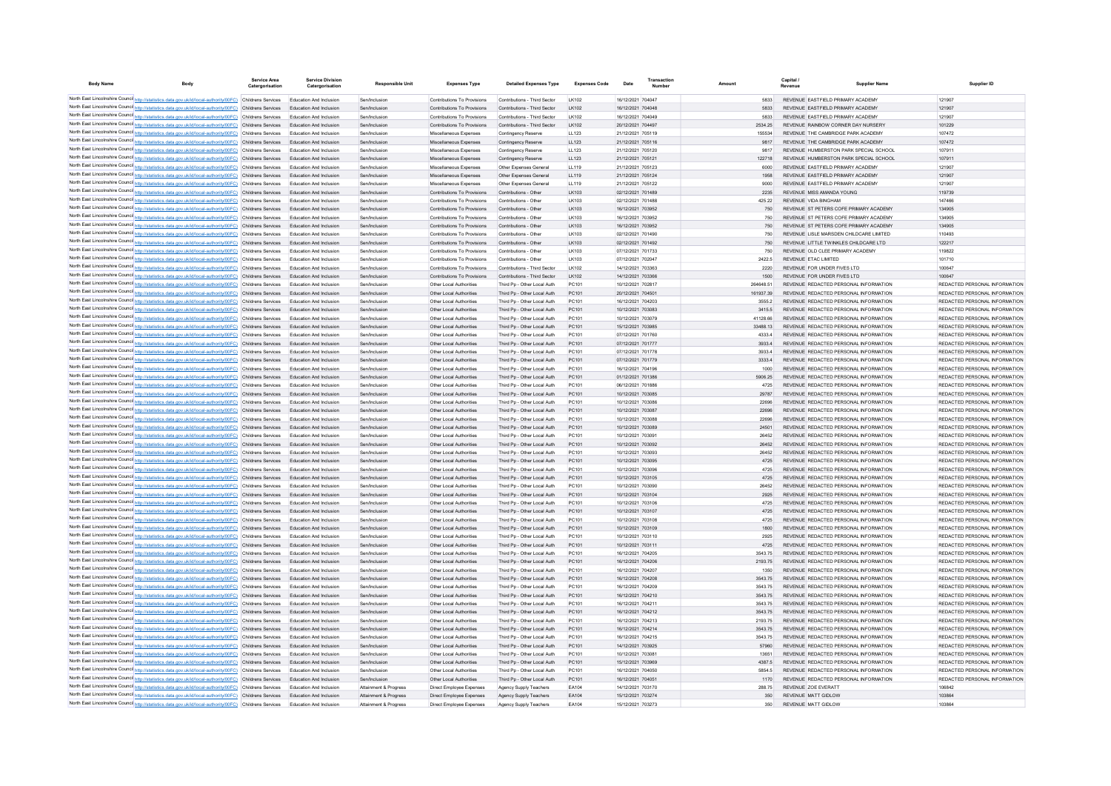| <b>Body Name</b> | Body                                                                                                                                                                                                                 | Service Area<br>Catergorisation | <b>Service Division</b><br>Catergorisation                | <b>Responsible Unit</b>                        | <b>Expenses Type</b>                                       | <b>Detailed Expenses Type</b>                              | <b>Expenses Code</b>       | Date                                   | Number |                | Capital /<br>Revenue | <b>Supplier Name</b>                                                           | Supplier ID                                                    |
|------------------|----------------------------------------------------------------------------------------------------------------------------------------------------------------------------------------------------------------------|---------------------------------|-----------------------------------------------------------|------------------------------------------------|------------------------------------------------------------|------------------------------------------------------------|----------------------------|----------------------------------------|--------|----------------|----------------------|--------------------------------------------------------------------------------|----------------------------------------------------------------|
|                  | North East Lincolnshire Counci http://statistics.data.gov.uk/id/local-authority/00FC) Childrens Services                                                                                                             |                                 | Education And Inclusion                                   | Sen/Inclusion                                  | Contributions To Provisions                                | Contributions - Third Sector                               | LK102                      | 16/12/2021 704047                      |        | 5833           |                      | REVENUE EASTFIELD PRIMARY ACADEMY                                              | 121907                                                         |
|                  | North East Lincolnshire Counci http://statistics.data.gov.uk/id/local-authority/00FC) Childrens Services                                                                                                             |                                 | Education And Inclusion                                   | Sen/Inclusion                                  | Contributions To Provisions                                | Contributions - Third Sector                               | LK102                      | 16/12/2021 704048                      |        | 5833           |                      | REVENUE EASTFIELD PRIMARY ACADEMY                                              | 121907                                                         |
|                  | North East Lincolnshire Counci http://statistics.data.gov.uk/id/local-authority/00FC) Childrens Services                                                                                                             |                                 | Education And Inclusion                                   | Sen/Inclusion                                  | Contributions To Provisions                                | Contributions - Third Sector                               | LK102                      | 16/12/2021 704049                      |        | 5833           |                      | REVENUE EASTFIELD PRIMARY ACADEMY                                              | 121907                                                         |
|                  | North East Lincolnshire Counci http://statistics.data.gov.uk/id/local-authority/00FC) Childrens Services                                                                                                             |                                 | Education And Inclusion                                   | Sen/Inclusion                                  | Contributions To Provisions                                | Contributions - Third Sector                               | LK102                      | 20/12/2021 704497                      |        | 2534.25        |                      | REVENUE RAINBOW CORNER DAY NURSERY                                             | 101229                                                         |
|                  | North East Lincolnshire Counci http://statistics.data.gov.uk/id/local-authority/00FC) Childrens Services                                                                                                             |                                 | Education And Inclusion                                   | Sen/Inclusion                                  | Miscellaneous Expenses                                     | Contingency Reserve                                        | LL123                      | 21/12/2021 705119                      |        | 155534         |                      | REVENUE THE CAMBRIDGE PARK ACADEMY                                             | 107472                                                         |
|                  | North East Lincolnshire Counci http://statistics.data.gov.uk/id/local-authority/00FC) Childrens Services                                                                                                             |                                 | Education And Inclusion                                   | Sen/Inclusion                                  | Miscellaneous Expenses                                     | Contingency Reserve                                        | LL123                      | 21/12/2021 705116                      |        | 9817           |                      | REVENUE THE CAMBRIDGE PARK ACADEMY                                             | 107472                                                         |
|                  | North East Lincolnshire Counci http://statistics.data.gov.uk/id/local-authority/00FC) Childrens Services                                                                                                             |                                 | Education And Inclusion                                   | Sen/Inclusion                                  | Miscellaneous Expenses                                     | Contingency Reserve                                        | LL123                      | 21/12/2021 705120                      |        | 9817           |                      | REVENUE HUMBERSTON PARK SPECIAL SCHOOL                                         | 107911                                                         |
|                  | North East Lincolnshire Counci http://statistics.data.gov.uk/id/local-authority/00FC) Childrens Services                                                                                                             |                                 | Education And Inclusion                                   | Sen/Inclusion                                  | Miscellaneous Expenses                                     | Contingency Reserve                                        | LL123                      | 21/12/2021 705121                      |        | 122718         |                      | REVENUE HUMBERSTON PARK SPECIAL SCHOOL                                         | 107911                                                         |
|                  | North East Lincolnshire Counci http://statistics.data.gov.uk/id/local-authority/00FC) Childrens Services                                                                                                             |                                 | Education And Inclusion                                   | Sen/Inclusion                                  | Miscellaneous Expenses                                     | Other Expenses General                                     | LL119                      | 21/12/2021 705123                      |        | 6000           |                      | REVENUE EASTFIELD PRIMARY ACADEMY                                              | 121907                                                         |
|                  | North East Lincolnshire Counci http://statistics.data.gov.uk/id/local-authority/00FC) Childrens Services                                                                                                             |                                 | Education And Inclusion                                   | Sen/Inclusion                                  | Miscellaneous Expenses                                     | Other Expenses General                                     | LL119                      | 21/12/2021 705124                      |        | 1958           |                      | REVENUE EASTFIELD PRIMARY ACADEMY                                              | 121907                                                         |
|                  | North East Lincolnshire Counci http://statistics.data.gov.uk/id/local-authority/00FC) Childrens Services<br>North East Lincolnshire Counci http://statistics.data.gov.uk/id/local-authority/00FC) Childrens Services |                                 | Education And Inclusion<br>Education And Inclusion        | Sen/Inclusion                                  | Miscellaneous Expenses                                     | Other Expenses General                                     | LL119                      | 21/12/2021 705122                      |        | 9000           |                      | REVENUE EASTFIELD PRIMARY ACADEMY                                              | 121907                                                         |
|                  | North East Lincolnshire Counci http://statistics.data.gov.uk/id/local-authority/00FC) Childrens Services                                                                                                             |                                 | Education And Inclusion                                   | Sen/Inclusion<br>Sen/Inclusion                 | Contributions To Provisions<br>Contributions To Provisions | Contributions - Other<br>Contributions - Other             | LK103<br>LK103             | 02/12/2021 701489<br>02/12/2021 701488 |        | 2235<br>425.22 |                      | REVENUE MISS AMANDA YOUNG<br>REVENUE VIDA BINGHAM                              | 119739<br>147466                                               |
|                  | North East Lincolnshire Counci http://statistics.data.gov.uk/id/local-authority/00FC) Childrens Services                                                                                                             |                                 | Education And Inclusion                                   | Sen/Inclusion                                  | Contributions To Provisions                                | Contributions - Other                                      | LK103                      | 16/12/2021 703952                      |        | 750            |                      | REVENUE ST PETERS COFE PRIMARY ACADEMY                                         | 134905                                                         |
|                  | North East Lincolnshire Counci http://statistics.data.gov.uk/id/local-authority/00FC) Childrens Services                                                                                                             |                                 | Education And Inclusion                                   | Sen/Inclusion                                  | Contributions To Provisions                                | Contributions - Other                                      | LK103                      | 16/12/2021 703952                      |        | 750            |                      | REVENUE ST PETERS COFE PRIMARY ACADEMY                                         | 134905                                                         |
|                  | North East Lincolnshire Counci http://statistics.data.gov.uk/id/local-authority/00FC) Childrens Services                                                                                                             |                                 | Education And Inclusion                                   | Sen/Inclusion                                  | Contributions To Provisions                                | Contributions - Other                                      | LK103                      | 16/12/2021 703952                      |        | 750            |                      | REVENUE ST PETERS COFE PRIMARY ACADEMY                                         | 134905                                                         |
|                  | North East Lincolnshire Counci http://statistics.data.gov.uk/id/local-authority/00FC) Childrens Services                                                                                                             |                                 | Education And Inclusion                                   | Sen/Inclusion                                  | Contributions To Provisions                                | Contributions - Other                                      | LK103                      | 02/12/2021 701490                      |        | 750            |                      | REVENUE LISLE MARSDEN CHILDCARE LIMITED                                        | 110493                                                         |
|                  | North East Lincolnshire Counci http://statistics.data.gov.uk/id/local-authority/00FC) Childrens Services                                                                                                             |                                 | Education And Inclusion                                   | Sen/Inclusion                                  | Contributions To Provisions                                | Contributions - Other                                      | LK103                      | 02/12/2021 701492                      |        | 750            |                      | REVENUE LITTLE TWINKLES CHILDCARE LTD                                          | 122217                                                         |
|                  | North East Lincolnshire Counci http://statistics.data.gov.uk/id/local-authority/00FC) Childrens Services                                                                                                             |                                 | Education And Inclusion                                   | Sen/Inclusion                                  | Contributions To Provisions                                | Contributions - Other                                      | LK103                      | 07/12/2021 701733                      |        | 750            |                      | REVENUE OLD CLEE PRIMARY ACADEMY                                               | 119822                                                         |
|                  | North East Lincolnshire Counci http://statistics.data.gov.uk/id/local-authority/00FC) Childrens Services                                                                                                             |                                 | Education And Inclusion                                   | Sen/Inclusion                                  | Contributions To Provisions                                | Contributions - Other                                      | LK103                      | 07/12/2021 702047                      |        | 2422.5         |                      | REVENUE ETAC LIMITED                                                           | 101710                                                         |
|                  | North East Lincolnshire Counci http://statistics.data.gov.uk/id/local-authority/00FC) Childrens Services                                                                                                             |                                 | <b>Education And Inclusion</b>                            | Sen/Inclusion                                  | Contributions To Provisions                                | Contributions - Third Sector                               | LK102                      | 14/12/2021 703363                      |        | 2220           |                      | REVENUE FOR UNDER FIVES LTD                                                    | 100647                                                         |
|                  | North East Lincolnshire Counci http://statistics.data.gov.uk/id/local-authority/00FC) Childrens Services                                                                                                             |                                 | Education And Inclusion                                   | Sen/Inclusion                                  | Contributions To Provisions                                | Contributions - Third Sector                               | LK102                      | 14/12/2021 703366                      |        | 1500           |                      | REVENUE FOR UNDER FIVES LTD                                                    | 100647                                                         |
|                  | North East Lincolnshire Counci http://statistics.data.gov.uk/id/local-authority/00FC) Childrens Services                                                                                                             |                                 | <b>Education And Inclusion</b>                            | Sen/Inclusion                                  | Other Local Authorities                                    | Third Pp - Other Local Auth                                | PC101                      | 10/12/2021 702817                      |        | 264648.51      |                      | REVENUE REDACTED PERSONAL INFORMATION                                          | REDACTED PERSONAL INFORMATION                                  |
|                  | North East Lincolnshire Counci http://statistics.data.gov.uk/id/local-authority/00FC) Childrens Services                                                                                                             |                                 | Education And Inclusion                                   | Sen/Inclusion                                  | Other Local Authorities                                    | Third Pp - Other Local Auth                                | PC101                      | 20/12/2021 704501                      |        | 161937.39      |                      | REVENUE REDACTED PERSONAL INFORMATION                                          | REDACTED PERSONAL INFORMATION                                  |
|                  | North East Lincolnshire Counci http://statistics.data.gov.uk/id/local-authority/00FC) Childrens Services                                                                                                             |                                 | <b>Education And Inclusion</b>                            | Sen/Inclusion                                  | Other Local Authorities                                    | Third Pp - Other Local Auth                                | PC101                      | 16/12/2021 704203                      |        | 3555.2         |                      | REVENUE REDACTED PERSONAL INFORMATION                                          | REDACTED PERSONAL INFORMATION                                  |
|                  | North East Lincolnshire Counci http://statistics.data.gov.uk/id/local-authority/00FC) Childrens Services                                                                                                             |                                 | <b>Education And Inclusion</b>                            | Sen/Inclusion                                  | Other Local Authorities                                    | Third Pp - Other Local Auth                                | PC101                      | 10/12/2021 703083                      |        | 3415.5         |                      | REVENUE REDACTED PERSONAL INFORMATION                                          | REDACTED PERSONAL INFORMATION                                  |
|                  | North East Lincolnshire Counci http://statistics.data.gov.uk/id/local-authority/00FC) Childrens Services                                                                                                             |                                 | Education And Inclusion                                   | Sen/Inclusion                                  | Other Local Authorities                                    | Third Pp - Other Local Auth                                | PC101                      | 10/12/2021 703079                      |        | 41128.66       |                      | REVENUE REDACTED PERSONAL INFORMATION                                          | REDACTED PERSONAL INFORMATION                                  |
|                  | North East Lincolnshire Counci http://statistics.data.gov.uk/id/local-authority/00FC) Childrens Services                                                                                                             |                                 | Education And Inclusion                                   | Sen/Inclusion                                  | Other Local Authorities                                    | Third Pp - Other Local Auth                                | PC101                      | 15/12/2021 703985                      |        | 33488.13       |                      | REVENUE REDACTED PERSONAL INFORMATION                                          | REDACTED PERSONAL INFORMATION                                  |
|                  | North East Lincolnshire Counci http://statistics.data.gov.uk/id/local-authority/00FC) Childrens Services                                                                                                             |                                 | Education And Inclusion                                   | Sen/Inclusion                                  | Other Local Authorities                                    | Third Pp - Other Local Auth                                | PC101                      | 07/12/2021 701760                      |        | 4333.4         |                      | REVENUE REDACTED PERSONAL INFORMATION                                          | REDACTED PERSONAL INFORMATION                                  |
|                  | North East Lincolnshire Counci http://statistics.data.gov.uk/id/local-authority/00FC) Childrens Services                                                                                                             |                                 | Education And Inclusion                                   | Sen/Inclusion                                  | Other Local Authorities                                    | Third Pp - Other Local Auth                                | PC101                      | 07/12/2021 701777                      |        | 3933.4         |                      | REVENUE REDACTED PERSONAL INFORMATION                                          | REDACTED PERSONAL INFORMATION                                  |
|                  | North East Lincolnshire Counci http://statistics.data.gov.uk/id/local-authority/00FC) Childrens Services<br>North East Lincolnshire Counci http://statistics.data.gov.uk/id/local-authority/00FC) Childrens Services |                                 | Education And Inclusion<br>Education And Inclusion        | Sen/Inclusion                                  | Other Local Authorities                                    | Third Pp - Other Local Auth                                | PC101                      | 07/12/2021 701778                      |        | 3933.4         |                      | REVENUE REDACTED PERSONAL INFORMATION<br>REVENUE REDACTED PERSONAL INFORMATION | REDACTED PERSONAL INFORMATION<br>REDACTED PERSONAL INFORMATION |
|                  | North East Lincolnshire Counci http://statistics.data.gov.uk/id/local-authority/00FC) Childrens Services                                                                                                             |                                 | <b>Education And Inclusion</b>                            | Sen/Inclusion<br>Sen/Inclusion                 | Other Local Authorities<br>Other Local Authorities         | Third Pp - Other Local Auth<br>Third Pp - Other Local Auth | PC101<br>PC101             | 07/12/2021 701779<br>16/12/2021 704196 |        | 3333.4<br>1000 |                      | REVENUE REDACTED PERSONAL INFORMATION                                          | REDACTED PERSONAL INFORMATION                                  |
|                  | North East Lincolnshire Counci http://statistics.data.gov.uk/id/local-authority/00FC) Childrens Services                                                                                                             |                                 | <b>Education And Inclusion</b>                            | Sen/Inclusion                                  | Other Local Authorities                                    | Third Pp - Other Local Auth                                | PC101                      | 01/12/2021 701386                      |        | 5906.25        |                      | REVENUE REDACTED PERSONAL INFORMATION                                          | REDACTED PERSONAL INFORMATION                                  |
|                  | North East Lincolnshire Counci http://statistics.data.gov.uk/id/local-authority/00FC) Childrens Services                                                                                                             |                                 | <b>Education And Inclusion</b>                            | Sen/Inclusion                                  | Other Local Authorities                                    | Third Pp - Other Local Auth                                | PC101                      | 06/12/2021 701886                      |        | 4725           |                      | REVENUE REDACTED PERSONAL INFORMATION                                          | REDACTED PERSONAL INFORMATION                                  |
|                  | North East Lincolnshire Counci http://statistics.data.gov.uk/id/local-authority/00FC) Childrens Services                                                                                                             |                                 | <b>Education And Inclusion</b>                            | Sen/Inclusion                                  | Other Local Authorities                                    | Third Pp - Other Local Auth                                | PC101                      | 10/12/2021 703085                      |        | 29787          |                      | REVENUE REDACTED PERSONAL INFORMATION                                          | REDACTED PERSONAL INFORMATION                                  |
|                  | North East Lincolnshire Counci http://statistics.data.gov.uk/id/local-authority/00FC) Childrens Services                                                                                                             |                                 | <b>Education And Inclusion</b>                            | Sen/Inclusion                                  | Other Local Authorities                                    | Third Pp - Other Local Auth                                | PC101                      | 10/12/2021 703086                      |        | 22696          |                      | REVENUE REDACTED PERSONAL INFORMATION                                          | REDACTED PERSONAL INFORMATION                                  |
|                  | North East Lincolnshire Counci http://statistics.data.gov.uk/id/local-authority/00FC) Childrens Services                                                                                                             |                                 | <b>Education And Inclusion</b>                            | Sen/Inclusion                                  | Other Local Authorities                                    | Third Pp - Other Local Auth                                | PC101                      | 10/12/2021 703087                      |        | 22696          |                      | REVENUE REDACTED PERSONAL INFORMATION                                          | REDACTED PERSONAL INFORMATION                                  |
|                  | North East Lincolnshire Counci http://statistics.data.gov.uk/id/local-authority/00FC) Childrens Services                                                                                                             |                                 | Education And Inclusion                                   | Sen/Inclusion                                  | Other Local Authorities                                    | Third Pp - Other Local Auth                                | PC101                      | 10/12/2021 703088                      |        | 22696          |                      | REVENUE REDACTED PERSONAL INFORMATION                                          | REDACTED PERSONAL INFORMATION                                  |
|                  | North East Lincolnshire Counci http://statistics.data.gov.uk/id/local-authority/00FC) Childrens Services                                                                                                             |                                 | Education And Inclusion                                   | Sen/Inclusion                                  | Other Local Authorities                                    | Third Po - Other Local Auth                                | PC101                      | 10/12/2021 703089                      |        | 24501          |                      | REVENUE REDACTED PERSONAL INFORMATION                                          | REDACTED PERSONAL INFORMATION                                  |
|                  | North East Lincolnshire Counci http://statistics.data.gov.uk/id/local-authority/00FC) Childrens Services                                                                                                             |                                 | <b>Education And Inclusion</b>                            | Sen/Inclusion                                  | Other Local Authorities                                    | Third Pp - Other Local Auth                                | PC101                      | 10/12/2021 703091                      |        | 26452          |                      | REVENUE REDACTED PERSONAL INFORMATION                                          | REDACTED PERSONAL INFORMATION                                  |
|                  | North East Lincolnshire Counci http://statistics.data.gov.uk/id/local-authority/00FC) Childrens Services                                                                                                             |                                 | Education And Inclusion                                   | Sen/Inclusion                                  | Other Local Authorities                                    | Third Po - Other Local Auth                                | PC101                      | 10/12/2021 703092                      |        | 26452          |                      | REVENUE REDACTED PERSONAL INFORMATION                                          | REDACTED PERSONAL INFORMATION                                  |
|                  | North East Lincolnshire Counci http://statistics.data.gov.uk/id/local-authority/00FC) Childrens Services                                                                                                             |                                 | <b>Education And Inclusion</b>                            | Sen/Inclusion                                  | Other Local Authorities                                    | Third Pp - Other Local Auth                                | PC101                      | 10/12/2021 703093                      |        | 26452          |                      | REVENUE REDACTED PERSONAL INFORMATION                                          | REDACTED PERSONAL INFORMATION                                  |
|                  | North East Lincolnshire Counci http://statistics.data.gov.uk/id/local-authority/00FC) Childrens Services                                                                                                             |                                 | Education And Inclusion                                   | Sen/Inclusion                                  | Other Local Authorities                                    | Third Pp - Other Local Auth                                | PC101                      | 10/12/2021 703095                      |        | 4725           |                      | REVENUE REDACTED PERSONAL INFORMATION                                          | REDACTED PERSONAL INFORMATION                                  |
|                  | North East Lincolnshire Counci http://statistics.data.gov.uk/id/local-authority/00FC) Childrens Services                                                                                                             |                                 | <b>Education And Inclusion</b>                            | Sen/Inclusion                                  | Other Local Authorities                                    | Third Pp - Other Local Auth                                | PC101                      | 10/12/2021 703096                      |        | 4725           |                      | REVENUE REDACTED PERSONAL INFORMATION                                          | REDACTED PERSONAL INFORMATION                                  |
|                  | North East Lincolnshire Counci http://statistics.data.gov.uk/id/local-authority/00FC) Childrens Services                                                                                                             |                                 | Education And Inclusion                                   | Sen/Inclusion                                  | Other Local Authorities                                    | Third Pp - Other Local Auth                                | PC101                      | 10/12/2021 703105                      |        | 4725           |                      | REVENUE REDACTED PERSONAL INFORMATION                                          | REDACTED PERSONAL INFORMATION                                  |
|                  | North East Lincolnshire Counci http://statistics.data.gov.uk/id/local-authority/00FC) Childrens Services                                                                                                             |                                 | <b>Education And Inclusion</b>                            | Sen/Inclusion                                  | Other Local Authorities                                    | Third Pp - Other Local Auth                                | PC101                      | 10/12/2021 703090                      |        | 26452          |                      | REVENUE REDACTED PERSONAL INFORMATION                                          | REDACTED PERSONAL INFORMATION                                  |
|                  | North East Lincolnshire Counci http://statistics.data.gov.uk/id/local-authority/00FC) Childrens Services                                                                                                             |                                 | Education And Inclusion                                   | Sen/Inclusion                                  | Other Local Authorities                                    | Third Pp - Other Local Auth                                | PC101                      | 10/12/2021 703104                      |        | 2925           |                      | REVENUE REDACTED PERSONAL INFORMATION                                          | REDACTED PERSONAL INFORMATION                                  |
|                  | North East Lincolnshire Counci http://statistics.data.gov.uk/id/local-authority/00FC) Childrens Services                                                                                                             |                                 | <b>Education And Inclusion</b>                            | Sen/Inclusion                                  | Other Local Authorities                                    | Third Pp - Other Local Auth                                | PC101                      | 10/12/2021 703106                      |        | 4725           |                      | REVENUE REDACTED PERSONAL INFORMATION                                          | REDACTED PERSONAL INFORMATION                                  |
|                  | North East Lincolnshire Counci http://statistics.data.gov.uk/id/local-authority/00FC) Childrens Services<br>North East Lincolnshire Counci http://statistics.data.gov.uk/id/local-authority/00FC) Childrens Services |                                 | Education And Inclusion<br><b>Education And Inclusion</b> | Sen/Inclusion<br>Sen/Inclusion                 | Other Local Authorities<br>Other Local Authorities         | Third Pp - Other Local Auth<br>Third Pp - Other Local Auth | PC101<br>PC <sub>101</sub> | 10/12/2021 703107<br>10/12/2021 703108 |        | 4725<br>4725   |                      | REVENUE REDACTED PERSONAL INFORMATION<br>REVENUE REDACTED PERSONAL INFORMATION | REDACTED PERSONAL INFORMATION<br>REDACTED PERSONAL INFORMATION |
|                  | North East Lincolnshire Counci http://statistics.data.gov.uk/id/local-authority/00FC) Childrens Services                                                                                                             |                                 | Education And Inclusion                                   | Sen/Inclusion                                  | Other Local Authorities                                    | Third Pp - Other Local Auth                                | PC101                      | 10/12/2021 703109                      |        | 1800           |                      | REVENUE REDACTED PERSONAL INFORMATION                                          | REDACTED PERSONAL INFORMATION                                  |
|                  | North East Lincolnshire Counci http://statistics.data.gov.uk/id/local-authority/00FC) Childrens Services                                                                                                             |                                 | <b>Education And Inclusion</b>                            | Sen/Inclusion                                  | Other Local Authorities                                    | Third Pp - Other Local Auth                                | PC <sub>101</sub>          | 10/12/2021 703110                      |        | 2925           |                      | REVENUE REDACTED PERSONAL INFORMATION                                          | REDACTED PERSONAL INFORMATION                                  |
|                  | North East Lincolnshire Counci http://statistics.data.gov.uk/id/local-authority/00FC) Childrens Services                                                                                                             |                                 | Education And Inclusion                                   | Sen/Inclusion                                  | Other Local Authorities                                    | Third Pp - Other Local Auth                                | PC101                      | 10/12/2021 703111                      |        | 4725           |                      | REVENUE REDACTED PERSONAL INFORMATION                                          | REDACTED PERSONAL INFORMATION                                  |
|                  | North East Lincolnshire Counci http://statistics.data.gov.uk/id/local-authority/00FC) Childrens Services                                                                                                             |                                 | Education And Inclusion                                   | Sen/Inclusion                                  | Other Local Authorities                                    | Third Pp - Other Local Auth                                | PC101                      | 16/12/2021 704205                      |        | 3543.75        |                      | REVENUE REDACTED PERSONAL INFORMATION                                          | REDACTED PERSONAL INFORMATION                                  |
|                  | North East Lincolnshire Counci http://statistics.data.gov.uk/id/local-authority/00FC) Childrens Services                                                                                                             |                                 | Education And Inclusion                                   | Sen/Inclusion                                  | Other Local Authorities                                    | Third Pp - Other Local Auth                                | PC101                      | 16/12/2021 704206                      |        | 2193.75        |                      | REVENUE REDACTED PERSONAL INFORMATION                                          | REDACTED PERSONAL INFORMATION                                  |
|                  | North East Lincolnshire Counci http://statistics.data.gov.uk/id/local-authority/00FC) Childrens Services                                                                                                             |                                 | Education And Inclusion                                   | Sen/Inclusion                                  | Other Local Authorities                                    | Third Pp - Other Local Auth                                | PC101                      | 16/12/2021 704207                      |        | 1350           |                      | REVENUE REDACTED PERSONAL INFORMATION                                          | REDACTED PERSONAL INFORMATION                                  |
|                  | North East Lincolnshire Counci http://statistics.data.gov.uk/id/local-authority/00FC) Childrens Services                                                                                                             |                                 | Education And Inclusion                                   | Sen/Inclusion                                  | Other Local Authorities                                    | Third Pp - Other Local Auth                                | PC101                      | 16/12/2021 704208                      |        | 3543.75        |                      | REVENUE REDACTED PERSONAL INFORMATION                                          | REDACTED PERSONAL INFORMATION                                  |
|                  | North East Lincolnshire Counci http://statistics.data.gov.uk/id/local-authority/00FC) Childrens Services                                                                                                             |                                 | Education And Inclusion                                   | Sen/Inclusion                                  | Other Local Authorities                                    | Third Pp - Other Local Auth                                | PC101                      | 16/12/2021 704209                      |        | 3543.75        |                      | REVENUE REDACTED PERSONAL INFORMATION                                          | REDACTED PERSONAL INFORMATION                                  |
|                  | North East Lincolnshire Counci http://statistics.data.gov.uk/id/local-authority/00FC) Childrens Services                                                                                                             |                                 | Education And Inclusion                                   | Sen/Inclusion                                  | Other Local Authorities                                    | Third Pp - Other Local Auth                                | PC101                      | 16/12/2021 704210                      |        | 3543.75        |                      | REVENUE REDACTED PERSONAL INFORMATION                                          | REDACTED PERSONAL INFORMATION                                  |
|                  | North East Lincolnshire Counci http://statistics.data.gov.uk/id/local-authority/00FC) Childrens Services                                                                                                             |                                 | Education And Inclusion                                   | Sen/Inclusion                                  | Other Local Authorities                                    | Third Pp - Other Local Auth                                | PC101                      | 16/12/2021 70421                       |        | 3543.75        |                      | REVENUE REDACTED PERSONAL INFORMATION                                          | REDACTED PERSONAL INFORMATION                                  |
|                  | North East Lincolnshire Counci http://statistics.data.gov.uk/id/local-authority/00FC) Childrens Services                                                                                                             |                                 | Education And Inclusion                                   | Sen/Inclusion                                  | Other Local Authorities                                    | Third Pp - Other Local Auth                                | PC101                      | 16/12/2021 704212                      |        | 3543.75        |                      | REVENUE REDACTED PERSONAL INFORMATION                                          | REDACTED PERSONAL INFORMATION                                  |
|                  | North East Lincolnshire Counci http://statistics.data.gov.uk/id/local-authority/00FC) Childrens Services                                                                                                             |                                 | Education And Inclusion                                   | Sen/Inclusion                                  | Other Local Authorities                                    | Third Pp - Other Local Auth                                | PC101                      | 16/12/2021 704213                      |        | 2193.75        |                      | REVENUE REDACTED PERSONAL INFORMATION                                          | REDACTED PERSONAL INFORMATION                                  |
|                  | North East Lincolnshire Counci http://statistics.data.gov.uk/id/local-authority/00FC) Childrens Services                                                                                                             |                                 | Education And Inclusion                                   | Sen/Inclusion                                  | Other Local Authorities                                    | Third Pp - Other Local Auth                                | PC101                      | 16/12/2021 704214                      |        | 3543.75        |                      | REVENUE REDACTED PERSONAL INFORMATION                                          | REDACTED PERSONAL INFORMATION                                  |
|                  | North East Lincolnshire Counci http://statistics.data.gov.uk/id/local-authority/00FC) Childrens Services                                                                                                             |                                 | <b>Education And Inclusion</b>                            | Sen/Inclusion                                  | Other Local Authorities                                    | Third Pp - Other Local Auth                                | PC101                      | 16/12/2021 704215                      |        | 3543.75        |                      | REVENUE REDACTED PERSONAL INFORMATION                                          | REDACTED PERSONAL INFORMATION                                  |
|                  | North East Lincolnshire Counci http://statistics.data.gov.uk/id/local-authority/00FC) Childrens Services                                                                                                             |                                 | Education And Inclusion                                   | Sen/Inclusion                                  | Other Local Authorities                                    | Third Pp - Other Local Auth                                | PC101                      | 14/12/2021 703925                      |        | 57960          |                      | REVENUE REDACTED PERSONAL INFORMATION                                          | REDACTED PERSONAL INFORMATION                                  |
|                  | North East Lincolnshire Counci http://statistics.data.gov.uk/id/local-authority/00FC) Childrens Services                                                                                                             |                                 | <b>Education And Inclusion</b>                            | Sen/Inclusion                                  | Other Local Authoritie                                     | Third Pp - Other Local Auth                                | PC101                      | 10/12/2021 703081                      |        | 13651          |                      | REVENUE REDACTED PERSONAL INFORMATION                                          | REDACTED PERSONAL INFORMATION                                  |
|                  | North East Lincolnshire Counci http://statistics.data.gov.uk/id/local-authority/00FC) Childrens Services                                                                                                             |                                 | Education And Inclusion                                   | Sen/Inclusion                                  | Other Local Authorities                                    | Third Pp - Other Local Auth                                | PC101                      | 15/12/2021 703969                      |        | 4387.5         |                      | REVENUE REDACTED PERSONAL INFORMATION                                          | REDACTED PERSONAL INFORMATION                                  |
|                  | North East Lincolnshire Counci http://statistics.data.gov.uk/id/local-authority/00FC) Childrens Services                                                                                                             |                                 | Education And Inclusion                                   | Sen/Inclusion                                  | Other Local Authorities                                    | Third Pp - Other Local Auth                                | PC101                      | 16/12/2021 704050                      |        | 5854.5         |                      | REVENUE REDACTED PERSONAL INFORMATION                                          | REDACTED PERSONAL INFORMATION                                  |
|                  | North East Lincolnshire Counci http://statistics.data.gov.uk/id/local-authority/00FC) Childrens Services                                                                                                             |                                 | Education And Inclusion                                   | Sen/Inclusion                                  | Other Local Authorities                                    | Third Pp - Other Local Auth                                | PC101<br>FA104             | 16/12/2021 704051<br>14/12/2021 703170 |        | 1170           |                      | REVENUE REDACTED PERSONAL INFORMATION<br><b>REVENUE ZOF EVERATT</b>            | REDACTED PERSONAL INFORMATION<br>106842                        |
|                  | North East Lincolnshire Counci http://statistics.data.gov.uk/id/local-authority/00FC) Childrens Services<br>North East Lincolnshire Counci http://statistics.data.gov.uk/id/local-authority/00FC) Childrens Services |                                 | Education And Inclusion<br>Education And Inclusion        | Attainment & Progress                          | Direct Employee Expenses                                   | Agency Supply Teacher                                      | EA104                      | 15/12/2021 703274                      |        | 288.75<br>350  |                      | <b>REVENUE MATT GIDLOW</b>                                                     | 103864                                                         |
|                  | North East Lincolnshire Counci http://statistics.data.gov.uk/id/local-authority/00FC) Childrens Services                                                                                                             |                                 | Education And Inclusion                                   | Attainment & Progress<br>Attainment & Progress | Direct Employee Expenses<br>Direct Employee Expenses       | Agency Supply Teachers<br>Agency Supply Teachers           | FA104                      | 15/12/2021 703273                      |        | 350            |                      | REVENUE MATT GIDLOW                                                            | 103864                                                         |
|                  |                                                                                                                                                                                                                      |                                 |                                                           |                                                |                                                            |                                                            |                            |                                        |        |                |                      |                                                                                |                                                                |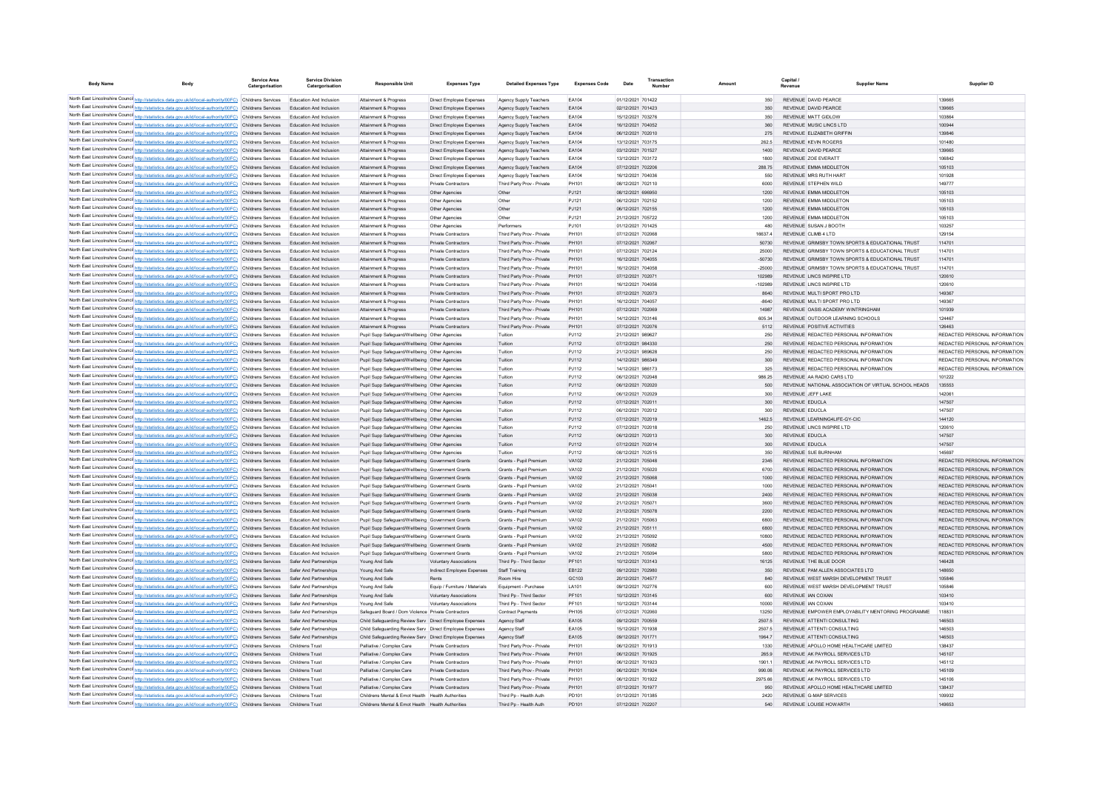| <b>Body Name</b> | Body                                                                                                                                                                                                                 | Service Area<br>Catergorisation | <b>Service Division</b><br>Catergorisation         | <b>Responsible Unit</b>                                                                        | <b>Expenses Type</b>          | <b>Detailed Expenses Type</b> | <b>Expenses Code</b> | Date                                   | Number |            | Capital /<br><b>Supplier Name</b><br>Revenue         | Supplier ID                   |
|------------------|----------------------------------------------------------------------------------------------------------------------------------------------------------------------------------------------------------------------|---------------------------------|----------------------------------------------------|------------------------------------------------------------------------------------------------|-------------------------------|-------------------------------|----------------------|----------------------------------------|--------|------------|------------------------------------------------------|-------------------------------|
|                  | North East Lincolnshire Counci http://statistics.data.gov.uk/id/local-authority/00FC) Childrens Services                                                                                                             |                                 | Education And Inclusion                            | Attainment & Progress                                                                          | Direct Employee Expenses      | Agency Supply Teachers        | EA104                | 01/12/2021 701422                      |        | 350        | REVENUE DAVID PEARCE                                 | 139665                        |
|                  | North East Lincolnshire Counci http://statistics.data.gov.uk/id/local-authority/00FC) Childrens Services                                                                                                             |                                 | Education And Inclusion                            | Attainment & Progress                                                                          | Direct Employee Expenses      | Agency Supply Teachers        | EA104                | 02/12/2021 701423                      |        | 350        | REVENUE DAVID PEARCE                                 | 139665                        |
|                  | North East Lincolnshire Counci http://statistics.data.gov.uk/id/local-authority/00FC) Childrens Services                                                                                                             |                                 | Education And Inclusion                            | Attainment & Progress                                                                          | Direct Employee Expenses      | Agency Supply Teachers        | EA104                | 15/12/2021 703276                      |        | 350        | <b>REVENUE MATT GIDLOW</b>                           | 103864                        |
|                  | North East Lincolnshire Counci http://statistics.data.gov.uk/id/local-authority/00FC) Childrens Services                                                                                                             |                                 | Education And Inclusion                            | Attainment & Progress                                                                          | Direct Employee Expenses      | Agency Supply Teachers        | EA104                | 16/12/2021 704052                      |        | 360        | REVENUE MUSIC LINCS LTD                              | 100944                        |
|                  | North East Lincolnshire Councint http://statistics.data.gov.uk/id/local-authority/00FC) Childrens Services                                                                                                           |                                 | Education And Inclusion                            | Attainment & Progress                                                                          | Direct Employee Expenses      | Agency Supply Teachers        | EA104                | 06/12/2021 702010                      |        | 275        | REVENUE ELIZABETH GRIFFIN                            | 139846                        |
|                  | North East Lincolnshire Counci http://statistics.data.gov.uk/id/local-authority/00FC) Childrens Services                                                                                                             |                                 | Education And Inclusion                            | Attainment & Progress                                                                          | Direct Employee Expenses      | Agency Supply Teachers        | EA104                | 13/12/2021 703175                      |        | 262.5      | <b>REVENUE KEVIN ROGERS</b>                          | 101480                        |
|                  | North East Lincolnshire Counci http://statistics.data.gov.uk/id/local-authority/00FC) Childrens Services                                                                                                             |                                 | Education And Inclusion                            | Attainment & Progress                                                                          | Direct Employee Expenses      | Agency Supply Teachers        | EA104                | 03/12/2021 701527                      |        | 1400       | REVENUE DAVID PEARCE                                 | 139665                        |
|                  | North East Lincolnshire Counci http://statistics.data.gov.uk/id/local-authority/00FC) Childrens Services                                                                                                             |                                 | Education And Inclusion                            | Attainment & Progress                                                                          | Direct Employee Expenses      | Agency Supply Teachers        | EA104                | 13/12/2021 703172                      |        | 1800       | REVENUE ZOE EVERATT                                  | 106842                        |
|                  | North East Lincolnshire Counci http://statistics.data.gov.uk/id/local-authority/00FC) Childrens Services                                                                                                             |                                 | Education And Inclusion                            | Attainment & Progress                                                                          | Direct Employee Expenses      | Agency Supply Teachers        | EA104                | 07/12/2021 702206                      |        | 288.75     | REVENUE EMMA MIDDLETON                               | 105103                        |
|                  | North East Lincolnshire Counci http://statistics.data.gov.uk/id/local-authority/00FC) Childrens Services                                                                                                             |                                 | Education And Inclusion                            | Attainment & Progress                                                                          | Direct Employee Expenses      | Agency Supply Teachers        | EA104                | 16/12/2021 704036                      |        | 550        | REVENUE MRS RUTH HART                                | 101928                        |
|                  | North East Lincolnshire Counci http://statistics.data.gov.uk/id/local-authority/00FC) Childrens Services                                                                                                             |                                 | Education And Inclusion                            | Attainment & Progress                                                                          | <b>Private Contractors</b>    | Third Party Prov - Private    | PH101                | 08/12/2021 702110                      |        | 6000       | REVENUE STEPHEN WILD                                 | 149777                        |
|                  | North East Lincolnshire Counci http://statistics.data.gov.uk/id/local-authority/00FC) Childrens Services                                                                                                             |                                 | Education And Inclusion                            | Attainment & Progress                                                                          | Other Agencies                | Other                         | PJ121                | 08/12/2021 696950                      |        | 1200       | REVENUE EMMA MIDDLETON                               | 105103                        |
|                  | North East Lincolnshire Counci http://statistics.data.gov.uk/id/local-authority/00FC) Childrens Services                                                                                                             |                                 | Education And Inclusion                            | Attainment & Progress                                                                          | Other Agencies                | Other                         | PJ121                | 06/12/2021 702152                      |        | 1200       | REVENUE EMMA MIDDLETON                               | 105103                        |
|                  | North East Lincolnshire Counci http://statistics.data.gov.uk/id/local-authority/00FC) Childrens Services                                                                                                             |                                 | Education And Inclusion                            | Attainment & Progress                                                                          | Other Agencies                | Other                         | PJ121                | 06/12/2021 702155                      |        | 1200       | REVENUE EMMA MIDDLETON                               | 105103                        |
|                  | North East Lincolnshire Counci http://statistics.data.gov.uk/id/local-authority/00FC) Childrens Services                                                                                                             |                                 | Education And Inclusion                            | Attainment & Progress                                                                          | Other Agencies                | Other                         | PJ121                | 21/12/2021 705722                      |        | 1200       | REVENUE EMMA MIDDLETON                               | 105103                        |
|                  | North East Lincolnshire Counci http://statistics.data.gov.uk/id/local-authority/00FC) Childrens Services                                                                                                             |                                 | Education And Inclusion                            | Attainment & Progress                                                                          | Other Agencies                | Performers                    | PJ101                | 01/12/2021 701425                      |        | 480        | REVENUE SUSAN J BOOTH                                | 103257                        |
|                  | North East Lincolnshire Counci http://statistics.data.gov.uk/id/local-authority/00FC) Childrens Services                                                                                                             |                                 | <b>Education And Inclusion</b>                     | Attainment & Progress                                                                          | Private Contractors           | Third Party Prov - Private    | PH101                | 07/12/2021 702068                      |        | 16637.4    | REVENUE CLIMB 4 LTD                                  | 129154                        |
|                  | North East Lincolnshire Counci http://statistics.data.gov.uk/id/local-authority/00FC) Childrens Services                                                                                                             |                                 | Education And Inclusion                            | Attainment & Progress                                                                          | Private Contractors           | Third Party Prov - Private    | PH101                | 07/12/2021 702067                      |        | 50730      | REVENUE GRIMSBY TOWN SPORTS & EDUCATIONAL TRUST      | 114701                        |
|                  | North East Lincolnshire Counci http://statistics.data.gov.uk/id/local-authority/00FC) Childrens Services                                                                                                             |                                 | <b>Education And Inclusion</b>                     | Attainment & Progress                                                                          | Private Contractors           | Third Party Prov - Private    | PH101                | 07/12/2021 702124                      |        | 25000      | REVENUE, GRIMSBY TOWN SPORTS & EDUCATIONAL TRUST     | 114701                        |
|                  | North East Lincolnshire Counci http://statistics.data.gov.uk/id/local-authority/00FC) Childrens Services                                                                                                             |                                 | Education And Inclusion                            | Attainment & Progress                                                                          | Private Contractors           | Third Party Prov - Private    | PH101                | 16/12/2021 704055                      |        | $-50730$   | REVENUE GRIMSBY TOWN SPORTS & EDUCATIONAL TRUST      | 114701                        |
|                  | North East Lincolnshire Counci http://statistics.data.gov.uk/id/local-authority/00FC) Childrens Services                                                                                                             |                                 | Education And Inclusion                            | Attainment & Progress                                                                          | Private Contractors           | Third Party Prov - Private    | PH101                | 16/12/2021 704058                      |        | $-25000$   | REVENUE GRIMSBY TOWN SPORTS & EDUCATIONAL TRUST      | 114701                        |
|                  | North East Lincolnshire Counci http://statistics.data.gov.uk/id/local-authority/00FC) Childrens Services                                                                                                             |                                 | Education And Inclusion                            | Attainment & Progress                                                                          | Private Contractors           | Third Party Prov - Private    | PH101                | 07/12/2021 702071                      |        | 102989     | REVENUE LINCS INSPIRE LTD                            | 120610                        |
|                  | North East Lincolnshire Counci http://statistics.data.gov.uk/id/local-authority/00FC) Childrens Services                                                                                                             |                                 | Education And Inclusion                            | Attainment & Progress                                                                          | Private Contractors           | Third Party Prov - Private    | PH101                | 16/12/2021 704056                      |        | $-102989$  | REVENUE LINCS INSPIRE LTD                            | 120610                        |
|                  | North East Lincolnshire Counci http://statistics.data.gov.uk/id/local-authority/00FC) Childrens Services                                                                                                             |                                 | Education And Inclusion                            | Attainment & Progress                                                                          | Private Contractors           | Third Party Prov - Private    | PH101                | 07/12/2021 702073                      |        | 8640       | REVENUE MULTI SPORT PRO LTD                          | 149367                        |
|                  | North East Lincolnshire Counci http://statistics.data.gov.uk/id/local-authority/00FC) Childrens Services                                                                                                             |                                 | <b>Education And Inclusion</b>                     | Attainment & Progress                                                                          | Private Contractors           | Third Party Prov - Private    | PH101                | 16/12/2021 704057                      |        | $-8640$    | REVENUE MULTI SPORT PRO LTD                          | 149367                        |
|                  | North East Lincolnshire Counci http://statistics.data.gov.uk/id/local-authority/00FC) Childrens Services                                                                                                             |                                 | <b>Education And Inclusion</b>                     | Attainment & Progress                                                                          | Private Contractors           | Third Party Prov - Private    | PH101                | 07/12/2021 702069                      |        | 14987      | REVENUE OASIS ACADEMY WINTRINGHAM                    | 101939                        |
|                  | North East Lincolnshire Counci http://statistics.data.gov.uk/id/local-authority/00FC) Childrens Services                                                                                                             |                                 | <b>Education And Inclusion</b>                     | Attainment & Progress                                                                          | Private Contractors           | Third Party Prov - Private    | PH101                | 14/12/2021 703146                      |        | 605.34     | REVENUE OUTDOOR LEARNING SCHOOLS                     | 124467                        |
|                  | North East Lincolnshire Counci http://statistics.data.gov.uk/id/local-authority/00FC) Childrens Services                                                                                                             |                                 | <b>Education And Inclusion</b>                     | Attainment & Progress                                                                          | Private Contractors           | Third Party Prov - Private    | PH101                | 07/12/2021 702076                      |        | 5112       | REVENUE POSITIVE ACTIVITIES                          | 126463                        |
|                  | North East Lincolnshire Counci http://statistics.data.gov.uk/id/local-authority/00FC) Childrens Services                                                                                                             |                                 | <b>Education And Inclusion</b>                     | Pupil Supp Safeguard/Wellbeing Other Agencies                                                  |                               | Tuition                       | PJ112                | 21/12/2021 989627                      |        | 250        | REVENUE REDACTED PERSONAL INFORMATION                | REDACTED PERSONAL INFORMATION |
|                  | North East Lincolnshire Counci http://statistics.data.gov.uk/id/local-authority/00FC) Childrens Services                                                                                                             |                                 | Education And Inclusion                            | Pupil Supp Safeguard/Wellbeing Other Agencies                                                  |                               | Tuition                       | PJ112                | 07/12/2021 984330                      |        | 250        | REVENUE REDACTED PERSONAL INFORMATION                | REDACTED PERSONAL INFORMATION |
|                  | North East Lincolnshire Counci http://statistics.data.gov.uk/id/local-authority/00FC) Childrens Services                                                                                                             |                                 | Education And Inclusion                            | Pupil Supp Safeguard/Wellbeing Other Agencies                                                  |                               | Tuition                       | PJ112                | 21/12/2021 989628                      |        | 250        | REVENUE REDACTED PERSONAL INFORMATION                | REDACTED PERSONAL INFORMATION |
|                  | North East Lincolnshire Counci http://statistics.data.gov.uk/id/local-authority/00FC) Childrens Services                                                                                                             |                                 | Education And Inclusion                            | Pupil Supp Safeguard/Wellbeing Other Agencies                                                  |                               | Tuition                       | PJ112                | 14/12/2021 986349                      |        | 300        | REVENUE REDACTED PERSONAL INFORMATION                | REDACTED PERSONAL INFORMATION |
|                  | North East Lincolnshire Counci http://statistics.data.gov.uk/id/local-authority/00FC) Childrens Services                                                                                                             |                                 | Education And Inclusion                            | Pupil Supp Safeguard/Wellbeing Other Agencies                                                  |                               | Tuition                       | PJ112                | 14/12/2021 986173                      |        | 325        | REVENUE, REDACTED PERSONAL INFORMATION               | REDACTED PERSONAL INFORMATION |
|                  | North East Lincolnshire Counci http://statistics.data.gov.uk/id/local-authority/00FC) Childrens Services                                                                                                             |                                 | Education And Inclusion                            | Pupil Supp Safeguard/Wellbeing Other Agencies                                                  |                               | Tuition                       | P.1112               | 06/12/2021 702048                      |        | 986.25     | REVENUE AA RADIO CARS LTD                            | 101222                        |
|                  | North East Lincolnshire Counci http://statistics.data.gov.uk/id/local-authority/00FC) Childrens Services                                                                                                             |                                 | Education And Inclusion                            | Punil Sunn Safeguard/Wellbeing Other Agencies                                                  |                               | Tuition                       | PJ112                | 06/12/2021 702020                      |        | 500        | REVENUE NATIONAL ASSOCIATION OF VIRTUAL SCHOOL HEADS | 135553                        |
|                  | North East Lincolnshire Counci http://statistics.data.gov.uk/id/local-authority/00FC) Childrens Services                                                                                                             |                                 | Education And Inclusion                            | Pupil Supp Safeguard/Wellbeing Other Agencies                                                  |                               | Tuition                       | P.1112               | 06/12/2021 702029                      |        | 300        | REVENUE JEFF LAKE                                    | 142061                        |
|                  | North East Lincolnshire Counci http://statistics.data.gov.uk/id/local-authority/00FC) Childrens Services                                                                                                             |                                 | Education And Inclusion                            | Punil Sunn Safeguard/Wellbeing Other Agencies                                                  |                               | Tuition                       | P.1112               | 07/12/2021 702011                      |        | 300        | <b>REVENUE EDUCLA</b>                                | 147507                        |
|                  | North East Lincolnshire Counci http://statistics.data.gov.uk/id/local-authority/00FC) Childrens Services                                                                                                             |                                 | Education And Inclusion                            | Punil Sunn Safeguard/Wellbeing Other Agencies                                                  |                               | Tuition                       | P.1112               | 06/12/2021 702012                      |        | 300        | <b>REVENUE EDUCLA</b>                                | 147507                        |
|                  | North East Lincolnshire Counci http://statistics.data.gov.uk/id/local-authority/00FC) Childrens Services                                                                                                             |                                 | Education And Inclusion                            | Pupil Supp Safeguard/Wellbeing Other Agencies                                                  |                               | Tuition                       | PJ112                | 07/12/2021 702019                      |        | 1462.5     | REVENUE LEARNING4LIFE-GY-CIC                         | 144120                        |
|                  | North East Lincolnshire Counci http://statistics.data.gov.uk/id/local-authority/00FC) Childrens Services                                                                                                             |                                 | <b>Education And Inclusion</b>                     | Pupil Supp Safeguard/Wellbeing Other Agencies                                                  |                               | Tuition                       | P.1112<br>PJ112      | 07/12/2021 702018<br>06/12/2021 702013 |        | 250        | REVENUE LINCS INSPIRE LTD<br>REVENUE EDUCLA          | 120610<br>147507              |
|                  | North East Lincolnshire Counci http://statistics.data.gov.uk/id/local-authority/00FC) Childrens Services<br>North East Lincolnshire Counci http://statistics.data.gov.uk/id/local-authority/00FC) Childrens Services |                                 | Education And Inclusion<br>Education And Inclusion | Pupil Supp Safeguard/Wellbeing Other Agencies                                                  |                               | Tuition                       | PJ112                | 07/12/2021 702014                      |        | 300<br>300 | REVENUE EDUCLA                                       | 147507                        |
|                  | North East Lincolnshire Counci http://statistics.data.gov.uk/id/local-authority/00FC) Childrens Services                                                                                                             |                                 | Education And Inclusion                            | Pupil Supp Safeguard/Wellbeing Other Agencies<br>Pupil Supp Safeguard/Wellbeing Other Agencies |                               | Tuition<br>Tuition            | PJ112                | 08/12/2021 702515                      |        | 350        | REVENUE SUE BURNHAM                                  | 145697                        |
|                  | North East Lincolnshire Counci http://statistics.data.gov.uk/id/local-authority/00FC) Childrens Services                                                                                                             |                                 | Education And Inclusion                            | Pupil Supp Safeguard/Wellbeing Government Grants                                               |                               | Grants - Pupil Premium        | VA102                | 21/12/2021 705048                      |        | 2345       | REVENUE REDACTED PERSONAL INFORMATION                | REDACTED PERSONAL INFORMATION |
|                  | North East Lincolnshire Counci http://statistics.data.gov.uk/id/local-authority/00FC) Childrens Services                                                                                                             |                                 | <b>Education And Inclusion</b>                     | Pupil Supp Safeguard/Wellbeing Government Grants                                               |                               | Grants - Pupil Premiun        | VA102                | 21/12/2021 705020                      |        | 6700       | REVENUE REDACTED PERSONAL INFORMATION                | REDACTED PERSONAL INFORMATION |
|                  | North East Lincolnshire Counci http://statistics.data.gov.uk/id/local-authority/00FC) Childrens Services                                                                                                             |                                 | Education And Inclusion                            | Pupil Supp Safeguard/Wellbeing Government Grants                                               |                               | Grants - Pupil Premium        | VA102                | 21/12/2021 705068                      |        | 1000       | REVENUE REDACTED PERSONAL INFORMATION                | REDACTED PERSONAL INFORMATION |
|                  | North East Lincolnshire Counci http://statistics.data.gov.uk/id/local-authority/00FC) Childrens Services                                                                                                             |                                 | <b>Education And Inclusion</b>                     | Pupil Supp Safeguard/Wellbeing Government Grants                                               |                               | Grants - Pupil Premiun        | VA102                | 21/12/2021 70504                       |        | 1000       | REVENUE REDACTED PERSONAL INFORMATION                | REDACTED PERSONAL INFORMATION |
|                  | North East Lincolnshire Counci http://statistics.data.gov.uk/id/local-authority/00FC) Childrens Services                                                                                                             |                                 | Education And Inclusion                            | Pupil Supp Safeguard/Wellbeing Government Grants                                               |                               | Grants - Pupil Premium        | VA102                | 21/12/2021 705038                      |        | 2400       | REVENUE REDACTED PERSONAL INFORMATION                | REDACTED PERSONAL INFORMATION |
|                  | North East Lincolnshire Counci http://statistics.data.gov.uk/id/local-authority/00FC) Childrens Services                                                                                                             |                                 | <b>Education And Inclusion</b>                     | Pupil Supp Safeguard/Wellbeing Government Grant                                                |                               | Grants - Pupil Premiun        | VA102                | 21/12/2021 70507                       |        | 3600       | REVENUE REDACTED PERSONAL INFORMATION                | REDACTED PERSONAL INFORMATION |
|                  | North East Lincolnshire Counci http://statistics.data.gov.uk/id/local-authority/00FC) Childrens Services                                                                                                             |                                 | Education And Inclusion                            | Pupil Supp Safeguard/Wellbeing Government Grants                                               |                               | Grants - Pupil Premium        | VA102                | 21/12/2021 705078                      |        | 2200       | REVENUE REDACTED PERSONAL INFORMATION                | REDACTED PERSONAL INFORMATION |
|                  | North East Lincolnshire Counci http://statistics.data.gov.uk/id/local-authority/00FC) Childrens Services                                                                                                             |                                 | Education And Inclusion                            | Pupil Supp Safeguard/Wellbeing Government Grant                                                |                               | Grants - Pupil Premiun        | VA102                | 21/12/2021 705063                      |        | 6800       | REVENUE REDACTED PERSONAL INFORMATION                | REDACTED PERSONAL INFORMATION |
|                  | North East Lincolnshire Counci http://statistics.data.gov.uk/id/local-authority/00FC) Childrens Services                                                                                                             |                                 | Education And Inclusion                            | Pupil Supp Safeguard/Wellbeing Government Grants                                               |                               | Grants - Pupil Premium        | VA102                | 21/12/2021 705111                      |        | 6800       | REVENUE REDACTED PERSONAL INFORMATION                | REDACTED PERSONAL INFORMATION |
|                  | North East Lincolnshire Counci http://statistics.data.gov.uk/id/local-authority/00FC) Childrens Services                                                                                                             |                                 | <b>Education And Inclusion</b>                     | Pupil Supp Safeguard/Wellbeing Government Grant                                                |                               | Grants - Pupil Premiun        | VA102                | 21/12/2021 705092                      |        | 10800      | REVENUE REDACTED PERSONAL INFORMATION                | REDACTED PERSONAL INFORMATION |
|                  | North East Lincolnshire Counci http://statistics.data.gov.uk/id/local-authority/00FC) Childrens Services                                                                                                             |                                 | Education And Inclusion                            | Pupil Supp Safeguard/Wellbeing Government Grants                                               |                               | Grants - Pupil Premium        | VA102                | 21/12/2021 705082                      |        | 4500       | REVENUE REDACTED PERSONAL INFORMATION                | REDACTED PERSONAL INFORMATION |
|                  | North East Lincolnshire Counci http://statistics.data.gov.uk/id/local-authority/00FC) Childrens Services                                                                                                             |                                 | <b>Education And Inclusion</b>                     | Pupil Supp Safeguard/Wellbeing Government Grant                                                |                               | Grants - Pupil Premiun        | VA102                | 21/12/2021 705094                      |        | 5800       | REVENUE REDACTED PERSONAL INFORMATION                | REDACTED PERSONAL INFORMATION |
|                  | North East Lincolnshire Counci http://statistics.data.gov.uk/id/local-authority/00FC) Childrens Services                                                                                                             |                                 | Safer And Partnerships                             | Young And Safe                                                                                 | <b>Voluntary Associations</b> | Third Pp - Third Secto        | PF101                | 10/12/2021 703143                      |        | 16125      | REVENUE THE BLUE DOOR                                | 146428                        |
|                  | North East Lincolnshire Counci http://statistics.data.gov.uk/id/local-authority/00FC) Childrens Services                                                                                                             |                                 | Safer And Partnerships                             | Young And Safe                                                                                 | Indirect Employee Expenses    | Staff Training                | EB122                | 09/12/2021 702980                      |        | 350        | REVENUE PAM ALLEN ASSOCIATES LTD                     | 148650                        |
|                  | North East Lincolnshire Counci http://statistics.data.gov.uk/id/local-authority/00FC) Childrens Services                                                                                                             |                                 | Safer And Partnerships                             | Young And Safe                                                                                 | Rents                         | Room Hire                     | GC103                | 20/12/2021 704577                      |        | 840        | REVENUE WEST MARSH DEVELOPMENT TRUST                 | 105846                        |
|                  | North East Lincolnshire Counci http://statistics.data.gov.uk/id/local-authority/00FC) Childrens Services                                                                                                             |                                 | Safer And Partnerships                             | Young And Safe                                                                                 | Equip / Furniture / Materials | Equipment - Purchase          | LA101                | 09/12/2021 702776                      |        | 600        | REVENUE WEST MARSH DEVELOPMENT TRUST                 | 105846                        |
|                  | North East Lincolnshire Counci http://statistics.data.gov.uk/id/local-authority/00FC) Childrens Services                                                                                                             |                                 | Safer And Partnerships                             | Young And Safe                                                                                 | <b>Voluntary Associations</b> | Third Pp - Third Sector       | PF101                | 10/12/2021 703145                      |        | 600        | REVENUE IAN COXAN                                    | 103410                        |
|                  | North East Lincolnshire Counci http://statistics.data.gov.uk/id/local-authority/00FC) Childrens Services                                                                                                             |                                 | Safer And Partnerships                             | Young And Safe                                                                                 | <b>Voluntary Associations</b> | Third Pp - Third Secto        | PF101                | 10/12/2021 703144                      |        | 10000      | REVENUE IAN COXAN                                    | 103410                        |
|                  | North East Lincolnshire Counci http://statistics.data.gov.uk/id/local-authority/00FC) Childrens Services                                                                                                             |                                 | Safer And Partnerships                             | Safeguard Board / Dom Violence Private Contractor                                              |                               | Contract Payment              | PH105                | 07/12/2021 702060                      |        | 13250      | REVENUE EMPOWER EMPLOYABILITY MENTORING PROGRAMME    | 118831                        |
|                  | North East Lincolnshire Counci http://statistics.data.gov.uk/id/local-authority/00FC) Childrens Services                                                                                                             |                                 | Safer And Partnerships                             | Child Safeguarding Review Serv Direct Employee Expenses                                        |                               | Agency Staff                  | EA105                | 09/12/2021 700559                      |        | 2507.5     | REVENUE ATTENTI CONSULTING                           | 146503                        |
|                  | North East Lincolnshire Counci http://statistics.data.gov.uk/id/local-authority/00FC) Childrens Services                                                                                                             |                                 | Safer And Partnerships                             | Child Safeguarding Review Serv Direct Employee Expenses                                        |                               | Agency Staf                   | EA105                | 15/12/2021 701938                      |        | 2507.5     | REVENUE ATTENTI CONSULTING                           | 146503                        |
|                  | North East Lincolnshire Counci http://statistics.data.gov.uk/id/local-authority/00FC) Childrens Services                                                                                                             |                                 | Safer And Partnerships                             | Child Safeguarding Review Serv Direct Employee Expenses                                        |                               | Agency Staff                  | EA105                | 09/12/2021 701771                      |        | 1964.7     | REVENUE ATTENTI CONSULTING                           | 146503                        |
|                  | North East Lincolnshire Counci http://statistics.data.gov.uk/id/local-authority/00FC) Childrens Services                                                                                                             |                                 | Childrens Trus                                     | Palliative / Complex Care                                                                      | Private Contractors           | Third Party Prov - Private    | PH101                | 06/12/2021 701913                      |        | 1330       | REVENUE APOLLO HOME HEALTHCARE LIMITED               | 138437                        |
|                  | North East Lincolnshire Counci http://statistics.data.gov.uk/id/local-authority/00FC) Childrens Services                                                                                                             |                                 | Childrens Trust                                    | Palliative / Complex Care                                                                      | Private Contractors           | Third Party Prov - Private    | PH101                | 06/12/2021 701925                      |        | 265.9      | REVENUE AK PAYROLL SERVICES LTD                      | 145107                        |
|                  | North East Lincolnshire Counci http://statistics.data.gov.uk/id/local-authority/00FC) Childrens Services                                                                                                             |                                 | Childrens Trust                                    | Palliative / Complex Care                                                                      | Private Contractors           | Third Party Prov - Private    | PH101                | 06/12/2021 701923                      |        | 19011      | REVENUE AK PAYROLL SERVICES LTD.                     | 145112                        |
|                  | North East Lincolnshire Counci http://statistics.data.gov.uk/id/local-authority/00FC) Childrens Services                                                                                                             |                                 | <b>Childrens Trust</b>                             | Palliative / Complex Care                                                                      | <b>Private Contractors</b>    | Third Party Prov - Private    | PH101                | 06/12/2021 701924                      |        | 990.06     | REVENUE AK PAYROLL SERVICES LTD                      | 145109                        |
|                  | North East Lincolnshire Counci http://statistics.data.gov.uk/id/local-authority/00FC) Childrens Services                                                                                                             |                                 | Childrens Trust                                    | Palliative / Complex Care                                                                      | Private Contractors           | Third Party Prov - Private    | PH101                | 06/12/2021 701922                      |        | 2975.66    | REVENUE AK PAYROLL SERVICES LTD.                     | 145106                        |
|                  | North East Lincolnshire Counci http://statistics.data.gov.uk/id/local-authority/00FC) Childrens Services                                                                                                             |                                 | Childrens Trust                                    | Palliative / Complex Care                                                                      | Private Contractors           | Third Party Prov - Private    | PH101                | 07/12/2021 701977                      |        | 950        | REVENUE APOLLO HOME HEALTHCARE LIMITED               | 138437                        |
|                  | North East Lincolnshire Counci http://statistics.data.gov.uk/id/local-authority/00FC) Childrens Services                                                                                                             |                                 | Childrens Trust                                    | Childrens Mental & Emot Health Health Authorities                                              |                               | Third Pp - Health Auth        | PD101                | 01/12/2021 701385                      |        | 2420       | REVENUE G-MAP SERVICES                               | 109932                        |
|                  | North East Lincolnshire Counci http://statistics.data.gov.uk/id/local-authority/00FC) Childrens Services                                                                                                             |                                 | Childrens Trust                                    | Childrens Mental & Emot Health Health Authorities                                              |                               | Third Pp - Health Auth        | PD101                | 07/12/2021 702207                      |        | 540        | REVENUE LOUISE HOWARTH                               | 149653                        |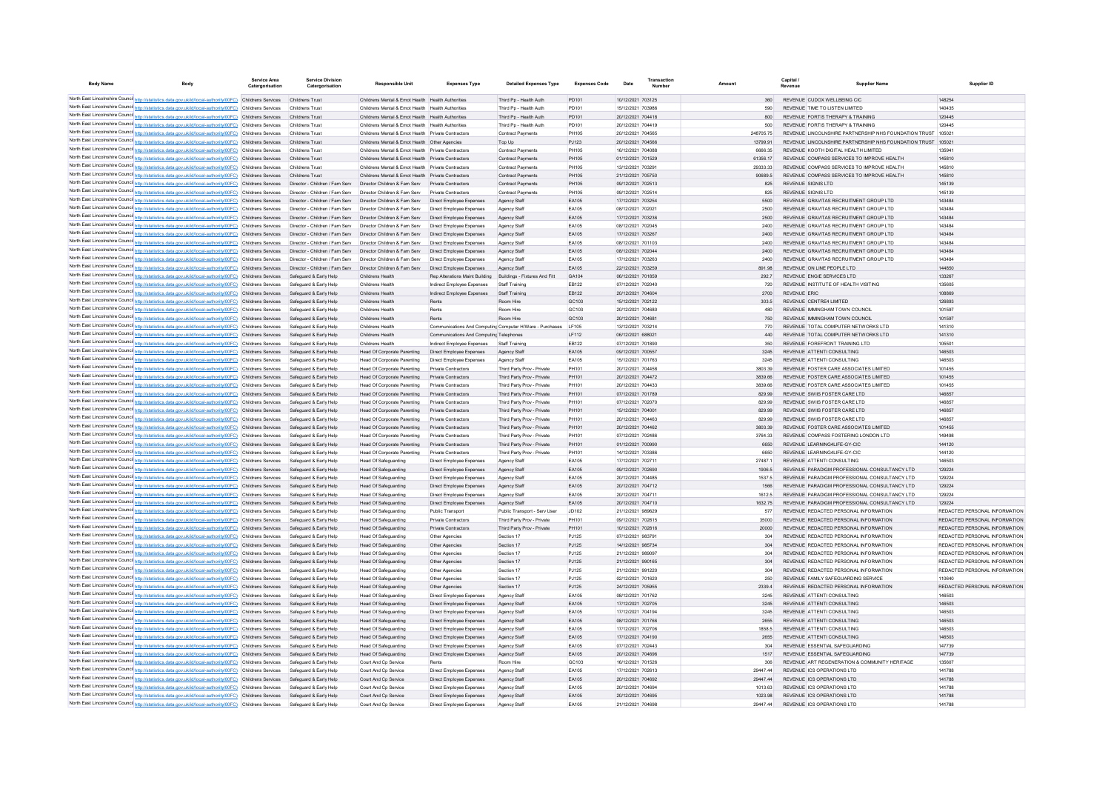| <b>Body Name</b> |                                                                                                                                                                                                                      | <b>Service Area</b><br>Catergorisation | <b>Service Division</b><br>Catergorisation       | <b>Responsible Unit</b>                                                                                | <b>Expenses Type</b>                    | <b>Detailed Expenses Type</b>                                  | <b>Expenses Code</b> | Date                                   | Transaction |               | Capital<br>Revenue | <b>Supplier Nam</b>                                                                               | Supplier ID                             |
|------------------|----------------------------------------------------------------------------------------------------------------------------------------------------------------------------------------------------------------------|----------------------------------------|--------------------------------------------------|--------------------------------------------------------------------------------------------------------|-----------------------------------------|----------------------------------------------------------------|----------------------|----------------------------------------|-------------|---------------|--------------------|---------------------------------------------------------------------------------------------------|-----------------------------------------|
|                  |                                                                                                                                                                                                                      |                                        |                                                  |                                                                                                        |                                         |                                                                |                      |                                        |             |               |                    |                                                                                                   |                                         |
|                  | North East Lincolnshire Counci http://statistics.data.gov.uk/id/local-authority/00FC) Childrens Services                                                                                                             |                                        | Childrens Trust                                  | Childrens Mental & Emot Health Health Authorities                                                      |                                         | Third Pp - Health Auth                                         | PD101                | 10/12/2021 703125                      |             | 360           |                    | REVENUE CUDOX WELL BEING CIC.                                                                     | 148254                                  |
|                  | North East Lincolnshire Counci http://statistics.data.gov.uk/id/local-authority/00FC) Childrens Services                                                                                                             |                                        | Childrens Trust                                  | Childrens Mental & Emot Health Health Authorities                                                      |                                         | Third Pp - Health Auth                                         | PD101                | 15/12/2021 703986                      |             | 590           |                    | REVENUE TIME TO LISTEN LIMITED                                                                    | 140435                                  |
|                  | North East Lincolnshire Counci http://statistics.data.gov.uk/id/local-authority/00FC) Childrens Services<br>North East Lincolnshire Counci http://statistics.data.gov.uk/id/local-authority/00FC) Childrens Services |                                        | Childrens Trust<br>Childrens Trust               | Childrens Mental & Emot Health Health Authorities<br>Childrens Mental & Emot Health Health Authorities |                                         | Third Pp - Health Auth                                         | PD101<br>PD101       | 20/12/2021 704418                      |             | 800<br>500    |                    | REVENUE FORTIS THERAPY & TRAINING                                                                 | 120445<br>120445                        |
|                  | North East Lincolnshire Counci http://statistics.data.gov.uk/id/local-authority/00FC) Childrens Services                                                                                                             |                                        | Childrens Trust                                  | Childrens Mental & Emot Health Private Contractors                                                     |                                         | Third Pp - Health Auth<br>Contract Payments                    | PH105                | 20/12/2021 704419<br>20/12/2021 704565 |             | 248705.75     |                    | REVENUE FORTIS THERAPY & TRAINING<br>REVENUE LINCOLNSHIRE PARTNERSHIP NHS FOUNDATION TRUST 105021 |                                         |
|                  | North East Lincolnshire Counci http://statistics.data.gov.uk/id/local-authority/00FC) Childrens Services                                                                                                             |                                        | Childrens Trust                                  | Childrens Mental & Emot Health Other Agencies                                                          |                                         | Top Up                                                         | PJ123                | 20/12/2021 704566                      |             | 13799.91      |                    | REVENUE LINCOLNSHIRE PARTNERSHIP NHS FOUNDATION TRUST 105021                                      |                                         |
|                  | North East Lincolnshire Counci http://statistics.data.gov.uk/id/local-authority/00FC) Childrens Services                                                                                                             |                                        | Childrens Trust                                  | Childrens Mental & Emot Health Private Contractors                                                     |                                         | Contract Payments                                              | PH105                | 16/12/2021 704088                      |             | 6666.35       |                    | REVENUE KOOTH DIGITAL HEALTH LIMITED                                                              | 135941                                  |
|                  | North East Lincolnshire Counci http://statistics.data.gov.uk/id/local-authority/00FC) Childrens Services                                                                                                             |                                        | Childrens Trust                                  | Childrens Mental & Emot Health Private Contractors                                                     |                                         | Contract Payments                                              | PH105                | 01/12/2021 701529                      |             | 61356.17      |                    | REVENUE COMPASS SERVICES TO IMPROVE HEALTH                                                        | 145810                                  |
|                  | North East Lincolnshire Counci http://statistics.data.gov.uk/id/local-authority/00FC) Childrens Services                                                                                                             |                                        | Childrens Trust                                  | Childrens Mental & Emot Health Private Contractors                                                     |                                         | Contract Payments                                              | PH105                | 13/12/2021 70329                       |             | 29333.33      |                    | REVENUE COMPASS SERVICES TO IMPROVE HEALTH                                                        | 145810                                  |
|                  | North East Lincolnshire Counci http://statistics.data.gov.uk/id/local-authority/00FC) Childrens Services                                                                                                             |                                        | Childrens Trust                                  | Childrens Mental & Emot Health Private Contractors                                                     |                                         | Contract Payments                                              | PH105                | 21/12/2021 705750                      |             | 90689.5       |                    | REVENUE COMPASS SERVICES TO IMPROVE HEALTH                                                        | 145810                                  |
|                  | North East Lincolnshire Counci http://statistics.data.gov.uk/id/local-authority/00FC) Childrens Services                                                                                                             |                                        | Director - Children / Fam Serv                   | Director Children & Fam Serv                                                                           | <b>Private Contractors</b>              | Contract Payments                                              | PH105                | 09/12/2021 702513                      |             | 825           |                    | <b>REVENUE SIGNIS LTD</b>                                                                         | 145139                                  |
|                  | North East Lincolnshire Counci http://statistics.data.gov.uk/id/local-authority/00FC) Childrens Services                                                                                                             |                                        | Director - Children / Fam Serv                   | Director Children & Fam Serv                                                                           | Private Contractors                     | Contract Payments                                              | PH105                | 09/12/2021 702514                      |             | 825           |                    | REVENUE SIGNIS LTD                                                                                | 145139                                  |
|                  | North East Lincolnshire Counci http://statistics.data.gov.uk/id/local-authority/00FC) Childrens Services                                                                                                             |                                        | Director - Children / Fam Serv                   | Director Children & Fam Serv                                                                           | Direct Employee Expenses                | Agency Staff                                                   | EA105                | 17/12/2021 703254                      |             | 5500          |                    | REVENUE GRAVITAS RECRUITMENT GROUP LTD                                                            | 143484                                  |
|                  | North East Lincolnshire Counci http://statistics.data.gov.uk/id/local-authority/00FC) Childrens Services                                                                                                             |                                        | Director - Children / Fam Serv                   | Director Children & Fam Serv                                                                           | Direct Employee Expenses                | Agency Staff                                                   | EA105                | 08/12/2021 70202                       |             | 2500          |                    | REVENUE GRAVITAS RECRUITMENT GROUP LTD                                                            | 143484                                  |
|                  | North East Lincolnshire Counci http://statistics.data.gov.uk/id/local-authority/00FC) Childrens Services                                                                                                             |                                        | Director - Children / Fam Serv                   | Director Children & Fam Serv                                                                           | Direct Employee Expenses                | Agency Staff                                                   | EA105                | 17/12/2021 703236                      |             | 2500          |                    | REVENUE GRAVITAS RECRUITMENT GROUP LTD                                                            | 143484                                  |
|                  | North East Lincolnshire Counci http://statistics.data.gov.uk/id/local-authority/00FC) Childrens Services                                                                                                             |                                        | Director - Children / Fam Serv                   | Director Children & Fam Serv                                                                           | Direct Employee Expenses                | Agency Staff                                                   | EA105                | 08/12/2021 702045                      |             | 2400          |                    | REVENUE GRAVITAS RECRUITMENT GROUP LTD                                                            | 143484                                  |
|                  | North East Lincolnshire Counci http://statistics.data.gov.uk/id/local-authority/00FC) Childrens Services                                                                                                             |                                        | Director - Children / Fam Serv                   | Director Children & Fam Serv                                                                           | Direct Employee Expenses                | Agency Staff                                                   | EA105                | 17/12/2021 703267                      |             | 2400          |                    | REVENUE GRAVITAS RECRUITMENT GROUP LTD                                                            | 143484                                  |
|                  | North East Lincolnshire Counci http://statistics.data.gov.uk/id/local-authority/00FC) Childrens Services                                                                                                             |                                        | Director - Children / Fam Serv                   | Director Children & Fam Serv                                                                           | Direct Employee Expenses                | Agency Staff                                                   | EA105                | 08/12/2021 701103                      |             | 2400          |                    | REVENUE GRAVITAS RECRUITMENT GROUP LTD                                                            | 143484                                  |
|                  | North East Lincolnshire Counci http://statistics.data.gov.uk/id/local-authority/00FC) Childrens Services                                                                                                             |                                        | Director - Children / Fam Serv                   | Director Children & Fam Serv                                                                           | Direct Employee Expenses                | Agency Staff                                                   | EA105                | 08/12/2021 702044                      |             | 2400          |                    | REVENUE GRAVITAS RECRUITMENT GROUP LTD                                                            | 143484                                  |
|                  | North East Lincolnshire Counci http://statistics.data.gov.uk/id/local-authority/00FC) Childrens Services                                                                                                             |                                        | Director - Children / Fam Serv                   | Director Children & Fam Serv                                                                           | Direct Employee Expenses                | Agency Staff                                                   | EA105                | 17/12/2021 703263                      |             | 2400          |                    | REVENUE GRAVITAS RECRUITMENT GROUP LTD                                                            | 143484                                  |
|                  | North East Lincolnshire Counci http://statistics.data.gov.uk/id/local-authority/00FC) Childrens Services                                                                                                             |                                        | Director - Children / Fam Serv                   | Director Children & Fam Serv                                                                           | Direct Employee Expenses                | Agency Staff                                                   | EA105                | 22/12/2021 703259                      |             | 891.98        |                    | REVENUE ON LINE PEOPLE LTD                                                                        | 144850                                  |
|                  | North East Lincolnshire Counci http://statistics.data.gov.uk/id/local-authority/00FC) Childrens Services                                                                                                             |                                        | Safeguard & Early Help                           | Childrens Health                                                                                       | Rep Alterations Maint Building          | Buildings - Fixtures And Fitt                                  | GA104                | 06/12/2021 701859                      |             | 292.7         |                    | REVENUE ENGIE SERVICES LTD                                                                        | 133267                                  |
|                  | North East Lincolnshire Counci http://statistics.data.gov.uk/id/local-authority/00FC) Childrens Services                                                                                                             |                                        | Safeguard & Early Help                           | Childrens Health                                                                                       | Indirect Employee Expenses              | <b>Staff Training</b>                                          | EB122                | 07/12/2021 702040                      |             | 720           |                    | REVENUE INSTITUTE OF HEALTH VISITING                                                              | 135605                                  |
|                  | North East Lincolnshire Counci http://statistics.data.gov.uk/id/local-authority/00FC) Childrens Services                                                                                                             |                                        | Safeguard & Early Help                           | Childrens Health                                                                                       | Indirect Employee Expenses              | <b>Staff Training</b>                                          | EB122<br>GC103       | 20/12/2021 704604<br>15/12/2021 702122 |             | 2700<br>303.5 | REVENUE ERIC       | REVENUE CENTRE4 LIMITED                                                                           | 108869<br>126893                        |
|                  | North East Lincolnshire Counci http://statistics.data.gov.uk/id/local-authority/00FC) Childrens Services                                                                                                             |                                        | Safeguard & Early Help                           | Childrens Health                                                                                       | Rents                                   | Room Hire                                                      | GC103                | 20/12/2021 704680                      |             |               |                    | REVENUE IMMINGHAM TOWN COUNCIL                                                                    | 101597                                  |
|                  | North East Lincolnshire Counci http://statistics.data.gov.uk/id/local-authority/00FC) Childrens Services<br>North East Lincolnshire Counci http://statistics.data.gov.uk/id/local-authority/00FC) Childrens Services |                                        | Safeguard & Early Help<br>Safeguard & Early Help | Childrens Health<br>Childrens Health                                                                   | Rents<br>Rents                          | Room Hire<br>Room Hire                                         | GC103                | 20/12/2021 70468                       |             | 480<br>750    |                    | REVENUE IMMINGHAM TOWN COUNCIL                                                                    | 101597                                  |
|                  | North East Lincolnshire Counci http://statistics.data.gov.uk/id/local-authority/00FC) Childrens Services                                                                                                             |                                        | Safeguard & Early Help                           | Childrens Health                                                                                       |                                         | Communications And Computing Computer H/Ware - Purchases LF105 |                      | 13/12/2021 703214                      |             | 770           |                    | REVENUE TOTAL COMPUTER NETWORKS LTD                                                               | 141310                                  |
|                  | North East Lincolnshire Counci http://statistics.data.gov.uk/id/local-authority/00FC) Childrens Services                                                                                                             |                                        | Safeguard & Early Help                           | Childrens Health                                                                                       | Communications And Computing Telephones |                                                                | LF112                | 06/12/2021 68802                       |             | 440           |                    | REVENUE TOTAL COMPUTER NETWORKS LTD                                                               | 141310                                  |
|                  | North East Lincolnshire Counci http://statistics.data.gov.uk/id/local-authority/00FC) Childrens Services                                                                                                             |                                        | Safeguard & Early Help                           | Childrens Health                                                                                       | Indirect Employee Expenses              | Staff Training                                                 | EB122                | 07/12/2021 701890                      |             | 350           |                    | REVENUE FOREFRONT TRAINING LTD                                                                    | 105501                                  |
|                  | North East Lincolnshire Counci http://statistics.data.gov.uk/id/local-authority/00FC) Childrens Services                                                                                                             |                                        | Safeguard & Early Help                           | Head Of Corporate Parenting                                                                            | Direct Employee Expenses                | Agency Staff                                                   | EA105                | 09/12/2021 700557                      |             | 3245          |                    | REVENUE ATTENTI CONSULTING                                                                        | 146503                                  |
|                  | North East Lincolnshire Counci http://statistics.data.gov.uk/id/local-authority/00FC) Childrens Services                                                                                                             |                                        | Safeguard & Early Help                           | Head Of Corporate Parenting                                                                            | Direct Employee Expenses                | Agency Staff                                                   | EA105                | 15/12/2021 701763                      |             | 3245          |                    | REVENUE ATTENTI CONSULTING                                                                        | 146503                                  |
|                  | North East Lincolnshire Counci http://statistics.data.gov.uk/id/local-authority/00FC) Childrens Services                                                                                                             |                                        | Safeguard & Early Help                           | Head Of Corporate Parenting                                                                            | <b>Private Contractors</b>              | Third Party Prov - Private                                     | PH101                | 20/12/2021 704458                      |             | 3803.39       |                    | REVENUE FOSTER CARE ASSOCIATES LIMITED                                                            | 101455                                  |
|                  | North East Lincolnshire Counci http://statistics.data.gov.uk/id/local-authority/00FC) Childrens Services                                                                                                             |                                        | Safeguard & Early Help                           | Head Of Corporate Parenting                                                                            | <b>Private Contractors</b>              | Third Party Prov - Private                                     | PH101                | 20/12/2021 704472                      |             | 3839.66       |                    | REVENUE FOSTER CARE ASSOCIATES LIMITED                                                            | 101455                                  |
|                  | North East Lincolnshire Counci http://statistics.data.gov.uk/id/local-authority/00FC) Childrens Services                                                                                                             |                                        | Safeguard & Early Help                           | Head Of Corporate Parenting                                                                            | <b>Private Contractors</b>              | Third Party Prov - Private                                     | PH101                | 20/12/2021 704433                      |             | 3839.66       |                    | REVENUE FOSTER CARE ASSOCIATES LIMITED                                                            | 101455                                  |
|                  | North East Lincolnshire Counci http://statistics.data.gov.uk/id/local-authority/00FC) Childrens Services                                                                                                             |                                        | Safeguard & Early Help                           | Head Of Corporate Parenting                                                                            | <b>Private Contractors</b>              | Third Party Prov - Private                                     | PH101                | 07/12/2021 701789                      |             | 829.99        |                    | REVENUE SWIIS FOSTER CARE LTD                                                                     | 146857                                  |
|                  | North East Lincolnshire Counci http://statistics.data.gov.uk/id/local-authority/00FC) Childrens Services                                                                                                             |                                        | Safeguard & Early Help                           | Head Of Corporate Parenting                                                                            | Private Contractors                     | Third Party Prov - Private                                     | PH101                | 07/12/2021 70207                       |             | 829.99        |                    | REVENUE SWIIS FOSTER CARE LTD                                                                     | 146857                                  |
|                  | North East Lincolnshire Counci http://statistics.data.gov.uk/id/local-authority/00FC) Childrens Services                                                                                                             |                                        | Safeguard & Early Help                           | Head Of Corporate Parenting                                                                            | <b>Private Contractors</b>              | Third Party Prov - Private                                     | PH101                | 15/12/2021 704001                      |             | 829.99        |                    | REVENUE SWIIS FOSTER CARE ITD                                                                     | 146857                                  |
|                  | North East Lincolnshire Counci http://statistics.data.gov.uk/id/local-authority/00FC) Childrens Services                                                                                                             |                                        | Safeguard & Early Help                           | Head Of Corporate Parenting                                                                            | <b>Private Contractors</b>              | Third Party Prov - Privat                                      | PH101                | 20/12/2021 704463                      |             | 829.99        |                    | REVENUE SWIIS FOSTER CARE LTD                                                                     | 146857                                  |
|                  | North East Lincolnshire Counci http://statistics.data.gov.uk/id/local-authority/00FC) Childrens Services                                                                                                             |                                        | Safeguard & Early Help                           | <b>Head Of Corporate Parenting</b>                                                                     | <b>Private Contractors</b>              | Third Party Prov - Private                                     | PH101                | 20/12/2021 704462                      |             | 3803.39       |                    | REVENUE FOSTER CARE ASSOCIATES LIMITED                                                            | 101455                                  |
|                  | North East Lincolnshire Counci http://statistics.data.gov.uk/id/local-authority/00FC) Childrens Services                                                                                                             |                                        | Safeguard & Early Help                           | Head Of Corporate Parenting                                                                            | <b>Private Contractors</b>              | Third Party Prov - Privat                                      | PH101                | 07/12/2021 702486                      |             | 3764.33       |                    | REVENUE COMPASS FOSTERING LONDON LTD                                                              | 149498                                  |
|                  | North East Lincolnshire Counci http://statistics.data.gov.uk/id/local-authority/00FC) Childrens Services                                                                                                             |                                        | Safeguard & Early Help                           | Head Of Corporate Parenting                                                                            | <b>Private Contractors</b>              | Third Party Prov - Private                                     | PH101                | 01/12/2021 700990                      |             | 6650          |                    | REVENUE LEARNING4LIFE-GY-CIC                                                                      | 144120                                  |
|                  | North East Lincolnshire Counci http://statistics.data.gov.uk/id/local-authority/00FC) Childrens Services                                                                                                             |                                        | Safeguard & Early Help                           | Head Of Corporate Parenting                                                                            | Private Contractors                     | Third Party Prov - Private                                     | PH101                | 14/12/2021 703386                      |             | 6650          |                    | REVENUE LEARNING4LIFE-GY-CIC                                                                      | 144120                                  |
|                  | North East Lincolnshire Counci http://statistics.data.gov.uk/id/local-authority/00FC) Childrens Services                                                                                                             |                                        | Safeguard & Early Help                           | Head Of Safeguarding                                                                                   | Direct Employee Expenses                | Agency Staf                                                    | EA105                | 17/12/2021 702711                      |             | 27487.1       |                    | REVENUE ATTENTICONSULTING                                                                         | 146503                                  |
|                  | North East Lincolnshire Counci http://statistics.data.gov.uk/id/local-authority/00FC) Childrens Services                                                                                                             |                                        | Safeguard & Early Help                           | <b>Head Of Safeguarding</b>                                                                            | Direct Employee Expenser                | Agency Staff                                                   | EA105                | 09/12/2021 702690                      |             | 1906.5        |                    | REVENUE PARADIGM PROFESSIONAL CONSULTANCY LTD                                                     | 129224                                  |
|                  | North East Lincolnshire Counci http://statistics.data.gov.uk/id/local-authority/00FC) Childrens Services                                                                                                             |                                        | Safeguard & Early Help                           | <b>Head Of Safeguarding</b>                                                                            | Direct Employee Expenser                | Agency Staf                                                    | EA105                | 20/12/2021 704485                      |             | 1537.5        |                    | REVENUE PARADIGM PROFESSIONAL CONSULTANCY LTD                                                     | 129224                                  |
|                  | North East Lincolnshire Counci http://statistics.data.gov.uk/id/local-authority/00FC) Childrens Services                                                                                                             |                                        | Safeguard & Early Help                           | <b>Head Of Safeguarding</b>                                                                            | Direct Employee Expenses                | Agency Staff                                                   | EA105                | 20/12/2021 704712                      |             | 1566          |                    | REVENUE PARADIGM PROFESSIONAL CONSULTANCY LTD                                                     | 129224                                  |
|                  | North East Lincolnshire Counci http://statistics.data.gov.uk/id/local-authority/00FC) Childrens Services                                                                                                             |                                        | Safeguard & Early Help                           | <b>Head Of Safeguarding</b>                                                                            | Direct Employee Expenses                | Agency Staff                                                   | EA105                | 20/12/2021 70471                       |             | 1612.5        |                    | REVENUE PARADIGM PROFESSIONAL CONSULTANCY LTD                                                     | 129224                                  |
|                  | North East Lincolnshire Counci http://statistics.data.gov.uk/id/local-authority/00FC) Childrens Services                                                                                                             |                                        | Safeguard & Early Help                           | <b>Head Of Safeguarding</b>                                                                            | Direct Employee Expenses                | Agency Staff                                                   | EA105                | 20/12/2021 704710                      |             | 1632.75       |                    | REVENUE PARADIGM PROFESSIONAL CONSULTANCY LTD                                                     | 129224<br>REDACTED PERSONAL INFORMATION |
|                  | North East Lincolnshire Counci http://statistics.data.gov.uk/id/local-authority/00FC) Childrens Services<br>North East Lincolnshire Counci http://statistics.data.gov.uk/id/local-authority/00FC) Childrens Services |                                        | Safeguard & Early Help<br>Safeguard & Early Help | <b>Head Of Safeguarding</b><br><b>Head Of Safeguarding</b>                                             | Public Transport<br>Private Contractors | Public Transport - Serv Use<br>Third Party Prov - Private      | JD102<br>PH101       | 21/12/2021 989629<br>09/12/2021 702815 |             | 577<br>35000  |                    | REVENUE REDACTED PERSONAL INFORMATION<br>REVENUE REDACTED PERSONAL INFORMATION                    | REDACTED PERSONAL INFORMATION           |
|                  | North East Lincolnshire Counci http://statistics.data.gov.uk/id/local-authority/00FC) Childrens Services                                                                                                             |                                        | Safeguard & Early Help                           | <b>Head Of Safeguarding</b>                                                                            | Private Contractors                     | Third Party Prov - Private                                     | PH101                | 10/12/2021 702816                      |             | 20000         |                    | REVENUE REDACTED PERSONAL INFORMATION                                                             | REDACTED PERSONAL INFORMATION           |
|                  | North East Lincolnshire Counci http://statistics.data.gov.uk/id/local-authority/00FC) Childrens Services                                                                                                             |                                        | Safeguard & Early Help                           | <b>Head Of Safeguarding</b>                                                                            | Other Agencies                          | Section 17                                                     | PJ125                | 07/12/2021 98379                       |             | 304           |                    | REVENUE REDACTED PERSONAL INFORMATION                                                             | REDACTED PERSONAL INFORMATION           |
|                  | North East Lincolnshire Counci http://statistics.data.gov.uk/id/local-authority/00FC) Childrens Services                                                                                                             |                                        | Safeguard & Early Help                           | <b>Head Of Safeguarding</b>                                                                            | Other Agencies                          | Section 17                                                     | PJ125                | 14/12/2021 985734                      |             | 304           |                    | REVENUE REDACTED PERSONAL INFORMATION                                                             | REDACTED PERSONAL INFORMATION           |
|                  | North East Lincolnshire Counci http://statistics.data.gov.uk/id/local-authority/00FC) Childrens Services                                                                                                             |                                        | Safeguard & Early Help                           | <b>Head Of Safeguarding</b>                                                                            | Other Agencies                          | Section 17                                                     | PJ125                | 21/12/2021 989097                      |             | 304           |                    | REVENUE REDACTED PERSONAL INFORMATION                                                             | REDACTED PERSONAL INFORMATION           |
|                  | North East Lincolnshire Counci http://statistics.data.gov.uk/id/local-authority/00FC) Childrens Services                                                                                                             |                                        | Safeguard & Early Help                           | <b>Head Of Safeguarding</b>                                                                            | Other Agencies                          | Section 17                                                     | PJ125                | 21/12/2021 990165                      |             | 304           |                    | REVENUE REDACTED PERSONAL INFORMATION                                                             | REDACTED PERSONAL INFORMATION           |
|                  | North East Lincolnshire Counci http://statistics.data.gov.uk/id/local-authority/00FC) Childrens Services                                                                                                             |                                        | Safeguard & Early Help                           | <b>Head Of Safeguarding</b>                                                                            | Other Agencies                          | Section 17                                                     | PJ125                | 21/12/2021 991220                      |             | 304           |                    | REVENUE REDACTED PERSONAL INFORMATION                                                             | REDACTED PERSONAL INFORMATION           |
|                  | North East Lincolnshire Counci http://statistics.data.gov.uk/id/local-authority/00FC) Childrens Services                                                                                                             |                                        | Safeguard & Early Help                           | <b>Head Of Safeguarding</b>                                                                            | Other Agencies                          | Section 17                                                     | PJ125                | 02/12/2021 701620                      |             | 250           |                    | REVENUE FAMILY SAFEGUARDING SERVICE                                                               | 110640                                  |
|                  | North East Lincolnshire Counci http://statistics.data.gov.uk/id/local-authority/00FC) Childrens Services                                                                                                             |                                        | Safeguard & Early Help                           | <b>Head Of Safeguarding</b>                                                                            | Other Agencies                          | Section 17                                                     | PJ125                | 24/12/2021 705955                      |             | 2339.4        |                    | REVENUE REDACTED PERSONAL INFORMATION                                                             | REDACTED PERSONAL INFORMATION           |
|                  | North East Lincolnshire Counci http://statistics.data.gov.uk/id/local-authority/00FC) Childrens Services                                                                                                             |                                        | Safeguard & Early Help                           | <b>Head Of Safeguarding</b>                                                                            | Direct Employee Expenses                | Agency Staff                                                   | EA105                | 08/12/2021 701762                      |             | 3245          |                    | REVENUE ATTENTI CONSULTING                                                                        | 146503                                  |
|                  | North East Lincolnshire Counci http://statistics.data.gov.uk/id/local-authority/00FC) Childrens Services                                                                                                             |                                        | Safeguard & Early Help                           | <b>Head Of Safeguarding</b>                                                                            | Direct Employee Expenses                | Agency Staff                                                   | EA105                | 17/12/2021 702705                      |             | 3245          |                    | REVENUE ATTENTI CONSULTING                                                                        | 146503                                  |
|                  | North East Lincolnshire Counci http://statistics.data.gov.uk/id/local-authority/00FC) Childrens Services                                                                                                             |                                        | Safeguard & Early Help                           | <b>Head Of Safeguarding</b>                                                                            | Direct Employee Expenses                | Agency Staf                                                    | EA105                | 17/12/2021 704194                      |             | 3245          |                    | REVENUE ATTENTI CONSULTING                                                                        | 146503                                  |
|                  | North East Lincolnshire Counci http://statistics.data.gov.uk/id/local-authority/00FC) Childrens Services                                                                                                             |                                        | Safeguard & Early Help                           | <b>Head Of Safeguarding</b>                                                                            | Direct Employee Expenses                | Agency Staff                                                   | EA105                | 08/12/2021 701766                      |             | 2655          |                    | REVENUE ATTENTI CONSULTING                                                                        | 146503                                  |
|                  | North East Lincolnshire Counci http://statistics.data.gov.uk/id/local-authority/00FC) Childrens Services                                                                                                             |                                        | Safeguard & Early Help                           | <b>Head Of Safeguarding</b>                                                                            | Direct Employee Expenses                | Agency Staff                                                   | EA105                | 17/12/2021 702706                      |             | 1858.5        |                    | REVENUE ATTENTI CONSULTING                                                                        | 146503                                  |
|                  | North East Lincolnshire Counci http://statistics.data.gov.uk/id/local-authority/00FC) Childrens Services                                                                                                             |                                        | Safeguard & Early Help                           | <b>Head Of Safeguarding</b>                                                                            | Direct Employee Expenses                | Agency Staff                                                   | EA105                | 17/12/2021 704190                      |             | 2655          |                    | REVENUE ATTENTI CONSULTING                                                                        | 146503                                  |
|                  | North East Lincolnshire Counci http://statistics.data.gov.uk/id/local-authority/00FC) Childrens Services                                                                                                             |                                        | Safeguard & Early Help                           | <b>Head Of Safeguarding</b>                                                                            | Direct Employee Expenses                | Agency Staff                                                   | EA105                | 07/12/2021 702443                      |             | 304           |                    | REVENUE ESSENTIAL SAFEGUARDING                                                                    | 147739                                  |
|                  | North East Lincolnshire Counci http://statistics.data.gov.uk/id/local-authority/00FC) Childrens Services                                                                                                             |                                        | Safeguard & Early Help                           | Head Of Safeguarding                                                                                   | Direct Employee Expenses                | Agency Staf                                                    | EA105                | 20/12/2021 704696                      |             | 1517          |                    | REVENUE ESSENTIAL SAFEGUARDING                                                                    | 147739                                  |
|                  | North East Lincolnshire Counci http://statistics.data.gov.uk/id/local-authority/00FC) Childrens Services                                                                                                             |                                        | Safeguard & Early Help                           | Court And Co Service                                                                                   | Rents                                   | Room Hire                                                      | GC103                | 16/12/2021 701526                      |             | 306           |                    | REVENUE ART REGENERATION & COMMUNITY HERITAGE                                                     | 135607                                  |
|                  | North East Lincolnshire Counci http://statistics.data.gov.uk/id/local-authority/00FC) Childrens Services                                                                                                             |                                        | Safeguard & Early Help                           | Court And Cp Service                                                                                   | Direct Employee Expenses                | Agency Staff                                                   | EA105                | 17/12/2021 702613                      |             | 29447 44      |                    | REVENUE ICS OPERATIONS LTD                                                                        | 141788                                  |
|                  | North East Lincolnshire Counci http://statistics.data.gov.uk/id/local-authority/00FC) Childrens Services                                                                                                             |                                        | Safeguard & Early Help                           | Court And Co Service                                                                                   | Direct Employee Expenses                | Agency Staff                                                   | FA105                | 20/12/2021 704692                      |             | 29447 44      |                    | REVENUE ICS OPERATIONS LTD                                                                        | 141788                                  |
|                  | North East Lincolnshire Counci http://statistics.data.gov.uk/id/local-authority/00FC) Childrens Services                                                                                                             |                                        | Safeguard & Early Help                           | Court And Co Service                                                                                   | Direct Employee Expenses                | Agency Staff                                                   | FA105                | 20/12/2021 704694                      |             | 1013 63       |                    | REVENUE ICS OPERATIONS LTD                                                                        | 141788                                  |
|                  | North East Lincolnshire Counci http://statistics.data.gov.uk/id/local-authority/00FC) Childrens Services Safeguard & Early Help                                                                                      |                                        |                                                  | Court And Co Service                                                                                   | Direct Employee Expenses                | Agency Staff                                                   | FA105                | 20/12/2021 704695                      |             | 1023 98       |                    | REVENUE ICS OPERATIONS LTD                                                                        | 141788                                  |
|                  | North East Lincolnshire Counci http://statistics.data.gov.uk/id/local-authority/00FC) Childrens Services                                                                                                             |                                        | Safeguard & Early Help                           | Court And Co Service                                                                                   | Direct Employee Expenses                | Agency Staff                                                   | FA105                | 21/12/2021 704698                      |             | 29447 44      |                    | REVENUE ICS OPERATIONS LTD                                                                        | 141788                                  |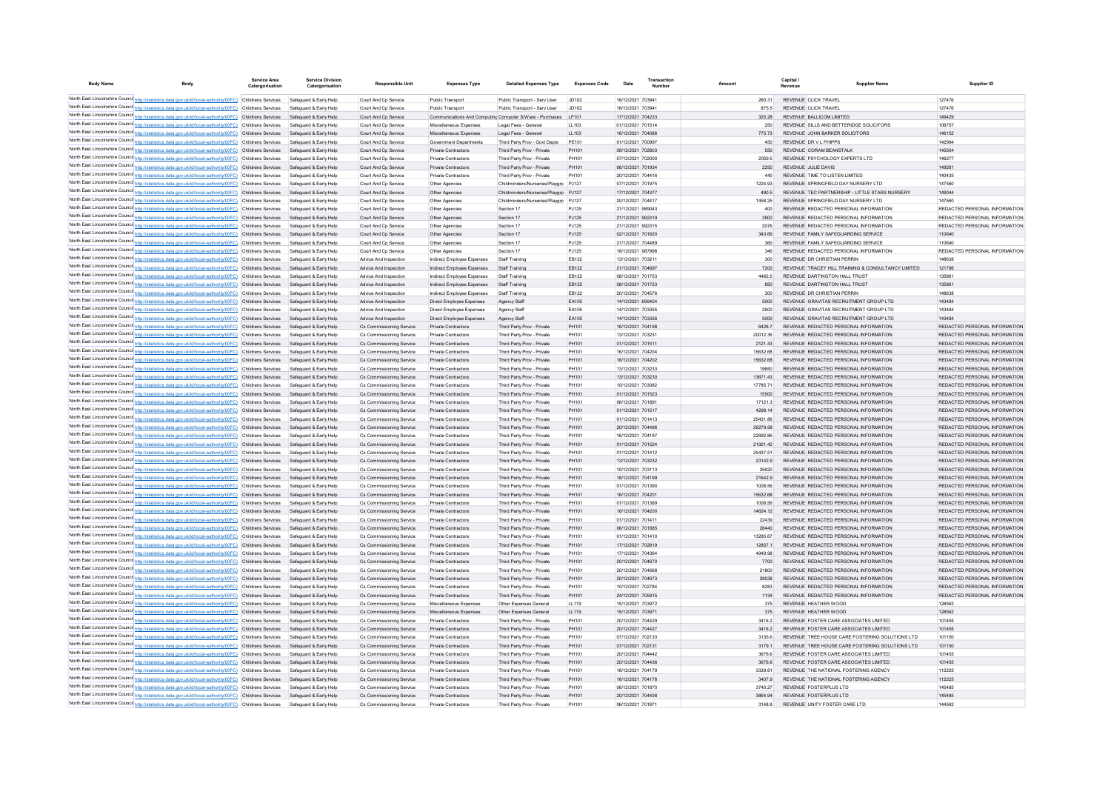| <b>Body Name</b> |                                                                                                                                                                                                                      | Service Area<br>Catergorisation | <b>Service Division</b><br>Catergorisation       | <b>Responsible Unit</b>                              | <b>Expenses Type</b>                                     | <b>Detailed Expenses Type</b>                                  | <b>Expenses Code</b> | Date                                   | Transaction<br>Number |                     | Capital /<br>Revenue | <b>Supplier Nam</b>                                                            | Supplier ID                                                    |
|------------------|----------------------------------------------------------------------------------------------------------------------------------------------------------------------------------------------------------------------|---------------------------------|--------------------------------------------------|------------------------------------------------------|----------------------------------------------------------|----------------------------------------------------------------|----------------------|----------------------------------------|-----------------------|---------------------|----------------------|--------------------------------------------------------------------------------|----------------------------------------------------------------|
|                  | North East Lincolnshire Counci http://statistics.data.gov.uk/id/local-authority/00FC) Childrens Services                                                                                                             |                                 | Safeguard & Early Help                           | Court And Cp Service                                 | Public Transport                                         | Public Transport - Serv User                                   | JD102                | 16/12/2021 703941                      |                       | 260.31              |                      | REVENUE CLICK TRAVEL                                                           | 127476                                                         |
|                  | North East Lincolnshire Counci http://statistics.data.gov.uk/id/local-authority/00FC) Childrens Services                                                                                                             |                                 | Safeguard & Early Help                           | Court And Cp Service                                 | Public Transport                                         | Public Transport - Serv User                                   | JD102                | 16/12/2021 703941                      |                       | 875.5               |                      | REVENUE CLICK TRAVEL                                                           | 127476                                                         |
|                  | North East Lincolnshire Counci http://statistics.data.gov.uk/id/local-authority/00FC) Childrens Services                                                                                                             |                                 | Safeguard & Early Help                           | Court And Cp Service                                 |                                                          | Communications And Computing Computer S/Ware - Purchases LF101 |                      | 17/12/2021 704233                      |                       | 320.28              |                      | REVENUE BALLICOM LIMITED                                                       | 149429                                                         |
|                  | North East Lincolnshire Counci http://statistics.data.gov.uk/id/local-authority/00FC) Childrens Services                                                                                                             |                                 | Safeguard & Early Help                           | Court And Cp Service                                 | Miscellaneous Expenses                                   | Legal Fees - General                                           | LL103                | 01/12/2021 701514                      |                       | 250                 |                      | REVENUE SILLS AND BETTERIDGE SOLICITORS                                        | 106757                                                         |
|                  | North East Lincolnshire Counci http://statistics.data.gov.uk/id/local-authority/00FC) Childrens Services                                                                                                             |                                 | Safeguard & Early Help                           | Court And Cp Service                                 | Miscellaneous Expenses                                   | Legal Fees - General                                           | LL103                | 16/12/2021 704086                      |                       | 775.73              |                      | REVENUE JOHN BARKER SOLICITORS                                                 | 146152                                                         |
|                  | North East Lincolnshire Counci http://statistics.data.gov.uk/id/local-authority/00FC) Childrens Services<br>North East Lincolnshire Counci http://statistics.data.gov.uk/id/local-authority/00FC) Childrens Services |                                 | Safeguard & Early Help<br>Safeguard & Early Help | Court And Cp Service<br>Court And Cp Service         | Government Departments<br>Private Contractors            | Third Party Prov - Govt Depts<br>Third Party Prov - Private    | PE101<br>PH101       | 01/12/2021 700997<br>09/12/2021 702803 |                       | 450<br>550          |                      | REVENUE DR V L PHIPPS<br>REVENUE CORAM BEANSTALK                               | 142994<br>145504                                               |
|                  | North East Lincolnshire Counci http://statistics.data.gov.uk/id/local-authority/00FC) Childrens Services                                                                                                             |                                 | Safeguard & Early Help                           | Court And Cp Service                                 | Private Contractors                                      | Third Party Prov - Private                                     | PH101                | 07/12/2021 702000                      |                       | 2059.5              |                      | REVENUE PSYCHOLOGY EXPERTS LTD                                                 | 146277                                                         |
|                  | North East Lincolnshire Counci http://statistics.data.gov.uk/id/local-authority/00FC) Childrens Services                                                                                                             |                                 | Safeguard & Early Help                           | Court And Cp Service                                 | Private Contractors                                      | Third Party Prov - Private                                     | PH101                | 06/12/2021 701934                      |                       | 2250                |                      | REVENUE JULIE DAVIS                                                            | 149281                                                         |
|                  | North East Lincolnshire Counci http://statistics.data.gov.uk/id/local-authority/00FC) Childrens Services                                                                                                             |                                 | Safeguard & Early Help                           | Court And Cp Service                                 | Private Contractors                                      | Third Party Prov - Private                                     | PH101                | 20/12/2021 704416                      |                       | 440                 |                      | REVENUE TIME TO LISTEN LIMITED                                                 | 140435                                                         |
|                  | North East Lincolnshire Counci http://statistics.data.gov.uk/id/local-authority/00FC) Childrens Services                                                                                                             |                                 | Safeguard & Early Help                           | Court And Cp Service                                 | Other Agencies                                           | Childminders/Nurseries/Playgrp PJ127                           |                      | 07/12/2021 701975                      |                       | 1224.93             |                      | REVENUE SPRINGFIELD DAY NURSERY LTD                                            | 147560                                                         |
|                  | North East Lincolnshire Counci http://statistics.data.gov.uk/id/local-authority/00FC) Childrens Services                                                                                                             |                                 | Safeguard & Early Help                           | Court And Cp Service                                 | Other Agencies                                           | Childminders/Nurseries/Playgrp PJ127                           |                      | 17/12/2021 704377                      |                       | 490.5               |                      | REVENUE TEC PARTNERSHIP - LITTLE STARS NURSERY                                 | 149044                                                         |
|                  | North East Lincolnshire Counci http://statistics.data.gov.uk/id/local-authority/00FC) Childrens Services                                                                                                             |                                 | Safeguard & Early Help                           | Court And Co Service                                 | Other Agencies                                           | Childminders/Nurseries/Playgrp PJ127                           |                      | 20/12/2021 704417                      |                       | 1458.25             |                      | REVENUE SPRINGFIELD DAY NURSERY LTD.                                           | 147560                                                         |
|                  | North East Lincolnshire Counci http://statistics.data.gov.uk/id/local-authority/00FC) Childrens Services<br>North East Lincolnshire Counci http://statistics.data.gov.uk/id/local-authority/00FC) Childrens Services |                                 | Safeguard & Early Help                           | Court And Cp Service<br>Court And Co Service         | Other Agencies                                           | Section 17                                                     | PJ125<br>PJ125       | 21/12/2021 989043<br>21/12/2021 992319 |                       | 400<br>3900         |                      | REVENUE REDACTED PERSONAL INFORMATION<br>REVENUE REDACTED PERSONAL INFORMATION | REDACTED PERSONAL INFORMATION<br>REDACTED PERSONAL INFORMATION |
|                  | North East Lincolnshire Counci http://statistics.data.gov.uk/id/local-authority/00FC) Childrens Services                                                                                                             |                                 | Safeguard & Early Help<br>Safeguard & Early Help | Court And Cp Service                                 | Other Agencies<br>Other Agencies                         | Section 17<br>Section 17                                       | P.1125               | 21/12/2021 992315                      |                       | 2076                |                      | REVENUE REDACTED PERSONAL INFORMATION                                          | REDACTED PERSONAL INFORMATION                                  |
|                  | North East Lincolnshire Counci http://statistics.data.gov.uk/id/local-authority/00FC) Childrens Services                                                                                                             |                                 | Safeguard & Early Help                           | Court And Co Service                                 | Other Agencies                                           | Section 17                                                     | PJ125                | 02/12/2021 701620                      |                       | 343.66              |                      | REVENUE FAMILY SAFEGUARDING SERVICE                                            | 110640                                                         |
|                  | North East Lincolnshire Counci http://statistics.data.gov.uk/id/local-authority/00FC) Childrens Services                                                                                                             |                                 | Safeguard & Early Help                           | Court And Co Service                                 | Other Agencies                                           | Section 17                                                     | PJ125                | 21/12/2021 704489                      |                       | 360                 |                      | REVENUE FAMILY SAFEGUARDING SERVICE                                            | 110640                                                         |
|                  | North East Lincolnshire Counci http://statistics.data.gov.uk/id/local-authority/00FC) Childrens Services                                                                                                             |                                 | Safeguard & Early Help                           | Court And Co Service                                 | Other Agencies                                           | Section 17                                                     | PJ125                | 16/12/2021 987998                      |                       | 346                 |                      | REVENUE REDACTED PERSONAL INFORMATION                                          | REDACTED PERSONAL INFORMATION                                  |
|                  | North East Lincolnshire Counci http://statistics.data.gov.uk/id/local-authority/00FC) Childrens Services                                                                                                             |                                 | Safeguard & Early Help                           | Advice And Inspection                                | Indirect Employee Expenses                               | Staff Training                                                 | FR122                | 13/12/2021 703211                      |                       | 300                 |                      | REVENUE DR CHRISTIAN PERRIN                                                    | 148638                                                         |
|                  | North East Lincolnshire Counci http://statistics.data.gov.uk/id/local-authority/00FC) Childrens Services                                                                                                             |                                 | Safeguard & Early Help                           | Advice And Inspection                                | Indirect Employee Expenses                               | Staff Training                                                 | EB122                | 21/12/2021 704697                      |                       | 7200                |                      | REVENUE TRACEY HILL TRAINING & CONSULTANCY LIMITED                             | 121786                                                         |
|                  | North East Lincolnshire Counci http://statistics.data.gov.uk/id/local-authority/00FC) Childrens Services                                                                                                             |                                 | Safeguard & Early Help                           | Advice And Inspection                                | Indirect Employee Expenses                               | Staff Training                                                 | FR122                | 08/12/2021 701753                      |                       | 4462.5              |                      | REVENUE DARTINGTON HALL TRUST                                                  | 135861                                                         |
|                  | North East Lincolnshire Counci http://statistics.data.gov.uk/id/local-authority/00FC) Childrens Services                                                                                                             |                                 | Safeguard & Early Help                           | Advice And Inspection                                | Indirect Employee Expenses                               | Staff Training                                                 | FR122<br>FR122       | 08/12/2021 701753                      |                       | 850                 |                      | REVENUE DARTINGTON HALL TRUST                                                  | 135861<br>148638                                               |
|                  | North East Lincolnshire Counci http://statistics.data.gov.uk/id/local-authority/00FC) Childrens Services<br>North East Lincolnshire Counci http://statistics.data.gov.uk/id/local-authority/00FC) Childrens Services |                                 | Safeguard & Early Help<br>Safeguard & Early Help | Advice And Inspection<br>Advice And Inspection       | Indirect Employee Expenses                               | Staff Training                                                 | FA105                | 20/12/2021 704576<br>14/12/2021 699424 |                       | 300<br>5000         |                      | REVENUE OR CHRISTIAN PERRIN<br>REVENUE GRAVITAS RECRUITMENT GROUP LTD.         | 143484                                                         |
|                  | North East Lincolnshire Counci http://statistics.data.gov.uk/id/local-authority/00FC) Childrens Services                                                                                                             |                                 | Safeguard & Early Help                           | Advice And Inspection                                | Direct Employee Expenses<br>Direct Employee Expenses     | Agency Staff<br>Agency Staff                                   | FA105                | 14/12/2021 703355                      |                       | 2500                |                      | REVENUE GRAVITAS RECRUITMENT GROUP LTD                                         | 143484                                                         |
|                  | North East Lincolnshire Counci http://statistics.data.gov.uk/id/local-authority/00FC) Childrens Services                                                                                                             |                                 | Safeguard & Early Help                           | Advice And Inspection                                | Direct Employee Expenses                                 | Agency Staff                                                   | FA105                | 14/12/2021 703356                      |                       | 5000                |                      | REVENUE, GRAVITAS RECRUITMENT GROUP LTD                                        | 143484                                                         |
|                  | North East Lincolnshire Counci http://statistics.data.gov.uk/id/local-authority/00FC) Childrens Services                                                                                                             |                                 | Safeguard & Early Help                           | Cs Commissioning Service                             | <b>Private Contractors</b>                               | Third Party Prov - Private                                     | PH101                | 16/12/2021 704198                      |                       | 6428.7              |                      | REVENUE REDACTED PERSONAL INFORMATION                                          | REDACTED PERSONAL INFORMATION                                  |
|                  | North East Lincolnshire Counci http://statistics.data.gov.uk/id/local-authority/00FC) Childrens Services                                                                                                             |                                 | Safeguard & Early Help                           | Cs Commissioning Service                             | Private Contractors                                      | Third Party Prov - Private                                     | PH101                | 13/12/2021 70323                       |                       | 20012.36            |                      | REVENUE REDACTED PERSONAL INFORMATION                                          | REDACTED PERSONAL INFORMATION                                  |
|                  | North East Lincolnshire Counci http://statistics.data.gov.uk/id/local-authority/00FC) Childrens Services                                                                                                             |                                 | Safeguard & Early Help                           | Cs Commissioning Service                             | Private Contractors                                      | Third Party Prov - Private                                     | PH101                | 01/12/2021 701511                      |                       | 2121.43             |                      | REVENUE REDACTED PERSONAL INFORMATION                                          | REDACTED PERSONAL INFORMATION                                  |
|                  | North East Lincolnshire Counci http://statistics.data.gov.uk/id/local-authority/00FC) Childrens Services                                                                                                             |                                 | Safeguard & Early Help                           | Cs Commissioning Service                             | Private Contractors                                      | Third Party Prov - Private                                     | PH101                | 16/12/2021 704204                      |                       | 15632.68            |                      | REVENUE REDACTED PERSONAL INFORMATION                                          | REDACTED PERSONAL INFORMATION                                  |
|                  | North East Lincolnshire Counci http://statistics.data.gov.uk/id/local-authority/00FC) Childrens Services                                                                                                             |                                 | Safeguard & Early Help                           | Cs Commissioning Service                             | Private Contractors                                      | Third Party Prov - Private                                     | PH101                | 16/12/2021 704202                      |                       | 15632.68            |                      | REVENUE REDACTED PERSONAL INFORMATION                                          | REDACTED PERSONAL INFORMATION                                  |
|                  | North East Lincolnshire Counci http://statistics.data.gov.uk/id/local-authority/00FC) Childrens Services<br>North East Lincolnshire Counci http://statistics.data.gov.uk/id/local-authority/00FC) Childrens Services |                                 | Safeguard & Early Help<br>Safeguard & Early Help | Cs Commissioning Service                             | Private Contractors                                      | Third Party Prov - Private                                     | PH101                | 13/12/2021 703233                      |                       | 19650               |                      | REVENUE REDACTED PERSONAL INFORMATION                                          | REDACTED PERSONAL INFORMATION<br>REDACTED PERSONAL INFORMATION |
|                  | North East Lincolnshire Counci http://statistics.data.gov.uk/id/local-authority/00FC) Childrens Services                                                                                                             |                                 | Safeguard & Early Help                           | Cs Commissioning Service<br>Cs Commissioning Service | Private Contractors<br>Private Contractors               | Third Party Prov - Private<br>Third Party Prov - Private       | PH101<br>PH101       | 13/12/2021 703230<br>10/12/2021 703082 |                       | 13671.43<br>1778571 |                      | REVENUE REDACTED PERSONAL INFORMATION<br>REVENUE REDACTED PERSONAL INFORMATION | REDACTED PERSONAL INFORMATION                                  |
|                  | North East Lincolnshire Counci http://statistics.data.gov.uk/id/local-authority/00FC) Childrens Services                                                                                                             |                                 | Safeguard & Early Help                           | Cs Commissioning Service                             | Private Contractors                                      | Third Party Prov - Private                                     | PH101                | 01/12/2021 701523                      |                       | 15500               |                      | REVENUE REDACTED PERSONAL INFORMATION                                          | REDACTED PERSONAL INFORMATION                                  |
|                  | North East Lincolnshire Counci http://statistics.data.gov.uk/id/local-authority/00FC) Childrens Services                                                                                                             |                                 | Safeguard & Early Help                           | Cs Commissioning Service                             | Private Contractors                                      | Third Party Prov - Private                                     | PH101                | 06/12/2021 70189                       |                       | 17121.3             |                      | REVENUE REDACTED PERSONAL INFORMATION                                          | REDACTED PERSONAL INFORMATION                                  |
|                  | North East Lincolnshire Counci http://statistics.data.gov.uk/id/local-authority/00FC) Childrens Services                                                                                                             |                                 | Safeguard & Early Help                           | Cs Commissioning Service                             | Private Contractors                                      | Third Party Prov - Private                                     | PH101                | 01/12/2021 701517                      |                       | 4298.14             |                      | REVENUE REDACTED PERSONAL INFORMATION                                          | REDACTED PERSONAL INFORMATION                                  |
|                  | North East Lincolnshire Counci http://statistics.data.gov.uk/id/local-authority/00FC) Childrens Services                                                                                                             |                                 | Safeguard & Early Help                           | Cs Commissioning Service                             | Private Contractors                                      | Third Party Prov - Private                                     | PH101                | 01/12/2021 701413                      |                       | 25431.86            |                      | REVENUE REDACTED PERSONAL INFORMATION                                          | REDACTED PERSONAL INFORMATION                                  |
|                  | North East Lincolnshire Counci http://statistics.data.gov.uk/id/local-authority/00FC) Childrens Services                                                                                                             |                                 | Safeguard & Early Help                           | Cs Commissioning Service                             | <b>Private Contractors</b>                               | Third Party Prov - Private                                     | PH101                | 20/12/2021 704496                      |                       | 26279.58            |                      | REVENUE REDACTED PERSONAL INFORMATION                                          | REDACTED PERSONAL INFORMATION                                  |
|                  | North East Lincolnshire Counci http://statistics.data.gov.uk/id/local-authority/00FC) Childrens Services                                                                                                             |                                 | Safeguard & Early Help                           | Cs Commissioning Service                             | Private Contractors                                      | Third Party Prov - Private                                     | PH101                | 16/12/2021 704197                      |                       | 22692.86            |                      | REVENUE REDACTED PERSONAL INFORMATION                                          | REDACTED PERSONAL INFORMATION                                  |
|                  | North East Lincolnshire Counci http://statistics.data.gov.uk/id/local-authority/00FC) Childrens Services<br>North East Lincolnshire Counci http://statistics.data.gov.uk/id/local-authority/00FC) Childrens Services |                                 | Safeguard & Early Help<br>Safeguard & Early Help | Cs Commissioning Service                             | <b>Private Contractors</b><br>Private Contractors        | Third Party Prov - Private                                     | PH101<br>PH101       | 01/12/2021 701524<br>01/12/2021 701412 |                       | 21921.42            |                      | REVENUE REDACTED PERSONAL INFORMATION                                          | REDACTED PERSONAL INFORMATION<br>REDACTED PERSONAL INFORMATION |
|                  | North East Lincolnshire Counci http://statistics.data.gov.uk/id/local-authority/00FC) Childrens Services                                                                                                             |                                 | Safeguard & Early Help                           | Cs Commissioning Service<br>Cs Commissioning Service | <b>Private Contractors</b>                               | Third Party Prov - Private<br>Third Party Prov - Private       | PH101                | 13/12/2021 703232                      |                       | 25437.51<br>23142.9 |                      | REVENUE REDACTED PERSONAL INFORMATION<br>REVENUE REDACTED PERSONAL INFORMATION | REDACTED PERSONAL INFORMATION                                  |
|                  | North East Lincolnshire Counci http://statistics.data.gov.uk/id/local-authority/00FC) Childrens Services                                                                                                             |                                 | Safeguard & Early Help                           | Cs Commissioning Service                             | Private Contractors                                      | Third Party Prov - Private                                     | PH101                | 10/12/2021 703113                      |                       | 25620               |                      | REVENUE REDACTED PERSONAL INFORMATION                                          | REDACTED PERSONAL INFORMATION                                  |
|                  | North East Lincolnshire Counci http://statistics.data.gov.uk/id/local-authority/00FC) Childrens Services                                                                                                             |                                 | Safeguard & Early Help                           | Cs Commissioning Service                             | <b>Private Contractors</b>                               | Third Party Prov - Private                                     | PH101                | 16/12/2021 704199                      |                       | 21642.9             |                      | REVENUE REDACTED PERSONAL INFORMATION                                          | REDACTED PERSONAL INFORMATION                                  |
|                  | North East Lincolnshire Counci http://statistics.data.gov.uk/id/local-authority/00FC) Childrens Services                                                                                                             |                                 | Safeguard & Early Help                           | Cs Commissioning Service                             | Private Contractors                                      | Third Party Prov - Private                                     | PH101                | 01/12/2021 701390                      |                       | 1008.56             |                      | REVENUE REDACTED PERSONAL INFORMATION                                          | REDACTED PERSONAL INFORMATION                                  |
|                  | North East Lincolnshire Counci http://statistics.data.gov.uk/id/local-authority/00FC) Childrens Services                                                                                                             |                                 | Safeguard & Early Help                           | Cs Commissioning Service                             | <b>Private Contractors</b>                               | Third Party Prov - Private                                     | PH101                | 16/12/2021 704201                      |                       | 15632.68            |                      | REVENUE REDACTED PERSONAL INFORMATION                                          | REDACTED PERSONAL INFORMATION                                  |
|                  | North East Lincolnshire Counci http://statistics.data.gov.uk/id/local-authority/00FC) Childrens Services                                                                                                             |                                 | Safeguard & Early Help                           | Cs Commissioning Service                             | Private Contractors                                      | Third Party Prov - Private                                     | PH101                | 01/12/2021 701389                      |                       | 1008.56             |                      | REVENUE REDACTED PERSONAL INFORMATION                                          | REDACTED PERSONAL INFORMATION                                  |
|                  | North East Lincolnshire Counci http://statistics.data.gov.uk/id/local-authority/00FC) Childrens Services                                                                                                             |                                 | Safeguard & Early Help                           | Cs Commissioning Service                             | <b>Private Contractors</b>                               | Third Party Prov - Private                                     | PH101                | 16/12/2021 704200                      |                       | 14624.12            |                      | REVENUE REDACTED PERSONAL INFORMATION                                          | REDACTED PERSONAL INFORMATION                                  |
|                  | North East Lincolnshire Counci http://statistics.data.gov.uk/id/local-authority/00FC) Childrens Services<br>North East Lincolnshire Counci http://statistics.data.gov.uk/id/local-authority/00FC) Childrens Services |                                 | Safeguard & Early Help<br>Safeguard & Early Help | Cs Commissioning Service                             | Private Contractors                                      | Third Party Prov - Private                                     | PH101<br>PH101       | 01/12/2021 70141<br>06/12/2021 701885  |                       | 22439<br>28440      |                      | REVENUE REDACTED PERSONAL INFORMATION                                          | REDACTED PERSONAL INFORMATION<br>REDACTED PERSONAL INFORMATION |
|                  | North East Lincolnshire Counci http://statistics.data.gov.uk/id/local-authority/00FC) Childrens Services                                                                                                             |                                 | Safeguard & Early Help                           | Cs Commissioning Service<br>Cs Commissioning Service | <b>Private Contractors</b><br>Private Contractors        | Third Party Prov - Private<br>Third Party Prov - Private       | PH101                | 01/12/2021 701410                      |                       | 13285.67            |                      | REVENUE REDACTED PERSONAL INFORMATION<br>REVENUE REDACTED PERSONAL INFORMATION | REDACTED PERSONAL INFORMATION                                  |
|                  | North East Lincolnshire Counci http://statistics.data.gov.uk/id/local-authority/00FC) Childrens Services                                                                                                             |                                 | Safeguard & Early Help                           | Cs Commissioning Service                             | <b>Private Contractors</b>                               | Third Party Prov - Private                                     | PH101                | 17/12/2021 702819                      |                       | 12857.1             |                      | REVENUE REDACTED PERSONAL INFORMATION                                          | REDACTED PERSONAL INFORMATION                                  |
|                  | North East Lincolnshire Counci http://statistics.data.gov.uk/id/local-authority/00FC) Childrens Services                                                                                                             |                                 | Safeguard & Early Help                           | Cs Commissioning Service                             | <b>Private Contractors</b>                               | Third Party Prov - Private                                     | PH101                | 17/12/2021 70436                       |                       | 4949.98             |                      | REVENUE REDACTED PERSONAL INFORMATION                                          | REDACTED PERSONAL INFORMATION                                  |
|                  | North East Lincolnshire Counci http://statistics.data.gov.uk/id/local-authority/00FC) Childrens Services                                                                                                             |                                 | Safeguard & Early Help                           | Cs Commissioning Service                             | <b>Private Contractors</b>                               | Third Party Prov - Private                                     | PH101                | 20/12/2021 704670                      |                       | 7700                |                      | REVENUE REDACTED PERSONAL INFORMATION                                          | REDACTED PERSONAL INFORMATION                                  |
|                  | North East Lincolnshire Counci http://statistics.data.gov.uk/id/local-authority/00FC) Childrens Services                                                                                                             |                                 | Safeguard & Early Help                           | Cs Commissioning Service                             | <b>Private Contractors</b>                               | Third Party Prov - Private                                     | PH101                | 20/12/2021 704668                      |                       | 21800               |                      | REVENUE REDACTED PERSONAL INFORMATION                                          | REDACTED PERSONAL INFORMATION                                  |
|                  | North East Lincolnshire Counci http://statistics.data.gov.uk/id/local-authority/00FC) Childrens Services                                                                                                             |                                 | Safeguard & Early Help                           | Cs Commissioning Service                             | Private Contractors                                      | Third Party Prov - Private                                     | PH101                | 20/12/2021 704673                      |                       | 29538               |                      | REVENUE REDACTED PERSONAL INFORMATION                                          | REDACTED PERSONAL INFORMATION                                  |
|                  | North East Lincolnshire Counci http://statistics.data.gov.uk/id/local-authority/00FC) Childrens Services                                                                                                             |                                 | Safeguard & Early Help                           | Cs Commissioning Service                             | <b>Private Contractors</b>                               | Third Party Prov - Private                                     | PH101                | 10/12/2021 70278                       |                       | 8283                |                      | REVENUE REDACTED PERSONAL INFORMATION                                          | REDACTED PERSONAL INFORMATION                                  |
|                  | North East Lincolnshire Counci http://statistics.data.gov.uk/id/local-authority/00FC) Childrens Services                                                                                                             |                                 | Safeguard & Early Help                           | Cs Commissioning Service                             | Private Contractors                                      | Third Party Prov - Private                                     | PH101                | 24/12/2021 705915                      |                       | 1134                |                      | REVENUE REDACTED PERSONAL INFORMATION                                          | REDACTED PERSONAL INFORMATION                                  |
|                  | North East Lincolnshire Counci http://statistics.data.gov.uk/id/local-authority/00FC) Childrens Services<br>North East Lincolnshire Counci http://statistics.data.gov.uk/id/local-authority/00FC) Childrens Services |                                 | Safeguard & Early Help<br>Safeguard & Early Help | Cs Commissioning Service<br>Cs Commissioning Service | Miscellaneous Expense<br>Miscellaneous Expenses          | Other Expenses General<br>Other Expenses General               | LL119<br>LL119       | 15/12/2021 703972<br>15/12/2021 703971 |                       | 375<br>375          |                      | REVENUE HEATHER WOOD<br>REVENUE HEATHER WOOD                                   | 128562<br>128562                                               |
|                  | North East Lincolnshire Counci http://statistics.data.gov.uk/id/local-authority/00FC) Childrens Services                                                                                                             |                                 | Safeguard & Early Help                           | Cs Commissioning Service                             | Private Contractors                                      | Third Party Prov - Private                                     | PH101                | 20/12/2021 704429                      |                       | 3416.2              |                      | REVENUE FOSTER CARE ASSOCIATES LIMITED                                         | 101455                                                         |
|                  | North East Lincolnshire Counci http://statistics.data.gov.uk/id/local-authority/00FC) Childrens Services                                                                                                             |                                 | Safeguard & Early Help                           | Cs Commissioning Service                             | <b>Private Contractors</b>                               | Third Party Prov - Private                                     | PH101                | 20/12/2021 704427                      |                       | 3416.2              |                      | REVENUE FOSTER CARE ASSOCIATES LIMITED                                         | 101455                                                         |
|                  | North East Lincolnshire Counci http://statistics.data.gov.uk/id/local-authority/00FC) Childrens Services                                                                                                             |                                 | Safeguard & Early Help                           | Cs Commissioning Service                             | Private Contractors                                      | Third Party Prov - Private                                     | PH101                | 07/12/2021 702133                      |                       | 3135.6              |                      | REVENUE TREE HOUSE CARE FOSTERING SOLUTIONS LTD                                | 101150                                                         |
|                  | North East Lincolnshire Counci http://statistics.data.gov.uk/id/local-authority/00FC) Childrens Services                                                                                                             |                                 | Safeguard & Early Help                           | Cs Commissioning Service                             | Private Contractors                                      | Third Party Prov - Private                                     | PH101                | 07/12/2021 702131                      |                       | 3179.1              |                      | REVENUE TREE HOUSE CARE FOSTERING SOLUTIONS LTD                                | 101150                                                         |
|                  | North East Lincolnshire Counci http://statistics.data.gov.uk/id/local-authority/00FC) Childrens Services                                                                                                             |                                 | Safeguard & Early Help                           | Cs Commissioning Service                             | Private Contractors                                      | Third Party Prov - Private                                     | PH101                | 20/12/2021 704442                      |                       | 3676.6              |                      | REVENUE FOSTER CARE ASSOCIATES LIMITED                                         | 101455                                                         |
|                  | North East Lincolnshire Counci http://statistics.data.gov.uk/id/local-authority/00FC) Childrens Services                                                                                                             |                                 | Safeguard & Early Help                           | Cs Commissioning Service                             | Private Contractors                                      | Third Party Prov - Private                                     | PH101                | 20/12/2021 704436                      |                       | 3676.6              |                      | REVENUE FOSTER CARE ASSOCIATES LIMITED                                         | 101455                                                         |
|                  | North East Lincolnshire Counci http://statistics.data.gov.uk/id/local-authority/00FC) Childrens Services                                                                                                             |                                 | Safeguard & Early Help                           | Cs Commissioning Service                             | <b>Private Contractors</b>                               | Third Party Prov - Private                                     | PH101                | 16/12/2021 704179                      |                       | 3339.81             |                      | REVENUE THE NATIONAL FOSTERING AGENCY                                          | 112225                                                         |
|                  | North East Lincolnshire Counci http://statistics.data.gov.uk/id/local-authority/00FC) Childrens Services<br>North East Lincolnshire Counci http://statistics.data.gov.uk/id/local-authority/00FC) Childrens Services |                                 | Safeguard & Early Help                           | Cs Commissioning Service                             | Private Contractors                                      | Third Party Prov - Private                                     | PH101<br>PH101       | 16/12/2021 704178<br>06/12/2021 701870 |                       | 3407.9<br>3740 27   |                      | REVENUE THE NATIONAL FOSTERING AGENCY<br>REVENUE FOSTERPLUS LTD                | 112225<br>145485                                               |
|                  | North East Lincolnshire Counci http://statistics.data.gov.uk/id/local-authority/00FC) Childrens Services                                                                                                             |                                 | Safeguard & Early Help<br>Safeguard & Early Help | Cs Commissioning Service<br>Cs Commissioning Service | <b>Private Contractors</b><br><b>Private Contractors</b> | Third Party Prov - Privat<br>Third Party Prov - Private        | PH101                | 20/12/2021 704408                      |                       | 3864 94             |                      | REVENUE FOSTERPLUS LTD                                                         | 145485                                                         |
|                  | North East Lincolnshire Counci http://statistics.data.gov.uk/id/local-authority/00FC) Childrens Services                                                                                                             |                                 | Safeguard & Early Help                           | Cs Commissioning Service                             | Private Contractors                                      | Third Party Prov - Private                                     | <b>PH101</b>         | 06/12/2021 701871                      |                       | 3148.8              |                      | REVENUE UNITY FOSTER CARE LTD                                                  | 144562                                                         |
|                  |                                                                                                                                                                                                                      |                                 |                                                  |                                                      |                                                          |                                                                |                      |                                        |                       |                     |                      |                                                                                |                                                                |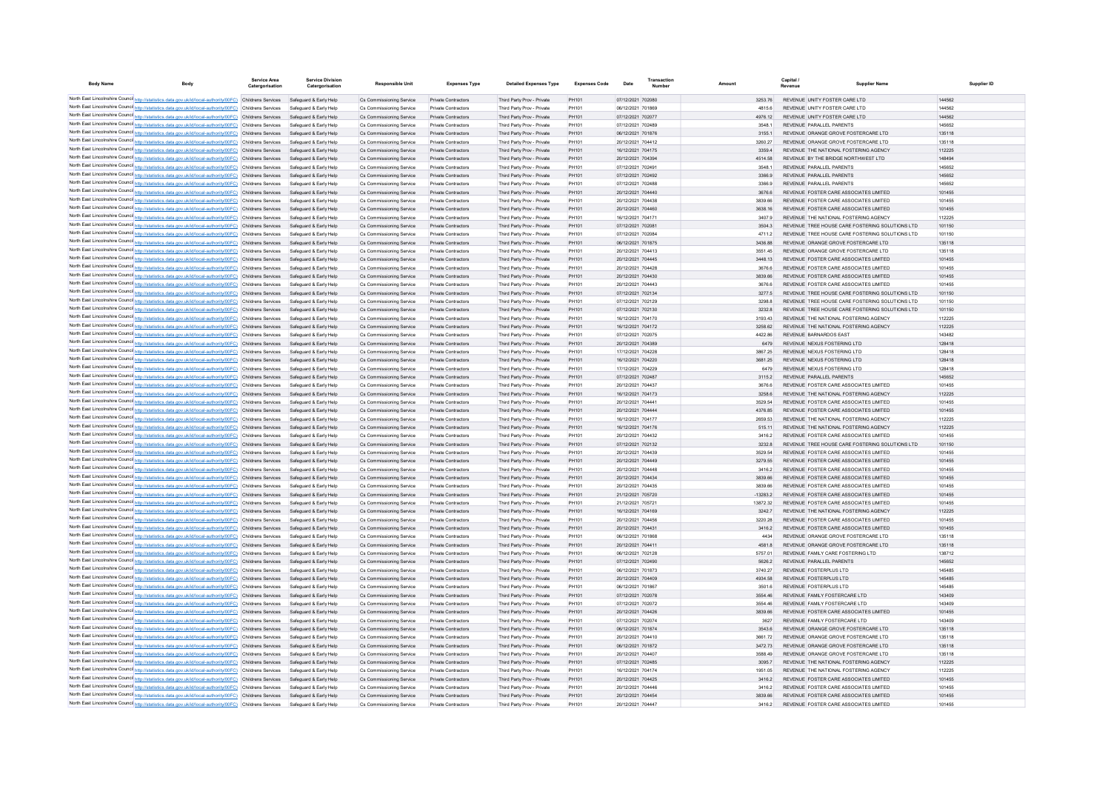| <b>Body Name</b> |                                                                                                                                                                                                                      | <b>Service Area</b><br>Catergorisation | <b>Service Division</b><br>Catergorisation       | <b>Responsible Unit</b>                              | <b>Expenses Type</b>                                     | <b>Detailed Expenses Type</b>                            | <b>Expenses Code</b> | Date                                   | Transaction |                    | Capital                                                                          | <b>Supplier Name</b>                            | Supplier ID      |
|------------------|----------------------------------------------------------------------------------------------------------------------------------------------------------------------------------------------------------------------|----------------------------------------|--------------------------------------------------|------------------------------------------------------|----------------------------------------------------------|----------------------------------------------------------|----------------------|----------------------------------------|-------------|--------------------|----------------------------------------------------------------------------------|-------------------------------------------------|------------------|
|                  | North East Lincolnshire Counci http://statistics.data.gov.uk/id/local-authority/00FC) Childrens Services Safeguard & Early Help                                                                                      |                                        |                                                  | Cs Commissioning Service                             | Private Contractors                                      | Third Party Prov - Private                               | PH101                | 07/12/2021 702080                      |             | 3253.76            | REVENUE UNITY FOSTER CARE LTD                                                    |                                                 | 144562           |
|                  | North East Lincolnshire Counci http://statistics.data.gov.uk/id/local-authority/00FC) Childrens Services                                                                                                             |                                        | Safeguard & Early Help                           | Cs Commissioning Service                             | Private Contractors                                      | Third Party Prov - Private                               | <b>PH101</b>         | 06/12/2021 701869                      |             | 48156              | REVENUE UNITY FOSTER CARE LTD                                                    |                                                 | 144562           |
|                  | North East Lincolnshire Counci http://statistics.data.gov.uk/id/local-authority/00FC) Childrens Services                                                                                                             |                                        | Safeguard & Early Help                           | Cs Commissioning Service                             | Private Contractors                                      | Third Party Prov - Private                               | PH101                | 07/12/2021 702077                      |             | 4976.12            | REVENUE UNITY FOSTER CARE LTD                                                    |                                                 | 144562           |
|                  | North East Lincolnshire Counci http://statistics.data.gov.uk/id/local-authority/00FC) Childrens Services                                                                                                             |                                        | Safeguard & Early Help                           | Cs Commissioning Service                             | Private Contractors                                      | Third Party Prov - Private                               | <b>PH101</b>         | 07/12/2021 702489                      |             | 3548.1             | REVENUE PARALLEL PARENTS                                                         |                                                 | 145652           |
|                  | North East Lincolnshire Counci http://statistics.data.gov.uk/id/local-authority/00FC) Childrens Services                                                                                                             |                                        | Safeguard & Early Help                           | Cs Commissioning Service                             | Private Contractors                                      | Third Party Prov - Private                               | PH101                | 06/12/2021 701876                      |             | 3155.1             | REVENUE ORANGE GROVE FOSTERCARE LTD                                              |                                                 | 135118           |
|                  | North East Lincolnshire Counci http://statistics.data.gov.uk/id/local-authority/00FC) Childrens Services                                                                                                             |                                        | Safeguard & Early Help                           | Cs Commissioning Service                             | Private Contractors                                      | Third Party Prov - Private                               | PH101                | 20/12/2021 704412                      |             | 3260.27            | REVENUE ORANGE GROVE FOSTERCARE LTD                                              |                                                 | 135118           |
|                  | North East Lincolnshire Counci http://statistics.data.gov.uk/id/local-authority/00FC) Childrens Services                                                                                                             |                                        | Safeguard & Early Help                           | Cs Commissioning Service                             | Private Contractors                                      | Third Party Prov - Private                               | PH101                | 16/12/2021 704175                      |             | 3359.4             | REVENUE THE NATIONAL FOSTERING AGENCY                                            |                                                 | 112225           |
|                  | North East Lincolnshire Counci http://statistics.data.gov.uk/id/local-authority/00FC) Childrens Services                                                                                                             |                                        | Safeguard & Early Help                           | Cs Commissioning Service                             | Private Contractors                                      | Third Party Prov - Private                               | PH101                | 20/12/2021 704394                      |             | 4514.58            | REVENUE BY THE BRIDGE NORTHWEST LTD                                              |                                                 | 14849            |
|                  | North East Lincolnshire Counci http://statistics.data.gov.uk/id/local-authority/00FC) Childrens Services                                                                                                             |                                        | Safeguard & Early Help                           | Cs Commissioning Service                             | Private Contractors                                      | Third Party Prov - Private                               | PH101                | 07/12/2021 702491                      |             | 3548.1             | REVENUE PARALLEL PARENTS                                                         |                                                 | 145652           |
|                  | North East Lincolnshire Counci http://statistics.data.gov.uk/id/local-authority/00FC) Childrens Services<br>North East Lincolnshire Counci http://statistics.data.gov.uk/id/local-authority/00FC) Childrens Services |                                        | Safeguard & Early Help<br>Safeguard & Early Help | Cs Commissioning Service<br>Cs Commissioning Service | Private Contractors<br>Private Contractors               | Third Party Prov - Private<br>Third Party Prov - Private | PH101<br>PH101       | 07/12/2021 702492<br>07/12/2021 702488 |             | 3366.9<br>3366.9   | REVENUE PARALLEL PARENTS<br>REVENUE PARALLEL PARENTS                             |                                                 | 145652<br>145652 |
|                  | North East Lincolnshire Counci http://statistics.data.gov.uk/id/local-authority/00FC) Childrens Services                                                                                                             |                                        | Safeguard & Early Help                           | Cs Commissioning Service                             | Private Contractors                                      | Third Party Prov - Private                               | PH101                | 20/12/2021 704440                      |             | 3676.6             | REVENUE, FOSTER CARE ASSOCIATES LIMITED.                                         |                                                 | 101455           |
|                  | North East Lincolnshire Counci http://statistics.data.gov.uk/id/local-authority/00FC) Childrens Services                                                                                                             |                                        | Safeguard & Early Help                           | Cs Commissioning Service                             | <b>Private Contractors</b>                               | Third Party Prov - Private                               | PH101                | 20/12/2021 704438                      |             | 3839.66            | REVENUE FOSTER CARE ASSOCIATES LIMITED                                           |                                                 | 101455           |
|                  | North East Lincolnshire Counci http://statistics.data.gov.uk/id/local-authority/00FC) Childrens Services                                                                                                             |                                        | Safeguard & Early Help                           | Cs Commissioning Service                             | <b>Private Contractors</b>                               | Third Party Prov - Private                               | PH101                | 20/12/2021 704460                      |             | 3638.16            | REVENUE FOSTER CARE ASSOCIATES LIMITED                                           |                                                 | 101455           |
|                  | North East Lincolnshire Counci http://statistics.data.gov.uk/id/local-authority/00FC) Childrens Services                                                                                                             |                                        | Safeguard & Early Help                           | Cs Commissioning Service                             | <b>Private Contractors</b>                               | Third Party Prov - Private                               | PH101                | 16/12/2021 704171                      |             | 3407.9             | REVENUE THE NATIONAL FOSTERING AGENCY                                            |                                                 | 112225           |
|                  | North East Lincolnshire Counci http://statistics.data.gov.uk/id/local-authority/00FC) Childrens Services                                                                                                             |                                        | Safeguard & Early Help                           | Cs Commissioning Service                             | <b>Private Contractors</b>                               | Third Party Prov - Private                               | PH101                | 07/12/2021 702081                      |             | 3504.3             |                                                                                  | REVENUE TREE HOUSE CARE FOSTERING SOLUTIONS LTD | 101150           |
|                  | North East Lincolnshire Counci http://statistics.data.gov.uk/id/local-authority/00FC) Childrens Services                                                                                                             |                                        | Safeguard & Early Help                           | Cs Commissioning Service                             | <b>Private Contractors</b>                               | Third Party Prov - Private                               | PH101                | 07/12/2021 702084                      |             | 4711.2             |                                                                                  | REVENUE TREE HOUSE CARE FOSTERING SOLUTIONS LTD | 101150           |
|                  | North East Lincolnshire Counci http://statistics.data.gov.uk/id/local-authority/00FC) Childrens Services                                                                                                             |                                        | Safeguard & Early Help                           | Cs Commissioning Service                             | <b>Private Contractors</b>                               | Third Party Prov - Private                               | PH101                | 06/12/2021 701875                      |             | 3436.88            | REVENUE ORANGE GROVE FOSTERCARE LTD                                              |                                                 | 135118           |
|                  | North East Lincolnshire Counci http://statistics.data.gov.uk/id/local-authority/00FC) Childrens Services                                                                                                             |                                        | Safeguard & Early Help                           | Cs Commissioning Service                             | <b>Private Contractors</b>                               | Third Party Prov - Private                               | PH101                | 20/12/2021 704413                      |             | 3551.45            | REVENUE ORANGE GROVE FOSTERCARE LTD                                              |                                                 | 135118           |
|                  | North East Lincolnshire Counci http://statistics.data.gov.uk/id/local-authority/00FC) Childrens Services<br>North East Lincolnshire Counci http://statistics.data.gov.uk/id/local-authority/00FC) Childrens Services |                                        | Safeguard & Early Help<br>Safeguard & Early Help | Cs Commissioning Service<br>Cs Commissioning Service | <b>Private Contractors</b><br><b>Private Contractors</b> | Third Party Prov - Private<br>Third Party Prov - Private | PH101<br>PH101       | 20/12/2021 704445<br>20/12/2021 704428 |             | 3448.13<br>3676.6  | REVENUE FOSTER CARE ASSOCIATES LIMITED<br>REVENUE FOSTER CARE ASSOCIATES LIMITED |                                                 | 101455<br>101455 |
|                  | North East Lincolnshire Counci http://statistics.data.gov.uk/id/local-authority/00FC) Childrens Services                                                                                                             |                                        | Safeguard & Early Help                           | Cs Commissioning Service                             | <b>Private Contractors</b>                               | Third Party Prov - Private                               | PH101                | 20/12/2021 704430                      |             | 3839.66            | REVENUE FOSTER CARE ASSOCIATES LIMITED                                           |                                                 | 101455           |
|                  | North East Lincolnshire Counci http://statistics.data.gov.uk/id/local-authority/00FC) Childrens Services                                                                                                             |                                        | Safeguard & Early Help                           | Cs Commissioning Service                             | <b>Private Contractors</b>                               | Third Party Prov - Private                               | PH101                | 20/12/2021 704443                      |             | 3676.6             | REVENUE FOSTER CARE ASSOCIATES LIMITED                                           |                                                 | 101455           |
|                  | North East Lincolnshire Counci http://statistics.data.gov.uk/id/local-authority/00FC) Childrens Services                                                                                                             |                                        | Safeguard & Early Help                           | Cs Commissioning Service                             | <b>Private Contractors</b>                               | Third Party Prov - Private                               | PH101                | 07/12/2021 702134                      |             | 3277.5             |                                                                                  | REVENUE TREE HOUSE CARE FOSTERING SOLUTIONS LTD | 101150           |
|                  | North East Lincolnshire Counci http://statistics.data.gov.uk/id/local-authority/00FC) Childrens Services                                                                                                             |                                        | Safeguard & Early Help                           | Cs Commissioning Service                             | <b>Private Contractors</b>                               | Third Party Prov - Private                               | PH101                | 07/12/2021 702129                      |             | 3298.8             |                                                                                  | REVENUE TREE HOUSE CARE FOSTERING SOLUTIONS LTD | 101150           |
|                  | North East Lincolnshire Counci http://statistics.data.gov.uk/id/local-authority/00FC) Childrens Services                                                                                                             |                                        | Safeguard & Early Help                           | Cs Commissioning Service                             | <b>Private Contractors</b>                               | Third Party Prov - Private                               | PH101                | 07/12/2021 702130                      |             | 3232.8             |                                                                                  | REVENUE TREE HOUSE CARE FOSTERING SOLUTIONS LTD | 101150           |
|                  | North East Lincolnshire Counci http://statistics.data.gov.uk/id/local-authority/00FC) Childrens Services                                                                                                             |                                        | Safeguard & Early Help                           | Cs Commissioning Service                             | <b>Private Contractors</b>                               | Third Party Prov - Private                               | PH101                | 16/12/2021 704170                      |             | 3193.43            | REVENUE THE NATIONAL FOSTERING AGENCY                                            |                                                 | 112225           |
|                  | North East Lincolnshire Counci http://statistics.data.gov.uk/id/local-authority/00FC) Childrens Services                                                                                                             |                                        | Safeguard & Early Help                           | Cs Commissioning Service                             | <b>Private Contractors</b>                               | Third Party Prov - Private                               | PH101                | 16/12/2021 704172                      |             | 3258.62            | REVENUE THE NATIONAL FOSTERING AGENCY                                            |                                                 | 112225           |
|                  | North East Lincolnshire Counci http://statistics.data.gov.uk/id/local-authority/00FC) Childrens Services                                                                                                             |                                        | Safeguard & Early Help                           | Cs Commissioning Service                             | <b>Private Contractors</b>                               | Third Party Prov - Private                               | PH101                | 07/12/2021 702075                      |             | 4422.86            | REVENUE BARNARDOS EAST                                                           |                                                 | 143482           |
|                  | North East Lincolnshire Counci http://statistics.data.gov.uk/id/local-authority/00FC) Childrens Services                                                                                                             |                                        | Safeguard & Early Help                           | Cs Commissioning Service                             | <b>Private Contractors</b>                               | Third Party Prov - Private                               | PH101                | 20/12/2021 704389                      |             | 6479               | REVENUE NEXUS FOSTERING LTD                                                      |                                                 | 128418           |
|                  | North East Lincolnshire Counci http://statistics.data.gov.uk/id/local-authority/00FC) Childrens Services<br>North East Lincolnshire Counci http://statistics.data.gov.uk/id/local-authority/00FC) Childrens Services |                                        | Safeguard & Early Help<br>Safeguard & Early Help | Cs Commissioning Service<br>Cs Commissioning Service | <b>Private Contractors</b><br><b>Private Contractors</b> | Third Party Prov - Private<br>Third Party Prov - Private | PH101<br>PH101       | 17/12/2021 704228<br>16/12/2021 704220 |             | 3867.25<br>3681.25 | REVENUE NEXUS FOSTERING LTD<br>REVENUE NEXUS FOSTERING LTD                       |                                                 | 128418<br>128418 |
|                  | North East Lincolnshire Counci http://statistics.data.gov.uk/id/local-authority/00FC) Childrens Services                                                                                                             |                                        | Safeguard & Early Help                           | Cs Commissioning Service                             | <b>Private Contractors</b>                               | Third Party Prov - Private                               | PH101                | 17/12/2021 704229                      |             | 6479               | REVENUE NEXUS FOSTERING LTD                                                      |                                                 | 128418           |
|                  | North East Lincolnshire Counci http://statistics.data.gov.uk/id/local-authority/00FC) Childrens Services                                                                                                             |                                        | Safeguard & Early Help                           | Cs Commissioning Service                             | <b>Private Contractors</b>                               | Third Party Prov - Private                               | PH101                | 07/12/2021 702487                      |             | 3115.2             | REVENUE PARALLEL PARENTS                                                         |                                                 | 145652           |
|                  | North East Lincolnshire Counci http://statistics.data.gov.uk/id/local-authority/00FC) Childrens Services                                                                                                             |                                        | Safeguard & Early Help                           | Cs Commissioning Service                             | <b>Private Contractors</b>                               | Third Party Prov - Private                               | PH101                | 20/12/2021 704437                      |             | 3676.6             | REVENUE FOSTER CARE ASSOCIATES LIMITED                                           |                                                 | 101455           |
|                  | North East Lincolnshire Counci http://statistics.data.gov.uk/id/local-authority/00FC) Childrens Services                                                                                                             |                                        | Safeguard & Early Help                           | Cs Commissioning Service                             | <b>Private Contractors</b>                               | Third Party Prov - Private                               | PH101                | 16/12/2021 704173                      |             | 3258.6             | REVENUE THE NATIONAL FOSTERING AGENCY                                            |                                                 | 112225           |
|                  | North East Lincolnshire Counci http://statistics.data.gov.uk/id/local-authority/00FC) Childrens Services                                                                                                             |                                        | Safeguard & Early Help                           | Cs Commissioning Service                             | <b>Private Contractors</b>                               | Third Party Prov - Private                               | PH101                | 20/12/2021 70444                       |             | 3529.54            | REVENUE FOSTER CARE ASSOCIATES LIMITED                                           |                                                 | 101455           |
|                  | North East Lincolnshire Counci http://statistics.data.gov.uk/id/local-authority/00FC) Childrens Services                                                                                                             |                                        | Safeguard & Early Help                           | Cs Commissioning Service                             | <b>Private Contractors</b>                               | Third Party Prov - Private                               | PH101                | 20/12/2021 704444                      |             | 4376.85            | REVENUE FOSTER CARE ASSOCIATES LIMITED                                           |                                                 | 101455           |
|                  | North East Lincolnshire Counci http://statistics.data.gov.uk/id/local-authority/00FC) Childrens Services                                                                                                             |                                        | Safeguard & Early Help                           | Cs Commissioning Service                             | Private Contractors                                      | Third Party Prov - Private                               | PH101                | 16/12/2021 704177                      |             | 2659.53            | REVENUE THE NATIONAL FOSTERING AGENCY                                            |                                                 | 112225           |
|                  | North East Lincolnshire Counci http://statistics.data.gov.uk/id/local-authority/00FC) Childrens Services                                                                                                             |                                        | Safeguard & Early Help                           | Cs Commissioning Service                             | Private Contractors                                      | Third Party Prov - Private                               | PH101                | 16/12/2021 704176                      |             | 515.11             | REVENUE THE NATIONAL FOSTERING AGENCY                                            |                                                 | 112225           |
|                  | North East Lincolnshire Counci http://statistics.data.gov.uk/id/local-authority/00FC) Childrens Services<br>North East Lincolnshire Counci http://statistics.data.gov.uk/id/local-authority/00FC) Childrens Services |                                        | Safeguard & Early Help<br>Safeguard & Early Help | Cs Commissioning Service<br>Cs Commissioning Service | Private Contractors<br>Private Contractors               | Third Party Prov - Private<br>Third Party Prov - Private | PH101<br>PH101       | 20/12/2021 704432<br>07/12/2021 702132 |             | 3416.2<br>3232.8   | REVENUE FOSTER CARE ASSOCIATES LIMITED                                           | REVENUE TREE HOUSE CARE FOSTERING SOLUTIONS LTD | 101455<br>101150 |
|                  | North East Lincolnshire Counci http://statistics.data.gov.uk/id/local-authority/00FC) Childrens Services                                                                                                             |                                        | Safeguard & Early Help                           | Cs Commissioning Service                             | Private Contractors                                      | Third Party Prov - Private                               | PH101                | 20/12/2021 704439                      |             | 3529.54            | REVENUE FOSTER CARE ASSOCIATES LIMITED                                           |                                                 | 101455           |
|                  | North East Lincolnshire Counci http://statistics.data.gov.uk/id/local-authority/00FC) Childrens Services                                                                                                             |                                        | Safeguard & Early Help                           | Cs Commissioning Service                             | Private Contractors                                      | Third Party Prov - Private                               | PH101                | 20/12/2021 704449                      |             | 3279.55            | REVENUE FOSTER CARE ASSOCIATES LIMITED                                           |                                                 | 101455           |
|                  | North East Lincolnshire Counci http://statistics.data.gov.uk/id/local-authority/00FC) Childrens Services                                                                                                             |                                        | Safeguard & Early Help                           | Cs Commissioning Service                             | Private Contractors                                      | Third Party Prov - Private                               | PH101                | 20/12/2021 70444                       |             | 3416.2             | REVENUE FOSTER CARE ASSOCIATES LIMITED                                           |                                                 | 101455           |
|                  | North East Lincolnshire Counci http://statistics.data.gov.uk/id/local-authority/00FC) Childrens Services                                                                                                             |                                        | Safeguard & Early Help                           | Cs Commissioning Service                             | Private Contractors                                      | Third Party Prov - Private                               | PH101                | 20/12/2021 704434                      |             | 3839.66            | REVENUE FOSTER CARE ASSOCIATES LIMITED                                           |                                                 | 101455           |
|                  | North East Lincolnshire Counci http://statistics.data.gov.uk/id/local-authority/00FC) Childrens Services                                                                                                             |                                        | Safeguard & Early Help                           | Cs Commissioning Service                             | Private Contractors                                      | Third Party Prov - Private                               | PH101                | 20/12/2021 704435                      |             | 3839.66            | REVENUE FOSTER CARE ASSOCIATES LIMITED                                           |                                                 | 101455           |
|                  | North East Lincolnshire Counci http://statistics.data.gov.uk/id/local-authority/00FC) Childrens Services                                                                                                             |                                        | Safeguard & Early Help                           | Cs Commissioning Service                             | Private Contractors                                      | Third Party Prov - Private                               | PH101                | 21/12/2021 705720                      |             | $-13283.2$         | REVENUE FOSTER CARE ASSOCIATES LIMITED                                           |                                                 | 101455           |
|                  | North East Lincolnshire Counci http://statistics.data.gov.uk/id/local-authority/00FC) Childrens Services                                                                                                             |                                        | Safeguard & Early Help                           | Cs Commissioning Service                             | Private Contractors                                      | Third Party Prov - Private                               | PH101                | 21/12/2021 70572                       |             | 13872.32           | REVENUE FOSTER CARE ASSOCIATES LIMITED                                           |                                                 | 101455           |
|                  | North East Lincolnshire Counci http://statistics.data.gov.uk/id/local-authority/00FC) Childrens Services                                                                                                             |                                        | Safeguard & Early Help                           | Cs Commissioning Service                             | Private Contractors                                      | Third Party Prov - Private                               | PH101                | 16/12/2021 704169                      |             | 3242.7             | REVENUE THE NATIONAL FOSTERING AGENCY                                            |                                                 | 112225           |
|                  | North East Lincolnshire Counci http://statistics.data.gov.uk/id/local-authority/00FC) Childrens Services                                                                                                             |                                        | Safeguard & Early Help                           | Cs Commissioning Service                             | Private Contractors                                      | Third Party Prov - Private                               | PH101                | 20/12/2021 70445                       |             | 3220.28            | REVENUE FOSTER CARE ASSOCIATES LIMITED                                           |                                                 | 101455           |
|                  | North East Lincolnshire Counci http://statistics.data.gov.uk/id/local-authority/00FC) Childrens Services<br>North East Lincolnshire Counci http://statistics.data.gov.uk/id/local-authority/00FC) Childrens Services |                                        | Safeguard & Early Help<br>Safeguard & Early Help | Cs Commissioning Service<br>Cs Commissioning Service | Private Contractors<br>Private Contractors               | Third Party Prov - Private<br>Third Party Prov - Private | PH101<br>PH101       | 20/12/2021 704431<br>06/12/2021 70186  |             | 3416.2<br>4434     | REVENUE FOSTER CARE ASSOCIATES LIMITED<br>REVENUE ORANGE GROVE FOSTERCARE LTD    |                                                 | 101455<br>135118 |
|                  | North East Lincolnshire Counci http://statistics.data.gov.uk/id/local-authority/00FC) Childrens Services                                                                                                             |                                        | Safeguard & Early Help                           | Cs Commissioning Service                             | Private Contractors                                      | Third Party Prov - Private                               | PH101                | 20/12/2021 70441                       |             | 4581.8             | REVENUE ORANGE GROVE FOSTERCARE LTD                                              |                                                 | 135118           |
|                  | North East Lincolnshire Counci http://statistics.data.gov.uk/id/local-authority/00FC) Childrens Services                                                                                                             |                                        | Safeguard & Early Help                           | Cs Commissioning Service                             | Private Contractors                                      | Third Party Prov - Private                               | PH101                | 06/12/2021 702128                      |             | 5757.01            | REVENUE FAMILY CARE FOSTERING LTD                                                |                                                 | 138712           |
|                  | North East Lincolnshire Counci http://statistics.data.gov.uk/id/local-authority/00FC) Childrens Services                                                                                                             |                                        | Safeguard & Early Help                           | Cs Commissioning Service                             | Private Contractors                                      | Third Party Prov - Private                               | PH101                | 07/12/2021 702490                      |             | 5626.2             | REVENUE PARALLEL PARENTS                                                         |                                                 | 145652           |
|                  | North East Lincolnshire Counci http://statistics.data.gov.uk/id/local-authority/00FC) Childrens Services                                                                                                             |                                        | Safeguard & Early Help                           | Cs Commissioning Service                             | Private Contractors                                      | Third Party Prov - Private                               | PH101                | 06/12/2021 701873                      |             | 3740.27            | REVENUE FOSTERPLUS LTD                                                           |                                                 | 145485           |
|                  | North East Lincolnshire Counci http://statistics.data.gov.uk/id/local-authority/00FC) Childrens Services                                                                                                             |                                        | Safeguard & Early Help                           | Cs Commissioning Service                             | Private Contractors                                      | Third Party Prov - Private                               | PH101                | 20/12/2021 704409                      |             | 4934.58            | REVENUE FOSTERPLUS LTD                                                           |                                                 | 145485           |
|                  | North East Lincolnshire Counci http://statistics.data.gov.uk/id/local-authority/00FC) Childrens Services                                                                                                             |                                        | Safeguard & Early Help                           | Cs Commissioning Service                             | Private Contractors                                      | Third Party Prov - Private                               | PH101                | 06/12/2021 701867                      |             | 3501.6             | REVENUE FOSTERPLUS LTD                                                           |                                                 | 145485           |
|                  | North East Lincolnshire Counci http://statistics.data.gov.uk/id/local-authority/00FC) Childrens Services                                                                                                             |                                        | Safeguard & Early Help                           | Cs Commissioning Service                             | Private Contractors                                      | Third Party Prov - Private                               | PH101                | 07/12/2021 702078                      |             | 3554.46            | REVENUE FAMILY FOSTERCARE LTD                                                    |                                                 | 143409           |
|                  | North East Lincolnshire Counci http://statistics.data.gov.uk/id/local-authority/00FC) Childrens Services                                                                                                             |                                        | Safeguard & Early Help                           | Cs Commissioning Service                             | Private Contractors                                      | Third Party Prov - Private                               | PH101                | 07/12/2021 702072                      |             | 3554.46            | REVENUE FAMILY FOSTERCARE LTD                                                    |                                                 | 143409           |
|                  | North East Lincolnshire Counci http://statistics.data.gov.uk/id/local-authority/00FC) Childrens Services<br>North East Lincolnshire Counci http://statistics.data.gov.uk/id/local-authority/00FC) Childrens Services |                                        | Safeguard & Early Help                           | Cs Commissioning Service                             | Private Contractors                                      | Third Party Prov - Private                               | PH101                | 20/12/2021 704426                      |             | 3839.66            | REVENUE FOSTER CARE ASSOCIATES LIMITED                                           |                                                 | 101455           |
|                  | North East Lincolnshire Counci http://statistics.data.gov.uk/id/local-authority/00FC) Childrens Services                                                                                                             |                                        | Safeguard & Early Help<br>Safeguard & Early Help | Cs Commissioning Service<br>Cs Commissioning Service | Private Contractors<br>Private Contractors               | Third Party Prov - Private<br>Third Party Prov - Private | PH101<br>PH101       | 07/12/2021 70207<br>06/12/2021 701874  |             | 3627<br>3543.6     | REVENUE FAMILY FOSTERCARE LTD<br>REVENUE ORANGE GROVE FOSTERCARE LTD             |                                                 | 143409<br>135118 |
|                  | North East Lincolnshire Counci http://statistics.data.gov.uk/id/local-authority/00FC) Childrens Services                                                                                                             |                                        | Safeguard & Early Help                           | Cs Commissioning Service                             | Private Contractors                                      | Third Party Prov - Private                               | PH101                | 20/12/2021 704410                      |             | 3661.72            | REVENUE ORANGE GROVE FOSTERCARE LTD                                              |                                                 | 135118           |
|                  | North East Lincolnshire Counci http://statistics.data.gov.uk/id/local-authority/00FC) Childrens Services                                                                                                             |                                        | Safeguard & Early Help                           | Cs Commissioning Service                             | Private Contractors                                      | Third Party Prov - Private                               | PH101                | 06/12/2021 701872                      |             | 3472.73            | REVENUE ORANGE GROVE FOSTERCARE LTD                                              |                                                 | 135118           |
|                  | North East Lincolnshire Counci http://statistics.data.gov.uk/id/local-authority/00FC) Childrens Services                                                                                                             |                                        | Safeguard & Early Help                           | Cs Commissioning Service                             | Private Contractors                                      | Third Party Prov - Private                               | PH101                | 20/12/2021 704407                      |             | 3588.49            | REVENUE ORANGE GROVE FOSTERCARE LTD                                              |                                                 | 135118           |
|                  | North East Lincolnshire Counci http://statistics.data.gov.uk/id/local-authority/00FC) Childrens Services                                                                                                             |                                        | Safeguard & Early Help                           | Cs Commissioning Service                             | Private Contractors                                      | Third Party Prov - Private                               | PH101                | 07/12/2021 702485                      |             | 3095.7             | REVENUE THE NATIONAL FOSTERING AGENCY                                            |                                                 | 112225           |
|                  | North East Lincolnshire Counci http://statistics.data.gov.uk/id/local-authority/00FC) Childrens Services                                                                                                             |                                        | Safeguard & Early Help                           | Cs Commissioning Service                             | <b>Private Contractors</b>                               | Third Party Prov - Private                               | PH101                | 16/12/2021 704174                      |             | 1951.05            | REVENUE THE NATIONAL FOSTERING AGENCY                                            |                                                 | 112225           |
|                  | North East Lincolnshire Counci http://statistics.data.gov.uk/id/local-authority/00FC) Childrens Services                                                                                                             |                                        | Safeguard & Early Help                           | Cs Commissioning Service                             | Private Contractors                                      | Third Party Prov - Private                               | PH101                | 20/12/2021 704425                      |             | 3416.2             | REVENUE FOSTER CARE ASSOCIATES LIMITED                                           |                                                 | 101455           |
|                  | North East Lincolnshire Counci http://statistics.data.gov.uk/id/local-authority/00FC) Childrens Services                                                                                                             |                                        | Safeguard & Early Help                           | Cs Commissioning Service                             | <b>Private Contractors</b>                               | Third Party Prov - Private                               | PH101                | 20/12/2021 704446                      |             | 3416.2             | REVENUE FOSTER CARE ASSOCIATES LIMITED                                           |                                                 | 101455           |
|                  | North East Lincolnshire Counci http://statistics.data.gov.uk/id/local-authority/00FC) Childrens Services                                                                                                             |                                        | Safeguard & Early Help                           | Cs Commissioning Service                             | <b>Private Contractors</b>                               | Third Party Prov - Private                               | PH101                | 20/12/2021 704454                      |             | 3839.66            | REVENUE, FOSTER CARE ASSOCIATES LIMITED.                                         |                                                 | 101455           |
|                  | North East Lincolnshire Counci http://statistics.data.gov.uk/id/local-authority/00FC) Childrens Services                                                                                                             |                                        | Safeguard & Early Help                           | Cs Commissioning Service                             | Private Contractors                                      | Third Party Prov - Private                               | <b>PH101</b>         | 20/12/2021 704447                      |             | 3416.2             | REVENUE FOSTER CARE ASSOCIATES LIMITED                                           |                                                 | 101455           |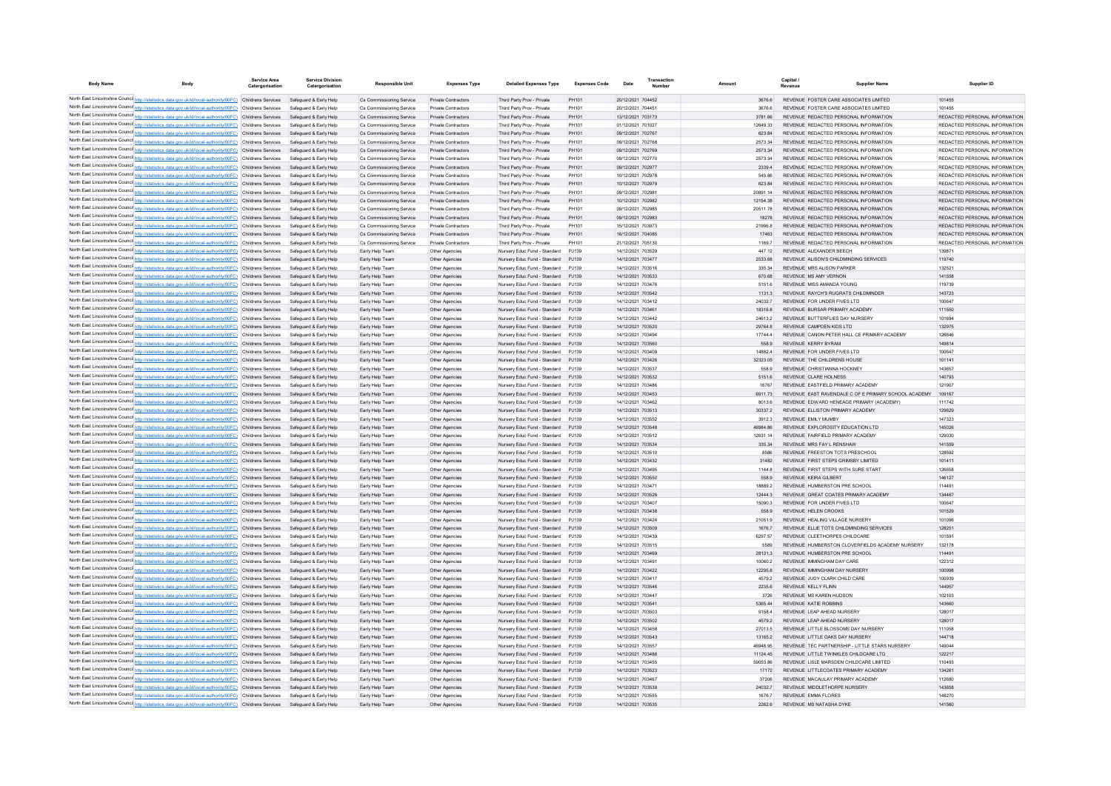| <b>Body Name</b> |                                                                                                                                                                                                                      | <b>Service Area</b><br>Catergorisation | <b>Service Division</b><br>Catergorisation       | <b>Responsible Unit</b>                              | <b>Expenses Type</b>                                     | <b>Detailed Expenses Type</b>                                            | <b>Expenses Code</b> | Date                                   | Transaction |                      | Capital<br>Revenue | <b>Supplier Name</b>                                                             | Supplier ID                                                    |
|------------------|----------------------------------------------------------------------------------------------------------------------------------------------------------------------------------------------------------------------|----------------------------------------|--------------------------------------------------|------------------------------------------------------|----------------------------------------------------------|--------------------------------------------------------------------------|----------------------|----------------------------------------|-------------|----------------------|--------------------|----------------------------------------------------------------------------------|----------------------------------------------------------------|
|                  | North East Lincolnshire Counci http://statistics.data.gov.uk/id/local-authority/00FC) Childrens Services                                                                                                             |                                        | Safeguard & Early Help                           | Cs Commissioning Service                             | Private Contractors                                      | Third Party Prov - Private                                               | <b>PH101</b>         | 20/12/2021 704452                      |             | 3676.6               |                    | REVENUE FOSTER CARE ASSOCIATES LIMITED                                           | 101455                                                         |
|                  | North East Lincolnshire Counci http://statistics.data.gov.uk/id/local-authority/00FC) Childrens Services                                                                                                             |                                        | Safeguard & Early Help                           | Cs Commissioning Service                             | Private Contractors                                      | Third Party Prov - Private                                               | <b>PH101</b>         | 20/12/2021 704451                      |             | 3676.6               |                    | REVENUE FOSTER CARE ASSOCIATES LIMITED                                           | 101455                                                         |
|                  | North East Lincolnshire Counci http://statistics.data.gov.uk/id/local-authority/00FC) Childrens Services                                                                                                             |                                        | Safeguard & Early Help                           | Cs Commissioning Service                             | Private Contractors                                      | Third Party Prov - Private                                               | PH101                | 13/12/2021 703173                      |             | 3781.66              |                    | REVENUE REDACTED PERSONAL INFORMATION                                            | REDACTED PERSONAL INFORMATION                                  |
|                  | North East Lincolnshire Counci http://statistics.data.gov.uk/id/local-authority/00FC) Childrens Services                                                                                                             |                                        | Safeguard & Early Help                           | Cs Commissioning Service                             | <b>Private Contractors</b>                               | Third Party Prov - Private                                               | <b>PH101</b>         | 01/12/2021 701027                      |             | 12649.33             |                    | REVENUE REDACTED PERSONAL INFORMATION                                            | REDACTED PERSONAL INFORMATION                                  |
|                  | North East Lincolnshire Counci http://statistics.data.gov.uk/id/local-authority/00FC) Childrens Services                                                                                                             |                                        | Safeguard & Early Help                           | Cs Commissioning Service                             | Private Contractors                                      | Third Party Prov - Private                                               | PH101                | 09/12/2021 702767                      |             | 623.84               |                    | REVENUE REDACTED PERSONAL INFORMATION                                            | REDACTED PERSONAL INFORMATION                                  |
|                  | North East Lincolnshire Counci http://statistics.data.gov.uk/id/local-authority/00FC) Childrens Services                                                                                                             |                                        | Safeguard & Early Help                           | Cs Commissioning Service                             | <b>Private Contractors</b>                               | Third Party Prov - Private                                               | PH101                | 09/12/2021 702768                      |             | 2573.34              |                    | REVENUE REDACTED PERSONAL INFORMATION                                            | REDACTED PERSONAL INFORMATION                                  |
|                  | North East Lincolnshire Counci http://statistics.data.gov.uk/id/local-authority/00FC) Childrens Services                                                                                                             |                                        | Safeguard & Early Help                           | Cs Commissioning Service                             | Private Contractors                                      | Third Party Prov - Private                                               | PH101                | 09/12/2021 702769                      |             | 2573.34              |                    | REVENUE REDACTED PERSONAL INFORMATION                                            | REDACTED PERSONAL INFORMATION                                  |
|                  | North East Lincolnshire Counci http://statistics.data.gov.uk/id/local-authority/00FC) Childrens Services                                                                                                             |                                        | Safeguard & Early Help                           | Cs Commissioning Service                             | <b>Private Contractors</b>                               | Third Party Prov - Private                                               | PH101                | 09/12/2021 702770                      |             | 2573.34              |                    | REVENUE REDACTED PERSONAL INFORMATION                                            | REDACTED PERSONAL INFORMATION                                  |
|                  | North East Lincolnshire Counci http://statistics.data.gov.uk/id/local-authority/00FC) Childrens Services                                                                                                             |                                        | Safeguard & Early Help                           | Cs Commissioning Service                             | Private Contractors                                      | Third Party Prov - Private                                               | PH101                | 09/12/2021 702977                      |             | 2339.4               |                    | REVENUE REDACTED PERSONAL INFORMATION                                            | REDACTED PERSONAL INFORMATION                                  |
|                  | North East Lincolnshire Counci http://statistics.data.gov.uk/id/local-authority/00FC) Childrens Services                                                                                                             |                                        | Safeguard & Early Help                           | Cs Commissioning Service                             | <b>Private Contractors</b>                               | Third Party Prov - Private                                               | PH101                | 10/12/2021 702978                      |             | 545.86               |                    | REVENUE REDACTED PERSONAL INFORMATION                                            | REDACTED PERSONAL INFORMATION                                  |
|                  | North East Lincolnshire Counci http://statistics.data.gov.uk/id/local-authority/00FC) Childrens Services<br>North East Lincolnshire Counci http://statistics.data.gov.uk/id/local-authority/00FC) Childrens Services |                                        | Safeguard & Early Help                           | Cs Commissioning Service                             | <b>Private Contractors</b>                               | Third Party Prov - Private<br>Third Party Prov - Private                 | PH101<br>PH101       | 10/12/2021 702979<br>09/12/2021 70298  |             | 623.84<br>20891.14   |                    | REVENUE REDACTED PERSONAL INFORMATION<br>REVENUE REDACTED PERSONAL INFORMATION   | REDACTED PERSONAL INFORMATION<br>REDACTED PERSONAL INFORMATION |
|                  | North East Lincolnshire Counci http://statistics.data.gov.uk/id/local-authority/00FC) Childrens Services                                                                                                             |                                        | Safeguard & Early Help<br>Safeguard & Early Help | Cs Commissioning Service<br>Cs Commissioning Service | <b>Private Contractors</b><br><b>Private Contractors</b> | Third Party Prov - Private                                               | PH101                | 10/12/2021 702982                      |             | 12154.38             |                    | REVENUE REDACTED PERSONAL INFORMATION                                            | REDACTED PERSONAL INFORMATION                                  |
|                  | North East Lincolnshire Counci http://statistics.data.gov.uk/id/local-authority/00FC) Childrens Services                                                                                                             |                                        | Safeguard & Early Help                           | Cs Commissioning Service                             | <b>Private Contractors</b>                               | Third Party Prov - Private                                               | PH101                | 09/12/2021 702985                      |             | 20511.78             |                    | REVENUE REDACTED PERSONAL INFORMATION                                            | REDACTED PERSONAL INFORMATION                                  |
|                  | North East Lincolnshire Counci http://statistics.data.gov.uk/id/local-authority/00FC) Childrens Services                                                                                                             |                                        | Safeguard & Early Help                           | Cs Commissioning Service                             | Private Contractors                                      | Third Party Prov - Private                                               | PH101                | 09/12/2021 702983                      |             | 18278                |                    | REVENUE REDACTED PERSONAL INFORMATION                                            | REDACTED PERSONAL INFORMATION                                  |
|                  | North East Lincolnshire Counci http://statistics.data.gov.uk/id/local-authority/00FC) Childrens Services                                                                                                             |                                        | Safeguard & Early Help                           | Cs Commissioning Service                             | <b>Private Contractors</b>                               | Third Party Prov - Private                                               | PH101                | 15/12/2021 703973                      |             | 21996.8              |                    | REVENUE REDACTED PERSONAL INFORMATION                                            | REDACTED PERSONAL INFORMATION                                  |
|                  | North East Lincolnshire Counci http://statistics.data.gov.uk/id/local-authority/00FC) Childrens Services                                                                                                             |                                        | Safeguard & Early Help                           | Cs Commissioning Service                             | Private Contractors                                      | Third Party Prov - Private                                               | PH101                | 16/12/2021 704085                      |             | 17463                |                    | REVENUE REDACTED PERSONAL INFORMATION                                            | REDACTED PERSONAL INFORMATION                                  |
|                  | North East Lincolnshire Counci http://statistics.data.gov.uk/id/local-authority/00FC) Childrens Services                                                                                                             |                                        | Safeguard & Early Help                           | Cs Commissioning Service                             | Private Contractors                                      | Third Party Prov - Private                                               | PH101                | 21/12/2021 705130                      |             | 1169.7               |                    | REVENUE REDACTED PERSONAL INFORMATION                                            | REDACTED PERSONAL INFORMATION                                  |
|                  | North East Lincolnshire Counci http://statistics.data.gov.uk/id/local-authority/00FC) Childrens Services                                                                                                             |                                        | Safeguard & Early Help                           | Early Help Tean                                      | Other Agencies                                           | Nursery Educ Fund - Standard                                             | PJ139                | 14/12/2021 703529                      |             | 447.12               |                    | REVENUE ALEXANDER BEECH                                                          | 139871                                                         |
|                  | North East Lincolnshire Counci http://statistics.data.gov.uk/id/local-authority/00FC) Childrens Services                                                                                                             |                                        | Safeguard & Early Help                           | Early Help Team                                      | Other Agencies                                           | Nursery Educ Fund - Standard                                             | PJ139                | 14/12/2021 703477                      |             | 2533.68              |                    | REVENUE ALISON'S CHILDMINDING SERVICES                                           | 119740                                                         |
|                  | North East Lincolnshire Counci http://statistics.data.gov.uk/id/local-authority/00FC) Childrens Services                                                                                                             |                                        | Safeguard & Early Help                           | Early Help Tean                                      | Other Agencies                                           | Nursery Educ Fund - Standard                                             | P.1139               | 14/12/2021 703516                      |             | 335.34               |                    | REVENUE MRS ALISON PARKER                                                        | 132521                                                         |
|                  | North East Lincolnshire Counci http://statistics.data.gov.uk/id/local-authority/00FC) Childrens Services                                                                                                             |                                        | Safeguard & Early Help                           | Early Help Team                                      | Other Agencies                                           | Nursery Educ Fund - Standard                                             | PJ139                | 14/12/2021 703533                      |             | 670.68               |                    | REVENUE MS AMY VERNON                                                            | 141558                                                         |
|                  | North East Lincolnshire Counci http://statistics.data.gov.uk/id/local-authority/00FC) Childrens Services                                                                                                             |                                        | Safeguard & Early Help                           | Early Help Tean                                      | Other Agencies                                           | Nursery Educ Fund - Standard                                             | P.1139               | 14/12/2021 703476                      |             | 5151.6               |                    | REVENUE MISS AMANDA YOUNG                                                        | 119739                                                         |
|                  | North East Lincolnshire Counci http://statistics.data.gov.uk/id/local-authority/00FC) Childrens Services                                                                                                             |                                        | Safeguard & Early Help                           | Early Help Team                                      | Other Agencies                                           | Nursery Educ Fund - Standard                                             | PJ139                | 14/12/2021 703542                      |             | 1131.3               |                    | REVENUE RAYCH'S RUGRATS CHILDMINDER                                              | 143723                                                         |
|                  | North East Lincolnshire Counci http://statistics.data.gov.uk/id/local-authority/00FC) Childrens Services                                                                                                             |                                        | Safeguard & Early Help                           | Early Help Tean                                      | Other Agencies                                           | Nursery Educ Fund - Standard                                             | P.1139               | 14/12/2021 703412                      |             | 24032.7              |                    | REVENUE FOR UNDER FIVES LTD                                                      | 100647                                                         |
|                  | North East Lincolnshire Counci http://statistics.data.gov.uk/id/local-authority/00FC) Childrens Services                                                                                                             |                                        | Safeguard & Early Help                           | Early Help Tean                                      | Other Agencies                                           | Nursery Educ Fund - Standard                                             | PJ139                | 14/12/2021 703461                      |             | 18316.8              |                    | REVENUE BURSAR PRIMARY ACADEMY                                                   | 111550                                                         |
|                  | North East Lincolnshire Counci http://statistics.data.gov.uk/id/local-authority/00FC) Childrens Services<br>North East Lincolnshire Counci http://statistics.data.gov.uk/id/local-authority/00FC) Childrens Services |                                        | Safeguard & Early Help                           | Early Help Tean                                      | Other Agencies                                           | Nursery Educ Fund - Standard<br>Nursery Educ Fund - Standard             | P.1139<br>PJ139      | 14/12/2021 703442<br>14/12/2021 703520 |             | 24613.2<br>29764.8   |                    | REVENUE BUTTERFLIES DAY NURSERY<br>REVENUE CAMPDEN KIDS LTD                      | 101694<br>132975                                               |
|                  | North East Lincolnshire Counci http://statistics.data.gov.uk/id/local-authority/00FC) Childrens Services                                                                                                             |                                        | Safeguard & Early Help<br>Safeguard & Early Help | Early Help Tean<br>Early Help Tean                   | Other Agencies<br>Other Agencies                         | Nursery Educ Fund - Standard                                             | P.1139               | 14/12/2021 703494                      |             | 17744.4              |                    | REVENUE CANON PETER HALL CE PRIMARY ACADEMY                                      | 126646                                                         |
|                  | North East Lincolnshire Counci http://statistics.data.gov.uk/id/local-authority/00FC) Childrens Services                                                                                                             |                                        | Safeguard & Early Help                           | Early Help Tean                                      | Other Agencies                                           | Nursery Educ Fund - Standard                                             | PJ139                | 14/12/2021 703560                      |             | 558.9                |                    | REVENUE KERRY BYRAM                                                              | 149814                                                         |
|                  | North East Lincolnshire Counci http://statistics.data.gov.uk/id/local-authority/00FC) Childrens Services                                                                                                             |                                        | Safeguard & Early Help                           | Early Help Tean                                      | Other Agencies                                           | Nursery Educ Fund - Standard                                             | P.1139               | 14/12/2021 703409                      |             | 14882.4              |                    | REVENUE FOR UNDER FIVES LTD                                                      | 100647                                                         |
|                  | North East Lincolnshire Counci http://statistics.data.gov.uk/id/local-authority/00FC) Childrens Services                                                                                                             |                                        | Safeguard & Early Help                           | Early Help Tean                                      | Other Agencies                                           | Nursery Educ Fund - Standard                                             | P.1139               | 14/12/2021 703426                      |             | 32323.05             |                    | REVENUE THE CHILDRENS HOUSE                                                      | 101141                                                         |
|                  | North East Lincolnshire Counci http://statistics.data.gov.uk/id/local-authority/00FC) Childrens Services                                                                                                             |                                        | Safeguard & Early Help                           | Early Help Tean                                      | Other Agencies                                           | Nursery Educ Fund - Standard                                             | P.1139               | 14/12/2021 703537                      |             | 558.9                |                    | REVENUE CHRISTIANNA HOCKNEY                                                      | 143657                                                         |
|                  | North East Lincolnshire Counci http://statistics.data.gov.uk/id/local-authority/00FC) Childrens Services                                                                                                             |                                        | Safeguard & Early Help                           | Early Help Tean                                      | Other Agencies                                           | Nursery Educ Fund - Standard                                             | P.1139               | 14/12/2021 703532                      |             | 5151.6               |                    | REVENUE CLARE HOLNESS                                                            | 140793                                                         |
|                  | North East Lincolnshire Counci http://statistics.data.gov.uk/id/local-authority/00FC) Childrens Services                                                                                                             |                                        | Safeguard & Early Help                           | Early Help Tean                                      | Other Agencies                                           | Nursery Educ Fund - Standard                                             | P.1139               | 14/12/2021 703486                      |             | 16767                |                    | REVENUE EASTFIELD PRIMARY ACADEMY                                                | 121907                                                         |
|                  | North East Lincolnshire Counci http://statistics.data.gov.uk/id/local-authority/00FC) Childrens Services                                                                                                             |                                        | Safeguard & Early Help                           | Early Help Tean                                      | Other Agencies                                           | Nursery Educ Fund - Standard                                             | P.1139               | 14/12/2021 703453                      |             | 6911.73              |                    | REVENUE EAST RAVENDALE C OF E PRIMARY SCHOOL ACADEMY                             | 109167                                                         |
|                  | North East Lincolnshire Counci http://statistics.data.gov.uk/id/local-authority/00FC) Childrens Services                                                                                                             |                                        | Safeguard & Early Help                           | Early Help Tean                                      | Other Agencies                                           | Nursery Educ Fund - Standard                                             | P.1139               | 14/12/2021 703462                      |             | 8013.6               |                    | REVENUE EDWARD HENEAGE PRIMARY (ACADEMY)                                         | 111742                                                         |
|                  | North East Lincolnshire Counci http://statistics.data.gov.uk/id/local-authority/00FC) Childrens Services                                                                                                             |                                        | Safeguard & Early Help                           | Early Help Tean                                      | Other Agencies                                           | Nursery Educ Fund - Standard                                             | P.1139               | 14/12/2021 703513                      |             | 303372               |                    | REVENUE ELLISTON PRIMARY ACADEMY                                                 | 129629                                                         |
|                  | North East Lincolnshire Counci http://statistics.data.gov.uk/id/local-authority/00FC) Childrens Services                                                                                                             |                                        | Safeguard & Early Help                           | Early Help Tean                                      | Other Agencies                                           | Nursery Educ Fund - Standard                                             | PJ139                | 14/12/2021 703552                      |             | 3912.3               |                    | REVENUE EMILY MUMBY                                                              | 147323                                                         |
|                  | North East Lincolnshire Counci http://statistics.data.gov.uk/id/local-authority/00FC) Childrens Services<br>North East Lincolnshire Counci http://statistics.data.gov.uk/id/local-authority/00FC) Childrens Services |                                        | Safeguard & Early Help<br>Safeguard & Early Help | Early Help Tean<br>Early Help Tear                   | Other Agencies<br>Other Agencies                         | Nursery Educ Fund - Standard<br>Nursery Educ Fund - Standard             | PJ139<br>P.1139      | 14/12/2021 703548<br>14/12/2021 703512 |             | 46984.86<br>12631 14 |                    | REVENUE EXPLOROSITY EDUCATION LTD<br>REVENUE FAIRFIELD PRIMARY ACADEMY           | 145026<br>129030                                               |
|                  | North East Lincolnshire Counci http://statistics.data.gov.uk/id/local-authority/00FC) Childrens Services                                                                                                             |                                        | Safeguard & Early Help                           | Early Help Tean                                      |                                                          | Nursery Educ Fund - Standard                                             | PJ139                | 14/12/2021 703534                      |             | 335.34               |                    | REVENUE MRS FAY L RENSHAW                                                        | 141559                                                         |
|                  | North East Lincolnshire Counci http://statistics.data.gov.uk/id/local-authority/00FC) Childrens Services                                                                                                             |                                        | Safeguard & Early Help                           | Early Help Tear                                      | Other Agencies<br>Other Agencies                         | Nursery Educ Fund - Standard                                             | P.1139               | 14/12/2021 703510                      |             | 8586                 |                    | REVENUE ERFESTON TOTS PRESCHOOL                                                  | 128592                                                         |
|                  | North East Lincolnshire Counci http://statistics.data.gov.uk/id/local-authority/00FC) Childrens Services                                                                                                             |                                        | Safeguard & Early Help                           | Early Help Tean                                      | Other Agencies                                           | Nursery Educ Fund - Standard                                             | PJ139                | 14/12/2021 703432                      |             | 31482                |                    | REVENUE FIRST STEPS GRIMSBY LIMITED                                              | 101411                                                         |
|                  | North East Lincolnshire Counci http://statistics.data.gov.uk/id/local-authority/00FC) Childrens Services                                                                                                             |                                        | Safeguard & Early Help                           | Early Help Tean                                      | Other Agencies                                           | Nursery Educ Fund - Standard PJ139                                       |                      | 14/12/2021 703495                      |             | 1144.8               |                    | REVENUE FIRST STEPS WITH SURE START                                              | 126658                                                         |
|                  | North East Lincolnshire Counci http://statistics.data.gov.uk/id/local-authority/00FC) Childrens Services                                                                                                             |                                        | Safeguard & Early Help                           | Early Help Tean                                      | Other Agencies                                           | Nursery Educ Fund - Standard                                             | PJ139                | 14/12/2021 703550                      |             | 558.9                |                    | REVENUE KEIRA GILBERT                                                            | 146127                                                         |
|                  | North East Lincolnshire Counci http://statistics.data.gov.uk/id/local-authority/00FC) Childrens Services                                                                                                             |                                        | Safeguard & Early Help                           | Early Help Tear                                      | Other Agencie                                            | Nursery Educ Fund - Standard PJ139                                       |                      | 14/12/2021 703471                      |             | 18889.2              |                    | REVENUE HUMBERSTON PRE SCHOOL                                                    | 114491                                                         |
|                  | North East Lincolnshire Counci http://statistics.data.gov.uk/id/local-authority/00FC) Childrens Services                                                                                                             |                                        | Safeguard & Early Help                           | Early Help Tean                                      | Other Agencies                                           | Nursery Educ Fund - Standard                                             | PJ139                | 14/12/2021 703526                      |             | 12444.3              |                    | REVENUE GREAT COATES PRIMARY ACADEMY                                             | 134467                                                         |
|                  | North East Lincolnshire Counci http://statistics.data.gov.uk/id/local-authority/00FC) Childrens Services                                                                                                             |                                        | Safeguard & Early Help                           | Early Help Tear                                      | Other Agencie                                            | Nursery Educ Fund - Standard PJ139                                       |                      | 14/12/2021 703407                      |             | 15090.3              |                    | REVENUE FOR UNDER FIVES LTD                                                      | 100647                                                         |
|                  | North East Lincolnshire Counci http://statistics.data.gov.uk/id/local-authority/00FC) Childrens Services                                                                                                             |                                        | Safeguard & Early Help                           | Early Help Tean                                      | Other Agencies                                           | Nursery Educ Fund - Standard                                             | PJ139                | 14/12/2021 703438                      |             | 558.9                |                    | REVENUE HELEN CROOKS                                                             | 101529                                                         |
|                  | North East Lincolnshire Counci http://statistics.data.gov.uk/id/local-authority/00FC) Childrens Services                                                                                                             |                                        | Safeguard & Early Help                           | Early Help Tear                                      | Other Agencie                                            | Nursery Educ Fund - Standard PJ139                                       |                      | 14/12/2021 703424                      |             | 21051.9              |                    | REVENUE HEALING VILLAGE NURSERY                                                  | 101096                                                         |
|                  | North East Lincolnshire Counci http://statistics.data.gov.uk/id/local-authority/00FC) Childrens Services                                                                                                             |                                        | Safeguard & Early Help                           | Early Help Tean                                      | Other Agencies                                           | Nursery Educ Fund - Standard PJ139                                       |                      | 14/12/2021 703509                      |             | 1676.7               |                    | REVENUE ELLIE TOTS CHILDMINDING SERVICES                                         | 128251                                                         |
|                  | North East Lincolnshire Counci http://statistics.data.gov.uk/id/local-authority/00FC) Childrens Services                                                                                                             |                                        | Safeguard & Early Help                           | Early Help Tean                                      | Other Agencies                                           | Nursery Educ Fund - Standard PJ139                                       |                      | 14/12/2021 703439                      |             | 6297.57              |                    | REVENUE CLEETHORPES CHILDCARE                                                    | 101591                                                         |
|                  | North East Lincolnshire Counci http://statistics.data.gov.uk/id/local-authority/00FC) Childrens Services<br>North East Lincolnshire Counci http://statistics.data.gov.uk/id/local-authority/00FC) Childrens Services |                                        | Safeguard & Early Help<br>Safeguard & Early Help | Early Help Tear<br>Early Help Tean                   | Other Agencies<br>Other Agencies                         | Nursery Educ Fund - Standard PJ139<br>Nursery Educ Fund - Standard PJ139 |                      | 14/12/2021 703515<br>14/12/2021 703469 |             | 5589<br>28131.3      |                    | REVENUE HUMBERSTON CLOVERFIELDS ACADEMY NURSERY<br>REVENUE HUMBERSTON PRE SCHOOL | 132178<br>114491                                               |
|                  | North East Lincolnshire Counci http://statistics.data.gov.uk/id/local-authority/00FC) Childrens Services                                                                                                             |                                        | Safeguard & Early Help                           | Early Help Tear                                      | Other Agencie                                            | Nursery Educ Fund - Standard PJ139                                       |                      | 14/12/2021 703491                      |             | 10060.2              |                    | REVENUE IMMINGHAM DAY CARE                                                       | 122312                                                         |
|                  | North East Lincolnshire Counci http://statistics.data.gov.uk/id/local-authority/00FC) Childrens Services                                                                                                             |                                        | Safeguard & Early Help                           | Early Help Tean                                      | Other Agencies                                           | Nursery Educ Fund - Standard PJ139                                       |                      | 14/12/2021 703422                      |             | 12295.8              |                    | REVENUE IMMINGHAM DAY NURSERY                                                    | 100998                                                         |
|                  | North East Lincolnshire Counci http://statistics.data.gov.uk/id/local-authority/00FC) Childrens Services                                                                                                             |                                        | Safeguard & Early Help                           | Early Help Tear                                      | Other Agencie                                            | Nursery Educ Fund - Standard PJ139                                       |                      | 14/12/2021 703417                      |             | 4579.2               |                    | REVENUE JUDY CLARK CHILD CARE                                                    | 100939                                                         |
|                  | North East Lincolnshire Counci http://statistics.data.gov.uk/id/local-authority/00FC) Childrens Services                                                                                                             |                                        | Safeguard & Early Help                           | Early Help Tean                                      | Other Agencies                                           | Nursery Educ Fund - Standard PJ139                                       |                      | 14/12/2021 703546                      |             | 2235.6               |                    | REVENUE KELLY FLINN                                                              | 144957                                                         |
|                  | North East Lincolnshire Counci http://statistics.data.gov.uk/id/local-authority/00FC) Childrens Services                                                                                                             |                                        | Safeguard & Early Help                           | Early Help Tear                                      | Other Agencie                                            | Nursery Educ Fund - Standard PJ139                                       |                      | 14/12/2021 703447                      |             | 3726                 |                    | REVENUE MS KAREN HUDSON                                                          | 102103                                                         |
|                  | North East Lincolnshire Counci http://statistics.data.gov.uk/id/local-authority/00FC) Childrens Services                                                                                                             |                                        | Safeguard & Early Help                           | Early Help Tean                                      | Other Agencies                                           | Nursery Educ Fund - Standard PJ139                                       |                      | 14/12/2021 703541                      |             | 5365.44              |                    | <b>REVENUE KATIE ROBBINS</b>                                                     | 143660                                                         |
|                  | North East Lincolnshire Counci http://statistics.data.gov.uk/id/local-authority/00FC) Childrens Services                                                                                                             |                                        | Safeguard & Early Help                           | Early Help Tear                                      | Other Agencies                                           | Nursery Educ Fund - Standard PJ139                                       |                      | 14/12/2021 703503                      |             | 9158.4               |                    | REVENUE LEAP AHEAD NURSERY                                                       | 128017                                                         |
|                  | North East Lincolnshire Counci http://statistics.data.gov.uk/id/local-authority/00FC) Childrens Services                                                                                                             |                                        | Safeguard & Early Help                           | Early Help Tean                                      | Other Agencies                                           | Nursery Educ Fund - Standard PJ139                                       |                      | 14/12/2021 703502                      |             | 4579.2               |                    | REVENUE LEAP AHEAD NURSERY                                                       | 128017                                                         |
|                  | North East Lincolnshire Counci http://statistics.data.gov.uk/id/local-authority/00FC) Childrens Services                                                                                                             |                                        | Safeguard & Early Help                           | Early Help Tean                                      | Other Agencies                                           | Nursery Educ Fund - Standard PJ139                                       |                      | 14/12/2021 703458                      |             | 27013.5              |                    | REVENUE LITTLE BLOSSOMS DAY NURSERY                                              | 111058                                                         |
|                  | North East Lincolnshire Counci http://statistics.data.gov.uk/id/local-authority/00FC) Childrens Services                                                                                                             |                                        | Safeguard & Early Help                           | Early Help Tean                                      | Other Agencies                                           | Nursery Educ Fund - Standard PJ139                                       |                      | 14/12/2021 703543                      |             | 13165.2              |                    | REVENUE LITTLE OAKS DAY NURSERY                                                  | 144718                                                         |
|                  | North East Lincolnshire Counci http://statistics.data.gov.uk/id/local-authority/00FC) Childrens Services                                                                                                             |                                        | Safeguard & Early Help                           | Early Help Tean                                      | Other Agencies                                           | Nursery Educ Fund - Standard PJ139                                       |                      | 14/12/2021 703557                      |             | 46948.95             |                    | REVENUE TEC PARTNERSHIP - LITTLE STARS NURSERY                                   | 149044                                                         |
|                  | North East Lincolnshire Counci http://statistics.data.gov.uk/id/local-authority/00FC) Childrens Services                                                                                                             |                                        | Safeguard & Early Help                           | Early Help Tean                                      | Other Agencies                                           | Nursery Educ Fund - Standard PJ139                                       |                      | 14/12/2021 703488                      |             | 11124.45             |                    | REVENUE LITTLE TWINKLES CHILDCARE LTD                                            | 122217                                                         |
|                  | North East Lincolnshire Counci http://statistics.data.gov.uk/id/local-authority/00FC) Childrens Services                                                                                                             |                                        | Safeguard & Early Help                           | Early Help Team                                      | Other Agencies                                           | Nursery Educ Fund - Standard PJ139                                       |                      | 14/12/2021 703455<br>14/12/2021 703523 |             | 59053.86             |                    | REVENUE LISLE MARSDEN CHILDCARE LIMITED                                          | 110493<br>134261                                               |
|                  | North East Lincolnshire Counci http://statistics.data.gov.uk/id/local-authority/00FC) Childrens Services<br>North East Lincolnshire Counci http://statistics.data.gov.uk/id/local-authority/00FC) Childrens Services |                                        | Safeguard & Early Help<br>Safeguard & Early Help | Early Help Team<br>Early Help Tean                   | Other Agencies<br>Other Agencies                         | Nursery Educ Fund - Standard PJ139<br>Nursery Educ Fund - Standard PJ139 |                      | 14/12/2021 703467                      |             | 17172<br>37206       |                    | REVENUE LITTLECOATES PRIMARY ACADEMY<br>REVENUE MACAULAY PRIMARY ACADEMY         | 112680                                                         |
|                  | North East Lincolnshire Counci http://statistics.data.gov.uk/id/local-authority/00FC) Childrens Services                                                                                                             |                                        | Safeguard & Early Help                           | Early Help Tean                                      | Other Agencies                                           | Nursery Educ Fund - Standard PJ139                                       |                      | 14/12/2021 703539                      |             | 240327               |                    | REVENUE MIDDI ETHORPE NURSERY                                                    | 143658                                                         |
|                  | North East Lincolnshire Counci http://statistics.data.gov.uk/id/local-authority/00FC) Childrens Services Safeguard & Early Help                                                                                      |                                        |                                                  | Early Help Team                                      | Other Agencies                                           | Nursery Educ Fund - Standard PJ139                                       |                      | 14/12/2021 703555                      |             | 1676.7               |                    | REVENUE EMMA ELORES                                                              | 148270                                                         |
|                  | North East Lincolnshire Counci http://statistics.data.gov.uk/id/local-authority/00FC) Childrens Services Safeguard & Early Help                                                                                      |                                        |                                                  | Early Help Team                                      | Other Agencies                                           | Nursery Educ Fund - Standard PJ139                                       |                      | 14/12/2021 703535                      |             | 2262.6               |                    | REVENUE MS NATASHA DYKE                                                          | 141560                                                         |
|                  |                                                                                                                                                                                                                      |                                        |                                                  |                                                      |                                                          |                                                                          |                      |                                        |             |                      |                    |                                                                                  |                                                                |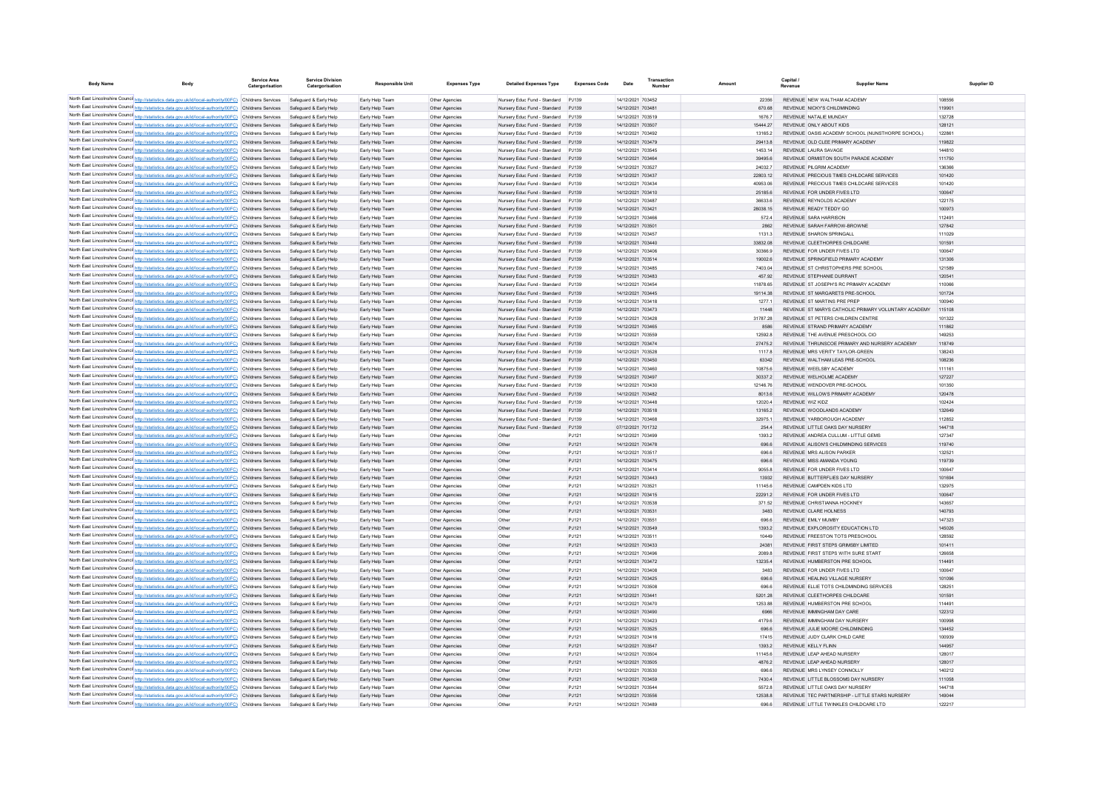| <b>Body Name</b> |                                                                                                                                                                                                                                             | <b>Service Area</b><br>Catergorisation | <b>Service Division</b><br>Catergorisation       | <b>Responsible Unit</b>            | <b>Expenses Type</b>             | <b>Detailed Expenses Type</b>                                      | <b>Expenses Code</b> | Date                                   | Transaction |                     | Capital<br><b>Supplier Name</b>                                           | Supplier ID      |
|------------------|---------------------------------------------------------------------------------------------------------------------------------------------------------------------------------------------------------------------------------------------|----------------------------------------|--------------------------------------------------|------------------------------------|----------------------------------|--------------------------------------------------------------------|----------------------|----------------------------------------|-------------|---------------------|---------------------------------------------------------------------------|------------------|
|                  | North East Lincolnshire Counci http://statistics.data.gov.uk/id/local-authority/00FC) Childrens Services                                                                                                                                    |                                        | Safeguard & Early Help                           | Early Help Team                    | Other Agencies                   | Nursery Educ Fund - Standard PJ139                                 |                      | 14/12/2021 703452                      |             | 22356               | REVENUE NEW WALTHAM ACADEMY                                               | 108556           |
|                  | North East Lincolnshire Counci http://statistics.data.gov.uk/id/local-authority/00FC) Childrens Services                                                                                                                                    |                                        | Safeguard & Early Help                           | Early Help Team                    | Other Agencies                   | Nursery Educ Fund - Standard                                       | PJ139                | 14/12/2021 703481                      |             | 670.68              | REVENUE NICKY'S CHILDMINDING                                              | 11990            |
|                  | North East Lincolnshire Counci http://statistics.data.gov.uk/id/local-authority/00FC) Childrens Services                                                                                                                                    |                                        | Safeguard & Early Help                           | Early Help Team                    | Other Agencies                   | Nursery Educ Fund - Standard                                       | PJ139                | 14/12/2021 703519                      |             | 1676.7              | REVENUE NATALIE MUNDAY                                                    | 132728           |
|                  | North East Lincolnshire Counci http://statistics.data.gov.uk/id/local-authority/00FC) Childrens Services                                                                                                                                    |                                        | Safeguard & Early Help                           | Early Help Team                    | Other Agencies                   | Nursery Educ Fund - Standard                                       | PJ139                | 14/12/2021 703507                      |             | 15444.27            | REVENUE ONLY ABOUT KIDS                                                   | 12812            |
|                  | North East Lincolnshire Counci http://statistics.data.gov.uk/id/local-authority/00FC) Childrens Services                                                                                                                                    |                                        | Safeguard & Early Help                           | Early Help Team                    | Other Agencies                   | Nursery Educ Fund - Standard                                       | PJ139                | 14/12/2021 703492                      |             | 13165.2             | REVENUE OASIS ACADEMY SCHOOL (NUNSTHORPE SCHOOL)                          | 12286            |
|                  | North East Lincolnshire Counci http://statistics.data.gov.uk/id/local-authority/00FC) Childrens Services                                                                                                                                    |                                        | Safeguard & Early Help                           | Early Help Team                    | Other Agencies                   | Nursery Educ Fund - Standard                                       | PJ139                | 14/12/2021 703479                      |             | 29413.8             | REVENUE OLD CLEE PRIMARY ACADEMY                                          | 119822           |
|                  | North East Lincolnshire Counci http://statistics.data.gov.uk/id/local-authority/00FC) Childrens Services                                                                                                                                    |                                        | Safeguard & Early Help                           | Early Help Team                    | Other Agencies                   | Nursery Educ Fund - Standard                                       | PJ139                | 14/12/2021 703545                      |             | 1453.14             | REVENUE LAURA SAVAGE                                                      | 144810           |
|                  | North East Lincolnshire Counci http://statistics.data.gov.uk/id/local-authority/00FC) Childrens Services<br>North East Lincolnshire Counci http://statistics.data.gov.uk/id/local-authority/00FC) Childrens Services                        |                                        | Safeguard & Early Help<br>Safeguard & Early Help | Early Help Team                    | Other Agencies                   | Nursery Educ Fund - Standard                                       | PJ139<br>P.1139      | 14/12/2021 703464<br>14/12/2021 703527 |             | 39495.6             | REVENUE ORMISTON SOUTH PARADE ACADEMY<br><b>REVENUE PILGRIM ACADEMY</b>   | 111750<br>136366 |
|                  | North East Lincolnshire Counci http://statistics.data.gov.uk/id/local-authority/00FC) Childrens Services                                                                                                                                    |                                        | Safeguard & Early Help                           | Early Help Team<br>Early Help Team | Other Agencies<br>Other Agencies | Nursery Educ Fund - Standard<br>Nursery Educ Fund - Standard       | P.1139               | 14/12/2021 703437                      |             | 24032.7<br>22803.12 | REVENUE PRECIOUS TIMES CHILDCARE SERVICES                                 | 101420           |
|                  | North East Lincolnshire Counci http://statistics.data.gov.uk/id/local-authority/00FC) Childrens Services                                                                                                                                    |                                        | Safeguard & Early Help                           | Early Help Team                    | Other Agencies                   | Nursery Educ Fund - Standard                                       | P.1139               | 14/12/2021 703434                      |             | 40953.06            | REVENUE PRECIOUS TIMES CHILDCARE SERVICES                                 | 101420           |
|                  | North East Lincolnshire Counci http://statistics.data.gov.uk/id/local-authority/00FC) Childrens Services                                                                                                                                    |                                        | Safeguard & Early Help                           | Early Help Team                    | Other Agencies                   | Nursery Educ Fund - Standard                                       | PJ139                | 14/12/2021 703410                      |             | 25185.6             | REVENUE FOR UNDER FIVES LTD                                               | 100647           |
|                  | North East Lincolnshire Counci http://statistics.data.gov.uk/id/local-authority/00FC) Childrens Services                                                                                                                                    |                                        | Safeguard & Early Help                           | Early Help Tean                    | Other Agencies                   | Nursery Educ Fund - Standard                                       | P.1139               | 14/12/2021 703487                      |             | 36633.6             | REVENUE REYNOLDS ACADEMY                                                  | 122175           |
|                  | North East Lincolnshire Counci http://statistics.data.gov.uk/id/local-authority/00FC) Childrens Services                                                                                                                                    |                                        | Safeguard & Early Help                           | Early Help Team                    | Other Agencies                   | Nursery Educ Fund - Standard                                       | PJ139                | 14/12/2021 703421                      |             | 28038.15            | REVENUE READY TEDDY GO                                                    | 100973           |
|                  | North East Lincolnshire Counci http://statistics.data.gov.uk/id/local-authority/00FC) Childrens Services                                                                                                                                    |                                        | Safeguard & Early Help                           | Early Help Tean                    | Other Agencies                   | Nursery Educ Fund - Standard                                       | P.1139               | 14/12/2021 703466                      |             | 572.4               | REVENUE SARA HARRISON                                                     | 112491           |
|                  | North East Lincolnshire Counci http://statistics.data.gov.uk/id/local-authority/00FC) Childrens Services                                                                                                                                    |                                        | Safeguard & Early Help                           | Early Help Team                    | Other Agencies                   | Nursery Educ Fund - Standard                                       | PJ139                | 14/12/2021 703501                      |             | 2862                | REVENUE SARAH FARROW-BROWNE                                               | 127842           |
|                  | North East Lincolnshire Counci http://statistics.data.gov.uk/id/local-authority/00FC) Childrens Services                                                                                                                                    |                                        | Safeguard & Early Help                           | Early Help Tean                    | Other Agencies                   | Nursery Educ Fund - Standard                                       | P.1139               | 14/12/2021 703457                      |             | 1131.3              | REVENUE SHARON SPRINGALL                                                  | 111029           |
|                  | North East Lincolnshire Counci http://statistics.data.gov.uk/id/local-authority/00FC) Childrens Services                                                                                                                                    |                                        | Safeguard & Early Help                           | Early Help Team                    | Other Agencies                   | Nursery Educ Fund - Standard                                       | PJ139                | 14/12/2021 703440                      |             | 33832.08            | REVENUE CLEETHORPES CHILDCARE                                             | 101591           |
|                  | North East Lincolnshire Counci http://statistics.data.gov.uk/id/local-authority/00FC) Childrens Services                                                                                                                                    |                                        | Safeguard & Early Help                           | Early Help Tean                    | Other Agencies                   | Nursery Educ Fund - Standard                                       | P.1139               | 14/12/2021 703406                      |             | 30366.9             | REVENUE FOR UNDER EMES LTD                                                | 100647           |
|                  | North East Lincolnshire Counci http://statistics.data.gov.uk/id/local-authority/00FC) Childrens Services                                                                                                                                    |                                        | Safeguard & Early Help<br>Safeguard & Early Help | Early Help Team                    | Other Agencies                   | Nursery Educ Fund - Standard                                       | P.1139<br>P.1139     | 14/12/2021 703514<br>14/12/2021 703485 |             | 19002.6<br>7403.04  | REVENUE SPRINGFIELD PRIMARY ACADEMY<br>REVENUE ST CHRISTOPHERS PRE SCHOOL | 131306<br>121589 |
|                  | North East Lincolnshire Counci http://statistics.data.gov.uk/id/local-authority/00FC) Childrens Services<br>North East Lincolnshire Counci http://statistics.data.gov.uk/id/local-authority/00FC) Childrens Services                        |                                        | Safequard & Early Help                           | Early Help Tean<br>Early Help Team | Other Agencies<br>Other Agencies | Nursery Educ Fund - Standard<br>Nursery Educ Fund - Standard       | PJ139                | 14/12/2021 703483                      |             | 457.92              | REVENUE STEPHANIE DURRANT                                                 | 12054            |
|                  | North East Lincolnshire Counci http://statistics.data.gov.uk/id/local-authority/00FC) Childrens Services                                                                                                                                    |                                        | Safeguard & Early Help                           | Early Help Tean                    | Other Agencies                   | Nursery Educ Fund - Standard                                       | PJ139                | 14/12/2021 703454                      |             | 11878.65            | REVENUE ST JOSEPH'S RC PRIMARY ACADEMY                                    | 110066           |
|                  | North East Lincolnshire Counci http://statistics.data.gov.uk/id/local-authority/00FC) Childrens Services                                                                                                                                    |                                        | Safeguard & Early Help                           | Early Help Team                    | Other Agencies                   | Nursery Educ Fund - Standard                                       | PJ139                | 14/12/2021 703445                      |             | 19114.38            | REVENUE ST MARGARETS PRE-SCHOOL                                           | 101724           |
|                  | North East Lincolnshire Counci http://statistics.data.gov.uk/id/local-authority/00FC) Childrens Services                                                                                                                                    |                                        | Safeguard & Early Help                           | Early Help Tean                    | Other Agencies                   | Nursery Educ Fund - Standard                                       | PJ139                | 14/12/2021 703418                      |             | 1277.1              | REVENUE ST MARTINS PRE PRE                                                | 100940           |
|                  | North East Lincolnshire Counci http://statistics.data.gov.uk/id/local-authority/00FC) Childrens Services                                                                                                                                    |                                        | Safeguard & Early Help                           | Early Help Team                    | Other Agencies                   | Nursery Educ Fund - Standard                                       | PJ139                | 14/12/2021 703473                      |             | 11448               | REVENUE ST MARYS CATHOLIC PRIMARY VOLUNTARY ACADEMY                       | 115108           |
|                  | North East Lincolnshire Counci http://statistics.data.gov.uk/id/local-authority/00FC) Childrens Services                                                                                                                                    |                                        | Safeguard & Early Help                           | Early Help Tean                    | Other Agencies                   | Nursery Educ Fund - Standard                                       | PJ139                | 14/12/2021 70342                       |             | 31787.28            | REVENUE ST PETERS CHILDREN CENTRE                                         | 101322           |
|                  | North East Lincolnshire Counci http://statistics.data.gov.uk/id/local-authority/00FC) Childrens Services                                                                                                                                    |                                        | Safeguard & Early Help                           | Early Help Team                    | Other Agencies                   | Nursery Educ Fund - Standard                                       | PJ139                | 14/12/2021 703465                      |             | 8586                | REVENUE STRAND PRIMARY ACADEMY                                            | 111862           |
|                  | North East Lincolnshire Counci http://statistics.data.gov.uk/id/local-authority/00FC) Childrens Services                                                                                                                                    |                                        | Safeguard & Early Help                           | Early Help Tean                    | Other Agencies                   | Nursery Educ Fund - Standard                                       | PJ139                | 14/12/2021 70355                       |             | 12592.8             | REVENUE THE AVENUE PRESCHOOL CIO                                          | 149253           |
|                  | North East Lincolnshire Counci http://statistics.data.gov.uk/id/local-authority/00FC) Childrens Services                                                                                                                                    |                                        | Safeguard & Early Help                           | Early Help Team                    | Other Agencies                   | Nursery Educ Fund - Standard                                       | PJ139                | 14/12/2021 703474                      |             | 27475.2             | REVENUE THRUNSCOE PRIMARY AND NURSERY ACADEMY                             | 118749           |
|                  | North East Lincolnshire Counci http://statistics.data.gov.uk/id/local-authority/00FC) Childrens Services                                                                                                                                    |                                        | Safeguard & Early Help                           | Early Help Tean                    | Other Agencies                   | Nursery Educ Fund - Standard                                       | PJ139                | 14/12/2021 70352                       |             | 1117.8              | REVENUE MRS VERITY TAYLOR-GREEN                                           | 138243           |
|                  | North East Lincolnshire Counci http://statistics.data.gov.uk/id/local-authority/00FC) Childrens Services                                                                                                                                    |                                        | Safeguard & Early Help                           | Early Help Team                    | Other Agencies                   | Nursery Educ Fund - Standard                                       | PJ139                | 14/12/2021 703450                      |             | 63342               | REVENUE WALTHAM LEAS PRE-SCHOOL                                           | 108236           |
|                  | North East Lincolnshire Counci http://statistics.data.gov.uk/id/local-authority/00FC) Childrens Services                                                                                                                                    |                                        | Safeguard & Early Help                           | Early Help Tean                    | Other Agencies                   | Nursery Educ Fund - Standard                                       | PJ139                | 14/12/2021 70346                       |             | 10875.6             | REVENUE WEELSBY ACADEMY                                                   | 11116            |
|                  | North East Lincolnshire Counci http://statistics.data.gov.uk/id/local-authority/00FC) Childrens Services                                                                                                                                    |                                        | Safeguard & Early Help                           | Early Help Team                    | Other Agencies                   | Nursery Educ Fund - Standard                                       | PJ139                | 14/12/2021 703497                      |             | 30337.2             | REVENUE WELHOLME ACADEMY                                                  | 127227           |
|                  | North East Lincolnshire Counci http://statistics.data.gov.uk/id/local-authority/00FC) Childrens Services                                                                                                                                    |                                        | Safeguard & Early Help                           | Early Help Tear                    | Other Agencies                   | Nursery Educ Fund - Standard                                       | PJ139                | 14/12/2021 703430                      |             | 12146.76            | REVENUE WENDOVER PRE-SCHOO                                                | 101350           |
|                  | North East Lincolnshire Counci http://statistics.data.gov.uk/id/local-authority/00FC) Childrens Services                                                                                                                                    |                                        | Safeguard & Early Help                           | Early Help Team                    | Other Agencies                   | Nursery Educ Fund - Standard                                       | PJ139                | 14/12/2021 703482                      |             | 8013.6              | REVENUE WILLOWS PRIMARY ACADEMY                                           | 120478           |
|                  | North East Lincolnshire Counci http://statistics.data.gov.uk/id/local-authority/00FC) Childrens Services<br>North East Lincolnshire Counci http://statistics.data.gov.uk/id/local-authority/00FC) Childrens Services                        |                                        | Safeguard & Early Help                           | Early Help Tean                    | Other Agencies                   | Nursery Educ Fund - Standard                                       | PJ139                | 14/12/2021 703441                      |             | 12020.4             | REVENUE WIZ KIDZ                                                          | 102424           |
|                  | North East Lincolnshire Counci http://statistics.data.gov.uk/id/local-authority/00FC) Childrens Services                                                                                                                                    |                                        | Safeguard & Early Help<br>Safeguard & Early Help | Early Help Team<br>Early Help Tean | Other Agencies<br>Other Agencies | Nursery Educ Fund - Standard<br>Nursery Educ Fund - Standard PJ139 | PJ139                | 14/12/2021 703518<br>14/12/2021 703468 |             | 13165.2<br>32975.1  | REVENUE WOODLANDS ACADEMY<br>REVENUE YARROROUGH ACADEMY                   | 132649<br>112852 |
|                  | North East Lincolnshire Counci http://statistics.data.gov.uk/id/local-authority/00FC) Childrens Services                                                                                                                                    |                                        | Safeguard & Early Help                           | Early Help Tean                    | Other Agencies                   | Nursery Educ Fund - Standard PJ139                                 |                      | 07/12/2021 701732                      |             | 254.4               | REVENUE LITTLE OAKS DAY NURSERY                                           | 144718           |
|                  | North East Lincolnshire Counci http://statistics.data.gov.uk/id/local-authority/00FC) Childrens Services                                                                                                                                    |                                        | Safeguard & Early Help                           | Early Help Tean                    | Other Agencies                   | Other                                                              | PJ121                | 14/12/2021 703499                      |             | 1393.2              | REVENUE ANDREA CULLUM - LITTLE GEMS                                       | 127347           |
|                  | North East Lincolnshire Counci http://statistics.data.gov.uk/id/local-authority/00FC) Childrens Services                                                                                                                                    |                                        | Safeguard & Early Help                           | Early Help Tean                    | Other Agencies                   | Other                                                              | PJ121                | 14/12/2021 703478                      |             | 696.6               | REVENUE ALISON'S CHILDMINDING SERVICES                                    | 119740           |
|                  | North East Lincolnshire Counci http://statistics.data.gov.uk/id/local-authority/00FC) Childrens Services                                                                                                                                    |                                        | Safeguard & Early Help                           | Early Help Tean                    | Other Agencies                   | Other                                                              | PJ121                | 14/12/2021 703517                      |             | 696.6               | REVENUE MRS AUSON PARKER                                                  | 132521           |
|                  | North East Lincolnshire Counci http://statistics.data.gov.uk/id/local-authority/00FC) Childrens Services                                                                                                                                    |                                        | Safeguard & Early Help                           | Early Help Team                    | Other Agencies                   | Other                                                              | PJ121                | 14/12/2021 703475                      |             | 696.6               | REVENUE MISS AMANDA YOUNG                                                 | 119739           |
|                  | North East Lincolnshire Counci http://statistics.data.gov.uk/id/local-authority/00FC) Childrens Services                                                                                                                                    |                                        | Safeguard & Early Help                           | Early Help Team                    | Other Agencies                   | Other                                                              | PJ121                | 14/12/2021 703414                      |             | 9055.8              | REVENUE FOR UNDER EIVES LTD                                               | 100647           |
|                  | North East Lincolnshire Counci http://statistics.data.gov.uk/id/local-authority/00FC) Childrens Services                                                                                                                                    |                                        | Safequard & Early Help                           | Early Help Team                    | Other Agencies                   | Other                                                              | PJ121                | 14/12/2021 703443                      |             | 13932               | REVENUE BUTTERFLIES DAY NURSERY                                           | 101694           |
|                  | North East Lincolnshire Counci http://statistics.data.gov.uk/id/local-authority/00FC) Childrens Services                                                                                                                                    |                                        | Safeguard & Early Help                           | Early Help Team                    | Other Agencies                   | Other                                                              | PJ121                | 14/12/2021 703521                      |             | 111456              | REVENUE CAMPDEN KIDS ITD                                                  | 132975           |
|                  | North East Lincolnshire Counci http://statistics.data.gov.uk/id/local-authority/00FC) Childrens Services                                                                                                                                    |                                        | Safequard & Early Help                           | Early Help Team                    | Other Agencies                   | Other                                                              | PJ121                | 14/12/2021 703415                      |             | 222912              | REVENUE FOR UNDER FIVES LTD                                               | 100647           |
|                  | North East Lincolnshire Counci http://statistics.data.gov.uk/id/local-authority/00FC) Childrens Services                                                                                                                                    |                                        | Safeguard & Early Help                           | Early Help Team                    | Other Agencies                   | Other                                                              | PJ121                | 14/12/2021 703538                      |             | 371.52              | REVENUE CHRISTIANNA HOCKNEY                                               | 143657           |
|                  | North East Lincolnshire Counci http://statistics.data.gov.uk/id/local-authority/00FC) Childrens Services                                                                                                                                    |                                        | Safeguard & Early Help                           | Early Help Team                    | Other Agencies                   | Other                                                              | PJ121                | 14/12/2021 703531                      |             | 3483                | REVENUE CLARE HOLNESS                                                     | 140793           |
|                  | North East Lincolnshire Counci http://statistics.data.gov.uk/id/local-authority/00FC) Childrens Services                                                                                                                                    |                                        | Safeguard & Early Help                           | Early Help Team                    | Other Agencies                   | Other                                                              | PJ121                | 14/12/2021 703551                      |             | 696.6               | REVENUE EMILY MUMBY<br>REVENUE EXPLOROSITY EDUCATION LTD                  | 147323<br>145026 |
|                  | North East Lincolnshire Counci http://statistics.data.gov.uk/id/local-authority/00FC) Childrens Services<br>North East Lincolnshire Counci http://statistics.data.gov.uk/id/local-authority/00FC) Childrens Services                        |                                        | Safeguard & Early Help<br>Safeguard & Early Help | Early Help Team<br>Early Help Team | Other Agencies<br>Other Agencies | Other<br>Other                                                     | PJ121<br>P.1121      | 14/12/2021 703549<br>14/12/2021 703511 |             | 1393.2<br>10449     | REVENUE ERFESTON TOTS PRESCHOOL                                           | 128592           |
|                  | North East Lincolnshire Counci http://statistics.data.gov.uk/id/local-authority/00FC) Childrens Services                                                                                                                                    |                                        | Safeguard & Early Help                           | Early Help Team                    | Other Agencies                   | Other                                                              | PJ121                | 14/12/2021 703433                      |             | 24381               | REVENUE FIRST STEPS GRIMSBY LIMITED                                       | 101411           |
|                  | North East Lincolnshire Counci http://statistics.data.gov.uk/id/local-authority/00FC) Childrens Services                                                                                                                                    |                                        | Safeguard & Early Help                           | Early Help Team                    | Other Agencies                   | Other                                                              | P.1121               | 14/12/2021 703496                      |             | 2089.8              | REVENUE, FIRST STEPS WITH SURE START                                      | 126658           |
|                  | North East Lincolnshire Counci http://statistics.data.gov.uk/id/local-authority/00FC) Childrens Services                                                                                                                                    |                                        | Safeguard & Early Help                           | Early Help Team                    | Other Agencies                   | Other                                                              | P.1121               | 14/12/2021 703472                      |             | 132354              | REVENUE HUMBERSTON PRESCHOOL                                              | 114491           |
|                  | North East Lincolnshire Counci http://statistics.data.gov.uk/id/local-authority/00FC) Childrens Services                                                                                                                                    |                                        | Safeguard & Early Help                           | Farly Help Team                    | Other Agencies                   | Other                                                              | P.1121               | 14/12/2021 703408                      |             | 3483                | REVENUE FOR UNDER EIVES LTD                                               | 100647           |
|                  | North East Lincolnshire Counci http://statistics.data.gov.uk/id/local-authority/00FC) Childrens Services                                                                                                                                    |                                        | Safeguard & Early Help                           | Early Help Team                    | Other Agencies                   | Other                                                              | P.1121               | 14/12/2021 703425                      |             | 696.6               | REVENUE HEALING VILLAGE NURSERY                                           | 101096           |
|                  | North East Lincolnshire Counci http://statistics.data.gov.uk/id/local-authority/00FC) Childrens Services                                                                                                                                    |                                        | Safeguard & Early Help                           | Farly Help Team                    | Other Agencies                   | Other                                                              | P.1121               | 14/12/2021 703508                      |             | 696.6               | REVENUE, FILLE TOTS CHILDMINDING SERVICES                                 | 128251           |
|                  | North East Lincolnshire Counci http://statistics.data.gov.uk/id/local-authority/00FC) Childrens Services                                                                                                                                    |                                        | Safeguard & Early Help                           | Early Help Team                    | Other Agencies                   | Other                                                              | P.1121               | 14/12/2021 703441                      |             | 5201.28             | REVENUE CLEETHORPES CHILDCARE                                             | 101591           |
|                  | North East Lincolnshire Counci http://statistics.data.gov.uk/id/local-authority/00FC) Childrens Services                                                                                                                                    |                                        | Safeguard & Early Help                           | Farly Help Team                    | Other Agencies                   | Other                                                              | P.1121               | 14/12/2021 703470                      |             | 1253 88             | REVENUE HUMBERSTON PRE SCHOOL                                             | 114491           |
|                  | North East Lincolnshire Counci http://statistics.data.gov.uk/id/local-authority/00FC) Childrens Services                                                                                                                                    |                                        | Safeguard & Early Help                           | Farly Help Team                    | Other Agencies                   | Other                                                              | P.1121               | 14/12/2021 703490                      |             | 6966                | REVENUE IMMINGHAM DAY CARE                                                | 122312           |
|                  | North East Lincolnshire Counci http://statistics.data.gov.uk/id/local-authority/00FC) Childrens Services                                                                                                                                    |                                        | Safeguard & Early Help                           | Early Help Team                    | Other Agencies                   | Other                                                              | PJ121                | 14/12/2021 703423                      |             | 4179.6              | REVENUE IMMINGHAM DAY NURSERY                                             | 100998           |
|                  | North East Lincolnshire Counci http://statistics.data.gov.uk/id/local-authority/00FC) Childrens Services                                                                                                                                    |                                        | Safeguard & Early Help                           | Early Help Team                    | Other Agencies                   | Other                                                              | PJ121                | 14/12/2021 703525                      |             | 696.6               | REVENUE JULIE MOORE CHILDMINDING                                          | 134452           |
|                  | North East Lincolnshire Counci http://statistics.data.gov.uk/id/local-authority/00FC) Childrens Services                                                                                                                                    |                                        | Safeguard & Early Help                           | Early Help Team                    | Other Agencies                   | Other                                                              | PJ121                | 14/12/2021 703416                      |             | 17415               | REVENUE JUDY CLARK CHILD CARE                                             | 100939           |
|                  | North East Lincolnshire Council http://statistics.data.gov.uk/id/local-authority/00FC) Childrens Services                                                                                                                                   |                                        | Safeguard & Early Help                           | Early Help Team                    | Other Agencies                   | Other                                                              | PJ121                | 14/12/2021 703547                      |             | 1393.2              | REVENUE KELLY FLINN                                                       | 144957           |
|                  | North East Lincolnshire Counci http://statistics.data.gov.uk/id/local-authority/00FC) Childrens Services                                                                                                                                    |                                        | Safeguard & Early Help                           | Early Help Team                    | Other Agencies                   | Other                                                              | PJ121                | 14/12/2021 703504                      |             | 11145.6             | REVENUE LEAP AHEAD NURSERY                                                | 128017           |
|                  | North East Lincolnshire Counci http://statistics.data.gov.uk/id/local-authority/00FC) Childrens Services Safeguard & Early Help<br>North East Lincolnshire Counci http://statistics.data.gov.uk/id/local-authority/00FC) Childrens Services |                                        | Safeguard & Early Help                           | Early Help Team<br>Early Help Team | Other Agencies<br>Other Agencies | Other<br>Other                                                     | PJ121<br>PJ121       | 14/12/2021 703505<br>14/12/2021 703530 |             | 4876.2<br>696.6     | REVENUE LEAP AHEAD NURSERY<br>REVENUE MRS LYNSEY CONNOLLY                 | 128017<br>140212 |
|                  | North East Lincolnshire Councint http://statistics.data.gov.uk/id/local-authority/00FC) Childrens Services Safeguard & Early Help                                                                                                           |                                        |                                                  | Early Help Team                    | Other Agencies                   | Other                                                              | PJ121                | 14/12/2021 703459                      |             | 7430.4              | REVENUE LITTLE BLOSSOMS DAY NURSERY                                       | 111058           |
|                  | North East Lincolnshire Counci http://statistics.data.gov.uk/id/local-authority/00FC) Childrens Services Safeguard & Early Help                                                                                                             |                                        |                                                  | Early Help Team                    | Other Agencies                   | Other                                                              | PJ121                | 14/12/2021 703544                      |             | 5572.8              | REVENUE LITTLE OAKS DAY NURSERY                                           | 144718           |
|                  | North East Lincolnshire Counci http://statistics.data.gov.uk/id/local-authority/00FC) Childrens Services Safeguard & Early Help                                                                                                             |                                        |                                                  | Early Help Team                    | Other Agencies                   | Other                                                              | PJ121                | 14/12/2021 703556                      |             | 12538.8             | REVENUE TEC PARTNERSHIP - LITTLE STARS NURSERY                            | 14904            |
|                  | North East Lincolnshire Counci http://statistics.data.gov.uk/id/local-authority/00FC) Childrens Services Safeguard & Early Help                                                                                                             |                                        |                                                  | Early Help Team                    | Other Agencies                   | Other                                                              | PJ121                | 14/12/2021 703489                      |             | 696.6               | REVENUE LITTLE TWINKLES CHILDCARE LTD                                     | 122217           |
|                  |                                                                                                                                                                                                                                             |                                        |                                                  |                                    |                                  |                                                                    |                      |                                        |             |                     |                                                                           |                  |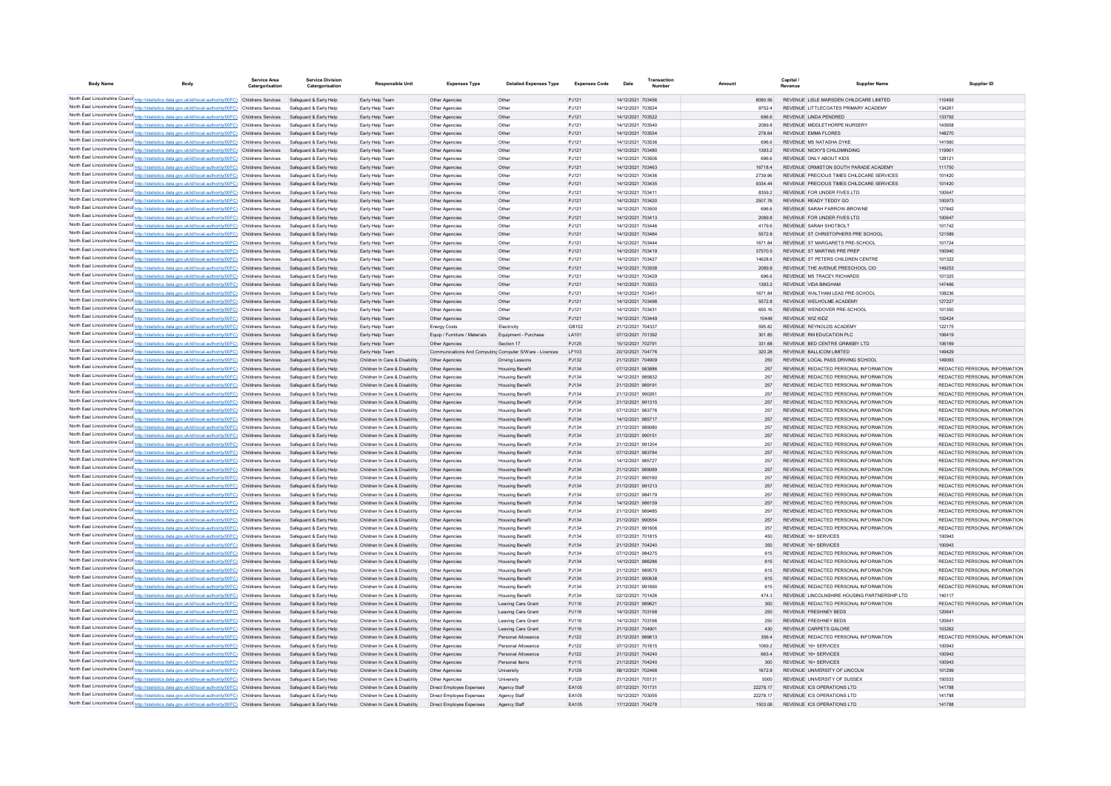| <b>Body Name</b> |                                                                                                                                                                                                                      | <b>Service Area</b><br>Catergorisation | <b>Service Division</b><br>Catergorisation       | <b>Responsible Unit</b>                                        | <b>Expenses Type</b>                                    | <b>Detailed Expenses Type</b>                   | <b>Expenses Code</b> | Date                                   | Transaction |                   | Capital<br>Revenue | <b>Supplier Name</b>                                                           | Supplier ID                                                    |
|------------------|----------------------------------------------------------------------------------------------------------------------------------------------------------------------------------------------------------------------|----------------------------------------|--------------------------------------------------|----------------------------------------------------------------|---------------------------------------------------------|-------------------------------------------------|----------------------|----------------------------------------|-------------|-------------------|--------------------|--------------------------------------------------------------------------------|----------------------------------------------------------------|
|                  |                                                                                                                                                                                                                      |                                        |                                                  |                                                                |                                                         |                                                 |                      |                                        |             |                   |                    |                                                                                |                                                                |
|                  | North East Lincolnshire Counci http://statistics.data.gov.uk/id/local-authority/00FC) Childrens Services                                                                                                             |                                        | Safeguard & Early Help                           | Early Help Team                                                | Other Agencies                                          | Other                                           | P.1121               | 14/12/2021 703456                      |             | 8080.56           |                    | REVENUE LISLE MARSDEN CHILDCARE LIMITED                                        | 110493                                                         |
|                  | North East Lincolnshire Counci http://statistics.data.gov.uk/id/local-authority/00FC) Childrens Services                                                                                                             |                                        | Safeguard & Early Help                           | Early Help Team                                                | Other Agencies                                          | Other                                           | P.1121               | 14/12/2021 703524                      |             | 97524             |                    | REVENUE LITTLECOATES PRIMARY ACADEMY                                           | 134261                                                         |
|                  | North East Lincolnshire Counci http://statistics.data.gov.uk/id/local-authority/00FC) Childrens Services                                                                                                             |                                        | Safeguard & Early Help                           | Early Help Team                                                | Other Agencies                                          | Other                                           | PJ121                | 14/12/2021 703522                      |             | 696.6             |                    | REVENUE LINDA PENDRED                                                          | 133792                                                         |
|                  | North East Lincolnshire Counci http://statistics.data.gov.uk/id/local-authority/00FC) Childrens Services                                                                                                             |                                        | Safeguard & Early Help                           | Early Help Tean                                                | Other Agencies                                          | Other                                           | PJ121                | 14/12/2021 703540                      |             | 2089.8            |                    | REVENUE MIDDLETHORPE NURSERY                                                   | 143658                                                         |
|                  | North East Lincolnshire Counci http://statistics.data.gov.uk/id/local-authority/00FC) Childrens Services<br>North East Lincolnshire Counci http://statistics.data.gov.uk/id/local-authority/00FC) Childrens Services |                                        | Safeguard & Early Help<br>Safeguard & Early Help | Early Help Tean<br>Early Help Tean                             | Other Agencies<br>Other Agencies                        | Other<br>Other                                  | PJ12<br>PJ12         | 14/12/2021 703554<br>14/12/2021 703536 |             | 278.64<br>696.6   |                    | REVENUE EMMA FLORES<br>REVENUE MS NATASHA DYKE                                 | 148270<br>141560                                               |
|                  | North East Lincolnshire Counci http://statistics.data.gov.uk/id/local-authority/00FC) Childrens Services                                                                                                             |                                        | Safeguard & Early Help                           | Early Help Tean                                                | Other Agencies                                          | Other                                           | PJ12                 | 14/12/2021 703480                      |             | 1393.2            |                    | REVENUE NICKY'S CHILDMINDING                                                   | 119901                                                         |
|                  | North East Lincolnshire Counci http://statistics.data.gov.uk/id/local-authority/00FC) Childrens Services                                                                                                             |                                        | Safeguard & Early Help                           | Early Help Tean                                                | Other Agencies                                          | Other                                           | PJ12                 | 14/12/2021 703506                      |             | 696.6             |                    | REVENUE ONLY ABOUT KIDS                                                        | 128121                                                         |
|                  | North East Lincolnshire Counci http://statistics.data.gov.uk/id/local-authority/00FC) Childrens Services                                                                                                             |                                        | Safeguard & Early Help                           | Early Help Tean                                                | Other Agencies                                          | Other                                           | PJ12                 | 14/12/2021 703463                      |             | 16718.4           |                    | REVENUE ORMISTON SOUTH PARADE ACADEMY                                          | 111750                                                         |
|                  | North East Lincolnshire Counci http://statistics.data.gov.uk/id/local-authority/00FC) Childrens Services                                                                                                             |                                        | Safeguard & Early Help                           | Early Help Tean                                                | Other Agencies                                          | Other                                           | PJ12                 | 14/12/2021 703436                      |             | 2739.96           |                    | REVENUE PRECIOUS TIMES CHILDCARE SERVICES                                      | 101420                                                         |
|                  | North East Lincolnshire Counci http://statistics.data.gov.uk/id/local-authority/00FC) Childrens Services                                                                                                             |                                        | Safeguard & Early Help                           | Early Help Tean                                                | Other Agencies                                          | Other                                           | PJ12'                | 14/12/2021 703435                      |             | 9334.44           |                    | REVENUE PRECIOUS TIMES CHILDCARE SERVICES                                      | 101420                                                         |
|                  | North East Lincolnshire Counci http://statistics.data.gov.uk/id/local-authority/00FC) Childrens Services                                                                                                             |                                        | Safeguard & Early Help                           | Early Help Tean                                                | Other Agencies                                          | Other                                           | PJ12'                | 14/12/2021 703411                      |             | 8359.2            |                    | REVENUE FOR UNDER FIVES LTD                                                    | 100647                                                         |
|                  | North East Lincolnshire Counci http://statistics.data.gov.uk/id/local-authority/00FC) Childrens Services                                                                                                             |                                        | Safeguard & Early Help                           | Early Help Tean                                                | Other Agencies                                          | Other                                           | PJ12'                | 14/12/2021 703420                      |             | 2507.76           |                    | REVENUE READY TEDDY GO                                                         | 100973                                                         |
|                  | North East Lincolnshire Counci http://statistics.data.gov.uk/id/local-authority/00FC) Childrens Services                                                                                                             |                                        | Safeguard & Early Help                           | Early Help Tean                                                | Other Agencies                                          | Other                                           | PJ12'                | 14/12/2021 703500                      |             | 696.6             |                    | REVENUE SARAH FARROW-BROWNE                                                    | 127842                                                         |
|                  | North East Lincolnshire Counci http://statistics.data.gov.uk/id/local-authority/00FC) Childrens Services                                                                                                             |                                        | Safeguard & Early Help                           | Early Help Team                                                | Other Agencies                                          | Other                                           | PJ12'                | 14/12/2021 703413                      |             | 2089.8            |                    | REVENUE FOR UNDER FIVES LTD                                                    | 100647                                                         |
|                  | North East Lincolnshire Counci http://statistics.data.gov.uk/id/local-authority/00FC) Childrens Services                                                                                                             |                                        | Safeguard & Early Help                           | Early Help Tean                                                | Other Agencies                                          | Other                                           | PJ12'                | 14/12/2021 703446                      |             | 4179.6            |                    | REVENUE SARAH SHOTBOLT                                                         | 101742                                                         |
|                  | North East Lincolnshire Counci http://statistics.data.gov.uk/id/local-authority/00FC) Childrens Services                                                                                                             |                                        | Safeguard & Early Help                           | Early Help Team                                                | Other Agencies                                          | Other                                           | PJ12'                | 14/12/2021 703484                      |             | 5572.8            |                    | REVENUE ST CHRISTOPHERS PRE SCHOOL                                             | 121589                                                         |
|                  | North East Lincolnshire Counci http://statistics.data.gov.uk/id/local-authority/00FC) Childrens Services                                                                                                             |                                        | Safeguard & Early Help                           | Early Help Tean                                                | Other Agencies                                          | Other                                           | PJ12'                | 14/12/2021 703444                      |             | 1671.84           |                    | REVENUE ST MARGARETS PRE-SCHOOL                                                | 101724                                                         |
|                  | North East Lincolnshire Counci http://statistics.data.gov.uk/id/local-authority/00FC) Childrens Services                                                                                                             |                                        | Safeguard & Early Help                           | Early Help Team                                                | Other Agencies                                          | Other                                           | PJ12'                | 14/12/2021 703419                      |             | 37570.5           |                    | REVENUE ST MARTINS PRE PREF                                                    | 100940                                                         |
|                  | North East Lincolnshire Counci http://statistics.data.gov.uk/id/local-authority/00FC) Childrens Services                                                                                                             |                                        | Safeguard & Early Help                           | Early Help Tean                                                | Other Agencies                                          | Other                                           | PJ12'                | 14/12/2021 703427                      |             | 14628.6           |                    | REVENUE ST PETERS CHILDREN CENTRE                                              | 101322                                                         |
|                  | North East Lincolnshire Counci http://statistics.data.gov.uk/id/local-authority/00FC) Childrens Services                                                                                                             |                                        | Safeguard & Early Help                           | Early Help Tean                                                | Other Agencies                                          | Other                                           | PJ12'                | 14/12/2021 703558                      |             | 2089.8            |                    | REVENUE THE AVENUE PRESCHOOL CIO                                               | 149253                                                         |
|                  | North East Lincolnshire Counci http://statistics.data.gov.uk/id/local-authority/00FC) Childrens Services                                                                                                             |                                        | Safeguard & Early Help                           | Early Help Tean                                                | Other Agencies                                          | Other                                           | PJ12'<br>PJ121       | 14/12/2021 703429<br>14/12/2021 703553 |             | 696.6             |                    | REVENUE MS TRACEY RICHARDS<br>REVENUE VIDA BINGHAM                             | 101325<br>147466                                               |
|                  | North East Lincolnshire Counci http://statistics.data.gov.uk/id/local-authority/00FC) Childrens Services<br>North East Lincolnshire Counci http://statistics.data.gov.uk/id/local-authority/00FC) Childrens Services |                                        | Safeguard & Early Help<br>Safeguard & Early Help | Early Help Tean<br>Early Help Tean                             | Other Agencies<br>Other Agencies                        | Other<br>Other                                  | PJ12'                | 14/12/2021 70345                       |             | 1393.2<br>1671.84 |                    | REVENUE WALTHAM LEAS PRE-SCHOOL                                                | 108236                                                         |
|                  | North East Lincolnshire Counci http://statistics.data.gov.uk/id/local-authority/00FC) Childrens Services                                                                                                             |                                        | Safeguard & Early Help                           | Early Help Tean                                                | Other Agencies                                          | Other                                           | PJ121                | 14/12/2021 703498                      |             | 5572.8            |                    | REVENUE WELHOLME ACADEMY                                                       | 127227                                                         |
|                  | North East Lincolnshire Counci http://statistics.data.gov.uk/id/local-authority/00FC) Childrens Services                                                                                                             |                                        | Safeguard & Early Help                           | Early Help Tean                                                | Other Agencies                                          | Other                                           | PJ12                 | 14/12/2021 70343                       |             | 650.16            |                    | REVENUE WENDOVER PRE-SCHOOL                                                    | 101350                                                         |
|                  | North East Lincolnshire Counci http://statistics.data.gov.uk/id/local-authority/00FC) Childrens Services                                                                                                             |                                        | Safeguard & Early Help                           | Early Help Tean                                                | Other Agencies                                          | Other                                           | PJ121                | 14/12/2021 703449                      |             | 10449             |                    | REVENUE WIZ KIDZ                                                               | 102424                                                         |
|                  | North East Lincolnshire Counci http://statistics.data.gov.uk/id/local-authority/00FC) Childrens Services                                                                                                             |                                        | Safeguard & Early Help                           | Early Help Tean                                                | <b>Energy Costs</b>                                     | Electricity                                     | GB102                | 21/12/2021 70433                       |             | 595.82            |                    | REVENUE REYNOLDS ACADEMY                                                       | 122175                                                         |
|                  | North East Lincolnshire Counci http://statistics.data.gov.uk/id/local-authority/00FC) Childrens Services                                                                                                             |                                        | Safeguard & Early Help                           | Early Help Tean                                                | Equip / Furniture / Materials                           | Equipment - Purchase                            | LA101                | 07/12/2021 701392                      |             | 301.85            |                    | REVENUE RM EDUCATION PLC                                                       | 106419                                                         |
|                  | North East Lincolnshire Counci http://statistics.data.gov.uk/id/local-authority/00FC) Childrens Services                                                                                                             |                                        | Safeguard & Early Help                           | Early Help Team                                                | Other Agencies                                          | Section 17                                      | PJ125                | 15/12/2021 702791                      |             | 331.68            |                    | REVENUE BED CENTRE GRIMSBY LTD                                                 | 106169                                                         |
|                  | North East Lincolnshire Counci http://statistics.data.gov.uk/id/local-authority/00FC) Childrens Services                                                                                                             |                                        | Safeguard & Early Help                           | Early Help Team                                                | Communications And Computing Computer S/Ware - Licences |                                                 | LF103                | 20/12/2021 704776                      |             | 320.28            |                    | REVENUE BALLICOM LIMITED                                                       | 149429                                                         |
|                  | North East Lincolnshire Counci http://statistics.data.gov.uk/id/local-authority/00FC) Childrens Services                                                                                                             |                                        | Safeguard & Early Help                           | Children In Care & Disability                                  | Other Agencies                                          | <b>Driving Lessons</b>                          | PJ132                | 21/12/2021 704909                      |             | 250               |                    | REVENUE LOCAL PASS DRIVING SCHOOL                                              | 149093                                                         |
|                  | North East Lincolnshire Counci http://statistics.data.gov.uk/id/local-authority/00FC) Childrens Services                                                                                                             |                                        | Safeguard & Early Help                           | Children In Care & Disability                                  | Other Agencies                                          | <b>Housing Benefit</b>                          | PJ134                | 07/12/2021 983886                      |             | 257               |                    | REVENUE REDACTED PERSONAL INFORMATION                                          | REDACTED PERSONAL INFORMATION                                  |
|                  | North East Lincolnshire Counci http://statistics.data.gov.uk/id/local-authority/00FC) Childrens Services                                                                                                             |                                        | Safeguard & Early Help                           | Children In Care & Disability                                  | Other Agencies                                          | <b>Housing Benefit</b>                          | PJ134                | 14/12/2021 985832                      |             | 257               |                    | REVENUE REDACTED PERSONAL INFORMATION                                          | REDACTED PERSONAL INFORMATION                                  |
|                  | North East Lincolnshire Counci http://statistics.data.gov.uk/id/local-authority/00FC) Childrens Services                                                                                                             |                                        | Safeguard & Early Help                           | Children In Care & Disability                                  | Other Agencies                                          | <b>Housing Benefit</b>                          | PJ134                | 21/12/2021 989191                      |             | 257               |                    | REVENUE REDACTED PERSONAL INFORMATION                                          | REDACTED PERSONAL INFORMATION                                  |
|                  | North East Lincolnshire Counci http://statistics.data.gov.uk/id/local-authority/00FC) Childrens Services                                                                                                             |                                        | Safeguard & Early Help                           | Children In Care & Disability                                  | Other Agencies                                          | <b>Housing Benefit</b>                          | PJ134                | 21/12/2021 99026                       |             | 257               |                    | REVENUE REDACTED PERSONAL INFORMATION                                          | REDACTED PERSONAL INFORMATION                                  |
|                  | North East Lincolnshire Counci http://statistics.data.gov.uk/id/local-authority/00FC) Childrens Services                                                                                                             |                                        | Safeguard & Early Help                           | Children In Care & Disability                                  | Other Agencies                                          | <b>Housing Benefit</b>                          | PJ134                | 21/12/2021 991315                      |             | 257               |                    | REVENUE REDACTED PERSONAL INFORMATION                                          | REDACTED PERSONAL INFORMATION                                  |
|                  | North East Lincolnshire Counci http://statistics.data.gov.uk/id/local-authority/00FC) Childrens Services                                                                                                             |                                        | Safeguard & Early Help                           | Children In Care & Disability                                  | Other Agencies                                          | <b>Housing Benefit</b>                          | PJ134                | 07/12/2021 983776                      |             | 257               |                    | REVENUE REDACTED PERSONAL INFORMATION                                          | REDACTED PERSONAL INFORMATION                                  |
|                  | North East Lincolnshire Counci http://statistics.data.gov.uk/id/local-authority/00FC) Childrens Services                                                                                                             |                                        | Safeguard & Early Help                           | Children In Care & Disability                                  | Other Agencies                                          | <b>Housing Benefit</b>                          | PJ134                | 14/12/2021 985717                      |             | 257               |                    | REVENUE REDACTED PERSONAL INFORMATION                                          | REDACTED PERSONAL INFORMATION                                  |
|                  | North East Lincolnshire Counci http://statistics.data.gov.uk/id/local-authority/00FC) Childrens Services                                                                                                             |                                        | Safeguard & Early Help                           | Children In Care & Disability                                  | Other Agencies                                          | <b>Housing Benefi</b>                           | PJ134                | 21/12/2021 989080                      |             | 257               |                    | REVENUE REDACTED PERSONAL INFORMATION                                          | REDACTED PERSONAL INFORMATION                                  |
|                  | North East Lincolnshire Counci http://statistics.data.gov.uk/id/local-authority/00FC) Childrens Services<br>North East Lincolnshire Counci http://statistics.data.gov.uk/id/local-authority/00FC) Childrens Services |                                        | Safeguard & Early Help<br>Safeguard & Early Help | Children In Care & Disability<br>Children In Care & Disability | Other Agencies<br>Other Agencies                        | <b>Housing Benefit</b><br><b>Housing Benefi</b> | PJ134<br>PJ134       | 21/12/2021 990151<br>21/12/2021 991204 |             | 257<br>257        |                    | REVENUE REDACTED PERSONAL INFORMATION<br>REVENUE REDACTED PERSONAL INFORMATION | REDACTED PERSONAL INFORMATION<br>REDACTED PERSONAL INFORMATION |
|                  | North East Lincolnshire Counci http://statistics.data.gov.uk/id/local-authority/00FC) Childrens Services                                                                                                             |                                        | Safeguard & Early Help                           | Children In Care & Disability                                  | Other Agencies                                          | <b>Housing Benefit</b>                          | PJ134                | 07/12/2021 983784                      |             | 257               |                    | REVENUE REDACTED PERSONAL INFORMATION                                          | REDACTED PERSONAL INFORMATION                                  |
|                  | North East Lincolnshire Counci http://statistics.data.gov.uk/id/local-authority/00FC) Childrens Services                                                                                                             |                                        | Safeguard & Early Help                           | Children In Care & Disability                                  | Other Agencies                                          | <b>Housing Benefi</b>                           | PJ134                | 14/12/2021 985727                      |             | 257               |                    | REVENUE REDACTED PERSONAL INFORMATION                                          | REDACTED PERSONAL INFORMATION                                  |
|                  | North East Lincolnshire Counci http://statistics.data.gov.uk/id/local-authority/00FC) Childrens Services                                                                                                             |                                        | Safeguard & Early Help                           | Children In Care & Disability                                  | Other Agencies                                          | <b>Housing Benefit</b>                          | PJ134                | 21/12/2021 989089                      |             | 257               |                    | REVENUE REDACTED PERSONAL INFORMATION                                          | REDACTED PERSONAL INFORMATION                                  |
|                  | North East Lincolnshire Counci http://statistics.data.gov.uk/id/local-authority/00FC) Childrens Services                                                                                                             |                                        | Safeguard & Early Help                           | Children In Care & Disability                                  | Other Agencies                                          | <b>Housing Benefit</b>                          | PJ134                | 21/12/2021 990160                      |             | 257               |                    | REVENUE REDACTED PERSONAL INFORMATION                                          | REDACTED PERSONAL INFORMATION                                  |
|                  | North East Lincolnshire Counci http://statistics.data.gov.uk/id/local-authority/00FC) Childrens Services                                                                                                             |                                        | Safeguard & Early Help                           | Children In Care & Disability                                  | Other Agencies                                          | <b>Housing Benefit</b>                          | PJ134                | 21/12/2021 991213                      |             | 257               |                    | REVENUE REDACTED PERSONAL INFORMATION                                          | REDACTED PERSONAL INFORMATION                                  |
|                  | North East Lincolnshire Counci http://statistics.data.gov.uk/id/local-authority/00FC) Childrens Services                                                                                                             |                                        | Safeguard & Early Help                           | Children In Care & Disability                                  | Other Agencies                                          | <b>Housing Benefit</b>                          | PJ134                | 07/12/2021 984179                      |             | 257               |                    | REVENUE REDACTED PERSONAL INFORMATION                                          | REDACTED PERSONAL INFORMATION                                  |
|                  | North East Lincolnshire Counci http://statistics.data.gov.uk/id/local-authority/00FC) Childrens Services                                                                                                             |                                        | Safeguard & Early Help                           | Children In Care & Disability                                  | Other Agencies                                          | <b>Housing Benefit</b>                          | PJ134                | 14/12/2021 986159                      |             | 257               |                    | REVENUE REDACTED PERSONAL INFORMATION                                          | REDACTED PERSONAL INFORMATION                                  |
|                  | North East Lincolnshire Counci http://statistics.data.gov.uk/id/local-authority/00FC) Childrens Services                                                                                                             |                                        | Safeguard & Early Help                           | Children In Care & Disability                                  | Other Agencies                                          | <b>Housing Benefit</b>                          | PJ134                | 21/12/2021 989485                      |             | 257               |                    | REVENUE REDACTED PERSONAL INFORMATION                                          | REDACTED PERSONAL INFORMATION                                  |
|                  | North East Lincolnshire Counci http://statistics.data.gov.uk/id/local-authority/00FC) Childrens Services                                                                                                             |                                        | Safeguard & Early Help                           | Children In Care & Disability                                  | Other Agencies                                          | <b>Housing Benefit</b>                          | PJ134                | 21/12/2021 990554                      |             | 257               |                    | REVENUE REDACTED PERSONAL INFORMATION                                          | REDACTED PERSONAL INFORMATION                                  |
|                  | North East Lincolnshire Counci http://statistics.data.gov.uk/id/local-authority/00FC) Childrens Services                                                                                                             |                                        | Safeguard & Early Help                           | Children In Care & Disability                                  | Other Agencies                                          | <b>Housing Benefit</b>                          | PJ134                | 21/12/2021 991606                      |             | 257               |                    | REVENUE REDACTED PERSONAL INFORMATION                                          | REDACTED PERSONAL INFORMATION                                  |
|                  | North East Lincolnshire Counci http://statistics.data.gov.uk/id/local-authority/00FC) Childrens Services                                                                                                             |                                        | Safeguard & Early Help                           | Children In Care & Disability                                  | Other Agencies                                          | <b>Housing Benefit</b>                          | PJ134                | 07/12/2021 701815                      |             | 450               |                    | REVENUE 16+ SERVICES                                                           | 100943                                                         |
|                  | North East Lincolnshire Counci http://statistics.data.gov.uk/id/local-authority/00FC) Childrens Services                                                                                                             |                                        | Safeguard & Early Help                           | Children In Care & Disability                                  | Other Agencies                                          | <b>Housing Benefit</b>                          | PJ134                | 21/12/2021 704240                      |             | 350               |                    | REVENUE 16+ SERVICES                                                           | 100943                                                         |
|                  | North East Lincolnshire Counci http://statistics.data.gov.uk/id/local-authority/00FC) Childrens Services                                                                                                             |                                        | Safeguard & Early Help                           | Children In Care & Disability                                  | Other Agencies                                          | <b>Housing Benefit</b>                          | PJ134                | 07/12/2021 984275                      |             | 615               |                    | REVENUE REDACTED PERSONAL INFORMATION                                          | REDACTED PERSONAL INFORMATION                                  |
|                  | North East Lincolnshire Counci http://statistics.data.gov.uk/id/local-authority/00FC) Childrens Services                                                                                                             |                                        | Safeguard & Early Help                           | Children In Care & Disability                                  | Other Agencies                                          | <b>Housing Benefit</b>                          | PJ134                | 14/12/2021 986286                      |             | 615               |                    | REVENUE REDACTED PERSONAL INFORMATION                                          | REDACTED PERSONAL INFORMATION                                  |
|                  | North East Lincolnshire Counci http://statistics.data.gov.uk/id/local-authority/00FC) Childrens Services                                                                                                             |                                        | Safeguard & Early Help                           | Children In Care & Disability                                  | Other Agencies                                          | <b>Housing Benefit</b>                          | PJ134                | 21/12/2021 989570                      |             | 615               |                    | REVENUE REDACTED PERSONAL INFORMATION                                          | REDACTED PERSONAL INFORMATION                                  |
|                  | North East Lincolnshire Counci http://statistics.data.gov.uk/id/local-authority/00FC) Childrens Services                                                                                                             |                                        | Safeguard & Early Help                           | Children In Care & Disability                                  | Other Agencies                                          | <b>Housing Benefit</b>                          | PJ134                | 21/12/2021 990638                      |             | 615               |                    | REVENUE REDACTED PERSONAL INFORMATION                                          | REDACTED PERSONAL INFORMATION                                  |
|                  | North East Lincolnshire Counci http://statistics.data.gov.uk/id/local-authority/00FC) Childrens Services                                                                                                             |                                        | Safeguard & Early Help                           | Children In Care & Disability                                  | Other Agencies                                          | <b>Housing Benefit</b>                          | PJ134                | 21/12/2021 991690                      |             | 615               |                    | REVENUE REDACTED PERSONAL INFORMATION                                          | REDACTED PERSONAL INFORMATION                                  |
|                  | North East Lincolnshire Counci http://statistics.data.gov.uk/id/local-authority/00FC) Childrens Services                                                                                                             |                                        | Safeguard & Early Help                           | Children In Care & Disability                                  | Other Agencies                                          | <b>Housing Benefit</b>                          | PJ134                | 02/12/2021 701426                      |             | 474.3             |                    | REVENUE LINCOLNSHIRE HOUSING PARTNERSHIP LTD                                   | 140117                                                         |
|                  | North East Lincolnshire Counci http://statistics.data.gov.uk/id/local-authority/00FC) Childrens Services<br>North East Lincolnshire Counci http://statistics.data.gov.uk/id/local-authority/00FC) Childrens Services |                                        | Safeguard & Early Help<br>Safeguard & Early Help | Children In Care & Disability<br>Children In Care & Disability | Other Agencies<br>Other Agencies                        | Leaving Care Grant<br>Leaving Care Grant        | PJ116<br>PJ116       | 21/12/2021 989621<br>14/12/2021 703168 |             | 300<br>250        |                    | REVENUE REDACTED PERSONAL INFORMATION<br>REVENUE FRESHNEY BEDS                 | REDACTED PERSONAL INFORMATION<br>120641                        |
|                  | North East Lincolnshire Counci http://statistics.data.gov.uk/id/local-authority/00FC) Childrens Services                                                                                                             |                                        | Safeguard & Early Help                           | Children In Care & Disability                                  | Other Agencies                                          | Leaving Care Grant                              | PJ116                | 14/12/2021 703166                      |             | 250               |                    | REVENUE FRESHNEY BEDS                                                          | 120641                                                         |
|                  | North East Lincolnshire Counci http://statistics.data.gov.uk/id/local-authority/00FC) Childrens Services                                                                                                             |                                        | Safeguard & Early Help                           | Children In Care & Disability                                  | Other Agencies                                          | Leaving Care Grant                              | PJ116                | 21/12/2021 704901                      |             | 430               |                    | REVENUE CARPETS GALORE                                                         | 103262                                                         |
|                  | North East Lincolnshire Counci http://statistics.data.gov.uk/id/local-authority/00FC) Childrens Services                                                                                                             |                                        | Safeguard & Early Help                           | Children In Care & Disability                                  | Other Agencies                                          | Personal Allowance                              | PJ122                | 21/12/2021 989613                      |             | 356.4             |                    | REVENUE REDACTED PERSONAL INFORMATION                                          | REDACTED PERSONAL INFORMATION                                  |
|                  | North East Lincolnshire Counci http://statistics.data.gov.uk/id/local-authority/00FC) Childrens Services                                                                                                             |                                        | Safeguard & Early Help                           | Children In Care & Disability                                  | Other Agencies                                          | Personal Allowance                              | PJ122                | 07/12/2021 701815                      |             | 1069.2            |                    | REVENUE 16+ SERVICES                                                           | 100943                                                         |
|                  | North East Lincolnshire Counci http://statistics.data.gov.uk/id/local-authority/00FC) Childrens Services                                                                                                             |                                        | Safeguard & Early Help                           | Children In Care & Disability                                  | Other Agencies                                          | Personal Allowance                              | PJ122                | 21/12/2021 704240                      |             | 663.4             |                    | REVENUE 16+ SERVICES                                                           | 100943                                                         |
|                  | North East Lincolnshire Counci http://statistics.data.gov.uk/id/local-authority/00FC) Childrens Services                                                                                                             |                                        | Safeguard & Early Help                           | Children In Care & Disability                                  | Other Agencies                                          | Personal Items                                  | PJ115                | 21/12/2021 704240                      |             | 300               |                    | REVENUE 16+ SERVICES                                                           | 100943                                                         |
|                  | North East Lincolnshire Counci http://statistics.data.gov.uk/id/local-authority/00FC) Childrens Services                                                                                                             |                                        | Safeguard & Early Help                           | Children In Care & Disability                                  | Other Agencies                                          | University                                      | PJ129                | 08/12/2021 702468                      |             | 16728             |                    | REVENUE UNIVERSITY OF LINCOLN                                                  | 101299                                                         |
|                  | North East Lincolnshire Counci http://statistics.data.gov.uk/id/local-authority/00FC) Childrens Services                                                                                                             |                                        | Safeguard & Early Help                           | Children In Care & Disability                                  | Other Agencies                                          | <b>University</b>                               | P.1129               | 21/12/2021 705131                      |             | 5000              |                    | REVENUE UNIVERSITY OF SUSSEX                                                   | 150533                                                         |
|                  | North East Lincolnshire Counci http://statistics.data.gov.uk/id/local-authority/00FC) Childrens Services                                                                                                             |                                        | Safeguard & Early Help                           | Children In Care & Disability                                  | Direct Employee Expenses                                | Agency Staff                                    | FA105                | 07/12/2021 701731                      |             | 22278 17          |                    | REVENUE ICS OPERATIONS LTD                                                     | 141788                                                         |
|                  | North East Lincolnshire Counci http://statistics.data.gov.uk/id/local-authority/00FC) Childrens Services Safeguard & Early Help                                                                                      |                                        |                                                  | Children In Care & Disability                                  | Direct Employee Expenses                                | Agency Staff                                    | FA105                | 10/12/2021 703055                      |             | 22278 17          |                    | REVENUE ICS OPERATIONS LTD                                                     | 141788                                                         |
|                  | North East Lincolnshire Counci http://statistics.data.gov.uk/id/local-authority/00FC) Childrens Services                                                                                                             |                                        | Safeguard & Early Help                           | Children In Care & Disability                                  | Direct Employee Expenses                                | Agency Staff                                    | FA105                | 17/12/2021 704278                      |             | 1503.06           |                    | REVENUE ICS OPERATIONS LTD                                                     | 141788                                                         |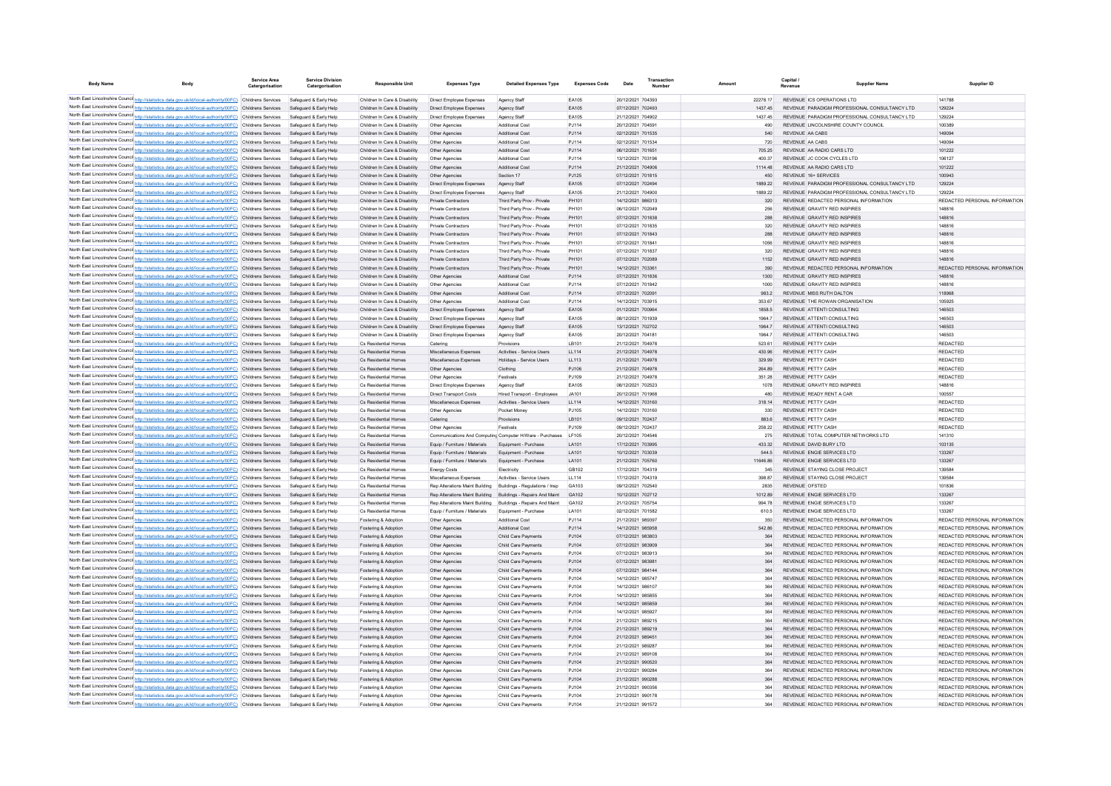| <b>Body Name</b> | <b>Body</b>                                                                                                                                                                                                          | Service Area<br>Catergorisation | <b>Service Division</b><br>Catergorisation       | <b>Responsible Unit</b>                                        | <b>Expenses Type</b>                                             | <b>Detailed Expenses Type</b>                                    | <b>Expenses Code</b> | Date                                   | Number |                 | Capital /<br>Revenue | <b>Supplier Name</b>                                                           | Supplier ID                                                    |
|------------------|----------------------------------------------------------------------------------------------------------------------------------------------------------------------------------------------------------------------|---------------------------------|--------------------------------------------------|----------------------------------------------------------------|------------------------------------------------------------------|------------------------------------------------------------------|----------------------|----------------------------------------|--------|-----------------|----------------------|--------------------------------------------------------------------------------|----------------------------------------------------------------|
|                  | North East Lincolnshire Counci http://statistics.data.gov.uk/id/local-authority/00FC) Childrens Services                                                                                                             |                                 | Safeguard & Early Help                           | Children In Care & Disability                                  | Direct Employee Expenses                                         | Agency Staff                                                     | EA105                | 20/12/2021 704393                      |        | 22278.17        |                      | REVENUE ICS OPERATIONS LTD                                                     | 141788                                                         |
|                  | North East Lincolnshire Counci http://statistics.data.gov.uk/id/local-authority/00FC) Childrens Services                                                                                                             |                                 | Safeguard & Early Help                           | Children In Care & Disability                                  | Direct Employee Expenses                                         | Agency Staff                                                     | EA105                | 07/12/2021 702493                      |        | 1437.45         |                      | REVENUE PARADIGM PROFESSIONAL CONSULTANCY LTD                                  | 129224                                                         |
|                  | North East Lincolnshire Counci http://statistics.data.gov.uk/id/local-authority/00FC)                                                                                                                                | Childrens Services              | Safeguard & Early Help                           | Children In Care & Disability                                  | Direct Employee Expenses                                         | Agency Staff                                                     | EA105                | 21/12/2021 704902                      |        | 1437.45         |                      | REVENUE PARADIGM PROFESSIONAL CONSULTANCY LTD                                  | 129224                                                         |
|                  | North East Lincolnshire Counci http://statistics.data.gov.uk/id/local-authority/00FC) Childrens Services                                                                                                             |                                 | Safeguard & Early Help                           | Children In Care & Disability                                  | Other Agencies                                                   | Additional Cost                                                  | PJ114                | 20/12/2021 70459                       |        | 490             |                      | REVENUE LINCOLNSHIRE COUNTY COUNCIL                                            | 100389                                                         |
|                  | North East Lincolnshire Counci http://statistics.data.gov.uk/id/local-authority/00FC)                                                                                                                                | Childrens Services              | Safeguard & Early Help                           | Children In Care & Disability                                  | Other Agencies                                                   | Additional Cost                                                  | PJ114                | 02/12/2021 701535                      |        | 540             |                      | REVENUE AA CABS                                                                | 149094                                                         |
|                  | North East Lincolnshire Counci http://statistics.data.gov.uk/id/local-authority/00FC) Childrens Services                                                                                                             |                                 | Safeguard & Early Help                           | Children In Care & Disability                                  | Other Agencies                                                   | Additional Cost                                                  | PJ114                | 02/12/2021 701534                      |        | 720             |                      | REVENUE AA CABS                                                                | 149094                                                         |
|                  | North East Lincolnshire Counci http://statistics.data.gov.uk/id/local-authority/00FC) Childrens Services                                                                                                             |                                 | Safeguard & Early Help                           | Children In Care & Disability                                  | Other Agencies                                                   | Additional Cost                                                  | PJ114                | 06/12/2021 70165                       |        | 705.25          |                      | REVENUE AA RADIO CARS LTD                                                      | 101222                                                         |
|                  | North East Lincolnshire Counci http://statistics.data.gov.uk/id/local-authority/00FC) Childrens Services                                                                                                             |                                 | Safeguard & Early Help                           | Children In Care & Disability                                  | Other Agencies                                                   | Additional Cost                                                  | PJ114                | 13/12/2021 703196                      |        | 400.37          |                      | REVENUE JC COOK CYCLES LTD                                                     | 106127                                                         |
|                  | North East Lincolnshire Counci http://statistics.data.gov.uk/id/local-authority/00FC) Childrens Services                                                                                                             |                                 | Safeguard & Early Help                           | Children In Care & Disability                                  | Other Agencies                                                   | Additional Cost                                                  | PJ114                | 21/12/2021 704906                      |        | 1114.48         |                      | REVENUE AA RADIO CARS LTD                                                      | 101222                                                         |
|                  | North East Lincolnshire Counci http://statistics.data.gov.uk/id/local-authority/00FC) Childrens Services<br>North East Lincolnshire Counci http://statistics.data.gov.uk/id/local-authority/00FC) Childrens Services |                                 | Safeguard & Early Help<br>Safeguard & Early Help | Children In Care & Disability<br>Children In Care & Disability | Other Agencies<br>Direct Employee Expenses                       | Section 17<br>Agency Staff                                       | PJ125<br>EA105       | 07/12/2021 701815<br>07/12/2021 702494 |        | 450<br>1889.22  |                      | REVENUE 16+ SERVICES<br>REVENUE PARADIGM PROFESSIONAL CONSULTANCY LTD          | 100943<br>129224                                               |
|                  | North East Lincolnshire Counci http://statistics.data.gov.uk/id/local-authority/00FC) Childrens Services                                                                                                             |                                 | Safeguard & Early Help                           | Children In Care & Disability                                  | Direct Employee Expenses                                         | Agency Staff                                                     | FA105                | 21/12/2021 704900                      |        | 1889.22         |                      | REVENUE PARADIGM PROFESSIONAL CONSULTANCY LTD                                  | 129224                                                         |
|                  | North East Lincolnshire Counci http://statistics.data.gov.uk/id/local-authority/00FC) Childrens Services                                                                                                             |                                 | Safeguard & Early Help                           | Children In Care & Disability                                  | Private Contractors                                              | Third Party Prov - Private                                       | PH101                | 14/12/2021 986313                      |        | 320             |                      | REVENUE REDACTED PERSONAL INFORMATION                                          | REDACTED PERSONAL INFORMATION                                  |
|                  | North East Lincolnshire Counci http://statistics.data.gov.uk/id/local-authority/00FC) Childrens Services                                                                                                             |                                 | Safeguard & Early Help                           | Children In Care & Disability                                  | <b>Private Contractors</b>                                       | Third Party Prov - Private                                       | <b>PH101</b>         | 06/12/2021 702049                      |        | 256             |                      | REVENUE GRAVITY RED INSPIRES                                                   | 148816                                                         |
|                  | North East Lincolnshire Counci http://statistics.data.gov.uk/id/local-authority/00FC) Childrens Services                                                                                                             |                                 | Safeguard & Early Help                           | Children In Care & Disability                                  | <b>Private Contractors</b>                                       | Third Party Prov - Private                                       | PH101                | 07/12/2021 701838                      |        | 288             |                      | REVENUE GRAVITY RED INSPIRES                                                   | 148816                                                         |
|                  | North East Lincolnshire Counci http://statistics.data.gov.uk/id/local-authority/00FC) Childrens Services                                                                                                             |                                 | Safeguard & Early Help                           | Children In Care & Disability                                  | Private Contractors                                              | Third Party Prov - Private                                       | <b>PH101</b>         | 07/12/2021 701835                      |        | 320             |                      | REVENUE GRAVITY RED INSPIRES                                                   | 148816                                                         |
|                  | North East Lincolnshire Counci http://statistics.data.gov.uk/id/local-authority/00FC) Childrens Services                                                                                                             |                                 | Safeguard & Early Help                           | Children In Care & Disability                                  | <b>Private Contractors</b>                                       | Third Party Prov - Private                                       | PH101                | 07/12/2021 701843                      |        | 288             |                      | REVENUE GRAVITY RED INSPIRES                                                   | 148816                                                         |
|                  | North East Lincolnshire Counci http://statistics.data.gov.uk/id/local-authority/00FC) Childrens Services                                                                                                             |                                 | Safeguard & Early Help                           | Children In Care & Disability                                  | Private Contractors                                              | Third Party Prov - Private                                       | <b>PH101</b>         | 07/12/2021 701841                      |        | 1056            |                      | REVENUE GRAVITY RED INSPIRES                                                   | 148816                                                         |
|                  | North East Lincolnshire Counci http://statistics.data.gov.uk/id/local-authority/00FC) Childrens Services                                                                                                             |                                 | Safeguard & Early Help                           | Children In Care & Disability                                  | Private Contractors                                              | Third Party Prov - Private                                       | <b>PH101</b>         | 07/12/2021 701837                      |        | 320             |                      | REVENUE GRAVITY RED INSPIRES                                                   | 148816                                                         |
|                  | North East Lincolnshire Counci http://statistics.data.gov.uk/id/local-authority/00FC) Childrens Services                                                                                                             |                                 | Safeguard & Early Help                           | Children In Care & Disability                                  | Private Contractors                                              | Third Party Prov - Private                                       | <b>PH101</b>         | 07/12/2021 702089                      |        | 1152            |                      | REVENUE GRAVITY RED INSPIRES                                                   | 148816                                                         |
|                  | North East Lincolnshire Counci http://statistics.data.gov.uk/id/local-authority/00FC) Childrens Services                                                                                                             |                                 | Safeguard & Early Help                           | Children In Care & Disability                                  | <b>Private Contractors</b>                                       | Third Party Prov - Private                                       | PH101                | 14/12/2021 703361                      |        | 390             |                      | REVENUE REDACTED PERSONAL INFORMATION                                          | REDACTED PERSONAL INFORMATION                                  |
|                  | North East Lincolnshire Counci http://statistics.data.gov.uk/id/local-authority/00FC) Childrens Services<br>North East Lincolnshire Counci http://statistics.data.gov.uk/id/local-authority/00FC) Childrens Services |                                 | Safeguard & Early Help<br>Safeguard & Early Help | Children In Care & Disability<br>Children In Care & Disability | Other Agencies<br>Other Agencies                                 | Additional Cost<br>Additional Cost                               | PJ114<br>P.1114      | 07/12/2021 701836<br>07/12/2021 701842 |        | 1300<br>1000    |                      | REVENUE GRAVITY RED INSPIRES<br>REVENUE GRAVITY RED INSPIRES                   | 148816<br>148816                                               |
|                  | North East Lincolnshire Counci http://statistics.data.gov.uk/id/local-authority/00FC) Childrens Services                                                                                                             |                                 | Safeguard & Early Help                           | Children In Care & Disability                                  | Other Agencies                                                   | Additional Cost                                                  | PJ114                | 07/12/2021 70209                       |        | 983.2           |                      | REVENUE MISS RUTH DALTON                                                       | 118968                                                         |
|                  | North East Lincolnshire Counci http://statistics.data.gov.uk/id/local-authority/00FC) Childrens Services                                                                                                             |                                 | Safeguard & Early Help                           | Children In Care & Disability                                  | Other Agencies                                                   | <b>Additional Cost</b>                                           | P.1114               | 14/12/2021 703915                      |        | 353 67          |                      | REVENUE THE ROWAN ORGANISATION                                                 | 105925                                                         |
|                  | North East Lincolnshire Counci http://statistics.data.gov.uk/id/local-authority/00FC) Childrens Services                                                                                                             |                                 | Safeguard & Early Help                           | Children In Care & Disability                                  | Direct Employee Expenses                                         | Agency Staff                                                     | EA105                | 01/12/2021 700964                      |        | 1858.5          |                      | REVENUE ATTENTI CONSULTING                                                     | 146503                                                         |
|                  | North East Lincolnshire Counci http://statistics.data.gov.uk/id/local-authority/00FC) Childrens Services                                                                                                             |                                 | Safeguard & Early Help                           | Children In Care & Disability                                  | Direct Employee Expenses                                         | Agency Staff                                                     | FA105                | 08/12/2021 701939                      |        | 19647           |                      | REVENUE ATTENTICONSULTING                                                      | 146503                                                         |
|                  | North East Lincolnshire Counci http://statistics.data.gov.uk/id/local-authority/00FC) Childrens Services                                                                                                             |                                 | Safeguard & Early Help                           | Children In Care & Disability                                  | Direct Employee Expenses                                         | Agency Staff                                                     | EA105                | 13/12/2021 702702                      |        | 1964.7          |                      | REVENUE ATTENTI CONSULTING                                                     | 146503                                                         |
|                  | North East Lincolnshire Counci http://statistics.data.gov.uk/id/local-authority/00FC) Childrens Services                                                                                                             |                                 | Safeguard & Early Help                           | Children In Care & Disability                                  | Direct Employee Expenses                                         | Agency Staff                                                     | FA105                | 20/12/2021 70418                       |        | 19647           |                      | REVENUE ATTENTICONSULTING                                                      | 146503                                                         |
|                  | North East Lincolnshire Counci http://statistics.data.gov.uk/id/local-authority/00FC) Childrens Services                                                                                                             |                                 | Safeguard & Early Help                           | Cs Residential Homes                                           | Catering                                                         | Provisions                                                       | I B101               | 21/12/2021 704978                      |        | 523 61          |                      | REVENUE PETTY CASH                                                             | <b>REDACTED</b>                                                |
|                  | North East Lincolnshire Counci http://statistics.data.gov.uk/id/local-authority/00FC) Childrens Services                                                                                                             |                                 | Safeguard & Early Help                           | Cs Residential Homes                                           | Miscellaneous Expenses                                           | Activities - Service Users                                       | LL114                | 21/12/2021 704978                      |        | 430.96          |                      | REVENUE PETTY CASH                                                             | <b>REDACTED</b>                                                |
|                  | North East Lincolnshire Counci http://statistics.data.gov.uk/id/local-authority/00FC) Childrens Services                                                                                                             |                                 | Safeguard & Early Help                           | Cs Residential Homes                                           | Miscellaneous Expenses                                           | Holidays - Service Users                                         | LL113                | 21/12/2021 704978                      |        | 329.99          |                      | REVENUE PETTY CASH                                                             | <b>REDACTED</b>                                                |
|                  | North East Lincolnshire Counci http://statistics.data.gov.uk/id/local-authority/00FC) Childrens Services                                                                                                             |                                 | Safeguard & Early Help                           | Cs Residential Homes                                           | Other Agencies                                                   | Clothing                                                         | P.1106               | 21/12/2021 704978                      |        | 264.89          |                      | REVENUE PETTY CASH                                                             | <b>REDACTED</b>                                                |
|                  | North East Lincolnshire Counci http://statistics.data.gov.uk/id/local-authority/00FC) Childrens Services                                                                                                             |                                 | Safeguard & Early Help                           | Cs Residential Homes                                           | Other Agencies                                                   | Festivals                                                        | P.1109               | 21/12/2021 704978                      |        | 351 28          |                      | REVENUE PETTY CASH                                                             | <b>REDACTED</b>                                                |
|                  | North East Lincolnshire Counci http://statistics.data.gov.uk/id/local-authority/00FC) Childrens Services                                                                                                             |                                 | Safeguard & Early Help                           | Cs Residential Homes                                           | Direct Employee Expenses                                         | Agency Staff                                                     | FA105                | 08/12/2021 702523                      |        | 1078            |                      | REVENUE GRAVITY RED INSPIRES                                                   | 148816<br>100557                                               |
|                  | North East Lincolnshire Counci http://statistics.data.gov.uk/id/local-authority/00FC) Childrens Services<br>North East Lincolnshire Counci http://statistics.data.gov.uk/id/local-authority/00FC) Childrens Services |                                 | Safeguard & Early Help<br>Safeguard & Early Help | Cs Residential Homes<br>Cs Residential Homes                   | Direct Transport Costs<br>Miscellaneous Expenses                 | <b>Hired Transport - Employees</b><br>Activities - Service Users | JAA101               | 20/12/2021 701968<br>14/12/2021 703160 |        | 480<br>318 14   |                      | REVENUE READY RENT A CAR<br>REVENUE PETTY CASH                                 | <b>REDACTED</b>                                                |
|                  | North East Lincolnshire Counci http://statistics.data.gov.uk/id/local-authority/00FC) Childrens Services                                                                                                             |                                 | Safeguard & Early Help                           | Cs Residential Homes                                           | Other Anencies                                                   | Pocket Money                                                     | LL114<br>P.1105      | 14/12/2021 703160                      |        | 330             |                      | REVENUE PETTY CASH                                                             | <b>REDACTED</b>                                                |
|                  | North East Lincolnshire Counci http://statistics.data.gov.uk/id/local-authority/00FC) Childrens Services                                                                                                             |                                 | Safeguard & Early Help                           | Cs Residential Homes                                           | Catering                                                         | Provisions                                                       | LB101                | 09/12/2021 702437                      |        | 883.6           |                      | REVENUE PETTY CASH                                                             | <b>REDACTED</b>                                                |
|                  | North East Lincolnshire Counci http://statistics.data.gov.uk/id/local-authority/00FC) Childrens Services                                                                                                             |                                 | Safeguard & Early Help                           | Cs Residential Homes                                           | Other Agencies                                                   | Festivals                                                        | P.1109               | 09/12/2021 702437                      |        | 258.22          |                      | REVENUE PETTY CASH                                                             | <b>REDACTED</b>                                                |
|                  | North East Lincolnshire Counci http://statistics.data.gov.uk/id/local-authority/00FC) Childrens Services                                                                                                             |                                 | Safeguard & Early Help                           | Cs Residential Homes                                           |                                                                  | Communications And Computing Computer H/Ware - Purchases         | LF105                | 20/12/2021 704546                      |        | 275             |                      | REVENUE TOTAL COMPUTER NETWORKS LTD                                            | 141310                                                         |
|                  | North East Lincolnshire Counci http://statistics.data.gov.uk/id/local-authority/00FC) Childrens Services                                                                                                             |                                 | Safeguard & Early Help                           | Cs Residential Homes                                           | Equip / Furniture / Materials                                    | Equipment - Purchase                                             | LA101                | 17/12/2021 703995                      |        | 433.32          |                      | REVENUE DAVID BURY LTD                                                         | 103135                                                         |
|                  | North East Lincolnshire Counci http://statistics.data.gov.uk/id/local-authority/00FC) Childrens Services                                                                                                             |                                 | Safeguard & Early Help                           | Cs Residential Homes                                           | Equip / Furniture / Materials                                    | Equipment - Purchase                                             | LA101                | 10/12/2021 703039                      |        | 544.5           |                      | REVENUE ENGIE SERVICES LTD                                                     | 133267                                                         |
|                  | North East Lincolnshire Counci http://statistics.data.gov.uk/id/local-authority/00FC) Childrens Services                                                                                                             |                                 | Safeguard & Early Help                           | Cs Residential Homes                                           | Equip / Furniture / Materials                                    | Equipment - Purchase                                             | LA101                | 21/12/2021 705760                      |        | 11646.86        |                      | REVENUE ENGIE SERVICES LTD                                                     | 133267                                                         |
|                  | North East Lincolnshire Counci http://statistics.data.gov.uk/id/local-authority/00FC) Childrens Services                                                                                                             |                                 | Safeguard & Early Help                           | Cs Residential Home                                            | <b>Energy Costs</b>                                              | Electricity                                                      | GB102                | 17/12/2021 704319                      |        | 345             |                      | REVENUE STAYING CLOSE PROJECT                                                  | 139584                                                         |
|                  | North East Lincolnshire Counci http://statistics.data.gov.uk/id/local-authority/00FC) Childrens Services                                                                                                             |                                 | Safeguard & Early Help                           | Cs Residential Homes                                           | Miscellaneous Expenses                                           | Activities - Service Users                                       | LL114                | 17/12/2021 704319                      |        | 398.87          |                      | REVENUE STAYING CLOSE PROJECT                                                  | 139584                                                         |
|                  | North East Lincolnshire Counci http://statistics.data.gov.uk/id/local-authority/00FC) Childrens Services                                                                                                             |                                 | Safeguard & Early Help<br>Safeguard & Early Help | Cs Residential Homes<br>Cs Residential Homes                   | Rep Alterations Maint Building<br>Rep Alterations Maint Building | Buildings - Regulations / Insp                                   | GA103<br>GA102       | 09/12/2021 702540<br>10/12/2021 702712 |        | 2835<br>1012.89 |                      | REVENUE OFSTED<br>REVENUE ENGIE SERVICES LTD                                   | 101836<br>133267                                               |
|                  | North East Lincolnshire Counci http://statistics.data.gov.uk/id/local-authority/00FC) Childrens Services<br>North East Lincolnshire Counci http://statistics.data.gov.uk/id/local-authority/00FC) Childrens Services |                                 | Safeguard & Early Help                           | Cs Residential Homes                                           | Rep Alterations Maint Building                                   | Buildings - Repairs And Maint<br>Buildings - Repairs And Maint   | GA102                | 21/12/2021 705754                      |        | 994.78          |                      | REVENUE ENGIE SERVICES LTD                                                     | 133267                                                         |
|                  | North East Lincolnshire Counci http://statistics.data.gov.uk/id/local-authority/00FC) Childrens Services                                                                                                             |                                 | Safeguard & Early Help                           | Cs Residential Homes                                           | Equip / Furniture / Materials                                    | Equipment - Purchas                                              | LA101                | 02/12/2021 701582                      |        | 610.5           |                      | REVENUE ENGIE SERVICES LTD                                                     | 133267                                                         |
|                  | North East Lincolnshire Counci http://statistics.data.gov.uk/id/local-authority/00FC) Childrens Services                                                                                                             |                                 | Safeguard & Early Help                           | Fostering & Adoption                                           | Other Agencies                                                   | Additional Cost                                                  | PJ114                | 21/12/2021 989397                      |        | 350             |                      | REVENUE REDACTED PERSONAL INFORMATION                                          | REDACTED PERSONAL INFORMATION                                  |
|                  | North East Lincolnshire Counci http://statistics.data.gov.uk/id/local-authority/00FC) Childrens Services                                                                                                             |                                 | Safeguard & Early Help                           | Fostering & Adoption                                           | Other Agencies                                                   | <b>Additional Cost</b>                                           | PJ114                | 14/12/2021 985958                      |        | 542.86          |                      | REVENUE REDACTED PERSONAL INFORMATION                                          | REDACTED PERSONAL INFORMATION                                  |
|                  | North East Lincolnshire Counci http://statistics.data.gov.uk/id/local-authority/00FC) Childrens Services                                                                                                             |                                 | Safeguard & Early Help                           | Fostering & Adoption                                           | Other Agencies                                                   | Child Care Payments                                              | PJ104                | 07/12/2021 983803                      |        | 364             |                      | REVENUE REDACTED PERSONAL INFORMATION                                          | REDACTED PERSONAL INFORMATION                                  |
|                  | North East Lincolnshire Counci http://statistics.data.gov.uk/id/local-authority/00FC) Childrens Services                                                                                                             |                                 | Safeguard & Early Help                           | Fostering & Adoption                                           | Other Agencies                                                   | Child Care Payments                                              | PJ104                | 07/12/2021 983909                      |        | 364             |                      | REVENUE REDACTED PERSONAL INFORMATION                                          | REDACTED PERSONAL INFORMATION                                  |
|                  | North East Lincolnshire Counci http://statistics.data.gov.uk/id/local-authority/00FC) Childrens Services                                                                                                             |                                 | Safeguard & Early Help                           | Fostering & Adoptio                                            | Other Agencies                                                   | Child Care Payment                                               | PJ104                | 07/12/2021 983913                      |        | 364             |                      | REVENUE REDACTED PERSONAL INFORMATION                                          | REDACTED PERSONAL INFORMATION                                  |
|                  | North East Lincolnshire Counci http://statistics.data.gov.uk/id/local-authority/00FC) Childrens Services                                                                                                             |                                 | Safeguard & Early Help                           | Fostering & Adoption                                           | Other Agencies                                                   | Child Care Payments                                              | PJ104                | 07/12/2021 983981                      |        | 364             |                      | REVENUE REDACTED PERSONAL INFORMATION                                          | REDACTED PERSONAL INFORMATION                                  |
|                  | North East Lincolnshire Counci http://statistics.data.gov.uk/id/local-authority/00FC) Childrens Services                                                                                                             |                                 | Safeguard & Early Help                           | Fostering & Adoption                                           | Other Agencies                                                   | Child Care Payments                                              | PJ104                | 07/12/2021 984144                      |        | 364             |                      | REVENUE REDACTED PERSONAL INFORMATION                                          | REDACTED PERSONAL INFORMATION                                  |
|                  | North East Lincolnshire Counci http://statistics.data.gov.uk/id/local-authority/00FC) Childrens Services                                                                                                             |                                 | Safeguard & Early Help                           | Fostering & Adoptio                                            | Other Agencies                                                   | Child Care Payments                                              | PJ104                | 14/12/2021 985747                      |        | 364             |                      | REVENUE REDACTED PERSONAL INFORMATION                                          | REDACTED PERSONAL INFORMATION                                  |
|                  | North East Lincolnshire Counci http://statistics.data.gov.uk/id/local-authority/00FC) Childrens Services                                                                                                             |                                 | Safeguard & Early Help                           | Fostering & Adoption                                           | Other Agencies                                                   | Child Care Payments                                              | PJ104                | 14/12/2021 986107                      |        | 364             |                      | REVENUE REDACTED PERSONAL INFORMATION                                          | REDACTED PERSONAL INFORMATION                                  |
|                  | North East Lincolnshire Counci http://statistics.data.gov.uk/id/local-authority/00FC) Childrens Services<br>North East Lincolnshire Counci http://statistics.data.gov.uk/id/local-authority/00FC) Childrens Services |                                 | Safeguard & Early Help<br>Safeguard & Early Help | Fostering & Adoptio<br>Fostering & Adoption                    | Other Agencies<br>Other Agencies                                 | Child Care Payment<br>Child Care Payments                        | PJ104<br>PJ104       | 14/12/2021 985855<br>14/12/2021 985859 |        | 364<br>364      |                      | REVENUE REDACTED PERSONAL INFORMATION<br>REVENUE REDACTED PERSONAL INFORMATION | REDACTED PERSONAL INFORMATION<br>REDACTED PERSONAL INFORMATION |
|                  | North East Lincolnshire Counci http://statistics.data.gov.uk/id/local-authority/00FC) Childrens Services                                                                                                             |                                 | Safeguard & Early Help                           | Fostering & Adoptio                                            | Other Agencies                                                   | Child Care Payments                                              | PJ104                | 14/12/2021 985927                      |        | 364             |                      | REVENUE REDACTED PERSONAL INFORMATION                                          | REDACTED PERSONAL INFORMATION                                  |
|                  | North East Lincolnshire Counci http://statistics.data.gov.uk/id/local-authority/00FC) Childrens Services                                                                                                             |                                 | Safeguard & Early Help                           | Fostering & Adoptio                                            | Other Agencies                                                   | Child Care Payments                                              | PJ104                | 21/12/2021 989215                      |        | 364             |                      | REVENUE REDACTED PERSONAL INFORMATION                                          | REDACTED PERSONAL INFORMATION                                  |
|                  | North East Lincolnshire Counci http://statistics.data.gov.uk/id/local-authority/00FC) Childrens Services                                                                                                             |                                 | Safeguard & Early Help                           | Fostering & Adoption                                           | Other Agencies                                                   | Child Care Payments                                              | PJ104                | 21/12/2021 989219                      |        | 364             |                      | REVENUE REDACTED PERSONAL INFORMATION                                          | REDACTED PERSONAL INFORMATION                                  |
|                  | North East Lincolnshire Counci http://statistics.data.gov.uk/id/local-authority/00FC) Childrens Services                                                                                                             |                                 | Safeguard & Early Help                           | Fostering & Adoption                                           | Other Agencies                                                   | Child Care Payments                                              | PJ104                | 21/12/2021 989451                      |        | 364             |                      | REVENUE REDACTED PERSONAL INFORMATION                                          | REDACTED PERSONAL INFORMATION                                  |
|                  | North East Lincolnshire Counci http://statistics.data.gov.uk/id/local-authority/00FC) Childrens Services                                                                                                             |                                 | Safeguard & Early Help                           | Fostering & Adoption                                           | Other Agencies                                                   | Child Care Payments                                              | PJ104                | 21/12/2021 989287                      |        | 364             |                      | REVENUE REDACTED PERSONAL INFORMATION                                          | REDACTED PERSONAL INFORMATION                                  |
|                  | North East Lincolnshire Counci http://statistics.data.gov.uk/id/local-authority/00FC) Childrens Services                                                                                                             |                                 | Safeguard & Early Help                           | Fostering & Adoption                                           | Other Agencies                                                   | Child Care Payments                                              | PJ104                | 21/12/2021 989108                      |        | 364             |                      | REVENUE REDACTED PERSONAL INFORMATION                                          | REDACTED PERSONAL INFORMATION                                  |
|                  | North East Lincolnshire Counci http://statistics.data.gov.uk/id/local-authority/00FC) Childrens Services                                                                                                             |                                 | Safeguard & Early Help                           | Fostering & Adoption                                           | Other Agencies                                                   | Child Care Payments                                              | PJ104                | 21/12/2021 990520                      |        | 364             |                      | REVENUE REDACTED PERSONAL INFORMATION                                          | REDACTED PERSONAL INFORMATION                                  |
|                  | North East Lincolnshire Counci http://statistics.data.gov.uk/id/local-authority/00FC) Childrens Services                                                                                                             |                                 | Safeguard & Early Help                           | Fostering & Adoption                                           | Other Agencies                                                   | Child Care Payments                                              | P.1104               | 21/12/2021 990284                      |        | 364             |                      | REVENUE REDACTED PERSONAL INFORMATION                                          | REDACTED PERSONAL INFORMATION                                  |
|                  | North East Lincolnshire Counci http://statistics.data.gov.uk/id/local-authority/00FC) Childrens Services                                                                                                             |                                 | Safeguard & Early Help                           | Fostering & Adoption                                           | Other Agencies                                                   | Child Care Payments                                              | P.1104               | 21/12/2021 990288                      |        | 364             |                      | REVENUE REDACTED PERSONAL INFORMATION                                          | REDACTED PERSONAL INFORMATION                                  |
|                  | North East Lincolnshire Counci http://statistics.data.gov.uk/id/local-authority/00FC) Childrens Services                                                                                                             |                                 | Safeguard & Early Help                           | Fostering & Adoption                                           | Other Agencies                                                   | Child Care Payments                                              | P.1104               | 21/12/2021 990356                      |        | 364             |                      | REVENUE REDACTED PERSONAL INFORMATION                                          | REDACTED PERSONAL INFORMATION                                  |
|                  | North East Lincolnshire Counci http://statistics.data.gov.uk/id/local-authority/00FC) Childrens Services<br>North East Lincolnshire Counci http://statistics.data.gov.uk/id/local-authority/00FC) Childrens Services |                                 | Safeguard & Early Help                           | Fostering & Adoption                                           | Other Agencies                                                   | Child Care Payments<br>Child Care Payments                       | P.1104<br>P.1104     | 21/12/2021 990178<br>21/12/2021 991572 |        | 364<br>364      |                      | REVENUE REDACTED PERSONAL INFORMATION<br>REVENUE REDACTED PERSONAL INFORMATION | REDACTED PERSONAL INFORMATION<br>REDACTED PERSONAL INFORMATION |
|                  |                                                                                                                                                                                                                      |                                 | Safeguard & Early Help                           | Fostering & Adoption                                           | Other Agencies                                                   |                                                                  |                      |                                        |        |                 |                      |                                                                                |                                                                |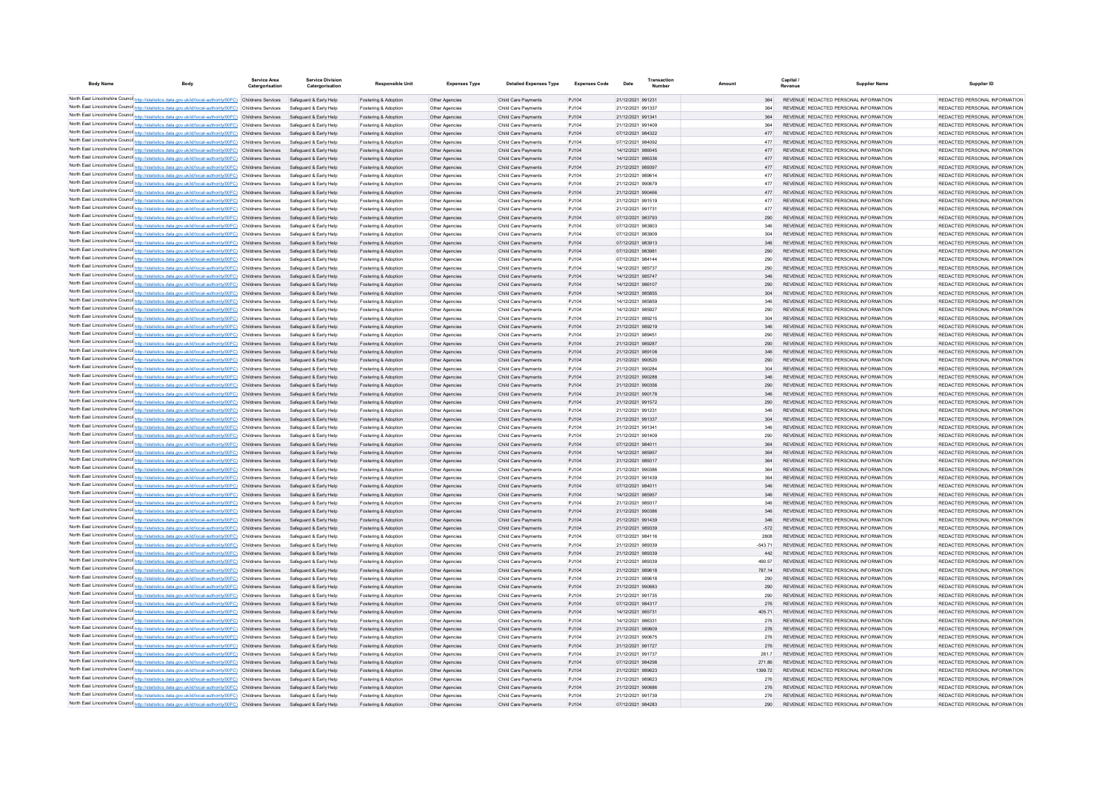| <b>Body Name</b> |                                                                                                                                                                                                                      | Service Area<br>Catergorisation | <b>Service Division</b><br>Catergorisation       | <b>Responsible Unit</b>                      | <b>Expenses Type</b>             | <b>Detailed Expenses Type</b>              | <b>Expenses Code</b> | Date                                   | Number |                   | Capital /<br>Revenue | <b>Supplier Name</b>                                                           | Supplier ID                                                    |
|------------------|----------------------------------------------------------------------------------------------------------------------------------------------------------------------------------------------------------------------|---------------------------------|--------------------------------------------------|----------------------------------------------|----------------------------------|--------------------------------------------|----------------------|----------------------------------------|--------|-------------------|----------------------|--------------------------------------------------------------------------------|----------------------------------------------------------------|
|                  | North East Lincolnshire Counci http://statistics.data.gov.uk/id/local-authority/00FC) Childrens Services                                                                                                             |                                 | Safeguard & Early Help                           | Fostering & Adoption                         | Other Agencies                   | Child Care Payments                        | PJ104                | 21/12/2021 991231                      |        | 364               |                      | REVENUE REDACTED PERSONAL INFORMATION                                          | REDACTED PERSONAL INFORMATION                                  |
|                  | North East Lincolnshire Counci http://statistics.data.gov.uk/id/local-authority/00FC) Childrens Services                                                                                                             |                                 | Safeguard & Early Help                           | Fostering & Adoption                         | Other Agencies                   | Child Care Payments                        | PJ104                | 21/12/2021 991337                      |        | 364               |                      | REVENUE REDACTED PERSONAL INFORMATION                                          | REDACTED PERSONAL INFORMATION                                  |
|                  | North East Lincolnshire Counci http://statistics.data.gov.uk/id/local-authority/00FC) Childrens Services                                                                                                             |                                 | Safeguard & Early Help                           | Fostering & Adoption                         | Other Agencies                   | Child Care Payments                        | PJ104                | 21/12/2021 991341                      |        | 364               |                      | REVENUE REDACTED PERSONAL INFORMATION                                          | REDACTED PERSONAL INFORMATION                                  |
|                  | North East Lincolnshire Counci http://statistics.data.gov.uk/id/local-authority/00FC) Childrens Services                                                                                                             |                                 | Safeguard & Early Help                           | Fostering & Adoption                         | Other Agencies                   | Child Care Payments                        | PJ104                | 21/12/2021 991409                      |        | 364               |                      | REVENUE REDACTED PERSONAL INFORMATION                                          | REDACTED PERSONAL INFORMATION                                  |
|                  | North East Lincolnshire Counci http://statistics.data.gov.uk/id/local-authority/00FC) Childrens Services                                                                                                             |                                 | Safeguard & Early Help                           | Fostering & Adoption                         | Other Agencies                   | Child Care Payments                        | PJ104                | 07/12/2021 984322                      |        | 477               |                      | REVENUE REDACTED PERSONAL INFORMATION                                          | REDACTED PERSONAL INFORMATION                                  |
|                  | North East Lincolnshire Counci http://statistics.data.gov.uk/id/local-authority/00FC) Childrens Services                                                                                                             |                                 | Safeguard & Early Help                           | Fostering & Adoption                         | Other Agencies                   | Child Care Payments                        | PJ104                | 07/12/2021 984092                      |        | 477               |                      | REVENUE REDACTED PERSONAL INFORMATION                                          | REDACTED PERSONAL INFORMATION                                  |
|                  | North East Lincolnshire Counci http://statistics.data.gov.uk/id/local-authority/00FC) Childrens Services                                                                                                             |                                 | Safeguard & Early Help                           | Fostering & Adoption                         | Other Agencies                   | Child Care Payments                        | PJ104                | 14/12/2021 986045                      |        | 477               |                      | REVENUE REDACTED PERSONAL INFORMATION                                          | REDACTED PERSONAL INFORMATION                                  |
|                  | North East Lincolnshire Counci http://statistics.data.gov.uk/id/local-authority/00FC) Childrens Services<br>North East Lincolnshire Counci http://statistics.data.gov.uk/id/local-authority/00FC) Childrens Services |                                 | Safeguard & Early Help                           | Fostering & Adoption                         | Other Agencies                   | Child Care Payments                        | PJ104                | 14/12/2021 986336                      |        | 477               |                      | REVENUE REDACTED PERSONAL INFORMATION                                          | REDACTED PERSONAL INFORMATION                                  |
|                  | North East Lincolnshire Counci http://statistics.data.gov.uk/id/local-authority/00FC) Childrens Services                                                                                                             |                                 | Safeguard & Early Help<br>Safeguard & Early Help | Fostering & Adoption<br>Fostering & Adoption | Other Agencies<br>Other Agencies | Child Care Payments<br>Child Care Payments | PJ104<br>PJ104       | 21/12/2021 989397<br>21/12/2021 989614 |        | 477<br>477        |                      | REVENUE REDACTED PERSONAL INFORMATION<br>REVENUE REDACTED PERSONAL INFORMATION | REDACTED PERSONAL INFORMATION<br>REDACTED PERSONAL INFORMATION |
|                  | North East Lincolnshire Counci http://statistics.data.gov.uk/id/local-authority/00FC) Childrens Services                                                                                                             |                                 | Safeguard & Early Help                           | Fostering & Adoption                         | Other Agencies                   | Child Care Payments                        | P.1104               | 21/12/2021 990679                      |        | 477               |                      | REVENUE REDACTED PERSONAL INFORMATION                                          | REDACTED PERSONAL INFORMATION                                  |
|                  | North East Lincolnshire Counci http://statistics.data.gov.uk/id/local-authority/00FC) Childrens Services                                                                                                             |                                 | Safeguard & Early Help                           | Fostering & Adoption                         | Other Agencies                   | Child Care Payments                        | PJ104                | 21/12/2021 990466                      |        | 477               |                      | REVENUE REDACTED PERSONAL INFORMATION                                          | REDACTED PERSONAL INFORMATION                                  |
|                  | North East Lincolnshire Counci http://statistics.data.gov.uk/id/local-authority/00FC) Childrens Services                                                                                                             |                                 | Safeguard & Early Help                           | Fostering & Adoption                         | Other Agencies                   | Child Care Payments                        | P.1104               | 21/12/2021 991519                      |        | 477               |                      | REVENUE REDACTED PERSONAL INFORMATION                                          | REDACTED PERSONAL INFORMATION                                  |
|                  | North East Lincolnshire Counci http://statistics.data.gov.uk/id/local-authority/00FC) Childrens Services                                                                                                             |                                 | Safeguard & Early Help                           | Fostering & Adoption                         | Other Agencies                   | Child Care Payments                        | P.1104               | 21/12/2021 991731                      |        | 477               |                      | REVENUE REDACTED PERSONAL INFORMATION                                          | REDACTED PERSONAL INFORMATION                                  |
|                  | North East Lincolnshire Counci http://statistics.data.gov.uk/id/local-authority/00FC) Childrens Services                                                                                                             |                                 | Safeguard & Early Help                           | Fostering & Adoption                         | Other Agencies                   | Child Care Payments                        | PJ104                | 07/12/2021 983793                      |        | 290               |                      | REVENUE REDACTED PERSONAL INFORMATION                                          | REDACTED PERSONAL INFORMATION                                  |
|                  | North East Lincolnshire Counci http://statistics.data.gov.uk/id/local-authority/00FC) Childrens Services                                                                                                             |                                 | Safeguard & Early Help                           | Fostering & Adoption                         | Other Agencies                   | Child Care Payments                        | P.1104               | 07/12/2021 983803                      |        | 346               |                      | REVENUE REDACTED PERSONAL INFORMATION                                          | REDACTED PERSONAL INFORMATION                                  |
|                  | North East Lincolnshire Counci http://statistics.data.gov.uk/id/local-authority/00FC) Childrens Services                                                                                                             |                                 | Safeguard & Early Help                           | Fostering & Adoption                         | Other Agencies                   | Child Care Payments                        | P.1104               | 07/12/2021 983909                      |        | 304               |                      | REVENUE REDACTED PERSONAL INFORMATION                                          | REDACTED PERSONAL INFORMATION                                  |
|                  | North East Lincolnshire Counci http://statistics.data.gov.uk/id/local-authority/00FC) Childrens Services                                                                                                             |                                 | Safeguard & Early Help                           | Fostering & Adoption                         | Other Agencies                   | Child Care Payments                        | P.1104               | 07/12/2021 983913                      |        | 346               |                      | REVENUE REDACTED PERSONAL INFORMATION                                          | REDACTED PERSONAL INFORMATION                                  |
|                  | North East Lincolnshire Counci http://statistics.data.gov.uk/id/local-authority/00FC) Childrens Services                                                                                                             |                                 | Safeguard & Early Help                           | Fostering & Adoption                         | Other Agencies                   | Child Care Payments                        | P.1104               | 07/12/2021 983981                      |        | 290               |                      | REVENUE REDACTED PERSONAL INFORMATION                                          | REDACTED PERSONAL INFORMATION                                  |
|                  | North East Lincolnshire Counci http://statistics.data.gov.uk/id/local-authority/00FC) Childrens Services                                                                                                             |                                 | Safeguard & Early Help                           | Fostering & Adoption                         | Other Agencies                   | Child Care Payments                        | P.1104               | 07/12/2021 984144                      |        | 290               |                      | REVENUE REDACTED PERSONAL INFORMATION                                          | REDACTED PERSONAL INFORMATION                                  |
|                  | North East Lincolnshire Counci http://statistics.data.gov.uk/id/local-authority/00FC) Childrens Services                                                                                                             |                                 | Safeguard & Early Help                           | Fostering & Adoption                         | Other Agencies                   | Child Care Payments                        | P.1104               | 14/12/2021 985737                      |        | 290               |                      | REVENUE REDACTED PERSONAL INFORMATION                                          | REDACTED PERSONAL INFORMATION                                  |
|                  | North East Lincolnshire Counci http://statistics.data.gov.uk/id/local-authority/00FC) Childrens Services                                                                                                             |                                 | Safequard & Early Help                           | Fostering & Adoption                         | Other Agencies                   | Child Care Payments                        | P.1104<br>P.1104     | 14/12/2021 985747<br>14/12/2021 986107 |        | 346               |                      | REVENUE REDACTED PERSONAL INFORMATION                                          | REDACTED PERSONAL INFORMATION                                  |
|                  | North East Lincolnshire Counci http://statistics.data.gov.uk/id/local-authority/00FC) Childrens Services<br>North East Lincolnshire Counci http://statistics.data.gov.uk/id/local-authority/00FC) Childrens Services |                                 | Safeguard & Early Help<br>Safeguard & Early Help | Fostering & Adoption                         | Other Agencies                   | Child Care Payments<br>Child Care Payments | P.1104               | 14/12/2021 985855                      |        | 290<br>304        |                      | REVENUE REDACTED PERSONAL INFORMATION<br>REVENUE REDACTED PERSONAL INFORMATION | REDACTED PERSONAL INFORMATION<br>REDACTED PERSONAL INFORMATION |
|                  | North East Lincolnshire Counci http://statistics.data.gov.uk/id/local-authority/00FC) Childrens Services                                                                                                             |                                 | Safeguard & Early Help                           | Fostering & Adoption<br>Fostering & Adoption | Other Agencies<br>Other Agencies | Child Care Payments                        | P.1104               | 14/12/2021 985859                      |        | 346               |                      | REVENUE REDACTED PERSONAL INFORMATION                                          | REDACTED PERSONAL INFORMATION                                  |
|                  | North East Lincolnshire Counci http://statistics.data.gov.uk/id/local-authority/00FC) Childrens Services                                                                                                             |                                 | Safeguard & Early Help                           | Fostering & Adoption                         | Other Agencies                   | Child Care Payments                        | P.1104               | 14/12/2021 985927                      |        | 290               |                      | REVENUE REDACTED PERSONAL INFORMATION                                          | REDACTED PERSONAL INFORMATION                                  |
|                  | North East Lincolnshire Counci http://statistics.data.gov.uk/id/local-authority/00FC) Childrens Services                                                                                                             |                                 | Safeguard & Early Help                           | Fostering & Adoption                         | Other Agencies                   | Child Care Payments                        | P.1104               | 21/12/2021 989215                      |        | 304               |                      | REVENUE REDACTED PERSONAL INFORMATION                                          | REDACTED PERSONAL INFORMATION                                  |
|                  | North East Lincolnshire Counci http://statistics.data.gov.uk/id/local-authority/00FC) Childrens Services                                                                                                             |                                 | Safeguard & Early Help                           | Fostering & Adoption                         | Other Agencies                   | Child Care Payments                        | PJ104                | 21/12/2021 989219                      |        | 346               |                      | REVENUE REDACTED PERSONAL INFORMATION                                          | REDACTED PERSONAL INFORMATION                                  |
|                  | North East Lincolnshire Counci http://statistics.data.gov.uk/id/local-authority/00FC) Childrens Services                                                                                                             |                                 | Safeguard & Early Help                           | Fostering & Adoption                         | Other Agencies                   | Child Care Payments                        | PJ104                | 21/12/2021 98945                       |        | 290               |                      | REVENUE REDACTED PERSONAL INFORMATION                                          | REDACTED PERSONAL INFORMATION                                  |
|                  | North East Lincolnshire Counci http://statistics.data.gov.uk/id/local-authority/00FC) Childrens Services                                                                                                             |                                 | Safeguard & Early Help                           | Fostering & Adoption                         | Other Agencies                   | Child Care Payments                        | PJ104                | 21/12/2021 989287                      |        | 290               |                      | REVENUE REDACTED PERSONAL INFORMATION                                          | REDACTED PERSONAL INFORMATION                                  |
|                  | North East Lincolnshire Counci http://statistics.data.gov.uk/id/local-authority/00FC) Childrens Services                                                                                                             |                                 | Safeguard & Early Help                           | Fostering & Adoption                         | Other Agencies                   | Child Care Payments                        | PJ104                | 21/12/2021 989108                      |        | 346               |                      | REVENUE REDACTED PERSONAL INFORMATION                                          | REDACTED PERSONAL INFORMATION                                  |
|                  | North East Lincolnshire Counci http://statistics.data.gov.uk/id/local-authority/00FC) Childrens Services                                                                                                             |                                 | Safeguard & Early Help                           | Fostering & Adoption                         | Other Agencies                   | Child Care Payments                        | PJ104                | 21/12/2021 990520                      |        | 290               |                      | REVENUE REDACTED PERSONAL INFORMATION                                          | REDACTED PERSONAL INFORMATION                                  |
|                  | North East Lincolnshire Counci http://statistics.data.gov.uk/id/local-authority/00FC) Childrens Services                                                                                                             |                                 | Safeguard & Early Help                           | Fostering & Adoption                         | Other Agencies                   | Child Care Payments                        | PJ104                | 21/12/2021 990284                      |        | 304               |                      | REVENUE REDACTED PERSONAL INFORMATION                                          | REDACTED PERSONAL INFORMATION                                  |
|                  | North East Lincolnshire Counci http://statistics.data.gov.uk/id/local-authority/00FC) Childrens Services                                                                                                             |                                 | Safeguard & Early Help                           | Fostering & Adoption                         | Other Agencies                   | Child Care Payments                        | PJ104                | 21/12/2021 990288                      |        | 346               |                      | REVENUE REDACTED PERSONAL INFORMATION                                          | REDACTED PERSONAL INFORMATION                                  |
|                  | North East Lincolnshire Counci http://statistics.data.gov.uk/id/local-authority/00FC) Childrens Services                                                                                                             |                                 | Safeguard & Early Help                           | Fostering & Adoption                         | Other Agencies                   | Child Care Payments                        | PJ104                | 21/12/2021 990356                      |        | 290               |                      | REVENUE REDACTED PERSONAL INFORMATION                                          | REDACTED PERSONAL INFORMATION                                  |
|                  | North East Lincolnshire Counci http://statistics.data.gov.uk/id/local-authority/00FC) Childrens Services                                                                                                             |                                 | Safeguard & Early Help                           | Fostering & Adoption                         | Other Agencies                   | Child Care Payments                        | PJ104                | 21/12/2021 990178                      |        | 346               |                      | REVENUE REDACTED PERSONAL INFORMATION                                          | REDACTED PERSONAL INFORMATION                                  |
|                  | North East Lincolnshire Counci http://statistics.data.gov.uk/id/local-authority/00FC) Childrens Services                                                                                                             |                                 | Safeguard & Early Help                           | Fostering & Adoption                         | Other Agencies                   | Child Care Payments                        | PJ104                | 21/12/2021 991572                      |        | 290               |                      | REVENUE REDACTED PERSONAL INFORMATION                                          | REDACTED PERSONAL INFORMATION                                  |
|                  | North East Lincolnshire Counci http://statistics.data.gov.uk/id/local-authority/00FC) Childrens Services                                                                                                             |                                 | Safeguard & Early Help<br>Safeguard & Early Help | Fostering & Adoption                         | Other Agencies                   | Child Care Payments                        | PJ104<br>PJ104       | 21/12/2021 99123<br>21/12/2021 991337  |        | 346<br>304        |                      | REVENUE REDACTED PERSONAL INFORMATION                                          | REDACTED PERSONAL INFORMATION<br>REDACTED PERSONAL INFORMATION |
|                  | North East Lincolnshire Counci http://statistics.data.gov.uk/id/local-authority/00FC) Childrens Services<br>North East Lincolnshire Counci http://statistics.data.gov.uk/id/local-authority/00FC) Childrens Services |                                 | Safeguard & Early Help                           | Fostering & Adoption<br>Fostering & Adoption | Other Agencies<br>Other Agencies | Child Care Payments<br>Child Care Payments | PJ104                | 21/12/2021 99134                       |        | 346               |                      | REVENUE REDACTED PERSONAL INFORMATION<br>REVENUE REDACTED PERSONAL INFORMATION | REDACTED PERSONAL INFORMATION                                  |
|                  | North East Lincolnshire Counci http://statistics.data.gov.uk/id/local-authority/00FC) Childrens Services                                                                                                             |                                 | Safeguard & Early Help                           | Fostering & Adoption                         | Other Agencies                   | Child Care Payment                         | PJ104                | 21/12/2021 991409                      |        | 290               |                      | REVENUE REDACTED PERSONAL INFORMATION                                          | REDACTED PERSONAL INFORMATION                                  |
|                  | North East Lincolnshire Counci http://statistics.data.gov.uk/id/local-authority/00FC) Childrens Services                                                                                                             |                                 | Safeguard & Early Help                           | Fostering & Adoption                         | Other Agencies                   | Child Care Payments                        | PJ104                | 07/12/2021 984011                      |        | 364               |                      | REVENUE REDACTED PERSONAL INFORMATION                                          | REDACTED PERSONAL INFORMATION                                  |
|                  | North East Lincolnshire Counci http://statistics.data.gov.uk/id/local-authority/00FC) Childrens Services                                                                                                             |                                 | Safeguard & Early Help                           | Fostering & Adoption                         | Other Agencies                   | Child Care Payments                        | PJ104                | 14/12/2021 985957                      |        | 364               |                      | REVENUE REDACTED PERSONAL INFORMATION                                          | REDACTED PERSONAL INFORMATION                                  |
|                  | North East Lincolnshire Counci http://statistics.data.gov.uk/id/local-authority/00FC) Childrens Services                                                                                                             |                                 | Safeguard & Early Help                           | Fostering & Adoption                         | Other Agencies                   | Child Care Payments                        | PJ104                | 21/12/2021 989317                      |        | 364               |                      | REVENUE REDACTED PERSONAL INFORMATION                                          | REDACTED PERSONAL INFORMATION                                  |
|                  | North East Lincolnshire Counci http://statistics.data.gov.uk/id/local-authority/00FC) Childrens Services                                                                                                             |                                 | Safeguard & Early Help                           | Fostering & Adoption                         | Other Agencies                   | Child Care Payments                        | PJ104                | 21/12/2021 990386                      |        | 364               |                      | REVENUE REDACTED PERSONAL INFORMATION                                          | REDACTED PERSONAL INFORMATION                                  |
|                  | North East Lincolnshire Counci http://statistics.data.gov.uk/id/local-authority/00FC) Childrens Services                                                                                                             |                                 | Safeguard & Early Help                           | Fostering & Adoption                         | Other Agencies                   | Child Care Payments                        | PJ104                | 21/12/2021 991439                      |        | 364               |                      | REVENUE REDACTED PERSONAL INFORMATION                                          | REDACTED PERSONAL INFORMATION                                  |
|                  | North East Lincolnshire Counci http://statistics.data.gov.uk/id/local-authority/00FC) Childrens Services                                                                                                             |                                 | Safeguard & Early Help                           | Fostering & Adoption                         | Other Agencies                   | Child Care Payment                         | PJ104                | 07/12/2021 984011                      |        | 346               |                      | REVENUE REDACTED PERSONAL INFORMATION                                          | REDACTED PERSONAL INFORMATION                                  |
|                  | North East Lincolnshire Counci http://statistics.data.gov.uk/id/local-authority/00FC) Childrens Services                                                                                                             |                                 | Safeguard & Early Help                           | Fostering & Adoption                         | Other Agencies                   | Child Care Payments                        | PJ104                | 14/12/2021 985957                      |        | 346               |                      | REVENUE REDACTED PERSONAL INFORMATION                                          | REDACTED PERSONAL INFORMATION                                  |
|                  | North East Lincolnshire Counci http://statistics.data.gov.uk/id/local-authority/00FC) Childrens Services                                                                                                             |                                 | Safeguard & Early Help                           | Fostering & Adoptio                          | Other Agencies                   | Child Care Payments                        | PJ104                | 21/12/2021 989317                      |        | 346               |                      | REVENUE REDACTED PERSONAL INFORMATION                                          | REDACTED PERSONAL INFORMATION                                  |
|                  | North East Lincolnshire Counci http://statistics.data.gov.uk/id/local-authority/00FC) Childrens Services                                                                                                             |                                 | Safeguard & Early Help                           | Fostering & Adoption                         | Other Agencies                   | Child Care Payments                        | PJ104                | 21/12/2021 990386                      |        | 346               |                      | REVENUE REDACTED PERSONAL INFORMATION                                          | REDACTED PERSONAL INFORMATION                                  |
|                  | North East Lincolnshire Counci http://statistics.data.gov.uk/id/local-authority/00FC) Childrens Services                                                                                                             |                                 | Safeguard & Early Help                           | Fostering & Adoption                         | Other Agencies                   | Child Care Payments                        | PJ104                | 21/12/2021 991439                      |        | 346               |                      | REVENUE REDACTED PERSONAL INFORMATION                                          | REDACTED PERSONAL INFORMATION                                  |
|                  | North East Lincolnshire Counci http://statistics.data.gov.uk/id/local-authority/00FC) Childrens Services                                                                                                             |                                 | Safeguard & Early Help                           | Fostering & Adoption                         | Other Agencies                   | Child Care Payments                        | PJ104                | 21/12/2021 989339                      |        | $-572$            |                      | REVENUE REDACTED PERSONAL INFORMATION                                          | REDACTED PERSONAL INFORMATION                                  |
|                  | North East Lincolnshire Counci http://statistics.data.gov.uk/id/local-authority/00FC) Childrens Services<br>North East Lincolnshire Counci http://statistics.data.gov.uk/id/local-authority/00FC) Childrens Services |                                 | Safeguard & Early Help<br>Safeguard & Early Help | Fostering & Adoption<br>Fostering & Adoption | Other Agencies<br>Other Agencier | Child Care Payments<br>Child Care Payments | PJ104<br>PJ104       | 07/12/2021 984116<br>21/12/2021 989339 |        | 2808<br>$-543.71$ |                      | REVENUE REDACTED PERSONAL INFORMATION<br>REVENUE REDACTED PERSONAL INFORMATION | REDACTED PERSONAL INFORMATION                                  |
|                  | North East Lincolnshire Counci http://statistics.data.gov.uk/id/local-authority/00FC) Childrens Services                                                                                                             |                                 | Safeguard & Early Help                           | Fostering & Adoption                         | Other Agencies                   | Child Care Payments                        | PJ104                | 21/12/2021 989339                      |        | 442               |                      | REVENUE REDACTED PERSONAL INFORMATION                                          | REDACTED PERSONAL INFORMATION<br>REDACTED PERSONAL INFORMATION |
|                  | North East Lincolnshire Counci http://statistics.data.gov.uk/id/local-authority/00FC) Childrens Services                                                                                                             |                                 | Safeguard & Early Help                           | Fostering & Adoption                         | Other Agencies                   | Child Care Payments                        | PJ104                | 21/12/2021 989339                      |        | 490.57            |                      | REVENUE REDACTED PERSONAL INFORMATION                                          | REDACTED PERSONAL INFORMATION                                  |
|                  | North East Lincolnshire Counci http://statistics.data.gov.uk/id/local-authority/00FC) Childrens Services                                                                                                             |                                 | Safeguard & Early Help                           | Fostering & Adoption                         | Other Agencies                   | Child Care Payments                        | PJ104                | 21/12/2021 989618                      |        | 787.14            |                      | REVENUE REDACTED PERSONAL INFORMATION                                          | REDACTED PERSONAL INFORMATION                                  |
|                  | North East Lincolnshire Counci http://statistics.data.gov.uk/id/local-authority/00FC) Childrens Services                                                                                                             |                                 | Safeguard & Early Help                           | Fostering & Adoption                         | Other Agencies                   | Child Care Payments                        | PJ104                | 21/12/2021 989618                      |        | 290               |                      | REVENUE REDACTED PERSONAL INFORMATION                                          | REDACTED PERSONAL INFORMATION                                  |
|                  | North East Lincolnshire Counci http://statistics.data.gov.uk/id/local-authority/00FC) Childrens Services                                                                                                             |                                 | Safeguard & Early Help                           | Fostering & Adoption                         | Other Agencies                   | Child Care Payments                        | PJ104                | 21/12/2021 990683                      |        | 290               |                      | REVENUE REDACTED PERSONAL INFORMATION                                          | REDACTED PERSONAL INFORMATION                                  |
|                  | North East Lincolnshire Counci http://statistics.data.gov.uk/id/local-authority/00FC) Childrens Services                                                                                                             |                                 | Safeguard & Early Help                           | Fostering & Adoption                         | Other Agencies                   | Child Care Payments                        | PJ104                | 21/12/2021 991735                      |        | 290               |                      | REVENUE REDACTED PERSONAL INFORMATION                                          | REDACTED PERSONAL INFORMATION                                  |
|                  | North East Lincolnshire Counci http://statistics.data.gov.uk/id/local-authority/00FC) Childrens Services                                                                                                             |                                 | Safeguard & Early Help                           | Fostering & Adoption                         | Other Agencies                   | Child Care Payments                        | PJ104                | 07/12/2021 984317                      |        | 276               |                      | REVENUE REDACTED PERSONAL INFORMATION                                          | REDACTED PERSONAL INFORMATION                                  |
|                  | North East Lincolnshire Counci http://statistics.data.gov.uk/id/local-authority/00FC) Childrens Services                                                                                                             |                                 | Safeguard & Early Help                           | Fostering & Adoption                         | Other Agencies                   | Child Care Payments                        | PJ104                | 14/12/2021 985731                      |        | 405.71            |                      | REVENUE REDACTED PERSONAL INFORMATION                                          | REDACTED PERSONAL INFORMATION                                  |
|                  | North East Lincolnshire Counci http://statistics.data.gov.uk/id/local-authority/00FC) Childrens Services                                                                                                             |                                 | Safeguard & Early Help                           | Fostering & Adoption                         | Other Agencies                   | Child Care Payments                        | PJ104                | 14/12/2021 986331                      |        | 276               |                      | REVENUE REDACTED PERSONAL INFORMATION                                          | REDACTED PERSONAL INFORMATION                                  |
|                  | North East Lincolnshire Counci http://statistics.data.gov.uk/id/local-authority/00FC) Childrens Services                                                                                                             |                                 | Safeguard & Early Help                           | Fostering & Adoption                         | Other Agencies                   | Child Care Payments                        | PJ104                | 21/12/2021 989609                      |        | 276               |                      | REVENUE REDACTED PERSONAL INFORMATION                                          | REDACTED PERSONAL INFORMATION                                  |
|                  | North East Lincolnshire Counci http://statistics.data.gov.uk/id/local-authority/00FC) Childrens Services                                                                                                             |                                 | Safeguard & Early Help                           | Fostering & Adoption                         | Other Agencies                   | Child Care Payments                        | PJ104                | 21/12/2021 990675                      |        | 276               |                      | REVENUE REDACTED PERSONAL INFORMATION                                          | REDACTED PERSONAL INFORMATION                                  |
|                  | North East Lincolnshire Counci http://statistics.data.gov.uk/id/local-authority/00FC) Childrens Services                                                                                                             |                                 | Safeguard & Early Help                           | Fostering & Adoption                         | Other Agencies                   | Child Care Payments                        | PJ104                | 21/12/2021 991727                      |        | 276               |                      | REVENUE REDACTED PERSONAL INFORMATION                                          | REDACTED PERSONAL INFORMATION                                  |
|                  | North East Lincolnshire Counci http://statistics.data.gov.uk/id/local-authority/00FC) Childrens Services                                                                                                             |                                 | Safeguard & Early Help                           | Fostering & Adoption                         | Other Agencies                   | Child Care Payments                        | PJ104                | 21/12/2021 991737                      |        | 261.7             |                      | REVENUE REDACTED PERSONAL INFORMATION                                          | REDACTED PERSONAL INFORMATION                                  |
|                  | North East Lincolnshire Counci http://statistics.data.gov.uk/id/local-authority/00FC) Childrens Services                                                                                                             |                                 | Safeguard & Early Help                           | Fostering & Adoption                         | Other Agencies                   | Child Care Payments                        | PJ104                | 07/12/2021 984298                      |        | 271.86<br>1399 72 |                      | REVENUE REDACTED PERSONAL INFORMATION                                          | REDACTED PERSONAL INFORMATION<br>REDACTED PERSONAL INFORMATION |
|                  | North East Lincolnshire Counci http://statistics.data.gov.uk/id/local-authority/00FC) Childrens Services<br>North East Lincolnshire Counci http://statistics.data.gov.uk/id/local-authority/00FC) Childrens Services |                                 | Safeguard & Early Help<br>Safeguard & Early Help | Fostering & Adoption<br>Fostering & Adoption | Other Agencies<br>Other Agencies | Child Care Payments<br>Child Care Payments | PJ104<br>P.1104      | 21/12/2021 989623<br>21/12/2021 989623 |        | 276               |                      | REVENUE REDACTED PERSONAL INFORMATION<br>REVENUE REDACTED PERSONAL INFORMATION | REDACTED PERSONAL INFORMATION                                  |
|                  | North East Lincolnshire Counci http://statistics.data.gov.uk/id/local-authority/00FC) Childrens Services                                                                                                             |                                 | Safeguard & Early Help                           | Fostering & Adoption                         | Other Agencies                   | Child Care Payments                        | P.1104               | 21/12/2021 990686                      |        | 276               |                      | REVENUE, REDACTED PERSONAL INFORMATION                                         | REDACTED PERSONAL INFORMATION                                  |
|                  | North East Lincolnshire Councint http://statistics.data.gov.uk/id/local-authority/00FC) Childrens Services Safeguard & Early Help                                                                                    |                                 |                                                  | Fostering & Adoption                         | Other Agencies                   | Child Care Payments                        | P.1104               | 21/12/2021 991739                      |        | 276               |                      | REVENUE REDACTED PERSONAL INFORMATION                                          | REDACTED PERSONAL INFORMATION                                  |
|                  | North East Lincolnshire Councint http://statistics.data.gov.uk/id/local-authority/00FC) Childrens Services Safeguard & Early Help                                                                                    |                                 |                                                  | Fostering & Adoption                         | Other Agencies                   | Child Care Payments                        | P.1104               | 07/12/2021 984283                      |        | 290               |                      | REVENUE REDACTED PERSONAL INFORMATION                                          | REDACTED PERSONAL INFORMATION                                  |
|                  |                                                                                                                                                                                                                      |                                 |                                                  |                                              |                                  |                                            |                      |                                        |        |                   |                      |                                                                                |                                                                |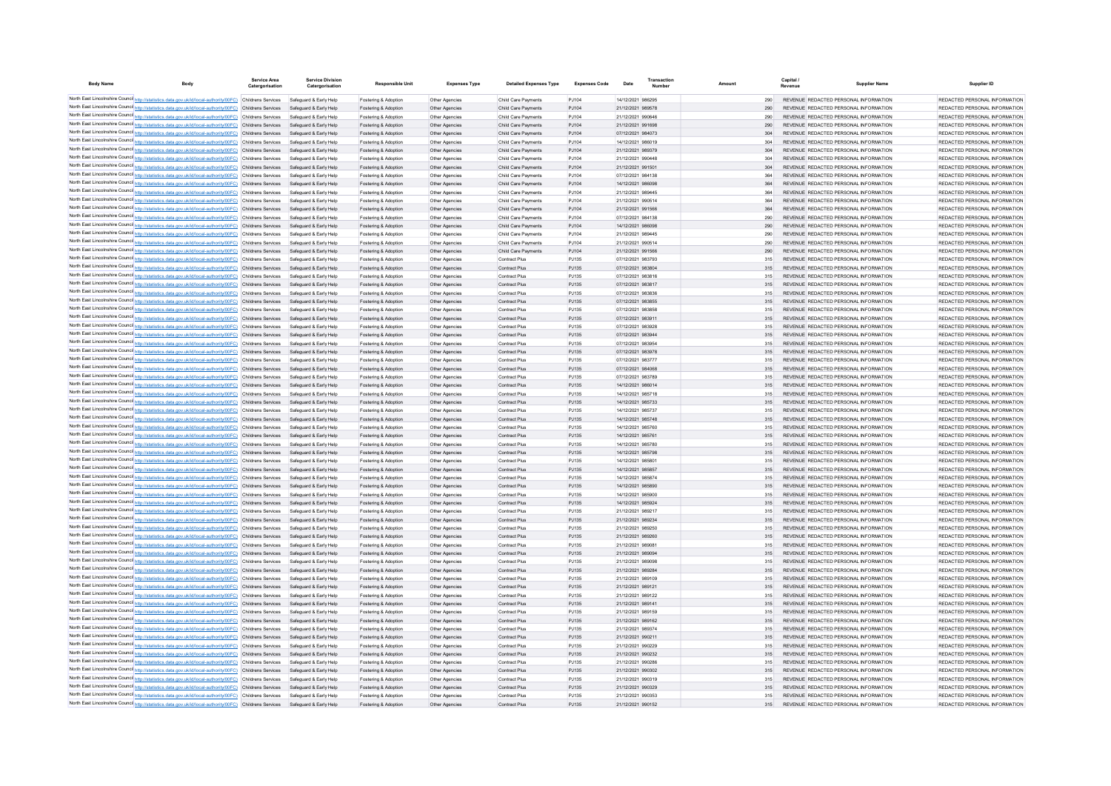| <b>Body Name</b> | Body                                                                                                                                                                                                                 | Service Area<br>Catergorisation | <b>Service Division</b><br>Catergorisation       | Responsible Uni                              | <b>Expenses Type</b>             | <b>Detailed Expenses Type</b>              | <b>Expenses Code</b> | Date                                   |  |            | Capital<br>Revenue | <b>Supplier Name</b>                                                           | Supplier ID                                                    |
|------------------|----------------------------------------------------------------------------------------------------------------------------------------------------------------------------------------------------------------------|---------------------------------|--------------------------------------------------|----------------------------------------------|----------------------------------|--------------------------------------------|----------------------|----------------------------------------|--|------------|--------------------|--------------------------------------------------------------------------------|----------------------------------------------------------------|
|                  | North East Lincolnshire Counci http://statistics.data.gov.uk/id/local-authority/00FC) Childrens Services                                                                                                             |                                 | Safeguard & Early Help                           | Fostering & Adoption                         | Other Agencies                   | Child Care Payments                        | PJ104                | 14/12/2021 986295                      |  | 290        |                    | REVENUE REDACTED PERSONAL INFORMATION                                          | REDACTED PERSONAL INFORMATION                                  |
|                  | North East Lincolnshire Counci http://statistics.data.gov.uk/id/local-authority/00FC) Childrens Services                                                                                                             |                                 | Safeguard & Early Help                           | Fostering & Adoption                         | Other Agencies                   | Child Care Payments                        | PJ104                | 21/12/2021 989578                      |  | 290        |                    | REVENUE REDACTED PERSONAL INFORMATION                                          | REDACTED PERSONAL INFORMATION                                  |
|                  | North East Lincolnshire Counci http://statistics.data.gov.uk/id/local-authority/00FC) Childrens Services                                                                                                             |                                 | Safeguard & Early Help                           | Fostering & Adoption                         | Other Agencies                   | Child Care Payments                        | PJ104                | 21/12/2021 990646                      |  | 290        |                    | REVENUE REDACTED PERSONAL INFORMATION                                          | REDACTED PERSONAL INFORMATION                                  |
|                  | North East Lincolnshire Counci http://statistics.data.gov.uk/id/local-authority/00FC) Childrens Services                                                                                                             |                                 | Safeguard & Early Help                           | Fostering & Adoption                         | Other Agencies                   | Child Care Payments                        | PJ104                | 21/12/2021 991698                      |  | 290        |                    | REVENUE REDACTED PERSONAL INFORMATION                                          | REDACTED PERSONAL INFORMATION                                  |
|                  | North East Lincolnshire Counci http://statistics.data.gov.uk/id/local-authority/00FC) Childrens Services                                                                                                             |                                 | Safeguard & Early Help                           | Fostering & Adoption                         | Other Agencies                   | Child Care Payments                        | PJ104                | 07/12/2021 984073                      |  | 304        |                    | REVENUE REDACTED PERSONAL INFORMATION                                          | REDACTED PERSONAL INFORMATION                                  |
|                  | North East Lincolnshire Counci http://statistics.data.gov.uk/id/local-authority/00FC) Childrens Services                                                                                                             |                                 | Safeguard & Early Help                           | Fostering & Adoption                         | Other Agencies                   | Child Care Payments                        | PJ104                | 14/12/2021 986019                      |  | 304        |                    | REVENUE REDACTED PERSONAL INFORMATION                                          | REDACTED PERSONAL INFORMATION                                  |
|                  | North East Lincolnshire Counci http://statistics.data.gov.uk/id/local-authority/00FC) Childrens Services                                                                                                             |                                 | Safeguard & Early Help                           | Fostering & Adoption                         | Other Agencies                   | Child Care Payments                        | PJ104                | 21/12/2021 989379                      |  | 304        |                    | REVENUE REDACTED PERSONAL INFORMATION                                          | REDACTED PERSONAL INFORMATION                                  |
|                  | North East Lincolnshire Counci http://statistics.data.gov.uk/id/local-authority/00FC) Childrens Services                                                                                                             |                                 | Safeguard & Early Help                           | Fostering & Adoption                         | Other Agencies                   | Child Care Payments                        | PJ104                | 21/12/2021 990448                      |  | 304        |                    | REVENUE REDACTED PERSONAL INFORMATION                                          | REDACTED PERSONAL INFORMATION                                  |
|                  | North East Lincolnshire Counci http://statistics.data.gov.uk/id/local-authority/00FC) Childrens Services<br>North East Lincolnshire Counci http://statistics.data.gov.uk/id/local-authority/00FC) Childrens Services |                                 | Safeguard & Early Help<br>Safeguard & Early Help | Fostering & Adoption<br>Fostering & Adoption | Other Agencies<br>Other Agencies | Child Care Payments<br>Child Care Payments | PJ104<br>PJ104       | 21/12/2021 991501<br>07/12/2021 984138 |  | 304<br>364 |                    | REVENUE REDACTED PERSONAL INFORMATION<br>REVENUE REDACTED PERSONAL INFORMATION | REDACTED PERSONAL INFORMATION<br>REDACTED PERSONAL INFORMATION |
|                  | North East Lincolnshire Counci http://statistics.data.gov.uk/id/local-authority/00FC) Childrens Services                                                                                                             |                                 | Safeguard & Early Help                           | Fostering & Adoption                         | Other Agencies                   | Child Care Payments                        | PJ104                | 14/12/2021 986098                      |  | 364        |                    | REVENUE REDACTED PERSONAL INFORMATION                                          | REDACTED PERSONAL INFORMATION                                  |
|                  | North East Lincolnshire Counci http://statistics.data.gov.uk/id/local-authority/00FC) Childrens Services                                                                                                             |                                 | Safeguard & Early Help                           | Fostering & Adoption                         | Other Agencies                   | Child Care Payments                        | PJ104                | 21/12/2021 989445                      |  | 364        |                    | REVENUE REDACTED PERSONAL INFORMATION                                          | REDACTED PERSONAL INFORMATION                                  |
|                  | North East Lincolnshire Counci http://statistics.data.gov.uk/id/local-authority/00FC) Childrens Services                                                                                                             |                                 | Safeguard & Early Help                           | Fostering & Adoption                         | Other Agencies                   | Child Care Payments                        | PJ104                | 21/12/2021 990514                      |  | 364        |                    | REVENUE REDACTED PERSONAL INFORMATION                                          | REDACTED PERSONAL INFORMATION                                  |
|                  | North East Lincolnshire Counci http://statistics.data.gov.uk/id/local-authority/00FC) Childrens Services                                                                                                             |                                 | Safeguard & Early Help                           | Fostering & Adoption                         | Other Agencies                   | Child Care Payments                        | PJ104                | 21/12/2021 991566                      |  | 364        |                    | REVENUE REDACTED PERSONAL INFORMATION                                          | REDACTED PERSONAL INFORMATION                                  |
|                  | North East Lincolnshire Counci http://statistics.data.gov.uk/id/local-authority/00FC) Childrens Services                                                                                                             |                                 | Safeguard & Early Help                           | Fostering & Adoption                         | Other Agencies                   | Child Care Payments                        | PJ104                | 07/12/2021 984138                      |  | 290        |                    | REVENUE REDACTED PERSONAL INFORMATION                                          | REDACTED PERSONAL INFORMATION                                  |
|                  | North East Lincolnshire Counci http://statistics.data.gov.uk/id/local-authority/00FC) Childrens Services                                                                                                             |                                 | Safeguard & Early Help                           | Fostering & Adoption                         | Other Agencies                   | Child Care Payments                        | PJ104                | 14/12/2021 986098                      |  | 290        |                    | REVENUE REDACTED PERSONAL INFORMATION                                          | REDACTED PERSONAL INFORMATION                                  |
|                  | North East Lincolnshire Counci http://statistics.data.gov.uk/id/local-authority/00FC) Childrens Services                                                                                                             |                                 | Safeguard & Early Help                           | Fostering & Adoption                         | Other Agencies                   | Child Care Payments                        | PJ104                | 21/12/2021 989445                      |  | 290        |                    | REVENUE REDACTED PERSONAL INFORMATION                                          | REDACTED PERSONAL INFORMATION                                  |
|                  | North East Lincolnshire Counci http://statistics.data.gov.uk/id/local-authority/00FC) Childrens Services                                                                                                             |                                 | Safeguard & Early Help                           | Fostering & Adoption                         | Other Agencies                   | Child Care Payments                        | PJ104                | 21/12/2021 990514                      |  | 290        |                    | REVENUE REDACTED PERSONAL INFORMATION                                          | REDACTED PERSONAL INFORMATION                                  |
|                  | North East Lincolnshire Counci http://statistics.data.gov.uk/id/local-authority/00FC) Childrens Services                                                                                                             |                                 | Safeguard & Early Help                           | Fostering & Adoption                         | Other Agencies                   | Child Care Payments                        | PJ104                | 21/12/2021 991566                      |  | 290        |                    | REVENUE REDACTED PERSONAL INFORMATION                                          | REDACTED PERSONAL INFORMATION                                  |
|                  | North East Lincolnshire Counci http://statistics.data.gov.uk/id/local-authority/00FC) Childrens Services                                                                                                             |                                 | Safeguard & Early Help                           | Fostering & Adoption                         | Other Agencies                   | Contract Plus                              | PJ135                | 07/12/2021 983793                      |  | 315        |                    | REVENUE REDACTED PERSONAL INFORMATION                                          | REDACTED PERSONAL INFORMATION                                  |
|                  | North East Lincolnshire Counci http://statistics.data.gov.uk/id/local-authority/00FC) Childrens Services                                                                                                             |                                 | Safeguard & Early Help                           | Fostering & Adoption                         | Other Agencies                   | Contract Plus                              | PJ135                | 07/12/2021 983804                      |  | 315        |                    | REVENUE REDACTED PERSONAL INFORMATION                                          | REDACTED PERSONAL INFORMATION                                  |
|                  | North East Lincolnshire Counci http://statistics.data.gov.uk/id/local-authority/00FC) Childrens Services                                                                                                             |                                 | Safeguard & Early Help                           | Fostering & Adoption                         | Other Agencies                   | Contract Plus                              | PJ135                | 07/12/2021 983816                      |  | 315        |                    | REVENUE REDACTED PERSONAL INFORMATION                                          | REDACTED PERSONAL INFORMATION                                  |
|                  | North East Lincolnshire Counci http://statistics.data.gov.uk/id/local-authority/00FC) Childrens Services                                                                                                             |                                 | Safeguard & Early Help                           | Fostering & Adoption                         | Other Agencies                   | Contract Plus                              | PJ135                | 07/12/2021 983817                      |  | 315        |                    | REVENUE REDACTED PERSONAL INFORMATION                                          | REDACTED PERSONAL INFORMATION                                  |
|                  | North East Lincolnshire Counci http://statistics.data.gov.uk/id/local-authority/00FC) Childrens Services                                                                                                             |                                 | Safeguard & Early Help                           | Fostering & Adoption                         | Other Agencies                   | Contract Plus                              | PJ135                | 07/12/2021 983836                      |  | 315        |                    | REVENUE REDACTED PERSONAL INFORMATION                                          | REDACTED PERSONAL INFORMATION                                  |
|                  | North East Lincolnshire Counci http://statistics.data.gov.uk/id/local-authority/00FC) Childrens Services                                                                                                             |                                 | Safeguard & Early Help                           | Fostering & Adoption                         | Other Agencies                   | Contract Plus                              | PJ135                | 07/12/2021 983855                      |  | 315        |                    | REVENUE REDACTED PERSONAL INFORMATION                                          | REDACTED PERSONAL INFORMATION                                  |
|                  | North East Lincolnshire Counci http://statistics.data.gov.uk/id/local-authority/00FC) Childrens Services<br>North East Lincolnshire Counci http://statistics.data.gov.uk/id/local-authority/00FC) Childrens Services |                                 | Safeguard & Early Help<br>Safeguard & Early Help | Fostering & Adoption                         | Other Agencies                   | Contract Plus                              | PJ135<br>PJ135       | 07/12/2021 983858<br>07/12/2021 983911 |  | 315        |                    | REVENUE REDACTED PERSONAL INFORMATION<br>REVENUE REDACTED PERSONAL INFORMATION | REDACTED PERSONAL INFORMATION<br>REDACTED PERSONAL INFORMATION |
|                  | North East Lincolnshire Counci http://statistics.data.gov.uk/id/local-authority/00FC) Childrens Services                                                                                                             |                                 | Safeguard & Early Help                           | Fostering & Adoption<br>Fostering & Adoption | Other Agencies<br>Other Agencies | Contract Plus<br>Contract Plus             | PJ135                | 07/12/2021 983928                      |  | 315<br>315 |                    | REVENUE REDACTED PERSONAL INFORMATION                                          | REDACTED PERSONAL INFORMATION                                  |
|                  | North East Lincolnshire Counci http://statistics.data.gov.uk/id/local-authority/00FC) Childrens Services                                                                                                             |                                 | Safeguard & Early Help                           | Fostering & Adoption                         | Other Agencies                   | Contract Plus                              | PJ135                | 07/12/2021 983944                      |  | 315        |                    | REVENUE REDACTED PERSONAL INFORMATION                                          | REDACTED PERSONAL INFORMATION                                  |
|                  | North East Lincolnshire Counci http://statistics.data.gov.uk/id/local-authority/00FC) Childrens Services                                                                                                             |                                 | Safeguard & Early Help                           | Fostering & Adoption                         | Other Agencies                   | Contract Plus                              | PJ135                | 07/12/2021 983954                      |  | 315        |                    | REVENUE REDACTED PERSONAL INFORMATION                                          | REDACTED PERSONAL INFORMATION                                  |
|                  | North East Lincolnshire Counci http://statistics.data.gov.uk/id/local-authority/00FC) Childrens Services                                                                                                             |                                 | Safeguard & Early Help                           | Fostering & Adoption                         | Other Agencies                   | Contract Plus                              | PJ135                | 07/12/2021 983978                      |  | 315        |                    | REVENUE REDACTED PERSONAL INFORMATION                                          | REDACTED PERSONAL INFORMATION                                  |
|                  | North East Lincolnshire Counci http://statistics.data.gov.uk/id/local-authority/00FC) Childrens Services                                                                                                             |                                 | Safeguard & Early Help                           | Fostering & Adoption                         | Other Agencies                   | Contract Plus                              | PJ135                | 07/12/2021 983777                      |  | 315        |                    | REVENUE REDACTED PERSONAL INFORMATION                                          | REDACTED PERSONAL INFORMATION                                  |
|                  | North East Lincolnshire Counci http://statistics.data.gov.uk/id/local-authority/00FC) Childrens Services                                                                                                             |                                 | Safeguard & Early Help                           | Fostering & Adoption                         | Other Agencies                   | Contract Plus                              | PJ135                | 07/12/2021 984068                      |  | 315        |                    | REVENUE REDACTED PERSONAL INFORMATION                                          | REDACTED PERSONAL INFORMATION                                  |
|                  | North East Lincolnshire Counci http://statistics.data.gov.uk/id/local-authority/00FC) Childrens Services                                                                                                             |                                 | Safeguard & Early Help                           | Fostering & Adoption                         | Other Agencies                   | Contract Plus                              | PJ135                | 07/12/2021 983789                      |  | 315        |                    | REVENUE REDACTED PERSONAL INFORMATION                                          | REDACTED PERSONAL INFORMATION                                  |
|                  | North East Lincolnshire Counci http://statistics.data.gov.uk/id/local-authority/00FC) Childrens Services                                                                                                             |                                 | Safeguard & Early Help                           | Fostering & Adoption                         | Other Agencies                   | Contract Plus                              | PJ135                | 14/12/2021 986014                      |  | 315        |                    | REVENUE REDACTED PERSONAL INFORMATION                                          | REDACTED PERSONAL INFORMATION                                  |
|                  | North East Lincolnshire Counci http://statistics.data.gov.uk/id/local-authority/00FC) Childrens Services                                                                                                             |                                 | Safeguard & Early Help                           | Fostering & Adoption                         | Other Agencies                   | Contract Plus                              | PJ135                | 14/12/2021 985718                      |  | 315        |                    | REVENUE REDACTED PERSONAL INFORMATION                                          | REDACTED PERSONAL INFORMATION                                  |
|                  | North East Lincolnshire Counci http://statistics.data.gov.uk/id/local-authority/00FC) Childrens Services                                                                                                             |                                 | Safeguard & Early Help                           | Fostering & Adoption                         | Other Agencies                   | Contract Plus                              | PJ135                | 14/12/2021 985733                      |  | 315        |                    | REVENUE REDACTED PERSONAL INFORMATION                                          | REDACTED PERSONAL INFORMATION                                  |
|                  | North East Lincolnshire Counci http://statistics.data.gov.uk/id/local-authority/00FC) Childrens Services                                                                                                             |                                 | Safeguard & Early Help                           | Fostering & Adoption                         | Other Agencies                   | Contract Plus                              | PJ135                | 14/12/2021 985737                      |  | 315        |                    | REVENUE REDACTED PERSONAL INFORMATION                                          | REDACTED PERSONAL INFORMATION                                  |
|                  | North East Lincolnshire Counci http://statistics.data.gov.uk/id/local-authority/00FC) Childrens Services                                                                                                             |                                 | Safeguard & Early Help                           | Fostering & Adoption                         | Other Agencies                   | Contract Plus                              | PJ135                | 14/12/2021 985748                      |  | 315        |                    | REVENUE REDACTED PERSONAL INFORMATION                                          | REDACTED PERSONAL INFORMATION                                  |
|                  | North East Lincolnshire Counci http://statistics.data.gov.uk/id/local-authority/00FC) Childrens Services                                                                                                             |                                 | Safeguard & Early Help                           | Fostering & Adoption                         | Other Agencies                   | Contract Plus                              | PJ135                | 14/12/2021 985760                      |  | 315        |                    | REVENUE REDACTED PERSONAL INFORMATION                                          | REDACTED PERSONAL INFORMATION                                  |
|                  | North East Lincolnshire Counci http://statistics.data.gov.uk/id/local-authority/00FC) Childrens Services                                                                                                             |                                 | Safeguard & Early Help<br>Safeguard & Early Help | Fostering & Adoption                         | Other Agencies                   | <b>Contract Plus</b><br>Contract Plus      | PJ135<br>PJ135       | 14/12/2021 985761<br>14/12/2021 985780 |  | 315        |                    | REVENUE REDACTED PERSONAL INFORMATION<br>REVENUE REDACTED PERSONAL INFORMATION | REDACTED PERSONAL INFORMATION<br>REDACTED PERSONAL INFORMATION |
|                  | North East Lincolnshire Counci http://statistics.data.gov.uk/id/local-authority/00FC) Childrens Services<br>North East Lincolnshire Counci http://statistics.data.gov.uk/id/local-authority/00FC) Childrens Services |                                 | Safeguard & Early Help                           | Fostering & Adoption<br>Fostering & Adoption | Other Agencies<br>Other Agencies | <b>Contract Plus</b>                       | PJ135                | 14/12/2021 985798                      |  | 315<br>315 |                    | REVENUE REDACTED PERSONAL INFORMATION                                          | REDACTED PERSONAL INFORMATION                                  |
|                  | North East Lincolnshire Counci http://statistics.data.gov.uk/id/local-authority/00FC) Childrens Services                                                                                                             |                                 | Safeguard & Early Help                           | Fostering & Adoption                         | Other Agencies                   | Contract Plus                              | PJ135                | 14/12/2021 985801                      |  | 315        |                    | REVENUE REDACTED PERSONAL INFORMATION                                          | REDACTED PERSONAL INFORMATION                                  |
|                  | North East Lincolnshire Counci http://statistics.data.gov.uk/id/local-authority/00FC) Childrens Services                                                                                                             |                                 | Safeguard & Early Help                           | Fostering & Adoption                         | Other Agencies                   | <b>Contract Plus</b>                       | PJ135                | 14/12/2021 985857                      |  | 315        |                    | REVENUE REDACTED PERSONAL INFORMATION                                          | REDACTED PERSONAL INFORMATION                                  |
|                  | North East Lincolnshire Counci http://statistics.data.gov.uk/id/local-authority/00FC) Childrens Services                                                                                                             |                                 | Safeguard & Early Help                           | Fostering & Adoption                         | Other Agencies                   | Contract Plus                              | PJ135                | 14/12/2021 985874                      |  | 315        |                    | REVENUE REDACTED PERSONAL INFORMATION                                          | REDACTED PERSONAL INFORMATION                                  |
|                  | North East Lincolnshire Counci http://statistics.data.gov.uk/id/local-authority/00FC) Childrens Services                                                                                                             |                                 | Safeguard & Early Help                           | Fostering & Adoption                         | Other Agencies                   | Contract Plus                              | PJ135                | 14/12/2021 985890                      |  | 315        |                    | REVENUE REDACTED PERSONAL INFORMATION                                          | REDACTED PERSONAL INFORMATION                                  |
|                  | North East Lincolnshire Counci http://statistics.data.gov.uk/id/local-authority/00FC) Childrens Services                                                                                                             |                                 | Safeguard & Early Help                           | Fostering & Adoption                         | Other Agencies                   | Contract Plus                              | PJ135                | 14/12/2021 985900                      |  | 315        |                    | REVENUE REDACTED PERSONAL INFORMATION                                          | REDACTED PERSONAL INFORMATION                                  |
|                  | North East Lincolnshire Counci http://statistics.data.gov.uk/id/local-authority/00FC) Childrens Services                                                                                                             |                                 | Safeguard & Early Help                           | Fostering & Adoption                         | Other Agencies                   | Contract Plus                              | PJ135                | 14/12/2021 985924                      |  | 315        |                    | REVENUE REDACTED PERSONAL INFORMATION                                          | REDACTED PERSONAL INFORMATION                                  |
|                  | North East Lincolnshire Counci http://statistics.data.gov.uk/id/local-authority/00FC) Childrens Services                                                                                                             |                                 | Safeguard & Early Help                           | Fostering & Adoption                         | Other Agencies                   | Contract Plus                              | PJ135                | 21/12/2021 989217                      |  | 315        |                    | REVENUE REDACTED PERSONAL INFORMATION                                          | REDACTED PERSONAL INFORMATION                                  |
|                  | North East Lincolnshire Counci http://statistics.data.gov.uk/id/local-authority/00FC) Childrens Services                                                                                                             |                                 | Safeguard & Early Help                           | Fostering & Adoption                         | Other Agencies                   | Contract Plus                              | PJ135                | 21/12/2021 989234                      |  | 315        |                    | REVENUE REDACTED PERSONAL INFORMATION                                          | REDACTED PERSONAL INFORMATION                                  |
|                  | North East Lincolnshire Counci http://statistics.data.gov.uk/id/local-authority/00FC) Childrens Services                                                                                                             |                                 | Safeguard & Early Help                           | Fostering & Adoption                         | Other Agencies                   | Contract Plus                              | PJ135                | 21/12/2021 989250                      |  | 315        |                    | REVENUE REDACTED PERSONAL INFORMATION                                          | REDACTED PERSONAL INFORMATION                                  |
|                  | North East Lincolnshire Counci http://statistics.data.gov.uk/id/local-authority/00FC) Childrens Services                                                                                                             |                                 | Safeguard & Early Help                           | Fostering & Adoption                         | Other Agencies                   | Contract Plus                              | PJ135                | 21/12/2021 989260                      |  | 315        |                    | REVENUE REDACTED PERSONAL INFORMATION                                          | REDACTED PERSONAL INFORMATION                                  |
|                  | North East Lincolnshire Counci http://statistics.data.gov.uk/id/local-authority/00FC) Childrens Services                                                                                                             |                                 | Safeguard & Early Help                           | Fostering & Adoption                         | Other Agencies                   | Contract Plus                              | PJ135                | 21/12/2021 989081                      |  | 315        |                    | REVENUE REDACTED PERSONAL INFORMATION                                          | REDACTED PERSONAL INFORMATION                                  |
|                  | North East Lincolnshire Counci http://statistics.data.gov.uk/id/local-authority/00FC) Childrens Services                                                                                                             |                                 | Safeguard & Early Help                           | Fostering & Adoption                         | Other Agencies                   | Contract Plus                              | PJ135                | 21/12/2021 989094                      |  | 315        |                    | REVENUE REDACTED PERSONAL INFORMATION                                          | REDACTED PERSONAL INFORMATION                                  |
|                  | North East Lincolnshire Counci http://statistics.data.gov.uk/id/local-authority/00FC) Childrens Services                                                                                                             |                                 | Safeguard & Early Help                           | Fostering & Adoption                         | Other Agencie                    | Contract Plus                              | PJ135                | 21/12/2021 989098                      |  | 315        |                    | REVENUE REDACTED PERSONAL INFORMATION                                          | REDACTED PERSONAL INFORMATION                                  |
|                  | North East Lincolnshire Counci http://statistics.data.gov.uk/id/local-authority/00FC) Childrens Services<br>North East Lincolnshire Counci http://statistics.data.gov.uk/id/local-authority/00FC) Childrens Services |                                 | Safeguard & Early Help<br>Safeguard & Early Help | Fostering & Adoption<br>Fostering & Adoption | Other Agencies<br>Other Agencie  | Contract Plus<br>Contract Plus             | PJ135<br>PJ135       | 21/12/2021 989284<br>21/12/2021 989109 |  | 315<br>315 |                    | REVENUE REDACTED PERSONAL INFORMATION<br>REVENUE REDACTED PERSONAL INFORMATION | REDACTED PERSONAL INFORMATION<br>REDACTED PERSONAL INFORMATION |
|                  | North East Lincolnshire Counci http://statistics.data.gov.uk/id/local-authority/00FC) Childrens Services                                                                                                             |                                 | Safeguard & Early Help                           | Fostering & Adoption                         | Other Agencies                   | Contract Plus                              | PJ135                | 21/12/2021 989121                      |  | 315        |                    | REVENUE REDACTED PERSONAL INFORMATION                                          | REDACTED PERSONAL INFORMATION                                  |
|                  | North East Lincolnshire Counci http://statistics.data.gov.uk/id/local-authority/00FC) Childrens Services                                                                                                             |                                 | Safeguard & Early Help                           | Fostering & Adoption                         | Other Agencie                    | Contract Plus                              | PJ135                | 21/12/2021 989122                      |  | 315        |                    | REVENUE REDACTED PERSONAL INFORMATION                                          | REDACTED PERSONAL INFORMATION                                  |
|                  | North East Lincolnshire Counci http://statistics.data.gov.uk/id/local-authority/00FC) Childrens Services                                                                                                             |                                 | Safeguard & Early Help                           | Fostering & Adoption                         | Other Agencies                   | Contract Plus                              | PJ135                | 21/12/2021 989141                      |  | 315        |                    | REVENUE REDACTED PERSONAL INFORMATION                                          | REDACTED PERSONAL INFORMATION                                  |
|                  | North East Lincolnshire Counci http://statistics.data.gov.uk/id/local-authority/00FC) Childrens Services                                                                                                             |                                 | Safeguard & Early Help                           | Fostering & Adoption                         | Other Agencies                   | Contract Plus                              | PJ135                | 21/12/2021 989159                      |  | 315        |                    | REVENUE REDACTED PERSONAL INFORMATION                                          | REDACTED PERSONAL INFORMATION                                  |
|                  | North East Lincolnshire Counci http://statistics.data.gov.uk/id/local-authority/00FC) Childrens Services                                                                                                             |                                 | Safeguard & Early Help                           | Fostering & Adoption                         | Other Agencies                   | Contract Plus                              | PJ135                | 21/12/2021 989162                      |  | 315        |                    | REVENUE REDACTED PERSONAL INFORMATION                                          | REDACTED PERSONAL INFORMATION                                  |
|                  | North East Lincolnshire Counci http://statistics.data.gov.uk/id/local-authority/00FC) Childrens Services                                                                                                             |                                 | Safeguard & Early Help                           | Fostering & Adoption                         | Other Agencies                   | Contract Plus                              | PJ135                | 21/12/2021 989374                      |  | 315        |                    | REVENUE REDACTED PERSONAL INFORMATION                                          | REDACTED PERSONAL INFORMATION                                  |
|                  | North East Lincolnshire Counci http://statistics.data.gov.uk/id/local-authority/00FC) Childrens Services                                                                                                             |                                 | Safeguard & Early Help                           | Fostering & Adoption                         | Other Agencies                   | Contract Plus                              | PJ135                | 21/12/2021 990211                      |  | 315        |                    | REVENUE REDACTED PERSONAL INFORMATION                                          | REDACTED PERSONAL INFORMATION                                  |
|                  | North East Lincolnshire Counci http://statistics.data.gov.uk/id/local-authority/00FC) Childrens Services                                                                                                             |                                 | Safeguard & Early Help                           | Fostering & Adoption                         | Other Agencie                    | Contract Plus                              | PJ135                | 21/12/2021 990229                      |  | 315        |                    | REVENUE REDACTED PERSONAL INFORMATION                                          | REDACTED PERSONAL INFORMATION                                  |
|                  | North East Lincolnshire Counci http://statistics.data.gov.uk/id/local-authority/00FC) Childrens Services                                                                                                             |                                 | Safeguard & Early Help                           | Fostering & Adoption                         | Other Agencies                   | Contract Plus                              | PJ135                | 21/12/2021 990232                      |  | 315        |                    | REVENUE REDACTED PERSONAL INFORMATION                                          | REDACTED PERSONAL INFORMATION                                  |
|                  | North East Lincolnshire Counci http://statistics.data.gov.uk/id/local-authority/00FC) Childrens Services                                                                                                             |                                 | Safeguard & Early Help                           | Fostering & Adoption                         | Other Agencie                    | Contract Plus                              | PJ135                | 21/12/2021 990286                      |  | 315        |                    | REVENUE REDACTED PERSONAL INFORMATION                                          | REDACTED PERSONAL INFORMATION                                  |
|                  | North East Lincolnshire Counci http://statistics.data.gov.uk/id/local-authority/00FC) Childrens Services                                                                                                             |                                 | Safeguard & Early Help                           | Fostering & Adoption                         | Other Agencies                   | Contract Plus                              | PJ135                | 21/12/2021 990302                      |  | 315        |                    | REVENUE REDACTED PERSONAL INFORMATION                                          | REDACTED PERSONAL INFORMATION                                  |
|                  | North East Lincolnshire Counci http://statistics.data.gov.uk/id/local-authority/00FC) Childrens Services                                                                                                             |                                 | Safeguard & Early Help                           | Fostering & Adoption                         | Other Agencie                    | Contract Plus                              | PJ135                | 21/12/2021 990319                      |  | 315        |                    | REVENUE REDACTED PERSONAL INFORMATION                                          | REDACTED PERSONAL INFORMATION                                  |
|                  | North East Lincolnshire Counci http://statistics.data.gov.uk/id/local-authority/00FC) Childrens Services                                                                                                             |                                 | Safeguard & Early Help                           | Fostering & Adoption                         | Other Agencies                   | Contract Plus                              | PJ135                | 21/12/2021 990329                      |  | 315        |                    | REVENUE REDACTED PERSONAL INFORMATION                                          | REDACTED PERSONAL INFORMATION                                  |
|                  | North East Lincolnshire Council http://statistics.data.gov.uk/id/local-authority/00FC) Childrens Services                                                                                                            |                                 | Safeguard & Early Help                           | Fostering & Adoption                         | Other Agencie                    | Contract Plus                              | PJ135                | 21/12/2021 990353                      |  | 315        |                    | REVENUE REDACTED PERSONAL INFORMATION                                          | REDACTED PERSONAL INFORMATION                                  |
|                  | North East Lincolnshire Council http://statistics.data.gov.uk/id/local-authority/00FC) Childrens Services                                                                                                            |                                 | Safeguard & Early Help                           | Fostering & Adoption                         | Other Agencie                    | Contract Plus                              | PJ135                | 21/12/2021 990152                      |  | 315        |                    | REVENUE REDACTED PERSONAL INFORMATION                                          | REDACTED PERSONAL INFORMATION                                  |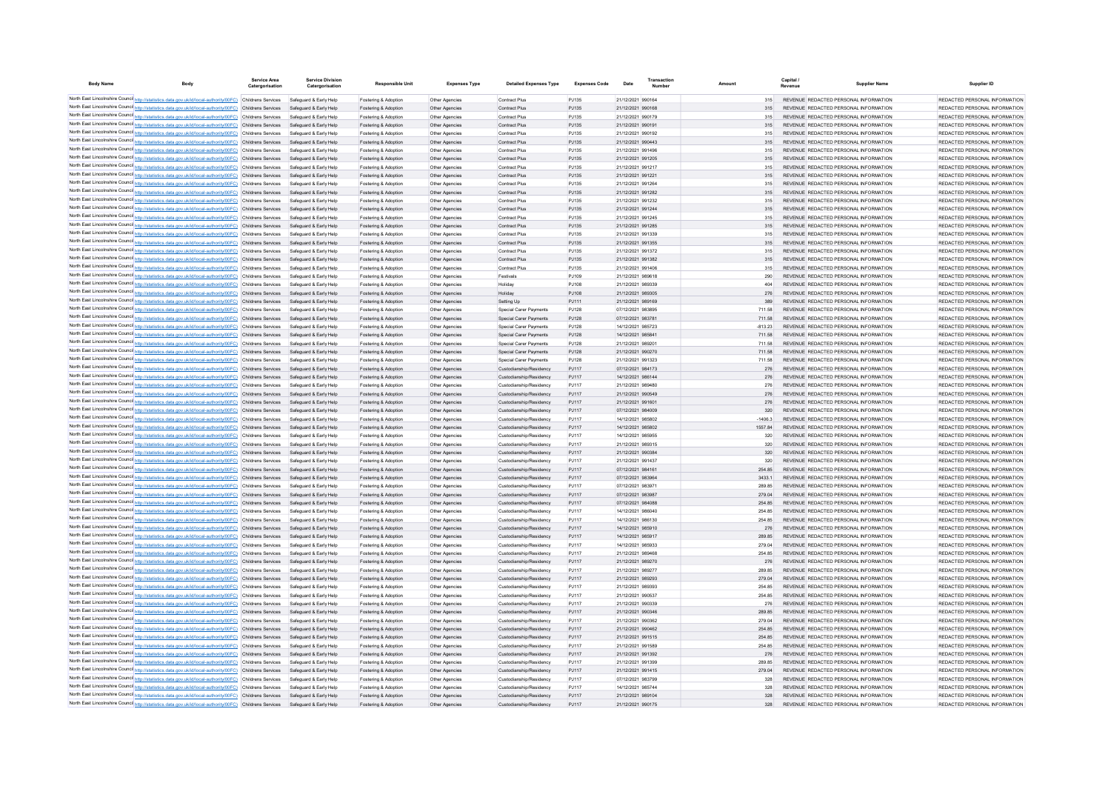| <b>Body Name</b> | Body                                                                                                                                                                                                                 | Service Area<br>Catergorisation | <b>Service Division</b><br>Catergorisation       | <b>Responsible Unit</b>                      | <b>Expenses Type</b>             | <b>Detailed Expenses Type</b>                      | <b>Expenses Code</b> | Date                                   |                  | Capital<br>Revenue | <b>Supplier Name</b>                                                           | Supplier ID                                                    |
|------------------|----------------------------------------------------------------------------------------------------------------------------------------------------------------------------------------------------------------------|---------------------------------|--------------------------------------------------|----------------------------------------------|----------------------------------|----------------------------------------------------|----------------------|----------------------------------------|------------------|--------------------|--------------------------------------------------------------------------------|----------------------------------------------------------------|
|                  | North East Lincolnshire Counci http://statistics.data.gov.uk/id/local-authority/00FC) Childrens Services                                                                                                             |                                 | Safeguard & Early Help                           | Fostering & Adoption                         | Other Agencies                   | Contract Plus                                      | PJ135                | 21/12/2021 990164                      | 315              |                    | REVENUE REDACTED PERSONAL INFORMATION                                          | REDACTED PERSONAL INFORMATION                                  |
|                  | North East Lincolnshire Counci http://statistics.data.gov.uk/id/local-authority/00FC) Childrens Services                                                                                                             |                                 | Safeguard & Early Help                           | Fostering & Adoption                         | Other Agencies                   | Contract Plus                                      | PJ135                | 21/12/2021 990168                      | 315              |                    | REVENUE REDACTED PERSONAL INFORMATION                                          | REDACTED PERSONAL INFORMATION                                  |
|                  | North East Lincolnshire Counci http://statistics.data.gov.uk/id/local-authority/00FC) Childrens Services                                                                                                             |                                 | Safeguard & Early Help                           | Fostering & Adoption                         | Other Agencies                   | Contract Plus                                      | PJ135                | 21/12/2021 990179                      | 315              |                    | REVENUE REDACTED PERSONAL INFORMATION                                          | REDACTED PERSONAL INFORMATION                                  |
|                  | North East Lincolnshire Counci http://statistics.data.gov.uk/id/local-authority/00FC) Childrens Services                                                                                                             |                                 | Safeguard & Early Help                           | Fostering & Adoption                         | Other Agencies                   | Contract Plus                                      | PJ135                | 21/12/2021 990191                      | 315              |                    | REVENUE REDACTED PERSONAL INFORMATION                                          | REDACTED PERSONAL INFORMATION                                  |
|                  | North East Lincolnshire Counci http://statistics.data.gov.uk/id/local-authority/00FC) Childrens Services                                                                                                             |                                 | Safeguard & Early Help                           | Fostering & Adoption                         | Other Agencies                   | Contract Plus                                      | PJ135                | 21/12/2021 990192                      | 315              |                    | REVENUE REDACTED PERSONAL INFORMATION                                          | REDACTED PERSONAL INFORMATION                                  |
|                  | North East Lincolnshire Counci http://statistics.data.gov.uk/id/local-authority/00FC) Childrens Services                                                                                                             |                                 | Safeguard & Early Help                           | Fostering & Adoption                         | Other Agencies                   | Contract Plus                                      | PJ135                | 21/12/2021 990443                      | 315              |                    | REVENUE REDACTED PERSONAL INFORMATION                                          | REDACTED PERSONAL INFORMATION                                  |
|                  | North East Lincolnshire Counci http://statistics.data.gov.uk/id/local-authority/00FC) Childrens Services                                                                                                             |                                 | Safeguard & Early Help                           | Fostering & Adoption                         | Other Agencies                   | Contract Plus                                      | PJ135                | 21/12/2021 991496                      | 315              |                    | REVENUE REDACTED PERSONAL INFORMATION                                          | REDACTED PERSONAL INFORMATION                                  |
|                  | North East Lincolnshire Counci http://statistics.data.gov.uk/id/local-authority/00FC) Childrens Services                                                                                                             |                                 | Safeguard & Early Help                           | Fostering & Adoption                         | Other Agencies                   | Contract Plus                                      | PJ135                | 21/12/2021 991205                      | 315              |                    | REVENUE REDACTED PERSONAL INFORMATION                                          | REDACTED PERSONAL INFORMATION                                  |
|                  | North East Lincolnshire Counci http://statistics.data.gov.uk/id/local-authority/00FC) Childrens Services                                                                                                             |                                 | Safeguard & Early Help                           | Fostering & Adoption                         | Other Agencies                   | Contract Plus                                      | PJ135                | 21/12/2021 991217                      | 315              |                    | REVENUE REDACTED PERSONAL INFORMATION                                          | REDACTED PERSONAL INFORMATION                                  |
|                  | North East Lincolnshire Counci http://statistics.data.gov.uk/id/local-authority/00FC) Childrens Services                                                                                                             |                                 | Safeguard & Early Help                           | Fostering & Adoption                         | Other Agencies                   | Contract Plus                                      | PJ135                | 21/12/2021 991221                      | 315              |                    | REVENUE REDACTED PERSONAL INFORMATION                                          | REDACTED PERSONAL INFORMATION                                  |
|                  | North East Lincolnshire Counci http://statistics.data.gov.uk/id/local-authority/00FC) Childrens Services                                                                                                             |                                 | Safeguard & Early Help                           | Fostering & Adoption                         | Other Agencies                   | Contract Plus                                      | PJ135<br>PJ135       | 21/12/2021 991264                      | 315              |                    | REVENUE REDACTED PERSONAL INFORMATION<br>REVENUE REDACTED PERSONAL INFORMATION | REDACTED PERSONAL INFORMATION<br>REDACTED PERSONAL INFORMATION |
|                  | North East Lincolnshire Counci http://statistics.data.gov.uk/id/local-authority/00FC) Childrens Services<br>North East Lincolnshire Counci http://statistics.data.gov.uk/id/local-authority/00FC) Childrens Services |                                 | Safeguard & Early Help                           | Fostering & Adoption                         | Other Agencies                   | Contract Plus                                      | PJ135                | 21/12/2021 991282<br>21/12/2021 991232 | 315              |                    | REVENUE REDACTED PERSONAL INFORMATION                                          | REDACTED PERSONAL INFORMATION                                  |
|                  | North East Lincolnshire Counci http://statistics.data.gov.uk/id/local-authority/00FC) Childrens Services                                                                                                             |                                 | Safeguard & Early Help<br>Safeguard & Early Help | Fostering & Adoption                         | Other Agencies                   | Contract Plus<br>Contract Plus                     | PJ135                | 21/12/2021 991244                      | 315<br>315       |                    | REVENUE REDACTED PERSONAL INFORMATION                                          | REDACTED PERSONAL INFORMATION                                  |
|                  | North East Lincolnshire Counci http://statistics.data.gov.uk/id/local-authority/00FC) Childrens Services                                                                                                             |                                 | Safeguard & Early Help                           | Fostering & Adoption<br>Fostering & Adoption | Other Agencies<br>Other Agencies | Contract Plus                                      | PJ135                | 21/12/2021 991245                      | 315              |                    | REVENUE REDACTED PERSONAL INFORMATION                                          | REDACTED PERSONAL INFORMATION                                  |
|                  | North East Lincolnshire Counci http://statistics.data.gov.uk/id/local-authority/00FC) Childrens Services                                                                                                             |                                 | Safeguard & Early Help                           | Fostering & Adoption                         | Other Agencies                   | Contract Plus                                      | PJ135                | 21/12/2021 991285                      | 315              |                    | REVENUE REDACTED PERSONAL INFORMATION                                          | REDACTED PERSONAL INFORMATION                                  |
|                  | North East Lincolnshire Counci http://statistics.data.gov.uk/id/local-authority/00FC) Childrens Services                                                                                                             |                                 | Safeguard & Early Help                           | Fostering & Adoption                         | Other Agencies                   | Contract Plus                                      | PJ135                | 21/12/2021 991339                      | 315              |                    | REVENUE REDACTED PERSONAL INFORMATION                                          | REDACTED PERSONAL INFORMATION                                  |
|                  | North East Lincolnshire Counci http://statistics.data.gov.uk/id/local-authority/00FC) Childrens Services                                                                                                             |                                 | Safeguard & Early Help                           | Fostering & Adoption                         | Other Agencies                   | Contract Plus                                      | PJ135                | 21/12/2021 991355                      | 315              |                    | REVENUE REDACTED PERSONAL INFORMATION                                          | REDACTED PERSONAL INFORMATION                                  |
|                  | North East Lincolnshire Counci http://statistics.data.gov.uk/id/local-authority/00FC) Childrens Services                                                                                                             |                                 | Safeguard & Early Help                           | Fostering & Adoption                         | Other Agencies                   | Contract Plus                                      | PJ135                | 21/12/2021 991372                      | 315              |                    | REVENUE REDACTED PERSONAL INFORMATION                                          | REDACTED PERSONAL INFORMATION                                  |
|                  | North East Lincolnshire Counci http://statistics.data.gov.uk/id/local-authority/00FC) Childrens Services                                                                                                             |                                 | Safeguard & Early Help                           | Fostering & Adoption                         | Other Agencies                   | Contract Plus                                      | PJ135                | 21/12/2021 991382                      | 315              |                    | REVENUE REDACTED PERSONAL INFORMATION                                          | REDACTED PERSONAL INFORMATION                                  |
|                  | North East Lincolnshire Counci http://statistics.data.gov.uk/id/local-authority/00FC) Childrens Services                                                                                                             |                                 | Safeguard & Early Help                           | Fostering & Adoption                         | Other Agencies                   | Contract Plus                                      | PJ135                | 21/12/2021 991406                      | 315              |                    | REVENUE REDACTED PERSONAL INFORMATION                                          | REDACTED PERSONAL INFORMATION                                  |
|                  | North East Lincolnshire Counci http://statistics.data.gov.uk/id/local-authority/00FC) Childrens Services                                                                                                             |                                 | Safeguard & Early Help                           | Fostering & Adoption                         | Other Agencies                   | Festivals                                          | PJ109                | 21/12/2021 989618                      | 290              |                    | REVENUE REDACTED PERSONAL INFORMATION                                          | REDACTED PERSONAL INFORMATION                                  |
|                  | North East Lincolnshire Counci http://statistics.data.gov.uk/id/local-authority/00FC) Childrens Services                                                                                                             |                                 | Safeguard & Early Help                           | Fostering & Adoption                         | Other Agencies                   | Holiday                                            | PJ108                | 21/12/2021 989339                      | 404              |                    | REVENUE REDACTED PERSONAL INFORMATION                                          | REDACTED PERSONAL INFORMATION                                  |
|                  | North East Lincolnshire Counci http://statistics.data.gov.uk/id/local-authority/00FC) Childrens Services                                                                                                             |                                 | Safeguard & Early Help                           | Fostering & Adoption                         | Other Agencies                   | Holiday                                            | P.1108               | 21/12/2021 989305                      | 276              |                    | REVENUE REDACTED PERSONAL INFORMATION                                          | REDACTED PERSONAL INFORMATION                                  |
|                  | North East Lincolnshire Counci http://statistics.data.gov.uk/id/local-authority/00FC) Childrens Services                                                                                                             |                                 | Safeguard & Early Help                           | Fostering & Adoption                         | Other Agencies                   | Setting Up                                         | PJ111                | 21/12/2021 989169                      | 389              |                    | REVENUE REDACTED PERSONAL INFORMATION                                          | REDACTED PERSONAL INFORMATION                                  |
|                  | North East Lincolnshire Counci http://statistics.data.gov.uk/id/local-authority/00FC) Childrens Services                                                                                                             |                                 | Safeguard & Early Help                           | Fostering & Adoption                         | Other Agencies                   | Special Carer Payments                             | PJ128                | 07/12/2021 983895                      | 711.58           |                    | REVENUE REDACTED PERSONAL INFORMATION                                          | REDACTED PERSONAL INFORMATION                                  |
|                  | North East Lincolnshire Counci http://statistics.data.gov.uk/id/local-authority/00FC) Childrens Services                                                                                                             |                                 | Safeguard & Early Help                           | Fostering & Adoption                         | Other Agencies                   | Special Carer Payments                             | PJ128                | 07/12/2021 983781                      | 711.58           |                    | REVENUE REDACTED PERSONAL INFORMATION                                          | REDACTED PERSONAL INFORMATION                                  |
|                  | North East Lincolnshire Counci http://statistics.data.gov.uk/id/local-authority/00FC) Childrens Services                                                                                                             |                                 | Safeguard & Early Help                           | Fostering & Adoption                         | Other Agencies                   | Special Carer Payments                             | PJ128                | 14/12/2021 985723                      | $-813.23$        |                    | REVENUE REDACTED PERSONAL INFORMATION                                          | REDACTED PERSONAL INFORMATION                                  |
|                  | North East Lincolnshire Counci http://statistics.data.gov.uk/id/local-authority/00FC) Childrens Services                                                                                                             |                                 | Safeguard & Early Help                           | Fostering & Adoption                         | Other Agencies                   | Special Carer Payments                             | PJ128                | 14/12/2021 985841                      | 711.58           |                    | REVENUE REDACTED PERSONAL INFORMATION                                          | REDACTED PERSONAL INFORMATION                                  |
|                  | North East Lincolnshire Counci http://statistics.data.gov.uk/id/local-authority/00FC) Childrens Services                                                                                                             |                                 | Safeguard & Early Help                           | Fostering & Adoption                         | Other Agencies                   | Special Carer Payments                             | PJ128                | 21/12/2021 989201                      | 711.58           |                    | REVENUE REDACTED PERSONAL INFORMATION                                          | REDACTED PERSONAL INFORMATION                                  |
|                  | North East Lincolnshire Counci http://statistics.data.gov.uk/id/local-authority/00FC) Childrens Services                                                                                                             |                                 | Safeguard & Early Help                           | Fostering & Adoption                         | Other Agencies                   | Special Carer Payments                             | PJ128                | 21/12/2021 990270                      | 711.58           |                    | REVENUE REDACTED PERSONAL INFORMATION                                          | REDACTED PERSONAL INFORMATION                                  |
|                  | North East Lincolnshire Counci http://statistics.data.gov.uk/id/local-authority/00FC) Childrens Services                                                                                                             |                                 | Safeguard & Early Help                           | Fostering & Adoption                         | Other Agencies                   | Special Carer Payments                             | PJ128                | 21/12/2021 991323                      | 711.58           |                    | REVENUE REDACTED PERSONAL INFORMATION                                          | REDACTED PERSONAL INFORMATION                                  |
|                  | North East Lincolnshire Counci http://statistics.data.gov.uk/id/local-authority/00FC) Childrens Services                                                                                                             |                                 | Safeguard & Early Help                           | Fostering & Adoption                         | Other Agencies                   | Custodianship/Residency                            | PJ117                | 07/12/2021 984173                      | 276              |                    | REVENUE REDACTED PERSONAL INFORMATION                                          | REDACTED PERSONAL INFORMATION                                  |
|                  | North East Lincolnshire Counci http://statistics.data.gov.uk/id/local-authority/00FC) Childrens Services                                                                                                             |                                 | Safeguard & Early Help                           | Fostering & Adoption                         | Other Agencies                   | Custodianship/Residency                            | PJ117                | 14/12/2021 986144                      | 276              |                    | REVENUE REDACTED PERSONAL INFORMATION                                          | REDACTED PERSONAL INFORMATION                                  |
|                  | North East Lincolnshire Counci http://statistics.data.gov.uk/id/local-authority/00FC) Childrens Services                                                                                                             |                                 | Safeguard & Early Help                           | Fostering & Adoption                         | Other Agencies                   | Custodianship/Residency                            | PJ117                | 21/12/2021 989480                      | 276              |                    | REVENUE REDACTED PERSONAL INFORMATION                                          | REDACTED PERSONAL INFORMATION                                  |
|                  | North East Lincolnshire Counci http://statistics.data.gov.uk/id/local-authority/00FC) Childrens Services                                                                                                             |                                 | Safeguard & Early Help                           | Fostering & Adoption                         | Other Agencies                   | Custodianship/Residency                            | PJ117                | 21/12/2021 990549                      | 276              |                    | REVENUE REDACTED PERSONAL INFORMATION                                          | REDACTED PERSONAL INFORMATION                                  |
|                  | North East Lincolnshire Counci http://statistics.data.gov.uk/id/local-authority/00FC) Childrens Services                                                                                                             |                                 | Safeguard & Early Help                           | Fostering & Adoption                         | Other Agencies                   | Custodianship/Residency                            | PJ117                | 21/12/2021 991601                      | 276              |                    | REVENUE REDACTED PERSONAL INFORMATION                                          | REDACTED PERSONAL INFORMATION                                  |
|                  | North East Lincolnshire Counci http://statistics.data.gov.uk/id/local-authority/00FC) Childrens Services                                                                                                             |                                 | Safeguard & Early Help<br>Safeguard & Early Help | Fostering & Adoption                         | Other Agencies                   | Custodianship/Residency<br>Custodianship/Residency | PJ117<br>PJ117       | 07/12/2021 984009<br>14/12/2021 985802 | 320<br>$-1406.3$ |                    | REVENUE REDACTED PERSONAL INFORMATION<br>REVENUE REDACTED PERSONAL INFORMATION | REDACTED PERSONAL INFORMATION<br>REDACTED PERSONAL INFORMATION |
|                  | North East Lincolnshire Counci http://statistics.data.gov.uk/id/local-authority/00FC) Childrens Services<br>North East Lincolnshire Counci http://statistics.data.gov.uk/id/local-authority/00FC) Childrens Services |                                 | Safeguard & Early Help                           | Fostering & Adoption<br>Fostering & Adoption | Other Agencies                   | Custodianship/Residency                            | PJ117                | 14/12/2021 985802                      | 1557.84          |                    | REVENUE REDACTED PERSONAL INFORMATION                                          | REDACTED PERSONAL INFORMATION                                  |
|                  | North East Lincolnshire Counci http://statistics.data.gov.uk/id/local-authority/00FC) Childrens Services                                                                                                             |                                 | Safeguard & Early Help                           | Fostering & Adoption                         | Other Agencies<br>Other Agencies | Custodianship/Residency                            | PJ117                | 14/12/2021 985955                      | 320              |                    | REVENUE REDACTED PERSONAL INFORMATION                                          | REDACTED PERSONAL INFORMATION                                  |
|                  | North East Lincolnshire Counci http://statistics.data.gov.uk/id/local-authority/00FC) Childrens Services                                                                                                             |                                 | Safeguard & Early Help                           | Fostering & Adoption                         | Other Agencies                   | Custodianship/Residency                            | P.1117               | 21/12/2021 989315                      | 320              |                    | REVENUE REDACTED PERSONAL INFORMATION                                          | REDACTED PERSONAL INFORMATION                                  |
|                  | North East Lincolnshire Counci http://statistics.data.gov.uk/id/local-authority/00FC) Childrens Services                                                                                                             |                                 | Safeguard & Early Help                           | Fostering & Adoption                         | Other Agencies                   | Custodianship/Residency                            | PJ117                | 21/12/2021 990384                      | 320              |                    | REVENUE REDACTED PERSONAL INFORMATION                                          | REDACTED PERSONAL INFORMATION                                  |
|                  | North East Lincolnshire Counci http://statistics.data.gov.uk/id/local-authority/00FC) Childrens Services                                                                                                             |                                 | Safeguard & Early Help                           | Fostering & Adoption                         | Other Agencies                   | Custodianship/Residency                            | P.1117               | 21/12/2021 991437                      | 320              |                    | REVENUE REDACTED PERSONAL INFORMATION                                          | REDACTED PERSONAL INFORMATION                                  |
|                  | North East Lincolnshire Counci http://statistics.data.gov.uk/id/local-authority/00FC) Childrens Services                                                                                                             |                                 | Safeguard & Early Help                           | Fostering & Adoption                         | Other Agencies                   | Custodianship/Residency                            | PJ117                | 07/12/2021 984161                      | 254 85           |                    | REVENUE REDACTED PERSONAL INFORMATION                                          | REDACTED PERSONAL INFORMATION                                  |
|                  | North East Lincolnshire Counci http://statistics.data.gov.uk/id/local-authority/00FC) Childrens Services                                                                                                             |                                 | Safeguard & Early Help                           | Fostering & Adoption                         | Other Agencies                   | Custodianship/Residency                            | PJ117                | 07/12/2021 983964                      | 3433.1           |                    | REVENUE REDACTED PERSONAL INFORMATION                                          | REDACTED PERSONAL INFORMATION                                  |
|                  | North East Lincolnshire Counci http://statistics.data.gov.uk/id/local-authority/00FC) Childrens Services                                                                                                             |                                 | Safeguard & Early Help                           | Fostering & Adoption                         | Other Agencies                   | Custodianship/Residency                            | P.1117               | 07/12/2021 983971                      | 289.85           |                    | REVENUE REDACTED PERSONAL INFORMATION                                          | REDACTED PERSONAL INFORMATION                                  |
|                  | North East Lincolnshire Counci http://statistics.data.gov.uk/id/local-authority/00FC) Childrens Services                                                                                                             |                                 | Safeguard & Early Help                           | Fostering & Adoption                         | Other Agencies                   | Custodianship/Residency                            | PJ117                | 07/12/2021 983987                      | 279.04           |                    | REVENUE REDACTED PERSONAL INFORMATION                                          | REDACTED PERSONAL INFORMATION                                  |
|                  | North East Lincolnshire Counci http://statistics.data.gov.uk/id/local-authority/00FC) Childrens Services                                                                                                             |                                 | Safeguard & Early Help                           | Fostering & Adoption                         | Other Agencies                   | Custodianship/Residency                            | PJ117                | 07/12/2021 984088                      | 254.85           |                    | REVENUE REDACTED PERSONAL INFORMATION                                          | REDACTED PERSONAL INFORMATION                                  |
|                  | North East Lincolnshire Counci http://statistics.data.gov.uk/id/local-authority/00FC) Childrens Services                                                                                                             |                                 | Safeguard & Early Help                           | Fostering & Adoption                         | Other Agencies                   | Custodianship/Residency                            | P.1117               | 14/12/2021 986040                      | 254.85           |                    | REVENUE REDACTED PERSONAL INFORMATION                                          | REDACTED PERSONAL INFORMATION                                  |
|                  | North East Lincolnshire Counci http://statistics.data.gov.uk/id/local-authority/00FC) Childrens Services                                                                                                             |                                 | Safeguard & Early Help                           | Fostering & Adoption                         | Other Agencies                   | Custodianship/Residency                            | P.1117               | 14/12/2021 986130                      | 254.85           |                    | REVENUE REDACTED PERSONAL INFORMATION                                          | REDACTED PERSONAL INFORMATION                                  |
|                  | North East Lincolnshire Counci http://statistics.data.gov.uk/id/local-authority/00FC) Childrens Services                                                                                                             |                                 | Safeguard & Early Help                           | Fostering & Adoption                         | Other Agencies                   | Custodianship/Residency                            | P.1117               | 14/12/2021 985910                      | 276              |                    | REVENUE REDACTED PERSONAL INFORMATION                                          | REDACTED PERSONAL INFORMATION                                  |
|                  | North East Lincolnshire Counci http://statistics.data.gov.uk/id/local-authority/00FC) Childrens Services                                                                                                             |                                 | Safeguard & Early Help                           | Fostering & Adoption                         | Other Agencies                   | Custodianship/Residency                            | P.1117               | 14/12/2021 985917                      | 289.85           |                    | REVENUE REDACTED PERSONAL INFORMATION                                          | REDACTED PERSONAL INFORMATION                                  |
|                  | North East Lincolnshire Counci http://statistics.data.gov.uk/id/local-authority/00FC) Childrens Services                                                                                                             |                                 | Safeguard & Early Help                           | Fostering & Adoption                         | Other Agencies                   | Custodianship/Residency                            | P.1117               | 14/12/2021 985933                      | 279.04           |                    | REVENUE REDACTED PERSONAL INFORMATION                                          | REDACTED PERSONAL INFORMATION                                  |
|                  | North East Lincolnshire Counci http://statistics.data.gov.uk/id/local-authority/00FC) Childrens Services                                                                                                             |                                 | Safeguard & Early Help                           | Fostering & Adoption                         | Other Agencies                   | Custodianship/Residency                            | PJ117                | 21/12/2021 989468                      | 254.85           |                    | REVENUE REDACTED PERSONAL INFORMATION                                          | REDACTED PERSONAL INFORMATION                                  |
|                  | North East Lincolnshire Counci http://statistics.data.gov.uk/id/local-authority/00FC) Childrens Services                                                                                                             |                                 | Safeguard & Early Help                           | Fostering & Adoption                         | Other Agencies                   | Custodianship/Residency                            | PJ117                | 21/12/2021 989270                      | 276              |                    | REVENUE REDACTED PERSONAL INFORMATION                                          | REDACTED PERSONAL INFORMATION                                  |
|                  | North East Lincolnshire Counci http://statistics.data.gov.uk/id/local-authority/00FC) Childrens Services                                                                                                             |                                 | Safeguard & Early Help                           | Fostering & Adoption                         | Other Agencies                   | Custodianship/Residency                            | PJ117                | 21/12/2021 989277                      | 289.85           |                    | REVENUE REDACTED PERSONAL INFORMATION                                          | REDACTED PERSONAL INFORMATION                                  |
|                  | North East Lincolnshire Counci http://statistics.data.gov.uk/id/local-authority/00FC) Childrens Services                                                                                                             |                                 | Safeguard & Early Help                           | Fostering & Adoption                         | Other Agencies                   | Custodianship/Residency                            | PJ117                | 21/12/2021 989293                      | 279.04           |                    | REVENUE REDACTED PERSONAL INFORMATION                                          | REDACTED PERSONAL INFORMATION                                  |
|                  | North East Lincolnshire Counci http://statistics.data.gov.uk/id/local-authority/00FC) Childrens Services                                                                                                             |                                 | Safeguard & Early Help                           | Fostering & Adoption                         | Other Agencies                   | Custodianship/Residency                            | PJ117                | 21/12/2021 989393                      | 254.85           |                    | REVENUE REDACTED PERSONAL INFORMATION                                          | REDACTED PERSONAL INFORMATION                                  |
|                  | North East Lincolnshire Counci http://statistics.data.gov.uk/id/local-authority/00FC) Childrens Services                                                                                                             |                                 | Safeguard & Early Help                           | Fostering & Adoption                         | Other Agencies                   | Custodianship/Residency                            | PJ117                | 21/12/2021 990537                      | 254.85           |                    | REVENUE REDACTED PERSONAL INFORMATION                                          | REDACTED PERSONAL INFORMATION                                  |
|                  | North East Lincolnshire Counci http://statistics.data.gov.uk/id/local-authority/00FC) Childrens Services                                                                                                             |                                 | Safeguard & Early Help                           | Fostering & Adoption                         | Other Agencies                   | Custodianship/Residency                            | PJ117                | 21/12/2021 990339                      | 276              |                    | REVENUE REDACTED PERSONAL INFORMATION                                          | REDACTED PERSONAL INFORMATION                                  |
|                  | North East Lincolnshire Counci http://statistics.data.gov.uk/id/local-authority/00FC) Childrens Services                                                                                                             |                                 | Safeguard & Early Help                           | Fostering & Adoption                         | Other Agencies                   | Custodianship/Residency                            | PJ117                | 21/12/2021 990346                      | 289.85           |                    | REVENUE REDACTED PERSONAL INFORMATION                                          | REDACTED PERSONAL INFORMATION                                  |
|                  | North East Lincolnshire Counci http://statistics.data.gov.uk/id/local-authority/00FC) Childrens Services                                                                                                             |                                 | Safeguard & Early Help                           | Fostering & Adoption                         | Other Agencies                   | Custodianship/Residency                            | PJ117                | 21/12/2021 990362                      | 279.04           |                    | REVENUE REDACTED PERSONAL INFORMATION                                          | REDACTED PERSONAL INFORMATION                                  |
|                  | North East Lincolnshire Counci http://statistics.data.gov.uk/id/local-authority/00FC) Childrens Services                                                                                                             |                                 | Safeguard & Early Help                           | Fostering & Adoption                         | Other Agencies                   | Custodianship/Residency                            | PJ117                | 21/12/2021 990462                      | 254.85           |                    | REVENUE REDACTED PERSONAL INFORMATION                                          | REDACTED PERSONAL INFORMATION                                  |
|                  | North East Lincolnshire Counci http://statistics.data.gov.uk/id/local-authority/00FC) Childrens Services                                                                                                             |                                 | Safeguard & Early Help                           | Fostering & Adoption                         | Other Agencies                   | Custodianship/Residency                            | PJ117                | 21/12/2021 991515                      | 254.85           |                    | REVENUE REDACTED PERSONAL INFORMATION                                          | REDACTED PERSONAL INFORMATION                                  |
|                  | North East Lincolnshire Counci http://statistics.data.gov.uk/id/local-authority/00FC) Childrens Services                                                                                                             |                                 | Safeguard & Early Help                           | Fostering & Adoption                         | Other Agencies                   | Custodianship/Residency                            | PJ117                | 21/12/2021 991589                      | 254.85           |                    | REVENUE REDACTED PERSONAL INFORMATION                                          | REDACTED PERSONAL INFORMATION                                  |
|                  | North East Lincolnshire Counci http://statistics.data.gov.uk/id/local-authority/00FC) Childrens Services                                                                                                             |                                 | Safeguard & Early Help                           | Fostering & Adoption                         | Other Agencies                   | Custodianship/Residency                            | PJ117                | 21/12/2021 991392                      | 276              |                    | REVENUE REDACTED PERSONAL INFORMATION                                          | REDACTED PERSONAL INFORMATION                                  |
|                  | North East Lincolnshire Counci http://statistics.data.gov.uk/id/local-authority/00FC) Childrens Services                                                                                                             |                                 | Safeguard & Early Help                           | Fostering & Adoption                         | Other Agencies                   | Custodianship/Residency                            | PJ117                | 21/12/2021 991399<br>21/12/2021 991415 | 289.85           |                    | REVENUE REDACTED PERSONAL INFORMATION                                          | REDACTED PERSONAL INFORMATION<br>REDACTED PERSONAL INFORMATION |
|                  | North East Lincolnshire Counci http://statistics.data.gov.uk/id/local-authority/00FC) Childrens Services<br>North East Lincolnshire Counci http://statistics.data.gov.uk/id/local-authority/00FC) Childrens Services |                                 | Safeguard & Early Help                           | Fostering & Adoption                         | Other Agencies                   | Custodianship/Residency                            | PJ117<br>PJ117       | 07/12/2021 983799                      | 279.04           |                    | REVENUE REDACTED PERSONAL INFORMATION                                          | REDACTED PERSONAL INFORMATION                                  |
|                  | North East Lincolnshire Counci http://statistics.data.gov.uk/id/local-authority/00FC) Childrens Services                                                                                                             |                                 | Safeguard & Early Help<br>Safeguard & Early Help | Fostering & Adoption                         | Other Agencies                   | Custodianship/Residency<br>Custodianship/Residency | PJ117                | 14/12/2021 985744                      | 328<br>328       |                    | REVENUE REDACTED PERSONAL INFORMATION<br>REVENUE REDACTED PERSONAL INFORMATION | REDACTED PERSONAL INFORMATION                                  |
|                  | North East Lincolnshire Council http://statistics.data.gov.uk/id/local-authority/00FC) Childrens Services                                                                                                            |                                 | Safeguard & Early Help                           | Fostering & Adoptio<br>Fostering & Adoption  | Other Agencie<br>Other Agencies  | Custodianship/Residency                            | PJ117                | 21/12/2021 989104                      | 328              |                    | REVENUE REDACTED PERSONAL INFORMATION                                          | REDACTED PERSONAL INFORMATION                                  |
|                  | North East Lincolnshire Counci http://statistics.data.gov.uk/id/local-authority/00FC) Childrens Services                                                                                                             |                                 | Safeguard & Early Help                           | Fostering & Adoption                         | Other Agencie                    | Custodianship/Residency                            | P.1117               | 21/12/2021 990175                      | 328              |                    | REVENUE REDACTED PERSONAL INFORMATION                                          | REDACTED PERSONAL INFORMATION                                  |
|                  |                                                                                                                                                                                                                      |                                 |                                                  |                                              |                                  |                                                    |                      |                                        |                  |                    |                                                                                |                                                                |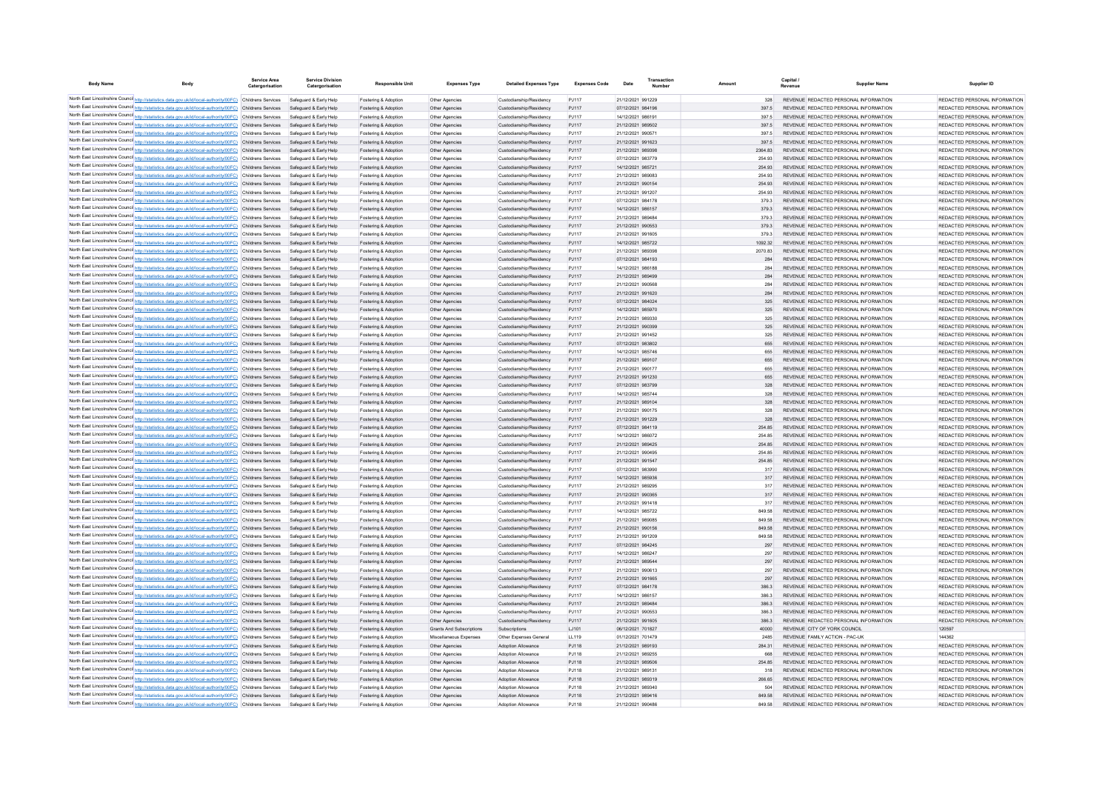| <b>Body Name</b> | Body                                                                                                                                                                                                                 | Service Area<br>Catergorisation | <b>Service Division</b><br>Catergorisation       | <b>Responsible Unit</b>                      | <b>Expenses Type</b>             | <b>Detailed Expenses Type</b>                      | <b>Expenses Code</b> | Date                                   |                | Capital<br>Revenue | <b>Supplier Name</b>                                                           | Supplier ID                                                    |
|------------------|----------------------------------------------------------------------------------------------------------------------------------------------------------------------------------------------------------------------|---------------------------------|--------------------------------------------------|----------------------------------------------|----------------------------------|----------------------------------------------------|----------------------|----------------------------------------|----------------|--------------------|--------------------------------------------------------------------------------|----------------------------------------------------------------|
|                  | North East Lincolnshire Counci http://statistics.data.gov.uk/id/local-authority/00FC) Childrens Services                                                                                                             |                                 | Safeguard & Early Help                           | Fostering & Adoption                         | Other Agencies                   | Custodianship/Residency                            | PJ117                | 21/12/2021 991229                      | 328            |                    | REVENUE REDACTED PERSONAL INFORMATION                                          | REDACTED PERSONAL INFORMATION                                  |
|                  | North East Lincolnshire Counci http://statistics.data.gov.uk/id/local-authority/00FC) Childrens Services                                                                                                             |                                 | Safeguard & Early Help                           | Fostering & Adoption                         | Other Agencies                   | Custodianship/Residency                            | PJ117                | 07/12/2021 984196                      | 397.5          |                    | REVENUE REDACTED PERSONAL INFORMATION                                          | REDACTED PERSONAL INFORMATION                                  |
|                  | North East Lincolnshire Counci http://statistics.data.gov.uk/id/local-authority/00FC) Childrens Services                                                                                                             |                                 | Safeguard & Early Help                           | Fostering & Adoption                         | Other Agencies                   | Custodianship/Residency                            | PJ117                | 14/12/2021 986191                      | 397.5          |                    | REVENUE REDACTED PERSONAL INFORMATION                                          | REDACTED PERSONAL INFORMATION                                  |
|                  | North East Lincolnshire Counci http://statistics.data.gov.uk/id/local-authority/00FC) Childrens Services                                                                                                             |                                 | Safeguard & Early Help                           | Fostering & Adoption                         | Other Agencies                   | Custodianship/Residency                            | PJ117                | 21/12/2021 989502                      | 397.5          |                    | REVENUE REDACTED PERSONAL INFORMATION                                          | REDACTED PERSONAL INFORMATION                                  |
|                  | North East Lincolnshire Counci http://statistics.data.gov.uk/id/local-authority/00FC) Childrens Services                                                                                                             |                                 | Safeguard & Early Help                           | Fostering & Adoption                         | Other Agencies                   | Custodianship/Residency                            | PJ117                | 21/12/2021 99057                       | 397.5          |                    | REVENUE REDACTED PERSONAL INFORMATION                                          | REDACTED PERSONAL INFORMATION                                  |
|                  | North East Lincolnshire Counci http://statistics.data.gov.uk/id/local-authority/00FC) Childrens Services                                                                                                             |                                 | Safeguard & Early Help                           | Fostering & Adoption                         | Other Agencies                   | Custodianship/Residency                            | PJ117                | 21/12/2021 991623                      | 397.5          |                    | REVENUE REDACTED PERSONAL INFORMATION                                          | REDACTED PERSONAL INFORMATION                                  |
|                  | North East Lincolnshire Counci http://statistics.data.gov.uk/id/local-authority/00FC) Childrens Services                                                                                                             |                                 | Safeguard & Early Help                           | Fostering & Adoption                         | Other Agencies                   | Custodianship/Residency                            | PJ117                | 21/12/2021 989398                      | 2364.83        |                    | REVENUE REDACTED PERSONAL INFORMATION                                          | REDACTED PERSONAL INFORMATION                                  |
|                  | North East Lincolnshire Counci http://statistics.data.gov.uk/id/local-authority/00FC) Childrens Services                                                                                                             |                                 | Safeguard & Early Help                           | Fostering & Adoption                         | Other Agencies                   | Custodianship/Residency                            | PJ117                | 07/12/2021 983779                      | 254.93         |                    | REVENUE REDACTED PERSONAL INFORMATION                                          | REDACTED PERSONAL INFORMATION                                  |
|                  | North East Lincolnshire Counci http://statistics.data.gov.uk/id/local-authority/00FC) Childrens Services                                                                                                             |                                 | Safeguard & Early Help                           | Fostering & Adoption                         | Other Agencies                   | Custodianship/Residency                            | PJ117                | 14/12/2021 985721                      | 254.93         |                    | REVENUE REDACTED PERSONAL INFORMATION                                          | REDACTED PERSONAL INFORMATION                                  |
|                  | North East Lincolnshire Counci http://statistics.data.gov.uk/id/local-authority/00FC) Childrens Services                                                                                                             |                                 | Safeguard & Early Help                           | Fostering & Adoption                         | Other Agencies                   | Custodianship/Residency                            | PJ117                | 21/12/2021 989083                      | 254.93         |                    | REVENUE REDACTED PERSONAL INFORMATION                                          | REDACTED PERSONAL INFORMATION                                  |
|                  | North East Lincolnshire Counci http://statistics.data.gov.uk/id/local-authority/00FC) Childrens Services                                                                                                             |                                 | Safeguard & Early Help                           | Fostering & Adoption                         | Other Agencies                   | Custodianship/Residency                            | PJ117                | 21/12/2021 990154                      | 254.93         |                    | REVENUE REDACTED PERSONAL INFORMATION                                          | REDACTED PERSONAL INFORMATION                                  |
|                  | North East Lincolnshire Counci http://statistics.data.gov.uk/id/local-authority/00FC) Childrens Services                                                                                                             |                                 | Safeguard & Early Help                           | Fostering & Adoption                         | Other Agencies                   | Custodianship/Residency                            | PJ117                | 21/12/2021 991207                      | 254.93         |                    | REVENUE REDACTED PERSONAL INFORMATION                                          | REDACTED PERSONAL INFORMATION                                  |
|                  | North East Lincolnshire Counci http://statistics.data.gov.uk/id/local-authority/00FC) Childrens Services                                                                                                             |                                 | Safeguard & Early Help                           | Fostering & Adoption                         | Other Agencies                   | Custodianship/Residency                            | PJ117                | 07/12/2021 984178                      | 379.3          |                    | REVENUE REDACTED PERSONAL INFORMATION<br>REVENUE REDACTED PERSONAL INFORMATION | REDACTED PERSONAL INFORMATION<br>REDACTED PERSONAL INFORMATION |
|                  | North East Lincolnshire Counci http://statistics.data.gov.uk/id/local-authority/00FC) Childrens Services<br>North East Lincolnshire Counci http://statistics.data.gov.uk/id/local-authority/00FC) Childrens Services |                                 | Safeguard & Early Help<br>Safeguard & Early Help | Fostering & Adoption                         | Other Agencies                   | Custodianship/Residency                            | PJ117<br>PJ117       | 14/12/2021 986157<br>21/12/2021 989484 | 379.3          |                    |                                                                                | REDACTED PERSONAL INFORMATION                                  |
|                  | North East Lincolnshire Counci http://statistics.data.gov.uk/id/local-authority/00FC) Childrens Services                                                                                                             |                                 | Safeguard & Early Help                           | Fostering & Adoption<br>Fostering & Adoption | Other Agencies<br>Other Agencies | Custodianship/Residency<br>Custodianship/Residency | PJ117                | 21/12/2021 990553                      | 379.3<br>379.3 |                    | REVENUE REDACTED PERSONAL INFORMATION<br>REVENUE REDACTED PERSONAL INFORMATION | REDACTED PERSONAL INFORMATION                                  |
|                  | North East Lincolnshire Counci http://statistics.data.gov.uk/id/local-authority/00FC) Childrens Services                                                                                                             |                                 | Safeguard & Early Help                           | Fostering & Adoption                         | Other Agencies                   | Custodianship/Residency                            | PJ117                | 21/12/2021 991605                      | 379.3          |                    | REVENUE REDACTED PERSONAL INFORMATION                                          | REDACTED PERSONAL INFORMATION                                  |
|                  | North East Lincolnshire Counci http://statistics.data.gov.uk/id/local-authority/00FC) Childrens Services                                                                                                             |                                 | Safeguard & Early Help                           | Fostering & Adoption                         | Other Agencies                   | Custodianship/Residency                            | PJ117                | 14/12/2021 985722                      | 1092.32        |                    | REVENUE REDACTED PERSONAL INFORMATION                                          | REDACTED PERSONAL INFORMATION                                  |
|                  | North East Lincolnshire Counci http://statistics.data.gov.uk/id/local-authority/00FC) Childrens Services                                                                                                             |                                 | Safeguard & Early Help                           | Fostering & Adoption                         | Other Agencies                   | Custodianship/Residency                            | PJ117                | 21/12/2021 989398                      | 2070.83        |                    | REVENUE REDACTED PERSONAL INFORMATION                                          | REDACTED PERSONAL INFORMATION                                  |
|                  | North East Lincolnshire Counci http://statistics.data.gov.uk/id/local-authority/00FC) Childrens Services                                                                                                             |                                 | Safeguard & Early Help                           | Fostering & Adoption                         | Other Agencies                   | Custodianship/Residency                            | PJ117                | 07/12/2021 984193                      | 284            |                    | REVENUE REDACTED PERSONAL INFORMATION                                          | REDACTED PERSONAL INFORMATION                                  |
|                  | North East Lincolnshire Counci http://statistics.data.gov.uk/id/local-authority/00FC) Childrens Services                                                                                                             |                                 | Safeguard & Early Help                           | Fostering & Adoption                         | Other Agencies                   | Custodianship/Residency                            | PJ117                | 14/12/2021 986188                      | 284            |                    | REVENUE REDACTED PERSONAL INFORMATION                                          | REDACTED PERSONAL INFORMATION                                  |
|                  | North East Lincolnshire Counci http://statistics.data.gov.uk/id/local-authority/00FC) Childrens Services                                                                                                             |                                 | Safeguard & Early Help                           | Fostering & Adoption                         | Other Agencies                   | Custodianship/Residency                            | PJ117                | 21/12/2021 989499                      | 284            |                    | REVENUE REDACTED PERSONAL INFORMATION                                          | REDACTED PERSONAL INFORMATION                                  |
|                  | North East Lincolnshire Counci http://statistics.data.gov.uk/id/local-authority/00FC) Childrens Services                                                                                                             |                                 | Safeguard & Early Help                           | Fostering & Adoption                         | Other Agencies                   | Custodianship/Residency                            | PJ117                | 21/12/2021 990568                      | 284            |                    | REVENUE REDACTED PERSONAL INFORMATION                                          | REDACTED PERSONAL INFORMATION                                  |
|                  | North East Lincolnshire Counci http://statistics.data.gov.uk/id/local-authority/00FC) Childrens Services                                                                                                             |                                 | Safeguard & Early Help                           | Fostering & Adoption                         | Other Agencies                   | Custodianship/Residency                            | PJ117                | 21/12/2021 991620                      | 284            |                    | REVENUE REDACTED PERSONAL INFORMATION                                          | REDACTED PERSONAL INFORMATION                                  |
|                  | North East Lincolnshire Counci http://statistics.data.gov.uk/id/local-authority/00FC) Childrens Services                                                                                                             |                                 | Safeguard & Early Help                           | Fostering & Adoption                         | Other Agencies                   | Custodianship/Residency                            | PJ117                | 07/12/2021 984024                      | 325            |                    | REVENUE REDACTED PERSONAL INFORMATION                                          | REDACTED PERSONAL INFORMATION                                  |
|                  | North East Lincolnshire Counci http://statistics.data.gov.uk/id/local-authority/00FC) Childrens Services                                                                                                             |                                 | Safeguard & Early Help                           | Fostering & Adoption                         | Other Agencies                   | Custodianship/Residency                            | PJ117                | 14/12/2021 985970                      | 325            |                    | REVENUE REDACTED PERSONAL INFORMATION                                          | REDACTED PERSONAL INFORMATION                                  |
|                  | North East Lincolnshire Counci http://statistics.data.gov.uk/id/local-authority/00FC) Childrens Services                                                                                                             |                                 | Safeguard & Early Help                           | Fostering & Adoption                         | Other Agencies                   | Custodianship/Residency                            | PJ117                | 21/12/2021 989330                      | 325            |                    | REVENUE REDACTED PERSONAL INFORMATION                                          | REDACTED PERSONAL INFORMATION                                  |
|                  | North East Lincolnshire Counci http://statistics.data.gov.uk/id/local-authority/00FC) Childrens Services                                                                                                             |                                 | Safeguard & Early Help                           | Fostering & Adoption                         | Other Agencies                   | Custodianship/Residency                            | PJ117                | 21/12/2021 990399                      | 325            |                    | REVENUE REDACTED PERSONAL INFORMATION                                          | REDACTED PERSONAL INFORMATION                                  |
|                  | North East Lincolnshire Counci http://statistics.data.gov.uk/id/local-authority/00FC) Childrens Services                                                                                                             |                                 | Safeguard & Early Help                           | Fostering & Adoption                         | Other Agencies                   | Custodianship/Residency                            | PJ117                | 21/12/2021 991452                      | 325            |                    | REVENUE REDACTED PERSONAL INFORMATION                                          | REDACTED PERSONAL INFORMATION                                  |
|                  | North East Lincolnshire Counci http://statistics.data.gov.uk/id/local-authority/00FC) Childrens Services                                                                                                             |                                 | Safeguard & Early Help                           | Fostering & Adoption                         | Other Agencies                   | Custodianship/Residency                            | PJ117                | 07/12/2021 983802                      | 655            |                    | REVENUE REDACTED PERSONAL INFORMATION                                          | REDACTED PERSONAL INFORMATION                                  |
|                  | North East Lincolnshire Counci http://statistics.data.gov.uk/id/local-authority/00FC) Childrens Services                                                                                                             |                                 | Safeguard & Early Help                           | Fostering & Adoption                         | Other Agencies                   | Custodianship/Residency                            | PJ117                | 14/12/2021 985746                      | 655            |                    | REVENUE REDACTED PERSONAL INFORMATION                                          | REDACTED PERSONAL INFORMATION                                  |
|                  | North East Lincolnshire Counci http://statistics.data.gov.uk/id/local-authority/00FC) Childrens Services                                                                                                             |                                 | Safeguard & Early Help                           | Fostering & Adoption                         | Other Agencies                   | Custodianship/Residency                            | PJ117                | 21/12/2021 989107                      | 655            |                    | REVENUE REDACTED PERSONAL INFORMATION                                          | REDACTED PERSONAL INFORMATION                                  |
|                  | North East Lincolnshire Counci http://statistics.data.gov.uk/id/local-authority/00FC) Childrens Services                                                                                                             |                                 | Safeguard & Early Help                           | Fostering & Adoption                         | Other Agencies                   | Custodianship/Residency                            | PJ117                | 21/12/2021 990177                      | 655            |                    | REVENUE REDACTED PERSONAL INFORMATION                                          | REDACTED PERSONAL INFORMATION                                  |
|                  | North East Lincolnshire Counci http://statistics.data.gov.uk/id/local-authority/00FC) Childrens Services                                                                                                             |                                 | Safeguard & Early Help                           | Fostering & Adoption                         | Other Agencies                   | Custodianship/Residency                            | PJ117                | 21/12/2021 991230                      | 655            |                    | REVENUE REDACTED PERSONAL INFORMATION                                          | REDACTED PERSONAL INFORMATION                                  |
|                  | North East Lincolnshire Counci http://statistics.data.gov.uk/id/local-authority/00FC) Childrens Services                                                                                                             |                                 | Safeguard & Early Help                           | Fostering & Adoption                         | Other Agencies                   | Custodianship/Residency                            | PJ117                | 07/12/2021 983799                      | 328            |                    | REVENUE REDACTED PERSONAL INFORMATION                                          | REDACTED PERSONAL INFORMATION                                  |
|                  | North East Lincolnshire Counci http://statistics.data.gov.uk/id/local-authority/00FC) Childrens Services                                                                                                             |                                 | Safeguard & Early Help                           | Fostering & Adoption                         | Other Agencies                   | Custodianship/Residency                            | PJ117                | 14/12/2021 985744                      | 328            |                    | REVENUE REDACTED PERSONAL INFORMATION                                          | REDACTED PERSONAL INFORMATION                                  |
|                  | North East Lincolnshire Counci http://statistics.data.gov.uk/id/local-authority/00FC) Childrens Services                                                                                                             |                                 | Safeguard & Early Help                           | Fostering & Adoption                         | Other Agencies                   | Custodianship/Residency                            | PJ117                | 21/12/2021 989104                      | 328            |                    | REVENUE REDACTED PERSONAL INFORMATION                                          | REDACTED PERSONAL INFORMATION                                  |
|                  | North East Lincolnshire Counci http://statistics.data.gov.uk/id/local-authority/00FC) Childrens Services                                                                                                             |                                 | Safeguard & Early Help                           | Fostering & Adoption                         | Other Agencies                   | Custodianship/Residency                            | P.1117               | 21/12/2021 990175                      | 328            |                    | REVENUE REDACTED PERSONAL INFORMATION                                          | REDACTED PERSONAL INFORMATION                                  |
|                  | North East Lincolnshire Counci http://statistics.data.gov.uk/id/local-authority/00FC) Childrens Services                                                                                                             |                                 | Safeguard & Early Help                           | Fostering & Adoption                         | Other Agencies                   | Custodianship/Residency                            | PJ117                | 21/12/2021 991229                      | 328            |                    | REVENUE REDACTED PERSONAL INFORMATION                                          | REDACTED PERSONAL INFORMATION                                  |
|                  | North East Lincolnshire Counci http://statistics.data.gov.uk/id/local-authority/00FC) Childrens Services                                                                                                             |                                 | Safeguard & Early Help                           | Fostering & Adoption                         | Other Agencies                   | Custodianship/Residency                            | PJ117                | 07/12/2021 984119                      | 254.85         |                    | REVENUE REDACTED PERSONAL INFORMATION                                          | REDACTED PERSONAL INFORMATION                                  |
|                  | North East Lincolnshire Counci http://statistics.data.gov.uk/id/local-authority/00FC) Childrens Services                                                                                                             |                                 | Safeguard & Early Help                           | Fostering & Adoption                         | Other Agencies                   | Custodianship/Residency                            | P.1117               | 14/12/2021 986072                      | 254 85         |                    | REVENUE REDACTED PERSONAL INFORMATION                                          | REDACTED PERSONAL INFORMATION                                  |
|                  | North East Lincolnshire Counci http://statistics.data.gov.uk/id/local-authority/00FC) Childrens Services                                                                                                             |                                 | Safeguard & Early Help                           | Fostering & Adoption                         | Other Agencies                   | Custodianship/Residency                            | PJ117                | 21/12/2021 989425                      | 254.85         |                    | REVENUE REDACTED PERSONAL INFORMATION                                          | REDACTED PERSONAL INFORMATION                                  |
|                  | North East Lincolnshire Counci http://statistics.data.gov.uk/id/local-authority/00FC) Childrens Services                                                                                                             |                                 | Safeguard & Early Help                           | Fostering & Adoption                         | Other Agencies                   | Custodianship/Residency                            | P.1117               | 21/12/2021 990495                      | 254 85         |                    | REVENUE REDACTED PERSONAL INFORMATION                                          | REDACTED PERSONAL INFORMATION                                  |
|                  | North East Lincolnshire Counci http://statistics.data.gov.uk/id/local-authority/00FC) Childrens Services                                                                                                             |                                 | Safeguard & Early Help                           | Fostering & Adoption                         | Other Agencies                   | Custodianship/Residency                            | PJ117                | 21/12/2021 991547                      | 254.85         |                    | REVENUE REDACTED PERSONAL INFORMATION                                          | REDACTED PERSONAL INFORMATION                                  |
|                  | North East Lincolnshire Counci http://statistics.data.gov.uk/id/local-authority/00FC) Childrens Services                                                                                                             |                                 | Safeguard & Early Help                           | Fostering & Adoption                         | Other Agencies                   | Custodianship/Residency                            | P.1117               | 07/12/2021 983990                      | 317            |                    | REVENUE REDACTED PERSONAL INFORMATION                                          | REDACTED PERSONAL INFORMATION                                  |
|                  | North East Lincolnshire Counci http://statistics.data.gov.uk/id/local-authority/00FC) Childrens Services                                                                                                             |                                 | Safeguard & Early Help                           | Fostering & Adoption                         | Other Agencies                   | Custodianship/Residency                            | PJ117<br>P.1117      | 14/12/2021 985936                      | 317<br>317     |                    | REVENUE REDACTED PERSONAL INFORMATION                                          | REDACTED PERSONAL INFORMATION                                  |
|                  | North East Lincolnshire Counci http://statistics.data.gov.uk/id/local-authority/00FC) Childrens Services                                                                                                             |                                 | Safeguard & Early Help                           | Fostering & Adoption                         | Other Agencies                   | Custodianship/Residency                            |                      | 21/12/2021 989295                      |                |                    | REVENUE REDACTED PERSONAL INFORMATION                                          | REDACTED PERSONAL INFORMATION                                  |
|                  | North East Lincolnshire Counci http://statistics.data.gov.uk/id/local-authority/00FC) Childrens Services                                                                                                             |                                 | Safeguard & Early Help                           | Fostering & Adoption                         | Other Agencies                   | Custodianship/Residency                            | PJ117<br>P.1117      | 21/12/2021 990365                      | 317<br>317     |                    | REVENUE REDACTED PERSONAL INFORMATION                                          | REDACTED PERSONAL INFORMATION                                  |
|                  | North East Lincolnshire Counci http://statistics.data.gov.uk/id/local-authority/00FC) Childrens Services<br>North East Lincolnshire Counci http://statistics.data.gov.uk/id/local-authority/00FC) Childrens Services |                                 | Safeguard & Early Help<br>Safeguard & Early Help | Fostering & Adoption<br>Fostering & Adoption | Other Agencies<br>Other Agencies | Custodianship/Residency<br>Custodianship/Residency | PJ117                | 21/12/2021 991418<br>14/12/2021 985722 | 849.58         |                    | REVENUE REDACTED PERSONAL INFORMATION<br>REVENUE REDACTED PERSONAL INFORMATION | REDACTED PERSONAL INFORMATION<br>REDACTED PERSONAL INFORMATION |
|                  | North East Lincolnshire Counci http://statistics.data.gov.uk/id/local-authority/00FC) Childrens Services                                                                                                             |                                 | Safeguard & Early Help                           | Fostering & Adoption                         | Other Agencies                   | Custodianship/Residency                            | P.1117               | 21/12/2021 989085                      | 849.58         |                    | REVENUE REDACTED PERSONAL INFORMATION                                          | REDACTED PERSONAL INFORMATION                                  |
|                  | North East Lincolnshire Counci http://statistics.data.gov.uk/id/local-authority/00FC) Childrens Services                                                                                                             |                                 | Safeguard & Early Help                           | Fostering & Adoption                         | Other Agencies                   | Custodianship/Residency                            | PJ117                | 21/12/2021 990156                      | 849.58         |                    | REVENUE REDACTED PERSONAL INFORMATION                                          | REDACTED PERSONAL INFORMATION                                  |
|                  | North East Lincolnshire Counci http://statistics.data.gov.uk/id/local-authority/00FC) Childrens Services                                                                                                             |                                 | Safeguard & Early Help                           | Fostering & Adoption                         | Other Agencies                   | Custodianship/Residency                            | P.1117               | 21/12/2021 991209                      | 849.58         |                    | REVENUE REDACTED PERSONAL INFORMATION                                          | REDACTED PERSONAL INFORMATION                                  |
|                  | North East Lincolnshire Counci http://statistics.data.gov.uk/id/local-authority/00FC) Childrens Services                                                                                                             |                                 | Safeguard & Early Help                           | Fostering & Adoption                         | Other Agencies                   | Custodianship/Residency                            | PJ117                | 07/12/2021 984245                      | 297            |                    | REVENUE REDACTED PERSONAL INFORMATION                                          | REDACTED PERSONAL INFORMATION                                  |
|                  | North East Lincolnshire Counci http://statistics.data.gov.uk/id/local-authority/00FC) Childrens Services                                                                                                             |                                 | Safeguard & Early Help                           | Fostering & Adoption                         | Other Agencies                   | Custodianship/Residency                            | PJ117                | 14/12/2021 98624                       | 297            |                    | REVENUE REDACTED PERSONAL INFORMATION                                          | REDACTED PERSONAL INFORMATION                                  |
|                  | North East Lincolnshire Counci http://statistics.data.gov.uk/id/local-authority/00FC) Childrens Services                                                                                                             |                                 | Safeguard & Early Help                           | Fostering & Adoption                         | Other Agencies                   | Custodianship/Residency                            | PJ117                | 21/12/2021 989544                      | 297            |                    | REVENUE REDACTED PERSONAL INFORMATION                                          | REDACTED PERSONAL INFORMATION                                  |
|                  | North East Lincolnshire Counci http://statistics.data.gov.uk/id/local-authority/00FC) Childrens Services                                                                                                             |                                 | Safeguard & Early Help                           | Fostering & Adoption                         | Other Agencies                   | Custodianship/Residency                            | PJ117                | 21/12/2021 990613                      | 297            |                    | REVENUE REDACTED PERSONAL INFORMATION                                          | REDACTED PERSONAL INFORMATION                                  |
|                  | North East Lincolnshire Counci http://statistics.data.gov.uk/id/local-authority/00FC) Childrens Services                                                                                                             |                                 | Safeguard & Early Help                           | Fostering & Adoption                         | Other Agencies                   | Custodianship/Residency                            | <b>PJ117</b>         | 21/12/2021 991665                      | 297            |                    | REVENUE REDACTED PERSONAL INFORMATION                                          | REDACTED PERSONAL INFORMATION                                  |
|                  | North East Lincolnshire Counci http://statistics.data.gov.uk/id/local-authority/00FC) Childrens Services                                                                                                             |                                 | Safeguard & Early Help                           | Fostering & Adoption                         | Other Agencies                   | Custodianship/Residency                            | PJ117                | 07/12/2021 984178                      | 386.3          |                    | REVENUE REDACTED PERSONAL INFORMATION                                          | REDACTED PERSONAL INFORMATION                                  |
|                  | North East Lincolnshire Counci http://statistics.data.gov.uk/id/local-authority/00FC) Childrens Services                                                                                                             |                                 | Safeguard & Early Help                           | Fostering & Adoption                         | Other Agencies                   | Custodianship/Residency                            | PJ117                | 14/12/2021 986157                      | 386.3          |                    | REVENUE REDACTED PERSONAL INFORMATION                                          | REDACTED PERSONAL INFORMATION                                  |
|                  | North East Lincolnshire Counci http://statistics.data.gov.uk/id/local-authority/00FC) Childrens Services                                                                                                             |                                 | Safeguard & Early Help                           | Fostering & Adoption                         | Other Agencies                   | Custodianship/Residency                            | PJ117                | 21/12/2021 989484                      | 386.3          |                    | REVENUE REDACTED PERSONAL INFORMATION                                          | REDACTED PERSONAL INFORMATION                                  |
|                  | North East Lincolnshire Counci http://statistics.data.gov.uk/id/local-authority/00FC) Childrens Services                                                                                                             |                                 | Safeguard & Early Help                           | Fostering & Adoption                         | Other Agencies                   | Custodianship/Residency                            | PJ117                | 21/12/2021 990553                      | 386.3          |                    | REVENUE REDACTED PERSONAL INFORMATION                                          | REDACTED PERSONAL INFORMATION                                  |
|                  | North East Lincolnshire Counci http://statistics.data.gov.uk/id/local-authority/00FC) Childrens Services                                                                                                             |                                 | Safeguard & Early Help                           | Fostering & Adoption                         | Other Agencies                   | Custodianship/Residency                            | PJ117                | 21/12/2021 991605                      | 386.3          |                    | REVENUE REDACTED PERSONAL INFORMATION                                          | REDACTED PERSONAL INFORMATION                                  |
|                  | North East Lincolnshire Counci http://statistics.data.gov.uk/id/local-authority/00FC) Childrens Services                                                                                                             |                                 | Safeguard & Early Help                           | Fostering & Adoption                         | Grants And Subscriptions         | Subscriptions                                      | LJ101                | 06/12/2021 701827                      | 40000          |                    | REVENUE CITY OF YORK COUNCIL                                                   | 120597                                                         |
|                  | North East Lincolnshire Counci http://statistics.data.gov.uk/id/local-authority/00FC) Childrens Services                                                                                                             |                                 | Safeguard & Early Help                           | Fostering & Adoption                         | Miscellaneous Expenses           | Other Expenses General                             | LL119                | 01/12/2021 701479                      | 2485           |                    | REVENUE FAMILY ACTION - PAC-UK                                                 | 144362                                                         |
|                  | North East Lincolnshire Counci http://statistics.data.gov.uk/id/local-authority/00FC) Childrens Services                                                                                                             |                                 | Safeguard & Early Help                           | Fostering & Adoption                         | Other Agencies                   | <b>Adoption Allowance</b>                          | PJ118                | 21/12/2021 989193                      | 284.31         |                    | REVENUE REDACTED PERSONAL INFORMATION                                          | REDACTED PERSONAL INFORMATION                                  |
|                  | North East Lincolnshire Counci http://statistics.data.gov.uk/id/local-authority/00FC) Childrens Services                                                                                                             |                                 | Safeguard & Early Help                           | Fostering & Adoption                         | Other Agencies                   | <b>Adoption Allowance</b>                          | PJ118                | 21/12/2021 989255                      | 668            |                    | REVENUE REDACTED PERSONAL INFORMATION                                          | REDACTED PERSONAL INFORMATION                                  |
|                  | North East Lincolnshire Counci http://statistics.data.gov.uk/id/local-authority/00FC) Childrens Services                                                                                                             |                                 | Safeguard & Early Help                           | Fostering & Adoption                         | Other Agencies                   | Adoption Allowance                                 | PJ118                | 21/12/2021 989506                      | 254.85         |                    | REVENUE REDACTED PERSONAL INFORMATION                                          | REDACTED PERSONAL INFORMATION                                  |
|                  | North East Lincolnshire Counci http://statistics.data.gov.uk/id/local-authority/00FC) Childrens Services                                                                                                             |                                 | Safeguard & Early Help                           | Fostering & Adoptio                          | Other Agencie                    | <b>Adoption Allowance</b>                          | PJ118                | 21/12/2021 989131                      | 318            |                    | REVENUE REDACTED PERSONAL INFORMATION                                          | REDACTED PERSONAL INFORMATION                                  |
|                  | North East Lincolnshire Counci http://statistics.data.gov.uk/id/local-authority/00FC) Childrens Services                                                                                                             |                                 | Safeguard & Early Help                           | Fostering & Adoption                         | Other Agencies                   | Adoption Allowance                                 | PJ118                | 21/12/2021 989319                      | 266.65         |                    | REVENUE REDACTED PERSONAL INFORMATION                                          | REDACTED PERSONAL INFORMATION                                  |
|                  | North East Lincolnshire Counci http://statistics.data.gov.uk/id/local-authority/00FC) Childrens Services                                                                                                             |                                 | Safeguard & Early Help                           | Fostering & Adoptio                          | Other Agencie                    | Adoption Allowance                                 | PJ118                | 21/12/2021 989340                      | 504            |                    | REVENUE REDACTED PERSONAL INFORMATION                                          | REDACTED PERSONAL INFORMATION                                  |
|                  | North East Lincolnshire Counci http://statistics.data.gov.uk/id/local-authority/00FC) Childrens Services Safeguard & Early Help                                                                                      |                                 |                                                  | Fostering & Adoption                         | Other Agencies                   | Adoption Allowance                                 | PJ118                | 21/12/2021 989416                      | 849.58         |                    | REVENUE REDACTED PERSONAL INFORMATION                                          | REDACTED PERSONAL INFORMATION                                  |
|                  | North East Lincolnshire Counci http://statistics.data.gov.uk/id/local-authority/00FC) Childrens Services                                                                                                             |                                 | Safeguard & Early Help                           | Fostering & Adoption                         | Other Agencie                    | Adoption Allowance                                 | P.I118               | 21/12/2021 990486                      | 849.58         |                    | REVENUE REDACTED PERSONAL INFORMATION                                          | REDACTED PERSONAL INFORMATION                                  |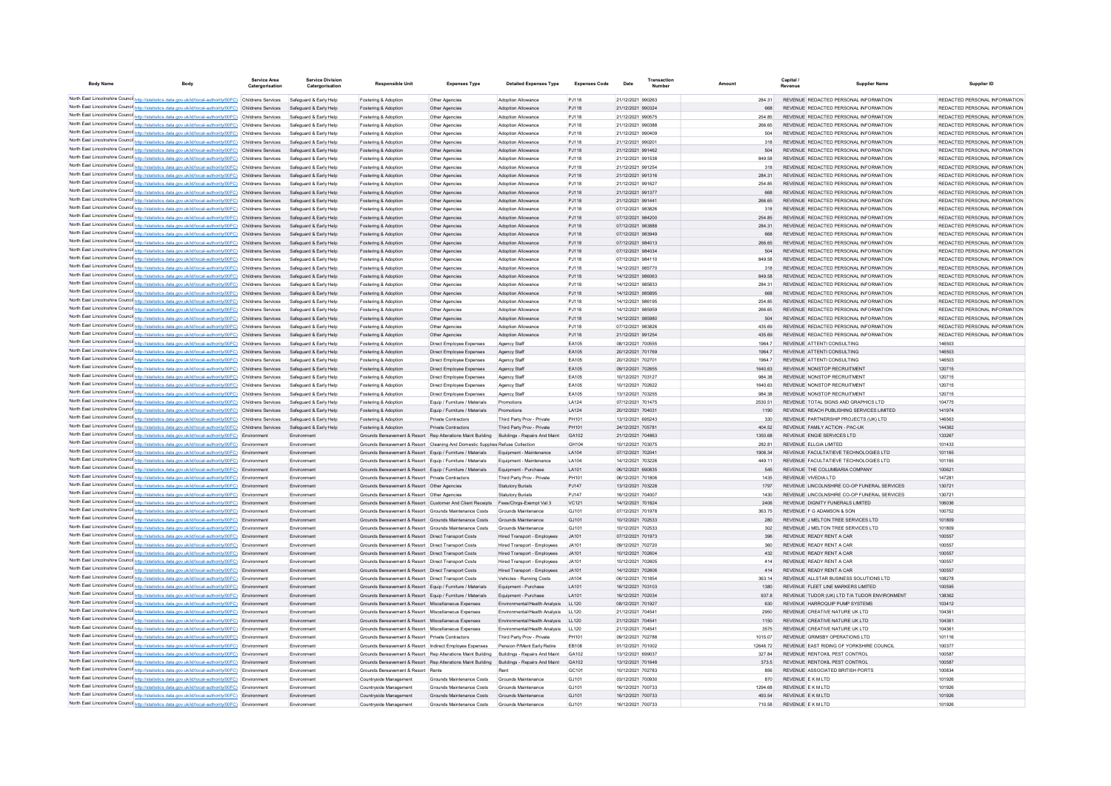| <b>Body Name</b> | <b>Body</b>                                                                                                                                                                                                          | Service Area<br>Catergorisation | <b>Service Division</b><br>Catergorisation       | <b>Responsible Unit</b>                                                                                    | <b>Expenses Type</b>                                                          | <b>Detailed Expenses Type</b>                                                                   | <b>Expenses Code</b> | Date                                   | Transactio<br>Number |                 | Capital<br>Revenue | <b>Supplier Name</b>                                                               | Supplier ID                                                    |
|------------------|----------------------------------------------------------------------------------------------------------------------------------------------------------------------------------------------------------------------|---------------------------------|--------------------------------------------------|------------------------------------------------------------------------------------------------------------|-------------------------------------------------------------------------------|-------------------------------------------------------------------------------------------------|----------------------|----------------------------------------|----------------------|-----------------|--------------------|------------------------------------------------------------------------------------|----------------------------------------------------------------|
|                  | North East Lincolnshire Counci http://statistics.data.gov.uk/id/local-authority/00FC) Childrens Services                                                                                                             |                                 | Safeguard & Early Help                           | Fostering & Adoption                                                                                       | Other Agencies                                                                | Adoption Allowance                                                                              | PJ118                | 21/12/2021 990263                      |                      | 284.31          |                    | REVENUE REDACTED PERSONAL INFORMATION                                              | REDACTED PERSONAL INFORMATION                                  |
|                  | North East Lincolnshire Counci http://statistics.data.gov.uk/id/local-authority/00FC) Childrens Services                                                                                                             |                                 | Safeguard & Early Help                           | Fostering & Adoption                                                                                       | Other Agencies                                                                | Adoption Allowance                                                                              | PJ118                | 21/12/2021 990324                      |                      | 668             |                    | REVENUE REDACTED PERSONAL INFORMATION                                              | REDACTED PERSONAL INFORMATION                                  |
|                  | North East Lincolnshire Counci http://statistics.data.gov.uk/id/local-authority/00FC) Childrens Services                                                                                                             |                                 | Safeguard & Early Help                           | Fostering & Adoption                                                                                       | Other Agencies                                                                | Adoption Allowance                                                                              | PJ118                | 21/12/2021 990575                      |                      | 254.85          |                    | REVENUE REDACTED PERSONAL INFORMATION                                              | REDACTED PERSONAL INFORMATION                                  |
|                  | North East Lincolnshire Counci http://statistics.data.gov.uk/id/local-authority/00FC) Childrens Services                                                                                                             |                                 | Safeguard & Early Help                           | Fostering & Adoption                                                                                       | Other Agencies                                                                | Adoption Allowance                                                                              | PJ118                | 21/12/2021 990388                      |                      | 266.65          |                    | REVENUE REDACTED PERSONAL INFORMATION                                              | REDACTED PERSONAL INFORMATION                                  |
|                  | North East Lincolnshire Counci http://statistics.data.gov.uk/id/local-authority/00FC) Childrens Services                                                                                                             |                                 | Safeguard & Early Help                           | Fostering & Adoption                                                                                       | Other Agencies                                                                | Adoption Allowance                                                                              | PJ118                | 21/12/2021 990409                      |                      | 504             |                    | REVENUE REDACTED PERSONAL INFORMATION                                              | REDACTED PERSONAL INFORMATION                                  |
|                  | North East Lincolnshire Counci http://statistics.data.gov.uk/id/local-authority/00FC) Childrens Services                                                                                                             |                                 | Safeguard & Early Help                           | Fostering & Adoption                                                                                       | Other Agencies                                                                | Adoption Allowance                                                                              | PJ118                | 21/12/2021 99020                       |                      | 318             |                    | REVENUE REDACTED PERSONAL INFORMATION                                              | REDACTED PERSONAL INFORMATION                                  |
|                  | North East Lincolnshire Counci http://statistics.data.gov.uk/id/local-authority/00FC) Childrens Services                                                                                                             |                                 | Safeguard & Early Help                           | Fostering & Adoption                                                                                       | Other Agencies                                                                | Adoption Allowance                                                                              | PJ118                | 21/12/2021 991462                      |                      | 504             |                    | REVENUE REDACTED PERSONAL INFORMATION                                              | REDACTED PERSONAL INFORMATION                                  |
|                  | North East Lincolnshire Counci http://statistics.data.gov.uk/id/local-authority/00FC) Childrens Services                                                                                                             |                                 | Safeguard & Early Help                           | Fostering & Adoption                                                                                       | Other Agencies                                                                | Adoption Allowance                                                                              | PJ118                | 21/12/2021 991538                      |                      | 849.58          |                    | REVENUE REDACTED PERSONAL INFORMATION                                              | REDACTED PERSONAL INFORMATION                                  |
|                  | North East Lincolnshire Counci http://statistics.data.gov.uk/id/local-authority/00FC) Childrens Services                                                                                                             |                                 | Safeguard & Early Help                           | Fostering & Adoption                                                                                       | Other Agencies                                                                | <b>Adoption Allowance</b>                                                                       | PJ118                | 21/12/2021 991254                      |                      | 318             |                    | REVENUE REDACTED PERSONAL INFORMATION                                              | REDACTED PERSONAL INFORMATION                                  |
|                  | North East Lincolnshire Counci http://statistics.data.gov.uk/id/local-authority/00FC) Childrens Services                                                                                                             |                                 | Safeguard & Early Help                           | Fostering & Adoption                                                                                       | Other Agencies                                                                | Adoption Allowance                                                                              | PJ118                | 21/12/2021 991316                      |                      | 284.31          |                    | REVENUE REDACTED PERSONAL INFORMATION                                              | REDACTED PERSONAL INFORMATION                                  |
|                  | North East Lincolnshire Counci http://statistics.data.gov.uk/id/local-authority/00FC) Childrens Services<br>North East Lincolnshire Counci http://statistics.data.gov.uk/id/local-authority/00FC) Childrens Services |                                 | Safeguard & Early Help                           | Fostering & Adoption                                                                                       | Other Agencies                                                                | Adoption Allowance                                                                              | PJ118<br>PJ118       | 21/12/2021 991627<br>21/12/2021 991377 |                      | 254.85<br>668   |                    | REVENUE REDACTED PERSONAL INFORMATION<br>REVENUE REDACTED PERSONAL INFORMATION     | REDACTED PERSONAL INFORMATION<br>REDACTED PERSONAL INFORMATION |
|                  | North East Lincolnshire Counci http://statistics.data.gov.uk/id/local-authority/00FC) Childrens Services                                                                                                             |                                 | Safeguard & Early Help                           | Fostering & Adoption                                                                                       | Other Agencies                                                                | Adoption Allowance                                                                              | PJ118                | 21/12/2021 991441                      |                      | 266.65          |                    | REVENUE REDACTED PERSONAL INFORMATION                                              | REDACTED PERSONAL INFORMATION                                  |
|                  | North East Lincolnshire Counci http://statistics.data.gov.uk/id/local-authority/00FC) Childrens Services                                                                                                             |                                 | Safeguard & Early Help<br>Safeguard & Early Help | Fostering & Adoption<br>Fostering & Adoption                                                               | Other Agencies<br>Other Agencies                                              | Adoption Allowance<br>Adoption Allowance                                                        | P.I118               | 07/12/2021 983826                      |                      | 318             |                    | REVENUE REDACTED PERSONAL INFORMATION                                              | REDACTED PERSONAL INFORMATION                                  |
|                  | North East Lincolnshire Counci http://statistics.data.gov.uk/id/local-authority/00FC) Childrens Services                                                                                                             |                                 | Safeguard & Early Help                           | Fostering & Adoption                                                                                       | Other Agencies                                                                | Adoption Allowance                                                                              | PJ118                | 07/12/2021 984200                      |                      | 254.85          |                    | REVENUE REDACTED PERSONAL INFORMATION                                              | REDACTED PERSONAL INFORMATION                                  |
|                  | North East Lincolnshire Counci http://statistics.data.gov.uk/id/local-authority/00FC) Childrens Services                                                                                                             |                                 | Safeguard & Early Help                           | Fostering & Adoption                                                                                       | Other Agencies                                                                | Adoption Allowance                                                                              | PJ118                | 07/12/2021 983888                      |                      | 284.31          |                    | REVENUE REDACTED PERSONAL INFORMATION                                              | REDACTED PERSONAL INFORMATION                                  |
|                  | North East Lincolnshire Counci http://statistics.data.gov.uk/id/local-authority/00FC) Childrens Services                                                                                                             |                                 | Safeguard & Early Help                           | Fostering & Adoption                                                                                       | Other Agencies                                                                | Adoption Allowance                                                                              | PJ118                | 07/12/2021 983949                      |                      | 668             |                    | REVENUE REDACTED PERSONAL INFORMATION                                              | REDACTED PERSONAL INFORMATION                                  |
|                  | North East Lincolnshire Counci http://statistics.data.gov.uk/id/local-authority/00FC) Childrens Services                                                                                                             |                                 | Safeguard & Early Help                           | Fostering & Adoption                                                                                       | Other Agencies                                                                | Adoption Allowance                                                                              | PJ118                | 07/12/2021 984013                      |                      | 266.65          |                    | REVENUE REDACTED PERSONAL INFORMATION                                              | REDACTED PERSONAL INFORMATION                                  |
|                  | North East Lincolnshire Counci http://statistics.data.gov.uk/id/local-authority/00FC) Childrens Services                                                                                                             |                                 | Safeguard & Early Help                           | Fostering & Adoption                                                                                       | Other Agencies                                                                | Adoption Allowance                                                                              | PJ118                | 07/12/2021 984034                      |                      | 504             |                    | REVENUE REDACTED PERSONAL INFORMATION                                              | REDACTED PERSONAL INFORMATION                                  |
|                  | North East Lincolnshire Counci http://statistics.data.gov.uk/id/local-authority/00FC) Childrens Services                                                                                                             |                                 | Safeguard & Early Help                           | Fostering & Adoption                                                                                       | Other Agencies                                                                | Adoption Allowance                                                                              | PJ118                | 07/12/2021 984110                      |                      | 849.58          |                    | REVENUE REDACTED PERSONAL INFORMATION                                              | REDACTED PERSONAL INFORMATION                                  |
|                  | North East Lincolnshire Counci http://statistics.data.gov.uk/id/local-authority/00FC) Childrens Services                                                                                                             |                                 | Safeguard & Early Help                           | Fostering & Adoption                                                                                       | Other Agencies                                                                | Adoption Allowance                                                                              | PJ118                | 14/12/2021 985770                      |                      | 318             |                    | REVENUE REDACTED PERSONAL INFORMATION                                              | REDACTED PERSONAL INFORMATION                                  |
|                  | North East Lincolnshire Counci http://statistics.data.gov.uk/id/local-authority/00FC) Childrens Services                                                                                                             |                                 | Safeguard & Early Help                           | Fostering & Adoption                                                                                       | Other Agencies                                                                | Adoption Allowance                                                                              | PJ118                | 14/12/2021 986063                      |                      | 849.58          |                    | REVENUE REDACTED PERSONAL INFORMATION                                              | REDACTED PERSONAL INFORMATION                                  |
|                  | North East Lincolnshire Counci http://statistics.data.gov.uk/id/local-authority/00FC) Childrens Services                                                                                                             |                                 | Safeguard & Early Help                           | Fostering & Adoption                                                                                       | Other Agencies                                                                | Adoption Allowance                                                                              | P.I118               | 14/12/2021 985833                      |                      | 284.31          |                    | REVENUE REDACTED PERSONAL INFORMATION                                              | REDACTED PERSONAL INFORMATION                                  |
|                  | North East Lincolnshire Counci http://statistics.data.gov.uk/id/local-authority/00FC) Childrens Services                                                                                                             |                                 | Safeguard & Early Help                           | Fostering & Adoption                                                                                       | Other Agencies                                                                | Adoption Allowance                                                                              | PJ118                | 14/12/2021 985895                      |                      | 668             |                    | REVENUE REDACTED PERSONAL INFORMATION                                              | REDACTED PERSONAL INFORMATION                                  |
|                  | North East Lincolnshire Counci http://statistics.data.gov.uk/id/local-authority/00FC) Childrens Services                                                                                                             |                                 | Safeguard & Early Help                           | Fostering & Adoption                                                                                       | Other Agencies                                                                | Adoption Allowance                                                                              | PJ118                | 14/12/2021 986195                      |                      | 254.85          |                    | REVENUE REDACTED PERSONAL INFORMATION                                              | REDACTED PERSONAL INFORMATION                                  |
|                  | North East Lincolnshire Counci http://statistics.data.gov.uk/id/local-authority/00FC) Childrens Services                                                                                                             |                                 | Safeguard & Early Help                           | Fostering & Adoption                                                                                       | Other Agencies                                                                | Adoption Allowance                                                                              | PJ118                | 14/12/2021 985959                      |                      | 266.65          |                    | REVENUE REDACTED PERSONAL INFORMATION                                              | REDACTED PERSONAL INFORMATION                                  |
|                  | North East Lincolnshire Counci http://statistics.data.gov.uk/id/local-authority/00FC) Childrens Services                                                                                                             |                                 | Safeguard & Early Help                           | Fostering & Adoption                                                                                       | Other Agencies                                                                | Adoption Allowance                                                                              | PJ118                | 14/12/2021 985980                      |                      | 504             |                    | REVENUE REDACTED PERSONAL INFORMATION                                              | REDACTED PERSONAL INFORMATION                                  |
|                  | North East Lincolnshire Counci http://statistics.data.gov.uk/id/local-authority/00FC) Childrens Services                                                                                                             |                                 | Safeguard & Early Help                           | Fostering & Adoption                                                                                       | Other Agencies                                                                | Adoption Allowance                                                                              | PJ118                | 07/12/2021 983826                      |                      | 435.69          |                    | REVENUE REDACTED PERSONAL INFORMATION                                              | REDACTED PERSONAL INFORMATION                                  |
|                  | North East Lincolnshire Counci http://statistics.data.gov.uk/id/local-authority/00FC) Childrens Services                                                                                                             |                                 | Safeguard & Early Help                           | Fostering & Adoption                                                                                       | Other Agencies                                                                | Adoption Allowance                                                                              | PJ118                | 21/12/2021 991254                      |                      | 435.69          |                    | REVENUE REDACTED PERSONAL INFORMATION                                              | REDACTED PERSONAL INFORMATION                                  |
|                  | North East Lincolnshire Counci http://statistics.data.gov.uk/id/local-authority/00FC) Childrens Services                                                                                                             |                                 | Safeguard & Early Help                           | Fostering & Adoption                                                                                       | Direct Employee Expenses                                                      | Agency Staff                                                                                    | FA105                | 08/12/2021 700555                      |                      | 19647           |                    | REVENUE ATTENTI CONSULTING                                                         | 146503                                                         |
|                  | North East Lincolnshire Counci http://statistics.data.gov.uk/id/local-authority/00FC) Childrens Services                                                                                                             |                                 | Safeguard & Early Help                           | Fostering & Adoption                                                                                       | Direct Employee Expenses                                                      | Agency Staff                                                                                    | EA105                | 20/12/2021 701769                      |                      | 19647           |                    | REVENUE ATTENTI CONSULTING                                                         | 146503                                                         |
|                  | North East Lincolnshire Counci http://statistics.data.gov.uk/id/local-authority/00FC) Childrens Services                                                                                                             |                                 | Safeguard & Early Help                           | Fostering & Adoption                                                                                       | Direct Employee Expenses                                                      | Agency Staff                                                                                    | FA105                | 20/12/2021 70270:                      |                      | 19647           |                    | REVENUE ATTENTICONSULTING                                                          | 146503                                                         |
|                  | North East Lincolnshire Counci http://statistics.data.gov.uk/id/local-authority/00FC) Childrens Services                                                                                                             |                                 | Safeguard & Early Help                           | Fostering & Adoption                                                                                       | Direct Employee Expenses                                                      | Agency Staff                                                                                    | FA105                | 09/12/2021 702655                      |                      | 1640.63         |                    | REVENUE NONSTOP RECRUITMENT                                                        | 120715                                                         |
|                  | North East Lincolnshire Counci http://statistics.data.gov.uk/id/local-authority/00FC) Childrens Services                                                                                                             |                                 | Safeguard & Early Help                           | Fostering & Adoption                                                                                       | Direct Employee Expenses                                                      | Agency Staff                                                                                    | FA105                | 10/12/2021 703127                      |                      | 984 38          |                    | REVENUE NONSTOP RECRUITMENT                                                        | 120715                                                         |
|                  | North East Lincolnshire Counci http://statistics.data.gov.uk/id/local-authority/00FC) Childrens Services                                                                                                             |                                 | Safeguard & Early Help                           | Fostering & Adoption                                                                                       | Direct Employee Expenses                                                      | Agency Staff                                                                                    | FA105                | 10/12/2021 702622                      |                      | 1640 63         |                    | REVENUE NONSTOP RECRUITMENT                                                        | 120715                                                         |
|                  | North East Lincolnshire Counci http://statistics.data.gov.uk/id/local-authority/00FC) Childrens Services                                                                                                             |                                 | Safeguard & Early Help                           | Fostering & Adoption                                                                                       | Direct Employee Expenses                                                      | Agency Staff                                                                                    | FA105                | 13/12/2021 703255                      |                      | 984 38          |                    | REVENUE NONSTOP RECRUITMENT                                                        | 120715                                                         |
|                  | North East Lincolnshire Counci http://statistics.data.gov.uk/id/local-authority/00FC) Childrens Services<br>North East Lincolnshire Counci http://statistics.data.gov.uk/id/local-authority/00FC) Childrens Services |                                 | Safeguard & Early Help<br>Safeguard & Early Help | <b>Enstering &amp; Adoption</b>                                                                            | Fouin / Furniture / Materials                                                 | Promotions                                                                                      | I A124<br>I A124     | 07/12/2021 701475<br>20/12/2021 704031 |                      | 2530.51<br>1190 |                    | REVENUE TOTAL SIGNS AND GRAPHICS LTD<br>REVENUE REACH PUBLISHING SERVICES LIMITED. | 104775<br>141974                                               |
|                  | North East Lincolnshire Counci http://statistics.data.gov.uk/id/local-authority/00FC) Childrens Services                                                                                                             |                                 | Safeguard & Early Help                           | <b>Enstering &amp; Adoption</b><br>Fostering & Adoption                                                    | Fouin / Furniture / Materials<br>Private Contractors                          | Promotions<br>Third Party Prov - Private                                                        | PH101                | 13/12/2021 695243                      |                      | 330             |                    | REVENUE PARTNERSHIP PROJECTS (UK) LTD                                              | 146563                                                         |
|                  | North East Lincolnshire Counci http://statistics.data.gov.uk/id/local-authority/00FC) Childrens Services                                                                                                             |                                 | Safeguard & Early Help                           | Fostering & Adoption                                                                                       | <b>Private Contractors</b>                                                    | Third Party Prov - Private                                                                      | PH101                | 24/12/2021 705781                      |                      | 404.52          |                    | REVENUE FAMILY ACTION - PAC-UK                                                     | 144362                                                         |
|                  | North East Lincolnshire Counci http://statistics.data.gov.uk/id/local-authority/00FC) Environment                                                                                                                    |                                 | Environment                                      | Grounds Bereavement & Resort Rep Alterations Maint Building                                                |                                                                               | Buildings - Repairs And Maint                                                                   | GA102                | 21/12/2021 704863                      |                      | 1350.68         |                    | REVENUE ENGIE SERVICES LTD                                                         | 133267                                                         |
|                  | North East Lincolnshire Counci http://statistics.data.gov.uk/id/local-authority/00FC) Environment                                                                                                                    |                                 | Environment                                      |                                                                                                            | Grounds Bereavement & Resort Cleaning And Domestic Supplies Refuse Collection |                                                                                                 | GH104                | 10/12/2021 703075                      |                      | 282.81          |                    | REVENUE ELLGIA LIMITED                                                             | 101433                                                         |
|                  | North East Lincolnshire Counci http://statistics.data.gov.uk/id/local-authority/00FC) Environment                                                                                                                    |                                 | Environment                                      | Grounds Bereavement & Resort Equip / Furniture / Materials                                                 |                                                                               | Equipment - Maintenance                                                                         | LA104                | 07/12/2021 70204                       |                      | 1906.34         |                    | REVENUE FACULTATIEVE TECHNOLOGIES LTD                                              | 101165                                                         |
|                  | North East Lincolnshire Counci http://statistics.data.gov.uk/id/local-authority/00FC) Environment                                                                                                                    |                                 | Environment                                      | Grounds Bereavement & Resort Equip / Furniture / Materials                                                 |                                                                               | Equipment - Maintenance                                                                         | LA104                | 14/12/2021 703226                      |                      | 449.11          |                    | REVENUE FACULTATIEVE TECHNOLOGIES LTD                                              | 101165                                                         |
|                  | North East Lincolnshire Counci http://statistics.data.gov.uk/id/local-authority/00FC) Environment                                                                                                                    |                                 | Environment                                      | Grounds Bereavement & Resort Equip / Furniture / Materials                                                 |                                                                               | Equipment - Purchase                                                                            | LA101                | 06/12/2021 690835                      |                      | 545             |                    | REVENUE THE COLUMBARIA COMPANY                                                     | 100621                                                         |
|                  | North East Lincolnshire Counci http://statistics.data.gov.uk/id/local-authority/00FC) Environment                                                                                                                    |                                 | Environment                                      | Grounds Bereavement & Resort Private Contractors                                                           |                                                                               | Third Party Prov - Private                                                                      | PH101                | 06/12/2021 701806                      |                      | 1435            |                    | REVENUE VIVEDIA LTD                                                                | 147281                                                         |
|                  | North East Lincolnshire Counci http://statistics.data.gov.uk/id/local-authority/00FC) Environment                                                                                                                    |                                 | Environment                                      | Grounds Bereavement & Resort Other Agencies                                                                |                                                                               | <b>Statutory Burials</b>                                                                        | PJ147                | 13/12/2021 703228                      |                      | 1797            |                    | REVENUE LINCOLNSHIRE CO-OP FUNERAL SERVICES                                        | 130721                                                         |
|                  | North East Lincolnshire Counci http://statistics.data.gov.uk/id/local-authority/00FC) Environment                                                                                                                    |                                 | Environment                                      | Grounds Bereavement & Resort Other Agencies                                                                |                                                                               | <b>Statutory Burials</b>                                                                        | PJ147                | 16/12/2021 704007                      |                      | 1430            |                    | REVENUE LINCOLNSHIRE CO-OP FUNERAL SERVICES                                        | 130721                                                         |
|                  | North East Lincolnshire Counci http://statistics.data.gov.uk/id/local-authority/00FC) Environment                                                                                                                    |                                 | Environment                                      | Grounds Bereavement & Resort Customer And Client Receipts                                                  |                                                                               | Fees/Chros-Exempt Vat 3                                                                         | VC121                | 14/12/2021 701824                      |                      | 2406            |                    | REVENUE DIGNITY FUNERALS LIMITED                                                   | 106036                                                         |
|                  | North East Lincolnshire Counci http://statistics.data.gov.uk/id/local-authority/00FC) Environment                                                                                                                    |                                 | Environment                                      | Grounds Bereavement & Resort Grounds Maintenance Costs                                                     |                                                                               | Grounds Maintenance                                                                             | GJ101                | 07/12/2021 701978                      |                      | 363.75          |                    | REVENUE F G ADAMSON & SON                                                          | 100752                                                         |
|                  | North East Lincolnshire Counci http://statistics.data.gov.uk/id/local-authority/00FC) Environment                                                                                                                    |                                 | Environment                                      | Grounds Bereavement & Resort Grounds Maintenance Costs                                                     |                                                                               | Grounds Maintenance                                                                             | GJ101                | 10/12/2021 702533                      |                      | 280             |                    | REVENUE J MELTON TREE SERVICES LTD                                                 | 101809                                                         |
|                  | North East Lincolnshire Counci http://statistics.data.gov.uk/id/local-authority/00FC) Environment                                                                                                                    |                                 | Environment                                      | Grounds Bereavement & Resort Grounds Maintenance Costs                                                     |                                                                               | Grounds Maintenance                                                                             | GJ101                | 10/12/2021 702533                      |                      | 302             |                    | REVENUE J MELTON TREE SERVICES LTD                                                 | 101809                                                         |
|                  | North East Lincolnshire Counci http://statistics.data.gov.uk/id/local-authority/00FC) Environment                                                                                                                    |                                 | Environment                                      | Grounds Bereavement & Resort Direct Transport Costs                                                        |                                                                               | <b>Hired Transport - Employees</b>                                                              | JA101                | 07/12/2021 701973                      |                      | 396             |                    | REVENUE READY RENT A CAR                                                           | 100557                                                         |
|                  | North East Lincolnshire Counci http://statistics.data.gov.uk/id/local-authority/00FC) Environment                                                                                                                    |                                 | Environment                                      | Grounds Bereavement & Resort Direct Transport Costs                                                        |                                                                               | Hired Transport - Employees                                                                     | JAA01                | 09/12/2021 702720                      |                      | 360             |                    | REVENUE READY RENT A CAR                                                           | 100557                                                         |
|                  | North East Lincolnshire Counci http://statistics.data.gov.uk/id/local-authority/00FC) Environment                                                                                                                    |                                 | Environment                                      | Grounds Bereavement & Resort Direct Transport Costs                                                        |                                                                               | Hired Transport - Employees                                                                     | JA101                | 10/12/2021 702604                      |                      | 432             |                    | REVENUE READY RENT A CAR                                                           | 100557                                                         |
|                  | North East Lincolnshire Counci http://statistics.data.gov.uk/id/local-authority/00FC) Environment                                                                                                                    |                                 | Environment                                      | Grounds Bereavement & Resort Direct Transport Costs                                                        |                                                                               | Hired Transport - Employees                                                                     | JAA01                | 10/12/2021 702605                      |                      | 414             |                    | REVENUE READY RENT A CAR                                                           | 100557                                                         |
|                  | North East Lincolnshire Counci http://statistics.data.gov.uk/id/local-authority/00FC) Environment                                                                                                                    |                                 | Environment                                      | Grounds Bereavement & Resort Direct Transport Costs                                                        |                                                                               | Hired Transport - Employees                                                                     | JA101                | 14/12/2021 702606                      |                      | 414             |                    | REVENUE READY RENT A CAR                                                           | 100557                                                         |
|                  | North East Lincolnshire Counci http://statistics.data.gov.uk/id/local-authority/00FC) Environment                                                                                                                    |                                 | Environment                                      | Grounds Bereavement & Resort Direct Transport Costs                                                        |                                                                               | Vehicles - Running Costs                                                                        | JA104                | 06/12/2021 701854                      |                      | 363.14          |                    | REVENUE ALLSTAR BUSINESS SOLUTIONS LTD                                             | 108278                                                         |
|                  | North East Lincolnshire Counci http://statistics.data.gov.uk/id/local-authority/00FC) Environment                                                                                                                    |                                 | Environment                                      | Grounds Bereavement & Resort Equip / Furniture / Materials                                                 |                                                                               | Equipment - Purchase                                                                            | LA101                | 16/12/2021 703103                      |                      | 1380            |                    | REVENUE FLEET LINE MARKERS LIMITED                                                 | 100595                                                         |
|                  | North East Lincolnshire Counci http://statistics.data.gov.uk/id/local-authority/00FC) Environment                                                                                                                    |                                 | Environment                                      | Grounds Bereavement & Resort Equip / Furniture / Materials                                                 |                                                                               | Equipment - Purchase                                                                            | LA101                | 16/12/2021 702034                      |                      | 937.8           |                    | REVENUE TUDOR (UK) LTD T/A TUDOR ENVIRONMENT                                       | 138362                                                         |
|                  | North East Lincolnshire Counci http://statistics.data.gov.uk/id/local-authority/00FC) Environment<br>North East Lincolnshire Counci http://statistics.data.gov.uk/id/local-authority/00FC) Environment               |                                 | Environment                                      | Grounds Bereavement & Resort Miscellaneous Expenses                                                        |                                                                               | Environmental/Health Analysis                                                                   | LL120                | 08/12/2021 701927                      |                      | 630             |                    | REVENUE HARROQUIP PUMP SYSTEMS                                                     | 103412                                                         |
|                  | North East Lincolnshire Counci http://statistics.data.gov.uk/id/local-authority/00FC) Environment                                                                                                                    |                                 | Environment                                      | Grounds Bereavement & Resort Miscellaneous Expenses                                                        |                                                                               | Environmental/Health Analysis                                                                   | LL120                | 21/12/2021 70454                       |                      | 2950            |                    | REVENUE CREATIVE NATURE UK LTD                                                     | 104361                                                         |
|                  | North East Lincolnshire Counci http://statistics.data.gov.uk/id/local-authority/00FC) Environment                                                                                                                    |                                 | Environment<br>Environment                       | Grounds Bereavement & Resort Miscellaneous Expenses<br>Grounds Bereavement & Resort Miscellaneous Expenses |                                                                               | Environmental/Health Analysis<br>Environmental/Health Analysis                                  | LL120<br>LL120       | 21/12/2021 704541<br>21/12/2021 704541 |                      | 1150<br>3575    |                    | REVENUE CREATIVE NATURE UK LTD<br>REVENUE CREATIVE NATURE UK LTD                   | 104361<br>104361                                               |
|                  | North East Lincolnshire Counci http://statistics.data.gov.uk/id/local-authority/00FC) Environment                                                                                                                    |                                 | Environment                                      | Grounds Bereavement & Resort Private Contractors                                                           |                                                                               | Third Party Prov - Private                                                                      | PH101                | 09/12/2021 702788                      |                      | 1015.07         |                    | REVENUE GRIMSBY OPERATIONS LTD                                                     | 101116                                                         |
|                  | North East Lincolnshire Counci http://statistics.data.gov.uk/id/local-authority/00FC) Environment                                                                                                                    |                                 | Environment                                      | Grounds Bereavement & Resort Indirect Employee Expenses                                                    |                                                                               | Pension P/Ment Early Retire                                                                     | EB108                | 01/12/2021 701002                      |                      | 12646.72        |                    | REVENUE EAST RIDING OF YORKSHIRE COUNCIL                                           | 100377                                                         |
|                  | North East Lincolnshire Counci http://statistics.data.gov.uk/id/local-authority/00FC) Environment                                                                                                                    |                                 | Environment                                      | Grounds Bereavement & Resort Rep Alterations Maint Building                                                |                                                                               | Buildings - Repairs And Maint                                                                   | GA102                | 13/12/2021 699037                      |                      | 327.84          |                    | REVENUE RENTOKIL PEST CONTROL                                                      | 100587                                                         |
|                  | North East Lincolnshire Counci http://statistics.data.gov.uk/id/local-authority/00FC) Environment                                                                                                                    |                                 | Environment                                      |                                                                                                            |                                                                               | Grounds Bereavement & Resort Rep Alterations Maint Building Buildings - Repairs And Maint GA102 |                      | 13/12/2021 701648                      |                      | 373.5           |                    | REVENUE RENTOKIL PEST CONTROL                                                      | 100587                                                         |
|                  | North East Lincolnshire Counci http://statistics.data.gov.uk/id/local-authority/00FC) Environment                                                                                                                    |                                 | Environment                                      | Grounds Bereavement & Resort Rents                                                                         |                                                                               | Rent                                                                                            | GC101                | 10/12/2021 702783                      |                      | 856             |                    | REVENUE ASSOCIATED BRITISH PORTS                                                   | 100834                                                         |
|                  | North East Lincolnshire Counci http://statistics.data.gov.uk/id/local-authority/00FC) Environment                                                                                                                    |                                 | Environment                                      | Countryside Management                                                                                     | Grounds Maintenance Costs                                                     | Grounds Maintenance                                                                             | G.1101               | 03/12/2021 700930                      |                      | 870             |                    | REVENUE E K M I TD                                                                 | 101926                                                         |
|                  | North East Lincolnshire Counci http://statistics.data.gov.uk/id/local-authority/00FC) Environment                                                                                                                    |                                 | Environment                                      | Countryside Management                                                                                     | Grounds Maintenance Costs                                                     | Grounds Maintenance                                                                             | G.1101               | 16/12/2021 700733                      |                      | 1294 68         |                    | REVENUE E K M I TD                                                                 | 101926                                                         |
|                  | North East Lincolnshire Council http://statistics.data.gov.uk/id/local-authority/00FC) Environment                                                                                                                   |                                 | Environment                                      | Countryside Management                                                                                     | Grounds Maintenance Costs Grounds Maintenance                                 |                                                                                                 | G.1101               | 16/12/2021 700733                      |                      | 493.54          |                    | <b>REVENUE E K M LTD</b>                                                           | 101926                                                         |
|                  | North East Lincolnshire Counci http://statistics.data.gov.uk/id/local-authority/00FC) Environment                                                                                                                    |                                 | Environment                                      | Countryside Management                                                                                     | Grounds Maintenance Costs                                                     | Grounds Maintenance                                                                             | G.1101               | 16/12/2021 700733                      |                      | 710.58          |                    | REVENUE E K M I TD                                                                 | 101926                                                         |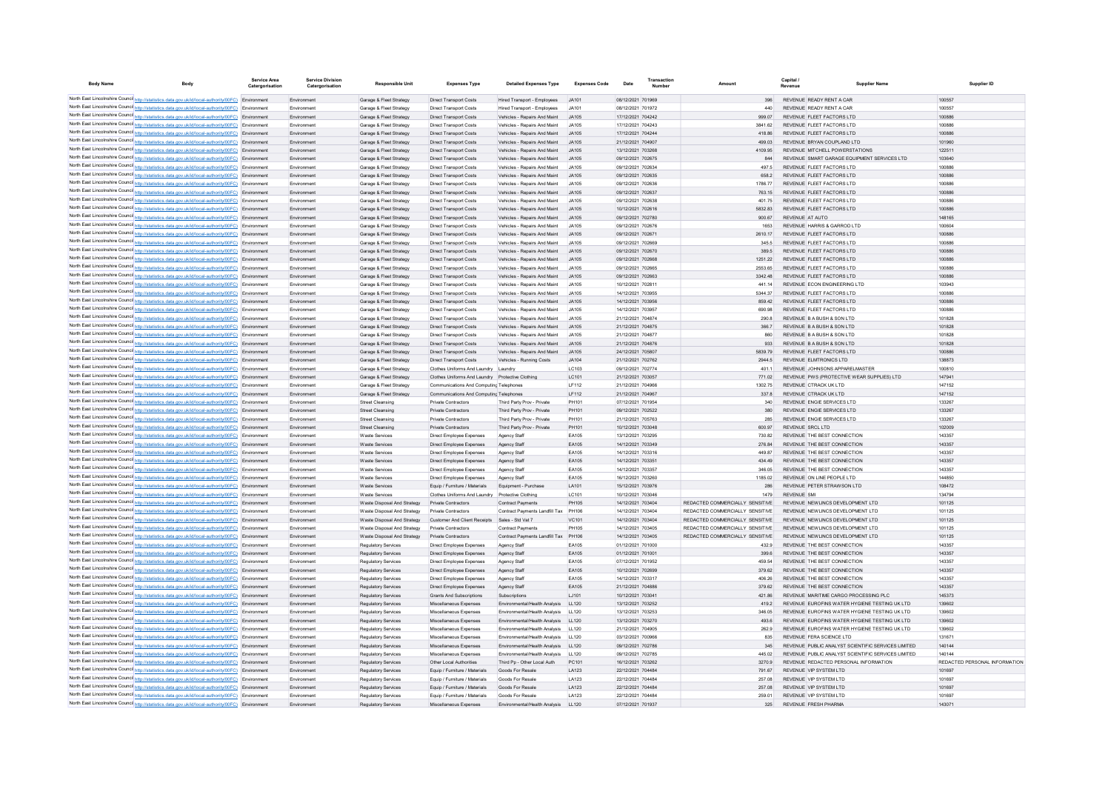| <b>Body Name</b> | Body                                                                                                                                                                                                   | Service Area<br>Catergorisation | <b>Service Division</b><br>Catergorisation | <b>Responsible Unit</b>                                    | <b>Expenses Type</b>                                       | <b>Detailed Expenses Type</b>                                  | <b>Expenses Code</b> | Date                                   | Number |                                                                     | Capital<br>Revenue      | <b>Supplier Name</b>                                                      | Supplier ID                   |
|------------------|--------------------------------------------------------------------------------------------------------------------------------------------------------------------------------------------------------|---------------------------------|--------------------------------------------|------------------------------------------------------------|------------------------------------------------------------|----------------------------------------------------------------|----------------------|----------------------------------------|--------|---------------------------------------------------------------------|-------------------------|---------------------------------------------------------------------------|-------------------------------|
|                  | North East Lincolnshire Counci http://statistics.data.gov.uk/id/local-authority/00FC) Environment                                                                                                      |                                 | Environment                                | Garage & Fleet Strategy                                    | <b>Direct Transport Costs</b>                              | Hired Transport - Employees                                    | JA101                | 08/12/2021 701969                      |        | 396                                                                 |                         | REVENUE READY RENT A CAR                                                  | 100557                        |
|                  | North East Lincolnshire Counci http://statistics.data.gov.uk/id/local-authority/00FC) Environment                                                                                                      |                                 | Environment                                | Garage & Fleet Strategy                                    | Direct Transport Costs                                     | Hired Transport - Employees                                    | JA101                | 08/12/2021 701972                      |        | 440                                                                 |                         | REVENUE READY RENT A CAR                                                  | 100557                        |
|                  | North East Lincolnshire Counci http://statistics.data.gov.uk/id/local-authority/00FC) Environment                                                                                                      |                                 | Environment                                | Garage & Fleet Strategy                                    | <b>Direct Transport Costs</b>                              | Vehicles - Repairs And Maint                                   | JA105                | 17/12/2021 704242                      |        | 999.07                                                              |                         | REVENUE FLEET FACTORS LTD                                                 | 100886                        |
|                  | North East Lincolnshire Counci http://statistics.data.gov.uk/id/local-authority/00FC) Environment                                                                                                      |                                 | Environment                                | Garage & Fleet Strategy                                    | <b>Direct Transport Costs</b>                              | Vehicles - Repairs And Maint                                   | JA105                | 17/12/2021 704243                      |        | 3841.62                                                             |                         | REVENUE FLEET FACTORS LTD                                                 | 100886                        |
|                  | North East Lincolnshire Counci http://statistics.data.gov.uk/id/local-authority/00FC) Environment                                                                                                      |                                 | Environment                                | Garage & Fleet Strategy                                    | Direct Transport Costs                                     | Vehicles - Repairs And Maint                                   | JA105                | 17/12/2021 704244                      |        | 418.86                                                              |                         | REVENUE FLEET FACTORS LTD                                                 | 100886                        |
|                  | North East Lincolnshire Counci http://statistics.data.gov.uk/id/local-authority/00FC) Environment                                                                                                      |                                 | Environment                                | Garage & Fleet Strategy                                    | Direct Transport Costs                                     | Vehicles - Repairs And Maint                                   | JA105                | 21/12/2021 704907                      |        | 499.03                                                              |                         | REVENUE BRYAN COUPLAND LTD                                                | 101960                        |
|                  | North East Lincolnshire Counci http://statistics.data.gov.uk/id/local-authority/00FC) Environment                                                                                                      |                                 | Environment                                | Garage & Fleet Strategy                                    | <b>Direct Transport Costs</b>                              | Vehicles - Repairs And Maint                                   | JA105                | 13/12/2021 703268                      |        | 4109.95                                                             |                         | REVENUE MITCHELL POWERSTATIONS                                            | 12251                         |
|                  | North East Lincolnshire Counci http://statistics.data.gov.uk/id/local-authority/00FC) Environment                                                                                                      |                                 | Environment                                | Garage & Fleet Strategy                                    | <b>Direct Transport Costs</b>                              | Vehicles - Repairs And Maint                                   | JA105                | 09/12/2021 702675                      |        | 844                                                                 |                         | REVENUE SMART GARAGE EQUIPMENT SERVICES LTD                               | 103640                        |
|                  | North East Lincolnshire Counci http://statistics.data.gov.uk/id/local-authority/00FC) Environment                                                                                                      |                                 | Environment                                | Garage & Fleet Strategy                                    | <b>Direct Transport Costs</b>                              | Vehicles - Repairs And Maint                                   | JA105                | 09/12/2021 702634                      |        | 497.5                                                               |                         | REVENUE FLEET FACTORS LTD                                                 | 100886                        |
|                  | North East Lincolnshire Counci http://statistics.data.gov.uk/id/local-authority/00FC) Environment<br>North East Lincolnshire Counci http://statistics.data.gov.uk/id/local-authority/00FC) Environment |                                 | Environment<br>Environment                 | Garage & Fleet Strategy<br>Garage & Fleet Strategy         | Direct Transport Costs<br>Direct Transport Costs           | Vehicles - Repairs And Maint<br>Vehicles - Repairs And Maint   | JA105<br>JA105       | 09/12/2021 702635<br>09/12/2021 702636 |        | 658.2<br>1786.77                                                    |                         | REVENUE FLEET FACTORS LTD<br>REVENUE FLEET FACTORS LTD                    | 100886<br>100886              |
|                  | North East Lincolnshire Counci http://statistics.data.gov.uk/id/local-authority/00FC) Environment                                                                                                      |                                 | Environment                                | Garage & Fleet Strategy                                    | Direct Transport Costs                                     | Vehicles - Repairs And Maint                                   | JA105                | 09/12/2021 702637                      |        | 763.15                                                              |                         | REVENUE FLEET FACTORS LTD                                                 | 100886                        |
|                  | North East Lincolnshire Counci http://statistics.data.gov.uk/id/local-authority/00FC) Environment                                                                                                      |                                 | Environment                                | Garage & Fleet Strategy                                    | <b>Direct Transport Costs</b>                              | Vehicles - Repairs And Maint                                   | JA105                | 09/12/2021 702638                      |        | 401.75                                                              |                         | REVENUE FLEET FACTORS LTD                                                 | 100886                        |
|                  | North East Lincolnshire Counci http://statistics.data.gov.uk/id/local-authority/00FC) Environment                                                                                                      |                                 | Environment                                | Garage & Fleet Strategy                                    | <b>Direct Transport Costs</b>                              | Vehicles - Repairs And Maint                                   | JA105                | 10/12/2021 702616                      |        | 5832.83                                                             |                         | REVENUE FLEET FACTORS LTD                                                 | 100886                        |
|                  | North East Lincolnshire Counci http://statistics.data.gov.uk/id/local-authority/00FC) Environment                                                                                                      |                                 | Environment                                | Garage & Fleet Strategy                                    | <b>Direct Transport Costs</b>                              | Vehicles - Repairs And Maint                                   | JA105                | 09/12/2021 702780                      |        | 900.67                                                              | REVENUE AT AUTO         |                                                                           | 148165                        |
|                  | North East Lincolnshire Counci http://statistics.data.gov.uk/id/local-authority/00FC) Environment                                                                                                      |                                 | Environment                                | Garage & Fleet Strategy                                    | <b>Direct Transport Costs</b>                              | Vehicles - Repairs And Maint                                   | JA105                | 09/12/2021 702676                      |        | 1653                                                                |                         | REVENUE HARRIS & GARROD LTD                                               | 100604                        |
|                  | North East Lincolnshire Counci http://statistics.data.gov.uk/id/local-authority/00FC) Environment                                                                                                      |                                 | Environment                                | Garage & Fleet Strategy                                    | <b>Direct Transport Costs</b>                              | Vehicles - Repairs And Maint                                   | JA105                | 09/12/2021 702671                      |        | 2610.17                                                             |                         | REVENUE FLEET FACTORS LTD                                                 | 100886                        |
|                  | North East Lincolnshire Counci http://statistics.data.gov.uk/id/local-authority/00FC) Environment                                                                                                      |                                 | Environment                                | Garage & Fleet Strategy                                    | <b>Direct Transport Costs</b>                              | Vehicles - Repairs And Maint                                   | JA105                | 09/12/2021 702669                      |        | 345.5                                                               |                         | REVENUE FLEET FACTORS LTD                                                 | 100886                        |
|                  | North East Lincolnshire Counci http://statistics.data.gov.uk/id/local-authority/00FC) Environment                                                                                                      |                                 | Environment                                | Garage & Fleet Strategy                                    | <b>Direct Transport Costs</b>                              | Vehicles - Repairs And Maint                                   | JA105                | 09/12/2021 702670                      |        | 389.5                                                               |                         | REVENUE FLEET FACTORS LTD                                                 | 100886                        |
|                  | North East Lincolnshire Counci http://statistics.data.gov.uk/id/local-authority/00FC) Environment                                                                                                      |                                 | Environment                                | Garage & Fleet Strategy                                    | <b>Direct Transport Costs</b>                              | Vehicles - Repairs And Maint                                   | JA105                | 09/12/2021 702668                      |        | 1251.22                                                             |                         | REVENUE FLEET FACTORS LTD                                                 | 100886                        |
|                  | North East Lincolnshire Counci http://statistics.data.gov.uk/id/local-authority/00FC) Environment                                                                                                      |                                 | Environment                                | Garage & Fleet Strategy                                    | <b>Direct Transport Costs</b>                              | Vehicles - Repairs And Maint                                   | JA105                | 09/12/2021 702665                      |        | 2553.65                                                             |                         | REVENUE FLEET FACTORS LTD                                                 | 100886                        |
|                  | North East Lincolnshire Counci http://statistics.data.gov.uk/id/local-authority/00FC) Environment                                                                                                      |                                 | Environment                                | Garage & Fleet Strategy                                    | <b>Direct Transport Costs</b>                              | Vehicles - Repairs And Maint                                   | JA105                | 09/12/2021 702663                      |        | 3342.48                                                             |                         | REVENUE FLEET FACTORS LTD                                                 | 100886                        |
|                  | North East Lincolnshire Counci http://statistics.data.gov.uk/id/local-authority/00FC) Environment<br>North East Lincolnshire Counci http://statistics.data.gov.uk/id/local-authority/00FC) Environment |                                 | Environment                                | Garage & Fleet Strategy                                    | Direct Transport Costs                                     | Vehicles - Repairs And Maint<br>Vehicles - Repairs And Maint   | JA105<br>JA105       | 10/12/2021 702811<br>14/12/2021 703955 |        | 441.14<br>5344.37                                                   |                         | REVENUE ECON ENGINEERING LTD<br>REVENUE FLEET FACTORS LTD                 | 103943<br>100886              |
|                  | North East Lincolnshire Counci http://statistics.data.gov.uk/id/local-authority/00FC) Environment                                                                                                      |                                 | Environment                                | Garage & Fleet Strategy                                    | Direct Transport Costs                                     |                                                                | JA105                | 14/12/2021 703956                      |        | 859.42                                                              |                         | REVENUE FLEET FACTORS LTD                                                 | 100886                        |
|                  | North East Lincolnshire Counci http://statistics.data.gov.uk/id/local-authority/00FC) Environment                                                                                                      |                                 | Environment<br>Environment                 | Garage & Fleet Strategy<br>Garage & Fleet Strategy         | Direct Transport Costs<br>Direct Transport Costs           | Vehicles - Repairs And Maint<br>Vehicles - Repairs And Maint   | JA105                | 14/12/2021 703957                      |        | 690.98                                                              |                         | REVENUE FLEET FACTORS LTD                                                 | 100886                        |
|                  | North East Lincolnshire Counci http://statistics.data.gov.uk/id/local-authority/00FC) Environment                                                                                                      |                                 | Environment                                | Garage & Fleet Strategy                                    | Direct Transport Costs                                     | Vehicles - Repairs And Maint                                   | JA105                | 21/12/2021 704874                      |        | 290.8                                                               |                         | REVENUE B A BUSH & SON LTD                                                | 101828                        |
|                  | North East Lincolnshire Council http://statistics.data.gov.uk/id/local-authority/00FC) Environment                                                                                                     |                                 | Environment                                | Garage & Fleet Strategy                                    | Direct Transport Costs                                     | Vehicles - Repairs And Maint                                   | JA105                | 21/12/2021 704875                      |        | 366.7                                                               |                         | REVENUE B A BUSH & SON LTD                                                | 101828                        |
|                  | North East Lincolnshire Counci http://statistics.data.gov.uk/id/local-authority/00FC) Environment                                                                                                      |                                 | Environment                                | Garage & Fleet Strategy                                    | Direct Transport Costs                                     | Vehicles - Repairs And Maint                                   | JA105                | 21/12/2021 704877                      |        | 860                                                                 |                         | REVENUE B A BUSH & SON LTD                                                | 101828                        |
|                  | North East Lincolnshire Counci http://statistics.data.gov.uk/id/local-authority/00FC) Environment                                                                                                      |                                 | Environment                                | Garage & Fleet Strategy                                    | Direct Transport Costs                                     | Vehicles - Repairs And Maint                                   | JA105                | 21/12/2021 704876                      |        | 933                                                                 |                         | REVENUE B A BUSH & SON LTD                                                | 101828                        |
|                  | North East Lincolnshire Counci http://statistics.data.gov.uk/id/local-authority/00FC) Environment                                                                                                      |                                 | Environment                                | Garage & Fleet Strategy                                    | Direct Transport Costs                                     | Vehicles - Repairs And Maint                                   | JA105                | 24/12/2021 705807                      |        | 5839.79                                                             |                         | REVENUE FLEET FACTORS LTD                                                 | 100886                        |
|                  | North East Lincolnshire Counci http://statistics.data.gov.uk/id/local-authority/00FC) Environment                                                                                                      |                                 | Environment                                | Garage & Fleet Strategy                                    | <b>Direct Transport Costs</b>                              | Vehicles - Running Costs                                       | JA104                | 21/12/2021 702762                      |        | 2944.5                                                              |                         | REVENUE ELMTRONICS LTD                                                    | 138873                        |
|                  | North East Lincolnshire Counci http://statistics.data.gov.uk/id/local-authority/00FC) Environment                                                                                                      |                                 | Environment                                | Garage & Fleet Strategy                                    | Clothes Uniforms And Laundry Laundry                       |                                                                | LC103                | 09/12/2021 702774                      |        | 401.1                                                               |                         | REVENUE JOHNSONS APPARELMASTER                                            | 100810                        |
|                  | North East Lincolnshire Counci http://statistics.data.gov.uk/id/local-authority/00FC) Environment                                                                                                      |                                 | Environment                                | Garage & Fleet Strategy                                    | Clothes Uniforms And Laundry Protective Clothing           |                                                                | LC101                | 21/12/2021 703057                      |        | 771.02                                                              |                         | REVENUE PWS (PROTECTIVE WEAR SUPPLIES) LTD                                | 147941                        |
|                  | North East Lincolnshire Counci http://statistics.data.gov.uk/id/local-authority/00FC) Environment                                                                                                      |                                 | Environment                                | Garage & Fleet Strategy                                    | Communications And Computing Telephones                    |                                                                | <b>LF112</b>         | 21/12/2021 704966                      |        | 1302.75                                                             |                         | REVENUE CTRACK UK LTD                                                     | 147152                        |
|                  | North East Lincolnshire Counci http://statistics.data.gov.uk/id/local-authority/00FC) Environment                                                                                                      |                                 | Environment                                | Garage & Fleet Strategy                                    | Communications And Computing Telephones                    |                                                                | LF112                | 21/12/2021 704967                      |        | 337.8                                                               |                         | REVENUE CTRACK UK LTD                                                     | 147152                        |
|                  | North East Lincolnshire Counci http://statistics.data.gov.uk/id/local-authority/00FC) Environment<br>North East Lincolnshire Counci http://statistics.data.gov.uk/id/local-authority/00FC) Environment |                                 | Environment                                | <b>Street Cleansing</b>                                    | Private Contractors                                        | Third Party Prov - Private                                     | PH101                | 07/12/2021 701954                      |        | 340                                                                 |                         | REVENUE ENGIE SERVICES LTD                                                | 133267                        |
|                  | North East Lincolnshire Counci http://statistics.data.gov.uk/id/local-authority/00FC) Environment                                                                                                      |                                 | Environment<br>Environment                 | <b>Street Cleansing</b><br><b>Street Cleansing</b>         | Private Contractors<br><b>Private Contractors</b>          | Third Party Prov - Private<br>Third Party Prov - Private       | PH101<br>PH101       | 09/12/2021 702522<br>21/12/2021 705763 |        | 380<br>285                                                          |                         | REVENUE ENGIE SERVICES LTD<br>REVENUE ENGIE SERVICES LTD                  | 133267<br>133267              |
|                  | North East Lincolnshire Counci http://statistics.data.gov.uk/id/local-authority/00FC) Environment                                                                                                      |                                 | Environment                                | <b>Street Cleansing</b>                                    | <b>Private Contractors</b>                                 | Third Party Prov - Private                                     | PH101                | 10/12/2021 703048                      |        | 600.97                                                              | <b>REVENUE SRCL LTD</b> |                                                                           | 102009                        |
|                  | North East Lincolnshire Counci http://statistics.data.gov.uk/id/local-authority/00FC) Environment                                                                                                      |                                 | Environment                                | <b>Waste Services</b>                                      | Direct Employee Expenses                                   | Agency Staff                                                   | EA105                | 13/12/2021 703295                      |        | 730.82                                                              |                         | REVENUE THE BEST CONNECTION                                               | 143357                        |
|                  | North East Lincolnshire Counci http://statistics.data.gov.uk/id/local-authority/00FC) Environment                                                                                                      |                                 | Environment                                | <b>Waste Services</b>                                      | Direct Employee Expenses                                   | Agency Staff                                                   | EA105                | 14/12/2021 703349                      |        | 276.84                                                              |                         | REVENUE THE BEST CONNECTION                                               | 143357                        |
|                  | North East Lincolnshire Counci http://statistics.data.gov.uk/id/local-authority/00FC) Environment                                                                                                      |                                 | Environment                                | <b>Waste Services</b>                                      | Direct Employee Expenses                                   | Agency Staf                                                    | EA105                | 14/12/2021 703316                      |        | 449.87                                                              |                         | REVENUE THE BEST CONNECTION                                               | 143357                        |
|                  | North East Lincolnshire Counci http://statistics.data.gov.uk/id/local-authority/00FC) Environment                                                                                                      |                                 | Environment                                | <b>Waste Services</b>                                      | Direct Employee Expenses                                   | Agency Staff                                                   | EA105                | 14/12/2021 703351                      |        | 434.49                                                              |                         | REVENUE THE BEST CONNECTION                                               | 143357                        |
|                  | North East Lincolnshire Counci http://statistics.data.gov.uk/id/local-authority/00FC) Environment                                                                                                      |                                 | Environment                                | <b>Waste Services</b>                                      | Direct Employee Expenses                                   | Agency Staff                                                   | EA105                | 14/12/2021 703357                      |        | 346.05                                                              |                         | REVENUE THE BEST CONNECTION                                               | 143357                        |
|                  | North East Lincolnshire Counci http://statistics.data.gov.uk/id/local-authority/00FC) Environment                                                                                                      |                                 | Environment                                | <b>Waste Services</b>                                      | Direct Employee Expenses                                   | Agency Staff                                                   | EA105                | 16/12/2021 703260                      |        | 1185.02                                                             |                         | REVENUE ON LINE PEOPLE LTD                                                | 144850                        |
|                  | North East Lincolnshire Counci http://statistics.data.gov.uk/id/local-authority/00FC) Environment                                                                                                      |                                 | Environment                                | <b>Waste Services</b>                                      | Equip / Furniture / Materials                              | Equipment - Purchase                                           | LA101                | 15/12/2021 703976                      |        | 286                                                                 |                         | REVENUE PETER STRAWSON LTD                                                | 108472                        |
|                  | North East Lincolnshire Counci http://statistics.data.gov.uk/id/local-authority/00FC) Environment                                                                                                      |                                 | Environment                                | <b>Waste Services</b>                                      | Clothes Uniforms And Laundry Protective Clothing           |                                                                | LC101                | 10/12/2021 703046                      |        | 1479                                                                | <b>REVENUE SMI</b>      |                                                                           | 134794                        |
|                  | North East Lincolnshire Counci http://statistics.data.gov.uk/id/local-authority/00FC) Environment                                                                                                      |                                 | Environment                                | Waste Disposal And Strategy                                | <b>Private Contractors</b>                                 | <b>Contract Payments</b>                                       | PH105                | 14/12/2021 703404                      |        | REDACTED COMMERCIALLY SENSITIVE                                     |                         | REVENUE NEWLINCS DEVELOPMENT LTD                                          | 101125                        |
|                  | North East Lincolnshire Counci http://statistics.data.gov.uk/id/local-authority/00FC) Environment<br>North East Lincolnshire Counci http://statistics.data.gov.uk/id/local-authority/00FC) Environment |                                 | Environment                                | Waste Disposal And Strategy                                | <b>Private Contractors</b>                                 | Contract Payments Landfill Tax PH106<br>Sales - Std Vat 7      | VC101                | 14/12/2021 703404<br>14/12/2021 703404 |        | REDACTED COMMERCIALLY, SENSITIVE<br>REDACTED COMMERCIALLY SENSITIVE |                         | REVENUE NEWLINCS DEVELOPMENT LTD<br>REVENUE NEWLINCS DEVELOPMENT LTD      | 101125<br>101125              |
|                  | North East Lincolnshire Counci http://statistics.data.gov.uk/id/local-authority/00FC) Environment                                                                                                      |                                 | Environment<br>Environment                 | Waste Disposal And Strategy<br>Waste Disposal And Strategy | <b>Customer And Client Receipts</b><br>Private Contractors | Contract Payment                                               | PH105                | 14/12/2021 703405                      |        | REDACTED COMMERCIALLY SENSITIVE                                     |                         | REVENUE NEWLINCS DEVELOPMENT LTD                                          | 101125                        |
|                  | North East Lincolnshire Counci http://statistics.data.gov.uk/id/local-authority/00FC) Environment                                                                                                      |                                 | Environment                                | Waste Disposal And Strategy                                | Private Contractors                                        | Contract Payments Landfill Tax                                 | PH106                | 14/12/2021 703405                      |        | REDACTED COMMERCIALLY SENSITIVE                                     |                         | REVENUE NEWLINCS DEVELOPMENT LTD                                          | 101125                        |
|                  | North East Lincolnshire Counci http://statistics.data.gov.uk/id/local-authority/00FC) Environment                                                                                                      |                                 | Environment                                | <b>Regulatory Services</b>                                 | Direct Employee Expenses                                   | Agency Staf                                                    | FA105                | 01/12/2021 701000                      |        | 432.9                                                               |                         | REVENUE THE BEST CONNECTION                                               | 143357                        |
|                  | North East Lincolnshire Counci http://statistics.data.gov.uk/id/local-authority/00FC) Environment                                                                                                      |                                 | Environment                                | <b>Regulatory Services</b>                                 | Direct Employee Expenses                                   | Agency Staff                                                   | EA105                | 01/12/2021 701001                      |        | 399.6                                                               |                         | REVENUE THE BEST CONNECTION                                               | 143357                        |
|                  | North East Lincolnshire Counci http://statistics.data.gov.uk/id/local-authority/00FC) Environment                                                                                                      |                                 | Environment                                | <b>Regulatory Services</b>                                 | Direct Employee Expenses                                   | Agency Staf                                                    | EA105                | 07/12/2021 701952                      |        | 459.54                                                              |                         | REVENUE THE BEST CONNECTION                                               | 143357                        |
|                  | North East Lincolnshire Counci http://statistics.data.gov.uk/id/local-authority/00FC) Environment                                                                                                      |                                 | Environment                                | <b>Regulatory Services</b>                                 | Direct Employee Expenses                                   | Agency Staff                                                   | EA105                | 10/12/2021 702699                      |        | 379.62                                                              |                         | REVENUE THE BEST CONNECTION                                               | 143357                        |
|                  | North East Lincolnshire Counci http://statistics.data.gov.uk/id/local-authority/00FC) Environment                                                                                                      |                                 | Environment                                | <b>Regulatory Services</b>                                 | Direct Employee Expenses                                   | Agency Staf                                                    | EA105                | 14/12/2021 703317                      |        | 406.26                                                              |                         | REVENUE THE BEST CONNECTION                                               | 143357                        |
|                  | North East Lincolnshire Counci http://statistics.data.gov.uk/id/local-authority/00FC) Environment                                                                                                      |                                 | Environment                                | <b>Regulatory Services</b>                                 | Direct Employee Expenses                                   | Agency Staff                                                   | EA105                | 21/12/2021 704886                      |        | 379.62                                                              |                         | REVENUE THE BEST CONNECTION                                               | 143357                        |
|                  | North East Lincolnshire Counci http://statistics.data.gov.uk/id/local-authority/00FC) Environment                                                                                                      |                                 | Environment                                | <b>Regulatory Services</b>                                 | <b>Grants And Subscriptions</b>                            | Subscriptions                                                  | LJ101                | 10/12/2021 703041                      |        | 421.86                                                              |                         | REVENUE MARITIME CARGO PROCESSING PLC                                     | 145373                        |
|                  | North East Lincolnshire Counci http://statistics.data.gov.uk/id/local-authority/00FC) Environment                                                                                                      |                                 | Environment                                | <b>Regulatory Services</b>                                 | Miscellaneous Expenses                                     | Environmental/Health Analysis                                  | LL120                | 13/12/2021 703252                      |        | 419.2                                                               |                         | REVENUE EUROFINS WATER HYGIENE TESTING UK LTD                             | 139602                        |
|                  | North East Lincolnshire Counci http://statistics.data.gov.uk/id/local-authority/00FC) Environment<br>North East Lincolnshire Counci http://statistics.data.gov.uk/id/local-authority/00FC) Environment |                                 | Environment                                | <b>Regulatory Services</b>                                 | Miscellaneous Expenses                                     | Environmental/Health Analysis                                  | LL120                | 13/12/2021 703253                      |        | 346.05                                                              |                         | REVENUE EUROFINS WATER HYGIENE TESTING UK LTD                             | 139602                        |
|                  | North East Lincolnshire Counci http://statistics.data.gov.uk/id/local-authority/00FC) Environment                                                                                                      |                                 | Environment<br>Environment                 | <b>Regulatory Services</b>                                 | Miscellaneous Expenses                                     | Environmental/Health Analysis<br>Environmental/Health Analysis | LL120<br>LL120       | 13/12/2021 703270                      |        | 493.6                                                               |                         | REVENUE EUROFINS WATER HYGIENE TESTING UK LTD                             | 139602<br>139602              |
|                  | North East Lincolnshire Counci http://statistics.data.gov.uk/id/local-authority/00FC) Environment                                                                                                      |                                 | Environment                                | <b>Regulatory Services</b><br><b>Regulatory Services</b>   | Miscellaneous Expenses<br>Miscellaneous Expenses           | Environmental/Health Analysis                                  | LL120                | 21/12/2021 704905<br>03/12/2021 700966 |        | 262.9<br>835                                                        |                         | REVENUE EUROFINS WATER HYGIENE TESTING UK LTD<br>REVENUE FERA SCIENCE LTD | 131671                        |
|                  | North East Lincolnshire Counci http://statistics.data.gov.uk/id/local-authority/00FC) Environment                                                                                                      |                                 | Environment                                | <b>Regulatory Services</b>                                 | Miscellaneous Expenses                                     | Environmental/Health Analysis                                  | LL120                | 09/12/2021 702786                      |        | 345                                                                 |                         | REVENUE PUBLIC ANALYST SCIENTIFIC SERVICES LIMITED                        | 140144                        |
|                  | North East Lincolnshire Counci http://statistics.data.gov.uk/id/local-authority/00FC) Environment                                                                                                      |                                 | Environment                                | <b>Regulatory Services</b>                                 | Miscellaneous Expenses                                     | Environmental/Health Analysis                                  | LL120                | 09/12/2021 702785                      |        | 445.02                                                              |                         | REVENUE PUBLIC ANALYST SCIENTIFIC SERVICES LIMITED                        | 140144                        |
|                  | North East Lincolnshire Counci http://statistics.data.gov.uk/id/local-authority/00FC) Environment                                                                                                      |                                 | Environment                                | <b>Regulatory Services</b>                                 | Other Local Authorities                                    | Third Pp - Other Local Auth                                    | PC101                | 16/12/2021 703262                      |        | 3270.9                                                              |                         | REVENUE REDACTED PERSONAL INFORMATION                                     | REDACTED PERSONAL INFORMATION |
|                  | North East Lincolnshire Counci http://statistics.data.gov.uk/id/local-authority/00FC) Environment                                                                                                      |                                 | Environment                                | <b>Regulatory Services</b>                                 | Equip / Furniture / Materials                              | Goods For Resale                                               | LA123                | 22/12/2021 704484                      |        | 791.67                                                              |                         | REVENUE VIP SYSTEM LTD                                                    | 101697                        |
|                  | North East Lincolnshire Counci http://statistics.data.gov.uk/id/local-authority/00FC) Environment                                                                                                      |                                 | Environment                                | Regulatory Services                                        | Equip / Furniture / Materials                              | Goods For Resale                                               | LA123                | 22/12/2021 704484                      |        | 257.08                                                              |                         | REVENUE VIP SYSTEM LTD                                                    | 101697                        |
|                  | North East Lincolnshire Counci http://statistics.data.gov.uk/id/local-authority/00FC) Environment                                                                                                      |                                 | Environment                                | <b>Regulatory Services</b>                                 | Equip / Furniture / Materials                              | Goods For Resale                                               | LA123                | 22/12/2021 704484                      |        | 257.08                                                              |                         | REVENUE VIP SYSTEM LTD                                                    | 101697                        |
|                  | North East Lincolnshire Counci http://statistics.data.gov.uk/id/local-authority/00FC) Environment                                                                                                      |                                 | Environment                                | Regulatory Services                                        | Equip / Furniture / Materials                              | Goods For Resale                                               | LA123                | 22/12/2021 704484                      |        | 259.01                                                              |                         | REVENUE VIP SYSTEM LTD                                                    | 101697                        |
|                  | North East Lincolnshire Counci http://statistics.data.gov.uk/id/local-authority/00FC) Environment                                                                                                      |                                 | Environment                                | <b>Regulatory Services</b>                                 | Miscellaneous Expenses                                     | Environmental/Health Analysis                                  | LL120                | 07/12/2021 701937                      |        | 325                                                                 |                         | REVENUE ERESH PHARM                                                       | 143071                        |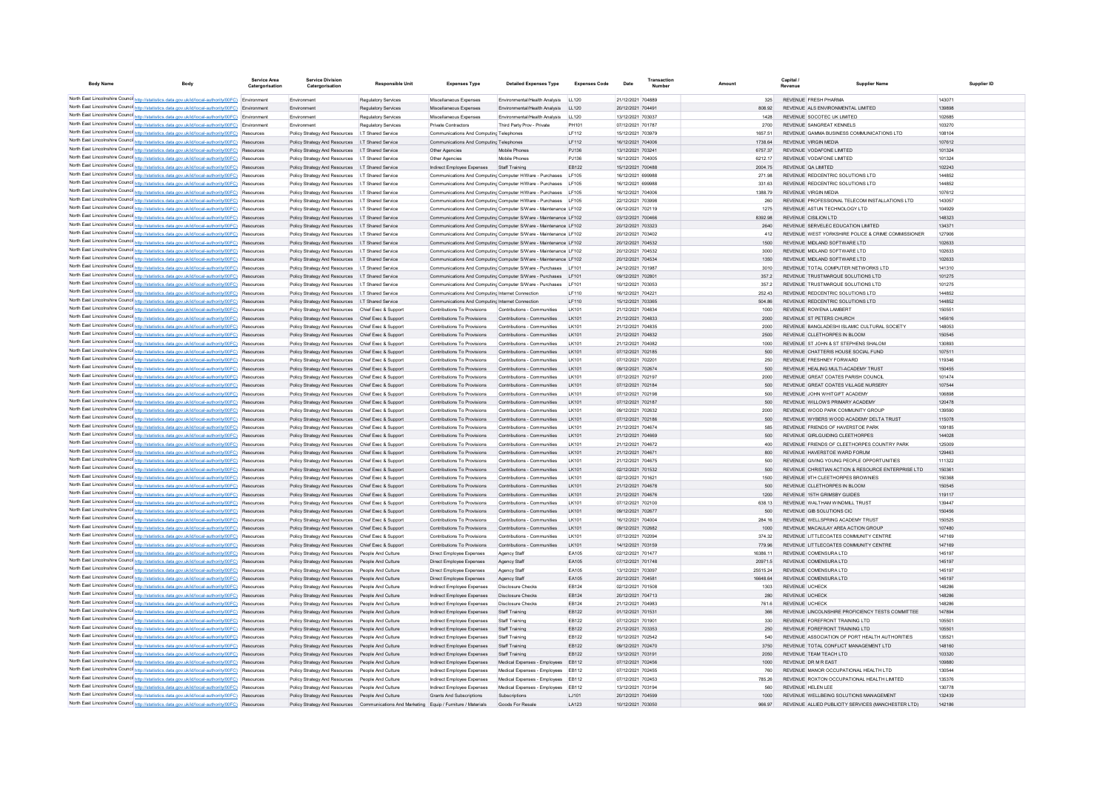| <b>Body Name</b>                                                                                                                                                                                    | Body | Service Area<br>Catergorisation | <b>Service Division</b><br>Catergorisation                     | <b>Responsible Uni</b>                       | <b>Expenses Type</b>                                                                                                             | <b>Detailed Expenses Type</b>                              | <b>Expenses Code</b>  | Date                                   | Transaction<br>Number |                     | Capital /<br>Revenue                           | <b>Supplier Name</b>                                                                            | Supplier ID      |
|-----------------------------------------------------------------------------------------------------------------------------------------------------------------------------------------------------|------|---------------------------------|----------------------------------------------------------------|----------------------------------------------|----------------------------------------------------------------------------------------------------------------------------------|------------------------------------------------------------|-----------------------|----------------------------------------|-----------------------|---------------------|------------------------------------------------|-------------------------------------------------------------------------------------------------|------------------|
| North East Lincolnshire Counci http://statistics.data.gov.uk/id/local-authority/00FC) Environment                                                                                                   |      |                                 | Environment                                                    | <b>Regulatory Services</b>                   | Miscellaneous Expenses                                                                                                           | Environmental/Health Analysis LL120                        |                       | 21/12/2021 704889                      |                       | 325                 | <b>REVENUE ERESH PHARMA</b>                    |                                                                                                 | 143071           |
| North East Lincolnshire Counci http://statistics.data.gov.uk/id/local-authority/00FC) Environment                                                                                                   |      |                                 | Environment                                                    | Regulatory Services                          | Miscellaneous Expenses                                                                                                           | Environmental/Health Analysis                              | 11120                 | 20/12/2021 704491                      |                       | 808.92              | REVENUE ALS ENVIRONMENTAL LIMITED              |                                                                                                 | 139898           |
| North East Lincolnshire Counci http://statistics.data.gov.uk/id/local-authority/00FC) Environment                                                                                                   |      |                                 | Environment                                                    | Regulatory Services                          | Miscellaneous Expenses                                                                                                           | Environmental/Health Analysis                              | LL120                 | 13/12/2021 703037                      |                       | 1428                | REVENUE SOCOTEC UK LIMITED                     |                                                                                                 | 102685           |
| North East Lincolnshire Counci http://statistics.data.gov.uk/id/local-authority/00FC) Environment                                                                                                   |      |                                 | Environment                                                    | Regulatory Services                          | Private Contractors                                                                                                              | Third Party Prov - Private                                 | PH101                 | 07/12/2021 701787                      |                       | 2700                | REVENUE SANGREAT KENNELS                       |                                                                                                 | 103270           |
| North East Lincolnshire Counci http://statistics.data.gov.uk/id/local-authority/00FC) Resources                                                                                                     |      |                                 | Policy Strategy And Resources                                  | I.T Shared Service                           | Communications And Computing Telephone                                                                                           |                                                            | LF112                 | 15/12/2021 703979                      |                       | 1657.51             |                                                | REVENUE GAMMA BUSINESS COMMUNICATIONS LTD                                                       | 108104           |
| North East Lincolnshire Counci http://statistics.data.gov.uk/id/local-authority/00FC) Resources                                                                                                     |      |                                 | Policy Strategy And Resources                                  | I.T Shared Service                           | Communications And Computing Telephones                                                                                          |                                                            | LF112                 | 16/12/2021 704006                      |                       | 1738.64             | <b>REVENUE VIRGIN MEDIA</b>                    |                                                                                                 | 107612           |
| North East Lincolnshire Counci http://statistics.data.gov.uk/id/local-authority/00FC) Resources                                                                                                     |      |                                 | Policy Strategy And Resources                                  | I.T Shared Service                           | Other Agencies                                                                                                                   | Mobile Phone                                               | PJ136                 | 13/12/2021 703241                      |                       | 6757.37             | REVENUE VODAFONE LIMITED                       |                                                                                                 | 101324           |
| North East Lincolnshire Counci http://statistics.data.gov.uk/id/local-authority/00FC) Resources                                                                                                     |      |                                 | Policy Strategy And Resources                                  | I.T Shared Service                           | Other Agencies                                                                                                                   | Mobile Phone:                                              | PJ136                 | 16/12/2021 704005                      |                       | 6212.17             | REVENUE VODAFONE LIMITED                       |                                                                                                 | 101324           |
| North East Lincolnshire Counci http://statistics.data.gov.uk/id/local-authority/00FC) Resources                                                                                                     |      |                                 | Policy Strategy And Resources                                  | I.T Shared Service                           | Indirect Employee Expenses                                                                                                       | Staff Training                                             | EB122                 | 15/12/2021 700488                      |                       | 2004.75             | REVENUE QA LIMITED                             |                                                                                                 | 102243           |
| North East Lincolnshire Counci http://statistics.data.gov.uk/id/local-authority/00FC) Resources<br>North East Lincolnshire Counci http://statistics.data.gov.uk/id/local-authority/00FC) Resources  |      |                                 | Policy Strategy And Resources<br>Policy Strategy And Resources | I.T Shared Service<br>I.T Shared Service     | Communications And Computing Computer H/Ware - Purchases LF105<br>Communications And Computing Computer H/Ware - Purchases LF105 |                                                            |                       | 16/12/2021 699988<br>16/12/2021 699988 |                       | 271.98<br>331.63    | REVENUE REDCENTRIC SOLUTIONS LTD               | REVENUE REDCENTRIC SOLUTIONS LTD                                                                | 144852<br>144852 |
| North East Lincolnshire Counci http://statistics.data.gov.uk/id/local-authority/00FC) Resources                                                                                                     |      |                                 | Policy Strategy And Resources                                  | I.T Shared Service                           | Communications And Computing Computer H/Ware - Purchases LF105                                                                   |                                                            |                       | 16/12/2021 704006                      |                       | 1388.79             | REVENUE VIRGIN MEDIA                           |                                                                                                 | 107612           |
| North East Lincolnshire Counci http://statistics.data.gov.uk/id/local-authority/00FC) Resources                                                                                                     |      |                                 | Policy Strategy And Resources                                  | I.T Shared Service                           | Communications And Computing Computer H/Ware - Purchases LF105                                                                   |                                                            |                       | 22/12/2021 703998                      |                       | 260                 |                                                | REVENUE PROFESSIONAL TELECOM INSTALLATIONS LTD                                                  | 143057           |
| North East Lincolnshire Counci http://statistics.data.gov.uk/id/local-authority/00FC) Resources                                                                                                     |      |                                 | Policy Strategy And Resources                                  | I.T Shared Service                           | Communications And Computing Computer S/Ware - Maintenance LF102                                                                 |                                                            |                       | 06/12/2021 702119                      |                       | 1275                | REVENUE ASTUN TECHNOLOGY LTD                   |                                                                                                 | 104929           |
| North East Lincolnshire Counci http://statistics.data.gov.uk/id/local-authority/00FC) Resources                                                                                                     |      |                                 | Policy Strategy And Resources                                  | I.T Shared Service                           | Communications And Computing Computer S/Ware - Maintenance LF102                                                                 |                                                            |                       | 03/12/2021 700466                      |                       | 8392.98             | REVENUE CISILION LTD                           |                                                                                                 | 148323           |
| North East Lincolnshire Counci http://statistics.data.gov.uk/id/local-authority/00FC) Resources                                                                                                     |      |                                 | Policy Strategy And Resources                                  | I.T Shared Service                           | Communications And Computing Computer S/Ware - Maintenance LF102                                                                 |                                                            |                       | 20/12/2021 703323                      |                       | 2640                |                                                | REVENUE SERVELEC EDUCATION LIMITED                                                              | 134371           |
| North East Lincolnshire Counci http://statistics.data.gov.uk/id/local-authority/00FC) Resources                                                                                                     |      |                                 | Policy Strategy And Resources                                  | I.T Shared Service                           | Communications And Computing Computer S/Ware - Maintenance LF102                                                                 |                                                            |                       | 20/12/2021 703402                      |                       | 412                 |                                                | REVENUE WEST YORKSHIRE POLICE & CRIME COMMISSIONER                                              | 127906           |
| North East Lincolnshire Counci http://statistics.data.gov.uk/id/local-authority/00FC) Resources                                                                                                     |      |                                 | Policy Strategy And Resources                                  | I.T Shared Service                           | Communications And Computing Computer S/Ware - Maintenance LF102                                                                 |                                                            |                       | 20/12/2021 704532                      |                       | 1500                | REVENUE MIDLAND SOFTWARE LTD                   |                                                                                                 | 102633           |
| North East Lincolnshire Counci http://statistics.data.gov.uk/id/local-authority/00FC) Resources                                                                                                     |      |                                 | Policy Strategy And Resources                                  | I.T Shared Service                           | Communications And Computing Computer S/Ware - Maintenance LF102                                                                 |                                                            |                       | 20/12/2021 704532                      |                       | 3000                | REVENUE MIDLAND SOFTWARE LTD                   |                                                                                                 | 102633           |
| North East Lincolnshire Counci http://statistics.data.gov.uk/id/local-authority/00FC) Resources<br>North East Lincolnshire Counci http://statistics.data.gov.uk/id/local-authority/00FC) Resources  |      |                                 | Policy Strategy And Resources                                  | I.T Shared Service                           | Communications And Computing Computer S/Ware - Maintenance LF102                                                                 |                                                            |                       | 20/12/2021 704534                      |                       | 1350                | REVENUE MIDLAND SOFTWARE LTD                   |                                                                                                 | 102633<br>141310 |
| North East Lincolnshire Counci http://statistics.data.gov.uk/id/local-authority/00FC) Resources                                                                                                     |      |                                 | Policy Strategy And Resources<br>Policy Strategy And Resources | I.T Shared Service<br>I.T Shared Service     | Communications And Computing Computer S/Ware - Purchases LF101<br>Communications And Computing Computer S/Ware - Purchases LF101 |                                                            |                       | 24/12/2021 701987<br>09/12/2021 702801 |                       | 3010<br>357.2       |                                                | REVENUE TOTAL COMPUTER NETWORKS LTD<br>REVENUE TRUSTMARQUE SOLUTIONS LTD                        | 101275           |
| North East Lincolnshire Counci http://statistics.data.gov.uk/id/local-authority/00FC) Resources                                                                                                     |      |                                 | Policy Strategy And Resources                                  | I.T Shared Service                           | Communications And Computing Computer S/Ware - Purchases LF101                                                                   |                                                            |                       | 10/12/2021 703053                      |                       | 357.2               |                                                | REVENUE TRUSTMARQUE SOLUTIONS LTD                                                               | 101275           |
| North East Lincolnshire Counci http://statistics.data.gov.uk/id/local-authority/00FC) Resources                                                                                                     |      |                                 | Policy Strategy And Resources                                  | I.T Shared Service                           | Communications And Computing Internet Connection                                                                                 |                                                            | I F110                | 16/12/2021 704221                      |                       | 252 43              | REVENUE REDCENTRIC SOLUTIONS LTD               |                                                                                                 | 144852           |
| North East Lincolnshire Counci http://statistics.data.gov.uk/id/local-authority/00FC) Resources                                                                                                     |      |                                 | Policy Strategy And Resources                                  | I.T Shared Service                           | Communications And Computing Internet Connection                                                                                 |                                                            | LF110                 | 15/12/2021 703365                      |                       | 504.86              | REVENUE REDCENTRIC SOLUTIONS LTD               |                                                                                                 | 144852           |
| North East Lincolnshire Counci http://statistics.data.gov.uk/id/local-authority/00FC) Resources                                                                                                     |      |                                 | Policy Strategy And Resources                                  | Chief Exec & Suppor                          | Contributions To Provisions                                                                                                      | Contributions - Communities                                | I K101                | 21/12/2021 704834                      |                       | 1000                | REVENUE ROWENA LAMBERT                         |                                                                                                 | 150551           |
| North East Lincolnshire Counci http://statistics.data.gov.uk/id/local-authority/00FC) Resources                                                                                                     |      |                                 | Policy Strategy And Resources                                  | Chief Exec & Support                         | Contributions To Provisions                                                                                                      | Contributions - Communities                                | I K101                | 21/12/2021 704833                      |                       | 2000                | REVENUE ST PETERS CHURCH                       |                                                                                                 | 145616           |
| North East Lincolnshire Counci http://statistics.data.gov.uk/id/local-authority/00FC) Resources                                                                                                     |      |                                 | Policy Strategy And Resources                                  | Chief Exec & Suppor                          | Contributions To Provisions                                                                                                      | Contributions - Communities                                | LK101                 | 21/12/2021 704835                      |                       | 2000                |                                                | REVENUE BANGLADESHI ISLAMIC CULTURAL SOCIETY                                                    | 148053           |
| North East Lincolnshire Counci http://statistics.data.gov.uk/id/local-authority/00FC) Resources                                                                                                     |      |                                 | Policy Strategy And Resources                                  | Chief Exec & Support                         | Contributions To Provisions                                                                                                      | Contributions - Communities                                | LK101                 | 21/12/2021 704832                      |                       | 2500                | REVENUE CLLETHORPES IN BLOOM                   |                                                                                                 | 150545           |
| North East Lincolnshire Counci http://statistics.data.gov.uk/id/local-authority/00FC) Resources                                                                                                     |      |                                 | Policy Strategy And Resources                                  | Chief Exec & Suppor                          | Contributions To Provisions                                                                                                      | Contributions - Communities                                | LK101                 | 21/12/2021 704082                      |                       | 1000                |                                                | REVENUE ST JOHN & ST STEPHENS SHALOM                                                            | 130893           |
| North East Lincolnshire Counci http://statistics.data.gov.uk/id/local-authority/00FC) Resources                                                                                                     |      |                                 | Policy Strategy And Resources                                  | Chief Exec & Support                         | Contributions To Provisions                                                                                                      | Contributions - Communities                                | I K101                | 07/12/2021 702185                      |                       | 500                 |                                                | REVENUE CHATTERIS HOUSE SOCIAL FUND                                                             | 107511           |
| North East Lincolnshire Counci http://statistics.data.gov.uk/id/local-authority/00FC) Resources                                                                                                     |      |                                 | Policy Strategy And Resources                                  | Chief Exec & Suppor                          | Contributions To Provisions                                                                                                      | Contributions - Communities                                | LK101                 | 07/12/2021 70220                       |                       | 250                 | REVENUE ERESHNEY FORWARD                       |                                                                                                 | 119346           |
| North East Lincolnshire Counci http://statistics.data.gov.uk/id/local-authority/00FC) Resources<br>North East Lincolnshire Counci http://statistics.data.gov.uk/id/local-authority/00FC) Resources  |      |                                 | Policy Strategy And Resources<br>Policy Strategy And Resources | Chief Exec & Support<br>Chief Exec & Suppor  | Contributions To Provisions<br>Contributions To Provisions                                                                       | Contributions - Communities<br>Contributions - Communities | LK101<br>LK101        | 09/12/2021 702674<br>07/12/2021 702197 |                       | 500<br>2000         |                                                | REVENUE HEALING MULTI-ACADEMY TRUST<br>REVENUE GREAT COATES PARISH COUNCIL                      | 150455<br>101474 |
| North East Lincolnshire Counci http://statistics.data.gov.uk/id/local-authority/00FC) Resources                                                                                                     |      |                                 | Policy Strategy And Resources                                  | Chief Exec & Support                         | Contributions To Provisions                                                                                                      | Contributions - Communities                                | I K101                | 07/12/2021 702184                      |                       | 500                 |                                                | REVENUE GREAT COATES VILLAGE NURSERY                                                            | 107544           |
| North East Lincolnshire Counci http://statistics.data.gov.uk/id/local-authority/00FC) Resources                                                                                                     |      |                                 | Policy Strategy And Resources                                  | Chief Exec & Suppor                          | Contributions To Provisions                                                                                                      | Contributions - Communities                                | I K101                | 07/12/2021 702198                      |                       | 500                 | REVENUE JOHN WHITGIET ACADEMY                  |                                                                                                 | 106898           |
| North East Lincolnshire Counci http://statistics.data.gov.uk/id/local-authority/00FC) Resources                                                                                                     |      |                                 | Policy Strategy And Resources                                  | Chief Exec & Support                         | Contributions To Provisions                                                                                                      | Contributions - Communities                                | I K101                | 07/12/2021 702187                      |                       | 500                 | REVENUE WILLOWS PRIMARY ACADEMY                |                                                                                                 | 120478           |
| North East Lincolnshire Counci http://statistics.data.gov.uk/id/local-authority/00FC) Resources                                                                                                     |      |                                 | Policy Strategy And Resources                                  | Chief Exec & Suppor                          | Contributions To Provisions                                                                                                      | Contributions - Communities                                | I K101                | 09/12/2021 702632                      |                       | 2000                |                                                | REVENUE WOOD PARK COMMUNITY GROUP                                                               | 139590           |
| North East Lincolnshire Counci http://statistics.data.gov.uk/id/local-authority/00FC) Resources                                                                                                     |      |                                 | Policy Strategy And Resources                                  | Chief Exec & Support                         | Contributions To Provisions                                                                                                      | Contributions - Communities                                | LK101                 | 07/12/2021 702186                      |                       | 500                 |                                                | REVENUE WYBERS WOOD ACADEMY DELTA TRUST                                                         | 115078           |
| North East Lincolnshire Counci http://statistics.data.gov.uk/id/local-authority/00FC) Resources                                                                                                     |      |                                 | Policy Strategy And Resources                                  | Chief Exec & Suppor                          | Contributions To Provisions                                                                                                      | Contributions - Communities                                | I K101                | 21/12/2021 704674                      |                       | 585                 |                                                | REVENUE FRIENDS OF HAVERSTOE PARK                                                               | 109185           |
| North East Lincolnshire Counci http://statistics.data.gov.uk/id/local-authority/00FC) Resources                                                                                                     |      |                                 | Policy Strategy And Resources                                  | Chief Exec & Support                         | Contributions To Provisions                                                                                                      | Contributions - Communities                                | LK101                 | 21/12/2021 704669                      |                       | 500                 | REVENUE GIRLGUIDING CLEETHORPES                |                                                                                                 | 144028           |
| North East Lincolnshire Counci http://statistics.data.gov.uk/id/local-authority/00FC) Resources                                                                                                     |      |                                 | Policy Strategy And Resources                                  | Chief Exec & Support                         | Contributions To Provisions                                                                                                      | Contributions - Communities                                | I K101                | 21/12/2021 704672                      |                       | 400                 |                                                | REVENUE FRIENDS OF CLEETHORPES COUNTRY PARK                                                     | 125009           |
| North East Lincolnshire Counci http://statistics.data.gov.uk/id/local-authority/00FC) Resources                                                                                                     |      |                                 | Policy Strategy And Resources                                  | Chief Exec & Support                         | Contributions To Provisions                                                                                                      | Contributions - Communities                                | LK101<br>I K101       | 21/12/2021 704671                      |                       | 800                 | REVENUE HAVERSTOE WARD FORUM                   |                                                                                                 | 129463           |
| North East Lincolnshire Council http://statistics.data.gov.uk/id/local-authority/00FC) Resources<br>North East Lincolnshire Counci http://statistics.data.gov.uk/id/local-authority/00FC) Resources |      |                                 | Policy Strategy And Resources<br>Policy Strategy And Resources | Chief Exec & Support<br>Chief Exec & Support | Contributions To Provisions<br>Contributions To Provisions                                                                       | Contributions - Communities<br>Contributions - Communities | LK101                 | 21/12/2021 704675<br>02/12/2021 701532 |                       | 500<br>500          |                                                | REVENUE GIVING YOUNG PEOPLE OPPORTUNITIES<br>REVENUE CHRISTIAN ACTION & RESOURCE ENTERPRISE LTD | 111322<br>150361 |
| North East Lincolnshire Council http://statistics.data.gov.uk/id/local-authority/00FC) Resources                                                                                                    |      |                                 | Policy Strategy And Resources                                  | Chief Exec & Support                         | Contributions To Provisions                                                                                                      | Contributions - Communities                                | I K101                | 02/12/2021 70162                       |                       | 1500                |                                                | REVENUE 9TH CLEETHORPES BROWNIES                                                                | 150368           |
| North East Lincolnshire Counci http://statistics.data.gov.uk/id/local-authority/00FC) Resources                                                                                                     |      |                                 | Policy Strategy And Resources                                  | Chief Exec & Support                         | Contributions To Provisions                                                                                                      | Contributions - Communities                                | I K101                | 21/12/2021 704678                      |                       | 500                 | REVENUE CLLETHORPES IN BLOOM                   |                                                                                                 | 150545           |
| North East Lincolnshire Counci http://statistics.data.gov.uk/id/local-authority/00FC) Resources                                                                                                     |      |                                 | Policy Strategy And Resources                                  | Chief Exec & Support                         | Contributions To Provisions                                                                                                      | Contributions - Communities                                | LK101                 | 21/12/2021 704676                      |                       | 1200                | REVENUE 15TH GRIMSBY GUIDES                    |                                                                                                 | 119117           |
| North East Lincolnshire Council http://statistics.data.gov.uk/id/local-authority/00FC) Resources                                                                                                    |      |                                 | Policy Strategy And Resources                                  | Chief Exec & Suppor                          | Contributions To Provisions                                                                                                      | Contributions - Communities                                | I K101                | 07/12/2021 702100                      |                       | 638.13              | REVENUE WALTHAM WINDMILL TRUST                 |                                                                                                 | 139447           |
| North East Lincolnshire Counci http://statistics.data.gov.uk/id/local-authority/00FC) Resources                                                                                                     |      |                                 | Policy Strategy And Resources                                  | Chief Exec & Support                         | Contributions To Provisions                                                                                                      | Contributions - Communities                                | LK101                 | 09/12/2021 702677                      |                       | 500                 | REVENUE GIB SOLUTIONS CIC                      |                                                                                                 | 150456           |
| North East Lincolnshire Council http://statistics.data.gov.uk/id/local-authority/00FC) Resources                                                                                                    |      |                                 | Policy Strategy And Resources                                  | Chief Exec & Suppor                          | Contributions To Provisions                                                                                                      | Contributions - Communities                                | I K101                | 16/12/2021 704004                      |                       | 284.16              |                                                | REVENUE WELLSPRING ACADEMY TRUST                                                                | 150525           |
| North East Lincolnshire Counci http://statistics.data.gov.uk/id/local-authority/00FC) Resources                                                                                                     |      |                                 | Policy Strategy And Resources                                  | Chief Exec & Support                         | <b>Contributions To Provisions</b>                                                                                               | Contributions - Communities                                | LK101                 | 09/12/2021 702682                      |                       | 1000                |                                                | REVENUE MACAULAY AREA ACTION GROUP                                                              | 107480           |
| North East Lincolnshire Council http://statistics.data.gov.uk/id/local-authority/00FC) Resources                                                                                                    |      |                                 | Policy Strategy And Resources                                  | Chief Exec & Suppor                          | Contributions To Provisions                                                                                                      | Contributions - Communities                                | LK101                 | 07/12/2021 702094                      |                       | 374.32              |                                                | REVENUE LITTLECOATES COMMUNITY CENTRE                                                           | 147169           |
| North East Lincolnshire Counci http://statistics.data.gov.uk/id/local-authority/00FC) Resources                                                                                                     |      |                                 | Policy Strategy And Resources                                  | Chief Exec & Support                         | Contributions To Provisions                                                                                                      | Contributions - Communities                                | LK101<br><b>EA105</b> | 14/12/2021 703159                      |                       | 779.96              |                                                | REVENUE LITTLECOATES COMMUNITY CENTRE                                                           | 147169           |
| North East Lincolnshire Counci http://statistics.data.gov.uk/id/local-authority/00FC) Resources<br>North East Lincolnshire Counci http://statistics.data.gov.uk/id/local-authority/00FC) Resources  |      |                                 | Policy Strategy And Resources<br>Policy Strategy And Resources | People And Culture<br>People And Culture     | Direct Employee Expenses<br>Direct Employee Expenses                                                                             | Agency Staff<br>Agency Staff                               | EA105                 | 02/12/2021 701477<br>07/12/2021 701748 |                       | 16386.11<br>20971.5 | REVENUE COMENSURA LTD<br>REVENUE COMENSURA LTD |                                                                                                 | 145197<br>145197 |
| North East Lincolnshire Counci http://statistics.data.gov.uk/id/local-authority/00FC) Resources                                                                                                     |      |                                 | Policy Strategy And Resources                                  | People And Culture                           | Direct Employee Expenses                                                                                                         | Agency Staff                                               | EA105                 | 13/12/2021 70309                       |                       | 25515.24            | REVENUE COMENSURA LTD                          |                                                                                                 | 145197           |
| North East Lincolnshire Counci http://statistics.data.gov.uk/id/local-authority/00FC) Resources                                                                                                     |      |                                 | Policy Strategy And Resources                                  | People And Culture                           | Direct Employee Expenses                                                                                                         | Agency Staff                                               | EA105                 | 20/12/2021 70458                       |                       | 16648.64            | REVENUE COMENSURA LTD                          |                                                                                                 | 145197           |
| North East Lincolnshire Counci http://statistics.data.gov.uk/id/local-authority/00FC) Resources                                                                                                     |      |                                 | Policy Strategy And Resources                                  | People And Culture                           | Indirect Employee Expenses                                                                                                       | <b>Disclosure Checks</b>                                   | FB124                 | 02/12/2021 701508                      |                       | 1303                | <b>REVENUE UCHECK</b>                          |                                                                                                 | 148286           |
| North East Lincolnshire Counci http://statistics.data.gov.uk/id/local-authority/00FC) Resources                                                                                                     |      |                                 | Policy Strategy And Resources                                  | People And Culture                           | Indirect Employee Expenses                                                                                                       | <b>Disclosure Checks</b>                                   | EB124                 | 20/12/2021 704713                      |                       | 280                 | <b>REVENUE UCHECK</b>                          |                                                                                                 | 148286           |
| North East Lincolnshire Counci http://statistics.data.gov.uk/id/local-authority/00FC) Resources                                                                                                     |      |                                 | Policy Strategy And Resources                                  | People And Culture                           | Indirect Employee Expenses                                                                                                       | <b>Disclosure Checks</b>                                   | FB124                 | 21/12/2021 704983                      |                       | 761.6               | <b>REVENUE UCHECK</b>                          |                                                                                                 | 148286           |
| North East Lincolnshire Counci http://statistics.data.gov.uk/id/local-authority/00FC) Resources                                                                                                     |      |                                 | Policy Strategy And Resources                                  | People And Culture                           | Indirect Employee Expenses                                                                                                       | <b>Staff Training</b>                                      | EB122                 | 01/12/2021 701531                      |                       | 366                 |                                                | REVENUE LINCOLNSHIRE PROFICIENCY TESTS COMMITTEE                                                | 147894           |
| North East Lincolnshire Counci http://statistics.data.gov.uk/id/local-authority/00FC) Resources                                                                                                     |      |                                 | Policy Strategy And Resources                                  | People And Culture                           | Indirect Employee Expenses                                                                                                       | Staff Training                                             | EB122                 | 07/12/2021 701901                      |                       | 330                 | REVENUE FOREFRONT TRAINING LTD                 |                                                                                                 | 105501           |
| North East Lincolnshire Counci http://statistics.data.gov.uk/id/local-authority/00FC) Resources                                                                                                     |      |                                 | Policy Strategy And Resources                                  | People And Culture                           | Indirect Employee Expenses                                                                                                       | Staff Training                                             | EB122                 | 21/12/2021 703353                      |                       | 250                 | REVENUE FOREFRONT TRAINING LTD                 |                                                                                                 | 105501           |
| North East Lincolnshire Counci http://statistics.data.gov.uk/id/local-authority/00FC) Resources                                                                                                     |      |                                 | Policy Strategy And Resources                                  | People And Culture                           | Indirect Employee Expenses                                                                                                       | Staff Training                                             | FR122                 | 10/12/2021 702542                      |                       | 540                 |                                                | REVENUE ASSOCIATION OF PORT HEALTH AUTHORITIES                                                  | 135521           |
| North East Lincolnshire Counci http://statistics.data.gov.uk/id/local-authority/00FC) Resources                                                                                                     |      |                                 | Policy Strategy And Resources                                  | People And Culture                           | Indirect Employee Expenses                                                                                                       | Staff Training                                             | FR122                 | 09/12/2021 702470                      |                       | 3750                |                                                | REVENUE TOTAL CONFLICT MANAGEMENT LTD                                                           | 148160           |
| North East Lincolnshire Counci http://statistics.data.gov.uk/id/local-authority/00FC) Resources<br>North East Lincolnshire Counci http://statistics.data.gov.uk/id/local-authority/00FC) Resources  |      |                                 | Policy Strategy And Resources<br>Policy Strategy And Resources | People And Culture<br>People And Culture     | Indirect Employee Expenses                                                                                                       | Staff Training<br>Medical Expenses - Employees             | FR122<br>EB112        | 13/12/2021 703191<br>07/12/2021 702456 |                       | 2050<br>1000        | REVENUE TEAM TEACH LTD<br>REVENUE DR M R EAST  |                                                                                                 | 103320<br>109880 |
| North East Lincolnshire Counci http://statistics.data.gov.uk/id/local-authority/00FC) Resources                                                                                                     |      |                                 | Policy Strategy And Resources                                  | People And Culture                           | Indirect Employee Expenses<br>Indirect Employee Expenses                                                                         | Medical Expenses - Employees                               | EB112                 | 07/12/2021 702455                      |                       | 760                 |                                                | REVENUE MANOR OCCUPATIONAL HEALTH LTD                                                           | 130544           |
| North East Lincolnshire Counci http://statistics.data.gov.uk/id/local-authority/00FC) Resources                                                                                                     |      |                                 | Policy Strategy And Resources                                  | People And Culture                           | Indirect Employee Expenses                                                                                                       | Medical Expenses - Employees                               | EB112                 | 07/12/2021 702453                      |                       | 785.26              |                                                | REVENUE ROXTON OCCUPATIONAL HEALTH LIMITED                                                      | 135376           |
| North East Lincolnshire Counci http://statistics.data.gov.uk/id/local-authority/00FC) Resources                                                                                                     |      |                                 | Policy Strategy And Resources                                  | People And Culture                           | Indirect Employee Expenses                                                                                                       | Medical Expenses - Employees EB112                         |                       | 13/12/2021 703194                      |                       | 560                 | REVENUE HELEN LEE                              |                                                                                                 | 130778           |
| North East Lincolnshire Counci http://statistics.data.gov.uk/id/local-authority/00FC) Resources                                                                                                     |      |                                 | Policy Strategy And Resources People And Culture               |                                              | <b>Grants And Subscriptions</b>                                                                                                  | Subscriptions                                              | LJ101                 | 20/12/2021 704599                      |                       | 1000                |                                                | REVENUE WELLBEING SOLUTIONS MANAGEMENT                                                          | 132439           |
| North East Lincolnshire Counci http://statistics.data.gov.uk/id/local-authority/00FC) Resources                                                                                                     |      |                                 | Policy Strategy And Resources                                  | Communications And Marketing                 | Equip / Furniture / Materials                                                                                                    | Goods For Resale                                           | LA123                 | 10/12/2021 703050                      |                       | 966.97              |                                                | REVENUE ALLIED PUBLICITY SERVICES (MANCHESTER LTD)                                              | 142186           |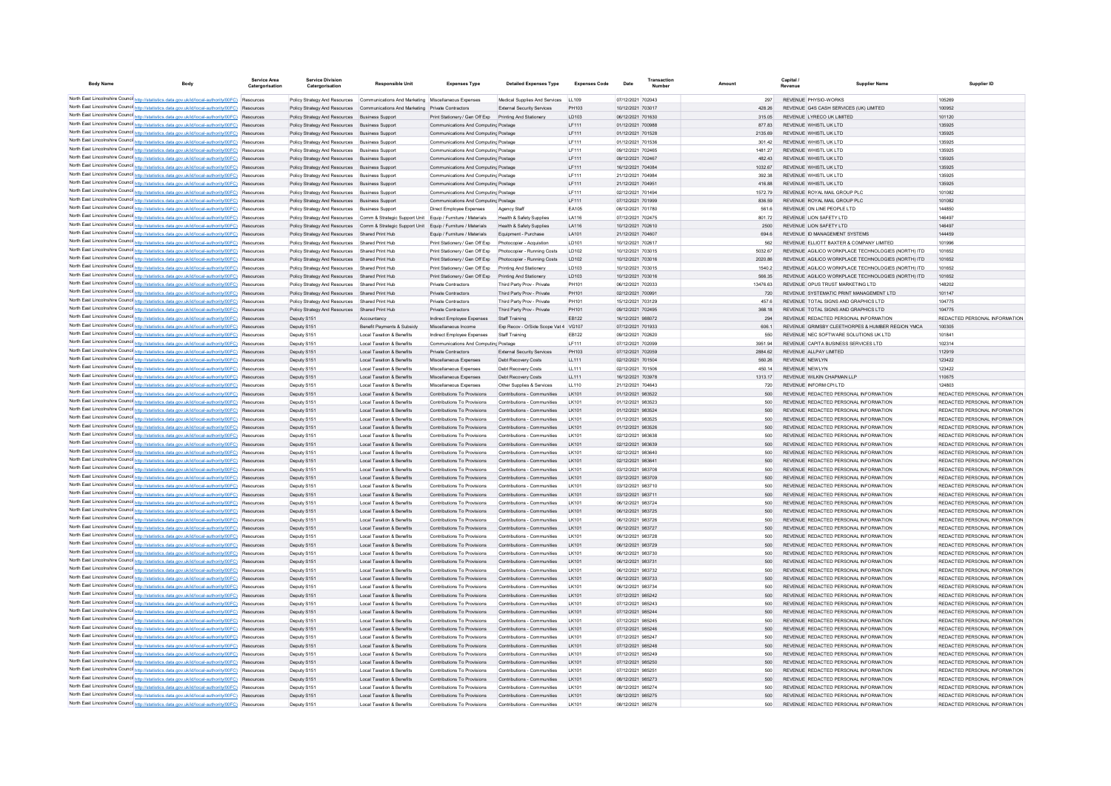| <b>Body Name</b> |                                                                                                                                                                                                    | Service Area<br>Catergorisation | <b>Service Division</b><br>Catergorisation                     | <b>Responsible Unit</b>                                                           | <b>Expenses Type</b>                                                         | <b>Detailed Expenses Type</b>                              | <b>Expenses Code</b> | Date                                   | Transaction |                   | Capital<br>Revenu | <b>Supplier Name</b>                                                                      | Supplier ID                                                    |
|------------------|----------------------------------------------------------------------------------------------------------------------------------------------------------------------------------------------------|---------------------------------|----------------------------------------------------------------|-----------------------------------------------------------------------------------|------------------------------------------------------------------------------|------------------------------------------------------------|----------------------|----------------------------------------|-------------|-------------------|-------------------|-------------------------------------------------------------------------------------------|----------------------------------------------------------------|
|                  | North East Lincolnshire Counci http://statistics.data.gov.uk/id/local-authority/00FC) Resources                                                                                                    |                                 |                                                                | Policy Strategy And Resources Communications And Marketing Miscellaneous Expenses |                                                                              | Medical Supplies And Services LL109                        |                      | 07/12/2021 702043                      |             | 297               |                   | REVENUE PHYSIO-WORKS                                                                      | 105269                                                         |
|                  | North East Lincolnshire Counci http://statistics.data.gov.uk/id/local-authority/00FC) Resources                                                                                                    |                                 | Policy Strategy And Resources                                  | Communications And Marketing Private Contractors                                  |                                                                              | <b>External Security Services</b>                          | PH103                | 10/12/2021 703017                      |             | 428.26            |                   | REVENUE G4S CASH SERVICES (UK) LIMITED                                                    | 100952                                                         |
|                  | North East Lincolnshire Counci http://statistics.data.gov.uk/id/local-authority/00FC) Resources                                                                                                    |                                 | Policy Strategy And Resources                                  | <b>Business Support</b>                                                           | Print Stationery / Gen Off Exp    Printing And Stationery                    |                                                            | LD103                | 06/12/2021 701630                      |             | 315.05            |                   | REVENUE LYRECO UK LIMITED                                                                 | 101120                                                         |
|                  | North East Lincolnshire Counci http://statistics.data.gov.uk/id/local-authority/00FC) Resources                                                                                                    |                                 | Policy Strategy And Resources                                  | <b>Business Support</b>                                                           | Communications And Computing Postage                                         |                                                            | LF111                | 01/12/2021 700988                      |             | 877.83            |                   | REVENUE WHISTL UK LTD                                                                     | 135925                                                         |
|                  | North East Lincolnshire Counci http://statistics.data.gov.uk/id/local-authority/00FC) Resources                                                                                                    |                                 | Policy Strategy And Resources                                  | <b>Business Suppor</b>                                                            | Communications And Computing Postage                                         |                                                            | LF111                | 01/12/2021 701528                      |             | 2135.69           |                   | REVENUE WHISTL UK LTD                                                                     | 135925                                                         |
|                  | North East Lincolnshire Counci http://statistics.data.gov.uk/id/local-authority/00FC) Resources                                                                                                    |                                 | Policy Strategy And Resources                                  | <b>Business Support</b>                                                           | Communications And Computing Postage                                         |                                                            | LF111                | 01/12/2021 701536                      |             | 301.42            |                   | REVENUE WHISTL UK LTD                                                                     | 135925                                                         |
|                  | North East Lincolnshire Counci http://statistics.data.gov.uk/id/local-authority/00FC) Resources<br>North East Lincolnshire Counci http://statistics.data.gov.uk/id/local-authority/00FC) Resources |                                 | Policy Strategy And Resources<br>Policy Strategy And Resources | <b>Business Support</b><br><b>Business Support</b>                                | Communications And Computing Postage<br>Communications And Computing Postage |                                                            | LF111<br>LF111       | 09/12/2021 702465<br>09/12/2021 702467 |             | 1481.27<br>482.43 |                   | REVENUE WHISTL UK LTD<br>REVENUE WHISTL UK LTD                                            | 135925<br>135925                                               |
|                  | North East Lincolnshire Counci http://statistics.data.gov.uk/id/local-authority/00FC) Resources                                                                                                    |                                 | Policy Strategy And Resources                                  | <b>Business Suppor</b>                                                            | Communications And Computing Postage                                         |                                                            | LF111                | 16/12/2021 704084                      |             | 1032.67           |                   | REVENUE WHISTL UK LTD                                                                     | 135925                                                         |
|                  | North East Lincolnshire Counci http://statistics.data.gov.uk/id/local-authority/00FC) Resources                                                                                                    |                                 | Policy Strategy And Resources                                  | <b>Business Suppor</b>                                                            | Communications And Computing Postage                                         |                                                            | LF111                | 21/12/2021 704984                      |             | 392.38            |                   | REVENUE WHISTL UK LTD                                                                     | 135925                                                         |
|                  | North East Lincolnshire Counci http://statistics.data.gov.uk/id/local-authority/00FC) Resources                                                                                                    |                                 | Policy Strategy And Resources                                  | <b>Business Support</b>                                                           | Communications And Computing Postage                                         |                                                            | <b>IF111</b>         | 21/12/2021 704951                      |             | 41688             |                   | REVENUE WHISTLUK LTD                                                                      | 135925                                                         |
|                  | North East Lincolnshire Counci http://statistics.data.gov.uk/id/local-authority/00FC) Resources                                                                                                    |                                 | Policy Strategy And Resources                                  | <b>Business Support</b>                                                           | Communications And Computing Postage                                         |                                                            | <b>IF111</b>         | 02/12/2021 701494                      |             | 1572 79           |                   | REVENUE ROYAL MAIL GROUP PLC.                                                             | 101082                                                         |
|                  | North East Lincolnshire Counci http://statistics.data.gov.uk/id/local-authority/00FC) Resources                                                                                                    |                                 | Policy Strategy And Resources                                  | <b>Business Support</b>                                                           | Communications And Computing Postage                                         |                                                            | LF111                | 07/12/2021 701999                      |             | 836.59            |                   | REVENUE ROYAL MAIL GROUP PLC                                                              | 101082                                                         |
|                  | North East Lincolnshire Counci http://statistics.data.gov.uk/id/local-authority/00FC) Resources                                                                                                    |                                 | Policy Strategy And Resources                                  | <b>Business Support</b>                                                           | Direct Employee Expenses                                                     | Agency Staff                                               | EA105                | 08/12/2021 701780                      |             | 561.6             |                   | REVENUE ON LINE PEOPLE LTD                                                                | 144850                                                         |
|                  | North East Lincolnshire Counci http://statistics.data.gov.uk/id/local-authority/00FC) Resources                                                                                                    |                                 | Policy Strategy And Resources                                  | Comm & Strategic Support Unit Equip / Furniture / Materials                       |                                                                              | <b>Health &amp; Safety Supplies</b>                        | LA116                | 07/12/2021 702475                      |             | 801.72            |                   | REVENUE LION SAFETY LTD                                                                   | 146497                                                         |
|                  | North East Lincolnshire Counci http://statistics.data.gov.uk/id/local-authority/00FC) Resources<br>North East Lincolnshire Counci http://statistics.data.gov.uk/id/local-authority/00FC) Resources |                                 | Policy Strategy And Resources                                  | Comm & Strategic Support Unit Equip / Furniture / Materials<br>Shared Print Hub   | Equip / Furniture / Materials                                                | Health & Safety Supplies<br>Equipment - Purchase           | LA116<br>LA101       | 10/12/2021 702610<br>21/12/2021 704607 |             | 2500<br>694.6     |                   | REVENUE LION SAFETY LTD<br>REVENUE ID MANAGEMENT SYSTEMS                                  | 146497<br>144459                                               |
|                  | North East Lincolnshire Counci http://statistics.data.gov.uk/id/local-authority/00FC) Resources                                                                                                    |                                 | Policy Strategy And Resources<br>Policy Strategy And Resources | Shared Print Hub                                                                  | Print Stationery / Gen Off Exp                                               | Photocopier - Acquistion                                   | LD101                | 10/12/2021 702617                      |             | 562               |                   | REVENUE ELLIOTT BAXTER & COMPANY LIMITED                                                  | 101996                                                         |
|                  | North East Lincolnshire Counci http://statistics.data.gov.uk/id/local-authority/00FC) Resources                                                                                                    |                                 | Policy Strategy And Resources                                  | Shared Print Hub                                                                  | Print Stationery / Gen Off Exp                                               | Photocopier - Running Costs                                | LD102                | 10/12/2021 703015                      |             | 5032.67           |                   | REVENUE AGILICO WORKPLACE TECHNOLOGIES (NORTH) ITD                                        | 101652                                                         |
|                  | North East Lincolnshire Counci http://statistics.data.gov.uk/id/local-authority/00FC) Resources                                                                                                    |                                 | Policy Strategy And Resources                                  | Shared Print Hub                                                                  | Print Stationery / Gen Off Exp                                               | Photocopier - Running Costs                                | LD102                | 10/12/2021 703016                      |             | 2020.86           |                   | REVENUE AGILICO WORKPLACE TECHNOLOGIES (NORTH) ITD                                        | 101652                                                         |
|                  | North East Lincolnshire Counci http://statistics.data.gov.uk/id/local-authority/00FC) Resources                                                                                                    |                                 | Policy Strategy And Resources                                  | Shared Print Hub                                                                  | Print Stationery / Gen Off Exp                                               | Printing And Stationery                                    | LD103                | 10/12/2021 703015                      |             | 1540.2            |                   | REVENUE AGILICO WORKPLACE TECHNOLOGIES (NORTH) ITD                                        | 101652                                                         |
|                  | North East Lincolnshire Counci http://statistics.data.gov.uk/id/local-authority/00FC) Resources                                                                                                    |                                 | Policy Strategy And Resources                                  | Shared Print Hub                                                                  | Print Stationery / Gen Off Exp                                               | Printing And Stationery                                    | LD103                | 10/12/2021 703016                      |             | 566.35            |                   | REVENUE AGILICO WORKPLACE TECHNOLOGIES (NORTH) ITD                                        | 101652                                                         |
|                  | North East Lincolnshire Counci http://statistics.data.gov.uk/id/local-authority/00FC) Resources                                                                                                    |                                 | Policy Strategy And Resources                                  | Shared Print Hub                                                                  | <b>Private Contractors</b>                                                   | Third Party Prov - Private                                 | PH101                | 06/12/2021 702033                      |             | 13476.63          |                   | REVENUE OPUS TRUST MARKETING LTD                                                          | 148202                                                         |
|                  | North East Lincolnshire Counci http://statistics.data.gov.uk/id/local-authority/00FC) Resources                                                                                                    |                                 | Policy Strategy And Resources                                  | Shared Print Hub                                                                  | <b>Private Contractors</b>                                                   | Third Party Prov - Private                                 | PH101                | 02/12/2021 700991                      |             | 720               |                   | REVENUE SYSTEMATIC PRINT MANAGEMENT LTD                                                   | 101147                                                         |
|                  | North East Lincolnshire Counci http://statistics.data.gov.uk/id/local-authority/00FC) Resources                                                                                                    |                                 | Policy Strategy And Resources                                  | Shared Print Hub                                                                  | <b>Private Contractors</b>                                                   | Third Party Prov - Private                                 | PH101                | 15/12/2021 703129                      |             | 457.6             |                   | REVENUE TOTAL SIGNS AND GRAPHICS LTD                                                      | 104775                                                         |
|                  | North East Lincolnshire Counci http://statistics.data.gov.uk/id/local-authority/00FC) Resources                                                                                                    |                                 | Policy Strategy And Resources                                  | Shared Print Hub                                                                  | <b>Private Contractors</b>                                                   | Third Party Prov - Private                                 | PH101                | 09/12/2021 702495                      |             | 368.18            |                   | REVENUE TOTAL SIGNS AND GRAPHICS LTD                                                      | 104775                                                         |
|                  | North East Lincolnshire Counci http://statistics.data.gov.uk/id/local-authority/00FC) Resources<br>North East Lincolnshire Counci http://statistics.data.gov.uk/id/local-authority/00FC) Resources |                                 | Deputy S151                                                    | Accountancy<br>Benefit Payments & Subsidy                                         | Indirect Employee Expenses                                                   | Staff Training<br>Exp Recov - O/Side Scope Vat 4 VG107     | EB122                | 16/12/2021 988072<br>07/12/2021 701933 |             | 294<br>606.1      |                   | REVENUE REDACTED PERSONAL INFORMATION<br>REVENUE GRIMSBY CLEETHORPES & HUMBER REGION YMCA | REDACTED PERSONAL INFORMATION<br>100305                        |
|                  | North East Lincolnshire Counci http://statistics.data.gov.uk/id/local-authority/00FC) Resources                                                                                                    |                                 | Deputy S151<br>Deputy S15                                      | <b>Local Taxation &amp; Benefits</b>                                              | Miscellaneous Income<br>Indirect Employee Expenses                           | <b>Staff Training</b>                                      | EB122                | 09/12/2021 702620                      |             | 550               |                   | REVENUE NEC SOFTWARE SOLUTIONS UK LTD                                                     | 101841                                                         |
|                  | North East Lincolnshire Counci http://statistics.data.gov.uk/id/local-authority/00FC) Resources                                                                                                    |                                 | Deputy S15                                                     | <b>Local Taxation &amp; Benefits</b>                                              | Communications And Computing Postage                                         |                                                            | LF111                | 07/12/2021 702099                      |             | 3951.94           |                   | REVENUE CAPITA BUSINESS SERVICES LTD                                                      | 102314                                                         |
|                  | North East Lincolnshire Counci http://statistics.data.gov.uk/id/local-authority/00FC) Resources                                                                                                    |                                 | Deputy S151                                                    | <b>Local Taxation &amp; Benefits</b>                                              | <b>Private Contractors</b>                                                   | <b>External Security Services</b>                          | PH103                | 07/12/2021 702059                      |             | 2884.62           |                   | REVENUE ALLPAY LIMITED                                                                    | 112919                                                         |
|                  | North East Lincolnshire Counci http://statistics.data.gov.uk/id/local-authority/00FC) Resources                                                                                                    |                                 | Deputy S151                                                    | <b>Local Taxation &amp; Benefits</b>                                              | Miscellaneous Expenses                                                       | Debt Recovery Costs                                        | LL111                | 02/12/2021 701504                      |             | 560.26            |                   | REVENUE NEWLYN                                                                            | 123422                                                         |
|                  | North East Lincolnshire Counci http://statistics.data.gov.uk/id/local-authority/00FC) Resources                                                                                                    |                                 | Deputy S15                                                     | <b>Local Taxation &amp; Benefits</b>                                              | Miscellaneous Expenses                                                       | Debt Recovery Costs                                        | LL111                | 02/12/2021 701506                      |             | 450.14            |                   | <b>REVENUE NEWLYN</b>                                                                     | 123422                                                         |
|                  | North East Lincolnshire Counci http://statistics.data.gov.uk/id/local-authority/00FC) Resources                                                                                                    |                                 | Deputy S151                                                    | <b>Local Taxation &amp; Benefits</b>                                              | Miscellaneous Expenses                                                       | Debt Recovery Costs                                        | LL111                | 16/12/2021 703978                      |             | 1313.17           |                   | REVENUE WILKIN CHAPMAN LLP                                                                | 110675                                                         |
|                  | North East Lincolnshire Counci http://statistics.data.gov.uk/id/local-authority/00FC) Resources                                                                                                    |                                 | Deputy S151                                                    | <b>Local Taxation &amp; Benefits</b>                                              | Miscellaneous Expenses                                                       | Other Supplies & Services                                  | LL110                | 21/12/2021 704643                      |             | 720               |                   | REVENUE INFORM CPI LTD                                                                    | 124803                                                         |
|                  | North East Lincolnshire Counci http://statistics.data.gov.uk/id/local-authority/00FC) Resources                                                                                                    |                                 | Deputy S151                                                    | <b>Local Taxation &amp; Benefits</b>                                              | Contributions To Provisions                                                  | Contributions - Communities                                | LK101                | 01/12/2021 983522                      |             | 500               |                   | REVENUE REDACTED PERSONAL INFORMATION                                                     | REDACTED PERSONAL INFORMATION                                  |
|                  | North East Lincolnshire Counci http://statistics.data.gov.uk/id/local-authority/00FC) Resources                                                                                                    |                                 | Deputy S151                                                    | <b>Local Taxation &amp; Benefits</b>                                              | Contributions To Provisions                                                  | Contributions - Communities                                | LK101                | 01/12/2021 983523                      |             | 500               |                   | REVENUE REDACTED PERSONAL INFORMATION                                                     | REDACTED PERSONAL INFORMATION                                  |
|                  | North East Lincolnshire Counci http://statistics.data.gov.uk/id/local-authority/00FC) Resources<br>North East Lincolnshire Counci http://statistics.data.gov.uk/id/local-authority/00FC) Resources |                                 | Deputy S151<br>Deputy S15                                      | <b>Local Taxation &amp; Benefits</b><br><b>Local Taxation &amp; Benefits</b>      | Contributions To Provisions<br>Contributions To Provisions                   | Contributions - Communities<br>Contributions - Communities | LK101<br>LK101       | 01/12/2021 983524<br>01/12/2021 983525 |             | 500<br>500        |                   | REVENUE REDACTED PERSONAL INFORMATION<br>REVENUE REDACTED PERSONAL INFORMATION            | REDACTED PERSONAL INFORMATION<br>REDACTED PERSONAL INFORMATION |
|                  | North East Lincolnshire Counci http://statistics.data.gov.uk/id/local-authority/00FC) Resources                                                                                                    |                                 | Deputy S151                                                    | Local Taxation & Benefits                                                         | Contributions To Provisions                                                  | Contributions - Communities                                | LK101                | 01/12/2021 983526                      |             | 500               |                   | REVENUE REDACTED PERSONAL INFORMATION                                                     | REDACTED PERSONAL INFORMATION                                  |
|                  | North East Lincolnshire Counci http://statistics.data.gov.uk/id/local-authority/00FC) Resources                                                                                                    |                                 | Deputy S151                                                    | <b>Local Taxation &amp; Benefits</b>                                              | Contributions To Provisions                                                  | Contributions - Communities                                | LK101                | 02/12/2021 983638                      |             | 500               |                   | REVENUE REDACTED PERSONAL INFORMATION                                                     | REDACTED PERSONAL INFORMATION                                  |
|                  | North East Lincolnshire Counci http://statistics.data.gov.uk/id/local-authority/00FC) Resources                                                                                                    |                                 | Deputy S151                                                    | Local Taxation & Benefits                                                         | Contributions To Provisions                                                  | Contributions - Communities                                | LK101                | 02/12/2021 983639                      |             | 500               |                   | REVENUE REDACTED PERSONAL INFORMATION                                                     | REDACTED PERSONAL INFORMATION                                  |
|                  | North East Lincolnshire Counci http://statistics.data.gov.uk/id/local-authority/00FC) Resources                                                                                                    |                                 | Deputy S151                                                    | <b>Local Taxation &amp; Benefits</b>                                              | Contributions To Provisions                                                  | Contributions - Communities                                | LK101                | 02/12/2021 983640                      |             | 500               |                   | REVENUE REDACTED PERSONAL INFORMATION                                                     | REDACTED PERSONAL INFORMATION                                  |
|                  | North East Lincolnshire Counci http://statistics.data.gov.uk/id/local-authority/00FC) Resources                                                                                                    |                                 | Deputy S151                                                    | <b>Local Taxation &amp; Benefits</b>                                              | Contributions To Provisions                                                  | Contributions - Communities                                | LK101                | 02/12/2021 983641                      |             | 500               |                   | REVENUE REDACTED PERSONAL INFORMATION                                                     | REDACTED PERSONAL INFORMATION                                  |
|                  | North East Lincolnshire Counci http://statistics.data.gov.uk/id/local-authority/00FC) Resources                                                                                                    |                                 | Deputy S151                                                    | <b>Local Taxation &amp; Benefits</b>                                              | Contributions To Provisions                                                  | Contributions - Communities                                | LK101                | 03/12/2021 983708                      |             | 500               |                   | REVENUE REDACTED PERSONAL INFORMATION                                                     | REDACTED PERSONAL INFORMATION                                  |
|                  | North East Lincolnshire Counci http://statistics.data.gov.uk/id/local-authority/00FC) Resources                                                                                                    |                                 | Deputy S151                                                    | <b>Local Taxation &amp; Benefits</b>                                              | Contributions To Provisions                                                  | Contributions - Communities                                | LK101                | 03/12/2021 983709                      |             | 500               |                   | REVENUE REDACTED PERSONAL INFORMATION                                                     | REDACTED PERSONAL INFORMATION                                  |
|                  | North East Lincolnshire Counci http://statistics.data.gov.uk/id/local-authority/00FC) Resources                                                                                                    |                                 | Deputy S151                                                    | <b>Local Taxation &amp; Benefits</b>                                              | Contributions To Provisions                                                  | Contributions - Communities                                | LK101                | 03/12/2021 983710                      |             | 500               |                   | REVENUE REDACTED PERSONAL INFORMATION                                                     | REDACTED PERSONAL INFORMATION                                  |
|                  | North East Lincolnshire Counci http://statistics.data.gov.uk/id/local-authority/00FC) Resources<br>North East Lincolnshire Counci http://statistics.data.gov.uk/id/local-authority/00FC) Resources |                                 | Deputy S151<br>Deputy S151                                     | <b>Local Taxation &amp; Benefits</b><br><b>Local Taxation &amp; Benefits</b>      | Contributions To Provisions<br>Contributions To Provisions                   | Contributions - Communities<br>Contributions - Communities | LK101<br>LK101       | 03/12/2021 983711<br>06/12/2021 983724 |             | 500<br>500        |                   | REVENUE REDACTED PERSONAL INFORMATION<br>REVENUE REDACTED PERSONAL INFORMATION            | REDACTED PERSONAL INFORMATION<br>REDACTED PERSONAL INFORMATION |
|                  | North East Lincolnshire Counci http://statistics.data.gov.uk/id/local-authority/00FC) Resources                                                                                                    |                                 | Deputy S151                                                    | <b>Local Taxation &amp; Benefits</b>                                              | Contributions To Provisions                                                  | Contributions - Communities                                | LK101                | 06/12/2021 983725                      |             | 500               |                   | REVENUE REDACTED PERSONAL INFORMATION                                                     | REDACTED PERSONAL INFORMATION                                  |
|                  | North East Lincolnshire Counci http://statistics.data.gov.uk/id/local-authority/00FC) Resources                                                                                                    |                                 | Deputy S151                                                    | <b>Local Taxation &amp; Benefits</b>                                              | Contributions To Provisions                                                  | Contributions - Communities                                | LK101                | 06/12/2021 983726                      |             | 500               |                   | REVENUE REDACTED PERSONAL INFORMATION                                                     | REDACTED PERSONAL INFORMATION                                  |
|                  | North East Lincolnshire Counci http://statistics.data.gov.uk/id/local-authority/00FC) Resources                                                                                                    |                                 | Deputy S151                                                    | <b>Local Taxation &amp; Benefits</b>                                              | Contributions To Provisions                                                  | Contributions - Communities                                | LK101                | 06/12/2021 983727                      |             | 500               |                   | REVENUE REDACTED PERSONAL INFORMATION                                                     | REDACTED PERSONAL INFORMATION                                  |
|                  | North East Lincolnshire Counci http://statistics.data.gov.uk/id/local-authority/00FC) Resources                                                                                                    |                                 | Deputy S151                                                    | <b>Local Taxation &amp; Benefits</b>                                              | Contributions To Provisions                                                  | Contributions - Communities                                | LK101                | 06/12/2021 983728                      |             | 500               |                   | REVENUE REDACTED PERSONAL INFORMATION                                                     | REDACTED PERSONAL INFORMATION                                  |
|                  | North East Lincolnshire Counci http://statistics.data.gov.uk/id/local-authority/00FC) Resources                                                                                                    |                                 | Deputy S151                                                    | <b>Local Taxation &amp; Benefits</b>                                              | Contributions To Provisions                                                  | Contributions - Communities                                | LK101                | 06/12/2021 983729                      |             | 500               |                   | REVENUE REDACTED PERSONAL INFORMATION                                                     | REDACTED PERSONAL INFORMATION                                  |
|                  | North East Lincolnshire Counci http://statistics.data.gov.uk/id/local-authority/00FC) Resources                                                                                                    |                                 | Deputy S151                                                    | <b>Local Taxation &amp; Benefits</b>                                              | Contributions To Provisions                                                  | Contributions - Communities                                | LK101                | 06/12/2021 983730                      |             | 500               |                   | REVENUE REDACTED PERSONAL INFORMATION                                                     | REDACTED PERSONAL INFORMATION                                  |
|                  | North East Lincolnshire Counci http://statistics.data.gov.uk/id/local-authority/00FC) Resources                                                                                                    |                                 | Deputy S151                                                    | <b>Local Taxation &amp; Benefits</b>                                              | Contributions To Provisions                                                  | Contributions - Communities                                | LK101                | 06/12/2021 983731                      |             | 500               |                   | REVENUE REDACTED PERSONAL INFORMATION                                                     | REDACTED PERSONAL INFORMATION                                  |
|                  | North East Lincolnshire Counci http://statistics.data.gov.uk/id/local-authority/00FC) Resources                                                                                                    |                                 | Deputy S151                                                    | <b>Local Taxation &amp; Benefits</b>                                              | Contributions To Provisions                                                  | Contributions - Communities                                | LK101                | 06/12/2021 983732                      |             | 500               |                   | REVENUE REDACTED PERSONAL INFORMATION                                                     | REDACTED PERSONAL INFORMATION                                  |
|                  | North East Lincolnshire Counci http://statistics.data.gov.uk/id/local-authority/00FC) Resources                                                                                                    |                                 | Deputy S151                                                    | <b>Local Taxation &amp; Benefits</b>                                              | Contributions To Provisions                                                  | Contributions - Communities                                | LK101                | 06/12/2021 983733                      |             | 500               |                   | REVENUE REDACTED PERSONAL INFORMATION                                                     | REDACTED PERSONAL INFORMATION                                  |
|                  | North East Lincolnshire Counci http://statistics.data.gov.uk/id/local-authority/00FC) Resources<br>North East Lincolnshire Counci http://statistics.data.gov.uk/id/local-authority/00FC) Resources |                                 | Deputy S151                                                    | <b>Local Taxation &amp; Benefits</b><br><b>Local Taxation &amp; Benefits</b>      | Contributions To Provisions<br>Contributions To Provisions                   | Contributions - Communities<br>Contributions - Communities | LK101<br>LK101       | 06/12/2021 983734<br>07/12/2021 985242 |             | 500<br>500        |                   | REVENUE REDACTED PERSONAL INFORMATION<br>REVENUE REDACTED PERSONAL INFORMATION            | REDACTED PERSONAL INFORMATION<br>REDACTED PERSONAL INFORMATION |
|                  | North East Lincolnshire Counci http://statistics.data.gov.uk/id/local-authority/00FC) Resources                                                                                                    |                                 | Deputy S151<br>Deputy S151                                     | <b>Local Taxation &amp; Benefits</b>                                              | Contributions To Provisions                                                  | Contributions - Communities                                | LK101                | 07/12/2021 985243                      |             | 500               |                   | REVENUE REDACTED PERSONAL INFORMATION                                                     | REDACTED PERSONAL INFORMATION                                  |
|                  | North East Lincolnshire Counci http://statistics.data.gov.uk/id/local-authority/00FC).                                                                                                             | Resourcer                       | Deputy S151                                                    | <b>Local Taxation &amp; Benefits</b>                                              | Contributions To Provisions                                                  | Contributions - Communities                                | LK101                | 07/12/2021 985244                      |             | 500               |                   | REVENUE REDACTED PERSONAL INFORMATION                                                     | REDACTED PERSONAL INFORMATION                                  |
|                  | North East Lincolnshire Counci http://statistics.data.gov.uk/id/local-authority/00FC) Resources                                                                                                    |                                 | Deputy S151                                                    | <b>Local Taxation &amp; Benefits</b>                                              | Contributions To Provisions                                                  | Contributions - Communities                                | LK101                | 07/12/2021 985245                      |             | 500               |                   | REVENUE REDACTED PERSONAL INFORMATION                                                     | REDACTED PERSONAL INFORMATION                                  |
|                  | North East Lincolnshire Counci http://statistics.data.gov.uk/id/local-authority/00FC) Resources                                                                                                    |                                 | Deputy S151                                                    | <b>Local Taxation &amp; Benefits</b>                                              | Contributions To Provisions                                                  | Contributions - Communities                                | LK101                | 07/12/2021 985246                      |             | 500               |                   | REVENUE REDACTED PERSONAL INFORMATION                                                     | REDACTED PERSONAL INFORMATION                                  |
|                  | North East Lincolnshire Counci http://statistics.data.gov.uk/id/local-authority/00FC) Resources                                                                                                    |                                 | Deputy S151                                                    | <b>Local Taxation &amp; Benefits</b>                                              | Contributions To Provisions                                                  | Contributions - Communities                                | LK101                | 07/12/2021 985247                      |             | 500               |                   | REVENUE REDACTED PERSONAL INFORMATION                                                     | REDACTED PERSONAL INFORMATION                                  |
|                  | North East Lincolnshire Council http://statistics.data.gov.uk/id/local-authority/00FC) Resources                                                                                                   |                                 | Deputy S151                                                    | <b>Local Taxation &amp; Benefits</b>                                              | Contributions To Provisions                                                  | Contributions - Communities                                | LK101                | 07/12/2021 985248                      |             | 500               |                   | REVENUE REDACTED PERSONAL INFORMATION                                                     | REDACTED PERSONAL INFORMATION                                  |
|                  | North East Lincolnshire Council http://statistics.data.gov.uk/id/local-authority/00FC) Resources                                                                                                   |                                 | Deputy S151                                                    | <b>Local Taxation &amp; Benefits</b>                                              | Contributions To Provisions                                                  | Contributions - Communities                                | LK101                | 07/12/2021 985249                      |             | 500               |                   | REVENUE REDACTED PERSONAL INFORMATION                                                     | REDACTED PERSONAL INFORMATION                                  |
|                  | North East Lincolnshire Counci http://statistics.data.gov.uk/id/local-authority/00FC) Resources                                                                                                    |                                 | Deputy S151                                                    | <b>Local Taxation &amp; Benefits</b>                                              | Contributions To Provisions                                                  | Contributions - Communities                                | LK101                | 07/12/2021 985250                      |             | 500               |                   | REVENUE REDACTED PERSONAL INFORMATION                                                     | REDACTED PERSONAL INFORMATION                                  |
|                  | North East Lincolnshire Counci http://statistics.data.gov.uk/id/local-authority/00FC) Resources                                                                                                    |                                 | Deputy S15                                                     | <b>Local Taxation &amp; Benefits</b>                                              | Contributions To Provisions                                                  | Contributions - Communities                                | I K101               | 07/12/2021 985251                      |             | 500               |                   | REVENUE REDACTED PERSONAL INFORMATION                                                     | REDACTED PERSONAL INFORMATION                                  |
|                  | North East Lincolnshire Counci http://statistics.data.gov.uk/id/local-authority/00FC) Resources<br>North East Lincolnshire Counci http://statistics.data.gov.uk/id/local-authority/00FC) Resources |                                 | Deputy S151<br>Deputy S15                                      | <b>Local Taxation &amp; Benefits</b><br>Local Taxation & Benefits                 | Contributions To Provisions<br>Contributions To Provisions                   | Contributions - Communities<br>Contributions - Communities | LK101<br>I K101      | 08/12/2021 985273<br>08/12/2021 985274 |             | 500<br>500        |                   | REVENUE REDACTED PERSONAL INFORMATION<br>REVENUE REDACTED PERSONAL INFORMATION            | REDACTED PERSONAL INFORMATION<br>REDACTED PERSONAL INFORMATION |
|                  | North East Lincolnshire Counci http://statistics.data.gov.uk/id/local-authority/00FC) Resources                                                                                                    |                                 | Deputy S151                                                    | <b>Local Taxation &amp; Benefits</b>                                              | Contributions To Provisions                                                  | Contributions - Communities                                | LK101                | 08/12/2021 985275                      |             | 500               |                   | REVENUE REDACTED PERSONAL INFORMATION                                                     | REDACTED PERSONAL INFORMATION                                  |
|                  | North East Lincolnshire Counci http://statistics.data.gov.uk/id/local-authority/00FC) Resources                                                                                                    |                                 | Deputy S15                                                     | Local Taxation & Benefits                                                         | Contributions To Provisions                                                  | Contributions - Communities                                | LK101                | 08/12/2021 985276                      |             | 500               |                   | REVENUE REDACTED PERSONAL INFORMATION                                                     | REDACTED PERSONAL INFORMATION                                  |
|                  |                                                                                                                                                                                                    |                                 |                                                                |                                                                                   |                                                                              |                                                            |                      |                                        |             |                   |                   |                                                                                           |                                                                |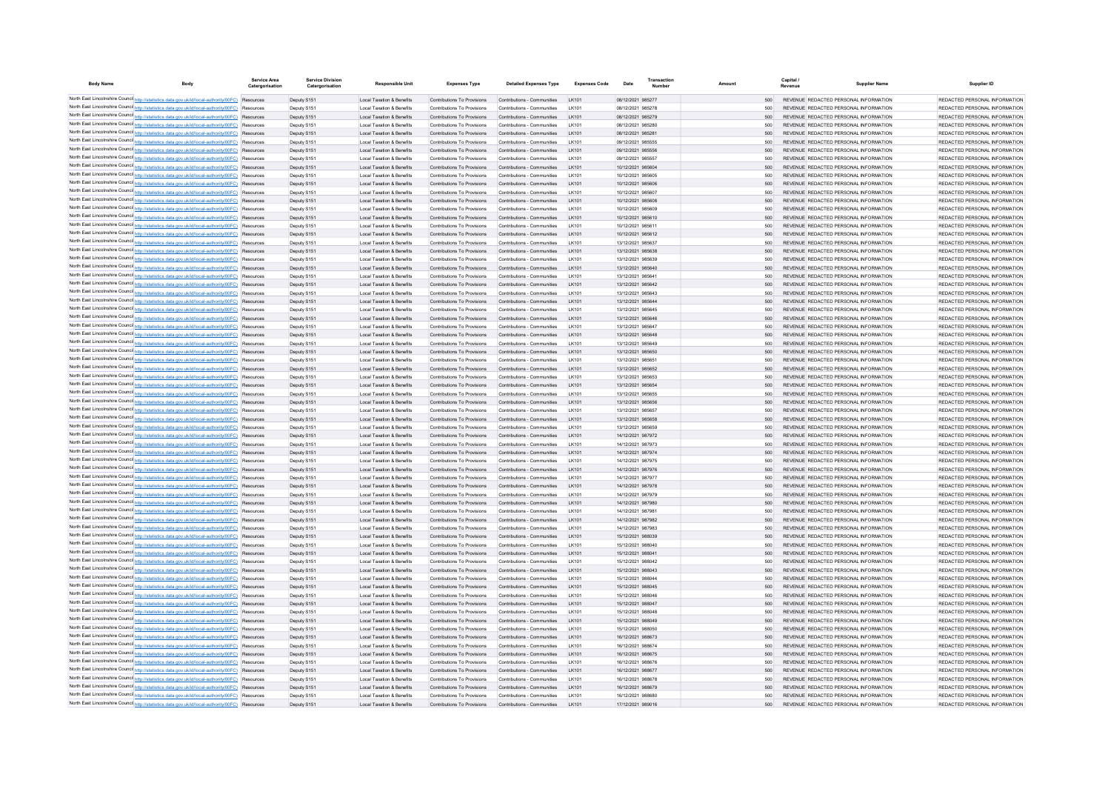| <b>Body Name</b> | Body                                                                                                                                                                                               | Service Area<br>Catergorisation | <b>Service Division</b><br>Catergorisation | <b>Responsible Uni</b>                                                       | <b>Expenses Type</b>                                       | <b>Detailed Expenses Type</b>                              | <b>Expenses Code</b>                              | Date                                   |                | Capital<br>Revenue | <b>Supplier Name</b>                                                           | Supplier ID                                                    |
|------------------|----------------------------------------------------------------------------------------------------------------------------------------------------------------------------------------------------|---------------------------------|--------------------------------------------|------------------------------------------------------------------------------|------------------------------------------------------------|------------------------------------------------------------|---------------------------------------------------|----------------------------------------|----------------|--------------------|--------------------------------------------------------------------------------|----------------------------------------------------------------|
|                  | North East Lincolnshire Counci http://statistics.data.gov.uk/id/local-authority/00FC) Resources                                                                                                    |                                 | Deputy S151                                | <b>Local Taxation &amp; Benefits</b>                                         | Contributions To Provisions                                | Contributions - Communities                                | LK101                                             | 08/12/2021 985277                      | 500            |                    | REVENUE REDACTED PERSONAL INFORMATION                                          | REDACTED PERSONAL INFORMATION                                  |
|                  | North East Lincolnshire Counci http://statistics.data.gov.uk/id/local-authority/00FC) Resources                                                                                                    |                                 | Deputy S151                                | <b>Local Taxation &amp; Benefits</b>                                         | Contributions To Provisions                                | Contributions - Communities                                | LK101                                             | 08/12/2021 985278                      | 500            |                    | REVENUE REDACTED PERSONAL INFORMATION                                          | REDACTED PERSONAL INFORMATION                                  |
|                  | North East Lincolnshire Counci http://statistics.data.gov.uk/id/local-authority/00FC)                                                                                                              | Resources                       | Deputy S151                                | Local Taxation & Benefits                                                    | Contributions To Provisions                                | Contributions - Communities                                | LK101                                             | 08/12/2021 985279                      | 500            |                    | REVENUE REDACTED PERSONAL INFORMATION                                          | REDACTED PERSONAL INFORMATION                                  |
|                  | North East Lincolnshire Counci http://statistics.data.gov.uk/id/local-authority/00FC) Resources                                                                                                    |                                 | Deputy S151                                | Local Taxation & Benefits                                                    | Contributions To Provisions                                | Contributions - Communities                                | LK101                                             | 08/12/2021 985280                      | 500            |                    | REVENUE REDACTED PERSONAL INFORMATION                                          | REDACTED PERSONAL INFORMATION                                  |
|                  | North East Lincolnshire Counci http://statistics.data.gov.uk/id/local-authority/00FC)                                                                                                              | Resources                       | Deputy S151                                | Local Taxation & Benefits                                                    | Contributions To Provisions                                | Contributions - Communities                                | LK101                                             | 08/12/2021 985281                      | 500            |                    | REVENUE REDACTED PERSONAL INFORMATION                                          | REDACTED PERSONAL INFORMATION                                  |
|                  | North East Lincolnshire Counci http://statistics.data.gov.uk/id/local-authority/00FC) Resources<br>North East Lincolnshire Counci http://statistics.data.gov.uk/id/local-authority/00FC) Resources |                                 | Deputy S151<br>Deputy S151                 | Local Taxation & Benefits<br>Local Taxation & Benefits                       | Contributions To Provisions<br>Contributions To Provisions | Contributions - Communities<br>Contributions - Communities | LK101<br>LK101                                    | 09/12/2021 985555<br>09/12/2021 985556 | 500<br>500     |                    | REVENUE REDACTED PERSONAL INFORMATION<br>REVENUE REDACTED PERSONAL INFORMATION | REDACTED PERSONAL INFORMATION<br>REDACTED PERSONAL INFORMATION |
|                  | North East Lincolnshire Counci http://statistics.data.gov.uk/id/local-authority/00FC) Resources                                                                                                    |                                 | Deputy S151                                | Local Taxation & Benefits                                                    | Contributions To Provisions                                | Contributions - Communities                                | LK101                                             | 09/12/2021 985557                      | 500            |                    | REVENUE REDACTED PERSONAL INFORMATION                                          | REDACTED PERSONAL INFORMATION                                  |
|                  | North East Lincolnshire Counci http://statistics.data.gov.uk/id/local-authority/00FC) Resources                                                                                                    |                                 | Deputy S151                                | Local Taxation & Benefits                                                    | Contributions To Provisions                                | Contributions - Communities                                | LK101                                             | 10/12/2021 985604                      | 500            |                    | REVENUE REDACTED PERSONAL INFORMATION                                          | REDACTED PERSONAL INFORMATION                                  |
|                  | North East Lincolnshire Counci http://statistics.data.gov.uk/id/local-authority/00FC) Resources                                                                                                    |                                 | Deputy S151                                | Local Taxation & Benefits                                                    | Contributions To Provisions                                | Contributions - Communities                                | LK101                                             | 10/12/2021 985605                      | 500            |                    | REVENUE REDACTED PERSONAL INFORMATION                                          | REDACTED PERSONAL INFORMATION                                  |
|                  | North East Lincolnshire Counci http://statistics.data.gov.uk/id/local-authority/00FC) Resources                                                                                                    |                                 | Deputy S151                                | Local Taxation & Benefits                                                    | Contributions To Provisions                                | Contributions - Communities                                | LK10                                              | 10/12/2021 985606                      | 500            |                    | REVENUE REDACTED PERSONAL INFORMATION                                          | REDACTED PERSONAL INFORMATION                                  |
|                  | North East Lincolnshire Counci http://statistics.data.gov.uk/id/local-authority/00FC) Resources                                                                                                    |                                 | Deputy S15                                 | Local Taxation & Benefits                                                    | Contributions To Provisions                                | Contributions - Communities                                | LK101                                             | 10/12/2021 985607                      | 500            |                    | REVENUE REDACTED PERSONAL INFORMATION                                          | REDACTED PERSONAL INFORMATION                                  |
|                  | North East Lincolnshire Counci http://statistics.data.gov.uk/id/local-authority/00FC)                                                                                                              | Resource                        | Deputy S151                                | Local Taxation & Benefits                                                    | Contributions To Provisions                                | Contributions - Communities                                |                                                   | 10/12/2021 985608                      | 500            |                    | REVENUE REDACTED PERSONAL INFORMATION                                          | REDACTED PERSONAL INFORMATION                                  |
|                  | North East Lincolnshire Counci http://statistics.data.gov.uk/id/local-authority/00FC) Resources                                                                                                    |                                 | Deputy S15                                 | Local Taxation & Benefits                                                    | Contributions To Provisions                                | Contributions - Communities                                | LK101                                             | 10/12/2021 985609                      | 500            |                    | REVENUE REDACTED PERSONAL INFORMATION                                          | REDACTED PERSONAL INFORMATION                                  |
|                  | North East Lincolnshire Counci http://statistics.data.gov.uk/id/local-authority/00FC)                                                                                                              | Resource                        | Deputy S151                                | Local Taxation & Benefits                                                    | Contributions To Provisions                                | Contributions - Communities                                |                                                   | 10/12/2021 985610                      | 500            |                    | REVENUE REDACTED PERSONAL INFORMATION                                          | REDACTED PERSONAL INFORMATION                                  |
|                  | North East Lincolnshire Counci http://statistics.data.gov.uk/id/local-authority/00FC)                                                                                                              | Resource                        | Deputy S15                                 | Local Taxation & Benefits                                                    | Contributions To Provisions                                | Contributions - Communities                                | LK101                                             | 10/12/2021 985611                      | 500            |                    | REVENUE REDACTED PERSONAL INFORMATION                                          | REDACTED PERSONAL INFORMATION                                  |
|                  | North East Lincolnshire Counci http://statistics.data.gov.uk/id/local-authority/00FC)<br>North East Lincolnshire Counci http://statistics.data.gov.uk/id/local-authority/00FC)                     | Resource<br>Resource            | Deputy S151<br>Deputy S15                  | Local Taxation & Benefits<br>Local Taxation & Benefits                       | Contributions To Provisions<br>Contributions To Provisions | Contributions - Communities<br>Contributions - Communities | LK101                                             | 10/12/2021 985612<br>13/12/2021 985637 | 500<br>500     |                    | REVENUE REDACTED PERSONAL INFORMATION<br>REVENUE REDACTED PERSONAL INFORMATION | REDACTED PERSONAL INFORMATION<br>REDACTED PERSONAL INFORMATION |
|                  | North East Lincolnshire Counci http://statistics.data.gov.uk/id/local-authority/00FC)                                                                                                              | Resource                        | Deputy S15                                 | Local Taxation & Benefits                                                    | Contributions To Provisions                                | Contributions - Communities                                |                                                   | 13/12/2021 985638                      | 500            |                    | REVENUE REDACTED PERSONAL INFORMATION                                          | REDACTED PERSONAL INFORMATION                                  |
|                  | North East Lincolnshire Counci http://statistics.data.gov.uk/id/local-authority/00FC)                                                                                                              | Resource                        | Deputy S15                                 | Local Taxation & Benefits                                                    | Contributions To Provisions                                | Contributions - Communities                                | LK101                                             | 13/12/2021 985639                      | 500            |                    | REVENUE REDACTED PERSONAL INFORMATION                                          | REDACTED PERSONAL INFORMATION                                  |
|                  | North East Lincolnshire Counci http://statistics.data.gov.uk/id/local-authority/00FC)                                                                                                              | Resource                        | Deputy S15                                 | Local Taxation & Benefits                                                    | Contributions To Provisions                                | Contributions - Communities                                |                                                   | 13/12/2021 985640                      | 500            |                    | REVENUE REDACTED PERSONAL INFORMATION                                          | REDACTED PERSONAL INFORMATION                                  |
|                  | North East Lincolnshire Counci http://statistics.data.gov.uk/id/local-authority/00FC)                                                                                                              | Resource                        | Deputy S15                                 | Local Taxation & Benefits                                                    | Contributions To Provisions                                | Contributions - Communities                                | LK101                                             | 13/12/2021 985641                      | 500            |                    | REVENUE REDACTED PERSONAL INFORMATION                                          | REDACTED PERSONAL INFORMATION                                  |
|                  | North East Lincolnshire Counci http://statistics.data.gov.uk/id/local-authority/00FC)                                                                                                              | Resource                        | Deputy S15                                 | Local Taxation & Benefits                                                    | Contributions To Provisions                                | Contributions - Communities                                |                                                   | 13/12/2021 985642                      | 500            |                    | REVENUE REDACTED PERSONAL INFORMATION                                          | REDACTED PERSONAL INFORMATION                                  |
|                  | North East Lincolnshire Counci http://statistics.data.gov.uk/id/local-authority/00FC)                                                                                                              | Resource                        | Deputy S15                                 | Local Taxation & Benefits                                                    | Contributions To Provisions                                | Contributions - Communities                                | LK101                                             | 13/12/2021 985643                      | 500            |                    | REVENUE REDACTED PERSONAL INFORMATION                                          | REDACTED PERSONAL INFORMATION                                  |
|                  | North East Lincolnshire Counci http://statistics.data.gov.uk/id/local-authority/00FC)                                                                                                              | Resource                        | Deputy S15                                 | Local Taxation & Benefits                                                    | Contributions To Provisions                                | Contributions - Communities                                | LK101                                             | 13/12/2021 985644                      | 500            |                    | REVENUE REDACTED PERSONAL INFORMATION                                          | REDACTED PERSONAL INFORMATION                                  |
|                  | North East Lincolnshire Counci http://statistics.data.gov.uk/id/local-authority/00FC)                                                                                                              | Resource                        | Deputy S15                                 | Local Taxation & Benefits                                                    | Contributions To Provisions                                | Contributions - Communities                                | LK101                                             | 13/12/2021 985645                      | 500            |                    | REVENUE REDACTED PERSONAL INFORMATION                                          | REDACTED PERSONAL INFORMATION                                  |
|                  | North East Lincolnshire Counci http://statistics.data.gov.uk/id/local-authority/00FC)                                                                                                              | Resource                        | Deputy S15                                 | Local Taxation & Benefits                                                    | Contributions To Provisions                                | Contributions - Communities                                | LK101                                             | 13/12/2021 985646                      | 500            |                    | REVENUE REDACTED PERSONAL INFORMATION                                          | REDACTED PERSONAL INFORMATION                                  |
|                  | North East Lincolnshire Counci http://statistics.data.gov.uk/id/local-authority/00FC)                                                                                                              | Resource                        | Deputy S15                                 | Local Taxation & Benefits                                                    | Contributions To Provisions                                | Contributions - Communities                                | LK101                                             | 13/12/2021 985647                      | 500            |                    | REVENUE REDACTED PERSONAL INFORMATION                                          | REDACTED PERSONAL INFORMATION                                  |
|                  | North East Lincolnshire Counci http://statistics.data.gov.uk/id/local-authority/00FC)                                                                                                              | Resourcer                       | Deputy S15                                 | Local Taxation & Benefits                                                    | Contributions To Provisions                                | Contributions - Communities                                | LK101                                             | 13/12/2021 985648                      | 500            |                    | REVENUE REDACTED PERSONAL INFORMATION                                          | REDACTED PERSONAL INFORMATION                                  |
|                  | North East Lincolnshire Counci http://statistics.data.gov.uk/id/local-authority/00FC)<br>North East Lincolnshire Counci http://statistics.data.gov.uk/id/local-authority/00FC)                     | Resource<br>Resourcer           | Deputy S15<br>Deputy S15                   | Local Taxation & Benefits<br>Local Taxation & Benefits                       | Contributions To Provisions<br>Contributions To Provisions | Contributions - Communities<br>Contributions - Communities | LK101<br>LK101                                    | 13/12/2021 985649<br>13/12/2021 985650 | 500<br>500     |                    | REVENUE REDACTED PERSONAL INFORMATION<br>REVENUE REDACTED PERSONAL INFORMATION | REDACTED PERSONAL INFORMATION<br>REDACTED PERSONAL INFORMATION |
|                  | North East Lincolnshire Counci http://statistics.data.gov.uk/id/local-authority/00FC)                                                                                                              | Resource                        | Deputy S15                                 | Local Taxation & Benefits                                                    | Contributions To Provisions                                | Contributions - Communities                                | LK101                                             | 13/12/2021 985651                      | 500            |                    | REVENUE REDACTED PERSONAL INFORMATION                                          | REDACTED PERSONAL INFORMATION                                  |
|                  | North East Lincolnshire Counci http://statistics.data.gov.uk/id/local-authority/00FC)                                                                                                              | Resourcer                       | Deputy S15                                 | Local Taxation & Benefits                                                    | Contributions To Provisions                                | Contributions - Communities                                | LK101                                             | 13/12/2021 985652                      | 500            |                    | REVENUE REDACTED PERSONAL INFORMATION                                          | REDACTED PERSONAL INFORMATION                                  |
|                  | North East Lincolnshire Counci http://statistics.data.gov.uk/id/local-authority/00FC) Resources                                                                                                    |                                 | Deputy S15                                 | Local Taxation & Benefits                                                    | Contributions To Provisions                                | Contributions - Communities                                | LK101                                             | 13/12/2021 985653                      | 500            |                    | REVENUE REDACTED PERSONAL INFORMATION                                          | REDACTED PERSONAL INFORMATION                                  |
|                  | North East Lincolnshire Council http://statistics.data.gov.uk/id/local-authority/00FC) Resources                                                                                                   |                                 | Deputy S15                                 | Local Taxation & Benefits                                                    | Contributions To Provisions                                | Contributions - Communities                                | LK101                                             | 13/12/2021 985654                      | 500            |                    | REVENUE REDACTED PERSONAL INFORMATION                                          | REDACTED PERSONAL INFORMATION                                  |
|                  | North East Lincolnshire Counci http://statistics.data.gov.uk/id/local-authority/00FC) Resources                                                                                                    |                                 | Deputy S15                                 | Local Taxation & Benefits                                                    | Contributions To Provisions                                | Contributions - Communities                                | LK101                                             | 13/12/2021 985655                      | 500            |                    | REVENUE REDACTED PERSONAL INFORMATION                                          | REDACTED PERSONAL INFORMATION                                  |
|                  | North East Lincolnshire Council http://statistics.data.gov.uk/id/local-authority/00FC) Resources                                                                                                   |                                 | Deputy S15                                 | Local Taxation & Benefits                                                    | Contributions To Provisions                                | Contributions - Communities                                | LK101                                             | 13/12/2021 985656                      | 500            |                    | REVENUE REDACTED PERSONAL INFORMATION                                          | REDACTED PERSONAL INFORMATION                                  |
|                  | North East Lincolnshire Counci http://statistics.data.gov.uk/id/local-authority/00FC) Resources                                                                                                    |                                 | Deputy S15                                 | Local Taxation & Benefits                                                    | Contributions To Provisions                                | Contributions - Communities                                | LK101                                             | 13/12/2021 985657                      | 500            |                    | REVENUE REDACTED PERSONAL INFORMATION                                          | REDACTED PERSONAL INFORMATION                                  |
|                  | North East Lincolnshire Counci http://statistics.data.gov.uk/id/local-authority/00FC) Resources<br>North East Lincolnshire Counci http://statistics.data.gov.uk/id/local-authority/00FC) Resources |                                 | Deputy S151<br>Deputy S15                  | Local Taxation & Benefits<br>Local Taxation & Benefits                       | Contributions To Provisions<br>Contributions To Provisions | Contributions - Communities<br>Contributions - Communities | LK101<br>I K101                                   | 13/12/2021 985658<br>13/12/2021 985659 | 500<br>500     |                    | REVENUE REDACTED PERSONAL INFORMATION<br>REVENUE REDACTED PERSONAL INFORMATION | REDACTED PERSONAL INFORMATION<br>REDACTED PERSONAL INFORMATION |
|                  | North East Lincolnshire Counci http://statistics.data.gov.uk/id/local-authority/00FC) Resources                                                                                                    |                                 | Deputy S151                                | <b>Local Taxation &amp; Benefits</b>                                         | Contributions To Provisions                                | Contributions - Communities                                | LK101                                             | 14/12/2021 987972                      | 500            |                    | REVENUE REDACTED PERSONAL INFORMATION                                          | REDACTED PERSONAL INFORMATION                                  |
|                  | North East Lincolnshire Counci http://statistics.data.gov.uk/id/local-authority/00FC) Resources                                                                                                    |                                 | Deputy S15                                 | Local Taxation & Benefits                                                    | Contributions To Provisions                                | Contributions - Communities                                | I K101                                            | 14/12/2021 987973                      | 500            |                    | REVENUE REDACTED PERSONAL INFORMATION                                          | REDACTED PERSONAL INFORMATION                                  |
|                  | North East Lincolnshire Counci http://statistics.data.gov.uk/id/local-authority/00FC) Resources                                                                                                    |                                 | Deputy S151                                | <b>Local Taxation &amp; Benefits</b>                                         | Contributions To Provisions                                | Contributions - Communities                                | LK101                                             | 14/12/2021 987974                      | 500            |                    | REVENUE REDACTED PERSONAL INFORMATION                                          | REDACTED PERSONAL INFORMATION                                  |
|                  | North East Lincolnshire Counci http://statistics.data.gov.uk/id/local-authority/00FC) Resources                                                                                                    |                                 | Deputy S15                                 | Local Taxation & Benefits                                                    | Contributions To Provisions                                | Contributions - Communities                                | I K101                                            | 14/12/2021 987975                      | 500            |                    | REVENUE REDACTED PERSONAL INFORMATION                                          | REDACTED PERSONAL INFORMATION                                  |
|                  | North East Lincolnshire Counci http://statistics.data.gov.uk/id/local-authority/00FC) Resources                                                                                                    |                                 | Deputy S151                                | <b>Local Taxation &amp; Benefits</b>                                         | Contributions To Provisions                                | Contributions - Communities                                | LK101                                             | 14/12/2021 987976                      | 500            |                    | REVENUE REDACTED PERSONAL INFORMATION                                          | REDACTED PERSONAL INFORMATION                                  |
|                  | North East Lincolnshire Counci http://statistics.data.gov.uk/id/local-authority/00FC) Resources                                                                                                    |                                 | Deputy S15                                 | Local Taxation & Benefits                                                    | Contributions To Provisions                                | Contributions - Communities                                | I K101                                            | 14/12/2021 987977                      | 500            |                    | REVENUE REDACTED PERSONAL INFORMATION                                          | REDACTED PERSONAL INFORMATION                                  |
|                  | North East Lincolnshire Counci http://statistics.data.gov.uk/id/local-authority/00FC) Resources                                                                                                    |                                 | Deputy S151                                | Local Taxation & Benefits                                                    | Contributions To Provisions                                | Contributions - Communities                                | LK101                                             | 14/12/2021 987978                      | 500            |                    | REVENUE REDACTED PERSONAL INFORMATION                                          | REDACTED PERSONAL INFORMATION                                  |
|                  | North East Lincolnshire Counci http://statistics.data.gov.uk/id/local-authority/00FC) Resources                                                                                                    |                                 | Deputy S15                                 | Local Taxation & Benefits                                                    | Contributions To Provisions                                | Contributions - Communities                                | I K101                                            | 14/12/2021 987979                      | 500            |                    | REVENUE REDACTED PERSONAL INFORMATION                                          | REDACTED PERSONAL INFORMATION                                  |
|                  | North East Lincolnshire Counci http://statistics.data.gov.uk/id/local-authority/00FC) Resources                                                                                                    |                                 | Deputy S151                                | Local Taxation & Benefits                                                    | Contributions To Provisions                                | Contributions - Communities<br>Contributions - Communities | I K101                                            | 14/12/2021 987980                      | 500            |                    | REVENUE REDACTED PERSONAL INFORMATION                                          | REDACTED PERSONAL INFORMATION<br>REDACTED PERSONAL INFORMATION |
|                  | North East Lincolnshire Counci http://statistics.data.gov.uk/id/local-authority/00FC) Resources<br>North East Lincolnshire Counci http://statistics.data.gov.uk/id/local-authority/00FC) Resources |                                 | Deputy S15<br>Deputy S15                   | Local Taxation & Benefits<br><b>Local Taxation &amp; Benefits</b>            | Contributions To Provisions<br>Contributions To Provisions | Contributions - Communities                                | I K101<br>I K101                                  | 14/12/2021 987981<br>14/12/2021 987982 | 500<br>500     |                    | REVENUE REDACTED PERSONAL INFORMATION<br>REVENUE REDACTED PERSONAL INFORMATION | REDACTED PERSONAL INFORMATION                                  |
|                  | North East Lincolnshire Counci http://statistics.data.gov.uk/id/local-authority/00FC) Resources                                                                                                    |                                 | Deputy S15                                 | Local Taxation & Benefits                                                    | Contributions To Provisions                                | Contributions - Communities                                | I K101                                            | 14/12/2021 987983                      | 500            |                    | REVENUE REDACTED PERSONAL INFORMATION                                          | REDACTED PERSONAL INFORMATION                                  |
|                  | North East Lincolnshire Counci http://statistics.data.gov.uk/id/local-authority/00FC) Resources                                                                                                    |                                 | Deputy S15                                 | <b>Local Taxation &amp; Benefits</b>                                         | Contributions To Provisions                                | Contributions - Communities                                | I K101                                            | 15/12/2021 988039                      | 500            |                    | REVENUE REDACTED PERSONAL INFORMATION                                          | REDACTED PERSONAL INFORMATION                                  |
|                  | North East Lincolnshire Counci http://statistics.data.gov.uk/id/local-authority/00FC) Resources                                                                                                    |                                 | Deputy S15                                 | <b>Local Taxation &amp; Benefits</b>                                         | Contributions To Provisions                                | Contributions - Communities                                | I K101                                            | 15/12/2021 988040                      | 500            |                    | REVENUE REDACTED PERSONAL INFORMATION                                          | REDACTED PERSONAL INFORMATION                                  |
|                  | North East Lincolnshire Counci http://statistics.data.gov.uk/id/local-authority/00FC) Resources                                                                                                    |                                 | Deputy S15                                 | <b>Local Taxation &amp; Benefits</b>                                         | Contributions To Provisions                                | Contributions - Communities                                | <b>IK101</b>                                      | 15/12/2021 988041                      | 500            |                    | REVENUE REDACTED PERSONAL INFORMATION                                          | REDACTED PERSONAL INFORMATION                                  |
|                  | North East Lincolnshire Counci http://statistics.data.gov.uk/id/local-authority/00FC) Resources                                                                                                    |                                 | Deputy S15                                 | <b>Local Taxation &amp; Benefits</b>                                         | Contributions To Provisions                                | Contributions - Communities                                | I K101                                            | 15/12/2021 988042                      | 500            |                    | REVENUE REDACTED PERSONAL INFORMATION                                          | REDACTED PERSONAL INFORMATION                                  |
|                  | North East Lincolnshire Counci http://statistics.data.gov.uk/id/local-authority/00FC) Resources                                                                                                    |                                 | Deputy S15                                 | <b>Local Taxation &amp; Benefits</b>                                         | Contributions To Provisions                                | Contributions - Communities                                | <b>IK101</b>                                      | 15/12/2021 988043                      | 500            |                    | REVENUE REDACTED PERSONAL INFORMATION                                          | REDACTED PERSONAL INFORMATION                                  |
|                  | North East Lincolnshire Counci http://statistics.data.gov.uk/id/local-authority/00FC) Resources                                                                                                    |                                 | Deputy S15                                 | <b>Local Taxation &amp; Benefits</b>                                         | Contributions To Provisions                                | Contributions - Communities                                | <b>IK101</b>                                      | 15/12/2021 988044                      | 500            |                    | REVENUE REDACTED PERSONAL INFORMATION                                          | REDACTED PERSONAL INFORMATION                                  |
|                  | North East Lincolnshire Counci http://statistics.data.gov.uk/id/local-authority/00FC) Resources                                                                                                    |                                 | Deputy S15                                 | <b>Local Taxation &amp; Benefits</b>                                         | Contributions To Provisions                                | Contributions - Communities                                | <b>IK101</b>                                      | 15/12/2021 988045                      | 500            |                    | REVENUE REDACTED PERSONAL INFORMATION                                          | REDACTED PERSONAL INFORMATION                                  |
|                  | North East Lincolnshire Counci http://statistics.data.gov.uk/id/local-authority/00FC) Resources<br>North East Lincolnshire Counci http://statistics.data.gov.uk/id/local-authority/00FC) Resources |                                 | Deputy S15                                 | <b>Local Taxation &amp; Benefits</b>                                         | Contributions To Provisions                                | Contributions - Communities                                | <b>IK101</b><br><b>IK101</b>                      | 15/12/2021 988046                      | 500            |                    | REVENUE REDACTED PERSONAL INFORMATION                                          | REDACTED PERSONAL INFORMATION<br>REDACTED PERSONAL INFORMATION |
|                  | North East Lincolnshire Counci http://statistics.data.gov.uk/id/local-authority/00FC) Resources                                                                                                    |                                 | Deputy S15<br>Deputy S15                   | <b>Local Taxation &amp; Benefits</b><br><b>Local Taxation &amp; Benefits</b> | Contributions To Provisions<br>Contributions To Provisions | Contributions - Communities<br>Contributions - Communities | <b>IK101</b>                                      | 15/12/2021 988047<br>15/12/2021 988048 | 500<br>500     |                    | REVENUE REDACTED PERSONAL INFORMATION<br>REVENUE REDACTED PERSONAL INFORMATION | REDACTED PERSONAL INFORMATION                                  |
|                  | North East Lincolnshire Council http://statistics.data.gov.uk/id/local-authority/00FC) Resources                                                                                                   |                                 | Deputy S15                                 | <b>Local Taxation &amp; Benefits</b>                                         | Contributions To Provisions                                | Contributions - Communities                                | <b>IK101</b>                                      | 15/12/2021 988049                      | 500            |                    | REVENUE REDACTED PERSONAL INFORMATION                                          | REDACTED PERSONAL INFORMATION                                  |
|                  | North East Lincolnshire Counci http://statistics.data.gov.uk/id/local-authority/00FC) Resources                                                                                                    |                                 | Deputy S15                                 | <b>Local Taxation &amp; Benefits</b>                                         | Contributions To Provisions                                | Contributions - Communities                                | <b>IK101</b>                                      | 15/12/2021 988050                      | 500            |                    | REVENUE REDACTED PERSONAL INFORMATION                                          | REDACTED PERSONAL INFORMATION                                  |
|                  | North East Lincolnshire Council http://statistics.data.gov.uk/id/local-authority/00FC) Resources                                                                                                   |                                 | Deputy S151                                | <b>Local Taxation &amp; Benefits</b>                                         | Contributions To Provisions                                | Contributions - Communities                                | <b>IK101</b>                                      | 16/12/2021 988673                      | 500            |                    | REVENUE REDACTED PERSONAL INFORMATION                                          | REDACTED PERSONAL INFORMATION                                  |
|                  | North East Lincolnshire Counci http://statistics.data.gov.uk/id/local-authority/00FC) Resources                                                                                                    |                                 | Deputy S15                                 | <b>Local Taxation &amp; Benefits</b>                                         | Contributions To Provisions                                | Contributions - Communities                                | <b>IK101</b>                                      | 16/12/2021 988674                      | 500            |                    | REVENUE REDACTED PERSONAL INFORMATION                                          | REDACTED PERSONAL INFORMATION                                  |
|                  | North East Lincolnshire Council http://statistics.data.gov.uk/id/local-authority/00FC) Resources                                                                                                   |                                 | Deputy S15                                 | <b>Local Taxation &amp; Benefits</b>                                         | Contributions To Provisions                                | Contributions - Communities                                | <b>IK101</b>                                      | 16/12/2021 988675                      | 500            |                    | REVENUE REDACTED PERSONAL INFORMATION                                          | REDACTED PERSONAL INFORMATION                                  |
|                  | North East Lincolnshire Counci http://statistics.data.gov.uk/id/local-authority/00FC) Resources                                                                                                    |                                 | Deputy S15                                 | <b>Local Taxation &amp; Benefits</b>                                         | Contributions To Provisions                                | Contributions - Communities                                | I K101                                            | 16/12/2021 988676                      | 500            |                    | REVENUE REDACTED PERSONAL INFORMATION                                          | REDACTED PERSONAL INFORMATION                                  |
|                  | North East Lincolnshire Counci http://statistics.data.gov.uk/id/local-authority/00FC) Resources                                                                                                    |                                 | Deputy S151                                | <b>Local Taxation &amp; Benefits</b>                                         | Contributions To Provisions                                | Contributions - Communities                                | I K101                                            | 16/12/2021 988677                      | 500            |                    | REVENUE REDACTED PERSONAL INFORMATION                                          | REDACTED PERSONAL INFORMATION                                  |
|                  | North East Lincolnshire Counci http://statistics.data.gov.uk/id/local-authority/00FC) Resources                                                                                                    |                                 | Deputy S15                                 | <b>Local Taxation &amp; Benefits</b>                                         | Contributions To Provisions                                | Contributions - Communities                                | $1$ K <sub>10</sub> <sup><math>\cdot</math></sup> | 16/12/2021 988678                      | 500            |                    | REVENUE REDACTED PERSONAL INFORMATION                                          | REDACTED PERSONAL INFORMATION                                  |
|                  | North East Lincolnshire Counci http://statistics.data.gov.uk/id/local-authority/00FC) Resources<br>North East Lincolnshire Counci http://statistics.data.gov.uk/id/local-authority/00FC) Resources |                                 | Deputy S151<br>Deputy S151                 | <b>Local Taxation &amp; Benefits</b><br><b>Local Taxation &amp; Benefits</b> | Contributions To Provisions<br>Contributions To Provisions | Contributions - Communities<br>Contributions - Communities | I K101<br>IK10'                                   | 16/12/2021 988679<br>16/12/2021 988680 | 500<br>$500 -$ |                    | REVENUE REDACTED PERSONAL INFORMATION<br>REVENUE REDACTED PERSONAL INFORMATION | REDACTED PERSONAL INFORMATION<br>REDACTED PERSONAL INFORMATION |
|                  | North East Lincolnshire Counci http://statistics.data.gov.uk/id/local-authority/00FC) Resources                                                                                                    |                                 | Deputy S151                                | <b>Local Taxation &amp; Benefits</b>                                         | Contributions To Provisions                                | Contributions - Communities                                |                                                   | 17/12/2021 989016                      | $500 -$        |                    | REVENUE REDACTED PERSONAL INFORMATION                                          | REDACTED PERSONAL INFORMATION                                  |
|                  |                                                                                                                                                                                                    |                                 |                                            |                                                                              |                                                            |                                                            |                                                   |                                        |                |                    |                                                                                |                                                                |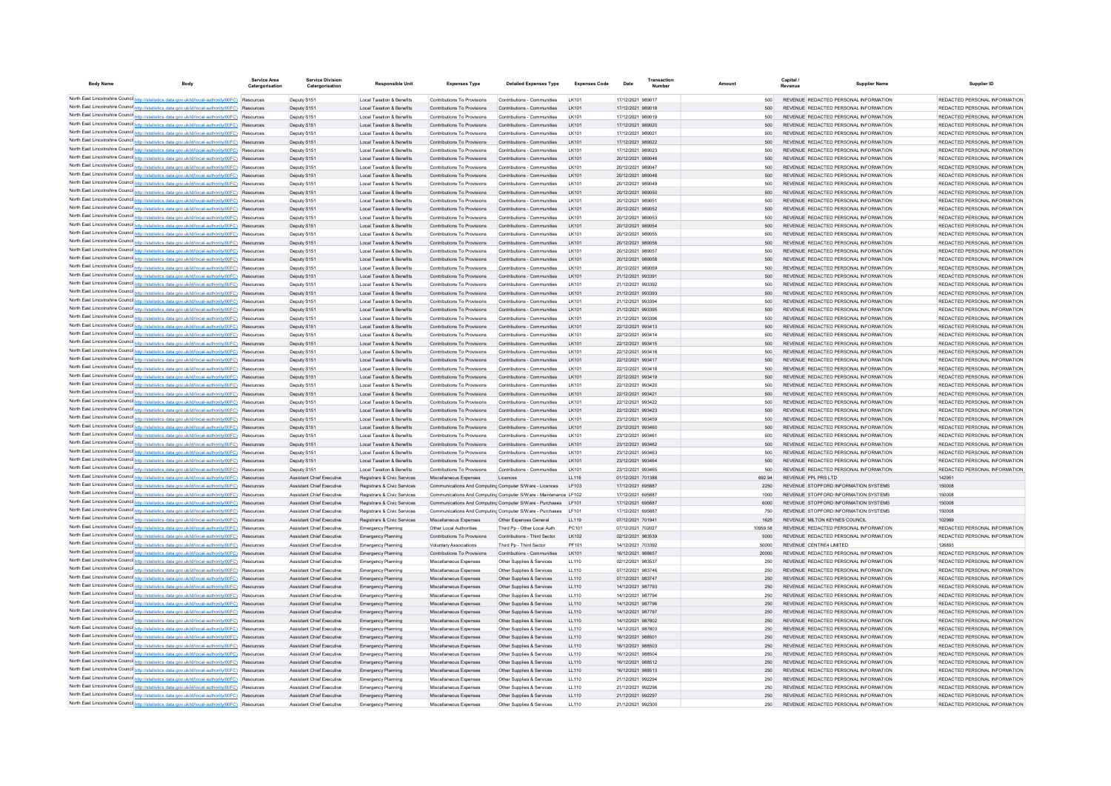| <b>Body Name</b> | Body                                                                                                                                                                                                | Service Area<br>Catergorisation | <b>Service Division</b><br>Catergorisation                    | <b>Responsible Uni</b>                                     | <b>Expenses Type</b>                                       | <b>Detailed Expenses Type</b>                                    | <b>Expenses Code</b> | Date                                   |              | Capital /<br>Revenue | <b>Supplier Name</b>                                                           | Supplier ID                                                    |
|------------------|-----------------------------------------------------------------------------------------------------------------------------------------------------------------------------------------------------|---------------------------------|---------------------------------------------------------------|------------------------------------------------------------|------------------------------------------------------------|------------------------------------------------------------------|----------------------|----------------------------------------|--------------|----------------------|--------------------------------------------------------------------------------|----------------------------------------------------------------|
|                  | North East Lincolnshire Counci http://statistics.data.gov.uk/id/local-authority/00FC) Resources                                                                                                     |                                 | Deputy S151                                                   | <b>Local Taxation &amp; Benefits</b>                       | Contributions To Provisions                                | Contributions - Communities                                      | LK101                | 17/12/2021 989017                      | 500          |                      | REVENUE REDACTED PERSONAL INFORMATION                                          | REDACTED PERSONAL INFORMATION                                  |
|                  | North East Lincolnshire Counci http://statistics.data.gov.uk/id/local-authority/00FC) Resources                                                                                                     |                                 | Deputy S151                                                   | Local Taxation & Benefits                                  | Contributions To Provisions                                | Contributions - Communities                                      | LK101                | 17/12/2021 989018                      | 500          |                      | REVENUE REDACTED PERSONAL INFORMATION                                          | REDACTED PERSONAL INFORMATION                                  |
|                  | North East Lincolnshire Counci http://statistics.data.gov.uk/id/local-authority/00FC) Resources                                                                                                     |                                 | Deputy S151                                                   | Local Taxation & Benefits                                  | Contributions To Provisions                                | Contributions - Communities                                      | LK101                | 17/12/2021 989019                      | 500          |                      | REVENUE REDACTED PERSONAL INFORMATION                                          | REDACTED PERSONAL INFORMATION                                  |
|                  | North East Lincolnshire Counci http://statistics.data.gov.uk/id/local-authority/00FC) Resources                                                                                                     |                                 | Deputy S151                                                   | Local Taxation & Benefits                                  | Contributions To Provisions                                | Contributions - Communities                                      | LK101                | 17/12/2021 989020                      | 500          |                      | REVENUE REDACTED PERSONAL INFORMATION                                          | REDACTED PERSONAL INFORMATION                                  |
|                  | North East Lincolnshire Counci http://statistics.data.gov.uk/id/local-authority/00FC) Resources<br>North East Lincolnshire Counci http://statistics.data.gov.uk/id/local-authority/00FC) Resources  |                                 | Deputy S151<br>Deputy S151                                    | Local Taxation & Benefits<br>Local Taxation & Benefits     | Contributions To Provisions<br>Contributions To Provisions | Contributions - Communities<br>Contributions - Communities       | LK101<br>LK101       | 17/12/2021 989021<br>17/12/2021 989022 | 500<br>500   |                      | REVENUE REDACTED PERSONAL INFORMATION<br>REVENUE REDACTED PERSONAL INFORMATION | REDACTED PERSONAL INFORMATION<br>REDACTED PERSONAL INFORMATION |
|                  | North East Lincolnshire Counci http://statistics.data.gov.uk/id/local-authority/00FC) Resources                                                                                                     |                                 | Deputy S151                                                   | Local Taxation & Benefits                                  | Contributions To Provisions                                | Contributions - Communities                                      | LK101                | 17/12/2021 989023                      | 500          |                      | REVENUE REDACTED PERSONAL INFORMATION                                          | REDACTED PERSONAL INFORMATION                                  |
|                  | North East Lincolnshire Counci http://statistics.data.gov.uk/id/local-authority/00FC) Resources                                                                                                     |                                 | Deputy S151                                                   | Local Taxation & Benefits                                  | Contributions To Provisions                                | Contributions - Communities                                      | LK101                | 20/12/2021 989046                      | 500          |                      | REVENUE REDACTED PERSONAL INFORMATION                                          | REDACTED PERSONAL INFORMATION                                  |
|                  | North East Lincolnshire Counci http://statistics.data.gov.uk/id/local-authority/00FC) Resources                                                                                                     |                                 | Deputy S151                                                   | <b>Local Taxation &amp; Benefits</b>                       | Contributions To Provisions                                | Contributions - Communities                                      | LK101                | 20/12/2021 989047                      | 500          |                      | REVENUE REDACTED PERSONAL INFORMATION                                          | REDACTED PERSONAL INFORMATION                                  |
|                  | North East Lincolnshire Counci http://statistics.data.gov.uk/id/local-authority/00FC) Resources                                                                                                     |                                 | Deputy S151                                                   | Local Taxation & Benefits                                  | Contributions To Provisions                                | Contributions - Communities                                      | LK101                | 20/12/2021 989048                      | 500          |                      | REVENUE REDACTED PERSONAL INFORMATION                                          | REDACTED PERSONAL INFORMATION                                  |
|                  | North East Lincolnshire Counci http://statistics.data.gov.uk/id/local-authority/00FC) Resources                                                                                                     |                                 | Deputy S15                                                    | Local Taxation & Benefits                                  | Contributions To Provisions                                | Contributions - Communities                                      | LK101                | 20/12/2021 989049                      | 500          |                      | REVENUE REDACTED PERSONAL INFORMATION                                          | REDACTED PERSONAL INFORMATION                                  |
|                  | North East Lincolnshire Counci http://statistics.data.gov.uk/id/local-authority/00FC) Resources                                                                                                     |                                 | Deputy S151                                                   | Local Taxation & Benefits                                  | Contributions To Provisions                                | Contributions - Communities                                      | LK101                | 20/12/2021 989050                      | 500          |                      | REVENUE REDACTED PERSONAL INFORMATION                                          | REDACTED PERSONAL INFORMATION                                  |
|                  | North East Lincolnshire Counci http://statistics.data.gov.uk/id/local-authority/00FC) Resources                                                                                                     |                                 | Deputy S15                                                    | Local Taxation & Benefits                                  | Contributions To Provisions                                | Contributions - Communities                                      | LK101                | 20/12/2021 989051                      | 500          |                      | REVENUE REDACTED PERSONAL INFORMATION                                          | REDACTED PERSONAL INFORMATION                                  |
|                  | North East Lincolnshire Counci http://statistics.data.gov.uk/id/local-authority/00FC) Resources                                                                                                     |                                 | Deputy S151                                                   | Local Taxation & Benefits                                  | Contributions To Provisions                                | Contributions - Communities                                      | LK101                | 20/12/2021 989052                      | 500          |                      | REVENUE REDACTED PERSONAL INFORMATION                                          | REDACTED PERSONAL INFORMATION                                  |
|                  | North East Lincolnshire Counci http://statistics.data.gov.uk/id/local-authority/00FC) Resources<br>North East Lincolnshire Counci http://statistics.data.gov.uk/id/local-authority/00FC) Resources  |                                 | Deputy S15<br>Deputy S15                                      | Local Taxation & Benefits<br>Local Taxation & Benefits     | Contributions To Provisions<br>Contributions To Provisions | Contributions - Communities<br>Contributions - Communities       | LK101<br>LK101       | 20/12/2021 989053<br>20/12/2021 989054 | 500<br>500   |                      | REVENUE REDACTED PERSONAL INFORMATION<br>REVENUE REDACTED PERSONAL INFORMATION | REDACTED PERSONAL INFORMATION<br>REDACTED PERSONAL INFORMATION |
|                  | North East Lincolnshire Counci http://statistics.data.gov.uk/id/local-authority/00FC) Resources                                                                                                     |                                 | Deputy S15                                                    | Local Taxation & Benefits                                  | Contributions To Provisions                                | Contributions - Communities                                      | LK101                | 20/12/2021 989055                      | 500          |                      | REVENUE REDACTED PERSONAL INFORMATION                                          | REDACTED PERSONAL INFORMATION                                  |
|                  | North East Lincolnshire Counci http://statistics.data.gov.uk/id/local-authority/00FC)                                                                                                               | Resource                        | Deputy S15                                                    | Local Taxation & Benefits                                  | Contributions To Provisions                                | Contributions - Communities                                      | LK101                | 20/12/2021 989056                      | 500          |                      | REVENUE REDACTED PERSONAL INFORMATION                                          | REDACTED PERSONAL INFORMATION                                  |
|                  | North East Lincolnshire Counci http://statistics.data.gov.uk/id/local-authority/00FC) Resources                                                                                                     |                                 | Deputy S15                                                    | Local Taxation & Benefits                                  | Contributions To Provisions                                | Contributions - Communities                                      | LK101                | 20/12/2021 989057                      | 500          |                      | REVENUE REDACTED PERSONAL INFORMATION                                          | REDACTED PERSONAL INFORMATION                                  |
|                  | North East Lincolnshire Counci http://statistics.data.gov.uk/id/local-authority/00FC)                                                                                                               | Resource                        | Deputy S15                                                    | Local Taxation & Benefits                                  | Contributions To Provisions                                | Contributions - Communities                                      | LK101                | 20/12/2021 989058                      | 500          |                      | REVENUE REDACTED PERSONAL INFORMATION                                          | REDACTED PERSONAL INFORMATION                                  |
|                  | North East Lincolnshire Counci http://statistics.data.gov.uk/id/local-authority/00FC) Resources                                                                                                     |                                 | Deputy S15                                                    | Local Taxation & Benefits                                  | Contributions To Provisions                                | Contributions - Communities                                      | LK101                | 20/12/2021 989059                      | 500          |                      | REVENUE REDACTED PERSONAL INFORMATION                                          | REDACTED PERSONAL INFORMATION                                  |
|                  | North East Lincolnshire Counci http://statistics.data.gov.uk/id/local-authority/00FC)                                                                                                               | Resource                        | Deputy S15                                                    | Local Taxation & Benefits                                  | Contributions To Provisions                                | Contributions - Communities                                      | LK101                | 21/12/2021 993391                      | 500          |                      | REVENUE REDACTED PERSONAL INFORMATION                                          | REDACTED PERSONAL INFORMATION                                  |
|                  | North East Lincolnshire Counci http://statistics.data.gov.uk/id/local-authority/00FC)                                                                                                               | Resource                        | Deputy S15                                                    | Local Taxation & Benefits                                  | Contributions To Provisions                                | Contributions - Communities                                      | LK101                | 21/12/2021 993392                      | 500          |                      | REVENUE REDACTED PERSONAL INFORMATION                                          | REDACTED PERSONAL INFORMATION                                  |
|                  | North East Lincolnshire Counci http://statistics.data.gov.uk/id/local-authority/00FC)                                                                                                               | Resource                        | Deputy S15                                                    | Local Taxation & Benefits                                  | Contributions To Provisions                                | Contributions - Communities                                      | LK101                | 21/12/2021 993393                      | 500          |                      | REVENUE REDACTED PERSONAL INFORMATION                                          | REDACTED PERSONAL INFORMATION                                  |
|                  | North East Lincolnshire Counci http://statistics.data.gov.uk/id/local-authority/00FC) Resources                                                                                                     |                                 | Deputy S15                                                    | Local Taxation & Benefits                                  | Contributions To Provisions                                | Contributions - Communities                                      | LK101                | 21/12/2021 993394                      | 500          |                      | REVENUE REDACTED PERSONAL INFORMATION                                          | REDACTED PERSONAL INFORMATION                                  |
|                  | North East Lincolnshire Counci http://statistics.data.gov.uk/id/local-authority/00FC)<br>North East Lincolnshire Counci http://statistics.data.gov.uk/id/local-authority/00FC)                      | Resource<br>Resource            | Deputy S15<br>Deputy S15                                      | Local Taxation & Benefits<br>Local Taxation & Benefits     | Contributions To Provisions<br>Contributions To Provisions | Contributions - Communities<br>Contributions - Communities       | LK101<br>LK101       | 21/12/2021 993395<br>21/12/2021 993396 | 500<br>500   |                      | REVENUE REDACTED PERSONAL INFORMATION<br>REVENUE REDACTED PERSONAL INFORMATION | REDACTED PERSONAL INFORMATION<br>REDACTED PERSONAL INFORMATION |
|                  | North East Lincolnshire Counci http://statistics.data.gov.uk/id/local-authority/00FC)                                                                                                               | Resource                        | Deputy S15                                                    | Local Taxation & Benefits                                  | Contributions To Provisions                                | Contributions - Communities                                      | LK101                | 22/12/2021 993413                      | 500          |                      | REVENUE REDACTED PERSONAL INFORMATION                                          | REDACTED PERSONAL INFORMATION                                  |
|                  | North East Lincolnshire Council http://statistics.data.gov.uk/id/local-authority/00FC)                                                                                                              | Resource                        | Deputy S15                                                    | Local Taxation & Benefits                                  | Contributions To Provisions                                | Contributions - Communities                                      | LK101                | 22/12/2021 993414                      | 500          |                      | REVENUE REDACTED PERSONAL INFORMATION                                          | REDACTED PERSONAL INFORMATION                                  |
|                  | North East Lincolnshire Counci http://statistics.data.gov.uk/id/local-authority/00FC)                                                                                                               | Resourcer                       | Deputy S15                                                    | Local Taxation & Benefits                                  | Contributions To Provisions                                | Contributions - Communities                                      | LK101                | 22/12/2021 993415                      | 500          |                      | REVENUE REDACTED PERSONAL INFORMATION                                          | REDACTED PERSONAL INFORMATION                                  |
|                  | North East Lincolnshire Counci http://statistics.data.gov.uk/id/local-authority/00FC)                                                                                                               | Resource                        | Deputy S15                                                    | Local Taxation & Benefits                                  | Contributions To Provisions                                | Contributions - Communities                                      | LK101                | 22/12/2021 993416                      | 500          |                      | REVENUE REDACTED PERSONAL INFORMATION                                          | REDACTED PERSONAL INFORMATION                                  |
|                  | North East Lincolnshire Counci http://statistics.data.gov.uk/id/local-authority/00FC)                                                                                                               | Resourcer                       | Deputy S15                                                    | Local Taxation & Benefits                                  | Contributions To Provisions                                | Contributions - Communities                                      | LK101                | 22/12/2021 993417                      | 500          |                      | REVENUE REDACTED PERSONAL INFORMATION                                          | REDACTED PERSONAL INFORMATION                                  |
|                  | North East Lincolnshire Counci http://statistics.data.gov.uk/id/local-authority/00FC)                                                                                                               | Resource                        | Deputy S15                                                    | Local Taxation & Benefits                                  | Contributions To Provisions                                | Contributions - Communities                                      | LK101                | 22/12/2021 993418                      | 500          |                      | REVENUE REDACTED PERSONAL INFORMATION                                          | REDACTED PERSONAL INFORMATION                                  |
|                  | North East Lincolnshire Counci http://statistics.data.gov.uk/id/local-authority/00FC) Resources                                                                                                     |                                 | Deputy S15                                                    | Local Taxation & Benefits                                  | Contributions To Provisions                                | Contributions - Communities                                      | LK101                | 22/12/2021 993419                      | 500          |                      | REVENUE REDACTED PERSONAL INFORMATION                                          | REDACTED PERSONAL INFORMATION                                  |
|                  | North East Lincolnshire Council http://statistics.data.gov.uk/id/local-authority/00FC) Resources                                                                                                    |                                 | Deputy S15                                                    | Local Taxation & Benefits                                  | Contributions To Provisions                                | Contributions - Communities                                      | LK101                | 22/12/2021 993420                      | 500          |                      | REVENUE REDACTED PERSONAL INFORMATION                                          | REDACTED PERSONAL INFORMATION                                  |
|                  | North East Lincolnshire Counci http://statistics.data.gov.uk/id/local-authority/00FC) Resources                                                                                                     |                                 | Deputy S15                                                    | Local Taxation & Benefits                                  | Contributions To Provisions                                | Contributions - Communities                                      | LK101                | 22/12/2021 993421                      | 500          |                      | REVENUE REDACTED PERSONAL INFORMATION                                          | REDACTED PERSONAL INFORMATION                                  |
|                  | North East Lincolnshire Council http://statistics.data.gov.uk/id/local-authority/00FC) Resources<br>North East Lincolnshire Counci http://statistics.data.gov.uk/id/local-authority/00FC) Resources |                                 | Deputy S15<br>Deputy S15                                      | Local Taxation & Benefits<br>Local Taxation & Benefits     | Contributions To Provisions<br>Contributions To Provisions | Contributions - Communities<br>Contributions - Communities       | LK101<br>LK101       | 22/12/2021 993422<br>22/12/2021 993423 | 500<br>500   |                      | REVENUE REDACTED PERSONAL INFORMATION<br>REVENUE REDACTED PERSONAL INFORMATION | REDACTED PERSONAL INFORMATION<br>REDACTED PERSONAL INFORMATION |
|                  | North East Lincolnshire Counci http://statistics.data.gov.uk/id/local-authority/00FC) Resources                                                                                                     |                                 | Deputy S15                                                    | <b>Local Taxation &amp; Benefits</b>                       | Contributions To Provisions                                | Contributions - Communities                                      | I K101               | 23/12/2021 993459                      | 500          |                      | REVENUE REDACTED PERSONAL INFORMATION                                          | REDACTED PERSONAL INFORMATION                                  |
|                  | North East Lincolnshire Counci http://statistics.data.gov.uk/id/local-authority/00FC) Resources                                                                                                     |                                 | Deputy S151                                                   | <b>Local Taxation &amp; Benefits</b>                       | Contributions To Provisions                                | Contributions - Communities                                      | I K101               | 23/12/2021 993460                      | 500          |                      | REVENUE REDACTED PERSONAL INFORMATION                                          | REDACTED PERSONAL INFORMATION                                  |
|                  | North East Lincolnshire Counci http://statistics.data.gov.uk/id/local-authority/00FC) Resources                                                                                                     |                                 | Deputy S15                                                    | Local Taxation & Benefits                                  | Contributions To Provisions                                | Contributions - Communities                                      | I K101               | 23/12/2021 993461                      | 500          |                      | REVENUE REDACTED PERSONAL INFORMATION                                          | REDACTED PERSONAL INFORMATION                                  |
|                  | North East Lincolnshire Counci http://statistics.data.gov.uk/id/local-authority/00FC) Resources                                                                                                     |                                 | Deputy S151                                                   | <b>Local Taxation &amp; Benefits</b>                       | Contributions To Provisions                                | Contributions - Communities                                      | I K101               | 23/12/2021 993462                      | 500          |                      | REVENUE REDACTED PERSONAL INFORMATION                                          | REDACTED PERSONAL INFORMATION                                  |
|                  | North East Lincolnshire Counci http://statistics.data.gov.uk/id/local-authority/00FC) Resources                                                                                                     |                                 | Deputy S15                                                    | Local Taxation & Benefits                                  | Contributions To Provisions                                | Contributions - Communities                                      | I K101               | 23/12/2021 993463                      | 500          |                      | REVENUE REDACTED PERSONAL INFORMATION                                          | REDACTED PERSONAL INFORMATION                                  |
|                  | North East Lincolnshire Counci http://statistics.data.gov.uk/id/local-authority/00FC) Resources                                                                                                     |                                 | Deputy S151                                                   | <b>Local Taxation &amp; Benefits</b>                       | Contributions To Provisions                                | Contributions - Communities                                      | I K101               | 23/12/2021 993464                      | 500          |                      | REVENUE REDACTED PERSONAL INFORMATION                                          | REDACTED PERSONAL INFORMATION                                  |
|                  | North East Lincolnshire Counci http://statistics.data.gov.uk/id/local-authority/00FC) Resources                                                                                                     |                                 | Deputy S151                                                   | Local Taxation & Benefits                                  | Contributions To Provisions                                | Contributions - Communities                                      | I K101               | 23/12/2021 993465                      | 500          |                      | REVENUE REDACTED PERSONAL INFORMATION                                          | REDACTED PERSONAL INFORMATION                                  |
|                  | North East Lincolnshire Counci http://statistics.data.gov.uk/id/local-authority/00FC) Resources<br>North East Lincolnshire Counci http://statistics.data.gov.uk/id/local-authority/00FC) Resources  |                                 | Assistant Chief Executive                                     | Registrars & Civic Services                                | Miscellaneous Expenses                                     | Licences                                                         | 11116                | 01/12/2021 701388                      | 692.94       |                      | REVENUE PPL PRS LTD                                                            | 142951                                                         |
|                  | North East Lincolnshire Counci http://statistics.data.gov.uk/id/local-authority/00FC) Resources                                                                                                     |                                 | Assistant Chief Executive<br><b>Assistant Chief Executive</b> | Registrars & Civic Services<br>Registrars & Civic Services | Communications And Computing Computer S/Ware - Licences    | Communications And Computing Computer S/Ware - Maintenance LE102 | LF103                | 17/12/2021 695887<br>17/12/2021 695887 | 2250<br>1000 |                      | REVENUE STOPFORD INFORMATION SYSTEMS<br>REVENUE, STOPEORD INFORMATION SYSTEMS  | 150008<br>150008                                               |
|                  | North East Lincolnshire Counci http://statistics.data.gov.uk/id/local-authority/00FC) Resources                                                                                                     |                                 | Assistant Chief Executive                                     | Registrars & Civic Services                                |                                                            | Communications And Computing Computer S/Ware - Purchases LF101   |                      | 17/12/2021 695887                      | 6000         |                      | REVENUE STOPFORD INFORMATION SYSTEMS                                           | 150008                                                         |
|                  | North East Lincolnshire Counci http://statistics.data.gov.uk/id/local-authority/00FC) Resources                                                                                                     |                                 | <b>Assistant Chief Executive</b>                              | Registrars & Civic Services                                |                                                            | Communications And Computing Computer S/Ware - Purchases   E101  |                      | 17/12/2021 695887                      | 750          |                      | REVENUE, STOPEORD INFORMATION SYSTEMS                                          | 150008                                                         |
|                  | North East Lincolnshire Counci http://statistics.data.gov.uk/id/local-authority/00FC) Resources                                                                                                     |                                 | Assistant Chief Executive                                     | Registrars & Civic Services                                | Miscellaneous Expenses                                     | Other Expenses Genera                                            | LL119                | 07/12/2021 701941                      | 1625         |                      | REVENUE MILTON KEYNES COUNCIL                                                  | 102969                                                         |
|                  | North East Lincolnshire Counci http://statistics.data.gov.uk/id/local-authority/00FC) Resources                                                                                                     |                                 | Assistant Chief Executive                                     | <b>Emergency Planning</b>                                  | Other Local Authorities                                    | Third Po - Other Local Auth                                      | PC <sub>101</sub>    | 07/12/2021 702027                      | 10959 58     |                      | REVENUE REDACTED PERSONAL INFORMATION                                          | REDACTED PERSONAL INFORMATION                                  |
|                  | North East Lincolnshire Counci http://statistics.data.gov.uk/id/local-authority/00FC) Resources                                                                                                     |                                 | Assistant Chief Executive                                     | <b>Emergency Planning</b>                                  | Contributions To Provisions                                | Contributions - Third Sector                                     | LK102                | 02/12/2021 983539                      | 5000         |                      | REVENUE REDACTED PERSONAL INFORMATION                                          | REDACTED PERSONAL INFORMATION                                  |
|                  | North East Lincolnshire Counci http://statistics.data.gov.uk/id/local-authority/00FC) Resources                                                                                                     |                                 | Assistant Chief Executive                                     | <b>Emergency Planning</b>                                  | <b>Voluntary Associations</b>                              | Third Pn - Third Sector                                          | PF101                | 14/12/2021 703392                      | 50000        |                      | REVENUE CENTRE4 LIMITED                                                        | 126893                                                         |
|                  | North East Lincolnshire Counci http://statistics.data.gov.uk/id/local-authority/00FC) Resources                                                                                                     |                                 | Assistant Chief Executive                                     | <b>Emergency Planning</b>                                  | Contributions To Provisions                                | Contributions - Communities                                      | LK101                | 16/12/2021 988657                      | 20000        |                      | REVENUE REDACTED PERSONAL INFORMATION                                          | REDACTED PERSONAL INFORMATION                                  |
|                  | North East Lincolnshire Counci http://statistics.data.gov.uk/id/local-authority/00FC) Resources                                                                                                     |                                 | Assistant Chief Executive                                     | <b>Emergency Planning</b>                                  | Miscellaneous Expenses                                     | Other Supplies & Services                                        | LL110                | 02/12/2021 983537                      | 250          |                      | REVENUE REDACTED PERSONAL INFORMATION                                          | REDACTED PERSONAL INFORMATION                                  |
|                  | North East Lincolnshire Counci http://statistics.data.gov.uk/id/local-authority/00FC) Resources<br>North East Lincolnshire Counci http://statistics.data.gov.uk/id/local-authority/00FC) Resources  |                                 | Assistant Chief Executive<br>Assistant Chief Executive        | <b>Emergency Planning</b>                                  | Miscellaneous Expenses                                     | Other Supplies & Services                                        | LL110                | 07/12/2021 983746                      | 250          |                      | REVENUE REDACTED PERSONAL INFORMATION                                          | REDACTED PERSONAL INFORMATION<br>REDACTED PERSONAL INFORMATION |
|                  | North East Lincolnshire Counci http://statistics.data.gov.uk/id/local-authority/00FC) Resources                                                                                                     |                                 | Assistant Chief Executive                                     | <b>Emergency Planning</b><br><b>Emergency Planning</b>     | Miscellaneous Expenses<br>Miscellaneous Expenses           | Other Supplies & Services<br>Other Supplies & Services           | LL110<br>LL110       | 07/12/2021 983747<br>14/12/2021 987793 | 250<br>250   |                      | REVENUE REDACTED PERSONAL INFORMATION<br>REVENUE REDACTED PERSONAL INFORMATION | REDACTED PERSONAL INFORMATION                                  |
|                  | North East Lincolnshire Counci http://statistics.data.gov.uk/id/local-authority/00FC) Resources                                                                                                     |                                 | Assistant Chief Executive                                     | <b>Emergency Planning</b>                                  | Miscellaneous Expenses                                     | Other Supplies & Services                                        | LL110                | 14/12/2021 987794                      | 250          |                      | REVENUE REDACTED PERSONAL INFORMATION                                          | REDACTED PERSONAL INFORMATION                                  |
|                  | North East Lincolnshire Counci http://statistics.data.gov.uk/id/local-authority/00FC) Resources                                                                                                     |                                 | Assistant Chief Executive                                     | <b>Emergency Planning</b>                                  | Miscellaneous Expenses                                     | Other Supplies & Services                                        | LL110                | 14/12/2021 987796                      | 250          |                      | REVENUE REDACTED PERSONAL INFORMATION                                          | REDACTED PERSONAL INFORMATION                                  |
|                  | North East Lincolnshire Council http://statistics.data.gov.uk/id/local-authority/00FC) Resources                                                                                                    |                                 | Assistant Chief Executive                                     | <b>Emergency Planning</b>                                  | Miscellaneous Expenses                                     | Other Supplies & Services                                        | LL110                | 14/12/2021 987797                      | 250          |                      | REVENUE REDACTED PERSONAL INFORMATION                                          | REDACTED PERSONAL INFORMATION                                  |
|                  | North East Lincolnshire Council http://statistics.data.gov.uk/id/local-authority/00FC) Resources                                                                                                    |                                 | Assistant Chief Executive                                     | <b>Emergency Planning</b>                                  | Miscellaneous Expenses                                     | Other Supplies & Services                                        | LL110                | 14/12/2021 987802                      | 250          |                      | REVENUE REDACTED PERSONAL INFORMATION                                          | REDACTED PERSONAL INFORMATION                                  |
|                  | North East Lincolnshire Counci http://statistics.data.gov.uk/id/local-authority/00FC) Resources                                                                                                     |                                 | Assistant Chief Executive                                     | <b>Emergency Planning</b>                                  | Miscellaneous Expenses                                     | Other Supplies & Services                                        | LL110                | 14/12/2021 987803                      | 250          |                      | REVENUE REDACTED PERSONAL INFORMATION                                          | REDACTED PERSONAL INFORMATION                                  |
|                  | North East Lincolnshire Council http://statistics.data.gov.uk/id/local-authority/00FC) Resources                                                                                                    |                                 | Assistant Chief Executive                                     | <b>Emergency Planning</b>                                  | Miscellaneous Expenses                                     | Other Supplies & Services                                        | LL110                | 16/12/2021 988501                      | 250          |                      | REVENUE REDACTED PERSONAL INFORMATION                                          | REDACTED PERSONAL INFORMATION                                  |
|                  | North East Lincolnshire Council http://statistics.data.gov.uk/id/local-authority/00FC) Resources                                                                                                    |                                 | Assistant Chief Executive                                     | <b>Emergency Planning</b>                                  | Miscellaneous Expenses                                     | Other Supplies & Services                                        | LL110                | 16/12/2021 988503                      | 250          |                      | REVENUE REDACTED PERSONAL INFORMATION                                          | REDACTED PERSONAL INFORMATION                                  |
|                  | North East Lincolnshire Counci http://statistics.data.gov.uk/id/local-authority/00FC) Resources                                                                                                     |                                 | Assistant Chief Executive                                     | <b>Emergency Planning</b>                                  | Miscellaneous Expenses                                     | Other Supplies & Services                                        | 11110                | 16/12/2021 988504                      | 250          |                      | REVENUE REDACTED PERSONAL INFORMATION                                          | REDACTED PERSONAL INFORMATION                                  |
|                  | North East Lincolnshire Counci http://statistics.data.gov.uk/id/local-authority/00FC) Resources<br>North East Lincolnshire Counci http://statistics.data.gov.uk/id/local-authority/00FC) Resources  |                                 | Assistant Chief Executive<br>Assistant Chief Executive        | <b>Emergency Planning</b>                                  | Miscellaneous Expenses                                     | Other Supplies & Services<br>Other Supplies & Services           | LL110<br>LL110       | 16/12/2021 988512<br>16/12/2021 988513 | 250<br>250   |                      | REVENUE REDACTED PERSONAL INFORMATION<br>REVENUE REDACTED PERSONAL INFORMATION | REDACTED PERSONAL INFORMATION<br>REDACTED PERSONAL INFORMATION |
|                  | North East Lincolnshire Counci http://statistics.data.gov.uk/id/local-authority/00FC) Resources                                                                                                     |                                 | Assistant Chief Executive                                     | <b>Emergency Planning</b>                                  | Miscellaneous Expenses<br>Miscellaneous Expenses           | Other Supplies & Services                                        | LL110                | 21/12/2021 992294                      | 250          |                      | REVENUE REDACTED PERSONAL INFORMATION                                          | REDACTED PERSONAL INFORMATION                                  |
|                  | North East Lincolnshire Counci http://statistics.data.gov.uk/id/local-authority/00FC) Resources                                                                                                     |                                 | Assistant Chief Executive                                     | <b>Emergency Planning</b><br><b>Emergency Planning</b>     | Miscellaneous Expenses                                     | Other Supplies & Services                                        | LL110                | 21/12/2021 992296                      | 250          |                      | REVENUE REDACTED PERSONAL INFORMATION                                          | REDACTED PERSONAL INFORMATION                                  |
|                  | North East Lincolnshire Counci http://statistics.data.gov.uk/id/local-authority/00FC) Resources                                                                                                     |                                 | Assistant Chief Executive                                     | <b>Emergency Planning</b>                                  | Miscellaneous Expenses                                     | Other Supplies & Services                                        | LL110                | 21/12/2021 992297                      | 250          |                      | REVENUE REDACTED PERSONAL INFORMATION                                          | REDACTED PERSONAL INFORMATION                                  |
|                  | North East Lincolnshire Counci http://statistics.data.gov.uk/id/local-authority/00FC) Resources                                                                                                     |                                 | Assistant Chief Executive                                     | <b>Emergency Planning</b>                                  | Miscellaneous Expenses                                     | Other Supplies & Services                                        | 11110                | 21/12/2021 992300                      | 250          |                      | REVENUE REDACTED PERSONAL INFORMATION                                          | REDACTED PERSONAL INFORMATION                                  |
|                  |                                                                                                                                                                                                     |                                 |                                                               |                                                            |                                                            |                                                                  |                      |                                        |              |                      |                                                                                |                                                                |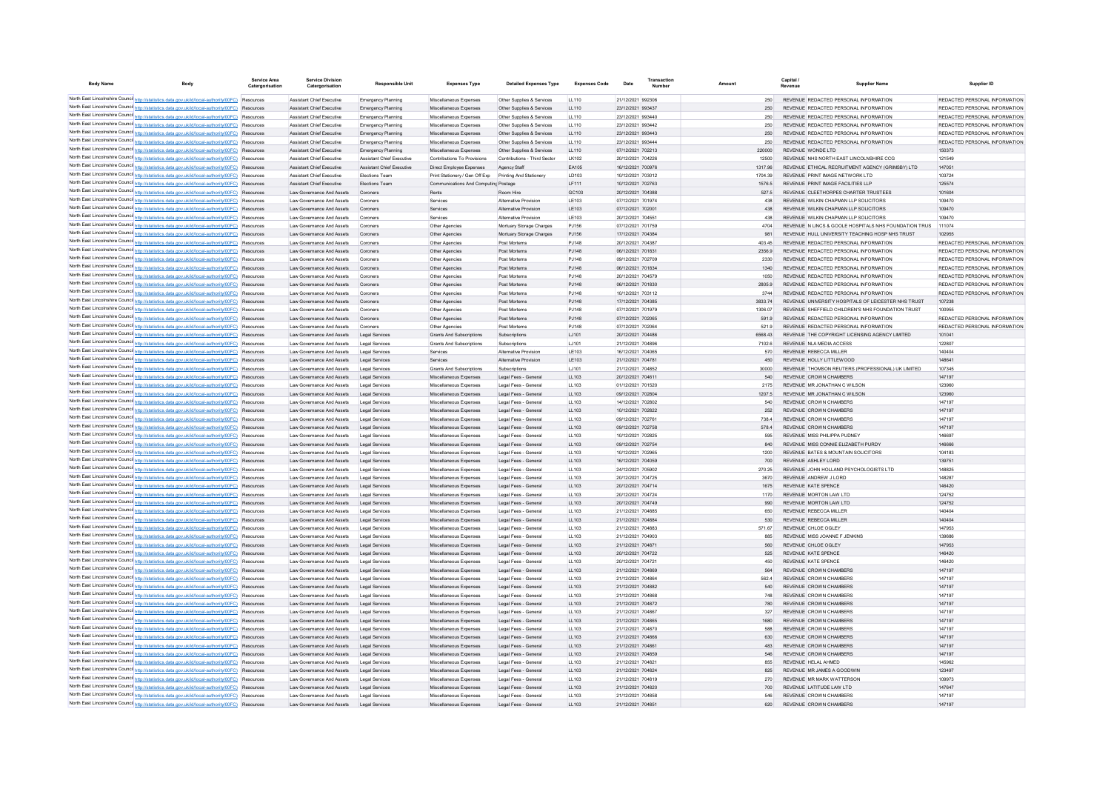| <b>Body Name</b> | Body                                                                                                                                                                                               | Service Area<br>Catergorisation | <b>Service Division</b><br>Catergorisation             | <b>Responsible Uni</b>    | <b>Expenses Type</b>                 | <b>Detailed Expenses Type</b> | <b>Expenses Code</b> | Date              | Transaction | Amount  | Capital / | <b>Supplier Name</b>                                   | Supplier ID                   |
|------------------|----------------------------------------------------------------------------------------------------------------------------------------------------------------------------------------------------|---------------------------------|--------------------------------------------------------|---------------------------|--------------------------------------|-------------------------------|----------------------|-------------------|-------------|---------|-----------|--------------------------------------------------------|-------------------------------|
|                  | North East Lincolnshire Counci http://statistics.data.gov.uk/id/local-authority/00FC) Resources                                                                                                    |                                 | Assistant Chief Executive                              | Emergency Planning        | Miscellaneous Expenses               | Other Supplies & Services     | LL110                | 21/12/2021 992306 |             | 250     |           | REVENUE REDACTED PERSONAL INFORMATION                  | REDACTED PERSONAL INFORMATION |
|                  | North East Lincolnshire Counci http://statistics.data.gov.uk/id/local-authority/00FC) Resources                                                                                                    |                                 | Assistant Chief Executive                              | Emergency Planning        | Miscellaneous Expenses               | Other Supplies & Services     | LL110                | 23/12/2021 993437 |             | 250     |           | REVENUE REDACTED PERSONAL INFORMATION                  | REDACTED PERSONAL INFORMATION |
|                  | North East Lincolnshire Counci http://statistics.data.gov.uk/id/local-authority/00FC) Resources                                                                                                    |                                 | Assistant Chief Executive                              | Emergency Planning        | Miscellaneous Expenses               | Other Supplies & Services     | LL110                | 23/12/2021 993440 |             | 250     |           | REVENUE REDACTED PERSONAL INFORMATION                  | REDACTED PERSONAL INFORMATION |
|                  | North East Lincolnshire Counci http://statistics.data.gov.uk/id/local-authority/00FC) Resources                                                                                                    |                                 | Assistant Chief Executive                              | Emergency Planning        | Miscellaneous Expenses               | Other Supplies & Services     | LL110                | 23/12/2021 993442 |             | 250     |           | REVENUE REDACTED PERSONAL INFORMATION                  | REDACTED PERSONAL INFORMATION |
|                  | North East Lincolnshire Counci http://statistics.data.gov.uk/id/local-authority/00FC) Resources                                                                                                    |                                 | Assistant Chief Executive                              | Emergency Planning        | Miscellaneous Expenses               | Other Supplies & Services     | LL110                | 23/12/2021 993443 |             | 250     |           | REVENUE REDACTED PERSONAL INFORMATION                  | REDACTED PERSONAL INFORMATION |
|                  | North East Lincolnshire Counci http://statistics.data.gov.uk/id/local-authority/00FC) Resources                                                                                                    |                                 | Assistant Chief Executive                              | Emergency Planning        | Miscellaneous Expenses               | Other Supplies & Services     | LL110                | 23/12/2021 993444 |             | 250     |           | REVENUE REDACTED PERSONAL INFORMATION                  | REDACTED PERSONAL INFORMATION |
|                  | North East Lincolnshire Counci http://statistics.data.gov.uk/id/local-authority/00FC) Resources                                                                                                    |                                 | Assistant Chief Executive                              | Emergency Planning        | Miscellaneous Expenses               | Other Supplies & Services     | LL110                | 07/12/2021 702213 |             | 220000  |           | REVENUE WONDE LTD                                      | 150373                        |
|                  | North East Lincolnshire Counci http://statistics.data.gov.uk/id/local-authority/00FC) Resources                                                                                                    |                                 | Assistant Chief Executive                              | Assistant Chief Executive | Contributions To Provisions          | Contributions - Third Sector  | LK102                | 20/12/2021 704226 |             | 12500   |           | REVENUE NHS NORTH EAST LINCOLNSHIRE CCG                | 121549                        |
|                  | North East Lincolnshire Counci http://statistics.data.gov.uk/id/local-authority/00FC) Resources                                                                                                    |                                 | Assistant Chief Executive                              | Assistant Chief Executive | Direct Employee Expenses             | Agency Staff                  | EA105                | 16/12/2021 700976 |             | 1317.96 |           | REVENUE ETHICAL RECRUITMENT AGENCY (GRIMSBY) LTD       | 147051                        |
|                  | North East Lincolnshire Counci http://statistics.data.gov.uk/id/local-authority/00FC) Resources                                                                                                    |                                 | <b>Assistant Chief Executive</b>                       | Elections Team            | Print Stationery / Gen Off Exp       | Printing And Stationery       | LD103                | 10/12/2021 703012 |             | 1704.39 |           | REVENUE PRINT IMAGE NETWORK I TD                       | 103724                        |
|                  | North East Lincolnshire Counci http://statistics.data.gov.uk/id/local-authority/00FC) Resources                                                                                                    |                                 | Assistant Chief Executive                              | Elections Team            | Communications And Computing Postage |                               | LF111                | 10/12/2021 702763 |             | 1576.5  |           | REVENUE PRINT IMAGE FACILITIES LLP                     | 125574                        |
|                  | North East Lincolnshire Counci http://statistics.data.gov.uk/id/local-authority/00FC) Resources                                                                                                    |                                 | Law Governance And Assets                              | Coroners                  | Rents                                | Room Hire                     | GC103                | 20/12/2021 704388 |             | 527.5   |           | REVENUE CLEETHORPES CHARTER TRUSTEES                   | 101604                        |
|                  | North East Lincolnshire Counci http://statistics.data.gov.uk/id/local-authority/00FC) Resources                                                                                                    |                                 | Law Governance And Assets                              | Coroners                  | Services                             | Alternative Provision         | LE103                | 07/12/2021 701974 |             | 438     |           | REVENUE WILKIN CHAPMAN LLP SOLICITORS                  | 109470                        |
|                  | North East Lincolnshire Counci http://statistics.data.gov.uk/id/local-authority/00FC) Resources                                                                                                    |                                 | Law Governance And Assets                              | Coroners                  | Services                             | Alternative Provision         | LE103                | 07/12/2021 70200  |             | 438     |           | REVENUE WILKIN CHAPMAN LLP SOLICITORS                  | 109470                        |
|                  | North East Lincolnshire Counci http://statistics.data.gov.uk/id/local-authority/00FC) Resources                                                                                                    |                                 | Law Governance And Assets                              | Coroners                  | Services                             | Alternative Provision         | LE103                | 20/12/2021 704551 |             | 438     |           | REVENUE WILKIN CHAPMAN LLP SOLICITORS                  | 109470                        |
|                  | North East Lincolnshire Counci http://statistics.data.gov.uk/id/local-authority/00FC) Resources                                                                                                    |                                 | Law Governance And Assets                              | Coroners                  | Other Agencies                       | Mortuary Storage Charges      | PJ156                | 07/12/2021 701759 |             | 4704    |           | REVENUE IN LINCS & GOOLE HOSPITALS NHS FOUNDATION TRUS | 111074                        |
|                  | North East Lincolnshire Counci http://statistics.data.gov.uk/id/local-authority/00FC) Resources                                                                                                    |                                 | Law Governance And Assets                              | Coroners                  | Other Agencies                       | Mortuary Storage Charges      | PJ156                | 17/12/2021 704384 |             | 981     |           | REVENUE HULL UNIVERSITY TEACHING HOSP NHS TRUST        | 102955                        |
|                  | North East Lincolnshire Counci http://statistics.data.gov.uk/id/local-authority/00FC) Resources                                                                                                    |                                 | Law Governance And Assets                              | Coroners                  | Other Agencies                       | Post Mortems                  | PJ148                | 20/12/2021 704387 |             | 403.45  |           | REVENUE REDACTED PERSONAL INFORMATION                  | REDACTED PERSONAL INFORMATION |
|                  | North East Lincolnshire Counci http://statistics.data.gov.uk/id/local-authority/00FC) Resources                                                                                                    |                                 | Law Governance And Assets                              | Coroners                  | Other Agencies                       | Post Mortems                  | PJ148                | 06/12/2021 701831 |             | 2356.9  |           | REVENUE REDACTED PERSONAL INFORMATION                  | REDACTED PERSONAL INFORMATION |
|                  | North East Lincolnshire Counci http://statistics.data.gov.uk/id/local-authority/00FC) Resources                                                                                                    |                                 | Law Governance And Assets                              | Coroners                  | Other Agencies                       | Post Mortems                  | PJ148                | 09/12/2021 702709 |             | 2330    |           | REVENUE REDACTED PERSONAL INFORMATION                  | REDACTED PERSONAL INFORMATION |
|                  | North East Lincolnshire Counci http://statistics.data.gov.uk/id/local-authority/00FC) Resources                                                                                                    |                                 | Law Governance And Assets                              | Coroners                  | Other Agencies                       | Post Mortems                  | PJ148                | 06/12/2021 701834 |             | 1340    |           | REVENUE REDACTED PERSONAL INFORMATION                  | REDACTED PERSONAL INFORMATION |
|                  | North East Lincolnshire Counci http://statistics.data.gov.uk/id/local-authority/00FC) Resources                                                                                                    |                                 | Law Governance And Assets                              | Coroners                  | Other Agencies                       | Post Mortems                  | PJ148                | 20/12/2021 704579 |             | 1050    |           | REVENUE REDACTED PERSONAL INFORMATION                  | REDACTED PERSONAL INFORMATION |
|                  | North East Lincolnshire Counci http://statistics.data.gov.uk/id/local-authority/00FC) Resources                                                                                                    |                                 | Law Governance And Assets                              | Coroners                  | Other Agencies                       | Post Mortems                  | PJ148                | 06/12/2021 701830 |             | 2805.9  |           | REVENUE REDACTED PERSONAL INFORMATION                  | REDACTED PERSONAL INFORMATION |
|                  | North East Lincolnshire Counci http://statistics.data.gov.uk/id/local-authority/00FC) Resources                                                                                                    |                                 | Law Governance And Assets                              | Coroners                  | Other Agencies                       | Post Mortems                  | PJ148                | 10/12/2021 703112 |             | 3744    |           | REVENUE REDACTED PERSONAL INFORMATION                  | REDACTED PERSONAL INFORMATION |
|                  | North East Lincolnshire Counci http://statistics.data.gov.uk/id/local-authority/00FC) Resources                                                                                                    |                                 | Law Governance And Assets                              | Coroners                  | Other Agencies                       | Post Mortems                  | PJ148                | 17/12/2021 704385 |             | 3833.74 |           | REVENUE UNIVERSITY HOSPITALS OF LEICESTER NHS TRUST    | 107238                        |
|                  | North East Lincolnshire Counci http://statistics.data.gov.uk/id/local-authority/00FC) Resources                                                                                                    |                                 | Law Governance And Assets                              | Coroners                  | Other Agencies                       | Post Mortems                  | PJ148                | 07/12/2021 701979 |             | 1306.07 |           | REVENUE SHEFFIELD CHILDREN'S NHS FOUNDATION TRUST      | 100955                        |
|                  | North East Lincolnshire Counci http://statistics.data.gov.uk/id/local-authority/00FC) Resources                                                                                                    |                                 |                                                        | Coroners                  | Other Agencies                       | Post Mortems                  | PJ148                | 07/12/2021 702065 |             | 591.9   |           | REVENUE REDACTED PERSONAL INFORMATION                  | REDACTED PERSONAL INFORMATION |
|                  | North East Lincolnshire Counci http://statistics.data.gov.uk/id/local-authority/00FC) Resources                                                                                                    |                                 | Law Governance And Assets<br>Law Governance And Assets |                           |                                      | Post Mortems                  | PJ148                | 07/12/2021 702064 |             | 521.9   |           | REVENUE REDACTED PERSONAL INFORMATION                  | REDACTED PERSONAL INFORMATION |
|                  | North East Lincolnshire Counci http://statistics.data.gov.uk/id/local-authority/00FC) Resources                                                                                                    |                                 |                                                        | Coroners                  | Other Agencies                       |                               |                      |                   |             |         |           |                                                        |                               |
|                  |                                                                                                                                                                                                    |                                 | Law Governance And Assets                              | <b>Legal Services</b>     | <b>Grants And Subscriptions</b>      | Subscriptions                 | LJ101                | 20/12/2021 704486 |             | 6568.43 |           | REVENUE THE COPYRIGHT LICENSING AGENCY LIMITED         | 101041                        |
|                  | North East Lincolnshire Counci http://statistics.data.gov.uk/id/local-authority/00FC) Resources<br>North East Lincolnshire Counci http://statistics.data.gov.uk/id/local-authority/00FC) Resources |                                 | Law Governance And Assets                              | <b>Legal Services</b>     | <b>Grants And Subscriptions</b>      | Subscriptions                 | LJ101                | 21/12/2021 704896 |             | 7102.6  |           | REVENUE NLA MEDIA ACCESS                               | 122807                        |
|                  | North East Lincolnshire Counci http://statistics.data.gov.uk/id/local-authority/00FC) Resources                                                                                                    |                                 | Law Governance And Assets                              | Legal Services            | Services                             | Alternative Provision         | LE103                | 16/12/2021 704065 |             | 570     |           | REVENUE REBECCA MILLER                                 | 140404                        |
|                  | North East Lincolnshire Counci http://statistics.data.gov.uk/id/local-authority/00FC) Resources                                                                                                    |                                 | Law Governance And Assets                              | Legal Services            | Services                             | Alternative Provision         | LE103                | 21/12/2021 704781 |             | 450     |           | REVENUE HOLLY LITTLEWOOD                               | 148641                        |
|                  |                                                                                                                                                                                                    |                                 | Law Governance And Assets                              | <b>Legal Services</b>     | <b>Grants And Subscriptions</b>      | Subscriptions                 | LJ101                | 21/12/2021 704852 |             | 30000   |           | REVENUE THOMSON REUTERS (PROFESSIONAL) UK LIMITED      | 107345                        |
|                  | North East Lincolnshire Counci http://statistics.data.gov.uk/id/local-authority/00FC) Resources                                                                                                    |                                 | Law Governance And Assets                              | Legal Services            | Miscellaneous Expenses               | Legal Fees - General          | LL103                | 20/12/2021 704611 |             | 540     |           | REVENUE CROWN CHAMBERS                                 | 147197                        |
|                  | North East Lincolnshire Counci http://statistics.data.gov.uk/id/local-authority/00FC) Resources                                                                                                    |                                 | Law Governance And Assets                              | Legal Services            | Miscellaneous Expenses               | Legal Fees - General          | LL103                | 01/12/2021 701520 |             | 2175    |           | REVENUE MR JONATHAN C WILSON                           | 123960                        |
|                  | North East Lincolnshire Counci http://statistics.data.gov.uk/id/local-authority/00FC) Resources                                                                                                    |                                 | Law Governance And Assets                              | Legal Services            | Miscellaneous Expenses               | Legal Fees - General          | LL103                | 09/12/2021 702804 |             | 1207.5  |           | REVENUE MR JONATHAN C WILSON                           | 123960                        |
|                  | North East Lincolnshire Counci http://statistics.data.gov.uk/id/local-authority/00FC) Resources                                                                                                    |                                 | Law Governance And Assets                              | Legal Services            | Miscellaneous Expenses               | Legal Fees - General          | LL103                | 14/12/2021 702802 |             | 540     |           | REVENUE CROWN CHAMBERS                                 | 147197                        |
|                  | North East Lincolnshire Counci http://statistics.data.gov.uk/id/local-authority/00FC) Resources                                                                                                    |                                 | Law Governance And Assets                              | Legal Services            | Miscellaneous Expenses               | Legal Fees - General          | LL103                | 10/12/2021 702822 |             | 252     |           | REVENUE CROWN CHAMBERS                                 | 147197                        |
|                  | North East Lincolnshire Counci http://statistics.data.gov.uk/id/local-authority/00FC) Resources                                                                                                    |                                 | Law Governance And Assets                              | Legal Services            | Miscellaneous Expenses               | Legal Fees - General          | LL103                | 09/12/2021 702761 |             | 738.4   |           | REVENUE CROWN CHAMBERS                                 | 147197                        |
|                  | North East Lincolnshire Counci http://statistics.data.gov.uk/id/local-authority/00FC) Resources                                                                                                    |                                 | Law Governance And Assets                              | Legal Services            | Miscellaneous Expenses               | Legal Fees - General          | LL103                | 09/12/2021 702758 |             | 578.4   |           | REVENUE CROWN CHAMBERS                                 | 147197                        |
|                  | North East Lincolnshire Counci http://statistics.data.gov.uk/id/local-authority/00FC) Resources                                                                                                    |                                 | Law Governance And Assets                              | <b>Legal Services</b>     | Miscellaneous Expenses               | Legal Fees - General          | LL103                | 10/12/2021 702825 |             | 595     |           | REVENUE MISS PHILIPPA PUDNEY                           | 146697                        |
|                  | North East Lincolnshire Counci http://statistics.data.gov.uk/id/local-authority/00FC) Resources                                                                                                    |                                 | Law Governance And Assets                              | Legal Services            | Miscellaneous Expenses               | Legal Fees - General          | LL103                | 09/12/2021 702754 |             | 840     |           | REVENUE MISS CONNIE ELIZABETH PURDY                    | 146666                        |
|                  | North East Lincolnshire Counci http://statistics.data.gov.uk/id/local-authority/00FC) Resources                                                                                                    |                                 | Law Governance And Assets                              | <b>Legal Services</b>     | Miscellaneous Expenses               | Legal Fees - General          | LL103                | 10/12/2021 702965 |             | 1200    |           | REVENUE BATES & MOUNTAIN SOLICITORS                    | 104183                        |
|                  | North East Lincolnshire Counci http://statistics.data.gov.uk/id/local-authority/00FC) Resources                                                                                                    |                                 | Law Governance And Assets                              | Legal Services            | Miscellaneous Expenses               | Legal Fees - General          | LL103                | 16/12/2021 704059 |             | 700     |           | REVENUE ASHLEY LORD                                    | 139751                        |
|                  | North East Lincolnshire Counci http://statistics.data.gov.uk/id/local-authority/00FC) Resources                                                                                                    |                                 | Law Governance And Assets                              | <b>Legal Services</b>     | Miscellaneous Expenses               | Legal Fees - General          | LL103                | 24/12/2021 705902 |             | 270.25  |           | REVENUE JOHN HOLLAND PSYCHOLOGISTS LTD                 | 148825                        |
|                  | North East Lincolnshire Counci http://statistics.data.gov.uk/id/local-authority/00FC) Resources                                                                                                    |                                 | Law Governance And Assets                              | <b>Legal Services</b>     | Miscellaneous Expenses               | Legal Fees - General          | 11 103               | 20/12/2021 704725 |             | 3670    |           | REVENUE ANDREW JLORD                                   | 148287                        |
|                  | North East Lincolnshire Counci http://statistics.data.gov.uk/id/local-authority/00FC) Resources                                                                                                    |                                 | Law Governance And Assets                              | <b>Legal Services</b>     | Miscellaneous Expenses               | Legal Fees - General          | LL103                | 20/12/2021 704714 |             | 1675    |           | REVENUE KATE SPENCE                                    | 146420                        |
|                  | North East Lincolnshire Counci http://statistics.data.gov.uk/id/local-authority/00FC) Resources                                                                                                    |                                 | Law Governance And Assets                              | <b>Legal Services</b>     | Miscellaneous Expenses               | Legal Fees - General          | LL103                | 20/12/2021 704724 |             | 1170    |           | REVENUE MORTON LAW LTD                                 | 124752                        |
|                  | North East Lincolnshire Counci http://statistics.data.gov.uk/id/local-authority/00FC) Resources                                                                                                    |                                 | Law Governance And Assets                              | <b>Legal Services</b>     | Miscellaneous Expenses               | Legal Fees - General          | LL103                | 20/12/2021 704749 |             | 990     |           | REVENUE MORTON LAW LTD                                 | 124752                        |
|                  | North East Lincolnshire Counci http://statistics.data.gov.uk/id/local-authority/00FC) Resources                                                                                                    |                                 | Law Governance And Assets                              | <b>Legal Services</b>     | Miscellaneous Expenses               | Legal Fees - General          | LL103                | 21/12/2021 704885 |             | 650     |           | REVENUE REBECCA MILLER                                 | 140404                        |
|                  | North East Lincolnshire Counci http://statistics.data.gov.uk/id/local-authority/00FC) Resources                                                                                                    |                                 | Law Governance And Assets                              | Legal Services            | Miscellaneous Expenses               | Legal Fees - General          | LL103                | 21/12/2021 704884 |             | 530     |           | REVENUE REBECCA MILLER                                 | 140404                        |
|                  | North East Lincolnshire Counci http://statistics.data.gov.uk/id/local-authority/00FC) Resources                                                                                                    |                                 | Law Governance And Assets                              | <b>Legal Services</b>     | Miscellaneous Expenses               | Legal Fees - General          | LL103                | 21/12/2021 704883 |             | 571.67  |           | REVENUE CHLOE OGLEY                                    | 147953                        |
|                  | North East Lincolnshire Counci http://statistics.data.gov.uk/id/local-authority/00FC) Resources                                                                                                    |                                 | Law Governance And Assets                              | <b>Legal Services</b>     | Miscellaneous Expenses               | Legal Fees - General          | LL103                | 21/12/2021 704903 |             | 885     |           | REVENUE MISS JOANNE F JENKINS                          | 139686                        |
|                  | North East Lincolnshire Counci http://statistics.data.gov.uk/id/local-authority/00FC) Resources                                                                                                    |                                 | Law Governance And Assets                              | <b>Legal Services</b>     | Miscellaneous Expenses               | Legal Fees - General          | LL103                | 21/12/2021 704871 |             | 560     |           | REVENUE CHLOE OGLEY                                    | 147953                        |
|                  | North East Lincolnshire Counci http://statistics.data.gov.uk/id/local-authority/00FC) Resources                                                                                                    |                                 | Law Governance And Assets                              | <b>Legal Services</b>     | Miscellaneous Expenses               | Legal Fees - General          | LL103                | 20/12/2021 704722 |             | 525     |           | REVENUE KATE SPENCE                                    | 146420                        |
|                  | North East Lincolnshire Counci http://statistics.data.gov.uk/id/local-authority/00FC) Resources                                                                                                    |                                 | Law Governance And Assets                              | <b>Legal Services</b>     | Miscellaneous Expenses               | Legal Fees - General          | LL103                | 20/12/2021 704721 |             | 450     |           | REVENUE KATE SPENCE                                    | 146420                        |
|                  | North East Lincolnshire Counci http://statistics.data.gov.uk/id/local-authority/00FC) Resources                                                                                                    |                                 | Law Governance And Assets                              | <b>Legal Services</b>     | Miscellaneous Expenses               | Legal Fees - General          | LL103                | 21/12/2021 704869 |             | 564     |           | REVENUE CROWN CHAMBERS                                 | 147197                        |
|                  | North East Lincolnshire Counci http://statistics.data.gov.uk/id/local-authority/00FC) Resources                                                                                                    |                                 | Law Governance And Assets                              | <b>Legal Services</b>     | Miscellaneous Expenses               | Legal Fees - General          | LL103                | 21/12/2021 704864 |             | 562.4   |           | REVENUE CROWN CHAMBERS                                 | 147197                        |
|                  | North East Lincolnshire Counci http://statistics.data.gov.uk/id/local-authority/00FC) Resources                                                                                                    |                                 | Law Governance And Assets                              | <b>Legal Services</b>     | Miscellaneous Expenses               | Legal Fees - General          | LL103                | 21/12/2021 704882 |             | 540     |           | REVENUE CROWN CHAMBERS                                 | 147197                        |
|                  | North East Lincolnshire Counci http://statistics.data.gov.uk/id/local-authority/00FC) Resources                                                                                                    |                                 | Law Governance And Assets                              | <b>Legal Services</b>     | Miscellaneous Expenses               | Legal Fees - General          | LL103                | 21/12/2021 70486  |             | 748     |           | REVENUE CROWN CHAMBERS                                 | 147197                        |
|                  | North East Lincolnshire Counci http://statistics.data.gov.uk/id/local-authority/00FC) Resources                                                                                                    |                                 | Law Governance And Assets                              | <b>Legal Services</b>     | Miscellaneous Expenses               | Legal Fees - General          | LL103                | 21/12/2021 704872 |             | 780     |           | REVENUE CROWN CHAMBERS                                 | 147197                        |
|                  | North East Lincolnshire Counci http://statistics.data.gov.uk/id/local-authority/00FC) Resources                                                                                                    |                                 | Law Governance And Assets                              | <b>Legal Services</b>     | Miscellaneous Expenses               | Legal Fees - General          | LL103                | 21/12/2021 704867 |             | 327     |           | REVENUE CROWN CHAMBERS                                 | 147197                        |
|                  | North East Lincolnshire Counci http://statistics.data.gov.uk/id/local-authority/00FC) Resources                                                                                                    |                                 | Law Governance And Assets                              | <b>Legal Services</b>     | Miscellaneous Expenses               | Legal Fees - General          | LL103                | 21/12/2021 704865 |             | 1680    |           | REVENUE CROWN CHAMBERS                                 | 147197                        |
|                  | North East Lincolnshire Counci http://statistics.data.gov.uk/id/local-authority/00FC) Resources                                                                                                    |                                 | Law Governance And Assets                              | <b>Legal Services</b>     | Miscellaneous Expenses               | Legal Fees - General          | LL103                | 21/12/2021 704870 |             | 588     |           | REVENUE CROWN CHAMBER                                  | 147197                        |
|                  | North East Lincolnshire Counci http://statistics.data.gov.uk/id/local-authority/00FC) Resources                                                                                                    |                                 | Law Governance And Assets                              | <b>Legal Services</b>     | Miscellaneous Expenses               | Legal Fees - General          | LL103                | 21/12/2021 704866 |             | 630     |           | REVENUE CROWN CHAMBERS                                 | 147197                        |
|                  | North East Lincolnshire Counci http://statistics.data.gov.uk/id/local-authority/00FC) Resources                                                                                                    |                                 | Law Governance And Assets                              | <b>Legal Services</b>     | Miscellaneous Expenses               | Legal Fees - General          | LL103                | 21/12/2021 704861 |             | 483     |           | REVENUE CROWN CHAMBERS                                 | 147197                        |
|                  | North East Lincolnshire Counci http://statistics.data.gov.uk/id/local-authority/00FC) Resources                                                                                                    |                                 | Law Governance And Assets                              | <b>Legal Services</b>     | Miscellaneous Expenses               | Legal Fees - General          | LL103                | 21/12/2021 704859 |             | 546     |           | REVENUE CROWN CHAMBERS                                 | 147197                        |
|                  | North East Lincolnshire Counci http://statistics.data.gov.uk/id/local-authority/00FC) Resources                                                                                                    |                                 | I aw Governance And Assets                             | <b>Legal Services</b>     | Miscellaneous Expenses               | Legal Fees - General          | LL103                | 21/12/2021 704821 |             | 855     |           | REVENUE HELAL AHMED                                    | 145962                        |
|                  | North East Lincolnshire Counci http://statistics.data.gov.uk/id/local-authority/00FC) Resources                                                                                                    |                                 | Law Governance And Assets                              | <b>Legal Services</b>     | Miscellaneous Expenses               | Legal Fees - General          | LL103                | 21/12/2021 704824 |             | 825     |           | REVENUE MR JAMES A GOODWIN                             | 123497                        |
|                  | North East Lincolnshire Counci http://statistics.data.gov.uk/id/local-authority/00FC) Resources                                                                                                    |                                 | I aw Governance And Assets                             | Legal Services            | Miscellaneous Expenses               | Legal Fees - General          | 11 103               | 21/12/2021 704819 |             | 270     |           | REVENUE MR MARK WATTERSON                              | 109973                        |
|                  | North East Lincolnshire Counci http://statistics.data.gov.uk/id/local-authority/00FC) Resources                                                                                                    |                                 | Law Governance And Assets                              | <b>Legal Services</b>     | Miscellaneous Expenses               | Legal Fees - General          | LL103                | 21/12/2021 704820 |             | 700     |           | REVENUE LATITUDE LAW LTD                               | 147647                        |
|                  | North East Lincolnshire Counci http://statistics.data.gov.uk/id/local-authority/00FC) Resources                                                                                                    |                                 | Law Governance And Assets                              | <b>Legal Services</b>     | Miscellaneous Expenses               | Legal Fees - General          | 11 103               | 21/12/2021 704858 |             | 546     |           | REVENUE CROWN CHAMBERS                                 | 147197                        |
|                  | North East Lincolnshire Counci http://statistics.data.gov.uk/id/local-authority/00FC) Resources                                                                                                    |                                 | Law Governance And Assets                              | Legal Services            | Miscellaneous Expenses               | Legal Fees - General          | 11 103               | 21/12/2021 704851 |             | 620     |           | REVENUE CROWN CHAMBERS                                 | 147197                        |
|                  |                                                                                                                                                                                                    |                                 |                                                        |                           |                                      |                               |                      |                   |             |         |           |                                                        |                               |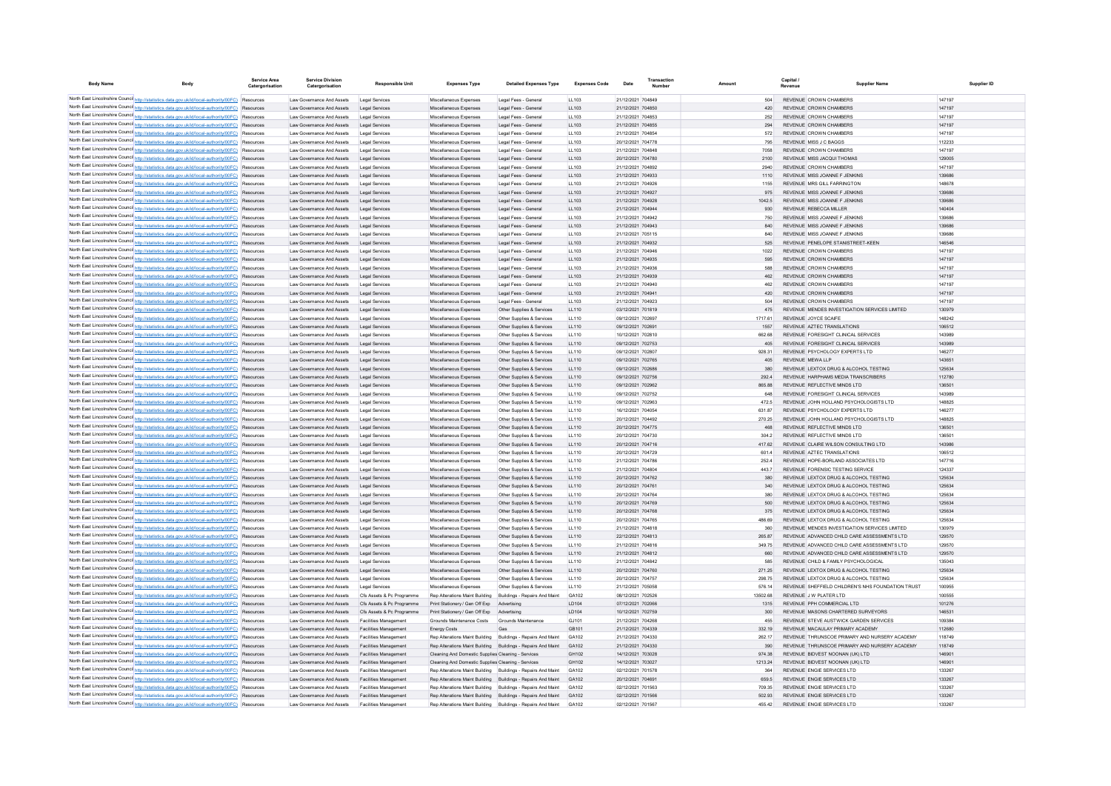| <b>Body Name</b>                                                                                                                                                                                   | Body | <b>Service Area</b><br>Catergorisation | <b>Service Division</b><br>Catergorisation             | <b>Responsible Unit</b>                                      | <b>Expenses Type</b>                                                                                                         | <b>Detailed Expenses Type</b>                                | <b>Expenses Code</b> | Date                                   | Transaction<br>Number |                  | Capital /<br>Revenue                                                           | <b>Supplier Name</b>                              | Supplier ID      |
|----------------------------------------------------------------------------------------------------------------------------------------------------------------------------------------------------|------|----------------------------------------|--------------------------------------------------------|--------------------------------------------------------------|------------------------------------------------------------------------------------------------------------------------------|--------------------------------------------------------------|----------------------|----------------------------------------|-----------------------|------------------|--------------------------------------------------------------------------------|---------------------------------------------------|------------------|
| North East Lincolnshire Counci http://statistics.data.gov.uk/id/local-authority/00FC) Resources                                                                                                    |      |                                        | Law Governance And Assets                              | <b>Legal Services</b>                                        | Miscellaneous Expenses                                                                                                       | Legal Fees - General                                         | LL103                | 21/12/2021 704849                      |                       |                  | 504 REVENUE CROWN CHAMBERS                                                     |                                                   | 147197           |
| North East Lincolnshire Counci http://statistics.data.gov.uk/id/local-authority/00FC) Resources                                                                                                    |      |                                        | Law Governance And Assets                              | <b>Legal Services</b>                                        | Miscellaneous Expenses                                                                                                       | Legal Fees - General                                         | LL103                | 21/12/2021 704850                      |                       | 420              | REVENUE CROWN CHAMBERS                                                         |                                                   | 147197           |
| North East Lincolnshire Counci http://statistics.data.gov.uk/id/local-authority/00FC) Resources                                                                                                    |      |                                        | Law Governance And Assets                              | <b>Legal Services</b>                                        | Miscellaneous Expenser                                                                                                       | Legal Fees - General                                         | LL103                | 21/12/2021 704853                      |                       | 252              | REVENUE CROWN CHAMBERS                                                         |                                                   | 147197           |
| North East Lincolnshire Councint http://statistics.data.gov.uk/id/local-authority/00FC) Resources                                                                                                  |      |                                        | Law Governance And Assets                              | <b>Legal Services</b>                                        | Miscellaneous Expenser                                                                                                       | Legal Fees - General                                         | LL103                | 21/12/2021 704855                      |                       | 294              | REVENUE CROWN CHAMBERS                                                         |                                                   | 147197           |
| North East Lincolnshire Counci http://statistics.data.gov.uk/id/local-authority/00FC) Resources                                                                                                    |      |                                        | Law Governance And Assets                              | <b>Legal Services</b>                                        | Miscellaneous Expenser                                                                                                       | Legal Fees - General                                         | LL103                | 21/12/2021 704854                      |                       | 572              | REVENUE CROWN CHAMBERS                                                         |                                                   | 147197           |
| North East Lincolnshire Counci http://statistics.data.gov.uk/id/local-authority/00FC) Resources                                                                                                    |      |                                        | Law Governance And Assets                              | <b>Legal Services</b>                                        | Miscellaneous Expenses                                                                                                       | Legal Fees - General                                         | LL103                | 20/12/2021 704778                      |                       | 795              | REVENUE MISS J C BAGGS                                                         |                                                   | 112233           |
| North East Lincolnshire Counci http://statistics.data.gov.uk/id/local-authority/00FC) Resources                                                                                                    |      |                                        | Law Governance And Assets                              | <b>Legal Services</b>                                        | Miscellaneous Expenser                                                                                                       | Legal Fees - General                                         | LL103                | 21/12/2021 704848                      |                       | 7058             | REVENUE CROWN CHAMBERS                                                         |                                                   | 147197           |
| North East Lincolnshire Counci http://statistics.data.gov.uk/id/local-authority/00FC) Resources<br>North East Lincolnshire Counci http://statistics.data.gov.uk/id/local-authority/00FC) Resources |      |                                        | Law Governance And Assets<br>Law Governance And Assets | <b>Legal Services</b><br><b>Legal Services</b>               | Miscellaneous Expenser<br>Miscellaneous Expenser                                                                             | Legal Fees - General<br>Legal Fees - General                 | LL103<br>LL103       | 20/12/2021 704780<br>21/12/2021 704892 |                       | 2100<br>2940     | REVENUE MISS JACQUI THOMAS<br>REVENUE CROWN CHAMBERS                           |                                                   | 129005<br>147197 |
| North East Lincolnshire Counci http://statistics.data.gov.uk/id/local-authority/00FC) Resources                                                                                                    |      |                                        | Law Governance And Assets                              | <b>Legal Services</b>                                        | Miscellaneous Expenser                                                                                                       | Legal Fees - General                                         | LL103                | 21/12/2021 704933                      |                       | 1110             | REVENUE MISS JOANNE F JENKINS                                                  |                                                   | 139686           |
| North East Lincolnshire Counci http://statistics.data.gov.uk/id/local-authority/00FC) Resources                                                                                                    |      |                                        | Law Governance And Assets                              | Legal Services                                               | Miscellaneous Expenses                                                                                                       | Legal Fees - General                                         | LL103                | 21/12/2021 704926                      |                       | 1155             | REVENUE MRS GILL FARRINGTON                                                    |                                                   | 148678           |
| North East Lincolnshire Counci http://statistics.data.gov.uk/id/local-authority/00FC) Resources                                                                                                    |      |                                        | Law Governance And Assets                              | Legal Services                                               | Miscellaneous Expenser                                                                                                       | Legal Fees - General                                         | LL103                | 21/12/2021 704927                      |                       | 975              | REVENUE MISS JOANNE E JENKINS                                                  |                                                   | 139686           |
| North East Lincolnshire Counci http://statistics.data.gov.uk/id/local-authority/00FC) Resources                                                                                                    |      |                                        | Law Governance And Assets                              | Legal Services                                               | Miscellaneous Expenser                                                                                                       | Legal Fees - General                                         | LL103                | 21/12/2021 704928                      |                       | 1042.5           | REVENUE MISS JOANNE E JENKINS                                                  |                                                   | 139686           |
| North East Lincolnshire Counci http://statistics.data.gov.uk/id/local-authority/00FC) Resources                                                                                                    |      |                                        | Law Governance And Assets                              | Legal Services                                               | Miscellaneous Expenser                                                                                                       | Legal Fees - General                                         | LL103                | 21/12/2021 704944                      |                       | 930              | REVENUE REBECCA MILLER                                                         |                                                   | 140404           |
| North East Lincolnshire Counci http://statistics.data.gov.uk/id/local-authority/00FC) Resources                                                                                                    |      |                                        | Law Governance And Assets                              | Legal Services                                               | Miscellaneous Expenser                                                                                                       | Legal Fees - General                                         | LL103                | 21/12/2021 704942                      |                       | 750              | REVENUE MISS JOANNE E JENKINS                                                  |                                                   | 139686           |
| North East Lincolnshire Counci http://statistics.data.gov.uk/id/local-authority/00FC) Resources                                                                                                    |      |                                        | Law Governance And Assets                              | Legal Services                                               | Miscellaneous Expenser                                                                                                       | Legal Fees - General                                         | LL103                | 21/12/2021 704943                      |                       | 840              | REVENUE MISS JOANNE E JENKINS                                                  |                                                   | 139686           |
| North East Lincolnshire Counci http://statistics.data.gov.uk/id/local-authority/00FC) Resources<br>North East Lincolnshire Counci http://statistics.data.gov.uk/id/local-authority/00FC) Resources |      |                                        | Law Governance And Assets<br>Law Governance And Assets | Legal Services<br>Legal Services                             | Miscellaneous Expenser<br>Miscellaneous Expenses                                                                             | Legal Fees - General<br>Legal Fees - General                 | LL103<br>LL103       | 21/12/2021 705115<br>21/12/2021 704932 |                       | 840<br>525       | REVENUE MISS JOANNE E JENKINS<br>REVENUE PENELOPE STANISTREET-KEEN             |                                                   | 139686<br>146546 |
| North East Lincolnshire Counci http://statistics.data.gov.uk/id/local-authority/00FC) Resources                                                                                                    |      |                                        | Law Governance And Assets                              | Legal Services                                               | Miscellaneous Expenser                                                                                                       | Legal Fees - General                                         | LL103                | 21/12/2021 704946                      |                       | 1022             | REVENUE CROWN CHAMBERS                                                         |                                                   | 147197           |
| North East Lincolnshire Counci http://statistics.data.gov.uk/id/local-authority/00FC) Resources                                                                                                    |      |                                        | Law Governance And Assets                              | Legal Services                                               | Miscellaneous Expenses                                                                                                       | Legal Fees - General                                         | LL103                | 21/12/2021 704935                      |                       | 595              | REVENUE CROWN CHAMBERS                                                         |                                                   | 147197           |
| North East Lincolnshire Counci http://statistics.data.gov.uk/id/local-authority/00FC) Resources                                                                                                    |      |                                        | Law Governance And Assets                              | Legal Services                                               | Miscellaneous Expenses                                                                                                       | Legal Fees - General                                         | LL103                | 21/12/2021 704936                      |                       | 588              | REVENUE CROWN CHAMBERS                                                         |                                                   | 147197           |
| North East Lincolnshire Counci http://statistics.data.gov.uk/id/local-authority/00FC) Resources                                                                                                    |      |                                        | Law Governance And Assets                              | Legal Services                                               | Miscellaneous Expenses                                                                                                       | Legal Fees - General                                         | 11.103               | 21/12/2021 704939                      |                       | 462              | REVENUE CROWN CHAMBERS                                                         |                                                   | 147197           |
| North East Lincolnshire Counci http://statistics.data.gov.uk/id/local-authority/00FC) Resources                                                                                                    |      |                                        | Law Governance And Assets                              | Legal Services                                               | Miscellaneous Expenses                                                                                                       | Legal Fees - General                                         | 11 103               | 21/12/2021 704940                      |                       | 462              | REVENUE CROWN CHAMBERS                                                         |                                                   | 147197           |
| North East Lincolnshire Counci http://statistics.data.gov.uk/id/local-authority/00FC) Resources                                                                                                    |      |                                        | Law Governance And Assets                              | Legal Services                                               | Miscellaneous Expenses                                                                                                       | Legal Fees - General                                         | 11.103               | 21/12/2021 704941                      |                       | 420              | REVENUE CROWN CHAMBERS                                                         |                                                   | 147197           |
| North East Lincolnshire Council http://statistics.data.gov.uk/id/local-authority/00FC) Resources                                                                                                   |      |                                        | Law Governance And Assets                              | Legal Services                                               | Miscellaneous Expenses                                                                                                       | Legal Fees - General                                         | 11 103               | 21/12/2021 704923                      |                       | 504              | REVENUE CROWN CHAMBERS                                                         |                                                   | 147197           |
| North East Lincolnshire Counci http://statistics.data.gov.uk/id/local-authority/00FC) Resources                                                                                                    |      |                                        | Law Governance And Assets                              | Legal Services                                               | Miscellaneous Expenses                                                                                                       | Other Supplies & Services                                    | 11110                | 03/12/2021 701819                      |                       | 475              | REVENUE MENDES INVESTIGATION SERVICES LIMITED                                  |                                                   | 130979           |
| North East Lincolnshire Counci http://statistics.data.gov.uk/id/local-authority/00FC) Resources                                                                                                    |      |                                        | Law Governance And Assets                              | Legal Services                                               | Miscellaneous Expenses                                                                                                       | Other Supplies & Services                                    | 11 110               | 09/12/2021 702697                      |                       | 1717 61          | REVENUE JOYCE SCAIFE                                                           |                                                   | 148242<br>106512 |
| North East Lincolnshire Counci http://statistics.data.gov.uk/id/local-authority/00FC) Resources<br>North East Lincolnshire Counci http://statistics.data.gov.uk/id/local-authority/00FC) Resources |      |                                        | Law Governance And Assets<br>Law Governance And Assets | <b>Legal Services</b><br>Legal Services                      | Miscellaneous Expenses<br>Miscellaneous Expenses                                                                             | Other Supplies & Services<br>Other Supplies & Services       | LL110<br>LL110       | 09/12/2021 702691<br>10/12/2021 702810 |                       | 1557<br>662.68   | REVENUE AZTEC TRANSLATIONS<br>REVENUE FORESIGHT CLINICAL SERVICES              |                                                   | 143989           |
| North East Lincolnshire Counci http://statistics.data.gov.uk/id/local-authority/00FC) Resources                                                                                                    |      |                                        | Law Governance And Assets                              | Legal Services                                               | Miscellaneous Expenses                                                                                                       | Other Supplies & Services                                    | LL110                | 09/12/2021 702753                      |                       | 405              | REVENUE FORESIGHT CLINICAL SERVICES                                            |                                                   | 143989           |
| North East Lincolnshire Counci http://statistics.data.gov.uk/id/local-authority/00FC) Resources                                                                                                    |      |                                        | Law Governance And Assets                              | Legal Services                                               | Miscellaneous Expenses                                                                                                       | Other Supplies & Services                                    | LL110                | 09/12/2021 702807                      |                       | 928.31           | REVENUE PSYCHOLOGY EXPERTS LTD                                                 |                                                   | 146277           |
| North East Lincolnshire Counci http://statistics.data.gov.uk/id/local-authority/00FC) Resources                                                                                                    |      |                                        | Law Governance And Assets                              | Legal Services                                               | Miscellaneous Expenses                                                                                                       | Other Supplies & Services                                    | LL110                | 09/12/2021 702765                      |                       | 405              | <b>REVENUE MEWALLP</b>                                                         |                                                   | 143651           |
| North East Lincolnshire Counci http://statistics.data.gov.uk/id/local-authority/00FC) Resources                                                                                                    |      |                                        | Law Governance And Assets                              | Legal Services                                               | Miscellaneous Expenses                                                                                                       | Other Supplies & Services                                    | LL110                | 09/12/2021 702686                      |                       | 380              | REVENUE LEXTOX DRUG & ALCOHOL TESTING                                          |                                                   | 125634           |
| North East Lincolnshire Counci http://statistics.data.gov.uk/id/local-authority/00FC) Resources                                                                                                    |      |                                        | Law Governance And Assets                              | Legal Services                                               | Miscellaneous Expenses                                                                                                       | Other Supplies & Services                                    | LL110                | 09/12/2021 702756                      |                       | 292.4            | REVENUE HARPHAMS MEDIA TRANSCRIBERS                                            |                                                   | 112780           |
| North East Lincolnshire Counci http://statistics.data.gov.uk/id/local-authority/00FC) Resources                                                                                                    |      |                                        | Law Governance And Assets                              | Legal Services                                               | Miscellaneous Expenses                                                                                                       | Other Supplies & Services                                    | LL110                | 09/12/2021 702962                      |                       | 865.88           | REVENUE REFLECTIVE MINDS LTD                                                   |                                                   | 136501           |
| North East Lincolnshire Counci http://statistics.data.gov.uk/id/local-authority/00FC) Resources                                                                                                    |      |                                        | Law Governance And Assets                              | Legal Services                                               | Miscellaneous Expenses                                                                                                       | Other Supplies & Services                                    | LL110                | 09/12/2021 702752                      |                       | 648              | REVENUE FORESIGHT CLINICAL SERVICES                                            |                                                   | 143989           |
| North East Lincolnshire Counci http://statistics.data.gov.uk/id/local-authority/00FC) Resources                                                                                                    |      |                                        | Law Governance And Assets                              | Legal Services                                               | Miscellaneous Expenses                                                                                                       | Other Supplies & Services                                    | LL110                | 09/12/2021 702963                      |                       | 472.5            | REVENUE JOHN HOLLAND PSYCHOLOGISTS LTD                                         |                                                   | 148825           |
| North East Lincolnshire Counci http://statistics.data.gov.uk/id/local-authority/00FC) Resources<br>North East Lincolnshire Counci http://statistics.data.gov.uk/id/local-authority/00FC) Resources |      |                                        | Law Governance And Assets<br>Law Governance And Assets | Legal Services<br><b>Legal Services</b>                      | Miscellaneous Expenses<br>Miscellaneous Expenser                                                                             | Other Supplies & Services<br>Other Supplies & Services       | LL110<br>LL110       | 16/12/2021 704054<br>20/12/2021 704492 |                       | 631.87<br>270.25 | REVENUE PSYCHOLOGY EXPERTS LTD<br>REVENUE JOHN HOLLAND PSYCHOLOGISTS LTD       |                                                   | 146277<br>148825 |
| North East Lincolnshire Counci http://statistics.data.gov.uk/id/local-authority/00FC) Resources                                                                                                    |      |                                        | Law Governance And Assets                              | <b>Legal Services</b>                                        | Miscellaneous Expenses                                                                                                       | Other Supplies & Services                                    | LL110                | 20/12/2021 704775                      |                       | 468              | REVENUE REFLECTIVE MINDS LTD                                                   |                                                   | 13650            |
| North East Lincolnshire Counci http://statistics.data.gov.uk/id/local-authority/00FC) Resources                                                                                                    |      |                                        | Law Governance And Assets                              | Legal Services                                               | Miscellaneous Expenser                                                                                                       | Other Supplies & Services                                    | LL110                | 20/12/2021 704730                      |                       | 304.2            | REVENUE REFLECTIVE MINDS LTD                                                   |                                                   | 13650            |
| North East Lincolnshire Counci http://statistics.data.gov.uk/id/local-authority/00FC) Resources                                                                                                    |      |                                        | Law Governance And Assets                              | <b>Legal Services</b>                                        | Miscellaneous Expenses                                                                                                       | Other Supplies & Services                                    | LL110                | 20/12/2021 704716                      |                       | 417.62           | REVENUE CLAIRE WILSON CONSULTING LTD                                           |                                                   | 143986           |
| North East Lincolnshire Counci http://statistics.data.gov.uk/id/local-authority/00FC) Resources                                                                                                    |      |                                        | Law Governance And Assets                              | Legal Services                                               | Miscellaneous Expenser                                                                                                       | Other Supplies & Services                                    | LL110                | 20/12/2021 704729                      |                       | 601.4            | REVENUE AZTEC TRANSLATIONS                                                     |                                                   | 106512           |
| North East Lincolnshire Counci http://statistics.data.gov.uk/id/local-authority/00FC) Resources                                                                                                    |      |                                        | Law Governance And Assets                              | Legal Services                                               | Miscellaneous Expenses                                                                                                       | Other Supplies & Services                                    | LL110                | 21/12/2021 704786                      |                       | 252.4            | REVENUE HOPE-BORLAND ASSOCIATES LTD                                            |                                                   | 147716           |
| North East Lincolnshire Counci http://statistics.data.gov.uk/id/local-authority/00FC) Resources                                                                                                    |      |                                        | Law Governance And Assets                              | Legal Services                                               | Miscellaneous Expenser                                                                                                       | Other Supplies & Services                                    | LL110                | 21/12/2021 704804                      |                       | 443.7            | REVENUE FORENSIC TESTING SERVICE                                               |                                                   | 124337           |
| North East Lincolnshire Counci http://statistics.data.gov.uk/id/local-authority/00FC) Resources                                                                                                    |      |                                        | Law Governance And Assets                              | Legal Services                                               | Miscellaneous Expenses                                                                                                       | Other Supplies & Services                                    | LL110                | 20/12/2021 704762                      |                       | 380              | REVENUE LEXTOX DRUG & ALCOHOL TESTING                                          |                                                   | 125634           |
| North East Lincolnshire Counci http://statistics.data.gov.uk/id/local-authority/00FC) Resources                                                                                                    |      |                                        | Law Governance And Assets                              | Legal Services                                               | Miscellaneous Expenser                                                                                                       | Other Supplies & Services                                    | LL110                | 20/12/2021 704761                      |                       | 340              | REVENUE LEXTOX DRUG & ALCOHOL TESTING                                          |                                                   | 125634           |
| North East Lincolnshire Counci http://statistics.data.gov.uk/id/local-authority/00FC) Resources<br>North East Lincolnshire Counci http://statistics.data.gov.uk/id/local-authority/00FC) Resources |      |                                        | Law Governance And Assets<br>Law Governance And Assets | <b>Legal Services</b><br>Legal Services                      | Miscellaneous Expenser<br>Miscellaneous Expenser                                                                             | Other Supplies & Services<br>Other Supplies & Services       | LL110<br>LL110       | 20/12/2021 704764<br>20/12/2021 704769 |                       | 380<br>500       | REVENUE LEXTOX DRUG & ALCOHOL TESTING<br>REVENUE LEXTOX DRUG & ALCOHOL TESTING |                                                   | 125634<br>125634 |
| North East Lincolnshire Counci http://statistics.data.gov.uk/id/local-authority/00FC) Resources                                                                                                    |      |                                        | Law Governance And Assets                              | Legal Services                                               | Miscellaneous Expenses                                                                                                       | Other Supplies & Services                                    | LL110                | 20/12/2021 704768                      |                       | 375              | REVENUE LEXTOX DRUG & ALCOHOL TESTING                                          |                                                   | 125634           |
| North East Lincolnshire Counci http://statistics.data.gov.uk/id/local-authority/00FC) Resources                                                                                                    |      |                                        | Law Governance And Assets                              | Legal Services                                               | Miscellaneous Expenser                                                                                                       | Other Supplies & Services                                    | LL110                | 20/12/2021 704765                      |                       | 486.69           | REVENUE LEXTOX DRUG & ALCOHOL TESTING                                          |                                                   | 125634           |
| North East Lincolnshire Counci http://statistics.data.gov.uk/id/local-authority/00FC) Resources                                                                                                    |      |                                        | Law Governance And Assets                              | Legal Services                                               | Miscellaneous Expenser                                                                                                       | Other Supplies & Services                                    | LL110                | 21/12/2021 704818                      |                       | 360              | REVENUE MENDES INVESTIGATION SERVICES LIMITED                                  |                                                   | 130979           |
| North East Lincolnshire Counci http://statistics.data.gov.uk/id/local-authority/00FC) Resources                                                                                                    |      |                                        | Law Governance And Assets                              | Legal Services                                               | Miscellaneous Expenses                                                                                                       | Other Supplies & Services                                    | LL110                | 22/12/2021 704813                      |                       | 265.87           | REVENUE ADVANCED CHILD CARE ASSESSMENTS LTD                                    |                                                   | 129570           |
| North East Lincolnshire Counci http://statistics.data.gov.uk/id/local-authority/00FC) Resources                                                                                                    |      |                                        | Law Governance And Assets                              | Legal Services                                               | Miscellaneous Expenser                                                                                                       | Other Supplies & Services                                    | LL110                | 21/12/2021 704816                      |                       | 349.75           | REVENUE ADVANCED CHILD CARE ASSESSMENTS LTD                                    |                                                   | 129570           |
| North East Lincolnshire Counci http://statistics.data.gov.uk/id/local-authority/00FC) Resources                                                                                                    |      |                                        | Law Governance And Assets                              | <b>Legal Services</b>                                        | Miscellaneous Expenses                                                                                                       | Other Supplies & Services                                    | LL110                | 21/12/2021 704812                      |                       | 660              | REVENUE ADVANCED CHILD CARE ASSESSMENTS LTD                                    |                                                   | 129570           |
| North East Lincolnshire Counci http://statistics.data.gov.uk/id/local-authority/00FC) Resources                                                                                                    |      |                                        | Law Governance And Assets                              | <b>Legal Services</b>                                        | Miscellaneous Expenser                                                                                                       | Other Supplies & Services                                    | LL110                | 21/12/2021 704842                      |                       | 585              | REVENUE CHILD & FAMILY PSYCHOLOGICA                                            |                                                   | 135043           |
| North East Lincolnshire Counci http://statistics.data.gov.uk/id/local-authority/00FC) Resources                                                                                                    |      |                                        | Law Governance And Assets                              | <b>Legal Services</b>                                        | Miscellaneous Expenses                                                                                                       | Other Supplies & Services                                    | LL110                | 20/12/2021 704760                      |                       | 271.25           | REVENUE LEXTOX DRUG & ALCOHOL TESTING                                          |                                                   | 125634           |
| North East Lincolnshire Counci http://statistics.data.gov.uk/id/local-authority/00FC) Resources<br>North East Lincolnshire Counci http://statistics.data.gov.uk/id/local-authority/00FC) Resources |      |                                        | Law Governance And Assets<br>Law Governance And Assets | <b>Legal Services</b><br><b>Legal Services</b>               | Miscellaneous Expenses<br>Miscellaneous Expenses                                                                             | Other Supplies & Services<br>Other Supplies & Services       | LL110<br>LL110       | 20/12/2021 704757<br>21/12/2021 705058 |                       | 298.75<br>576.14 | REVENUE LEXTOX DRUG & ALCOHOL TESTING                                          | REVENUE SHEFFIELD CHILDREN'S NHS FOUNDATION TRUST | 125634<br>100955 |
| North East Lincolnshire Counci http://statistics.data.gov.uk/id/local-authority/00FC) Resource                                                                                                     |      |                                        | Law Governance And Assets                              | Cfs Assets & Pc Programme                                    | Rep Alterations Maint Building                                                                                               | Buildings - Repairs And Maint                                | GA102                | 08/12/2021 702526                      |                       | 13502.68         | REVENUE J W PLATER LTD                                                         |                                                   | 100555           |
| North East Lincolnshire Counci http://statistics.data.gov.uk/id/local-authority/00FC) Resources                                                                                                    |      |                                        | Law Governance And Assets                              | Cfs Assets & Pc Programme                                    | Print Stationery / Gen Off Exp                                                                                               | Advertising                                                  | LD104                | 07/12/2021 702066                      |                       | 1315             | REVENUE PPH COMMERCIAL LTD                                                     |                                                   | 101276           |
| North East Lincolnshire Counci http://statistics.data.gov.uk/id/local-authority/00FC) Resources                                                                                                    |      |                                        | Law Governance And Assets                              | Cfs Assets & Pc Programme                                    | Print Stationery / Gen Off Exp                                                                                               | Advertising                                                  | LD104                | 10/12/2021 702759                      |                       | 300              | REVENUE MASONS CHARTERED SURVEYORS                                             |                                                   | 146531           |
| North East Lincolnshire Counci http://statistics.data.gov.uk/id/local-authority/00FC) Resources                                                                                                    |      |                                        | Law Governance And Assets                              | <b>Facilities Management</b>                                 | Grounds Maintenance Costs                                                                                                    | Grounds Maintenance                                          | GJ101                | 21/12/2021 704268                      |                       | 455              | REVENUE STEVE AUSTWICK GARDEN SERVICES                                         |                                                   | 109384           |
| North East Lincolnshire Counci http://statistics.data.gov.uk/id/local-authority/00FC) Resources                                                                                                    |      |                                        | Law Governance And Assets                              | <b>Facilities Management</b>                                 | <b>Energy Costs</b>                                                                                                          | Gas                                                          | GB101                | 21/12/2021 704339                      |                       | 332.19           | REVENUE MACAULAY PRIMARY ACADEMY                                               |                                                   | 112680           |
| North East Lincolnshire Counci http://statistics.data.gov.uk/id/local-authority/00FC) Resources                                                                                                    |      |                                        | Law Governance And Assets                              | <b>Facilities Management</b>                                 | Rep Alterations Maint Building  Buildings - Repairs And Maint                                                                |                                                              | GA102                | 21/12/2021 704330                      |                       | 262.17           | REVENUE THRUNSCOE PRIMARY AND NURSERY ACADEMY                                  |                                                   | 118749           |
| North East Lincolnshire Counci http://statistics.data.gov.uk/id/local-authority/00FC) Resources                                                                                                    |      |                                        | Law Governance And Assets                              | <b>Facilities Management</b>                                 | Rep Alterations Maint Building Buildings - Repairs And Maint                                                                 |                                                              | GA102                | 21/12/2021 704330                      |                       | 390              | REVENUE THRUNSCOE PRIMARY AND NURSERY ACADEMY                                  |                                                   | 118749           |
| North East Lincolnshire Counci http://statistics.data.gov.uk/id/local-authority/00FC) Resources                                                                                                    |      |                                        | Law Governance And Assets                              | <b>Facilities Management</b>                                 | Cleaning And Domestic Supplies Cleaning - Services                                                                           |                                                              | GH102                | 14/12/2021 703028                      |                       | 974.38           | REVENUE BIDVEST NOONAN (UK) LTD                                                |                                                   | 146901           |
| North East Lincolnshire Counci http://statistics.data.gov.uk/id/local-authority/00FC) Resources<br>North East Lincolnshire Counci http://statistics.data.gov.uk/id/local-authority/00FC) Resources |      |                                        | Law Governance And Assets<br>Law Governance And Assets | <b>Facilities Management</b><br><b>Facilities Management</b> | Cleaning And Domestic Supplies Cleaning - Services                                                                           |                                                              | GH102<br>GA102       | 14/12/2021 703027<br>02/12/2021 701578 |                       | 1213.24<br>364   | REVENUE BIDVEST NOONAN (UK) LTD<br>REVENUE ENGIE SERVICES LTD                  |                                                   | 146901<br>133267 |
| North East Lincolnshire Counci http://statistics.data.gov.uk/id/local-authority/00FC) Resources                                                                                                    |      |                                        | Law Governance And Assets                              | <b>Facilities Management</b>                                 | Rep Alterations Maint Building Buildings - Repairs And Maint<br>Rep Alterations Maint Building Buildings - Repairs And Maint |                                                              | GA102                | 20/12/2021 704691                      |                       | 659.5            | REVENUE ENGIE SERVICES LTD                                                     |                                                   | 133267           |
| North East Lincolnshire Counci http://statistics.data.gov.uk/id/local-authority/00FC) Resources                                                                                                    |      |                                        | Law Governance And Assets                              | <b>Facilities Management</b>                                 | Rep Alterations Maint Building Buildings - Repairs And Maint                                                                 |                                                              | GA102                | 02/12/2021 701563                      |                       | 709 35           | REVENUE ENGIE SERVICES LTD                                                     |                                                   | 133267           |
| North East Lincolnshire Counci http://statistics.data.gov.uk/id/local-authority/00FC) Resources                                                                                                    |      |                                        | Law Governance And Assets                              | <b>Facilities Management</b>                                 |                                                                                                                              | Rep Alterations Maint Building Buildings - Repairs And Maint | GA102                | 02/12/2021 701566                      |                       | 502.93           | REVENUE ENGIE SERVICES LTD                                                     |                                                   | 133267           |
| North East Lincolnshire Counci http://statistics.data.gov.uk/id/local-authority/00FC) Resources                                                                                                    |      |                                        | Law Governance And Assets                              | <b>Facilities Management</b>                                 | Rep Alterations Maint Building Buildings - Repairs And Maint                                                                 |                                                              | GA102                | 02/12/2021 701567                      |                       | 455 42           | REVENUE ENGIE SERVICES LTD                                                     |                                                   | 133267           |
|                                                                                                                                                                                                    |      |                                        |                                                        |                                                              |                                                                                                                              |                                                              |                      |                                        |                       |                  |                                                                                |                                                   |                  |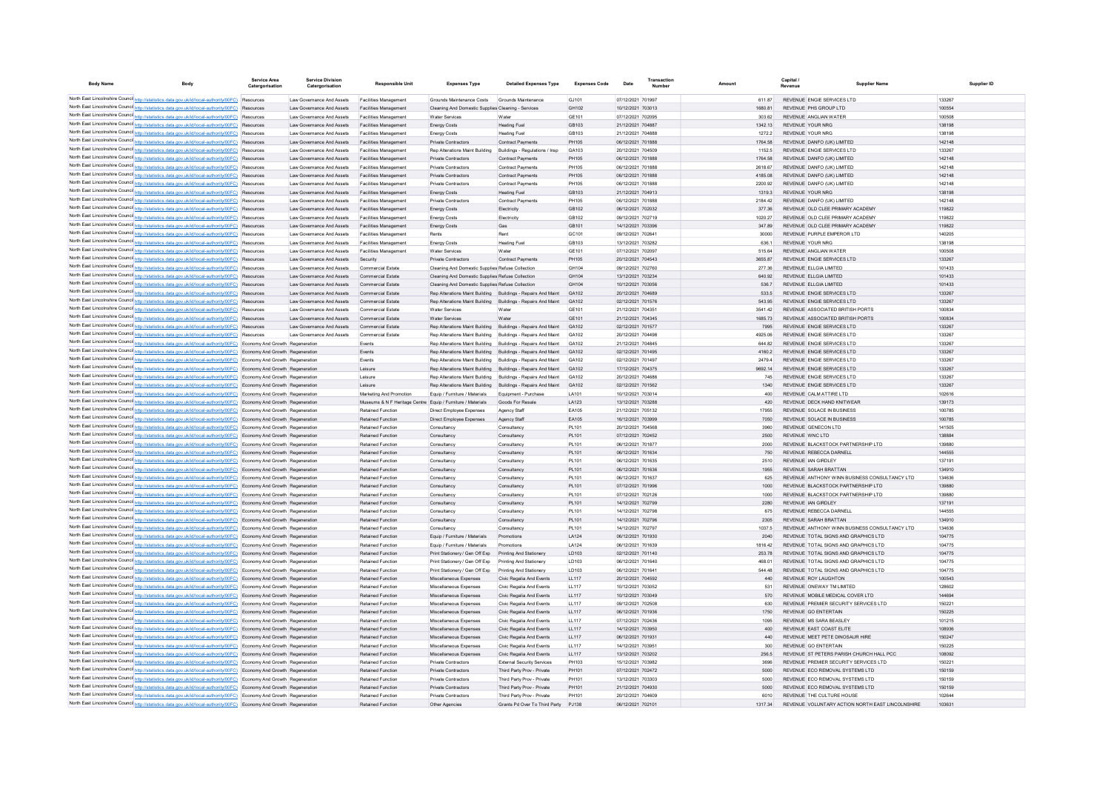| <b>Body Name</b> | Body                                                                                                                                                                                                                                               | <b>Service Area</b><br>Catergorisation | <b>Service Division</b><br>Catergorisation             | <b>Responsible Unit</b>                                                                | <b>Expenses Type</b>                                                                  | <b>Detailed Expenses Type</b>                        | <b>Expenses Code</b>                   | Date                                   | Transaction<br>Number |                   | Capital<br>Revenue | <b>Supplier Name</b>                                                         | Supplier ID      |
|------------------|----------------------------------------------------------------------------------------------------------------------------------------------------------------------------------------------------------------------------------------------------|----------------------------------------|--------------------------------------------------------|----------------------------------------------------------------------------------------|---------------------------------------------------------------------------------------|------------------------------------------------------|----------------------------------------|----------------------------------------|-----------------------|-------------------|--------------------|------------------------------------------------------------------------------|------------------|
|                  | North East Lincolnshire Counci http://statistics.data.gov.uk/id/local-authority/00FC) Resources                                                                                                                                                    |                                        | Law Governance And Assets                              | <b>Facilities Management</b>                                                           | Grounds Maintenance Costs                                                             | Grounds Maintenance                                  | GJ101                                  | 07/12/2021 701997                      |                       | 611.87            |                    | REVENUE ENGIE SERVICES LTD                                                   | 133267           |
|                  | North East Lincolnshire Counci http://statistics.data.gov.uk/id/local-authority/00FC) Resources                                                                                                                                                    |                                        | Law Governance And Assets                              | <b>Facilities Management</b>                                                           | Cleaning And Domestic Supplies Cleaning - Service                                     |                                                      | GH102                                  | 10/12/2021 703013                      |                       | 1680.81           |                    | REVENUE PHS GROUP LTD                                                        | 10055            |
|                  | North East Lincolnshire Counci http://statistics.data.gov.uk/id/local-authority/00FC) Resources                                                                                                                                                    |                                        | Law Governance And Assets                              | <b>Facilities Management</b>                                                           | Water Services                                                                        | Water                                                | GE101                                  | 07/12/2021 702095                      |                       | 303.62            |                    | REVENUE ANGLIAN WATER                                                        | 10050            |
|                  | North East Lincolnshire Counci http://statistics.data.gov.uk/id/local-authority/00FC) Resources                                                                                                                                                    |                                        | Law Governance And Assets                              | <b>Facilities Management</b>                                                           | <b>Energy Costs</b>                                                                   | <b>Heating Fuel</b>                                  | GB103                                  | 21/12/2021 704887                      |                       | 1342.13           |                    | REVENUE YOUR NRG                                                             | 138198           |
|                  | North East Lincolnshire Counci http://statistics.data.gov.uk/id/local-authority/00FC) Resources                                                                                                                                                    |                                        | Law Governance And Assets                              | Facilities Managemen                                                                   | <b>Energy Costs</b>                                                                   | <b>Heating Fuel</b>                                  | GB103                                  | 21/12/2021 704888                      |                       | 1272.2            |                    | REVENUE YOUR NRG                                                             | 138198           |
|                  | North East Lincolnshire Counci http://statistics.data.gov.uk/id/local-authority/00FC) Resources                                                                                                                                                    |                                        | Law Governance And Assets                              | <b>Facilities Management</b>                                                           | Private Contractors                                                                   | <b>Contract Payments</b>                             | PH105                                  | 06/12/2021 701888                      |                       | 1764.58           |                    | REVENUE DANFO (UK) LIMITED                                                   | 142148           |
|                  | North East Lincolnshire Counci http://statistics.data.gov.uk/id/local-authority/00FC) Resources<br>North East Lincolnshire Counci http://statistics.data.gov.uk/id/local-authority/00FC) Resources                                                 |                                        | Law Governance And Assets<br>Law Governance And Assets | <b>Facilities Management</b><br><b>Facilities Management</b>                           | Rep Alterations Maint Building<br>Private Contractors                                 | Buildings - Regulations / Insp.<br>Contract Payments | GA103<br>PH105                         | 20/12/2021 704509<br>06/12/2021 701888 |                       | 1152.5<br>1764.58 |                    | REVENUE ENGIE SERVICES LTD<br>REVENUE DANFO (UK) LIMITED                     | 133267<br>142148 |
|                  | North East Lincolnshire Counci http://statistics.data.gov.uk/id/local-authority/00FC) Resources                                                                                                                                                    |                                        | Law Governance And Assets                              | <b>Facilities Management</b>                                                           | Private Contractors                                                                   | <b>Contract Payments</b>                             | PH105                                  | 06/12/2021 701888                      |                       | 2618.67           |                    | REVENUE DANFO (UK) LIMITED                                                   | 142148           |
|                  | North East Lincolnshire Counci http://statistics.data.gov.uk/id/local-authority/00FC) Resources                                                                                                                                                    |                                        | Law Governance And Assets                              | <b>Facilities Management</b>                                                           | Private Contractors                                                                   | <b>Contract Payments</b>                             | PH105                                  | 06/12/2021 701888                      |                       | 4185.08           |                    | REVENUE DANFO (UK) LIMITED                                                   | 142148           |
|                  | North East Lincolnshire Counci http://statistics.data.gov.uk/id/local-authority/00FC) Resources                                                                                                                                                    |                                        | Law Governance And Assets                              | <b>Facilities Management</b>                                                           | Private Contractors                                                                   | <b>Contract Payments</b>                             | PH105                                  | 06/12/2021 701888                      |                       | 2200.92           |                    | REVENUE DANFO (UK) LIMITED                                                   | 142148           |
|                  | North East Lincolnshire Counci http://statistics.data.gov.uk/id/local-authority/00FC) Resources                                                                                                                                                    |                                        | Law Governance And Assets                              | Facilities Management                                                                  | <b>Energy Costs</b>                                                                   | <b>Heating Fuel</b>                                  | GB103                                  | 21/12/2021 704913                      |                       | 1319.3            |                    | <b>REVENUE YOUR NRG</b>                                                      | 138198           |
|                  | North East Lincolnshire Counci http://statistics.data.gov.uk/id/local-authority/00FC) Resources                                                                                                                                                    |                                        | I aw Governance And Assets                             | <b>Facilities Management</b>                                                           | Private Contractors                                                                   | <b>Contract Payments</b>                             | PH105                                  | 06/12/2021 701888                      |                       | 2184 42           |                    | REVENUE DANFO (UK) LIMITED                                                   | 142148           |
|                  | North East Lincolnshire Counci http://statistics.data.gov.uk/id/local-authority/00FC) Resources                                                                                                                                                    |                                        | Law Governance And Assets                              | <b>Facilities Management</b>                                                           | <b>Energy Costs</b>                                                                   | Electricity                                          | GB102                                  | 06/12/2021 702032                      |                       | 377.36            |                    | REVENUE OLD CLEE PRIMARY ACADEMY                                             | 119822           |
|                  | North East Lincolnshire Counci http://statistics.data.gov.uk/id/local-authority/00FC) Resources<br>North East Lincolnshire Counci http://statistics.data.gov.uk/id/local-authority/00FC) Resources                                                 |                                        | Law Governance And Assets<br>Law Governance And Assets | <b>Facilities Management</b><br><b>Facilities Management</b>                           | <b>Energy Costs</b>                                                                   | Flectricity<br>Gas                                   | GR <sub>102</sub><br>GB <sub>101</sub> | 09/12/2021 702719<br>14/12/2021 703396 |                       | 1020 27<br>347.89 |                    | REVENUE OLD CLEE PRIMARY ACADEMY<br>REVENUE OLD CLEE PRIMARY ACADEMY         | 119822<br>119822 |
|                  | North East Lincolnshire Counci http://statistics.data.gov.uk/id/local-authority/00FC) Resources                                                                                                                                                    |                                        | Law Governance And Assets                              | <b>Facilities Management</b>                                                           | <b>Energy Costs</b><br>Rents                                                          | Rent                                                 | GC <sub>101</sub>                      | 09/12/2021 702641                      |                       | 30000             |                    | REVENUE PURPLE EMPEROR LTD                                                   | 140205           |
|                  | North East Lincolnshire Counci http://statistics.data.gov.uk/id/local-authority/00FC) Resources                                                                                                                                                    |                                        | Law Governance And Assets                              | <b>Facilities Management</b>                                                           | <b>Energy Costs</b>                                                                   | <b>Heating Fuel</b>                                  | GB103                                  | 13/12/2021 703282                      |                       | 6361              |                    | <b>REVENUE YOUR NRG</b>                                                      | 138198           |
|                  | North East Lincolnshire Counci http://statistics.data.gov.uk/id/local-authority/00FC) Resources                                                                                                                                                    |                                        | Law Governance And Assets                              | Facilities Managemen                                                                   | Water Services                                                                        | Water                                                | GF101                                  | 07/12/2021 702097                      |                       | 515 64            |                    | REVENUE ANGLIAN WATER                                                        | 100508           |
|                  | North East Lincolnshire Counci http://statistics.data.gov.uk/id/local-authority/00FC) Resources                                                                                                                                                    |                                        | Law Governance And Assets                              | Security                                                                               | Private Contractors                                                                   | <b>Contract Payments</b>                             | PH105                                  | 20/12/2021 704543                      |                       | 365587            |                    | REVENUE ENGIE SERVICES LTD                                                   | 133267           |
|                  | North East Lincolnshire Counci http://statistics.data.gov.uk/id/local-authority/00FC) Resources                                                                                                                                                    |                                        | Law Governance And Assets                              | Commercial Estate                                                                      | Cleaning And Domestic Supplies Refuse Collection                                      |                                                      | GH104                                  | 09/12/2021 702760                      |                       | 277.36            |                    | REVENUE ELLGIA LIMITED                                                       | 101433           |
|                  | North East Lincolnshire Counci http://statistics.data.gov.uk/id/local-authority/00FC) Resources                                                                                                                                                    |                                        | Law Governance And Assets                              | Commercial Estate                                                                      | Cleaning And Domestic Supplies Refuse Collection                                      |                                                      | GH104                                  | 13/12/2021 703234                      |                       | 640.92            |                    | REVENUE ELLGIA LIMITED                                                       | 101433           |
|                  | North East Lincolnshire Counci http://statistics.data.gov.uk/id/local-authority/00FC) Resources                                                                                                                                                    |                                        | Law Governance And Assets                              | Commercial Estate                                                                      | Cleaning And Domestic Supplies Refuse Collection                                      |                                                      | GH104                                  | 10/12/2021 703056                      |                       | 536.7             |                    | REVENUE ELLGIA LIMITED                                                       | 101433           |
|                  | North East Lincolnshire Counci http://statistics.data.gov.uk/id/local-authority/00FC) Resources                                                                                                                                                    |                                        | Law Governance And Assets                              | Commercial Estate                                                                      | Rep Alterations Maint Building Buildings - Repairs And Maint                          |                                                      | GA102                                  | 20/12/2021 704689                      |                       | 533.5             |                    | REVENUE ENGIE SERVICES LTD                                                   | 133267<br>133267 |
|                  | North East Lincolnshire Counci http://statistics.data.gov.uk/id/local-authority/00FC) Resources<br>North East Lincolnshire Counci http://statistics.data.gov.uk/id/local-authority/00FC) Resources                                                 |                                        | Law Governance And Assets<br>Law Governance And Assets | Commercial Estate<br>Commercial Estate                                                 | Rep Alterations Maint Building Buildings - Repairs And Maint<br><b>Water Services</b> | Water                                                | GA102<br>GF101                         | 02/12/2021 701576<br>21/12/2021 704351 |                       | 543 95<br>354142  |                    | REVENUE ENGIE SERVICES LTD<br>REVENUE ASSOCIATED BRITISH PORTS               | 100834           |
|                  | North East Lincolnshire Counci http://statistics.data.gov.uk/id/local-authority/00FC) Resources                                                                                                                                                    |                                        | Law Governance And Assets                              | Commercial Estate                                                                      | <b>Water Services</b>                                                                 | Water                                                | GF101                                  | 21/12/2021 704345                      |                       | 1685 73           |                    | REVENUE ASSOCIATED BRITISH PORTS                                             | 100834           |
|                  | North East Lincolnshire Counci http://statistics.data.gov.uk/id/local-authority/00FC) Resources                                                                                                                                                    |                                        | Law Governance And Assets                              | <b>Commercial Estate</b>                                                               | Rep Alterations Maint Building                                                        | Buildings - Repairs And Maint                        | GA102                                  | 02/12/2021 701577                      |                       | 7995              |                    | REVENUE ENGIE SERVICES LTD                                                   | 133267           |
|                  | North East Lincolnshire Counci http://statistics.data.gov.uk/id/local-authority/00FC) Resources                                                                                                                                                    |                                        | Law Governance And Assets                              | <b>Commercial Estate</b>                                                               | Rep Alterations Maint Building Buildings - Repairs And Maint                          |                                                      | GA102                                  | 20/12/2021 704498                      |                       | 4925.06           |                    | REVENUE ENGIE SERVICES LTD                                                   | 133267           |
|                  | North East Lincolnshire Counci http://statistics.data.gov.uk/id/local-authority/00FC) Economy And Growth Regeneration                                                                                                                              |                                        |                                                        | Events                                                                                 | Rep Alterations Maint Building Buildings - Repairs And Maint                          |                                                      | GA102                                  | 21/12/2021 704845                      |                       | 644.82            |                    | REVENUE ENGIE SERVICES LTD                                                   | 133267           |
|                  | North East Lincolnshire Counci http://statistics.data.gov.uk/id/local-authority/00FC) Economy And Growth Regeneration                                                                                                                              |                                        |                                                        | Events                                                                                 | Rep Alterations Maint Building Buildings - Repairs And Maint                          |                                                      | GA102                                  | 02/12/2021 701495                      |                       | 4160.2            |                    | REVENUE ENGIE SERVICES LTD                                                   | 133267           |
|                  | North East Lincolnshire Counci http://statistics.data.gov.uk/id/local-authority/00FC) Economy And Growth Regeneration                                                                                                                              |                                        |                                                        | Events                                                                                 | Rep Alterations Maint Building Buildings - Repairs And Maint                          |                                                      | GA102                                  | 02/12/2021 701497                      |                       | 2479.4            |                    | REVENUE ENGIE SERVICES LTD                                                   | 133267           |
|                  | North East Lincolnshire Councint http://statistics.data.gov.uk/id/local-authority/00FC) Economy And Growth Regeneration                                                                                                                            |                                        |                                                        | Leisure                                                                                | Rep Alterations Maint Building Buildings - Repairs And Maint                          |                                                      | GA102                                  | 17/12/2021 704375                      |                       | 9692.14           |                    | REVENUE ENGIE SERVICES LTD                                                   | 133267           |
|                  | North East Lincolnshire Counci http://statistics.data.gov.uk/id/local-authority/00FC) Economy And Growth Regeneration                                                                                                                              |                                        |                                                        | Leisure                                                                                | Rep Alterations Maint Building Buildings - Repairs And Maint                          |                                                      | GA102                                  | 20/12/2021 704686                      |                       | 745               |                    | REVENUE ENGIE SERVICES LTD                                                   | 133267           |
|                  | North East Lincolnshire Counci http://statistics.data.gov.uk/id/local-authority/00FC) Economy And Growth Regeneration<br>North East Lincolnshire Counci http://statistics.data.gov.uk/id/local-authority/00FC) Economy And Growth Regeneration     |                                        |                                                        | Leisure                                                                                | Rep Alterations Maint Building Buildings - Repairs And Maint                          |                                                      | GA102<br>LA101                         | 02/12/2021 701562<br>10/12/2021 703014 |                       | 1340<br>400       |                    | REVENUE ENGIE SERVICES LTD<br>REVENUE CALM ATTIRE LTD                        | 133267<br>102616 |
|                  | North East Lincolnshire Counci http://statistics.data.gov.uk/id/local-authority/00FC) Economy And Growth Regeneration                                                                                                                              |                                        |                                                        | Marketing And Promotion<br>Museums & N F Heritage Centre Equip / Furniture / Materials | Equip / Furniture / Materials                                                         | Equipment - Purchase<br>Goods For Resale             | LA123                                  | 13/12/2021 703288                      |                       | 420               |                    | REVENUE DECK HAND KNITWEAR                                                   | 139173           |
|                  | North East Lincolnshire Counci http://statistics.data.gov.uk/id/local-authority/00FC) Economy And Growth Regeneration                                                                                                                              |                                        |                                                        | Retained Function                                                                      | Direct Employee Expenses                                                              | Agency Staff                                         | EA105                                  | 21/12/2021 705132                      |                       | 17955             |                    | REVENUE SOLACE IN BUSINESS                                                   | 100785           |
|                  | North East Lincolnshire Councint http://statistics.data.gov.uk/id/local-authority/00FC) Economy And Growth Regeneration                                                                                                                            |                                        |                                                        | Retained Function                                                                      | Direct Employee Expenses                                                              | Agency Staff                                         | EA105                                  | 16/12/2021 703999                      |                       | 7050              |                    | REVENUE SOLACE IN BUSINESS                                                   | 100785           |
|                  | North East Lincolnshire Counci http://statistics.data.gov.uk/id/local-authority/00FC) Economy And Growth Regeneration                                                                                                                              |                                        |                                                        | Retained Function                                                                      | Consultancy                                                                           | Consultancy                                          | PL101                                  | 20/12/2021 70456                       |                       | 3960              |                    | REVENUE GENECON LTD                                                          | 141505           |
|                  | North East Lincolnshire Councint http://statistics.data.gov.uk/id/local-authority/00FC) Economy And Growth Regeneration                                                                                                                            |                                        |                                                        | Retained Function                                                                      | Consultancy                                                                           | Consultancy                                          | PL101                                  | 07/12/2021 702452                      |                       | 2500              | REVENUE WNC LTD    |                                                                              | 138884           |
|                  | North East Lincolnshire Counci http://statistics.data.gov.uk/id/local-authority/00FC) Economy And Growth Regeneration                                                                                                                              |                                        |                                                        | Retained Function                                                                      | Consultancy                                                                           | Consultancy                                          | PL101                                  | 06/12/2021 70187                       |                       | 2000              |                    | REVENUE BLACKSTOCK PARTNERSHIP LTD                                           | 139880           |
|                  | North East Lincolnshire Counci http://statistics.data.gov.uk/id/local-authority/00FC) Economy And Growth Regeneration                                                                                                                              |                                        |                                                        | Retained Function                                                                      | Consultancy                                                                           | Consultancy                                          | PL101                                  | 06/12/2021 701634                      |                       | 750               |                    | REVENUE REBECCA DARNELI                                                      | 144555           |
|                  | North East Lincolnshire Counci http://statistics.data.gov.uk/id/local-authority/00FC) Economy And Growth Regeneration<br>North East Lincolnshire Counci http://statistics.data.gov.uk/id/local-authority/00FC) Economy And Growth Regeneration     |                                        |                                                        | Retained Function<br><b>Retained Function</b>                                          | Consultancy<br>Consultancy                                                            | Consultancy<br>Consultancy                           | PL101<br>PL101                         | 06/12/2021 701635<br>06/12/2021 701636 |                       | 2510<br>1955      |                    | REVENUE IAN GIRDLEY<br>REVENUE SARAH BRATTAN                                 | 13719<br>134910  |
|                  | North East Lincolnshire Counci http://statistics.data.gov.uk/id/local-authority/00FC) Economy And Growth Regeneration                                                                                                                              |                                        |                                                        | <b>Retained Function</b>                                                               | Consultancy                                                                           | Consultancy                                          | PL101                                  | 06/12/2021 701637                      |                       | 625               |                    | REVENUE ANTHONY WINN BUSINESS CONSULTANCY LTD                                | 134636           |
|                  | North East Lincolnshire Counci http://statistics.data.gov.uk/id/local-authority/00FC) Economy And Growth Regeneration                                                                                                                              |                                        |                                                        | <b>Retained Function</b>                                                               | Consultancy                                                                           | Consultancy                                          | PL101                                  | 07/12/2021 701996                      |                       | 1000              |                    | REVENUE BLACKSTOCK PARTNERSHIP LTD                                           | 139880           |
|                  | North East Lincolnshire Counci http://statistics.data.gov.uk/id/local-authority/00FC) Economy And Growth Regeneration                                                                                                                              |                                        |                                                        | <b>Retained Function</b>                                                               | Consultancy                                                                           | Consultancy                                          | PL101                                  | 07/12/2021 702126                      |                       | 1000              |                    | REVENUE BLACKSTOCK PARTNERSHIP LTD                                           | 139880           |
|                  | North East Lincolnshire Counci http://statistics.data.gov.uk/id/local-authority/00FC) Economy And Growth Regeneration                                                                                                                              |                                        |                                                        | <b>Retained Function</b>                                                               | Consultancy                                                                           | Consultancy                                          | PL101                                  | 14/12/2021 702799                      |                       | 2280              |                    | REVENUE IAN GIRDLEY                                                          | 13719            |
|                  | North East Lincolnshire Counci http://statistics.data.gov.uk/id/local-authority/00FC) Economy And Growth Regeneration                                                                                                                              |                                        |                                                        | Retained Functio                                                                       | Consultanc                                                                            | Consultancy                                          | PL101                                  | 14/12/2021 702798                      |                       | 675               |                    | REVENUE REBECCA DARNELI                                                      | 144555           |
|                  | North East Lincolnshire Counci http://statistics.data.gov.uk/id/local-authority/00FC) Economy And Growth Regeneration                                                                                                                              |                                        |                                                        | <b>Retained Function</b>                                                               | Consultancy                                                                           | Consultancy                                          | PL101                                  | 14/12/2021 702796                      |                       | 2305              |                    | REVENUE SARAH BRATTAN                                                        | 134910           |
|                  | North East Lincolnshire Counci http://statistics.data.gov.uk/id/local-authority/00FC) Economy And Growth Regeneration                                                                                                                              |                                        |                                                        | Retained Functio                                                                       | Consultancy                                                                           | Consultancy                                          | PL101                                  | 14/12/2021 702797                      |                       | 1037.5            |                    | REVENUE ANTHONY WINN BUSINESS CONSULTANCY LTD                                | 134636           |
|                  | North East Lincolnshire Counci http://statistics.data.gov.uk/id/local-authority/00FC) Economy And Growth Regeneration                                                                                                                              |                                        |                                                        | <b>Retained Function</b><br>Retained Functio                                           | Equip / Furniture / Materials<br>Equip / Furniture / Materials                        | Promotions<br>Promotion                              | LA124<br>LA124                         | 06/12/2021 701930<br>06/12/2021 701639 |                       | 2040<br>1816.42   |                    | REVENUE TOTAL SIGNS AND GRAPHICS LTD<br>REVENUE TOTAL SIGNS AND GRAPHICS LTD | 104775<br>104775 |
|                  | North East Lincolnshire Counci http://statistics.data.gov.uk/id/local-authority/00FC) Economy And Growth Regeneratio<br>North East Lincolnshire Counci http://statistics.data.gov.uk/id/local-authority/00FC) Economy And Growth Regeneration      |                                        |                                                        | Retained Function                                                                      | Print Stationery / Gen Off Exp                                                        | Printing And Stationery                              | LD103                                  | 02/12/2021 701140                      |                       | 253.78            |                    | REVENUE TOTAL SIGNS AND GRAPHICS LTD                                         | 104775           |
|                  | North East Lincolnshire Counci http://statistics.data.gov.uk/id/local-authority/00FC) Economy And Growth Regeneration                                                                                                                              |                                        |                                                        | Retained Function                                                                      | Print Stationery / Gen Off Exp                                                        | Printing And Stationery                              | LD103                                  | 06/12/2021 701640                      |                       | 468.01            |                    | REVENUE TOTAL SIGNS AND GRAPHICS LTD                                         | 104775           |
|                  | North East Lincolnshire Counci http://statistics.data.gov.uk/id/local-authority/00FC) Economy And Growth Regeneration                                                                                                                              |                                        |                                                        | Retained Function                                                                      | Print Stationery / Gen Off Exp                                                        | Printing And Stationery                              | LD103                                  | 06/12/2021 70164                       |                       | 544.48            |                    | REVENUE TOTAL SIGNS AND GRAPHICS LTD                                         | 104775           |
|                  | North East Lincolnshire Counci http://statistics.data.gov.uk/id/local-authority/00FC) Economy And Growth Regeneration                                                                                                                              |                                        |                                                        | Retained Function                                                                      | Miscellaneous Expenses                                                                | Civic Regalia And Events                             | LL117                                  | 20/12/2021 704592                      |                       | 440               |                    | REVENUE ROY LAUGHTON                                                         | 100543           |
|                  | North East Lincolnshire Counci http://statistics.data.gov.uk/id/local-authority/00FC) Economy And Growth Regeneratio                                                                                                                               |                                        |                                                        | Retained Function                                                                      | Miscellaneous Expenses                                                                | Civic Regalia And Events                             | LL117                                  | 10/12/2021 703052                      |                       | 531               |                    | REVENUE ONEWAY TM LIMITED                                                    | 128602           |
|                  | North East Lincolnshire Councint http://statistics.data.gov.uk/id/local-authority/00FC) Economy And Growth Regeneration                                                                                                                            |                                        |                                                        | Retained Function                                                                      | Miscellaneous Expenses                                                                | Civic Regalia And Events                             | LL117                                  | 10/12/2021 703049                      |                       | 570               |                    | REVENUE MOBILE MEDICAL COVER LTD                                             | 144694           |
|                  | North East Lincolnshire Counci http://statistics.data.gov.uk/id/local-authority/00FC) Economy And Growth Regeneration                                                                                                                              |                                        |                                                        | Retained Function                                                                      | Miscellaneous Expenses                                                                | Civic Regalia And Events                             | LL117                                  | 09/12/2021 702508                      |                       | 630               |                    | REVENUE PREMIER SECURITY SERVICES LTD                                        | 150221           |
|                  | North East Lincolnshire Councint http://statistics.data.gov.uk/id/local-authority/00FC) Economy And Growth Regeneration                                                                                                                            |                                        |                                                        | Retained Function                                                                      | Miscellaneous Expenses                                                                | Civic Regalia And Events                             | LL117                                  | 06/12/2021 701936                      |                       | 1750              |                    | REVENUE GO ENTERTAIN                                                         | 150225           |
|                  | North East Lincolnshire Councint http://statistics.data.gov.uk/id/local-authority/00FC) Economy And Growth Regeneration<br>North East Lincolnshire Councint http://statistics.data.gov.uk/id/local-authority/00FC) Economy And Growth Regeneration |                                        |                                                        | Retained Function<br>Retained Function                                                 | Miscellaneous Expenses<br>Miscellaneous Expenses                                      | Civic Regalia And Events<br>Civic Regalia And Events | LL117<br>LL117                         | 07/12/2021 702436<br>14/12/2021 703950 |                       | 1095<br>400       |                    | REVENUE MS SARA BEASLEY<br>REVENUE EAST COAST ELITE                          | 101215<br>108936 |
|                  | North East Lincolnshire Counci http://statistics.data.gov.uk/id/local-authority/00FC) Economy And Growth Regeneration                                                                                                                              |                                        |                                                        | Retained Function                                                                      | Miscellaneous Expenses                                                                | Civic Regalia And Events                             | LL117                                  | 06/12/2021 701931                      |                       | 440               |                    | REVENUE MEET PETE DINOSAUR HIRE                                              | 150247           |
|                  | North East Lincolnshire Counci http://statistics.data.gov.uk/id/local-authority/00FC) Economy And Growth Regeneration                                                                                                                              |                                        |                                                        | Retained Function                                                                      | Miscellaneous Expenses                                                                | Civic Regalia And Events                             | LL117                                  | 14/12/2021 703951                      |                       | 300               |                    | <b>REVENUE GO ENTERTAIN</b>                                                  | 150225           |
|                  | North East Lincolnshire Councint http://statistics.data.gov.uk/id/local-authority/00FC) Economy And Growth Regeneration                                                                                                                            |                                        |                                                        | Retained Function                                                                      | Miscellaneous Expenses                                                                | Civic Regalia And Events                             | LL117                                  | 13/12/2021 703202                      |                       | 256.5             |                    | REVENUE ST PETERS PARISH CHURCH HALL PCC                                     | 108092           |
|                  | North East Lincolnshire Counci http://statistics.data.gov.uk/id/local-authority/00FC) Economy And Growth Regeneration                                                                                                                              |                                        |                                                        | <b>Retained Function</b>                                                               | Private Contractors                                                                   | External Security Services                           | PH103                                  | 15/12/2021 703982                      |                       | 3696              |                    | REVENUE PREMIER SECURITY SERVICES LTD.                                       | 150221           |
|                  | North East Lincolnshire Counci http://statistics.data.gov.uk/id/local-authority/00FC) Economy And Growth Regeneration                                                                                                                              |                                        |                                                        | Retained Function                                                                      | Private Contractors                                                                   | Third Party Prov - Private                           | PH101                                  | 07/12/2021 702472                      |                       | 5000              |                    | REVENUE ECO REMOVAL SYSTEMS LTD                                              | 150159           |
|                  | North East Lincolnshire Counci http://statistics.data.gov.uk/id/local-authority/00FC) Economy And Growth Regeneration                                                                                                                              |                                        |                                                        | <b>Retained Function</b>                                                               | Private Contractors                                                                   | Third Party Prov - Private                           | PH101                                  | 13/12/2021 703303                      |                       | 5000              |                    | REVENUE FCO REMOVAL SYSTEMS LTD                                              | 150159           |
|                  | North East Lincolnshire Counci http://statistics.data.gov.uk/id/local-authority/00FC) Economy And Growth Regeneration                                                                                                                              |                                        |                                                        | <b>Retained Function</b>                                                               | <b>Private Contractors</b>                                                            | Third Party Prov - Private                           | PH101                                  | 21/12/2021 704930                      |                       | 5000              |                    | REVENUE ECO REMOVAL SYSTEMS LTD                                              | 150159           |
|                  | North East Lincolnshire Counci http://statistics.data.gov.uk/id/local-authority/00FC) Economy And Growth Regeneration                                                                                                                              |                                        |                                                        | <b>Retained Function</b>                                                               | Private Contractors                                                                   | Third Party Prov - Private                           | PH101                                  | 20/12/2021 704609                      |                       | 6010              |                    | REVENUE THE CULTURE HOUSE                                                    | 102644           |
|                  | North East Lincolnshire Councint http://statistics.data.gov.uk/id/local-authority/00FC) Economy And Growth Regeneration                                                                                                                            |                                        |                                                        | <b>Retained Function</b>                                                               | Other Agencies                                                                        | Grants Pd Over To Third Party                        | P.1138                                 | 06/12/2021 702101                      |                       | 131734            |                    | REVENUE VOLUNTARY ACTION NORTH EAST LINCOLNSHIRE                             | 103631           |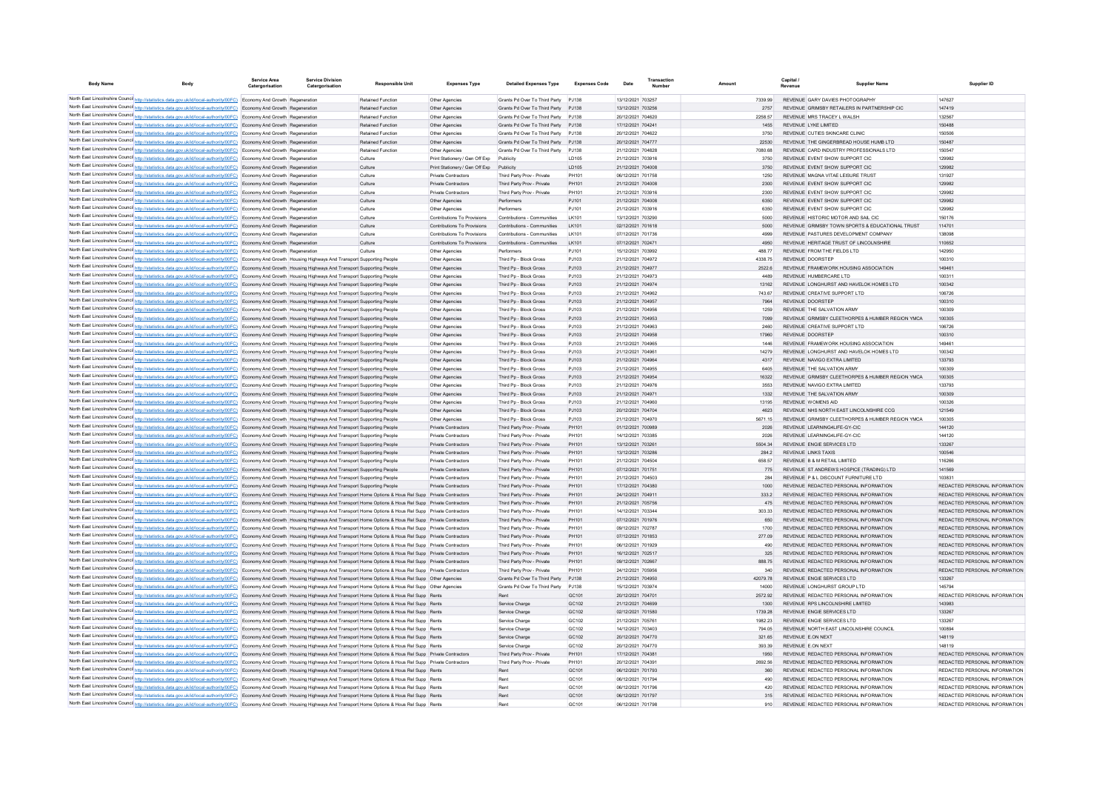| <b>Body Name</b> |                                                                                                                                                                                                                                                                                                                                                                          | Service Area<br>Catergorisation | <b>Service Division</b><br>Catergorisation | <b>Responsible Unit</b>  | <b>Expenses Type</b>                       | <b>Detailed Expenses Type</b>                            | <b>Expenses Code</b> | Date                                   | Transactio<br>Number |                | Capital /<br>Revenue | <b>Supplier Nam</b>                                                            | Supplier ID                                                    |
|------------------|--------------------------------------------------------------------------------------------------------------------------------------------------------------------------------------------------------------------------------------------------------------------------------------------------------------------------------------------------------------------------|---------------------------------|--------------------------------------------|--------------------------|--------------------------------------------|----------------------------------------------------------|----------------------|----------------------------------------|----------------------|----------------|----------------------|--------------------------------------------------------------------------------|----------------------------------------------------------------|
|                  | North East Lincolnshire Counci http://statistics.data.gov.uk/id/local-authority/00FC) Economy And Growth Regeneration                                                                                                                                                                                                                                                    |                                 |                                            | Retained Function        | Other Agencies                             | Grants Pd Over To Third Party PJ138                      |                      | 13/12/2021 703257                      |                      | 7339.99        |                      | REVENUE GARY DAVIES PHOTOGRAPHY                                                | 147627                                                         |
|                  | North East Lincolnshire Counci http://statistics.data.gov.uk/id/local-authority/00FC) Economy And Growth Regeneration                                                                                                                                                                                                                                                    |                                 |                                            | Retained Function        | Other Agencies                             | Grants Pd Over To Third Party PJ138                      |                      | 13/12/2021 703256                      |                      | 2757           |                      | REVENUE GRIMSBY RETAILERS IN PARTNERSHIP CIC                                   | 147419                                                         |
|                  | North East Lincolnshire Counci http://statistics.data.gov.uk/id/local-authority/00FC) Economy And Growth Regeneration                                                                                                                                                                                                                                                    |                                 |                                            | <b>Retained Function</b> | Other Agencies                             | Grants Pd Over To Third Party PJ138                      |                      | 20/12/2021 704620                      |                      | 2258.57        |                      | REVENUE MRS TRACEY L WALSH                                                     | 132567                                                         |
|                  | North East Lincolnshire Counci http://statistics.data.gov.uk/id/local-authority/00FC) Economy And Growth Regeneration                                                                                                                                                                                                                                                    |                                 |                                            | <b>Retained Function</b> | Other Agencies                             | Grants Pd Over To Third Party PJ138                      |                      | 17/12/2021 704241                      |                      | 1455           |                      | REVENUE LYKE LIMITED                                                           | 150488                                                         |
|                  | North East Lincolnshire Counci http://statistics.data.gov.uk/id/local-authority/00FC) Economy And Growth Regeneration                                                                                                                                                                                                                                                    |                                 |                                            | <b>Retained Function</b> | Other Agencies                             | Grants Pd Over To Third Party PJ138                      |                      | 20/12/2021 704622                      |                      | 3750           |                      | REVENUE CUTIES SKINCARE CLINIC                                                 | 150506                                                         |
|                  | North East Lincolnshire Counci http://statistics.data.gov.uk/id/local-authority/00FC) Economy And Growth Regeneration                                                                                                                                                                                                                                                    |                                 |                                            | <b>Retained Function</b> | Other Agencies                             | Grants Pd Over To Third Party PJ138                      |                      | 20/12/2021 704777                      |                      | 22530          |                      | REVENUE THE GINGERBREAD HOUSE HUMB LTD                                         | 150487                                                         |
|                  | North East Lincolnshire Counci http://statistics.data.gov.uk/id/local-authority/00FC) Economy And Growth Regeneration                                                                                                                                                                                                                                                    |                                 |                                            | <b>Retained Function</b> | Other Agencies                             | Grants Pd Over To Third Party PJ138                      |                      | 21/12/2021 704828                      |                      | 7080.68        |                      | REVENUE CARD INDUSTRY PROFESSIONALS LTD                                        | 150547                                                         |
|                  | North East Lincolnshire Counci http://statistics.data.gov.uk/id/local-authority/00FC) Economy And Growth Regeneration                                                                                                                                                                                                                                                    |                                 |                                            | Culture                  | Print Stationery / Gen Off Exp Publicity   |                                                          | LD105                | 21/12/2021 703916                      |                      | 3750           |                      | REVENUE EVENT SHOW SUPPORT CIC                                                 | 129982                                                         |
|                  | North East Lincolnshire Counci http://statistics.data.gov.uk/id/local-authority/00FC) Economy And Growth Regeneration                                                                                                                                                                                                                                                    |                                 |                                            | Culture                  | Print Stationery / Gen Off Exp Publicity   |                                                          | LD105                | 21/12/2021 704008                      |                      | 3750           |                      | REVENUE EVENT SHOW SUPPORT CIC                                                 | 129982                                                         |
|                  | North East Lincolnshire Councint http://statistics.data.gov.uk/id/local-authority/00FC) Economy And Growth Regeneration<br>North East Lincolnshire Counci http://statistics.data.gov.uk/id/local-authority/00FC) Economy And Growth Regeneration                                                                                                                         |                                 |                                            | Culture<br>Culture       | Private Contractors<br>Private Contractors | Third Party Prov - Private                               | PH101<br>PH101       | 06/12/2021 701758<br>21/12/2021 704008 |                      | 1250<br>2300   |                      | REVENUE MAGNA VITAE LEISURE TRUST<br>REVENUE EVENT SHOW SUPPORT CIC            | 131927<br>129982                                               |
|                  | North East Lincolnshire Counci http://statistics.data.gov.uk/id/local-authority/00FC) Economy And Growth Regeneration                                                                                                                                                                                                                                                    |                                 |                                            | Culture                  | Private Contractors                        | Third Party Prov - Private<br>Third Party Prov - Private | PH101                | 21/12/2021 703916                      |                      | 2300           |                      | REVENUE EVENT SHOW SUPPORT CIC                                                 | 129982                                                         |
|                  | North East Lincolnshire Counci http://statistics.data.gov.uk/id/local-authority/00FC) Economy And Growth Regeneration                                                                                                                                                                                                                                                    |                                 |                                            | Culture                  | Other Agencies                             | Performers                                               | P.1101               | 21/12/2021 704008                      |                      | 6350           |                      | REVENUE EVENT SHOW SUPPORT CIC                                                 | 129982                                                         |
|                  | North East Lincolnshire Counci http://statistics.data.gov.uk/id/local-authority/00FC) Economy And Growth Regeneration                                                                                                                                                                                                                                                    |                                 |                                            | Culture                  | Other Agencies                             | Performers                                               | P.1101               | 21/12/2021 703916                      |                      | 6350           |                      | REVENUE EVENT SHOW SUPPORT CIC                                                 | 129982                                                         |
|                  | North East Lincolnshire Counci http://statistics.data.gov.uk/id/local-authority/00FC) Economy And Growth Regeneration                                                                                                                                                                                                                                                    |                                 |                                            | Culture                  | Contributions To Provisions                | Contributions - Communities                              | I K101               | 13/12/2021 703290                      |                      | 5000           |                      | REVENUE HISTORIC MOTOR AND SAIL CIC                                            | 150176                                                         |
|                  | North East Lincolnshire Counci http://statistics.data.gov.uk/id/local-authority/00FC)                                                                                                                                                                                                                                                                                    | Economy And Growth Regeneration |                                            | Culture                  | Contributions To Provisions                | Contributions - Communities                              | K10                  | 02/12/2021 701618                      |                      | 5000           |                      | REVENUE GRIMSBY TOWN SPORTS & EDUCATIONAL TRUST                                | 114701                                                         |
|                  | North East Lincolnshire Counci http://statistics.data.gov.uk/id/local-authority/00FC) Economy And Growth Regeneration                                                                                                                                                                                                                                                    |                                 |                                            | Culture                  | Contributions To Provisions                | Contributions - Communities                              | IK10'                | 07/12/2021 701736                      |                      | 4999           |                      | REVENUE PASTURES DEVELOPMENT COMPANY                                           | 138098                                                         |
|                  | North East Lincolnshire Counci http://statistics.data.gov.uk/id/local-authority/00FC) Economy And Growth Regeneration                                                                                                                                                                                                                                                    |                                 |                                            | Culture                  | Contributions To Provisions                | Contributions - Communities                              | IK10                 | 07/12/2021 702471                      |                      | 4950           |                      | REVENUE HERITAGE TRUST OF LINCOLNSHIRE                                         | 110652                                                         |
|                  | North East Lincolnshire Counci http://statistics.data.gov.uk/id/local-authority/00FC) Economy And Growth Regeneration                                                                                                                                                                                                                                                    |                                 |                                            | Culture                  | Other Agencies                             | <b>Performers</b>                                        | P.1101               | 15/12/2021 703992                      |                      | 488 77         |                      | REVENUE FROM THE FIFLOS LTD.                                                   | 142950                                                         |
|                  | North East Lincolnshire Counci http://statistics.data.gov.uk/id/local-authority/00FC) Economy And Growth Housing Highways And Transport Supporting People                                                                                                                                                                                                                |                                 |                                            |                          | Other Agencies                             | Third Pn - Block Gross                                   | P.1103               | 21/12/2021 704972                      |                      | 4338 75        |                      | <b>REVENUE DOORSTEP</b>                                                        | 100310                                                         |
|                  | North East Lincolnshire Counci http://statistics.data.gov.uk/id/local-authority/00FC) Economy And Growth Housing Highways And Transport Supporting People                                                                                                                                                                                                                |                                 |                                            |                          | Other Agencies                             | Third Pp - Block Gross                                   | P.1103               | 21/12/2021 704977                      |                      | 2522.6         |                      | REVENUE FRAMEWORK HOUSING ASSOCIATION                                          | 149461                                                         |
|                  | North East Lincolnshire Counci http://statistics.data.gov.uk/id/local-authority/00FC) Economy And Growth Housing Highways And Transport Supporting People                                                                                                                                                                                                                |                                 |                                            |                          | Other Agencies                             | Third Pn - Block Gross                                   | P.1103               | 21/12/2021 704973                      |                      | 4489           |                      | REVENUE HUMBERCARE LTD                                                         | 100311                                                         |
|                  | North East Lincolnshire Counci http://statistics.data.gov.uk/id/local-authority/00FC) Economy And Growth Housing Highways And Transport Supporting People                                                                                                                                                                                                                |                                 |                                            |                          | Other Agencies                             | Third Pp - Block Gross                                   | P.1103               | 21/12/2021 704974                      |                      | 13162          |                      | REVENUE LONGHURST AND HAVELOK HOMES LTD.                                       | 100342                                                         |
|                  | North East Lincolnshire Counci http://statistics.data.gov.uk/id/local-authority/00FC) Economy And Growth Housing Highways And Transport Supporting People                                                                                                                                                                                                                |                                 |                                            |                          | Other Agencies                             | Third Pn - Block Gross                                   | P.1103               | 21/12/2021 704962                      |                      | 743.67         |                      | REVENUE CREATIVE SUPPORT LTD                                                   | 106726                                                         |
|                  | North East Lincolnshire Counci http://statistics.data.gov.uk/id/local-authority/00FC) Economy And Growth Housing Highways And Transport Supporting People                                                                                                                                                                                                                |                                 |                                            |                          | Other Agencies                             | Third Pp - Block Gross                                   | P.1103               | 21/12/2021 704957                      |                      | 7964           |                      | REVENUE DOORSTEP                                                               | 100310                                                         |
|                  | North East Lincolnshire Counci http://statistics.data.gov.uk/id/local-authority/00FC) Economy And Growth Housing Highways And Transport Supporting People                                                                                                                                                                                                                |                                 |                                            |                          | Other Agencies                             | Third Pn - Block Gross                                   | P.1103               | 21/12/2021 704956                      |                      | 1259           |                      | REVENUE THE SALVATION ARMY                                                     | 100309                                                         |
|                  | North East Lincolnshire Counci http://statistics.data.gov.uk/id/local-authority/00FC) Economy And Growth Housing Highways And Transport Supporting People                                                                                                                                                                                                                |                                 |                                            |                          | Other Agencies                             | Third Pp - Block Gross                                   | P.1103               | 21/12/2021 704953                      |                      | 7099           |                      | REVENUE GRIMSBY CLEETHORPES & HUMBER REGION YMCA                               | 100305                                                         |
|                  | North East Lincolnshire Counci http://statistics.data.gov.uk/id/local-authority/00FC) Economy And Growth Housing Highways And Transport Supporting People                                                                                                                                                                                                                |                                 |                                            |                          | Other Agencies                             | Third Pp - Block Gross                                   | PJ103                | 21/12/2021 704963                      |                      | 2460           |                      | REVENUE CREATIVE SUPPORT LTD                                                   | 106726                                                         |
|                  | North East Lincolnshire Counci http://statistics.data.gov.uk/id/local-authority/00FC) Economy And Growth Housing Highways And Transport Supporting People                                                                                                                                                                                                                |                                 |                                            |                          | Other Agencies                             | Third Pp - Block Gross                                   | PJ103                | 21/12/2021 704958                      |                      | 17960          |                      | REVENUE DOORSTEP                                                               | 100310                                                         |
|                  | North East Lincolnshire Counci http://statistics.data.gov.uk/id/local-authority/00FC) Economy And Growth Housing Highways And Transport Supporting People                                                                                                                                                                                                                |                                 |                                            |                          | Other Agencies                             | Third Pp - Block Gross                                   | PJ103<br>PJ103       | 21/12/2021 704965                      |                      | 1446           |                      | REVENUE FRAMEWORK HOUSING ASSOCIATION                                          | 149461                                                         |
|                  | North East Lincolnshire Counci http://statistics.data.gov.uk/id/local-authority/00FC) Economy And Growth Housing Highways And Transport Supporting People<br>North East Lincolnshire Counci http://statistics.data.gov.uk/id/local-authority/00FC) Economy And Growth Housing Highways And Transport Supporting People                                                   |                                 |                                            |                          | Other Agencies<br>Other Agencies           | Third Pp - Block Gross<br>Third Pp - Block Gross         | PJ103                | 21/12/2021 70496<br>21/12/2021 704964  |                      | 14279<br>4317  |                      | REVENUE LONGHURST AND HAVELOK HOMES LTD<br>REVENUE NAVIGO EXTRA LIMITED        | 100342<br>133793                                               |
|                  | North East Lincolnshire Counci http://statistics.data.gov.uk/id/local-authority/00FC) Economy And Growth Housing Highways And Transport Supporting People                                                                                                                                                                                                                |                                 |                                            |                          | Other Agencies                             | Third Pp - Block Gross                                   | PJ103                | 21/12/2021 704955                      |                      | 6405           |                      | REVENUE THE SALVATION ARMY                                                     | 100309                                                         |
|                  | North East Lincolnshire Council http://statistics.data.gov.uk/id/local-authority/00FC) Economy And Growth Housing Highways And Transport Supporting People                                                                                                                                                                                                               |                                 |                                            |                          | Other Agencies                             | Third Pp - Block Gross                                   | PJ103                | 21/12/2021 704954                      |                      | 16322          |                      | REVENUE GRIMSBY CLEETHORPES & HUMBER REGION YMCA                               | 100305                                                         |
|                  | North East Lincolnshire Counci http://statistics.data.gov.uk/id/local-authority/00FC) Economy And Growth Housing Highways And Transport Supporting People                                                                                                                                                                                                                |                                 |                                            |                          | Other Agencies                             | Third Pp - Block Gross                                   | PJ103                | 21/12/2021 704976                      |                      | 3553           |                      | REVENUE NAVIGO EXTRA LIMITED                                                   | 133793                                                         |
|                  | North East Lincolnshire Counci http://statistics.data.gov.uk/id/local-authority/00FC) Economy And Growth Housing Highways And Transport Supporting People                                                                                                                                                                                                                |                                 |                                            |                          | Other Agencies                             | Third Pp - Block Gross                                   | PJ103                | 21/12/2021 704971                      |                      | 1332           |                      | REVENUE THE SALVATION ARMY                                                     | 100309                                                         |
|                  | North East Lincolnshire Council http://statistics.data.gov.uk/id/local-authority/00FC) Economy And Growth Housing Highways And Transport Supporting People                                                                                                                                                                                                               |                                 |                                            |                          | Other Agencies                             | Third Pp - Block Gross                                   | PJ103                | 21/12/2021 704960                      |                      | 13195          |                      | REVENUE WOMENS AID                                                             | 100326                                                         |
|                  | North East Lincolnshire Council http://statistics.data.gov.uk/id/local-authority/00FC) Economy And Growth Housing Highways And Transport Supporting People                                                                                                                                                                                                               |                                 |                                            |                          | Other Agencies                             | Third Pp - Block Gross                                   | PJ103                | 20/12/2021 704704                      |                      | 4623           |                      | REVENUE NHS NORTH EAST LINCOLNSHIRE CCG                                        | 121549                                                         |
|                  | North East Lincolnshire Counci http://statistics.data.gov.uk/id/local-authority/00FC) Economy And Growth Housing Highways And Transport Supporting People                                                                                                                                                                                                                |                                 |                                            |                          | Other Agencies                             | Third Pp - Block Gross                                   | PJ103                | 21/12/2021 704970                      |                      | 5671.15        |                      | REVENUE GRIMSBY CLEETHORPES & HUMBER REGION YMCA                               | 100305                                                         |
|                  | North East Lincolnshire Counci http://statistics.data.gov.uk/id/local-authority/00FC) Economy And Growth Housing Highways And Transport Supporting People                                                                                                                                                                                                                |                                 |                                            |                          | Private Contractors                        | Third Party Prov - Private                               | PH101                | 01/12/2021 700989                      |                      | 2026           |                      | REVENUE LEARNING4LIFE-GY-CIC                                                   | 144120                                                         |
|                  | North East Lincolnshire Counci http://statistics.data.gov.uk/id/local-authority/00FC) Economy And Growth Housing Highways And Transport Supporting People                                                                                                                                                                                                                |                                 |                                            |                          | Private Contractors                        | Third Party Prov - Privat                                | PH101                | 14/12/2021 703385                      |                      | 2026           |                      | REVENUE LEARNING4LIFE-GY-CIC                                                   | 144120                                                         |
|                  | North East Lincolnshire Counci http://statistics.data.gov.uk/id/local-authority/00FC) Economy And Growth Housing Highways And Transport Supporting People                                                                                                                                                                                                                |                                 |                                            |                          | Private Contractors                        | Third Party Prov - Private                               | PH101                | 13/12/2021 703261                      |                      | 5504.34        |                      | REVENUE ENGIE SERVICES LTD                                                     | 133267                                                         |
|                  | North East Lincolnshire Counci http://statistics.data.gov.uk/id/local-authority/00FC) Economy And Growth Housing Highways And Transport Supporting People                                                                                                                                                                                                                |                                 |                                            |                          | Private Contractors                        | Third Party Prov - Private                               | PH101                | 13/12/2021 703286                      |                      | 284.2          |                      | <b>REVENUE LINKS TAXIS</b>                                                     | 100546                                                         |
|                  | North East Lincolnshire Counci http://statistics.data.gov.uk/id/local-authority/00FC) Economy And Growth Housing Highways And Transport Supporting People                                                                                                                                                                                                                |                                 |                                            |                          | Private Contractors                        | Third Party Prov - Private                               | PH101                | 21/12/2021 704504                      |                      | 658.57         |                      | REVENUE B & M RETAIL LIMITED                                                   | 116266                                                         |
|                  | North East Lincolnshire Counci http://statistics.data.gov.uk/id/local-authority/00FC) Economy And Growth Housing Highways And Transport Supporting People                                                                                                                                                                                                                |                                 |                                            |                          | Private Contractors                        | Third Party Prov - Private                               | PH101                | 07/12/2021 701751                      |                      | 775            |                      | REVENUE ST ANDREWS HOSPICE (TRADING) LTD                                       | 141569                                                         |
|                  | North East Lincolnshire Council http://statistics.data.gov.uk/id/local-authority/00FC) Economy And Growth Housing Highways And Transport Supporting People                                                                                                                                                                                                               |                                 |                                            |                          | Private Contractors                        | Third Party Prov - Private                               | PH101                | 21/12/2021 704503                      |                      | 284            |                      | REVENUE P & L DISCOUNT FURNITURE LTD                                           | 103831                                                         |
|                  | North East Lincolnshire Council http://statistics.data.gov.uk/id/local-authority/00FC) Economy And Growth Housing Highways And Transport Supporting People<br>North East Lincolnshire Counci http://statistics.data.gov.uk/id/local-authority/00FC) Economy And Growth Housing Highways And Transport Home Options & Hous Rel Supp Private Contractors                   |                                 |                                            |                          | Private Contractors                        | Third Party Prov - Private<br>Third Party Prov - Private | PH101<br>PH101       | 17/12/2021 704380<br>24/12/2021 704911 |                      | 1000<br>333.2  |                      | REVENUE REDACTED PERSONAL INFORMATION<br>REVENUE REDACTED PERSONAL INFORMATION | REDACTED PERSONAL INFORMATION<br>REDACTED PERSONAL INFORMATION |
|                  | North East Lincolnshire Counci http://statistics.data.gov.uk/id/local-authority/00FC) Economy And Growth Housing Highways And Transport Home Options & Hous Rel Supp Private Contractors                                                                                                                                                                                 |                                 |                                            |                          |                                            | Third Party Prov - Private                               | PH101                | 21/12/2021 705756                      |                      | 475            |                      | REVENUE REDACTED PERSONAL INFORMATION                                          | REDACTED PERSONAL INFORMATION                                  |
|                  | North East Lincolnshire Council http://statistics.data.gov.uk/id/local-authority/00FC) Economy And Growth Housing Highways And Transport Home Options & Hous Rel Supp Private Contractors                                                                                                                                                                                |                                 |                                            |                          |                                            | Third Party Prov - Privat                                | PH101                | 14/12/2021 703344                      |                      | 303.33         |                      | REVENUE REDACTED PERSONAL INFORMATION                                          | REDACTED PERSONAL INFORMATION                                  |
|                  | North East Lincolnshire Counci http://statistics.data.gov.uk/id/local-authority/00FC) Economy And Growth Housing Highways And Transport Home Options & Hous Rel Supp Private Contractors                                                                                                                                                                                 |                                 |                                            |                          |                                            | Third Party Prov - Private                               | PH101                | 07/12/2021 701976                      |                      | 650            |                      | REVENUE REDACTED PERSONAL INFORMATION                                          | REDACTED PERSONAL INFORMATION                                  |
|                  | North East Lincolnshire Council http://statistics.data.gov.uk/id/local-authority/00FC) Economy And Growth Housing Highways And Transport Home Options & Hous Rel Supp Private Contractors                                                                                                                                                                                |                                 |                                            |                          |                                            | Third Party Prov - Privat                                | PH101                | 09/12/2021 702787                      |                      | 1700           |                      | REVENUE REDACTED PERSONAL INFORMATION                                          | REDACTED PERSONAL INFORMATION                                  |
|                  | North East Lincolnshire Counci http://statistics.data.gov.uk/id/local-authority/00FC) Economy And Growth Housing Highways And Transport Home Options & Hous Rel Supp Private Contractors                                                                                                                                                                                 |                                 |                                            |                          |                                            | Third Party Prov - Private                               | PH101                | 07/12/2021 701853                      |                      | 277.09         |                      | REVENUE REDACTED PERSONAL INFORMATION                                          | REDACTED PERSONAL INFORMATION                                  |
|                  | North East Lincolnshire Counci http://statistics.data.gov.uk/id/local-authority/00FC) Economy And Growth Housing Highways And Transport Home Options & Hous Rel Supp Private Contractors                                                                                                                                                                                 |                                 |                                            |                          |                                            | Third Party Prov - Privat                                | PH101                | 06/12/2021 701929                      |                      | 490            |                      | REVENUE REDACTED PERSONAL INFORMATION                                          | REDACTED PERSONAL INFORMATION                                  |
|                  | North East Lincolnshire Counci http://statistics.data.gov.uk/id/local-authority/00FC) Economy And Growth Housing Highways And Transport Home Options & Hous Rel Supp Private Contractors                                                                                                                                                                                 |                                 |                                            |                          |                                            | Third Party Prov - Private                               | PH101                | 16/12/2021 702517                      |                      | 325            |                      | REVENUE REDACTED PERSONAL INFORMATION                                          | REDACTED PERSONAL INFORMATION                                  |
|                  | North East Lincolnshire Counci http://statistics.data.gov.uk/id/local-authority/00FC) Economy And Growth Housing Highways And Transport Home Options & Hous Rel Supp Private Contractors                                                                                                                                                                                 |                                 |                                            |                          |                                            | Third Party Prov - Private                               | PH101                | 09/12/2021 702667                      |                      | 888.75         |                      | REVENUE REDACTED PERSONAL INFORMATION                                          | REDACTED PERSONAL INFORMATION                                  |
|                  | North East Lincolnshire Counci http://statistics.data.gov.uk/id/local-authority/00FC) Economy And Growth Housing Highways And Transport Home Options & Hous Rel Supp Private Contractors                                                                                                                                                                                 |                                 |                                            |                          |                                            | Third Party Prov - Privat                                | PH101                | 24/12/2021 705956                      |                      | 340            |                      | REVENUE REDACTED PERSONAL INFORMATION                                          | REDACTED PERSONAL INFORMATION                                  |
|                  | North East Lincolnshire Counci http://statistics.data.gov.uk/id/local-authority/00FC) Economy And Growth Housing Highways And Transport Home Options & Hous Rel Supp Other Agencies                                                                                                                                                                                      |                                 |                                            |                          |                                            | Grants Pd Over To Third Party PJ138                      |                      | 21/12/2021 704950                      |                      | 42079.78       |                      | REVENUE ENGIE SERVICES LTD                                                     | 133267                                                         |
|                  | North East Lincolnshire Counci http://statistics.data.gov.uk/id/local-authority/00FC) Economy And Growth Housing Highways And Transport Home Options & Hous Rel Supp Other Agencies                                                                                                                                                                                      |                                 |                                            |                          |                                            | Grants Pd Over To Third Party PJ138                      |                      | 15/12/2021 703974                      |                      | 14000          |                      | REVENUE LONGHURST GROUP LTD                                                    | 145794                                                         |
|                  | North East Lincolnshire Counci http://statistics.data.gov.uk/id/local-authority/00FC) Economy And Growth Housing Highways And Transport Home Options & Hous Rel Supp Rents                                                                                                                                                                                               |                                 |                                            |                          |                                            |                                                          | GC101                | 20/12/2021 704701                      |                      | 2572.92        |                      | REVENUE REDACTED PERSONAL INFORMATION                                          | REDACTED PERSONAL INFORMATION                                  |
|                  | North East Lincolnshire Counci http://statistics.data.gov.uk/id/local-authority/00FC) Economy And Growth Housing Highways And Transport Home Options & Hous Rel Supp Rents                                                                                                                                                                                               |                                 |                                            |                          |                                            | Service Charge                                           | GC102                | 21/12/2021 704699                      |                      | 1300           |                      | REVENUE RPS LINCOLNSHIRE LIMITED                                               | 143983                                                         |
|                  | North East Lincolnshire Council http://statistics.data.gov.uk/id/local-authority/00FC). Economy And Growth Housing Highways And Transport Home Options & Hous Rel Supp Rents                                                                                                                                                                                             |                                 |                                            |                          |                                            | Service Charge                                           | GC102                | 02/12/2021 701580                      |                      | 1739.28        |                      | REVENUE ENGIE SERVICES LTD                                                     | 133267                                                         |
|                  | North East Lincolnshire Council http://statistics.data.gov.uk/id/local-authority/00FC). Economy And Growth Housing Highways And Transport Home Options & Hous Rel Supp Rents                                                                                                                                                                                             |                                 |                                            |                          |                                            | Service Charge                                           | GC102                | 21/12/2021 705761                      |                      | 1982.23        |                      | REVENUE ENGIE SERVICES LTD                                                     | 133267                                                         |
|                  | North East Lincolnshire Council http://statistics.data.gov.uk/id/local-authority/00FC) Economy And Growth Housing Highways And Transport Home Options & Hous Rel Supp Rents                                                                                                                                                                                              |                                 |                                            |                          |                                            | Service Charge                                           | GC102                | 14/12/2021 703403                      |                      | 794.05         |                      | REVENUE NORTH EAST LINCOLNSHIRE COUNCIL                                        | 100894                                                         |
|                  | North East Lincolnshire Council http://statistics.data.gov.uk/id/local-authority/00FC). Economy And Growth Housing Highways And Transport Home Options & Hous Rel Supp Rents                                                                                                                                                                                             |                                 |                                            |                          |                                            | Service Charge                                           | GC102<br>GC102       | 20/12/2021 704770<br>20/12/2021 704770 |                      | 321.65         |                      | REVENUE E.ON NEXT                                                              | 148119                                                         |
|                  | North East Lincolnshire Council http://statistics.data.gov.uk/id/local-authority/00FC) Economy And Growth Housing Highways And Transport Home Options & Hous Rel Supp Rents<br>North East Lincolnshire Council http://statistics.data.gov.uk/id/local-authority/00FC) Economy And Growth Housing Highways And Transport Home Options & Hous Rel Supp Private Contractors |                                 |                                            |                          |                                            | Service Charge                                           |                      | 17/12/2021 704381                      |                      | 393.39<br>1950 |                      | REVENUE E.ON NEXT<br>REVENUE REDACTED PERSONAL INFORMATION                     | 148119<br>REDACTED PERSONAL INFORMATION                        |
|                  | North East Lincolnshire Counci http://statistics.data.gov.uk/id/local-authority/00FC) Economy And Growth Housing Highways And Transport Home Options & Hous Rel Supp Private Contractors                                                                                                                                                                                 |                                 |                                            |                          |                                            | Third Party Prov - Private<br>Third Party Prov - Private | PH101<br>PH101       | 20/12/2021 704391                      |                      | 2692.56        |                      | REVENUE REDACTED PERSONAL INFORMATION                                          | REDACTED PERSONAL INFORMATION                                  |
|                  | North East Lincolnshire Counci http://statistics.data.gov.uk/id/local-authority/00FC) Economy And Growth Housing Highways And Transport Home Options & Hous Rel Supp Rents                                                                                                                                                                                               |                                 |                                            |                          |                                            | Rent                                                     | GC101                | 06/12/2021 701793                      |                      | 360            |                      | REVENUE REDACTED PERSONAL INFORMATION                                          | REDACTED PERSONAL INFORMATION                                  |
|                  | North East Lincolnshire Counci <sup>1</sup> http://statistics.data.gov.uk/id/local-authority/00FC) Economy And Growth Housing Highways And Transport Home Options & Hous Rel Supp Rents                                                                                                                                                                                  |                                 |                                            |                          |                                            | Rent                                                     | GC <sub>101</sub>    | 06/12/2021 701794                      |                      | 490            |                      | REVENUE REDACTED PERSONAL INFORMATION                                          | REDACTED PERSONAL INFORMATION                                  |
|                  | North East Lincolnshire Counci <sup>1</sup> http://statistics.data.gov.uk/id/local-authority/00FC) Economy And Growth Housing Highways And Transport Home Options & Hous Rel Supp Rents                                                                                                                                                                                  |                                 |                                            |                          |                                            | Rent                                                     | GC <sub>101</sub>    | 06/12/2021 701796                      |                      | 420            |                      | REVENUE REDACTED PERSONAL INFORMATION                                          | REDACTED PERSONAL INFORMATION                                  |
|                  | North East Lincolnshire Counci http://statistics.data.gov.uk/id/local-authority/00FC) Economy And Growth Housing Highways And Transport Home Options & Hous Rel Supp Rents                                                                                                                                                                                               |                                 |                                            |                          |                                            | Rent                                                     | GC <sub>101</sub>    | 06/12/2021 701797                      |                      | 315            |                      | REVENUE REDACTED PERSONAL INFORMATION                                          | REDACTED PERSONAL INFORMATION                                  |
|                  | North East Lincolnshire Counci <sup>1</sup> http://statistics.data.gov.uk/id/local-authority/00FC) Economy And Growth Housing Highways And Transport Home Options & Hous Rel Supp Rents                                                                                                                                                                                  |                                 |                                            |                          |                                            | Rent                                                     | GC <sub>101</sub>    | 06/12/2021 701798                      |                      | 910            |                      | REVENUE REDACTED PERSONAL INFORMATION                                          | REDACTED PERSONAL INFORMATION                                  |
|                  |                                                                                                                                                                                                                                                                                                                                                                          |                                 |                                            |                          |                                            |                                                          |                      |                                        |                      |                |                      |                                                                                |                                                                |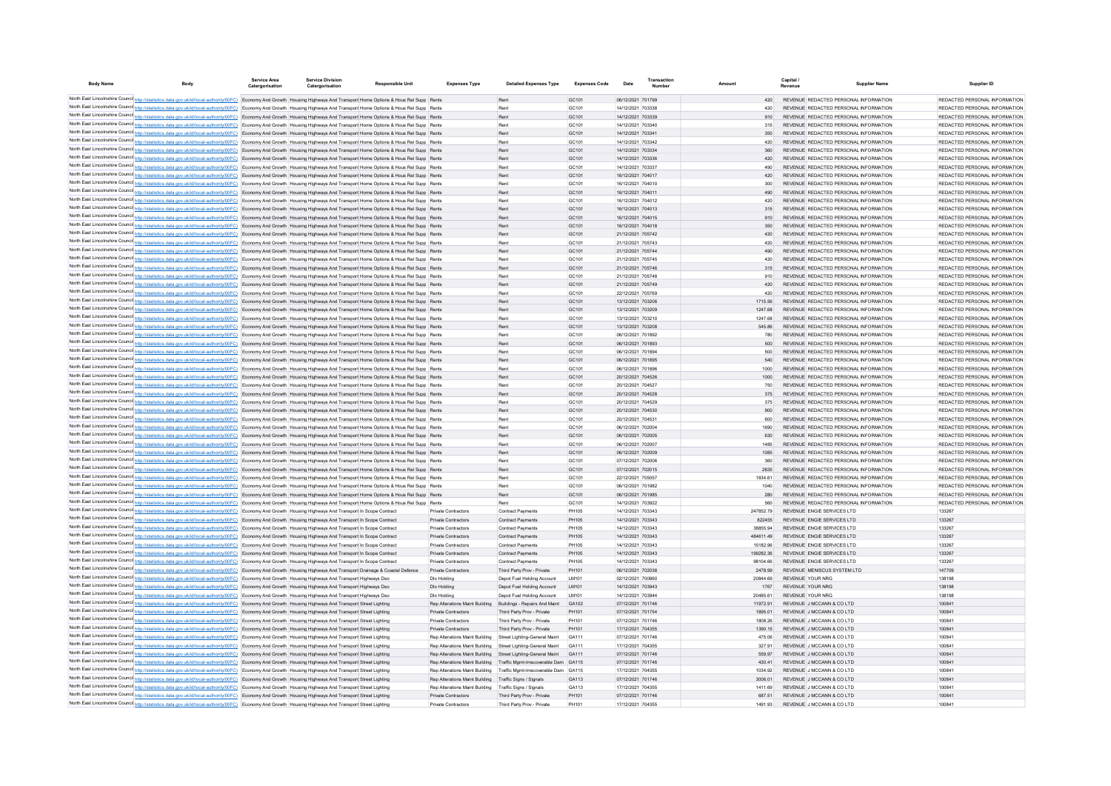| <b>Body Name</b> | Body                                                                                                                                                                                                                                                                                                                                                     | Service Area<br>Catergorisation | <b>Service Division</b><br>Catergorisation | <b>Responsible Unit</b> | <b>Expenses Type</b>                                         | <b>Detailed Expenses Type</b>                                       | <b>Expenses Code</b> | Date                                   | Transactio<br>Number |                      | Capital /<br>Revenue | <b>Supplier Name</b>                                                           | Supplier ID                                                    |
|------------------|----------------------------------------------------------------------------------------------------------------------------------------------------------------------------------------------------------------------------------------------------------------------------------------------------------------------------------------------------------|---------------------------------|--------------------------------------------|-------------------------|--------------------------------------------------------------|---------------------------------------------------------------------|----------------------|----------------------------------------|----------------------|----------------------|----------------------|--------------------------------------------------------------------------------|----------------------------------------------------------------|
|                  | North East Lincolnshire Counci <sup>1</sup> http://statistics.data.gov.uk/id/local-authority/00FC) Economy And Growth Housing Highways And Transport Home Options & Hous Rel Supp Rents                                                                                                                                                                  |                                 |                                            |                         |                                                              | Rent                                                                | GC <sub>101</sub>    | 06/12/2021 701799                      |                      | 420                  |                      | REVENUE REDACTED PERSONAL INFORMATION                                          | REDACTED PERSONAL INFORMATION                                  |
|                  | North East Lincolnshire Counci <sup>1</sup> http://statistics.data.gov.uk/id/local-authority/00FC) Economy And Growth Housing Highways And Transport Home Options & Hous Rel Supp Rents                                                                                                                                                                  |                                 |                                            |                         |                                                              | Rent                                                                | GC101                | 14/12/2021 703338                      |                      | 420                  |                      | REVENUE REDACTED PERSONAL INFORMATION                                          | REDACTED PERSONAL INFORMATION                                  |
|                  | North East Lincolnshire Counci http://statistics.data.gov.uk/id/local-authority/00FC) Economy And Growth Housing Highways And Transport Home Options & Hous Rel Supp Rents                                                                                                                                                                               |                                 |                                            |                         |                                                              | Rent                                                                | GC101                | 14/12/2021 703339                      |                      | 910                  |                      | REVENUE REDACTED PERSONAL INFORMATION                                          | REDACTED PERSONAL INFORMATION                                  |
|                  | North East Lincolnshire Counci http://statistics.data.gov.uk/id/local-authority/00FC). Economy And Growth Housing Highways And Transport Home Options & Hous Rel Supp Rents                                                                                                                                                                              |                                 |                                            |                         |                                                              | Rent                                                                | GC101                | 14/12/2021 703340                      |                      | 315                  |                      | REVENUE REDACTED PERSONAL INFORMATION                                          | REDACTED PERSONAL INFORMATION                                  |
|                  | North East Lincolnshire Council http://statistics.data.gov.uk/id/local-authority/00FC). Economy And Growth Housing Highways And Transport Home Options & Hous Rel Supp Rents                                                                                                                                                                             |                                 |                                            |                         |                                                              | Rent                                                                | GC101                | 14/12/2021 703341                      |                      | 350                  |                      | REVENUE REDACTED PERSONAL INFORMATION                                          | REDACTED PERSONAL INFORMATION                                  |
|                  | North East Lincolnshire Council http://statistics.data.gov.uk/id/local-authority/00FC) Economy And Growth Housing Highways And Transport Home Options & Hous Rel Supp Rents                                                                                                                                                                              |                                 |                                            |                         |                                                              | Rent                                                                | GC101                | 14/12/2021 703342                      |                      | 420                  |                      | REVENUE REDACTED PERSONAL INFORMATION                                          | REDACTED PERSONAL INFORMATION                                  |
|                  | North East Lincolnshire Council http://statistics.data.gov.uk/id/local-authority/00FC) Economy And Growth Housing Highways And Transport Home Options & Hous Rel Supp Rents                                                                                                                                                                              |                                 |                                            |                         |                                                              | Rent                                                                | GC101                | 14/12/2021 703334                      |                      | 360                  |                      | REVENUE REDACTED PERSONAL INFORMATION                                          | REDACTED PERSONAL INFORMATION                                  |
|                  | North East Lincolnshire Counci http://statistics.data.gov.uk/id/local-authority/00FC) Economy And Growth Housing Highways And Transport Home Options & Hous Rel Supp Rents                                                                                                                                                                               |                                 |                                            |                         |                                                              | Rent                                                                | GC101                | 14/12/2021 703336                      |                      | 420                  |                      | REVENUE REDACTED PERSONAL INFORMATION                                          | REDACTED PERSONAL INFORMATION                                  |
|                  | North East Lincolnshire Council http://statistics.data.gov.uk/id/local-authority/00FC) Economy And Growth Housing Highways And Transport Home Options & Hous Rel Supp Rents                                                                                                                                                                              |                                 |                                            |                         |                                                              | Rent                                                                | GC101                | 14/12/2021 703337                      |                      | 490                  |                      | REVENUE REDACTED PERSONAL INFORMATION                                          | REDACTED PERSONAL INFORMATION                                  |
|                  | North East Lincolnshire Counci http://statistics.data.gov.uk/id/local-authority/00FC) Economy And Growth Housing Highways And Transport Home Options & Hous Rel Supp Rents                                                                                                                                                                               |                                 |                                            |                         |                                                              | Rent                                                                | GC101                | 16/12/2021 704017                      |                      | 420                  |                      | REVENUE REDACTED PERSONAL INFORMATION                                          | REDACTED PERSONAL INFORMATION                                  |
|                  | North East Lincolnshire Counci http://statistics.data.gov.uk/id/local-authority/00FC) Economy And Growth Housing Highways And Transport Home Options & Hous Rel Supp Rents                                                                                                                                                                               |                                 |                                            |                         |                                                              | Rent                                                                | GC <sub>101</sub>    | 16/12/2021 704010                      |                      | 300                  |                      | REVENUE REDACTED PERSONAL INFORMATION                                          | REDACTED PERSONAL INFORMATION                                  |
|                  | North East Lincolnshire Counci http://statistics.data.gov.uk/id/local-authority/00FC) Economy And Growth Housing Highways And Transport Home Options & Hous Rel Supp Rents                                                                                                                                                                               |                                 |                                            |                         |                                                              | Rent                                                                | GC101                | 16/12/2021 704011                      |                      | 490                  |                      | REVENUE REDACTED PERSONAL INFORMATION                                          | REDACTED PERSONAL INFORMATION                                  |
|                  | North East Lincolnshire Counci http://statistics.data.gov.uk/id/local-authority/00FC) Economy And Growth Housing Highways And Transport Home Options & Hous Rel Supp Rents                                                                                                                                                                               |                                 |                                            |                         |                                                              | Rent                                                                | GC <sub>101</sub>    | 16/12/2021 704012                      |                      | 420                  |                      | REVENUE REDACTED PERSONAL INFORMATION                                          | REDACTED PERSONAL INFORMATION                                  |
|                  | North East Lincolnshire Counci http://statistics.data.gov.uk/id/local-authority/00FC) Economy And Growth Housing Highways And Transport Home Options & Hous Rel Supp Rents                                                                                                                                                                               |                                 |                                            |                         |                                                              | Rent                                                                | GC101                | 16/12/2021 704013                      |                      | 315                  |                      | REVENUE REDACTED PERSONAL INFORMATION                                          | REDACTED PERSONAL INFORMATION                                  |
|                  | North East Lincolnshire Counci http://statistics.data.gov.uk/id/local-authority/00FC) Economy And Growth Housing Highways And Transport Home Options & Hous Rel Supp Rents                                                                                                                                                                               |                                 |                                            |                         |                                                              | Rent                                                                | GC <sub>101</sub>    | 16/12/2021 704015                      |                      | 910                  |                      | REVENUE REDACTED PERSONAL INFORMATION                                          | REDACTED PERSONAL INFORMATION                                  |
|                  | North East Lincolnshire Counci http://statistics.data.gov.uk/id/local-authority/00FC) Economy And Growth Housing Highways And Transport Home Options & Hous Rel Supp Rents                                                                                                                                                                               |                                 |                                            |                         |                                                              | Rent                                                                | GC101                | 16/12/2021 704018                      |                      | 350                  |                      | REVENUE REDACTED PERSONAL INFORMATION                                          | REDACTED PERSONAL INFORMATION                                  |
|                  | North East Lincolnshire Counci http://statistics.data.gov.uk/id/local-authority/00FC) Economy And Growth Housing Highways And Transport Home Options & Hous Rel Supp Rents                                                                                                                                                                               |                                 |                                            |                         |                                                              | Rent                                                                | GC101                | 21/12/2021 705742                      |                      | 420                  |                      | REVENUE REDACTED PERSONAL INFORMATION                                          | REDACTED PERSONAL INFORMATION                                  |
|                  | North East Lincolnshire Counci http://statistics.data.gov.uk/id/local-authority/00FC) Economy And Growth Housing Highways And Transport Home Options & Hous Rel Supp Rents                                                                                                                                                                               |                                 |                                            |                         |                                                              | Rent                                                                | GC <sub>101</sub>    | 21/12/2021 705743                      |                      | 420                  |                      | REVENUE REDACTED PERSONAL INFORMATION                                          | REDACTED PERSONAL INFORMATION                                  |
|                  | North East Lincolnshire Counci http://statistics.data.gov.uk/id/local-authority/00FC) Economy And Growth Housing Highways And Transport Home Options & Hous Rel Supp Rents                                                                                                                                                                               |                                 |                                            |                         |                                                              | Rent                                                                | GC101                | 21/12/2021 705744                      |                      | 490                  |                      | REVENUE REDACTED PERSONAL INFORMATION                                          | REDACTED PERSONAL INFORMATION                                  |
|                  | North East Lincolnshire Counci http://statistics.data.gov.uk/id/local-authority/00FC) Economy And Growth Housing Highways And Transport Home Options & Hous Rel Supp Rents                                                                                                                                                                               |                                 |                                            |                         |                                                              | Rent                                                                | GC <sub>101</sub>    | 21/12/2021 705745                      |                      | 420                  |                      | REVENUE REDACTED PERSONAL INFORMATION                                          | REDACTED PERSONAL INFORMATION                                  |
|                  | North East Lincolnshire Counci http://statistics.data.gov.uk/id/local-authority/00FC) Economy And Growth Housing Highways And Transport Home Options & Hous Rel Supp Rents                                                                                                                                                                               |                                 |                                            |                         |                                                              | Rent                                                                | GC101                | 21/12/2021 705746                      |                      | 315                  |                      | REVENUE REDACTED PERSONAL INFORMATION                                          | REDACTED PERSONAL INFORMATION                                  |
|                  | North East Lincolnshire Counci http://statistics.data.gov.uk/id/local-authority/00FC) Economy And Growth Housing Highways And Transport Home Options & Hous Rel Supp Rents                                                                                                                                                                               |                                 |                                            |                         |                                                              | Rent                                                                | GC <sub>101</sub>    | 21/12/2021 705748                      |                      | 910                  |                      | REVENUE REDACTED PERSONAL INFORMATION                                          | REDACTED PERSONAL INFORMATION                                  |
|                  | North East Lincolnshire Counci http://statistics.data.gov.uk/id/local-authority/00FC) Economy And Growth Housing Highways And Transport Home Options & Hous Rel Supp Rents                                                                                                                                                                               |                                 |                                            |                         |                                                              | Rent                                                                | GC101                | 21/12/2021 705749                      |                      | 420                  |                      | REVENUE REDACTED PERSONAL INFORMATION                                          | REDACTED PERSONAL INFORMATION                                  |
|                  | North East Lincolnshire Counci http://statistics.data.gov.uk/id/local-authority/00FC) Economy And Growth Housing Highways And Transport Home Options & Hous Rel Supp Rents                                                                                                                                                                               |                                 |                                            |                         |                                                              | Rent                                                                | GC <sub>101</sub>    | 22/12/2021 705769                      |                      | 420                  |                      | REVENUE REDACTED PERSONAL INFORMATION                                          | REDACTED PERSONAL INFORMATION                                  |
|                  | North East Lincolnshire Counci http://statistics.data.gov.uk/id/local-authority/00FC) Economy And Growth Housing Highways And Transport Home Options & Hous Rel Supp Rents                                                                                                                                                                               |                                 |                                            |                         |                                                              | Rent                                                                | GC <sub>101</sub>    | 13/12/2021 703206                      |                      | 1715.56              |                      | REVENUE REDACTED PERSONAL INFORMATION<br>REVENUE REDACTED PERSONAL INFORMATION | REDACTED PERSONAL INFORMATION<br>REDACTED PERSONAL INFORMATION |
|                  | North East Lincolnshire Counci http://statistics.data.gov.uk/id/local-authority/00FC) Economy And Growth Housing Highways And Transport Home Options & Hous Rel Supp Rents                                                                                                                                                                               |                                 |                                            |                         |                                                              | Rent<br>Rent                                                        | GC101<br>GC101       | 13/12/2021 703209<br>13/12/2021 703210 |                      | 1247.68<br>1247.68   |                      | REVENUE REDACTED PERSONAL INFORMATION                                          | REDACTED PERSONAL INFORMATION                                  |
|                  | North East Lincolnshire Counci http://statistics.data.gov.uk/id/local-authority/00FC) Economy And Growth Housing Highways And Transport Home Options & Hous Rel Supp Rents<br>North East Lincolnshire Counci http://statistics.data.gov.uk/id/local-authority/00FC) Economy And Growth Housing Highways And Transport Home Options & Hous Rel Supp Rents |                                 |                                            |                         |                                                              | Rent                                                                | GC101                | 13/12/2021 703208                      |                      | 545.86               |                      | REVENUE REDACTED PERSONAL INFORMATION                                          | REDACTED PERSONAL INFORMATION                                  |
|                  | North East Lincolnshire Counci http://statistics.data.gov.uk/id/local-authority/00FC) Economy And Growth Housing Highways And Transport Home Options & Hous Rel Supp Rents                                                                                                                                                                               |                                 |                                            |                         |                                                              | Rent                                                                | GC101                | 06/12/2021 701892                      |                      | 780                  |                      | REVENUE REDACTED PERSONAL INFORMATION                                          | REDACTED PERSONAL INFORMATION                                  |
|                  | North East Lincolnshire Counci http://statistics.data.gov.uk/id/local-authority/00FC) Economy And Growth Housing Highways And Transport Home Options & Hous Rel Supp Rents                                                                                                                                                                               |                                 |                                            |                         |                                                              | Rent                                                                | GC101                | 06/12/2021 701893                      |                      | 500                  |                      | REVENUE REDACTED PERSONAL INFORMATION                                          | REDACTED PERSONAL INFORMATION                                  |
|                  | North East Lincolnshire Counci http://statistics.data.gov.uk/id/local-authority/00FC) Economy And Growth Housing Highways And Transport Home Options & Hous Rel Supp Rents                                                                                                                                                                               |                                 |                                            |                         |                                                              | Rent                                                                | GC101                | 06/12/2021 701894                      |                      | 500                  |                      | REVENUE REDACTED PERSONAL INFORMATION                                          | REDACTED PERSONAL INFORMATION                                  |
|                  | North East Lincolnshire Counci http://statistics.data.gov.uk/id/local-authority/00FC) Economy And Growth Housing Highways And Transport Home Options & Hous Rel Supp Rents                                                                                                                                                                               |                                 |                                            |                         |                                                              | Rent                                                                | GC101                | 06/12/2021 701895                      |                      | 540                  |                      | REVENUE REDACTED PERSONAL INFORMATION                                          | REDACTED PERSONAL INFORMATION                                  |
|                  | North East Lincolnshire Counci http://statistics.data.gov.uk/id/local-authority/00FC). Economy And Growth Housing Highways And Transport Home Options & Hous Rel Supp Rents                                                                                                                                                                              |                                 |                                            |                         |                                                              | Rent                                                                | GC101                | 06/12/2021 701896                      |                      | 1000                 |                      | REVENUE REDACTED PERSONAL INFORMATION                                          | REDACTED PERSONAL INFORMATION                                  |
|                  | North East Lincolnshire Counci http://istatistics.data.gov.uk/id/local-authority/00FC) Economy And Growth Housing Highways And Transport Home Options & Hous Rel Supp Rents                                                                                                                                                                              |                                 |                                            |                         |                                                              | Rent                                                                | GC101                | 20/12/2021 704526                      |                      | 1000                 |                      | REVENUE REDACTED PERSONAL INFORMATION                                          | REDACTED PERSONAL INFORMATION                                  |
|                  | North East Lincolnshire Counci http://statistics.data.gov.uk/id/local-authority/00FC) Economy And Growth Housing Highways And Transport Home Options & Hous Rel Supp Rents                                                                                                                                                                               |                                 |                                            |                         |                                                              | Rent                                                                | GC101                | 20/12/2021 704527                      |                      | 750                  |                      | REVENUE REDACTED PERSONAL INFORMATION                                          | REDACTED PERSONAL INFORMATION                                  |
|                  | North East Lincolnshire Counci http://statistics.data.gov.uk/id/local-authority/00FC) Economy And Growth Housing Highways And Transport Home Options & Hous Rel Supp Rents                                                                                                                                                                               |                                 |                                            |                         |                                                              | Rent                                                                | GC101                | 20/12/2021 704528                      |                      | 375                  |                      | REVENUE REDACTED PERSONAL INFORMATION                                          | REDACTED PERSONAL INFORMATION                                  |
|                  | North East Lincolnshire Council http://statistics.data.gov.uk/id/local-authority/00FC) Economy And Growth Housing Highways And Transport Home Options & Hous Rel Supp Rents                                                                                                                                                                              |                                 |                                            |                         |                                                              | Rent                                                                | GC101                | 20/12/2021 704529                      |                      | 375                  |                      | REVENUE REDACTED PERSONAL INFORMATION                                          | REDACTED PERSONAL INFORMATION                                  |
|                  | North East Lincolnshire Counci http://statistics.data.gov.uk/id/local-authority/00FC) Economy And Growth Housing Highways And Transport Home Options & Hous Rel Supp Rents                                                                                                                                                                               |                                 |                                            |                         |                                                              | Rent                                                                | GC101                | 20/12/2021 704530                      |                      | 900                  |                      | REVENUE REDACTED PERSONAL INFORMATION                                          | REDACTED PERSONAL INFORMATION                                  |
|                  | North East Lincolnshire Counci http://statistics.data.gov.uk/id/local-authority/00FC) Economy And Growth Housing Highways And Transport Home Options & Hous Rel Supp Rents                                                                                                                                                                               |                                 |                                            |                         |                                                              | Rent                                                                | GC <sub>101</sub>    | 20/12/2021 704531                      |                      | 600                  |                      | REVENUE REDACTED PERSONAL INFORMATION                                          | REDACTED PERSONAL INFORMATION                                  |
|                  | North East Lincolnshire Counci http://statistics.data.gov.uk/id/local-authority/00FC) Economy And Growth Housing Highways And Transport Home Options & Hous Rel Supp Rents                                                                                                                                                                               |                                 |                                            |                         |                                                              | Rent                                                                | GC <sub>101</sub>    | 06/12/2021 702004                      |                      | 1690                 |                      | REVENUE REDACTED PERSONAL INFORMATION                                          | REDACTED PERSONAL INFORMATION                                  |
|                  | North East Lincolnshire Counci http://statistics.data.gov.uk/id/local-authority/00FC) Economy And Growth Housing Highways And Transport Home Options & Hous Rel Supp Rents                                                                                                                                                                               |                                 |                                            |                         |                                                              | Rent                                                                | GC <sub>101</sub>    | 06/12/2021 702005                      |                      | 630                  |                      | REVENUE REDACTED PERSONAL INFORMATION                                          | REDACTED PERSONAL INFORMATION                                  |
|                  | North East Lincolnshire Counci http://statistics.data.gov.uk/id/local-authority/00FC) Economy And Growth Housing Highways And Transport Home Options & Hous Rel Supp Rents                                                                                                                                                                               |                                 |                                            |                         |                                                              | Rent                                                                | GC <sub>101</sub>    | 06/12/2021 702007                      |                      | 1485                 |                      | REVENUE REDACTED PERSONAL INFORMATION                                          | REDACTED PERSONAL INFORMATION                                  |
|                  | North East Lincolnshire Counci http://statistics.data.gov.uk/id/local-authority/00FC) Economy And Growth Housing Highways And Transport Home Options & Hous Rel Supp Rents                                                                                                                                                                               |                                 |                                            |                         |                                                              | Rent                                                                | GC <sub>101</sub>    | 06/12/2021 702009                      |                      | 1085                 |                      | REVENUE REDACTED PERSONAL INFORMATION                                          | REDACTED PERSONAL INFORMATION                                  |
|                  | North East Lincolnshire Counci http://statistics.data.gov.uk/id/local-authority/00FC) Economy And Growth Housing Highways And Transport Home Options & Hous Rel Supp Rents                                                                                                                                                                               |                                 |                                            |                         |                                                              | Rent                                                                | GC <sub>101</sub>    | 07/12/2021 702006                      |                      | 360                  |                      | REVENUE REDACTED PERSONAL INFORMATION                                          | REDACTED PERSONAL INFORMATION                                  |
|                  | North East Lincolnshire Counci http://statistics.data.gov.uk/id/local-authority/00FC) Economy And Growth Housing Highways And Transport Home Options & Hous Rel Supp Rents                                                                                                                                                                               |                                 |                                            |                         |                                                              | Rent                                                                | GC <sub>101</sub>    | 07/12/2021 702015                      |                      | 2835                 |                      | REVENUE REDACTED PERSONAL INFORMATION                                          | REDACTED PERSONAL INFORMATION                                  |
|                  | North East Lincolnshire Counci http://statistics.data.gov.uk/id/local-authority/00FC) Economy And Growth Housing Highways And Transport Home Options & Hous Rel Supp Rents                                                                                                                                                                               |                                 |                                            |                         |                                                              | Rent                                                                | GC <sub>101</sub>    | 22/12/2021 705057                      |                      | 1834 61              |                      | REVENUE REDACTED PERSONAL INFORMATION                                          | REDACTED PERSONAL INFORMATION                                  |
|                  | North East Lincolnshire Counci http://statistics.data.gov.uk/id/local-authority/00FC) Economy And Growth Housing Highways And Transport Home Options & Hous Rel Supp Rents                                                                                                                                                                               |                                 |                                            |                         |                                                              | Rent                                                                | GC <sub>101</sub>    | 06/12/2021 701982                      |                      | 1040                 |                      | REVENUE REDACTED PERSONAL INFORMATION                                          | REDACTED PERSONAL INFORMATION                                  |
|                  | North East Lincolnshire Counci http://statistics.data.gov.uk/id/local-authority/00FC) Economy And Growth Housing Highways And Transport Home Options & Hous Rel Supp Rents                                                                                                                                                                               |                                 |                                            |                         |                                                              | Rent                                                                | GC <sub>101</sub>    | 06/12/2021 701985                      |                      | 280                  |                      | REVENUE REDACTED PERSONAL INFORMATION                                          | REDACTED PERSONAL INFORMATION                                  |
|                  | North East Lincolnshire Council http://statistics.data.gov.uk/id/local-authority/00FC) Economy And Growth Housing Highways And Transport Home Options & Hous Rel Supp Rents                                                                                                                                                                              |                                 |                                            |                         |                                                              | Rent                                                                | GC <sub>101</sub>    | 14/12/2021 703922                      |                      | 560                  |                      | REVENUE REDACTED PERSONAL INFORMATION                                          | REDACTED PERSONAL INFORMATION                                  |
|                  | North East Lincolnshire Counci http://statistics.data.gov.uk/id/local-authority/00FC) Economy And Growth Housing Highways And Transport In Scope Contract                                                                                                                                                                                                |                                 |                                            |                         | Private Contractors                                          | <b>Contract Payments</b>                                            | PH105                | 14/12/2021 703343                      |                      | 24785279             |                      | REVENUE ENGIE SERVICES LTD                                                     | 133267                                                         |
|                  | North East Lincolnshire Counci http://statistics.data.gov.uk/id/local-authority/00FC) Economy And Growth Housing Highways And Transport In Scope Contract                                                                                                                                                                                                |                                 |                                            |                         | Private Contractors                                          | <b>Contract Payments</b>                                            | PH105                | 14/12/2021 703343                      |                      | 822455               |                      | REVENUE ENGIE SERVICES LTD                                                     | 133267                                                         |
|                  | North East Lincolnshire Counci http://statistics.data.gov.uk/id/local-authority/00FC) Economy And Growth Housing Highways And Transport In Scope Contract                                                                                                                                                                                                |                                 |                                            |                         | Private Contractors                                          | <b>Contract Payments</b>                                            | PH105<br>PH105       | 14/12/2021 703343                      |                      | 38855.94             |                      | REVENUE ENGIE SERVICES LTD                                                     | 133267                                                         |
|                  | North East Lincolnshire Counci http://statistics.data.gov.uk/id/local-authority/00FC) Economy And Growth Housing Highways And Transport In Scope Contract                                                                                                                                                                                                |                                 |                                            |                         | Private Contractors<br>Private Contractors                   | <b>Contract Payments</b><br><b>Contract Payments</b>                | PH105                | 14/12/2021 703343<br>14/12/2021 703343 |                      | 48461149<br>15182.96 |                      | REVENUE ENGIE SERVICES LTD<br>REVENUE ENGIE SERVICES LTD                       | 133267<br>133267                                               |
|                  | North East Lincolnshire Counci http://statistics.data.gov.uk/id/local-authority/00FC) Economy And Growth Housing Highways And Transport In Scope Contract<br>North East Lincolnshire Counci http://statistics.data.gov.uk/id/local-authority/00FC) Economy And Growth Housing Highways And Transport In Scope Contract                                   |                                 |                                            |                         | Private Contractors                                          | <b>Contract Payments</b>                                            | PH105                | 14/12/2021 703343                      |                      | 199282.36            |                      | REVENUE ENGIE SERVICES LTD                                                     | 133267                                                         |
|                  | North East Lincolnshire Counci http://statistics.data.gov.uk/id/local-authority/00FC) Economy And Growth Housing Highways And Transport In Scope Contract                                                                                                                                                                                                |                                 |                                            |                         | Private Contractors                                          | Contract Payments                                                   | PH105                | 14/12/2021 703343                      |                      | 98104.66             |                      | REVENUE ENGIE SERVICES LTD                                                     | 133267                                                         |
|                  | North East Lincolnshire Counci http://statistics.data.gov.uk/id/local-authority/00FC) Economy And Growth Housing Highways And Transport Drainage & Coastal Defence                                                                                                                                                                                       |                                 |                                            |                         | Private Contractors                                          | Third Party Prov - Private                                          | PH101                | 06/12/2021 702038                      |                      | 2478.99              |                      | REVENUE MENISCUS SYSTEM LTD                                                    | 147709                                                         |
|                  | North East Lincolnshire Counci http://statistics.data.gov.uk/id/local-authority/00FC) Economy And Growth Housing Highways And Transport Highways Dso                                                                                                                                                                                                     |                                 |                                            |                         | Dio Holding                                                  | Denot Fuel Holding Account                                          | <b>IM101</b>         | 02/12/2021 700860                      |                      | 20844 69             |                      | REVENUE YOUR NRG                                                               | 138198                                                         |
|                  | North East Lincolnshire Counci http://statistics.data.gov.uk/id/local-authority/00FC) Economy And Growth Housing Highways And Transport Highways Dso                                                                                                                                                                                                     |                                 |                                            |                         | Dio Holding                                                  | Denot Fuel Holding Account                                          | <b>IM101</b>         | 14/12/2021 703943                      |                      | 1767                 |                      | <b>REVENUE YOUR NRG</b>                                                        | 138198                                                         |
|                  | North East Lincolnshire Counci http://statistics.data.gov.uk/id/local-authority/00FC) Economy And Growth Housing Highways And Transport Highways Dso                                                                                                                                                                                                     |                                 |                                            |                         | Dio Holding                                                  | Denot Fuel Holding Account                                          | <b>IM101</b>         | 14/12/2021 703944                      |                      | 20485.61             |                      | REVENUE YOUR NRG                                                               | 138198                                                         |
|                  | North East Lincolnshire Counci http://statistics.data.gov.uk/id/local-authority/00FC) Economy And Growth Housing Highways And Transport Street Lighting                                                                                                                                                                                                  |                                 |                                            |                         | Ren Alterations Maint Building                               | <b>Buildings - Repairs And Maint</b>                                | GA102                | 07/12/2021 701746                      |                      | 11972 91             |                      | REVENUE J MCCANN & CO LTD                                                      | 100841                                                         |
|                  | North East Lincolnshire Counci http://statistics.data.gov.uk/id/local-authority/00FC) Economy And Growth Housing Highways And Transport Street Lighting                                                                                                                                                                                                  |                                 |                                            |                         | Private Contractors                                          | Third Party Prov - Private                                          | PH101                | 07/12/2021 701754                      |                      | 1895 01              |                      | REVENUE J MCCANN & CO LTD                                                      | 100841                                                         |
|                  | North East Lincolnshire Counci http://statistics.data.gov.uk/id/local-authority/00FC) Economy And Growth Housing Highways And Transport Street Lighting                                                                                                                                                                                                  |                                 |                                            |                         | Private Contractors                                          | Third Party Prov - Private                                          | PH101                | 07/12/2021 701746                      |                      | 1808 26              |                      | REVENUE J MCCANN & CO LTD                                                      | 100841                                                         |
|                  | North East Lincolnshire Counci http://statistics.data.gov.uk/id/local-authority/00FC) Economy And Growth Housing Highways And Transport Street Lighting                                                                                                                                                                                                  |                                 |                                            |                         | Private Contractors                                          | Third Party Prov - Private                                          | PH101                | 17/12/2021 704355                      |                      | 1390 15              |                      | REVENUE J MCCANN & CO LTD                                                      | 100841                                                         |
|                  | North East Lincolnshire Counci http://statistics.data.gov.uk/id/local-authority/00FC) Economy And Growth Housing Highways And Transport Street Lighting                                                                                                                                                                                                  |                                 |                                            |                         | Ren Alterations Maint Building                               | Street Lighting-General Maint                                       | GA111                | 07/12/2021 701746                      |                      | 475.06               |                      | REVENUE J MCCANN & CO LTD                                                      | 100841                                                         |
|                  | North East Lincolnshire Counci http://statistics.data.gov.uk/id/local-authority/00FC) Economy And Growth Housing Highways And Transport Street Lighting                                                                                                                                                                                                  |                                 |                                            |                         | Ren Alterations Maint Building Street Lighting-General Maint |                                                                     | GA111                | 17/12/2021 704355                      |                      | 327 91               |                      | REVENUE J MCCANN & CO LTD                                                      | 100841                                                         |
|                  | North East Lincolnshire Counci http://statistics.data.gov.uk/id/local-authority/00FC) Economy And Growth Housing Highways And Transport Street Lighting                                                                                                                                                                                                  |                                 |                                            |                         | Ren Alterations Maint Building Street Lighting-General Maint |                                                                     | GA111                | 07/12/2021 701746                      |                      | 559.97               |                      | REVENUE J MCCANN & CO LTD                                                      | 100841                                                         |
|                  | North East Lincolnshire Counci http://statistics.data.gov.uk/id/local-authority/00FC) Economy And Growth Housing Highways And Transport Street Lighting                                                                                                                                                                                                  |                                 |                                            |                         |                                                              | Rep Alterations Maint Building Traffic Momt-Irrecoverable Dam GA115 |                      | 07/12/2021 701746                      |                      | 430.41               |                      | REVENUE J MCCANN & CO LTD                                                      | 100841                                                         |
|                  | North East Lincolnshire Counci http://statistics.data.gov.uk/id/local-authority/00FC) Economy And Growth Housing Highways And Transport Street Lighting                                                                                                                                                                                                  |                                 |                                            |                         |                                                              | Rep Alterations Maint Building Traffic Momt-Irrecoverable Dam GA115 |                      | 17/12/2021 704355                      |                      | 1034 92              |                      | REVENUE J MCCANN & CO LTD                                                      | 100841                                                         |
|                  | North East Lincolnshire Counci http://statistics.data.gov.uk/id/local-authority/00FC) Economy And Growth Housing Highways And Transport Street Lighting                                                                                                                                                                                                  |                                 |                                            |                         | Rep Alterations Maint Building Traffic Signs / Signals       |                                                                     | GA113                | 07/12/2021 701746                      |                      | 3006.01              |                      | REVENUE J MCCANN & CO LTD                                                      | 100841                                                         |
|                  | North East Lincolnshire Counci http://statistics.data.gov.uk/id/local-authority/00FC) Economy And Growth Housing Highways And Transport Street Lighting                                                                                                                                                                                                  |                                 |                                            |                         | Rep Alterations Maint Building Traffic Signs / Signals       |                                                                     | GA113                | 17/12/2021 704355                      |                      | 1411.69              |                      | REVENUE J MCCANN & CO LTD                                                      | 100841                                                         |
|                  | North East Lincolnshire Counci http://statistics.data.gov.uk/id/local-authority/00FC) Economy And Growth Housing Highways And Transport Street Lighting                                                                                                                                                                                                  |                                 |                                            |                         | Private Contractors                                          | Third Party Prov - Private                                          | PH101                | 07/12/2021 701746                      |                      | 687.51               |                      | REVENUE J MCCANN & CO LTD                                                      | 100841                                                         |
|                  | North East Lincolnshire Counci http://statistics.data.gov.uk/id/local-authority/00FC) Economy And Growth Housing Highways And Transport Street Lighting                                                                                                                                                                                                  |                                 |                                            |                         | <b>Private Contractors</b>                                   | Third Party Prov - Private                                          | PH101                | 17/12/2021 704355                      |                      | 1491 93              |                      | REVENUE J MCCANN & CO LTD                                                      | 10084                                                          |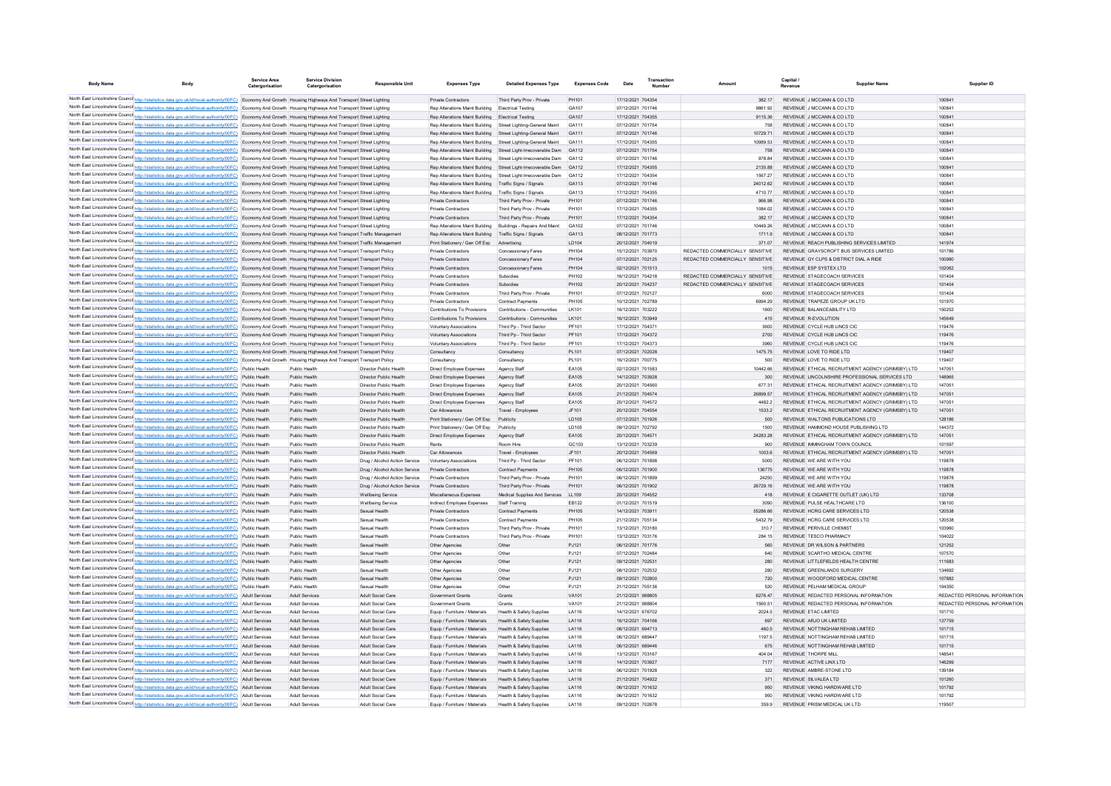| <b>Body Name</b> | <b>Body</b>                                                                                                                                                                                                                                                                                                          | <b>Service Area</b><br>Catergorisation | <b>Service Division</b>                        | <b>Responsible Unit</b>                          | <b>Expenses Type</b>                                                     | <b>Detailed Expenses Type</b>                           | <b>Expenses Code</b> | Date                                   | Transaction | Amount                                  | Capital<br>Revenue | <b>Supplier Name</b>                                                               | Supplier ID                   |
|------------------|----------------------------------------------------------------------------------------------------------------------------------------------------------------------------------------------------------------------------------------------------------------------------------------------------------------------|----------------------------------------|------------------------------------------------|--------------------------------------------------|--------------------------------------------------------------------------|---------------------------------------------------------|----------------------|----------------------------------------|-------------|-----------------------------------------|--------------------|------------------------------------------------------------------------------------|-------------------------------|
|                  |                                                                                                                                                                                                                                                                                                                      |                                        |                                                |                                                  |                                                                          |                                                         |                      |                                        |             |                                         |                    | REVENUE JIMCCANN & CO LTD                                                          |                               |
|                  | North East Lincolnshire Counci http://statistics.data.gov.uk/id/local-authority/00FC) Economy And Growth Housing Highways And Transport Street Lighting<br>North East Lincolnshire Counci http://statistics.data.gov.uk/id/local-authority/00FC) Economy And Growth Housing Highways And Transport Street Lighting   |                                        |                                                |                                                  | Private Contractors<br>Ren Alterations Maint Building Flectrical Testing | Third Party Prov - Private                              | PH101<br>GA107       | 17/12/2021 704354<br>07/12/2021 701746 |             | 382 17<br>9861 92                       |                    | REVENUE JIMCCANN & CO LTD                                                          | 100841<br>100841              |
|                  | North East Lincolnshire Counci http://statistics.data.gov.uk/id/local-authority/00FC) Economy And Growth Housing Highways And Transport Street Lighting                                                                                                                                                              |                                        |                                                |                                                  | Ren Alterations Maint Building                                           | <b>Electrical Testing</b>                               | GA <sub>107</sub>    | 17/12/2021 704355                      |             | 9115 36                                 |                    | REVENUE J MCCANN & CO LTD                                                          | 100841                        |
|                  | North East Lincolnshire Counci http://statistics.data.gov.uk/id/local-authority/00FC) Economy And Growth Housing Highways And Transport Street Lighting                                                                                                                                                              |                                        |                                                |                                                  | Ren Alterations Maint Building                                           | Street Lighting-General Maint                           | GA111                | 07/12/2021 701754                      |             | 758                                     |                    | REVENUE J MCCANN & CO LTD                                                          | 100841                        |
|                  | North East Lincolnshire Counci http://statistics.data.gov.uk/id/local-authority/00FC) Economy And Growth Housing Highways And Transport Street Lighting                                                                                                                                                              |                                        |                                                |                                                  | Ren Alterations Maint Building                                           | Street Lighting-General Maint                           | GA111                | 07/12/2021 701746                      |             | 10729.71                                |                    | REVENUE J MCCANN & CO LTD                                                          | 100841                        |
|                  | North East Lincolnshire Counci http://statistics.data.gov.uk/id/local-authority/00FC) Economy And Growth Housing Highways And Transport Street Lighting                                                                                                                                                              |                                        |                                                |                                                  | Ren Alterations Maint Building                                           | Street Lighting-General Maint                           | GA111                | 17/12/2021 704355                      |             | 10989 53                                |                    | REVENUE J MCCANN & CO LTD                                                          | 100841                        |
|                  | North East Lincolnshire Counci http://statistics.data.gov.uk/id/local-authority/00FC) Economy And Growth Housing Highways And Transport Street Lighting                                                                                                                                                              |                                        |                                                |                                                  | Ren Alterations Maint Building                                           | Street Light-Irrecoverable Dam                          | GA112                | 07/12/2021 701754                      |             | 758                                     |                    | REVENUE J MCCANN & CO LTD                                                          | 100841                        |
|                  | North East Lincolnshire Counci http://statistics.data.gov.uk/id/local-authority/00FC) Economy And Growth Housing Highways And Transport Street Lighting                                                                                                                                                              |                                        |                                                |                                                  | Ren Alterations Maint Building                                           | Street Light-Irrecoverable Dam                          | GA112                | 07/12/2021 701746                      |             | 97884                                   |                    | REVENUE J MCCANN & CO LTD                                                          | 100841                        |
|                  | North East Lincolnshire Counci http://statistics.data.gov.uk/id/local-authority/00FC) Economy And Growth Housing Highways And Transport Street Lighting                                                                                                                                                              |                                        |                                                |                                                  | Ren Alterations Maint Building                                           | Street Light-Irrecoverable Dam                          | GA112                | 17/12/2021 704355                      |             | 2135.88                                 |                    | REVENUE J MCCANN & CO LTD                                                          | 100841                        |
|                  | North East Lincolnshire Counci http://statistics.data.gov.uk/id/local-authority/00FC) Economy And Growth Housing Highways And Transport Street Lighting                                                                                                                                                              |                                        |                                                |                                                  | Ren Alterations Maint Building<br>Rep Alterations Maint Building         | Street Light-Irrecoverable Dam                          | GA112<br>GA113       | 17/12/2021 704354<br>07/12/2021 701746 |             | 1567 27<br>24012.62                     |                    | REVENUE J MCCANN & CO LTD<br>REVENUE J MCCANN & CO LTD                             | 100841<br>100841              |
|                  | North East Lincolnshire Counci http://statistics.data.gov.uk/id/local-authority/00FC) Economy And Growth Housing Highways And Transport Street Lighting<br>North East Lincolnshire Counci http://statistics.data.gov.uk/id/local-authority/00FC) Economy And Growth Housing Highways And Transport Street Lighting   |                                        |                                                |                                                  | Rep Alterations Maint Building                                           | Traffic Signs / Signals<br>Traffic Signs / Signals      | GA113                | 17/12/2021 704355                      |             | 471077                                  |                    | REVENUE J MCCANN & CO LTD                                                          | 100841                        |
|                  | North East Lincolnshire Counci http://statistics.data.gov.uk/id/local-authority/00FC) Economy And Growth Housing Highways And Transport Street Lighting                                                                                                                                                              |                                        |                                                |                                                  | Private Contractors                                                      | Third Party Prov - Private                              | PH101                | 07/12/2021 701746                      |             | 966.98                                  |                    | REVENUE J MCCANN & CO LTD                                                          | 100841                        |
|                  | North East Lincolnshire Counci http://statistics.data.gov.uk/id/local-authority/00FC) Economy And Growth Housing Highways And Transport Street Lighting                                                                                                                                                              |                                        |                                                |                                                  | Private Contractors                                                      | Third Party Prov - Private                              | PH101                | 17/12/2021 704355                      |             | 1084.02                                 |                    | REVENUE J MCCANN & CO LTD                                                          | 100841                        |
|                  | North East Lincolnshire Counci http://statistics.data.gov.uk/id/local-authority/00FC) Economy And Growth Housing Highways And Transport Street Lighting                                                                                                                                                              |                                        |                                                |                                                  | Private Contractors                                                      | Third Party Prov - Private                              | PH101                | 17/12/2021 704354                      |             | 382.17                                  |                    | REVENUE J MCCANN & CO LTD                                                          | 100841                        |
|                  | North East Lincolnshire Counci http://statistics.data.gov.uk/id/local-authority/00FC) Economy And Growth Housing Highways And Transport Street Lighting                                                                                                                                                              |                                        |                                                |                                                  | Rep Alterations Maint Building                                           | Buildings - Repairs And Maint                           | GA102                | 07/12/2021 701746                      |             | 10449.26                                |                    | REVENUE J MCCANN & CO LTD                                                          | 100841                        |
|                  | North East Lincolnshire Council http://statistics.data.gov.uk/id/local-authority/00FC) Economy And Growth Housing Highways And Transport Traffic Management                                                                                                                                                          |                                        |                                                |                                                  | Rep Alterations Maint Building                                           | Traffic Signs / Signals                                 | GA113                | 08/12/2021 701773                      |             | 1711.9                                  |                    | REVENUE J MCCANN & CO LTD                                                          | 100841                        |
|                  | North East Lincolnshire Counci http://statistics.data.gov.uk/id/local-authority/00FC) Economy And Growth Housing Highways And Transport Traffic Managemen                                                                                                                                                            |                                        |                                                |                                                  | Print Stationery / Gen Off Exp                                           | Advertising                                             | LD104                | 20/12/2021 704019                      |             | 371.07                                  |                    | REVENUE REACH PUBLISHING SERVICES LIMITED                                          | 141974                        |
|                  | North East Lincolnshire Counci http://statistics.data.gov.uk/id/local-authority/00FC) Economy And Growth Housing Highways And Transport Transport Policy                                                                                                                                                             |                                        |                                                |                                                  | Private Contractors                                                      | Concessionary Fares                                     | PH104                | 15/12/2021 703970                      |             | REDACTED COMMERCIALLY SENSITIVE         |                    | REVENUE GRAYSCROFT BUS SERVICES LIMITED                                            | 101786                        |
|                  | North East Lincolnshire Counci http://statistics.data.gov.uk/id/local-authority/00FC) Economy And Growth Housing Highways And Transport Transport Policy                                                                                                                                                             |                                        |                                                |                                                  | Private Contractors                                                      | Concessionary Fares                                     | PH104<br>PH104       | 07/12/2021 702125<br>02/12/2021 701513 |             | REDACTED COMMERCIALLY SENSITIVE<br>1015 |                    | REVENUE GY CLPS & DISTRICT DIAL A RIDE<br>REVENUE ESP SYSTEX LTD                   | 100980<br>102062              |
|                  | North East Lincolnshire Counci http://statistics.data.gov.uk/id/local-authority/00FC) Economy And Growth Housing Highways And Transport Transport Policy<br>North East Lincolnshire Counci http://statistics.data.gov.uk/id/local-authority/00FC) Economy And Growth Housing Highways And Transport Transport Policy |                                        |                                                |                                                  | Private Contractors<br>Private Contractors                               | <b>Concessionary Fares</b><br>Subsidies                 | PH102                | 16/12/2021 704218                      |             | REDACTED COMMERCIALLY SENSITIVE         |                    | REVENUE STAGECOACH SERVICES                                                        | 101404                        |
|                  | North East Lincolnshire Counci http://statistics.data.gov.uk/id/local-authority/00FC) Economy And Growth Housing Highways And Transport Transport Policy                                                                                                                                                             |                                        |                                                |                                                  | Private Contractors                                                      | Subsidies                                               | PH102                | 20/12/2021 704237                      |             | REDACTED COMMERCIALLY SENSITIVE         |                    | REVENUE STAGECOACH SERVICES                                                        | 101404                        |
|                  | North East Lincolnshire Counci http://statistics.data.gov.uk/id/local-authority/00FC) Economy And Growth Housing Highways And Transport Transport Policy                                                                                                                                                             |                                        |                                                |                                                  | Private Contractors                                                      | Third Party Prov - Private                              | PH101                | 07/12/2021 702127                      |             | 6000                                    |                    | REVENUE STAGECOACH SERVICES                                                        | 101404                        |
|                  | North East Lincolnshire Counci http://statistics.data.gov.uk/id/local-authority/00FC) Economy And Growth Housing Highways And Transport Transport Policy                                                                                                                                                             |                                        |                                                |                                                  | Private Contractors                                                      | Contract Payments                                       | PH105                | 10/12/2021 702789                      |             | 6994.29                                 |                    | REVENUE TRAPEZE GROUP UK LTD                                                       | 101970                        |
|                  | North East Lincolnshire Counci http://statistics.data.gov.uk/id/local-authority/00FC) Economy And Growth Housing Highways And Transport Transport Policy                                                                                                                                                             |                                        |                                                |                                                  | Contributions To Provisions                                              | Contributions - Communities                             | LK101                | 16/12/2021 703222                      |             | 1600                                    |                    | REVENUE BALANCEABILITY LTD                                                         | 150252                        |
|                  | North East Lincolnshire Counci http://statistics.data.gov.uk/id/local-authority/00FC) Economy And Growth Housing Highways And Transport Transport Policy                                                                                                                                                             |                                        |                                                |                                                  | Contributions To Provisions                                              | Contributions - Communities                             | LK101                | 16/12/2021 703949                      |             | 415                                     |                    | REVENUE R-EVOLUTION                                                                | 145649                        |
|                  | North East Lincolnshire Counci http://statistics.data.gov.uk/id/local-authority/00FC) Economy And Growth Housing Highways And Transport Transport Policy                                                                                                                                                             |                                        |                                                |                                                  | Voluntary Associations                                                   | Third Pp - Third Sector                                 | PF101                | 17/12/2021 704371                      |             | 3600                                    |                    | REVENUE CYCLE HUB LINCS CIC                                                        | 119476                        |
|                  | North East Lincolnshire Counci http://statistics.data.gov.uk/id/local-authority/00FC) Economy And Growth Housing Highways And Transport Transport Policy                                                                                                                                                             |                                        |                                                |                                                  | <b>Voluntary Associations</b>                                            | Third Pp - Third Sector                                 | PF101                | 17/12/2021 704372                      |             | 2700                                    |                    | REVENUE CYCLE HUB LINCS CIC                                                        | 119476                        |
|                  | North East Lincolnshire Counci http://statistics.data.gov.uk/id/local-authority/00FC) Economy And Growth Housing Highways And Transport Transport Policy                                                                                                                                                             |                                        |                                                |                                                  | Voluntary Associations                                                   | Third Pp - Third Sector                                 | PF101                | 17/12/2021 704373                      |             | 3960                                    |                    | REVENUE CYCLE HUB LINCS CIC                                                        | 119476                        |
|                  | North East Lincolnshire Counci http://statistics.data.gov.uk/id/local-authority/00FC) Economy And Growth Housing Highways And Transport Policy<br>North East Lincolnshire Counci http://statistics.data.gov.uk/id/local-authority/00FC) Economy And Growth Housing Highways And Transport Transport Policy           |                                        |                                                |                                                  | Consultancy<br>Consultancy                                               | Consultancy<br>Consultancy                              | PL101<br>PL101       | 07/12/2021 702028<br>16/12/2021 700775 |             | 1475.75<br>500                          |                    | REVENUE LOVE TO RIDE LTD<br>REVENUE LOVE TO RIDE LTD                               | 119407<br>119407              |
|                  | North East Lincolnshire Counci http://statistics.data.gov.uk/id/local-authority/00FC) Public Health                                                                                                                                                                                                                  |                                        | Public Healt                                   | Director Public Health                           | Direct Employee Expenses                                                 | Agency Staf                                             | EA105                | 02/12/2021 701583                      |             | 10442.66                                |                    | REVENUE ETHICAL RECRUITMENT AGENCY (GRIMSBY) LTD                                   | 147051                        |
|                  | North East Lincolnshire Counci http://statistics.data.gov.uk/id/local-authority/00FC) Public Health                                                                                                                                                                                                                  |                                        | Public Health                                  | Director Public Health                           | Direct Employee Expenses                                                 | Agency Staff                                            | EA105                | 14/12/2021 703928                      |             | 300                                     |                    | REVENUE LINCOLNSHIRE PROFESSIONAL SERVICES LTD                                     | 148965                        |
|                  | North East Lincolnshire Counci http://statistics.data.gov.uk/id/local-authority/00FC) Public Health                                                                                                                                                                                                                  |                                        | Public Health                                  | Director Public Health                           | Direct Employee Expenses                                                 | Agency Staf                                             | EA105                | 20/12/2021 704560                      |             | 677.31                                  |                    | REVENUE ETHICAL RECRUITMENT AGENCY (GRIMSBY) LTD                                   | 147051                        |
|                  | North East Lincolnshire Counci http://statistics.data.gov.uk/id/local-authority/00FC) Public Health                                                                                                                                                                                                                  |                                        | Public Health                                  | Director Public Health                           | Direct Employee Expenses                                                 | Agency Staff                                            | EA105                | 21/12/2021 704574                      |             | 26899.57                                |                    | REVENUE ETHICAL RECRUITMENT AGENCY (GRIMSBY) LTD                                   | 147051                        |
|                  | North East Lincolnshire Counci http://statistics.data.gov.uk/id/local-authority/00FC) Public Health                                                                                                                                                                                                                  |                                        | Public Healt                                   | Director Public Health                           | Direct Employee Expenses                                                 | Agency Staf                                             | EA105                | 20/12/2021 704572                      |             | 4482.2                                  |                    | REVENUE ETHICAL RECRUITMENT AGENCY (GRIMSBY) LTD                                   | 147051                        |
|                  | North East Lincolnshire Counci http://statistics.data.gov.uk/id/local-authority/00FC) Public Health                                                                                                                                                                                                                  |                                        | <b>Public Health</b>                           | Director Public Health                           | Car Allowances                                                           | Travel - Employees                                      | JF101                | 20/12/2021 704554                      |             | 1533.2                                  |                    | REVENUE ETHICAL RECRUITMENT AGENCY (GRIMSBY) LTD                                   | 147051                        |
|                  | North East Lincolnshire Counci http://statistics.data.gov.uk/id/local-authority/00FC) Public Health                                                                                                                                                                                                                  |                                        | Public Health                                  | Director Public Health                           | Print Stationery / Gen Off Exp                                           | Publicity                                               | LD105                | 07/12/2021 701926                      |             | 500                                     |                    | REVENUE WALTONS PUBLICATIONS LTD                                                   | 128186                        |
|                  | North East Lincolnshire Counci http://statistics.data.gov.uk/id/local-authority/00FC) Public Health                                                                                                                                                                                                                  |                                        | Public Healt                                   | Director Public Health                           | Print Stationery / Gen Off Exp                                           | Publicity                                               | LD105                | 09/12/2021 702792                      |             | 1500                                    |                    | REVENUE HAMMOND HOUSE PUBLISHING LTD                                               | 144372                        |
|                  | North East Lincolnshire Counci http://statistics.data.gov.uk/id/local-authority/00FC) Public Health                                                                                                                                                                                                                  |                                        | Public Health                                  | Director Public Health                           | Direct Employee Expenses                                                 | Agency Staf                                             | EA105                | 20/12/2021 704571<br>13/12/2021 703239 |             | 24283.28                                |                    | REVENUE ETHICAL RECRUITMENT AGENCY (GRIMSBY) LTD                                   | 147051                        |
|                  | North East Lincolnshire Counci http://statistics.data.gov.uk/id/local-authority/00FC) Public Health<br>North East Lincolnshire Counci http://statistics.data.gov.uk/id/local-authority/00FC) Public Health                                                                                                           |                                        | Public Healt<br>Public Health                  | Director Public Health<br>Director Public Health | Rents<br>Car Allowances                                                  | Room Hire<br>Travel - Employees                         | GC103<br>JF101       | 20/12/2021 704569                      |             | 900<br>1003.6                           |                    | REVENUE IMMINGHAM TOWN COUNCIL<br>REVENUE ETHICAL RECRUITMENT AGENCY (GRIMSBY) LTD | 101597<br>147051              |
|                  | North East Lincolnshire Counci http://statistics.data.gov.uk/id/local-authority/00FC) Public Health                                                                                                                                                                                                                  |                                        | Public Healt                                   | Drug / Alcohol Action Service                    | Voluntary Associations                                                   | Third Pp - Third Secto                                  | PF101                | 06/12/2021 701898                      |             | 5000                                    |                    | REVENUE WE ARE WITH YOU                                                            | 119878                        |
|                  | North East Lincolnshire Counci http://statistics.data.gov.uk/id/local-authority/00FC) Public Health                                                                                                                                                                                                                  |                                        | Public Health                                  | Drug / Alcohol Action Service                    | Private Contractors                                                      | Contract Payments                                       | PH105                | 06/12/2021 701900                      |             | 136775                                  |                    | REVENUE WE ARE WITH YOU                                                            | 119878                        |
|                  | North East Lincolnshire Counci http://statistics.data.gov.uk/id/local-authority/00FC) Public Health                                                                                                                                                                                                                  |                                        | Public Healt                                   | Drug / Alcohol Action Service                    | Private Contractors                                                      | Third Party Prov - Private                              | PH101                | 06/12/2021 701899                      |             | 24250                                   |                    | REVENUE WE ARE WITH YOU                                                            | 119878                        |
|                  | North East Lincolnshire Counci http://statistics.data.gov.uk/id/local-authority/00FC) Public Health                                                                                                                                                                                                                  |                                        | Public Health                                  | Drug / Alcohol Action Service                    | Private Contractors                                                      | Third Party Prov - Private                              | PH101                | 06/12/2021 701902                      |             | 26729.16                                |                    | REVENUE WE ARE WITH YOU                                                            | 119878                        |
|                  | North East Lincolnshire Counci http://statistics.data.gov.uk/id/local-authority/00FC) Public Health                                                                                                                                                                                                                  |                                        | Public Healt                                   | <b>Wellbeing Service</b>                         | Miscellaneous Expenses                                                   | Medical Supplies And Services                           | LL109                | 20/12/2021 704552                      |             | 418                                     |                    | REVENUE E CIGARETTE OUTLET (UK) LTD                                                | 133708                        |
|                  | North East Lincolnshire Counci http://statistics.data.gov.uk/id/local-authority/00FC) Public Health                                                                                                                                                                                                                  |                                        | Public Healt                                   | Wellbeing Servic                                 | Indirect Employee Expenses                                               | <b>Staff Training</b>                                   | EB122                | 01/12/2021 701519                      |             | 3090                                    |                    | REVENUE PULSE HEALTHCARE LTD                                                       | 136100                        |
|                  | North East Lincolnshire Counci http://statistics.data.gov.uk/id/local-authority/00FC) Public Health                                                                                                                                                                                                                  |                                        | Public Health                                  | Sexual Health                                    | Private Contractor                                                       | Contract Payments                                       | PH105                | 14/12/2021 703911                      |             | 55286.66                                |                    | REVENUE HCRG CARE SERVICES LTD                                                     | 120538                        |
|                  | North East Lincolnshire Counci http://statistics.data.gov.uk/id/local-authority/00FC) Public Health                                                                                                                                                                                                                  |                                        | Public Healt                                   | Sexual Health                                    | Private Contractors                                                      | Contract Payment                                        | PH105                | 21/12/2021 705134                      |             | 5432.79                                 |                    | REVENUE HCRG CARE SERVICES LTD                                                     | 120538                        |
|                  | North East Lincolnshire Counci http://statistics.data.gov.uk/id/local-authority/00FC) Public Health<br>North East Lincolnshire Counci http://statistics.data.gov.uk/id/local-authority/00FC) Public Health                                                                                                           |                                        | Public Healt<br>Public Healt                   | Sexual Health<br>Sexual Health                   | Private Contractors<br>Private Contractor                                | Third Party Prov - Private<br>Third Party Prov - Privat | PH101<br>PH101       | 13/12/2021 703180<br>13/12/2021 703176 |             | 310.7<br>284.15                         |                    | REVENUE PERIVILLE CHEMIST<br>REVENUE TESCO PHARMACY                                | 103960<br>104022              |
|                  | North East Lincolnshire Counci http://statistics.data.gov.uk/id/local-authority/00FC) Public Health                                                                                                                                                                                                                  |                                        | Public Health                                  | Sexual Health                                    | Other Agencies                                                           | Other                                                   | PJ121                | 06/12/2021 701776                      |             | 560                                     |                    | REVENUE DR WILSON & PARTNERS                                                       | 121252                        |
|                  | North East Lincolnshire Counci http://statistics.data.gov.uk/id/local-authority/00FC) Public Health                                                                                                                                                                                                                  |                                        | Public Healt                                   | Sexual Health                                    | Other Agencies                                                           | Other                                                   | PJ121                | 07/12/2021 702484                      |             | 640                                     |                    | REVENUE SCARTHO MEDICAL CENTRE                                                     | 107570                        |
|                  | North East Lincolnshire Counci http://statistics.data.gov.uk/id/local-authority/00FC) Public Health                                                                                                                                                                                                                  |                                        | Public Health                                  | Sexual Health                                    | Other Agencies                                                           | Other                                                   | PJ121                | 09/12/2021 702531                      |             | 280                                     |                    | REVENUE LITTLEFIELDS HEALTH CENTRE                                                 | 111683                        |
|                  | North East Lincolnshire Counci http://statistics.data.gov.uk/id/local-authority/00FC) Public Health                                                                                                                                                                                                                  |                                        | Public Healt                                   | Sexual Health                                    | Other Agencies                                                           | Other                                                   | PJ121                | 08/12/2021 702532                      |             | 280                                     |                    | REVENUE GREENLANDS SURGERY                                                         | 134692                        |
|                  | North East Lincolnshire Counci http://statistics.data.gov.uk/id/local-authority/00FC) Public Health                                                                                                                                                                                                                  |                                        | Public Health                                  | Sexual Health                                    | Other Agencies                                                           | Other                                                   | PJ121                | 09/12/2021 702800                      |             | 720                                     |                    | REVENUE WOODFORD MEDICAL CENTRE                                                    | 107882                        |
|                  | North East Lincolnshire Counci http://statistics.data.gov.uk/id/local-authority/00FC) Public Health                                                                                                                                                                                                                  |                                        | Public Healt                                   | Sexual Health                                    | Other Agencies                                                           | Other                                                   | PJ121                | 21/12/2021 705136                      |             | 520                                     |                    | REVENUE PELHAM MEDICAL GROUP                                                       | 104350                        |
|                  | North East Lincolnshire Counci http://statistics.data.gov.uk/id/local-authority/00FC)                                                                                                                                                                                                                                | <b>Adult Services</b>                  | <b>Adult Services</b>                          | Adult Social Care                                | Government Grants                                                        | Grants                                                  | VA101                | 21/12/2021 988805                      |             | 6276.47                                 |                    | REVENUE REDACTED PERSONAL INFORMATION                                              | REDACTED PERSONAL INFORMATION |
|                  | North East Lincolnshire Counci http://statistics.data.gov.uk/id/local-authority/00FC) Adult Services                                                                                                                                                                                                                 |                                        | <b>Adult Services</b>                          | Adult Social Care                                | Government Grant                                                         | Grants                                                  | VA101                | 21/12/2021 988804                      |             | 1560.51                                 |                    | REVENUE REDACTED PERSONAL INFORMATION                                              | REDACTED PERSONAL INFORMATION |
|                  | North East Lincolnshire Counci http://statistics.data.gov.uk/id/local-authority/00FC) Adult Services                                                                                                                                                                                                                 |                                        | <b>Adult Services</b>                          | Adult Social Care                                | Equip / Furniture / Materials                                            | Health & Safety Supplies                                | LA116                | 14/12/2021 676702                      |             | 2024.5                                  |                    | REVENUE ETAC LIMITED                                                               | 101710                        |
|                  | North East Lincolnshire Counci http://statistics.data.gov.uk/id/local-authority/00FC) Adult Services<br>North East Lincolnshire Counci http://statistics.data.gov.uk/id/local-authority/00FC) Adult Services                                                                                                         |                                        | <b>Adult Services</b>                          | Adult Social Care                                | Equip / Furniture / Materials                                            | Health & Safety Supplies                                | LA116<br>LA116       | 16/12/2021 704166                      |             | 697                                     |                    | REVENUE ARJO UK LIMITED                                                            | 137759                        |
|                  | North East Lincolnshire Counci http://statistics.data.gov.uk/id/local-authority/00FC) Adult Services                                                                                                                                                                                                                 |                                        | <b>Adult Services</b><br><b>Adult Services</b> | Adult Social Care<br>Adult Social Care           | Equip / Furniture / Materials<br>Equip / Furniture / Materials           | Health & Safety Supplies<br>Health & Safety Supplier    | LA116                | 08/12/2021 694713<br>06/12/2021 689447 |             | 460.5<br>1197.5                         |                    | REVENUE NOTTINGHAM REHAB LIMITED<br>REVENUE NOTTINGHAM REHAB LIMITED               | 101715<br>101715              |
|                  | North East Lincolnshire Counci http://statistics.data.gov.uk/id/local-authority/00FC) Adult Services                                                                                                                                                                                                                 |                                        | <b>Adult Services</b>                          | Adult Social Care                                | Equip / Furniture / Materials                                            | Health & Safety Supplies                                | LA116                | 06/12/2021 689446                      |             | 675                                     |                    | REVENUE NOTTINGHAM REHAB LIMITED                                                   | 101715                        |
|                  | North East Lincolnshire Counci http://statistics.data.gov.uk/id/local-authority/00FC) Adult Services                                                                                                                                                                                                                 |                                        | <b>Adult Services</b>                          | Adult Social Care                                | Equip / Furniture / Materials                                            | Health & Safety Supplies                                | LA116                | 13/12/2021 703167                      |             | 404.04                                  |                    | REVENUE THORPE MILI                                                                | 148541                        |
|                  | North East Lincolnshire Counci http://statistics.data.gov.uk/id/local-authority/00FC) Adult Services                                                                                                                                                                                                                 |                                        | <b>Adult Services</b>                          | Adult Social Care                                | Equip / Furniture / Materials                                            | Health & Safety Supplies                                | LA116                | 14/12/2021 703927                      |             | 7177                                    |                    | REVENUE ACTIVE LINX LTD                                                            | 146299                        |
|                  | North East Lincolnshire Counci http://statistics.data.gov.uk/id/local-authority/00FC) Adult Services                                                                                                                                                                                                                 |                                        | <b>Adult Services</b>                          | <b>Adult Social Care</b>                         | Equip / Furniture / Materials                                            | Health & Safety Supplies                                | LA116                | 06/12/2021 701928                      |             | 322                                     |                    | REVENUE AMBRE-STONE LTD                                                            | 139184                        |
|                  | North East Lincolnshire Counci http://statistics.data.gov.uk/id/local-authority/00FC) Adult Services                                                                                                                                                                                                                 |                                        | <b>Adult Services</b>                          | Adult Social Care                                | Equip / Furniture / Materials                                            | Health & Safety Supplies                                | I A116               | 21/12/2021 704922                      |             | 371                                     |                    | REVENUE SILVALEA LTD                                                               | 101260                        |
|                  | North East Lincolnshire Counci http://statistics.data.gov.uk/id/local-authority/00FC) Adult Services                                                                                                                                                                                                                 |                                        | <b>Adult Services</b>                          | Adult Social Care                                | Equip / Furniture / Materials                                            | Health & Safety Supplies                                | I A116               | 06/12/2021 701632                      |             | 950                                     |                    | REVENUE VIKING HARDWARE LTD                                                        | 101792                        |
|                  | North East Lincolnshire Counci http://statistics.data.gov.uk/id/local-authority/00FC) Adult Services                                                                                                                                                                                                                 |                                        | <b>Adult Services</b>                          | <b>Adult Social Care</b>                         | Equip / Furniture / Materials                                            | Health & Safety Supplies                                | LA116                | 06/12/2021 701632                      |             | 950                                     |                    | REVENUE VIKING HARDWARE ITD                                                        | 101792                        |
|                  | North East Lincolnshire Counci http://statistics.data.gov.uk/id/local-authority/00FC) Adult Services                                                                                                                                                                                                                 |                                        | <b>Adult Services</b>                          | <b>Adult Social Care</b>                         | Equip / Furniture / Materials                                            | Health & Safety Supplies                                | I A116               | 09/12/2021 702678                      |             | 359.9                                   |                    | REVENUE PRISM MEDICAL UK LTD                                                       | 119507                        |